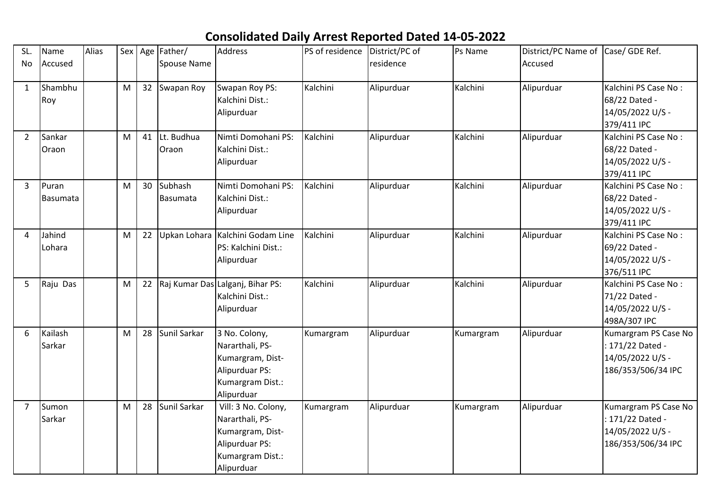## **Consolidated Daily Arrest Reported Dated 14-05-2022**

| SL.            | Name     | Alias |   |    | Sex   Age   Father/ | <b>Address</b>                   | PS of residence | District/PC of | Ps Name   | District/PC Name of Case/ GDE Ref. |                      |
|----------------|----------|-------|---|----|---------------------|----------------------------------|-----------------|----------------|-----------|------------------------------------|----------------------|
| No             | Accused  |       |   |    | Spouse Name         |                                  |                 | residence      |           | Accused                            |                      |
|                |          |       |   |    |                     |                                  |                 |                |           |                                    |                      |
| $\mathbf{1}$   | Shambhu  |       | M |    | 32 Swapan Roy       | Swapan Roy PS:                   | Kalchini        | Alipurduar     | Kalchini  | Alipurduar                         | Kalchini PS Case No: |
|                | Roy      |       |   |    |                     | Kalchini Dist.:                  |                 |                |           |                                    | 68/22 Dated -        |
|                |          |       |   |    |                     | Alipurduar                       |                 |                |           |                                    | 14/05/2022 U/S -     |
|                |          |       |   |    |                     |                                  |                 |                |           |                                    | 379/411 IPC          |
| $\overline{2}$ | Sankar   |       | M | 41 | Lt. Budhua          | Nimti Domohani PS:               | Kalchini        | Alipurduar     | Kalchini  | Alipurduar                         | Kalchini PS Case No: |
|                | Oraon    |       |   |    | Oraon               | Kalchini Dist.:                  |                 |                |           |                                    | 68/22 Dated -        |
|                |          |       |   |    |                     | Alipurduar                       |                 |                |           |                                    | 14/05/2022 U/S -     |
|                |          |       |   |    |                     |                                  |                 |                |           |                                    | 379/411 IPC          |
| 3              | Puran    |       | M | 30 | Subhash             | Nimti Domohani PS:               | Kalchini        | Alipurduar     | Kalchini  | Alipurduar                         | Kalchini PS Case No: |
|                | Basumata |       |   |    | <b>Basumata</b>     | Kalchini Dist.:                  |                 |                |           |                                    | 68/22 Dated -        |
|                |          |       |   |    |                     | Alipurduar                       |                 |                |           |                                    | 14/05/2022 U/S -     |
|                |          |       |   |    |                     |                                  |                 |                |           |                                    | 379/411 IPC          |
| 4              | Jahind   |       | M | 22 |                     | Upkan Lohara Kalchini Godam Line | Kalchini        | Alipurduar     | Kalchini  | Alipurduar                         | Kalchini PS Case No: |
|                | Lohara   |       |   |    |                     | PS: Kalchini Dist.:              |                 |                |           |                                    | 69/22 Dated -        |
|                |          |       |   |    |                     | Alipurduar                       |                 |                |           |                                    | 14/05/2022 U/S -     |
|                |          |       |   |    |                     |                                  |                 |                |           |                                    | 376/511 IPC          |
| 5              | Raju Das |       | M | 22 |                     | Raj Kumar Das Lalganj, Bihar PS: | Kalchini        | Alipurduar     | Kalchini  | Alipurduar                         | Kalchini PS Case No: |
|                |          |       |   |    |                     | Kalchini Dist.:                  |                 |                |           |                                    | 71/22 Dated -        |
|                |          |       |   |    |                     | Alipurduar                       |                 |                |           |                                    | 14/05/2022 U/S -     |
|                |          |       |   |    |                     |                                  |                 |                |           |                                    | 498A/307 IPC         |
| 6              | Kailash  |       | M | 28 | Sunil Sarkar        | 3 No. Colony,                    | Kumargram       | Alipurduar     | Kumargram | Alipurduar                         | Kumargram PS Case No |
|                | Sarkar   |       |   |    |                     | Nararthali, PS-                  |                 |                |           |                                    | 171/22 Dated -       |
|                |          |       |   |    |                     | Kumargram, Dist-                 |                 |                |           |                                    | 14/05/2022 U/S -     |
|                |          |       |   |    |                     | Alipurduar PS:                   |                 |                |           |                                    | 186/353/506/34 IPC   |
|                |          |       |   |    |                     | Kumargram Dist.:                 |                 |                |           |                                    |                      |
|                |          |       |   |    |                     | Alipurduar                       |                 |                |           |                                    |                      |
| 7              | Sumon    |       | M | 28 | Sunil Sarkar        | Vill: 3 No. Colony,              | Kumargram       | Alipurduar     | Kumargram | Alipurduar                         | Kumargram PS Case No |
|                | Sarkar   |       |   |    |                     | Nararthali, PS-                  |                 |                |           |                                    | 171/22 Dated -       |
|                |          |       |   |    |                     | Kumargram, Dist-                 |                 |                |           |                                    | 14/05/2022 U/S -     |
|                |          |       |   |    |                     | Alipurduar PS:                   |                 |                |           |                                    | 186/353/506/34 IPC   |
|                |          |       |   |    |                     | Kumargram Dist.:                 |                 |                |           |                                    |                      |
|                |          |       |   |    |                     | Alipurduar                       |                 |                |           |                                    |                      |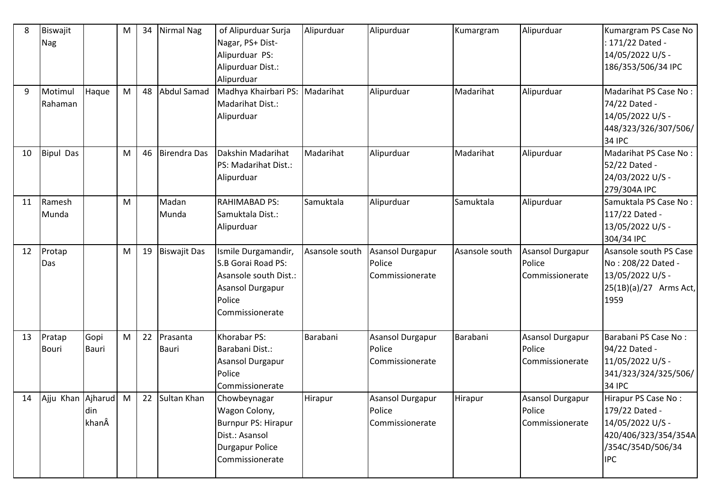| 8  | Biswajit<br>Nag        |                      | M         | 34 | <b>Nirmal Nag</b>   | of Alipurduar Surja<br>Nagar, PS+ Dist-<br>Alipurduar PS:<br>Alipurduar Dist.:<br>Alipurduar                               | Alipurduar     | Alipurduar                                           | Kumargram      | Alipurduar                                           | Kumargram PS Case No<br>: 171/22 Dated -<br>14/05/2022 U/S -<br>186/353/506/34 IPC                                   |
|----|------------------------|----------------------|-----------|----|---------------------|----------------------------------------------------------------------------------------------------------------------------|----------------|------------------------------------------------------|----------------|------------------------------------------------------|----------------------------------------------------------------------------------------------------------------------|
| 9  | Motimul<br>Rahaman     | Haque                | M         | 48 | Abdul Samad         | Madhya Khairbari PS: Madarihat<br>Madarihat Dist.:<br>Alipurduar                                                           |                | Alipurduar                                           | Madarihat      | Alipurduar                                           | Madarihat PS Case No:<br>74/22 Dated -<br>14/05/2022 U/S -<br>448/323/326/307/506/<br><b>34 IPC</b>                  |
| 10 | <b>Bipul Das</b>       |                      | M         | 46 | <b>Birendra Das</b> | Dakshin Madarihat<br>PS: Madarihat Dist.:<br>Alipurduar                                                                    | Madarihat      | Alipurduar                                           | Madarihat      | Alipurduar                                           | Madarihat PS Case No:<br>52/22 Dated -<br>24/03/2022 U/S -<br>279/304A IPC                                           |
| 11 | Ramesh<br>Munda        |                      | M         |    | Madan<br>Munda      | <b>RAHIMABAD PS:</b><br>Samuktala Dist.:<br>Alipurduar                                                                     | Samuktala      | Alipurduar                                           | Samuktala      | Alipurduar                                           | Samuktala PS Case No:<br>117/22 Dated -<br>13/05/2022 U/S -<br>304/34 IPC                                            |
| 12 | Protap<br>Das          |                      | ${\sf M}$ | 19 | <b>Biswajit Das</b> | Ismile Durgamandir,<br>S.B Gorai Road PS:<br>Asansole south Dist.:<br><b>Asansol Durgapur</b><br>Police<br>Commissionerate | Asansole south | <b>Asansol Durgapur</b><br>Police<br>Commissionerate | Asansole south | <b>Asansol Durgapur</b><br>Police<br>Commissionerate | Asansole south PS Case<br>No: 208/22 Dated -<br>13/05/2022 U/S -<br>25(1B)(a)/27 Arms Act,<br>1959                   |
| 13 | Pratap<br><b>Bouri</b> | Gopi<br><b>Bauri</b> | M         | 22 | Prasanta<br>Bauri   | Khorabar PS:<br>Barabani Dist.:<br>Asansol Durgapur<br>Police<br>Commissionerate                                           | Barabani       | Asansol Durgapur<br>Police<br>Commissionerate        | Barabani       | <b>Asansol Durgapur</b><br>Police<br>Commissionerate | Barabani PS Case No:<br>94/22 Dated -<br>11/05/2022 U/S -<br>341/323/324/325/506/<br><b>34 IPC</b>                   |
| 14 | Ajju Khan Ajharud      | din<br>khanÂ         | M         | 22 | Sultan Khan         | Chowbeynagar<br>Wagon Colony,<br>Burnpur PS: Hirapur<br>Dist.: Asansol<br><b>Durgapur Police</b><br>Commissionerate        | Hirapur        | Asansol Durgapur<br>Police<br>Commissionerate        | Hirapur        | Asansol Durgapur<br>Police<br>Commissionerate        | Hirapur PS Case No:<br>179/22 Dated -<br>14/05/2022 U/S -<br>420/406/323/354/354A<br>/354C/354D/506/34<br><b>IPC</b> |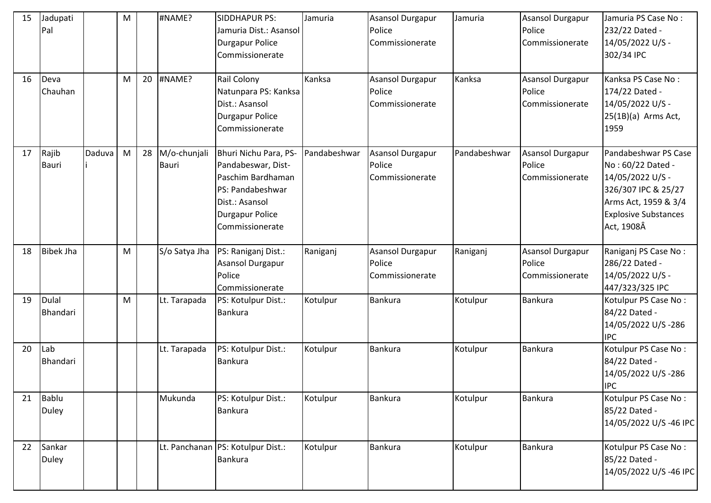| 15 | Jadupati<br>Pal          |        | M |    | #NAME?                       | <b>SIDDHAPUR PS:</b><br>Jamuria Dist.: Asansol<br><b>Durgapur Police</b><br>Commissionerate                                                         | Jamuria      | <b>Asansol Durgapur</b><br>Police<br>Commissionerate | Jamuria      | Asansol Durgapur<br>Police<br>Commissionerate        | Jamuria PS Case No:<br>232/22 Dated -<br>14/05/2022 U/S -<br>302/34 IPC                                                                                   |
|----|--------------------------|--------|---|----|------------------------------|-----------------------------------------------------------------------------------------------------------------------------------------------------|--------------|------------------------------------------------------|--------------|------------------------------------------------------|-----------------------------------------------------------------------------------------------------------------------------------------------------------|
| 16 | Deva<br>Chauhan          |        | M | 20 | #NAME?                       | Rail Colony<br>Natunpara PS: Kanksa<br>Dist.: Asansol<br><b>Durgapur Police</b><br>Commissionerate                                                  | Kanksa       | Asansol Durgapur<br>Police<br>Commissionerate        | Kanksa       | <b>Asansol Durgapur</b><br>Police<br>Commissionerate | Kanksa PS Case No:<br>174/22 Dated -<br>14/05/2022 U/S -<br>$25(1B)(a)$ Arms Act,<br>1959                                                                 |
| 17 | Rajib<br><b>Bauri</b>    | Daduva | M | 28 | M/o-chunjali<br><b>Bauri</b> | Bhuri Nichu Para, PS-<br>Pandabeswar, Dist-<br>Paschim Bardhaman<br>PS: Pandabeshwar<br>Dist.: Asansol<br><b>Durgapur Police</b><br>Commissionerate | Pandabeshwar | <b>Asansol Durgapur</b><br>Police<br>Commissionerate | Pandabeshwar | <b>Asansol Durgapur</b><br>Police<br>Commissionerate | Pandabeshwar PS Case<br>No: 60/22 Dated -<br>14/05/2022 U/S -<br>326/307 IPC & 25/27<br>Arms Act, 1959 & 3/4<br><b>Explosive Substances</b><br>Act, 1908Â |
| 18 | <b>Bibek Jha</b>         |        | M |    | S/o Satya Jha                | PS: Raniganj Dist.:<br>Asansol Durgapur<br>Police<br>Commissionerate                                                                                | Raniganj     | Asansol Durgapur<br>Police<br>Commissionerate        | Raniganj     | <b>Asansol Durgapur</b><br>Police<br>Commissionerate | Raniganj PS Case No:<br>286/22 Dated -<br>14/05/2022 U/S -<br>447/323/325 IPC                                                                             |
| 19 | <b>Dulal</b><br>Bhandari |        | M |    | Lt. Tarapada                 | PS: Kotulpur Dist.:<br>Bankura                                                                                                                      | Kotulpur     | Bankura                                              | Kotulpur     | <b>Bankura</b>                                       | Kotulpur PS Case No:<br>84/22 Dated -<br>14/05/2022 U/S-286<br><b>IPC</b>                                                                                 |
| 20 | Lab<br>Bhandari          |        |   |    | Lt. Tarapada                 | PS: Kotulpur Dist.:<br>Bankura                                                                                                                      | Kotulpur     | Bankura                                              | Kotulpur     | <b>Bankura</b>                                       | Kotulpur PS Case No:<br>84/22 Dated -<br>14/05/2022 U/S-286<br><b>IPC</b>                                                                                 |
| 21 | Bablu<br>Duley           |        |   |    | Mukunda                      | PS: Kotulpur Dist.:<br><b>Bankura</b>                                                                                                               | Kotulpur     | Bankura                                              | Kotulpur     | <b>Bankura</b>                                       | Kotulpur PS Case No:<br>85/22 Dated -<br>14/05/2022 U/S-46 IPC                                                                                            |
| 22 | Sankar<br><b>Duley</b>   |        |   |    |                              | Lt. Panchanan PS: Kotulpur Dist.:<br><b>Bankura</b>                                                                                                 | Kotulpur     | Bankura                                              | Kotulpur     | <b>Bankura</b>                                       | Kotulpur PS Case No:<br>85/22 Dated -<br>14/05/2022 U/S-46 IPC                                                                                            |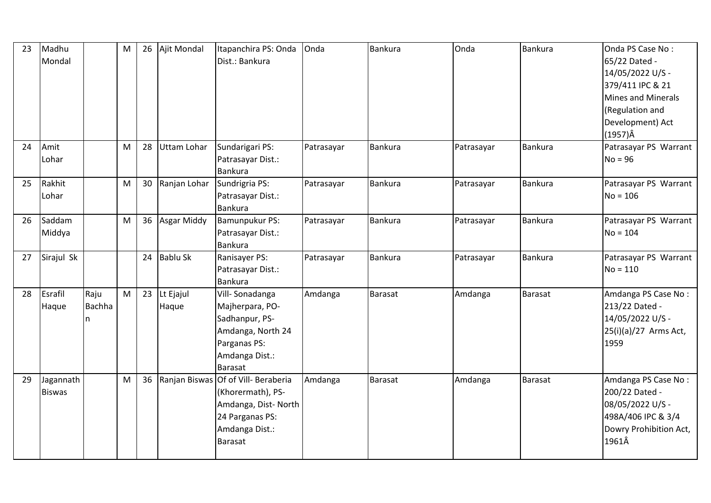| 23 | Madhu<br>Mondal            |                            | M | 26 | Ajit Mondal        | Itapanchira PS: Onda<br>Dist.: Bankura                                                                                                | Onda       | <b>Bankura</b> | Onda       | <b>Bankura</b> | Onda PS Case No:<br>65/22 Dated -<br>14/05/2022 U/S -<br>379/411 IPC & 21<br><b>Mines and Minerals</b><br>(Regulation and<br>Development) Act<br>$(1957)\hat{A}$ |
|----|----------------------------|----------------------------|---|----|--------------------|---------------------------------------------------------------------------------------------------------------------------------------|------------|----------------|------------|----------------|------------------------------------------------------------------------------------------------------------------------------------------------------------------|
| 24 | Amit<br>Lohar              |                            | M | 28 | <b>Uttam Lohar</b> | Sundarigari PS:<br>Patrasayar Dist.:<br><b>Bankura</b>                                                                                | Patrasayar | <b>Bankura</b> | Patrasayar | <b>Bankura</b> | Patrasayar PS Warrant<br>$No = 96$                                                                                                                               |
| 25 | Rakhit<br>Lohar            |                            | M | 30 | Ranjan Lohar       | Sundrigria PS:<br>Patrasayar Dist.:<br>Bankura                                                                                        | Patrasayar | Bankura        | Patrasayar | <b>Bankura</b> | Patrasayar PS Warrant<br>$No = 106$                                                                                                                              |
| 26 | Saddam<br>Middya           |                            | M | 36 | Asgar Middy        | Bamunpukur PS:<br>Patrasayar Dist.:<br>Bankura                                                                                        | Patrasayar | <b>Bankura</b> | Patrasayar | Bankura        | Patrasayar PS Warrant<br>$No = 104$                                                                                                                              |
| 27 | Sirajul Sk                 |                            |   | 24 | <b>Bablu Sk</b>    | Ranisayer PS:<br>Patrasayar Dist.:<br><b>Bankura</b>                                                                                  | Patrasayar | <b>Bankura</b> | Patrasayar | <b>Bankura</b> | Patrasayar PS Warrant<br>$No = 110$                                                                                                                              |
| 28 | Esrafil<br>Haque           | Raju<br><b>Bachha</b><br>n | M | 23 | Lt Ejajul<br>Haque | Vill-Sonadanga<br>Majherpara, PO-<br>Sadhanpur, PS-<br>Amdanga, North 24<br>Parganas PS:<br>Amdanga Dist.:<br><b>Barasat</b>          | Amdanga    | Barasat        | Amdanga    | Barasat        | Amdanga PS Case No:<br>213/22 Dated -<br>14/05/2022 U/S -<br>25(i)(a)/27 Arms Act,<br>1959                                                                       |
| 29 | Jagannath<br><b>Biswas</b> |                            | M | 36 |                    | Ranjan Biswas Of of Vill-Beraberia<br>(Khorermath), PS-<br>Amdanga, Dist-North<br>24 Parganas PS:<br>Amdanga Dist.:<br><b>Barasat</b> | Amdanga    | <b>Barasat</b> | Amdanga    | <b>Barasat</b> | Amdanga PS Case No:<br>200/22 Dated -<br>08/05/2022 U/S -<br>498A/406 IPC & 3/4<br>Dowry Prohibition Act,<br>1961Â                                               |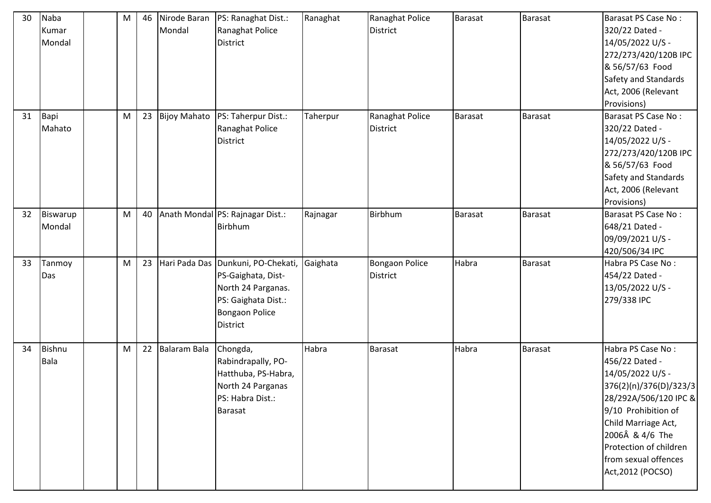| 30 | Naba<br>Kumar<br>Mondal | M | 46 | Nirode Baran<br>Mondal | PS: Ranaghat Dist.:<br>Ranaghat Police<br><b>District</b>                                                                                         | Ranaghat | Ranaghat Police<br><b>District</b>       | <b>Barasat</b> | Barasat        | Barasat PS Case No:<br>320/22 Dated -<br>14/05/2022 U/S -<br>272/273/420/120B IPC<br>& 56/57/63 Food<br>Safety and Standards<br>Act, 2006 (Relevant<br>Provisions)                                                                                 |
|----|-------------------------|---|----|------------------------|---------------------------------------------------------------------------------------------------------------------------------------------------|----------|------------------------------------------|----------------|----------------|----------------------------------------------------------------------------------------------------------------------------------------------------------------------------------------------------------------------------------------------------|
| 31 | Bapi<br>Mahato          | M | 23 |                        | Bijoy Mahato   PS: Taherpur Dist.:<br>Ranaghat Police<br><b>District</b>                                                                          | Taherpur | Ranaghat Police<br>District              | <b>Barasat</b> | <b>Barasat</b> | Barasat PS Case No:<br>320/22 Dated -<br>14/05/2022 U/S -<br>272/273/420/120B IPC<br>& 56/57/63 Food<br>Safety and Standards<br>Act, 2006 (Relevant<br>Provisions)                                                                                 |
| 32 | Biswarup<br>Mondal      | M | 40 |                        | Anath Mondal PS: Rajnagar Dist.:<br><b>Birbhum</b>                                                                                                | Rajnagar | Birbhum                                  | Barasat        | Barasat        | Barasat PS Case No:<br>648/21 Dated -<br>09/09/2021 U/S -<br>420/506/34 IPC                                                                                                                                                                        |
| 33 | Tanmoy<br>Das           | M | 23 |                        | Hari Pada Das Dunkuni, PO-Chekati,<br>PS-Gaighata, Dist-<br>North 24 Parganas.<br>PS: Gaighata Dist.:<br><b>Bongaon Police</b><br><b>District</b> | Gaighata | <b>Bongaon Police</b><br><b>District</b> | Habra          | <b>Barasat</b> | Habra PS Case No:<br>454/22 Dated -<br>13/05/2022 U/S -<br>279/338 IPC                                                                                                                                                                             |
| 34 | Bishnu<br>Bala          | M | 22 | Balaram Bala           | Chongda,<br>Rabindrapally, PO-<br>Hatthuba, PS-Habra,<br>North 24 Parganas<br>PS: Habra Dist.:<br><b>Barasat</b>                                  | Habra    | <b>Barasat</b>                           | Habra          | Barasat        | Habra PS Case No:<br>456/22 Dated -<br>14/05/2022 U/S -<br>376(2)(n)/376(D)/323/3<br>28/292A/506/120 IPC &<br>9/10 Prohibition of<br>Child Marriage Act,<br>2006Â & 4/6 The<br>Protection of children<br>from sexual offences<br>Act, 2012 (POCSO) |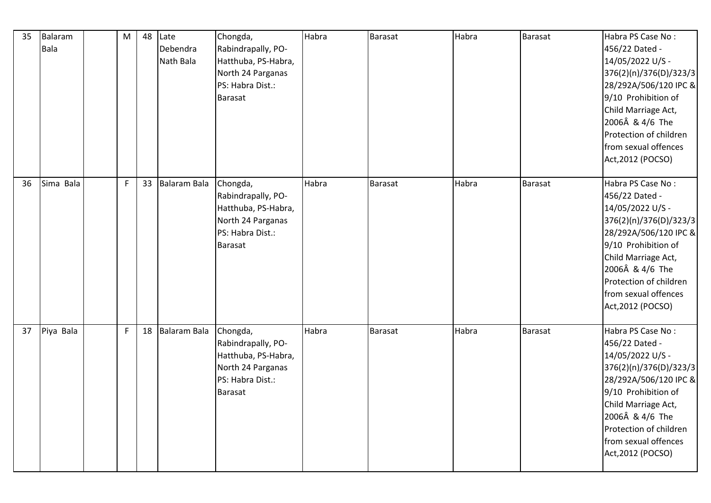| 35 | Balaram<br><b>Bala</b> | M            | 48 | Late<br>Debendra<br>Nath Bala | Chongda,<br>Rabindrapally, PO-<br>Hatthuba, PS-Habra,<br>North 24 Parganas<br>PS: Habra Dist.:<br><b>Barasat</b> | Habra | <b>Barasat</b> | Habra | <b>Barasat</b> | Habra PS Case No:<br>456/22 Dated -<br>14/05/2022 U/S -<br>376(2)(n)/376(D)/323/3<br>28/292A/506/120 IPC &<br>9/10 Prohibition of<br>Child Marriage Act,<br>2006Â & 4/6 The<br>Protection of children<br>from sexual offences<br>Act, 2012 (POCSO) |
|----|------------------------|--------------|----|-------------------------------|------------------------------------------------------------------------------------------------------------------|-------|----------------|-------|----------------|----------------------------------------------------------------------------------------------------------------------------------------------------------------------------------------------------------------------------------------------------|
| 36 | Sima Bala              | $\mathsf{F}$ | 33 | Balaram Bala                  | Chongda,<br>Rabindrapally, PO-<br>Hatthuba, PS-Habra,<br>North 24 Parganas<br>PS: Habra Dist.:<br><b>Barasat</b> | Habra | <b>Barasat</b> | Habra | <b>Barasat</b> | Habra PS Case No:<br>456/22 Dated -<br>14/05/2022 U/S -<br>376(2)(n)/376(D)/323/3<br>28/292A/506/120 IPC &<br>9/10 Prohibition of<br>Child Marriage Act,<br>2006Â & 4/6 The<br>Protection of children<br>from sexual offences<br>Act, 2012 (POCSO) |
| 37 | Piya Bala              | $\mathsf F$  | 18 | Balaram Bala                  | Chongda,<br>Rabindrapally, PO-<br>Hatthuba, PS-Habra,<br>North 24 Parganas<br>PS: Habra Dist.:<br><b>Barasat</b> | Habra | <b>Barasat</b> | Habra | <b>Barasat</b> | Habra PS Case No:<br>456/22 Dated -<br>14/05/2022 U/S -<br>376(2)(n)/376(D)/323/3<br>28/292A/506/120 IPC &<br>9/10 Prohibition of<br>Child Marriage Act,<br>2006Â & 4/6 The<br>Protection of children<br>from sexual offences<br>Act, 2012 (POCSO) |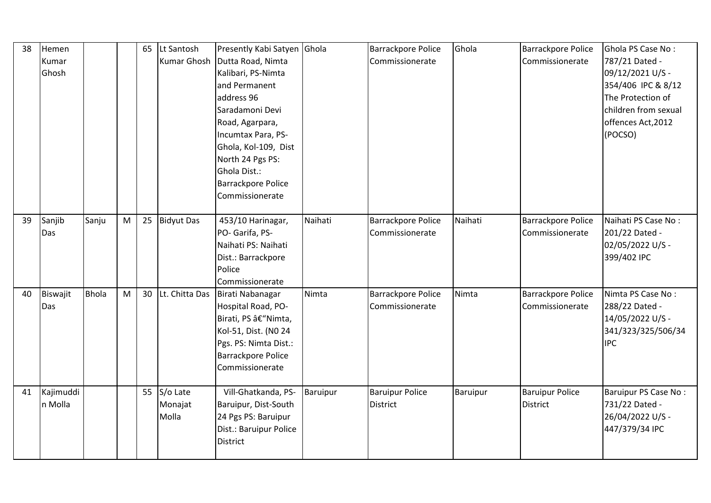| 38 | Hemen<br>Kumar<br>Ghosh |              |   | 65 | Lt Santosh<br>Kumar Ghosh       | Presently Kabi Satyen Ghola<br>Dutta Road, Nimta<br>Kalibari, PS-Nimta<br>and Permanent<br>address 96<br>Saradamoni Devi<br>Road, Agarpara,<br>Incumtax Para, PS-<br>Ghola, Kol-109, Dist<br>North 24 Pgs PS:<br>Ghola Dist.:<br><b>Barrackpore Police</b><br>Commissionerate |          | <b>Barrackpore Police</b><br>Commissionerate | Ghola    | <b>Barrackpore Police</b><br>Commissionerate | Ghola PS Case No:<br>787/21 Dated -<br>09/12/2021 U/S -<br>354/406 IPC & 8/12<br>The Protection of<br>children from sexual<br>offences Act, 2012<br>(POCSO) |
|----|-------------------------|--------------|---|----|---------------------------------|-------------------------------------------------------------------------------------------------------------------------------------------------------------------------------------------------------------------------------------------------------------------------------|----------|----------------------------------------------|----------|----------------------------------------------|-------------------------------------------------------------------------------------------------------------------------------------------------------------|
| 39 | Sanjib<br>Das           | Sanju        | M | 25 | <b>Bidyut Das</b>               | 453/10 Harinagar,<br>PO- Garifa, PS-<br>Naihati PS: Naihati<br>Dist.: Barrackpore<br>Police<br>Commissionerate                                                                                                                                                                | Naihati  | Barrackpore Police<br>Commissionerate        | Naihati  | <b>Barrackpore Police</b><br>Commissionerate | Naihati PS Case No:<br>201/22 Dated -<br>02/05/2022 U/S -<br>399/402 IPC                                                                                    |
| 40 | Biswajit<br>Das         | <b>Bhola</b> | M |    | 30 Lt. Chitta Das               | Birati Nabanagar<br>Hospital Road, PO-<br>Birati, PS â€"Nimta,<br>Kol-51, Dist. (NO 24<br>Pgs. PS: Nimta Dist.:<br>Barrackpore Police<br>Commissionerate                                                                                                                      | Nimta    | Barrackpore Police<br>Commissionerate        | Nimta    | <b>Barrackpore Police</b><br>Commissionerate | Nimta PS Case No:<br>288/22 Dated -<br>14/05/2022 U/S -<br>341/323/325/506/34<br><b>IPC</b>                                                                 |
| 41 | Kajimuddi<br>n Molla    |              |   |    | 55 S/o Late<br>Monajat<br>Molla | Vill-Ghatkanda, PS-<br>Baruipur, Dist-South<br>24 Pgs PS: Baruipur<br>Dist.: Baruipur Police<br><b>District</b>                                                                                                                                                               | Baruipur | <b>Baruipur Police</b><br><b>District</b>    | Baruipur | <b>Baruipur Police</b><br>District           | Baruipur PS Case No:<br>731/22 Dated -<br>26/04/2022 U/S -<br>447/379/34 IPC                                                                                |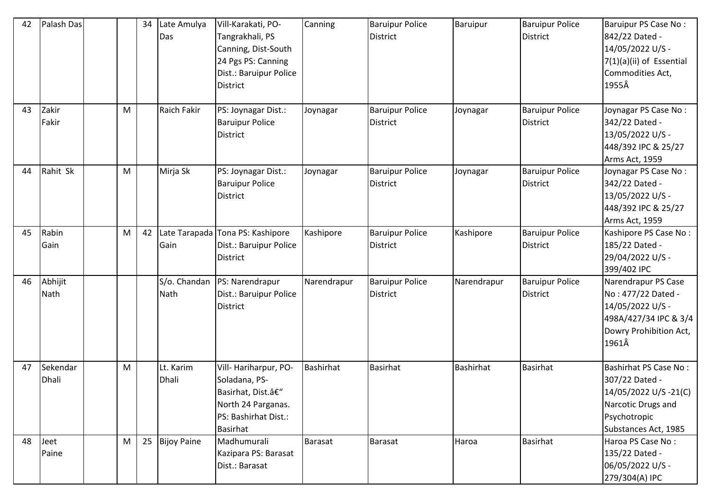| 42 | Palash Das               |   | 34 | Late Amulya<br>Das   | Vill-Karakati, PO-<br>Tangrakhali, PS<br>Canning, Dist-South<br>24 Pgs PS: Canning<br>Dist.: Baruipur Police<br><b>District</b> | Canning          | <b>Baruipur Police</b><br><b>District</b> | Baruipur    | <b>Baruipur Police</b><br>District | Baruipur PS Case No:<br>842/22 Dated -<br>14/05/2022 U/S -<br>7(1)(a)(ii) of Essential<br>Commodities Act,<br>1955Â                   |
|----|--------------------------|---|----|----------------------|---------------------------------------------------------------------------------------------------------------------------------|------------------|-------------------------------------------|-------------|------------------------------------|---------------------------------------------------------------------------------------------------------------------------------------|
| 43 | Zakir<br>Fakir           | M |    | <b>Raich Fakir</b>   | PS: Joynagar Dist.:<br><b>Baruipur Police</b><br><b>District</b>                                                                | Joynagar         | <b>Baruipur Police</b><br>District        | Joynagar    | <b>Baruipur Police</b><br>District | Joynagar PS Case No:<br>342/22 Dated -<br>13/05/2022 U/S -<br>448/392 IPC & 25/27<br>Arms Act, 1959                                   |
| 44 | Rahit Sk                 | M |    | Mirja Sk             | PS: Joynagar Dist.:<br><b>Baruipur Police</b><br><b>District</b>                                                                | Joynagar         | <b>Baruipur Police</b><br>District        | Joynagar    | <b>Baruipur Police</b><br>District | Joynagar PS Case No:<br>342/22 Dated -<br>13/05/2022 U/S -<br>448/392 IPC & 25/27<br>Arms Act, 1959                                   |
| 45 | Rabin<br>Gain            | M | 42 | Gain                 | Late Tarapada Tona PS: Kashipore<br>Dist.: Baruipur Police<br><b>District</b>                                                   | Kashipore        | <b>Baruipur Police</b><br>District        | Kashipore   | <b>Baruipur Police</b><br>District | Kashipore PS Case No:<br>185/22 Dated -<br>29/04/2022 U/S -<br>399/402 IPC                                                            |
| 46 | Abhijit<br>Nath          |   |    | S/o. Chandan<br>Nath | PS: Narendrapur<br>Dist.: Baruipur Police<br>District                                                                           | Narendrapur      | <b>Baruipur Police</b><br><b>District</b> | Narendrapur | <b>Baruipur Police</b><br>District | Narendrapur PS Case<br>No: 477/22 Dated -<br>14/05/2022 U/S -<br>498A/427/34 IPC & 3/4<br>Dowry Prohibition Act,<br>1961Â             |
| 47 | Sekendar<br><b>Dhali</b> | M |    | Lt. Karim<br>Dhali   | Vill-Hariharpur, PO-<br>Soladana, PS-<br>Basirhat, Dist.–<br>North 24 Parganas.<br>PS: Bashirhat Dist.:<br>Basirhat             | <b>Bashirhat</b> | <b>Basirhat</b>                           | Bashirhat   | <b>Basirhat</b>                    | <b>Bashirhat PS Case No:</b><br>307/22 Dated -<br>14/05/2022 U/S -21(C)<br>Narcotic Drugs and<br>Psychotropic<br>Substances Act, 1985 |
| 48 | Jeet<br>Paine            | M | 25 | <b>Bijoy Paine</b>   | Madhumurali<br>Kazipara PS: Barasat<br>Dist.: Barasat                                                                           | Barasat          | <b>Barasat</b>                            | Haroa       | <b>Basirhat</b>                    | Haroa PS Case No:<br>135/22 Dated -<br>06/05/2022 U/S -<br>279/304(A) IPC                                                             |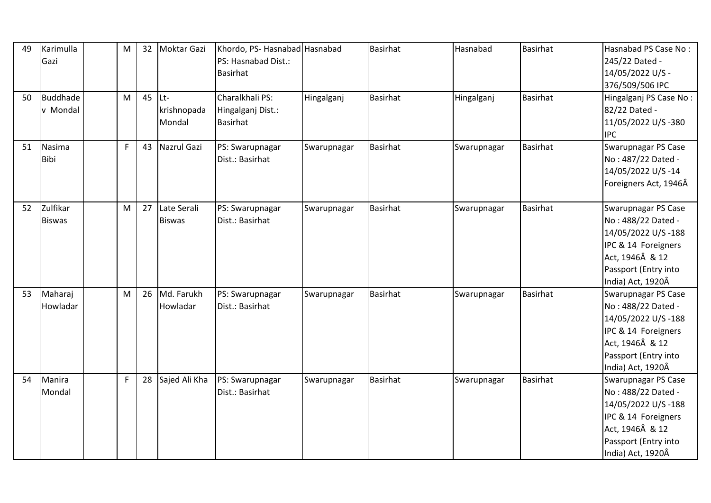| 49 | Karimulla<br>Gazi         | M            | 32 | Moktar Gazi                      | Khordo, PS- Hasnabad Hasnabad<br>PS: Hasnabad Dist.:    |             | <b>Basirhat</b> | Hasnabad    | <b>Basirhat</b> | Hasnabad PS Case No:<br>245/22 Dated -                                                                                                                 |
|----|---------------------------|--------------|----|----------------------------------|---------------------------------------------------------|-------------|-----------------|-------------|-----------------|--------------------------------------------------------------------------------------------------------------------------------------------------------|
|    |                           |              |    |                                  | <b>Basirhat</b>                                         |             |                 |             |                 | 14/05/2022 U/S -<br>376/509/506 IPC                                                                                                                    |
| 50 | Buddhade<br>v Mondal      | M            | 45 | $ $ Lt-<br>krishnopada<br>Mondal | Charalkhali PS:<br>Hingalganj Dist.:<br><b>Basirhat</b> | Hingalganj  | <b>Basirhat</b> | Hingalganj  | <b>Basirhat</b> | Hingalganj PS Case No:<br>82/22 Dated -<br>11/05/2022 U/S-380<br><b>IPC</b>                                                                            |
| 51 | Nasima<br><b>Bibi</b>     | $\mathsf{F}$ | 43 | Nazrul Gazi                      | PS: Swarupnagar<br>Dist.: Basirhat                      | Swarupnagar | <b>Basirhat</b> | Swarupnagar | <b>Basirhat</b> | Swarupnagar PS Case<br>No: 487/22 Dated -<br>14/05/2022 U/S-14<br>Foreigners Act, 1946Â                                                                |
| 52 | Zulfikar<br><b>Biswas</b> | M            | 27 | Late Serali<br><b>Biswas</b>     | PS: Swarupnagar<br>Dist.: Basirhat                      | Swarupnagar | <b>Basirhat</b> | Swarupnagar | <b>Basirhat</b> | Swarupnagar PS Case<br>No: 488/22 Dated -<br>14/05/2022 U/S-188<br>IPC & 14 Foreigners<br>Act, 1946Â & 12<br>Passport (Entry into<br>India) Act, 1920Â |
| 53 | Maharaj<br>Howladar       | M            | 26 | Md. Farukh<br>Howladar           | PS: Swarupnagar<br>Dist.: Basirhat                      | Swarupnagar | <b>Basirhat</b> | Swarupnagar | <b>Basirhat</b> | Swarupnagar PS Case<br>No: 488/22 Dated -<br>14/05/2022 U/S-188<br>IPC & 14 Foreigners<br>Act, 1946Â & 12<br>Passport (Entry into<br>India) Act, 1920Â |
| 54 | Manira<br>Mondal          | $\mathsf F$  | 28 | Sajed Ali Kha                    | PS: Swarupnagar<br>Dist.: Basirhat                      | Swarupnagar | <b>Basirhat</b> | Swarupnagar | <b>Basirhat</b> | Swarupnagar PS Case<br>No: 488/22 Dated -<br>14/05/2022 U/S-188<br>IPC & 14 Foreigners<br>Act, 1946Â & 12<br>Passport (Entry into<br>India) Act, 1920Â |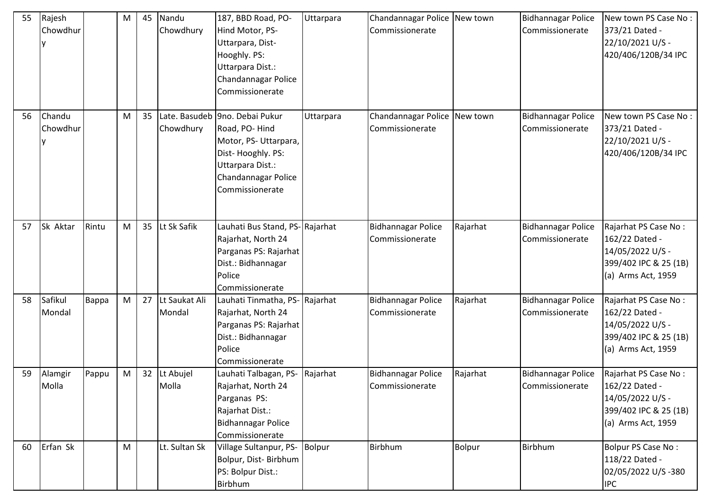| 55 | Rajesh<br>Chowdhur |       | M | 45 | Nandu<br>Chowdhury         | 187, BBD Road, PO-<br>Hind Motor, PS-<br>Uttarpara, Dist-<br>Hooghly. PS:<br>Uttarpara Dist.:<br>Chandannagar Police<br>Commissionerate                    | Uttarpara     | Chandannagar Police New town<br>Commissionerate |          | <b>Bidhannagar Police</b><br>Commissionerate | New town PS Case No:<br>373/21 Dated -<br>22/10/2021 U/S -<br>420/406/120B/34 IPC                         |
|----|--------------------|-------|---|----|----------------------------|------------------------------------------------------------------------------------------------------------------------------------------------------------|---------------|-------------------------------------------------|----------|----------------------------------------------|-----------------------------------------------------------------------------------------------------------|
| 56 | Chandu<br>Chowdhur |       | M | 35 | Chowdhury                  | Late. Basudeb 9no. Debai Pukur<br>Road, PO-Hind<br>Motor, PS-Uttarpara,<br>Dist-Hooghly. PS:<br>Uttarpara Dist.:<br>Chandannagar Police<br>Commissionerate | Uttarpara     | Chandannagar Police New town<br>Commissionerate |          | <b>Bidhannagar Police</b><br>Commissionerate | New town PS Case No:<br>373/21 Dated -<br>22/10/2021 U/S -<br>420/406/120B/34 IPC                         |
| 57 | Sk Aktar           | Rintu | M | 35 | Lt Sk Safik                | Lauhati Bus Stand, PS- Rajarhat<br>Rajarhat, North 24<br>Parganas PS: Rajarhat<br>Dist.: Bidhannagar<br>Police<br>Commissionerate                          |               | <b>Bidhannagar Police</b><br>Commissionerate    | Rajarhat | <b>Bidhannagar Police</b><br>Commissionerate | Rajarhat PS Case No:<br>162/22 Dated -<br>14/05/2022 U/S -<br>399/402 IPC & 25 (1B)<br>(a) Arms Act, 1959 |
| 58 | Safikul<br>Mondal  | Bappa | M |    | 27 Lt Saukat Ali<br>Mondal | Lauhati Tinmatha, PS- Rajarhat<br>Rajarhat, North 24<br>Parganas PS: Rajarhat<br>Dist.: Bidhannagar<br>Police<br>Commissionerate                           |               | <b>Bidhannagar Police</b><br>Commissionerate    | Rajarhat | <b>Bidhannagar Police</b><br>Commissionerate | Rajarhat PS Case No:<br>162/22 Dated -<br>14/05/2022 U/S -<br>399/402 IPC & 25 (1B)<br>(a) Arms Act, 1959 |
| 59 | Alamgir<br>Molla   | Pappu | M |    | 32 Lt Abujel<br>Molla      | Lauhati Talbagan, PS-<br>Rajarhat, North 24<br>Parganas PS:<br>Rajarhat Dist.:<br><b>Bidhannagar Police</b><br>Commissionerate                             | Rajarhat      | <b>Bidhannagar Police</b><br>Commissionerate    | Rajarhat | <b>Bidhannagar Police</b><br>Commissionerate | Rajarhat PS Case No:<br>162/22 Dated -<br>14/05/2022 U/S -<br>399/402 IPC & 25 (1B)<br>(a) Arms Act, 1959 |
| 60 | Erfan Sk           |       | M |    | Lt. Sultan Sk              | Village Sultanpur, PS-<br>Bolpur, Dist-Birbhum<br>PS: Bolpur Dist.:<br>Birbhum                                                                             | <b>Bolpur</b> | Birbhum                                         | Bolpur   | <b>Birbhum</b>                               | Bolpur PS Case No:<br>118/22 Dated -<br>02/05/2022 U/S-380<br><b>IPC</b>                                  |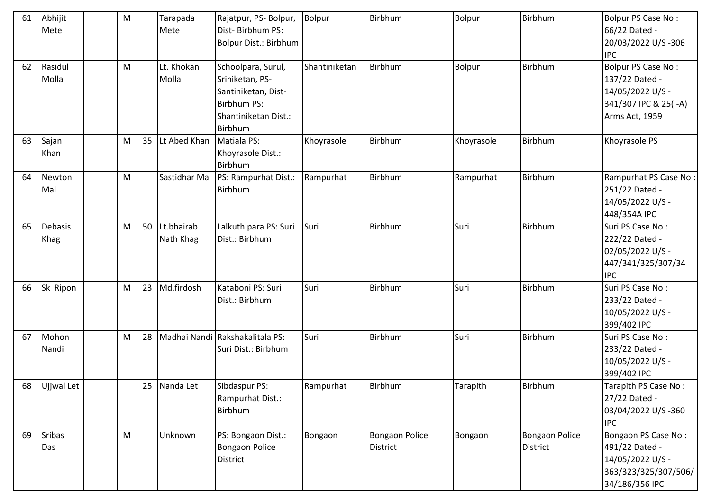| 61 | Abhijit<br>Mete        | M |    | Tarapada<br>Mete        | Rajatpur, PS- Bolpur,<br>Dist-Birbhum PS:<br>Bolpur Dist.: Birbhum                                             | <b>Bolpur</b> | Birbhum                           | Bolpur        | <b>Birbhum</b>                    | Bolpur PS Case No:<br>66/22 Dated -<br>20/03/2022 U/S-306<br><b>IPC</b>                             |
|----|------------------------|---|----|-------------------------|----------------------------------------------------------------------------------------------------------------|---------------|-----------------------------------|---------------|-----------------------------------|-----------------------------------------------------------------------------------------------------|
| 62 | Rasidul<br>Molla       | M |    | Lt. Khokan<br>Molla     | Schoolpara, Surul,<br>Sriniketan, PS-<br>Santiniketan, Dist-<br>Birbhum PS:<br>Shantiniketan Dist.:<br>Birbhum | Shantiniketan | Birbhum                           | <b>Bolpur</b> | <b>Birbhum</b>                    | Bolpur PS Case No:<br>137/22 Dated -<br>14/05/2022 U/S -<br>341/307 IPC & 25(I-A)<br>Arms Act, 1959 |
| 63 | Sajan<br>Khan          | M | 35 | Lt Abed Khan            | Matiala PS:<br>Khoyrasole Dist.:<br>Birbhum                                                                    | Khoyrasole    | Birbhum                           | Khoyrasole    | Birbhum                           | Khoyrasole PS                                                                                       |
| 64 | Newton<br>Mal          | M |    |                         | Sastidhar Mal PS: Rampurhat Dist.:<br>Birbhum                                                                  | Rampurhat     | Birbhum                           | Rampurhat     | Birbhum                           | Rampurhat PS Case No:<br>251/22 Dated -<br>14/05/2022 U/S -<br>448/354A IPC                         |
| 65 | <b>Debasis</b><br>Khag | M | 50 | Lt.bhairab<br>Nath Khag | Lalkuthipara PS: Suri<br>Dist.: Birbhum                                                                        | Suri          | Birbhum                           | Suri          | <b>Birbhum</b>                    | Suri PS Case No:<br>222/22 Dated -<br>02/05/2022 U/S -<br>447/341/325/307/34<br><b>IPC</b>          |
| 66 | Sk Ripon               | M | 23 | Md.firdosh              | Kataboni PS: Suri<br>Dist.: Birbhum                                                                            | Suri          | Birbhum                           | Suri          | Birbhum                           | Suri PS Case No:<br>233/22 Dated -<br>10/05/2022 U/S -<br>399/402 IPC                               |
| 67 | Mohon<br>Nandi         | M | 28 |                         | Madhai Nandi Rakshakalitala PS:<br>Suri Dist.: Birbhum                                                         | Suri          | Birbhum                           | Suri          | <b>Birbhum</b>                    | Suri PS Case No:<br>233/22 Dated -<br>10/05/2022 U/S -<br>399/402 IPC                               |
| 68 | Ujjwal Let             |   |    | 25 Nanda Let            | Sibdaspur PS:<br>Rampurhat Dist.:<br>Birbhum                                                                   | Rampurhat     | Birbhum                           | Tarapith      | Birbhum                           | Tarapith PS Case No:<br>27/22 Dated -<br>03/04/2022 U/S-360<br><b>IPC</b>                           |
| 69 | <b>Sribas</b><br>Das   | M |    | Unknown                 | PS: Bongaon Dist.:<br><b>Bongaon Police</b><br><b>District</b>                                                 | Bongaon       | <b>Bongaon Police</b><br>District | Bongaon       | Bongaon Police<br><b>District</b> | Bongaon PS Case No:<br>491/22 Dated -<br>14/05/2022 U/S -<br>363/323/325/307/506/<br>34/186/356 IPC |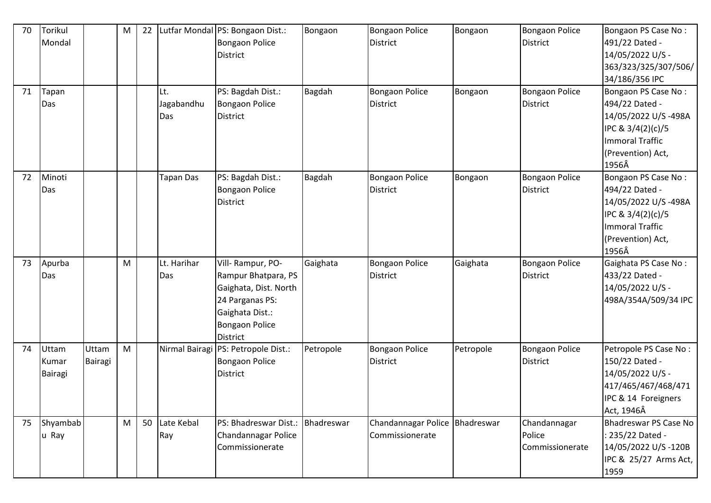| 70 | Torikul<br>Mondal         |                  | M | 22 |                          | Lutfar Mondal PS: Bongaon Dist.:<br><b>Bongaon Police</b><br>District                                                                       | Bongaon    | <b>Bongaon Police</b><br>District                 | Bongaon   | <b>Bongaon Police</b><br><b>District</b>  | Bongaon PS Case No:<br>491/22 Dated -<br>14/05/2022 U/S -<br>363/323/325/307/506/<br>34/186/356 IPC                                |
|----|---------------------------|------------------|---|----|--------------------------|---------------------------------------------------------------------------------------------------------------------------------------------|------------|---------------------------------------------------|-----------|-------------------------------------------|------------------------------------------------------------------------------------------------------------------------------------|
| 71 | Tapan<br>Das              |                  |   |    | Lt.<br>Jagabandhu<br>Das | PS: Bagdah Dist.:<br><b>Bongaon Police</b><br><b>District</b>                                                                               | Bagdah     | <b>Bongaon Police</b><br>District                 | Bongaon   | <b>Bongaon Police</b><br><b>District</b>  | Bongaon PS Case No:<br>494/22 Dated -<br>14/05/2022 U/S-498A<br>IPC & 3/4(2)(c)/5<br>Immoral Traffic<br>(Prevention) Act,<br>1956Â |
| 72 | Minoti<br>Das             |                  |   |    | Tapan Das                | PS: Bagdah Dist.:<br><b>Bongaon Police</b><br>District                                                                                      | Bagdah     | <b>Bongaon Police</b><br>District                 | Bongaon   | <b>Bongaon Police</b><br><b>District</b>  | Bongaon PS Case No:<br>494/22 Dated -<br>14/05/2022 U/S-498A<br>IPC & 3/4(2)(c)/5<br>Immoral Traffic<br>(Prevention) Act,<br>1956Â |
| 73 | Apurba<br>Das             |                  | M |    | Lt. Harihar<br>Das       | Vill-Rampur, PO-<br>Rampur Bhatpara, PS<br>Gaighata, Dist. North<br>24 Parganas PS:<br>Gaighata Dist.:<br><b>Bongaon Police</b><br>District | Gaighata   | <b>Bongaon Police</b><br>District                 | Gaighata  | <b>Bongaon Police</b><br><b>District</b>  | Gaighata PS Case No:<br>433/22 Dated -<br>14/05/2022 U/S -<br>498A/354A/509/34 IPC                                                 |
| 74 | Uttam<br>Kumar<br>Bairagi | Uttam<br>Bairagi | M |    | Nirmal Bairagi           | PS: Petropole Dist.:<br><b>Bongaon Police</b><br>District                                                                                   | Petropole  | <b>Bongaon Police</b><br>District                 | Petropole | <b>Bongaon Police</b><br><b>District</b>  | Petropole PS Case No:<br>150/22 Dated -<br>14/05/2022 U/S -<br>417/465/467/468/471<br>IPC & 14 Foreigners<br>Act, 1946Â            |
| 75 | Shyambab<br>u Ray         |                  | M | 50 | Late Kebal<br>Ray        | PS: Bhadreswar Dist.:<br>Chandannagar Police<br>Commissionerate                                                                             | Bhadreswar | Chandannagar Police Bhadreswar<br>Commissionerate |           | Chandannagar<br>Police<br>Commissionerate | Bhadreswar PS Case No<br>: 235/22 Dated -<br>14/05/2022 U/S-120B<br>IPC & 25/27 Arms Act,<br>1959                                  |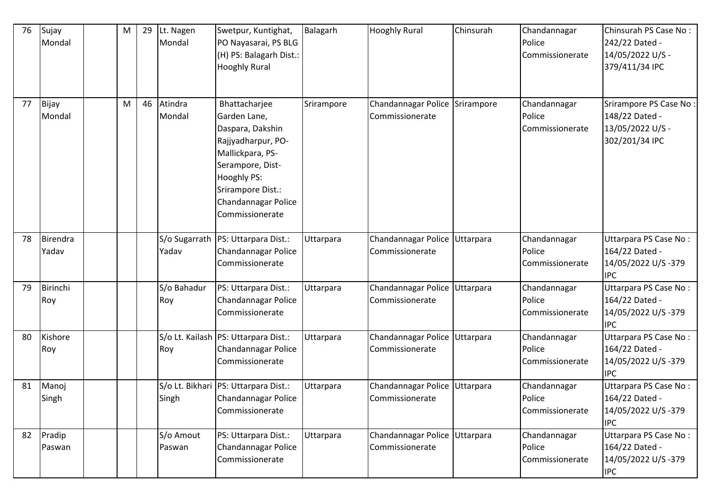| 76 | Sujay<br>Mondal   | M | 29 | Lt. Nagen<br>Mondal | Swetpur, Kuntighat,<br>PO Nayasarai, PS BLG<br>(H) PS: Balagarh Dist.:<br><b>Hooghly Rural</b>                                                                                                | Balagarh   | <b>Hooghly Rural</b>                              | Chinsurah | Chandannagar<br>Police<br>Commissionerate | Chinsurah PS Case No:<br>242/22 Dated -<br>14/05/2022 U/S -<br>379/411/34 IPC  |
|----|-------------------|---|----|---------------------|-----------------------------------------------------------------------------------------------------------------------------------------------------------------------------------------------|------------|---------------------------------------------------|-----------|-------------------------------------------|--------------------------------------------------------------------------------|
| 77 | Bijay<br>Mondal   | M | 46 | Atindra<br>Mondal   | Bhattacharjee<br>Garden Lane,<br>Daspara, Dakshin<br>Rajjyadharpur, PO-<br>Mallickpara, PS-<br>Serampore, Dist-<br>Hooghly PS:<br>Srirampore Dist.:<br>Chandannagar Police<br>Commissionerate | Srirampore | Chandannagar Police Srirampore<br>Commissionerate |           | Chandannagar<br>Police<br>Commissionerate | Srirampore PS Case No:<br>148/22 Dated -<br>13/05/2022 U/S -<br>302/201/34 IPC |
| 78 | Birendra<br>Yadav |   |    | Yadav               | S/o Sugarrath   PS: Uttarpara Dist.:<br>Chandannagar Police<br>Commissionerate                                                                                                                | Uttarpara  | Chandannagar Police Uttarpara<br>Commissionerate  |           | Chandannagar<br>Police<br>Commissionerate | Uttarpara PS Case No:<br>164/22 Dated -<br>14/05/2022 U/S-379<br><b>IPC</b>    |
| 79 | Birinchi<br>Roy   |   |    | S/o Bahadur<br>Roy  | PS: Uttarpara Dist.:<br>Chandannagar Police<br>Commissionerate                                                                                                                                | Uttarpara  | Chandannagar Police Uttarpara<br>Commissionerate  |           | Chandannagar<br>Police<br>Commissionerate | Uttarpara PS Case No:<br>164/22 Dated -<br>14/05/2022 U/S-379<br><b>IPC</b>    |
| 80 | Kishore<br>Roy    |   |    | Roy                 | S/o Lt. Kailash   PS: Uttarpara Dist.:<br>Chandannagar Police<br>Commissionerate                                                                                                              | Uttarpara  | Chandannagar Police Uttarpara<br>Commissionerate  |           | Chandannagar<br>Police<br>Commissionerate | Uttarpara PS Case No:<br>164/22 Dated -<br>14/05/2022 U/S-379<br><b>IPC</b>    |
| 81 | Manoj<br>Singh    |   |    | Singh               | S/o Lt. Bikhari PS: Uttarpara Dist.:<br>Chandannagar Police<br>Commissionerate                                                                                                                | Uttarpara  | Chandannagar Police Uttarpara<br>Commissionerate  |           | Chandannagar<br>Police<br>Commissionerate | Uttarpara PS Case No:<br>164/22 Dated -<br>14/05/2022 U/S-379<br><b>IPC</b>    |
| 82 | Pradip<br>Paswan  |   |    | S/o Amout<br>Paswan | PS: Uttarpara Dist.:<br>Chandannagar Police<br>Commissionerate                                                                                                                                | Uttarpara  | Chandannagar Police Uttarpara<br>Commissionerate  |           | Chandannagar<br>Police<br>Commissionerate | Uttarpara PS Case No:<br>164/22 Dated -<br>14/05/2022 U/S-379<br><b>IPC</b>    |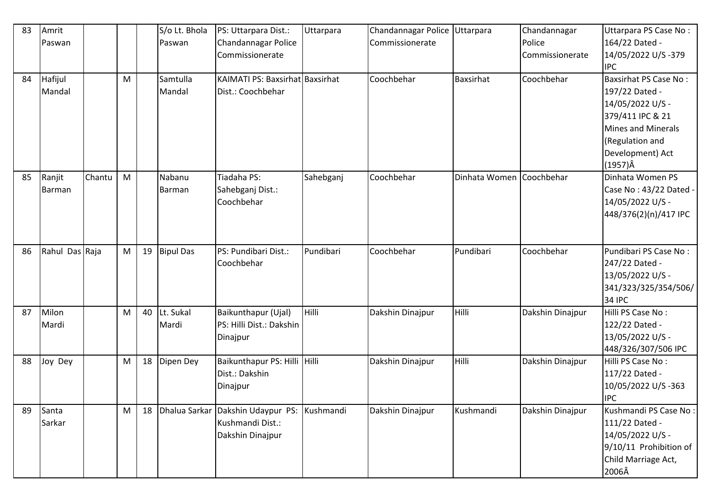| 83 | Amrit          |        |   |    | S/o Lt. Bhola    | PS: Uttarpara Dist.:              | Uttarpara | Chandannagar Police Uttarpara |                          | Chandannagar     | Uttarpara PS Case No:        |
|----|----------------|--------|---|----|------------------|-----------------------------------|-----------|-------------------------------|--------------------------|------------------|------------------------------|
|    | Paswan         |        |   |    | Paswan           | Chandannagar Police               |           | Commissionerate               |                          | Police           | 164/22 Dated -               |
|    |                |        |   |    |                  | Commissionerate                   |           |                               |                          | Commissionerate  | 14/05/2022 U/S-379           |
|    |                |        |   |    |                  |                                   |           |                               |                          |                  | <b>IPC</b>                   |
| 84 | Hafijul        |        | M |    | Samtulla         | KAIMATI PS: Baxsirhat Baxsirhat   |           | Coochbehar                    | <b>Baxsirhat</b>         | Coochbehar       | <b>Baxsirhat PS Case No:</b> |
|    | Mandal         |        |   |    | Mandal           | Dist.: Coochbehar                 |           |                               |                          |                  | 197/22 Dated -               |
|    |                |        |   |    |                  |                                   |           |                               |                          |                  | 14/05/2022 U/S -             |
|    |                |        |   |    |                  |                                   |           |                               |                          |                  | 379/411 IPC & 21             |
|    |                |        |   |    |                  |                                   |           |                               |                          |                  | Mines and Minerals           |
|    |                |        |   |    |                  |                                   |           |                               |                          |                  | (Regulation and              |
|    |                |        |   |    |                  |                                   |           |                               |                          |                  | Development) Act             |
|    |                |        |   |    |                  |                                   |           |                               |                          |                  | $(1957)\hat{A}$              |
| 85 | Ranjit         | Chantu | M |    | Nabanu           | Tiadaha PS:                       | Sahebganj | Coochbehar                    | Dinhata Women Coochbehar |                  | Dinhata Women PS             |
|    | Barman         |        |   |    | Barman           | Sahebganj Dist.:                  |           |                               |                          |                  | Case No: 43/22 Dated -       |
|    |                |        |   |    |                  | Coochbehar                        |           |                               |                          |                  | 14/05/2022 U/S -             |
|    |                |        |   |    |                  |                                   |           |                               |                          |                  | 448/376(2)(n)/417 IPC        |
|    |                |        |   |    |                  |                                   |           |                               |                          |                  |                              |
|    |                |        |   |    |                  |                                   |           |                               |                          |                  |                              |
| 86 | Rahul Das Raja |        | M | 19 | <b>Bipul Das</b> | PS: Pundibari Dist.:              | Pundibari | Coochbehar                    | Pundibari                | Coochbehar       | Pundibari PS Case No:        |
|    |                |        |   |    |                  | Coochbehar                        |           |                               |                          |                  | 247/22 Dated -               |
|    |                |        |   |    |                  |                                   |           |                               |                          |                  | 13/05/2022 U/S -             |
|    |                |        |   |    |                  |                                   |           |                               |                          |                  | 341/323/325/354/506/         |
|    |                |        |   |    |                  |                                   |           |                               |                          |                  | <b>34 IPC</b>                |
| 87 | Milon          |        | M | 40 | Lt. Sukal        | Baikunthapur (Ujal)               | Hilli     | Dakshin Dinajpur              | Hilli                    | Dakshin Dinajpur | Hilli PS Case No:            |
|    | Mardi          |        |   |    | Mardi            | PS: Hilli Dist.: Dakshin          |           |                               |                          |                  | 122/22 Dated -               |
|    |                |        |   |    |                  | Dinajpur                          |           |                               |                          |                  | 13/05/2022 U/S -             |
|    |                |        |   |    |                  |                                   |           |                               |                          |                  | 448/326/307/506 IPC          |
| 88 | Joy Dey        |        | M | 18 | Dipen Dey        | Baikunthapur PS: Hilli Hilli      |           | Dakshin Dinajpur              | Hilli                    | Dakshin Dinajpur | Hilli PS Case No:            |
|    |                |        |   |    |                  | Dist.: Dakshin                    |           |                               |                          |                  | 117/22 Dated -               |
|    |                |        |   |    |                  | Dinajpur                          |           |                               |                          |                  | 10/05/2022 U/S-363           |
|    |                |        |   |    |                  |                                   |           |                               |                          |                  | <b>IPC</b>                   |
| 89 | Santa          |        | M | 18 |                  | Dhalua Sarkar Dakshin Udaypur PS: | Kushmandi | Dakshin Dinajpur              | Kushmandi                | Dakshin Dinajpur | Kushmandi PS Case No:        |
|    | Sarkar         |        |   |    |                  | Kushmandi Dist.:                  |           |                               |                          |                  | 111/22 Dated -               |
|    |                |        |   |    |                  | Dakshin Dinajpur                  |           |                               |                          |                  | 14/05/2022 U/S -             |
|    |                |        |   |    |                  |                                   |           |                               |                          |                  | 9/10/11 Prohibition of       |
|    |                |        |   |    |                  |                                   |           |                               |                          |                  | Child Marriage Act,          |
|    |                |        |   |    |                  |                                   |           |                               |                          |                  | 2006Â                        |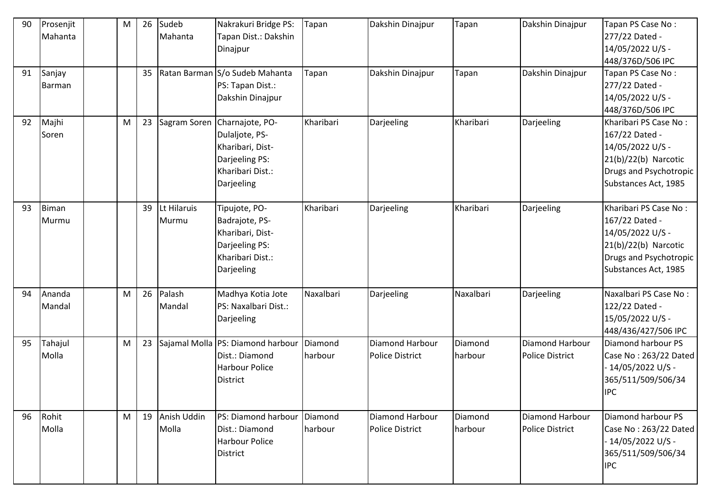| 90 | Prosenjit<br>Mahanta  | M | 26 | Sudeb<br>Mahanta        | Nakrakuri Bridge PS:<br>Tapan Dist.: Dakshin<br>Dinajpur                                                               | Tapan              | Dakshin Dinajpur                          | Tapan              | Dakshin Dinajpur                                 | Tapan PS Case No:<br>277/22 Dated -<br>14/05/2022 U/S -<br>448/376D/506 IPC                                                             |
|----|-----------------------|---|----|-------------------------|------------------------------------------------------------------------------------------------------------------------|--------------------|-------------------------------------------|--------------------|--------------------------------------------------|-----------------------------------------------------------------------------------------------------------------------------------------|
| 91 | Sanjay<br>Barman      |   | 35 |                         | Ratan Barman S/o Sudeb Mahanta<br>PS: Tapan Dist.:<br>Dakshin Dinajpur                                                 | Tapan              | Dakshin Dinajpur                          | Tapan              | Dakshin Dinajpur                                 | Tapan PS Case No:<br>277/22 Dated -<br>14/05/2022 U/S -<br>448/376D/506 IPC                                                             |
| 92 | Majhi<br>Soren        | M | 23 |                         | Sagram Soren Charnajote, PO-<br>Dulaljote, PS-<br>Kharibari, Dist-<br>Darjeeling PS:<br>Kharibari Dist.:<br>Darjeeling | Kharibari          | Darjeeling                                | Kharibari          | Darjeeling                                       | Kharibari PS Case No:<br>167/22 Dated -<br>14/05/2022 U/S -<br>$21(b)/22(b)$ Narcotic<br>Drugs and Psychotropic<br>Substances Act, 1985 |
| 93 | <b>Biman</b><br>Murmu |   | 39 | Lt Hilaruis<br>Murmu    | Tipujote, PO-<br>Badrajote, PS-<br>Kharibari, Dist-<br>Darjeeling PS:<br>Kharibari Dist.:<br>Darjeeling                | Kharibari          | Darjeeling                                | Kharibari          | Darjeeling                                       | Kharibari PS Case No:<br>167/22 Dated -<br>14/05/2022 U/S -<br>$21(b)/22(b)$ Narcotic<br>Drugs and Psychotropic<br>Substances Act, 1985 |
| 94 | Ananda<br>Mandal      | M | 26 | Palash<br>Mandal        | Madhya Kotia Jote<br>PS: Naxalbari Dist.:<br>Darjeeling                                                                | Naxalbari          | Darjeeling                                | Naxalbari          | Darjeeling                                       | Naxalbari PS Case No:<br>122/22 Dated -<br>15/05/2022 U/S -<br>448/436/427/506 IPC                                                      |
| 95 | Tahajul<br>Molla      | M | 23 |                         | Sajamal Molla PS: Diamond harbour<br>Dist.: Diamond<br><b>Harbour Police</b><br>District                               | Diamond<br>harbour | Diamond Harbour<br><b>Police District</b> | Diamond<br>harbour | <b>Diamond Harbour</b><br><b>Police District</b> | Diamond harbour PS<br>Case No: 263/22 Dated<br>14/05/2022 U/S -<br>365/511/509/506/34<br><b>IPC</b>                                     |
| 96 | Rohit<br>Molla        | M |    | 19 Anish Uddin<br>Molla | PS: Diamond harbour<br>Dist.: Diamond<br><b>Harbour Police</b><br>District                                             | Diamond<br>harbour | Diamond Harbour<br><b>Police District</b> | Diamond<br>harbour | Diamond Harbour<br><b>Police District</b>        | Diamond harbour PS<br>Case No: 263/22 Dated<br>- 14/05/2022 U/S -<br>365/511/509/506/34<br><b>IPC</b>                                   |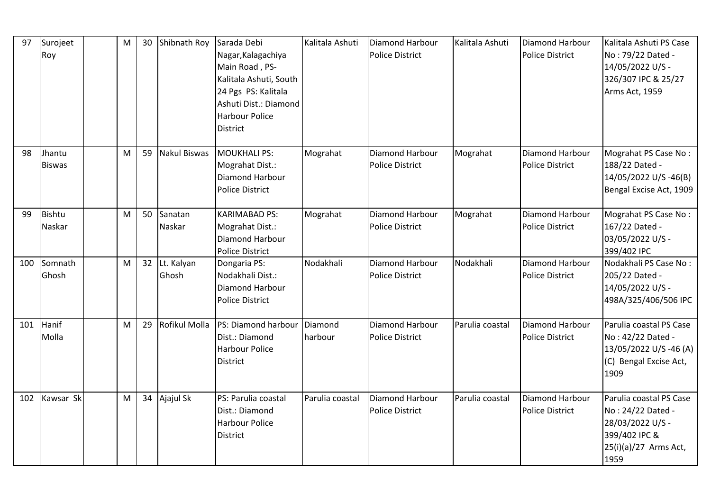| 97  | Surojeet<br>Roy         | M | 30 | Shibnath Roy           | Sarada Debi<br>Nagar, Kalagachiya<br>Main Road, PS-<br>Kalitala Ashuti, South<br>24 Pgs PS: Kalitala<br>Ashuti Dist.: Diamond<br><b>Harbour Police</b><br><b>District</b> | Kalitala Ashuti    | Diamond Harbour<br><b>Police District</b>        | Kalitala Ashuti | <b>Diamond Harbour</b><br><b>Police District</b> | Kalitala Ashuti PS Case<br>No: 79/22 Dated -<br>14/05/2022 U/S -<br>326/307 IPC & 25/27<br>Arms Act, 1959          |
|-----|-------------------------|---|----|------------------------|---------------------------------------------------------------------------------------------------------------------------------------------------------------------------|--------------------|--------------------------------------------------|-----------------|--------------------------------------------------|--------------------------------------------------------------------------------------------------------------------|
| 98  | Jhantu<br><b>Biswas</b> | M | 59 | Nakul Biswas           | MOUKHALI PS:<br>Mograhat Dist.:<br>Diamond Harbour<br><b>Police District</b>                                                                                              | Mograhat           | <b>Diamond Harbour</b><br><b>Police District</b> | Mograhat        | <b>Diamond Harbour</b><br><b>Police District</b> | Mograhat PS Case No:<br>188/22 Dated -<br>14/05/2022 U/S-46(B)<br>Bengal Excise Act, 1909                          |
| 99  | Bishtu<br>Naskar        | M | 50 | Sanatan<br>Naskar      | <b>KARIMABAD PS:</b><br>Mograhat Dist.:<br>Diamond Harbour<br>Police District                                                                                             | Mograhat           | Diamond Harbour<br><b>Police District</b>        | Mograhat        | Diamond Harbour<br><b>Police District</b>        | Mograhat PS Case No:<br>167/22 Dated -<br>03/05/2022 U/S -<br>399/402 IPC                                          |
| 100 | Somnath<br>Ghosh        | M |    | 32 Lt. Kalyan<br>Ghosh | Dongaria PS:<br>Nodakhali Dist.:<br>Diamond Harbour<br><b>Police District</b>                                                                                             | Nodakhali          | Diamond Harbour<br><b>Police District</b>        | Nodakhali       | Diamond Harbour<br><b>Police District</b>        | Nodakhali PS Case No:<br>205/22 Dated -<br>14/05/2022 U/S -<br>498A/325/406/506 IPC                                |
| 101 | Hanif<br>Molla          | M | 29 | Rofikul Molla          | PS: Diamond harbour<br>Dist.: Diamond<br><b>Harbour Police</b><br><b>District</b>                                                                                         | Diamond<br>harbour | <b>Diamond Harbour</b><br><b>Police District</b> | Parulia coastal | <b>Diamond Harbour</b><br><b>Police District</b> | Parulia coastal PS Case<br>No: 42/22 Dated -<br>13/05/2022 U/S -46 (A)<br>(C) Bengal Excise Act,<br>1909           |
| 102 | Kawsar Sk               | M | 34 | Ajajul Sk              | PS: Parulia coastal<br>Dist.: Diamond<br>Harbour Police<br><b>District</b>                                                                                                | Parulia coastal    | Diamond Harbour<br><b>Police District</b>        | Parulia coastal | Diamond Harbour<br><b>Police District</b>        | Parulia coastal PS Case<br>No: 24/22 Dated -<br>28/03/2022 U/S -<br>399/402 IPC &<br>25(i)(a)/27 Arms Act,<br>1959 |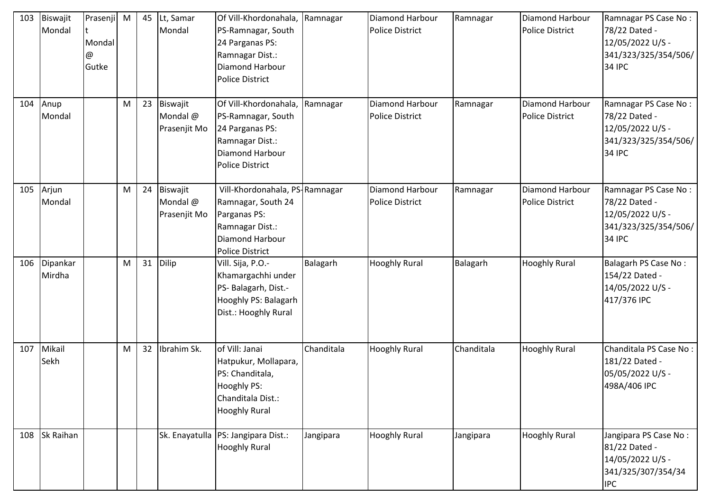| 103 | Biswajit<br>Mondal     | Prasenji M<br>Mondal<br>@<br>Gutke |   | 45 | Lt, Samar<br>Mondal                  | Of Vill-Khordonahala,<br>PS-Ramnagar, South<br>24 Parganas PS:<br>Ramnagar Dist.:<br>Diamond Harbour<br><b>Police District</b>       | Ramnagar   | Diamond Harbour<br><b>Police District</b> | Ramnagar   | Diamond Harbour<br><b>Police District</b> | Ramnagar PS Case No:<br>78/22 Dated -<br>12/05/2022 U/S -<br>341/323/325/354/506/<br><b>34 IPC</b> |
|-----|------------------------|------------------------------------|---|----|--------------------------------------|--------------------------------------------------------------------------------------------------------------------------------------|------------|-------------------------------------------|------------|-------------------------------------------|----------------------------------------------------------------------------------------------------|
| 104 | Anup<br>Mondal         |                                    | M | 23 | Biswajit<br>Mondal @<br>Prasenjit Mo | Of Vill-Khordonahala,<br>PS-Ramnagar, South<br>24 Parganas PS:<br>Ramnagar Dist.:<br>Diamond Harbour<br><b>Police District</b>       | Ramnagar   | Diamond Harbour<br><b>Police District</b> | Ramnagar   | Diamond Harbour<br><b>Police District</b> | Ramnagar PS Case No:<br>78/22 Dated -<br>12/05/2022 U/S -<br>341/323/325/354/506/<br><b>34 IPC</b> |
| 105 | Arjun<br>Mondal        |                                    | M | 24 | Biswajit<br>Mondal @<br>Prasenjit Mo | Vill-Khordonahala, PS-Ramnagar<br>Ramnagar, South 24<br>Parganas PS:<br>Ramnagar Dist.:<br>Diamond Harbour<br><b>Police District</b> |            | Diamond Harbour<br><b>Police District</b> | Ramnagar   | Diamond Harbour<br><b>Police District</b> | Ramnagar PS Case No:<br>78/22 Dated -<br>12/05/2022 U/S -<br>341/323/325/354/506/<br><b>34 IPC</b> |
|     | 106 Dipankar<br>Mirdha |                                    | M | 31 | Dilip                                | Vill. Sija, P.O.-<br>Khamargachhi under<br>PS- Balagarh, Dist.-<br>Hooghly PS: Balagarh<br>Dist.: Hooghly Rural                      | Balagarh   | <b>Hooghly Rural</b>                      | Balagarh   | <b>Hooghly Rural</b>                      | Balagarh PS Case No:<br>154/22 Dated -<br>14/05/2022 U/S -<br>417/376 IPC                          |
| 107 | Mikail<br>Sekh         |                                    | M | 32 | Ibrahim Sk.                          | of Vill: Janai<br>Hatpukur, Mollapara,<br>PS: Chanditala,<br>Hooghly PS:<br>Chanditala Dist.:<br><b>Hooghly Rural</b>                | Chanditala | <b>Hooghly Rural</b>                      | Chanditala | <b>Hooghly Rural</b>                      | Chanditala PS Case No:<br>181/22 Dated -<br>05/05/2022 U/S -<br>498A/406 IPC                       |
| 108 | Sk Raihan              |                                    |   |    |                                      | Sk. Enayatulla   PS: Jangipara Dist.:<br><b>Hooghly Rural</b>                                                                        | Jangipara  | <b>Hooghly Rural</b>                      | Jangipara  | <b>Hooghly Rural</b>                      | Jangipara PS Case No:<br>81/22 Dated -<br>14/05/2022 U/S -<br>341/325/307/354/34<br><b>IPC</b>     |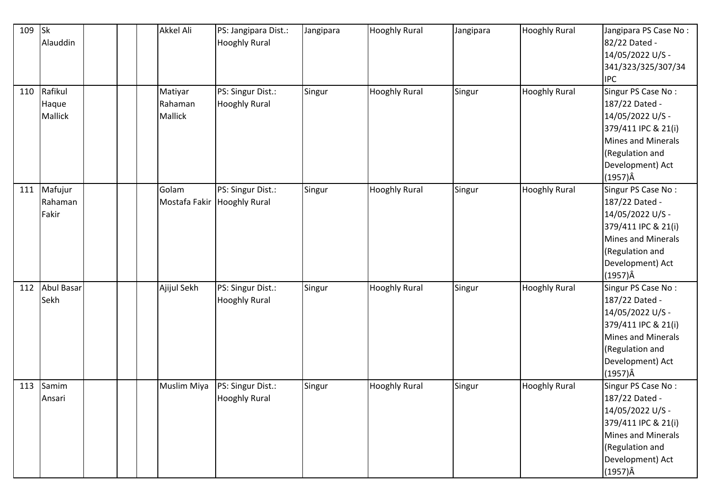| 109 | <b>Sk</b><br>Alauddin              |  | Akkel Ali                     | PS: Jangipara Dist.:<br><b>Hooghly Rural</b>     | Jangipara | <b>Hooghly Rural</b> | Jangipara | <b>Hooghly Rural</b> | Jangipara PS Case No:<br>82/22 Dated -<br>14/05/2022 U/S -<br>341/323/325/307/34<br><b>IPC</b>                                                                         |
|-----|------------------------------------|--|-------------------------------|--------------------------------------------------|-----------|----------------------|-----------|----------------------|------------------------------------------------------------------------------------------------------------------------------------------------------------------------|
| 110 | Rafikul<br>Haque<br><b>Mallick</b> |  | Matiyar<br>Rahaman<br>Mallick | PS: Singur Dist.:<br><b>Hooghly Rural</b>        | Singur    | <b>Hooghly Rural</b> | Singur    | <b>Hooghly Rural</b> | Singur PS Case No:<br>187/22 Dated -<br>14/05/2022 U/S -<br>379/411 IPC & 21(i)<br>Mines and Minerals<br>(Regulation and<br>Development) Act<br>$(1957)\hat{A}$        |
| 111 | Mafujur<br>Rahaman<br>Fakir        |  | Golam                         | PS: Singur Dist.:<br>Mostafa Fakir Hooghly Rural | Singur    | <b>Hooghly Rural</b> | Singur    | <b>Hooghly Rural</b> | Singur PS Case No:<br>187/22 Dated -<br>14/05/2022 U/S -<br>379/411 IPC & 21(i)<br><b>Mines and Minerals</b><br>(Regulation and<br>Development) Act<br>$(1957)\hat{A}$ |
| 112 | <b>Abul Basar</b><br>Sekh          |  | Ajijul Sekh                   | PS: Singur Dist.:<br><b>Hooghly Rural</b>        | Singur    | <b>Hooghly Rural</b> | Singur    | <b>Hooghly Rural</b> | Singur PS Case No:<br>187/22 Dated -<br>14/05/2022 U/S -<br>379/411 IPC & 21(i)<br><b>Mines and Minerals</b><br>(Regulation and<br>Development) Act<br>$(1957)\hat{A}$ |
| 113 | Samim<br>Ansari                    |  | <b>Muslim Miya</b>            | PS: Singur Dist.:<br><b>Hooghly Rural</b>        | Singur    | <b>Hooghly Rural</b> | Singur    | <b>Hooghly Rural</b> | Singur PS Case No:<br>187/22 Dated -<br>14/05/2022 U/S -<br>379/411 IPC & 21(i)<br>Mines and Minerals<br>(Regulation and<br>Development) Act<br>$(1957)\hat{A}$        |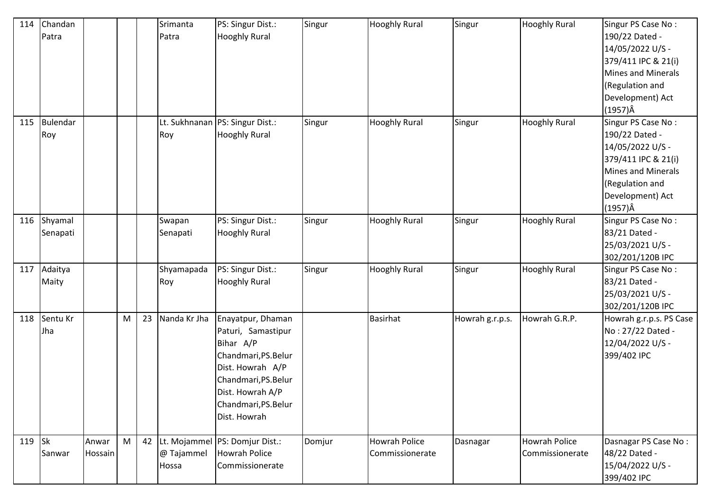| 114      | Chandan<br>Patra     |                  |   |    | Srimanta<br>Patra   | PS: Singur Dist.:<br><b>Hooghly Rural</b>                                                                                                                                            | Singur | <b>Hooghly Rural</b>                    | Singur          | <b>Hooghly Rural</b>                    | Singur PS Case No:<br>190/22 Dated -<br>14/05/2022 U/S -<br>379/411 IPC & 21(i)<br>Mines and Minerals<br>(Regulation and<br>Development) Act<br>$(1957)\hat{A}$ |
|----------|----------------------|------------------|---|----|---------------------|--------------------------------------------------------------------------------------------------------------------------------------------------------------------------------------|--------|-----------------------------------------|-----------------|-----------------------------------------|-----------------------------------------------------------------------------------------------------------------------------------------------------------------|
| 115      | Bulendar<br>Roy      |                  |   |    | Roy                 | Lt. Sukhnanan PS: Singur Dist.:<br><b>Hooghly Rural</b>                                                                                                                              | Singur | <b>Hooghly Rural</b>                    | Singur          | <b>Hooghly Rural</b>                    | Singur PS Case No:<br>190/22 Dated -<br>14/05/2022 U/S -<br>379/411 IPC & 21(i)<br>Mines and Minerals<br>(Regulation and<br>Development) Act<br>(1957)Â         |
| 116      | Shyamal<br>Senapati  |                  |   |    | Swapan<br>Senapati  | PS: Singur Dist.:<br><b>Hooghly Rural</b>                                                                                                                                            | Singur | <b>Hooghly Rural</b>                    | Singur          | <b>Hooghly Rural</b>                    | Singur PS Case No:<br>83/21 Dated -<br>25/03/2021 U/S -<br>302/201/120B IPC                                                                                     |
|          | 117 Adaitya<br>Maity |                  |   |    | Shyamapada<br>Roy   | PS: Singur Dist.:<br><b>Hooghly Rural</b>                                                                                                                                            | Singur | <b>Hooghly Rural</b>                    | Singur          | <b>Hooghly Rural</b>                    | Singur PS Case No:<br>83/21 Dated -<br>25/03/2021 U/S -<br>302/201/120B IPC                                                                                     |
|          | 118 Sentu Kr<br>Jha  |                  | M | 23 | Nanda Kr Jha        | Enayatpur, Dhaman<br>Paturi, Samastipur<br>Bihar A/P<br>Chandmari, PS. Belur<br>Dist. Howrah A/P<br>Chandmari, PS. Belur<br>Dist. Howrah A/P<br>Chandmari, PS. Belur<br>Dist. Howrah |        | <b>Basirhat</b>                         | Howrah g.r.p.s. | Howrah G.R.P.                           | Howrah g.r.p.s. PS Case<br>No: 27/22 Dated -<br>12/04/2022 U/S -<br>399/402 IPC                                                                                 |
| $119$ Sk | Sanwar               | Anwar<br>Hossain | M |    | @ Tajammel<br>Hossa | 42 Lt. Mojammel PS: Domjur Dist.:<br>Howrah Police<br>Commissionerate                                                                                                                | Domjur | <b>Howrah Police</b><br>Commissionerate | Dasnagar        | <b>Howrah Police</b><br>Commissionerate | Dasnagar PS Case No:<br>48/22 Dated -<br>15/04/2022 U/S -<br>399/402 IPC                                                                                        |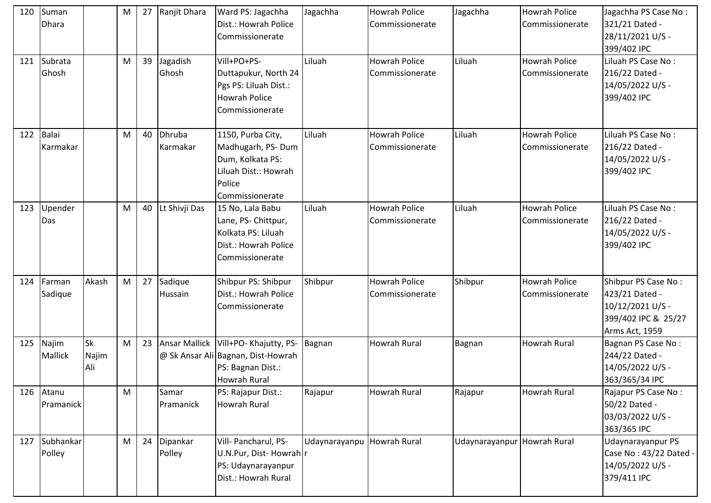| 120 | Suman<br><b>Dhara</b>   |                           | M | 27 | Ranjit Dhara          | Ward PS: Jagachha<br>Dist.: Howrah Police<br>Commissionerate                                                             | Jagachha                   | <b>Howrah Police</b><br>Commissionerate | Jagachha                    | <b>Howrah Police</b><br>Commissionerate | Jagachha PS Case No:<br>321/21 Dated -<br>28/11/2021 U/S -<br>399/402 IPC                          |
|-----|-------------------------|---------------------------|---|----|-----------------------|--------------------------------------------------------------------------------------------------------------------------|----------------------------|-----------------------------------------|-----------------------------|-----------------------------------------|----------------------------------------------------------------------------------------------------|
|     | 121 Subrata<br>Ghosh    |                           | M | 39 | Jagadish<br>Ghosh     | Vill+PO+PS-<br>Duttapukur, North 24<br>Pgs PS: Liluah Dist.:<br><b>Howrah Police</b><br>Commissionerate                  | Liluah                     | <b>Howrah Police</b><br>Commissionerate | Liluah                      | <b>Howrah Police</b><br>Commissionerate | Liluah PS Case No:<br>216/22 Dated -<br>14/05/2022 U/S -<br>399/402 IPC                            |
| 122 | Balai<br>Karmakar       |                           | M | 40 | Dhruba<br>Karmakar    | 1150, Purba City,<br>Madhugarh, PS-Dum<br>Dum, Kolkata PS:<br>Liluah Dist.: Howrah<br>Police<br>Commissionerate          | Liluah                     | <b>Howrah Police</b><br>Commissionerate | Liluah                      | <b>Howrah Police</b><br>Commissionerate | Liluah PS Case No:<br>216/22 Dated -<br>14/05/2022 U/S -<br>399/402 IPC                            |
| 123 | Upender<br>Das          |                           | M | 40 | Lt Shivji Das         | 15 No, Lala Babu<br>Lane, PS- Chittpur,<br>Kolkata PS: Liluah<br>Dist.: Howrah Police<br>Commissionerate                 | Liluah                     | <b>Howrah Police</b><br>Commissionerate | Liluah                      | <b>Howrah Police</b><br>Commissionerate | Liluah PS Case No:<br>216/22 Dated -<br>14/05/2022 U/S -<br>399/402 IPC                            |
| 124 | Farman<br>Sadique       | Akash                     | M | 27 | Sadique<br>Hussain    | Shibpur PS: Shibpur<br>Dist.: Howrah Police<br>Commissionerate                                                           | Shibpur                    | <b>Howrah Police</b><br>Commissionerate | Shibpur                     | <b>Howrah Police</b><br>Commissionerate | Shibpur PS Case No:<br>423/21 Dated -<br>10/12/2021 U/S -<br>399/402 IPC & 25/27<br>Arms Act, 1959 |
| 125 | Najim<br><b>Mallick</b> | <b>Sk</b><br>Najim<br>Ali | M | 23 |                       | Ansar Mallick   Vill+PO- Khajutty, PS-<br>@ Sk Ansar Ali Bagnan, Dist-Howrah<br>PS: Bagnan Dist.:<br><b>Howrah Rural</b> | Bagnan                     | Howrah Rural                            | Bagnan                      | Howrah Rural                            | Bagnan PS Case No:<br>244/22 Dated -<br>14/05/2022 U/S -<br>363/365/34 IPC                         |
| 126 | Atanu<br>Pramanick      |                           | M |    | Samar<br>Pramanick    | PS: Rajapur Dist.:<br><b>Howrah Rural</b>                                                                                | Rajapur                    | Howrah Rural                            | Rajapur                     | <b>Howrah Rural</b>                     | Rajapur PS Case No:<br>50/22 Dated -<br>03/03/2022 U/S -<br>363/365 IPC                            |
|     | 127 Subhankar<br>Polley |                           | M |    | 24 Dipankar<br>Polley | Vill- Pancharul, PS-<br>U.N.Pur, Dist-Howrah r<br>PS: Udaynarayanpur<br>Dist.: Howrah Rural                              | Udaynarayanpu Howrah Rural |                                         | Udaynarayanpur Howrah Rural |                                         | Udaynarayanpur PS<br>Case No: 43/22 Dated<br>14/05/2022 U/S -<br>379/411 IPC                       |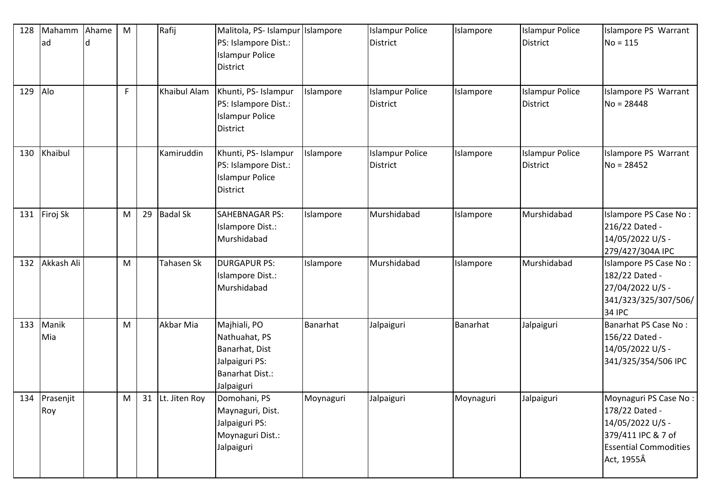| 128 | Mahamm<br>ad         | Ahame | M |    | Rafij               | Malitola, PS- Islampur Islampore<br>PS: Islampore Dist.:<br><b>Islampur Police</b><br><b>District</b>     |           | <b>Islampur Police</b><br><b>District</b> | Islampore | <b>Islampur Police</b><br><b>District</b> | Islampore PS Warrant<br>$No = 115$                                                                                              |
|-----|----------------------|-------|---|----|---------------------|-----------------------------------------------------------------------------------------------------------|-----------|-------------------------------------------|-----------|-------------------------------------------|---------------------------------------------------------------------------------------------------------------------------------|
| 129 | Alo                  |       | F |    | <b>Khaibul Alam</b> | Khunti, PS- Islampur<br>PS: Islampore Dist.:<br><b>Islampur Police</b><br><b>District</b>                 | Islampore | <b>Islampur Police</b><br><b>District</b> | Islampore | <b>Islampur Police</b><br><b>District</b> | Islampore PS Warrant<br>$No = 28448$                                                                                            |
| 130 | Khaibul              |       |   |    | Kamiruddin          | Khunti, PS- Islampur<br>PS: Islampore Dist.:<br><b>Islampur Police</b><br>District                        | Islampore | <b>Islampur Police</b><br><b>District</b> | Islampore | <b>Islampur Police</b><br><b>District</b> | Islampore PS Warrant<br>$No = 28452$                                                                                            |
| 131 | Firoj Sk             |       | M | 29 | <b>Badal Sk</b>     | <b>SAHEBNAGAR PS:</b><br>Islampore Dist.:<br>Murshidabad                                                  | Islampore | Murshidabad                               | Islampore | Murshidabad                               | Islampore PS Case No:<br>216/22 Dated -<br>14/05/2022 U/S -<br>279/427/304A IPC                                                 |
| 132 | Akkash Ali           |       | M |    | Tahasen Sk          | <b>DURGAPUR PS:</b><br>Islampore Dist.:<br>Murshidabad                                                    | Islampore | Murshidabad                               | Islampore | Murshidabad                               | Islampore PS Case No:<br>182/22 Dated -<br>27/04/2022 U/S -<br>341/323/325/307/506/<br><b>34 IPC</b>                            |
| 133 | Manik<br>Mia         |       | M |    | Akbar Mia           | Majhiali, PO<br>Nathuahat, PS<br>Banarhat, Dist<br>Jalpaiguri PS:<br><b>Banarhat Dist.:</b><br>Jalpaiguri | Banarhat  | Jalpaiguri                                | Banarhat  | Jalpaiguri                                | Banarhat PS Case No:<br>156/22 Dated -<br>14/05/2022 U/S -<br>341/325/354/506 IPC                                               |
|     | 134 Prasenjit<br>Roy |       | M |    | 31 Lt. Jiten Roy    | Domohani, PS<br>Maynaguri, Dist.<br>Jalpaiguri PS:<br>Moynaguri Dist.:<br>Jalpaiguri                      | Moynaguri | Jalpaiguri                                | Moynaguri | Jalpaiguri                                | Moynaguri PS Case No:<br>178/22 Dated -<br>14/05/2022 U/S -<br>379/411 IPC & 7 of<br><b>Essential Commodities</b><br>Act, 1955Â |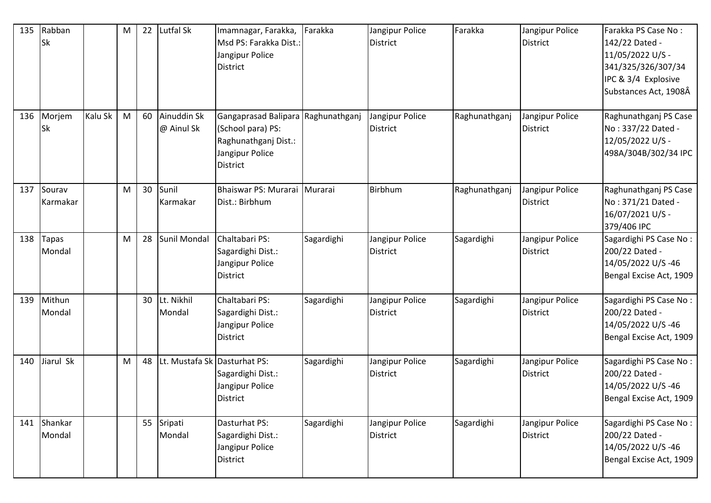| 135 | Rabban<br><b>Sk</b> |         | M | 22 | Lutfal Sk                    | Imamnagar, Farakka,<br>Msd PS: Farakka Dist.:<br>Jangipur Police<br>District                                   | Farakka    | Jangipur Police<br><b>District</b> | Farakka       | Jangipur Police<br><b>District</b> | Farakka PS Case No:<br>142/22 Dated -<br>11/05/2022 U/S -<br>341/325/326/307/34<br>IPC & 3/4 Explosive<br>Substances Act, 1908Â |
|-----|---------------------|---------|---|----|------------------------------|----------------------------------------------------------------------------------------------------------------|------------|------------------------------------|---------------|------------------------------------|---------------------------------------------------------------------------------------------------------------------------------|
| 136 | Morjem<br><b>Sk</b> | Kalu Sk | M | 60 | Ainuddin Sk<br>@ Ainul Sk    | Gangaprasad Balipara Raghunathganj<br>(School para) PS:<br>Raghunathganj Dist.:<br>Jangipur Police<br>District |            | Jangipur Police<br><b>District</b> | Raghunathganj | Jangipur Police<br><b>District</b> | Raghunathganj PS Case<br>No: 337/22 Dated -<br>12/05/2022 U/S -<br>498A/304B/302/34 IPC                                         |
| 137 | Sourav<br>Karmakar  |         | M | 30 | Sunil<br>Karmakar            | Bhaiswar PS: Murarai<br>Dist.: Birbhum                                                                         | Murarai    | Birbhum                            | Raghunathganj | Jangipur Police<br><b>District</b> | Raghunathganj PS Case<br>No: 371/21 Dated -<br>16/07/2021 U/S -<br>379/406 IPC                                                  |
| 138 | Tapas<br>Mondal     |         | M | 28 | <b>Sunil Mondal</b>          | Chaltabari PS:<br>Sagardighi Dist.:<br>Jangipur Police<br>District                                             | Sagardighi | Jangipur Police<br><b>District</b> | Sagardighi    | Jangipur Police<br><b>District</b> | Sagardighi PS Case No:<br>200/22 Dated -<br>14/05/2022 U/S-46<br>Bengal Excise Act, 1909                                        |
| 139 | Mithun<br>Mondal    |         |   | 30 | Lt. Nikhil<br>Mondal         | Chaltabari PS:<br>Sagardighi Dist.:<br>Jangipur Police<br>District                                             | Sagardighi | Jangipur Police<br><b>District</b> | Sagardighi    | Jangipur Police<br><b>District</b> | Sagardighi PS Case No:<br>200/22 Dated -<br>14/05/2022 U/S-46<br>Bengal Excise Act, 1909                                        |
| 140 | Jiarul Sk           |         | M | 48 | Lt. Mustafa Sk Dasturhat PS: | Sagardighi Dist.:<br>Jangipur Police<br><b>District</b>                                                        | Sagardighi | Jangipur Police<br><b>District</b> | Sagardighi    | Jangipur Police<br><b>District</b> | Sagardighi PS Case No:<br>200/22 Dated -<br>14/05/2022 U/S-46<br>Bengal Excise Act, 1909                                        |
| 141 | Shankar<br>Mondal   |         |   |    | 55 Sripati<br>Mondal         | Dasturhat PS:<br>Sagardighi Dist.:<br>Jangipur Police<br><b>District</b>                                       | Sagardighi | Jangipur Police<br><b>District</b> | Sagardighi    | Jangipur Police<br><b>District</b> | Sagardighi PS Case No:<br>200/22 Dated -<br>14/05/2022 U/S-46<br>Bengal Excise Act, 1909                                        |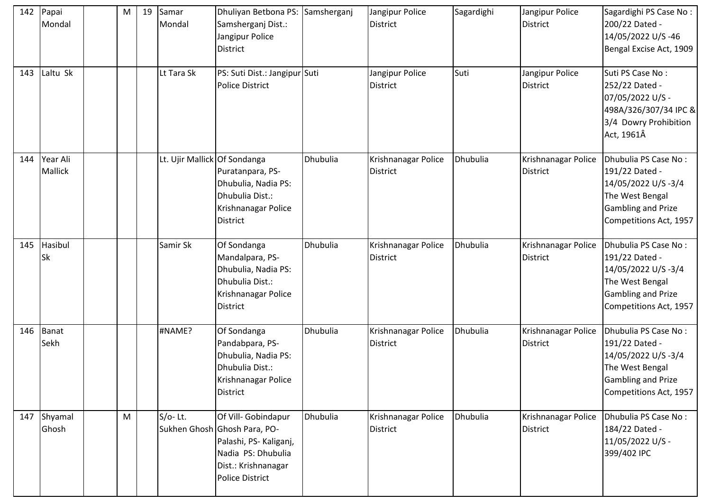| 142 | Papai<br>Mondal      | M | 19 | Samar<br>Mondal              | Dhuliyan Betbona PS: Samsherganj<br>Samsherganj Dist.:<br>Jangipur Police<br><b>District</b>                                                         |                 | Jangipur Police<br><b>District</b>     | Sagardighi | Jangipur Police<br>District            | Sagardighi PS Case No:<br>200/22 Dated -<br>14/05/2022 U/S-46<br>Bengal Excise Act, 1909                                               |
|-----|----------------------|---|----|------------------------------|------------------------------------------------------------------------------------------------------------------------------------------------------|-----------------|----------------------------------------|------------|----------------------------------------|----------------------------------------------------------------------------------------------------------------------------------------|
| 143 | Laltu Sk             |   |    | Lt Tara Sk                   | PS: Suti Dist.: Jangipur Suti<br><b>Police District</b>                                                                                              |                 | Jangipur Police<br><b>District</b>     | Suti       | Jangipur Police<br><b>District</b>     | Suti PS Case No:<br>252/22 Dated -<br>07/05/2022 U/S -<br>498A/326/307/34 IPC &<br>3/4 Dowry Prohibition<br>Act, 1961Â                 |
| 144 | Year Ali<br>Mallick  |   |    | Lt. Ujir Mallick Of Sondanga | Puratanpara, PS-<br>Dhubulia, Nadia PS:<br>Dhubulia Dist.:<br>Krishnanagar Police<br><b>District</b>                                                 | Dhubulia        | Krishnanagar Police<br><b>District</b> | Dhubulia   | Krishnanagar Police<br><b>District</b> | Dhubulia PS Case No:<br>191/22 Dated -<br>14/05/2022 U/S-3/4<br>The West Bengal<br>Gambling and Prize<br>Competitions Act, 1957        |
| 145 | Hasibul<br><b>Sk</b> |   |    | Samir Sk                     | Of Sondanga<br>Mandalpara, PS-<br>Dhubulia, Nadia PS:<br>Dhubulia Dist.:<br>Krishnanagar Police<br><b>District</b>                                   | Dhubulia        | Krishnanagar Police<br><b>District</b> | Dhubulia   | Krishnanagar Police<br><b>District</b> | Dhubulia PS Case No:<br>191/22 Dated -<br>14/05/2022 U/S-3/4<br>The West Bengal<br><b>Gambling and Prize</b><br>Competitions Act, 1957 |
| 146 | Banat<br>Sekh        |   |    | #NAME?                       | Of Sondanga<br>Pandabpara, PS-<br>Dhubulia, Nadia PS:<br>Dhubulia Dist.:<br>Krishnanagar Police<br><b>District</b>                                   | Dhubulia        | Krishnanagar Police<br><b>District</b> | Dhubulia   | Krishnanagar Police<br><b>District</b> | Dhubulia PS Case No:<br>191/22 Dated -<br>14/05/2022 U/S-3/4<br>The West Bengal<br><b>Gambling and Prize</b><br>Competitions Act, 1957 |
|     | 147 Shyamal<br>Ghosh | M |    | $S/O-Lt.$                    | Of Vill- Gobindapur<br>Sukhen Ghosh Ghosh Para, PO-<br>Palashi, PS- Kaliganj,<br>Nadia PS: Dhubulia<br>Dist.: Krishnanagar<br><b>Police District</b> | <b>Dhubulia</b> | Krishnanagar Police<br><b>District</b> | Dhubulia   | Krishnanagar Police<br><b>District</b> | Dhubulia PS Case No:<br>184/22 Dated -<br>11/05/2022 U/S -<br>399/402 IPC                                                              |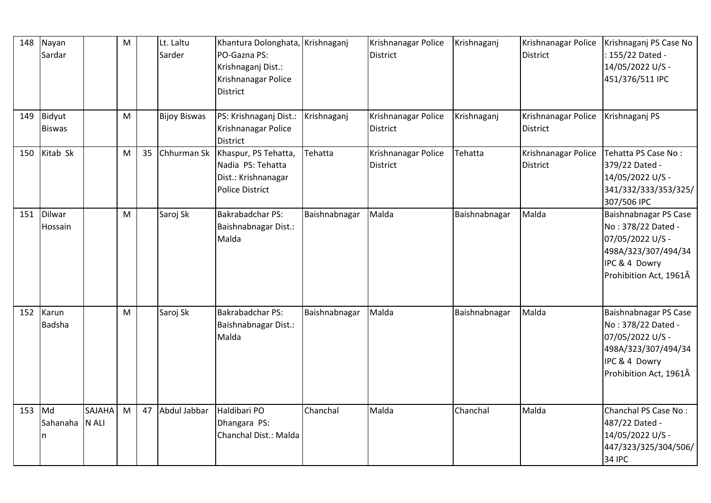| 148 | Nayan<br>Sardar                           |                        | M |    | Lt. Laltu<br>Sarder | Khantura Dolonghata, Krishnaganj<br>PO-Gazna PS:<br>Krishnaganj Dist.:<br>Krishnanagar Police<br><b>District</b> |               | Krishnanagar Police<br><b>District</b> | Krishnaganj   | Krishnanagar Police<br><b>District</b> | Krishnaganj PS Case No<br>: 155/22 Dated -<br>14/05/2022 U/S -<br>451/376/511 IPC                                                 |
|-----|-------------------------------------------|------------------------|---|----|---------------------|------------------------------------------------------------------------------------------------------------------|---------------|----------------------------------------|---------------|----------------------------------------|-----------------------------------------------------------------------------------------------------------------------------------|
| 149 | Bidyut<br><b>Biswas</b>                   |                        | M |    | <b>Bijoy Biswas</b> | PS: Krishnaganj Dist.:<br>Krishnanagar Police<br><b>District</b>                                                 | Krishnaganj   | Krishnanagar Police<br><b>District</b> | Krishnaganj   | Krishnanagar Police<br><b>District</b> | Krishnaganj PS                                                                                                                    |
| 150 | Kitab Sk                                  |                        | M | 35 | Chhurman Sk         | Khaspur, PS Tehatta,<br>Nadia PS: Tehatta<br>Dist.: Krishnanagar<br><b>Police District</b>                       | Tehatta       | Krishnanagar Police<br><b>District</b> | Tehatta       | Krishnanagar Police<br><b>District</b> | Tehatta PS Case No:<br>379/22 Dated -<br>14/05/2022 U/S -<br>341/332/333/353/325/<br>307/506 IPC                                  |
| 151 | <b>Dilwar</b><br>Hossain                  |                        | M |    | Saroj Sk            | <b>Bakrabadchar PS:</b><br>Baishnabnagar Dist.:<br>Malda                                                         | Baishnabnagar | Malda                                  | Baishnabnagar | Malda                                  | Baishnabnagar PS Case<br>No: 378/22 Dated -<br>07/05/2022 U/S -<br>498A/323/307/494/34<br>IPC & 4 Dowry<br>Prohibition Act, 1961Â |
| 152 | Karun<br>Badsha                           |                        | M |    | Saroj Sk            | <b>Bakrabadchar PS:</b><br>Baishnabnagar Dist.:<br>Malda                                                         | Baishnabnagar | Malda                                  | Baishnabnagar | Malda                                  | Baishnabnagar PS Case<br>No: 378/22 Dated -<br>07/05/2022 U/S -<br>498A/323/307/494/34<br>IPC & 4 Dowry<br>Prohibition Act, 1961Â |
| 153 | $\overline{\mathsf{Md}}$<br>Sahanaha<br>n | <b>SAJAHA</b><br>N ALI | M | 47 | Abdul Jabbar        | Haldibari PO<br>Dhangara PS:<br>Chanchal Dist.: Malda                                                            | Chanchal      | Malda                                  | Chanchal      | Malda                                  | Chanchal PS Case No:<br>487/22 Dated -<br>14/05/2022 U/S -<br>447/323/325/304/506/<br><b>34 IPC</b>                               |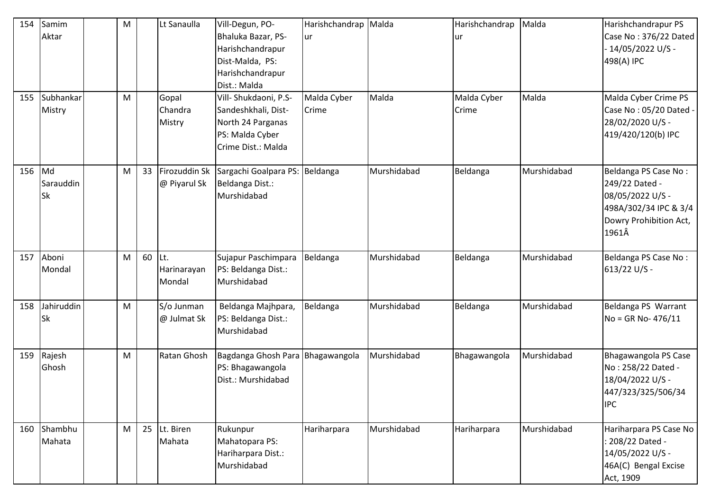| 154<br>155 | Samim<br>Aktar<br>Subhankar<br>Mistry | ${\sf M}$<br>M |    | Lt Sanaulla<br>Gopal<br>Chandra<br>Mistry | Vill-Degun, PO-<br>Bhaluka Bazar, PS-<br>Harishchandrapur<br>Dist-Malda, PS:<br>Harishchandrapur<br>Dist.: Malda<br>Vill- Shukdaoni, P.S-<br>Sandeshkhali, Dist-<br>North 24 Parganas<br>PS: Malda Cyber<br>Crime Dist.: Malda | Harishchandrap Malda<br>ur<br>Malda Cyber<br>Crime | Malda       | Harishchandrap<br>ur<br>Malda Cyber<br>Crime | Malda<br>Malda | Harishchandrapur PS<br>Case No: 376/22 Dated<br>$-14/05/2022$ U/S -<br>498(A) IPC<br>Malda Cyber Crime PS<br>Case No: 05/20 Dated -<br>28/02/2020 U/S -<br>419/420/120(b) IPC |
|------------|---------------------------------------|----------------|----|-------------------------------------------|--------------------------------------------------------------------------------------------------------------------------------------------------------------------------------------------------------------------------------|----------------------------------------------------|-------------|----------------------------------------------|----------------|-------------------------------------------------------------------------------------------------------------------------------------------------------------------------------|
| 156        | Md<br>Sarauddin<br><b>Sk</b>          | M              | 33 | Firozuddin Sk<br>@ Piyarul Sk             | Sargachi Goalpara PS: Beldanga<br>Beldanga Dist.:<br>Murshidabad                                                                                                                                                               |                                                    | Murshidabad | Beldanga                                     | Murshidabad    | Beldanga PS Case No:<br>249/22 Dated -<br>08/05/2022 U/S -<br>498A/302/34 IPC & 3/4<br>Dowry Prohibition Act,<br>1961Â                                                        |
| 157        | Aboni<br>Mondal                       | M              | 60 | lLt.<br>Harinarayan<br>Mondal             | Sujapur Paschimpara<br>PS: Beldanga Dist.:<br>Murshidabad                                                                                                                                                                      | Beldanga                                           | Murshidabad | Beldanga                                     | Murshidabad    | Beldanga PS Case No:<br>613/22 U/S -                                                                                                                                          |
| 158        | Jahiruddin<br>Sk                      | M              |    | S/o Junman<br>@ Julmat Sk                 | Beldanga Majhpara,<br>PS: Beldanga Dist.:<br>Murshidabad                                                                                                                                                                       | Beldanga                                           | Murshidabad | Beldanga                                     | Murshidabad    | Beldanga PS Warrant<br>No = GR No- 476/11                                                                                                                                     |
| 159        | Rajesh<br>Ghosh                       | M              |    | Ratan Ghosh                               | Bagdanga Ghosh Para Bhagawangola<br>PS: Bhagawangola<br>Dist.: Murshidabad                                                                                                                                                     |                                                    | Murshidabad | Bhagawangola                                 | Murshidabad    | Bhagawangola PS Case<br>No: 258/22 Dated -<br>18/04/2022 U/S -<br>447/323/325/506/34<br><b>IPC</b>                                                                            |
| 160        | Shambhu<br>Mahata                     | M              | 25 | Lt. Biren<br>Mahata                       | Rukunpur<br>Mahatopara PS:<br>Hariharpara Dist.:<br>Murshidabad                                                                                                                                                                | Hariharpara                                        | Murshidabad | Hariharpara                                  | Murshidabad    | Hariharpara PS Case No<br>: 208/22 Dated -<br>14/05/2022 U/S -<br>46A(C) Bengal Excise<br>Act, 1909                                                                           |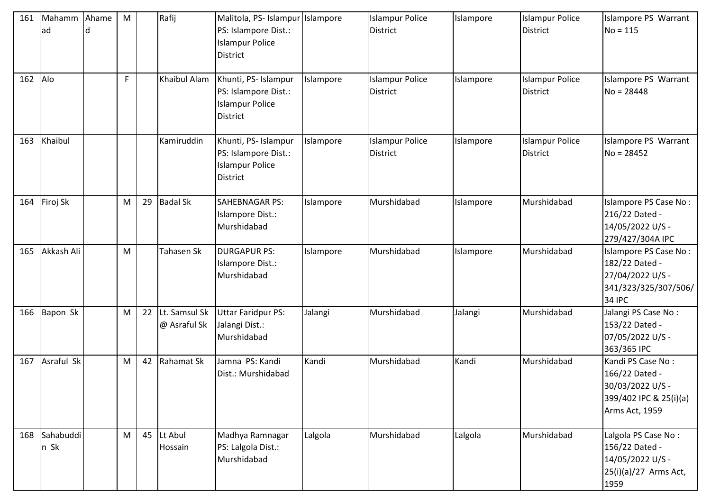| 161 | Mahamm<br>lad         | Ahame | M |    | Rafij                         | Malitola, PS- Islampur Islampore<br>PS: Islampore Dist.:<br><b>Islampur Police</b><br><b>District</b> |           | <b>Islampur Police</b><br><b>District</b> | Islampore | <b>Islampur Police</b><br><b>District</b> | Islampore PS Warrant<br>$No = 115$                                                                  |
|-----|-----------------------|-------|---|----|-------------------------------|-------------------------------------------------------------------------------------------------------|-----------|-------------------------------------------|-----------|-------------------------------------------|-----------------------------------------------------------------------------------------------------|
| 162 | Alo                   |       | F |    | <b>Khaibul Alam</b>           | Khunti, PS- Islampur<br>PS: Islampore Dist.:<br><b>Islampur Police</b><br><b>District</b>             | Islampore | <b>Islampur Police</b><br><b>District</b> | Islampore | <b>Islampur Police</b><br><b>District</b> | Islampore PS Warrant<br>$No = 28448$                                                                |
| 163 | Khaibul               |       |   |    | Kamiruddin                    | Khunti, PS- Islampur<br>PS: Islampore Dist.:<br><b>Islampur Police</b><br><b>District</b>             | Islampore | <b>Islampur Police</b><br><b>District</b> | Islampore | <b>Islampur Police</b><br><b>District</b> | Islampore PS Warrant<br>$No = 28452$                                                                |
| 164 | Firoj Sk              |       | M | 29 | <b>Badal Sk</b>               | <b>SAHEBNAGAR PS:</b><br>Islampore Dist.:<br>Murshidabad                                              | Islampore | Murshidabad                               | Islampore | Murshidabad                               | Islampore PS Case No:<br>216/22 Dated -<br>14/05/2022 U/S -<br>279/427/304A IPC                     |
| 165 | Akkash Ali            |       | M |    | Tahasen Sk                    | <b>DURGAPUR PS:</b><br>Islampore Dist.:<br>Murshidabad                                                | Islampore | Murshidabad                               | Islampore | Murshidabad                               | Islampore PS Case No:<br>182/22 Dated -<br>27/04/2022 U/S -<br>341/323/325/307/506/<br>34 IPC       |
| 166 | Bapon Sk              |       | M | 22 | Lt. Samsul Sk<br>@ Asraful Sk | <b>Uttar Faridpur PS:</b><br>Jalangi Dist.:<br>Murshidabad                                            | Jalangi   | Murshidabad                               | Jalangi   | Murshidabad                               | Jalangi PS Case No:<br>153/22 Dated -<br>07/05/2022 U/S -<br>363/365 IPC                            |
| 167 | Asraful Sk            |       | M | 42 | Rahamat Sk                    | Jamna PS: Kandi<br>Dist.: Murshidabad                                                                 | Kandi     | Murshidabad                               | Kandi     | Murshidabad                               | Kandi PS Case No:<br>166/22 Dated -<br>30/03/2022 U/S -<br>399/402 IPC & 25(i)(a)<br>Arms Act, 1959 |
|     | 168 Sahabuddi<br>n Sk |       | M | 45 | Lt Abul<br>Hossain            | Madhya Ramnagar<br>PS: Lalgola Dist.:<br>Murshidabad                                                  | Lalgola   | Murshidabad                               | Lalgola   | Murshidabad                               | Lalgola PS Case No:<br>156/22 Dated -<br>14/05/2022 U/S -<br>25(i)(a)/27 Arms Act,<br>1959          |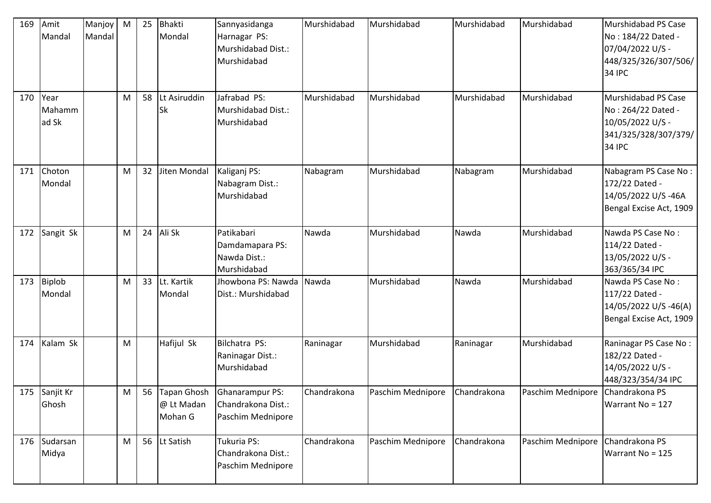| 169      | Amit<br>Mandal          | Manjoy<br>Mandal | M | 25 | <b>Bhakti</b><br>Mondal              | Sannyasidanga<br>Harnagar PS:<br>Murshidabad Dist.:<br>Murshidabad | Murshidabad | Murshidabad       | Murshidabad | Murshidabad       | Murshidabad PS Case<br>No: 184/22 Dated -<br>07/04/2022 U/S -<br>448/325/326/307/506/<br><b>34 IPC</b> |
|----------|-------------------------|------------------|---|----|--------------------------------------|--------------------------------------------------------------------|-------------|-------------------|-------------|-------------------|--------------------------------------------------------------------------------------------------------|
| 170 Year | Mahamm<br>ad Sk         |                  | M | 58 | Lt Asiruddin<br><b>Sk</b>            | Jafrabad PS:<br>Murshidabad Dist.:<br>Murshidabad                  | Murshidabad | Murshidabad       | Murshidabad | Murshidabad       | Murshidabad PS Case<br>No: 264/22 Dated -<br>10/05/2022 U/S -<br>341/325/328/307/379/<br><b>34 IPC</b> |
| 171      | Choton<br>Mondal        |                  | M | 32 | Jiten Mondal                         | Kaliganj PS:<br>Nabagram Dist.:<br>Murshidabad                     | Nabagram    | Murshidabad       | Nabagram    | Murshidabad       | Nabagram PS Case No:<br>172/22 Dated -<br>14/05/2022 U/S-46A<br>Bengal Excise Act, 1909                |
| 172      | Sangit Sk               |                  | M | 24 | Ali Sk                               | Patikabari<br>Damdamapara PS:<br>Nawda Dist.:<br>Murshidabad       | Nawda       | Murshidabad       | Nawda       | Murshidabad       | Nawda PS Case No:<br>114/22 Dated -<br>13/05/2022 U/S -<br>363/365/34 IPC                              |
| 173      | <b>Biplob</b><br>Mondal |                  | M | 33 | Lt. Kartik<br>Mondal                 | Jhowbona PS: Nawda<br>Dist.: Murshidabad                           | Nawda       | Murshidabad       | Nawda       | Murshidabad       | Nawda PS Case No:<br>117/22 Dated -<br>14/05/2022 U/S-46(A)<br>Bengal Excise Act, 1909                 |
| 174      | Kalam Sk                |                  | M |    | Hafijul Sk                           | Bilchatra PS:<br>Raninagar Dist.:<br>Murshidabad                   | Raninagar   | Murshidabad       | Raninagar   | Murshidabad       | Raninagar PS Case No:<br>182/22 Dated -<br>14/05/2022 U/S -<br>448/323/354/34 IPC                      |
|          | 175 Sanjit Kr<br>Ghosh  |                  | M | 56 | Tapan Ghosh<br>@ Lt Madan<br>Mohan G | <b>Ghanarampur PS:</b><br>Chandrakona Dist.:<br>Paschim Mednipore  | Chandrakona | Paschim Mednipore | Chandrakona | Paschim Mednipore | Chandrakona PS<br>Warrant No = 127                                                                     |
|          | 176 Sudarsan<br>Midya   |                  | M |    | 56 Lt Satish                         | Tukuria PS:<br>Chandrakona Dist.:<br>Paschim Mednipore             | Chandrakona | Paschim Mednipore | Chandrakona | Paschim Mednipore | Chandrakona PS<br>Warrant No = 125                                                                     |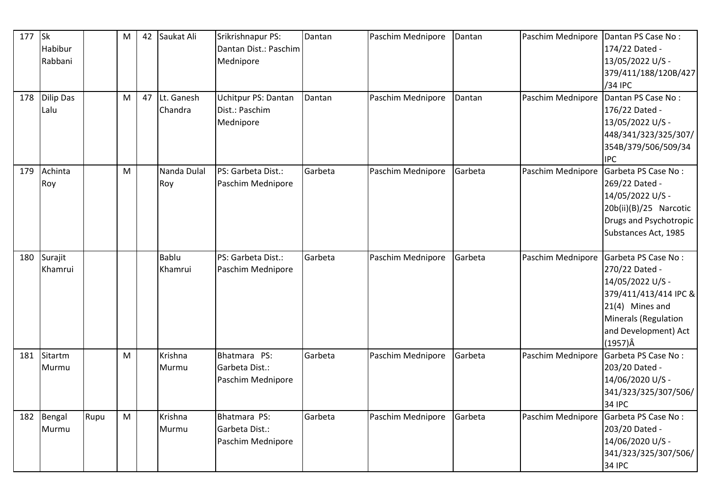| 177 | $\mathsf{lsk}$<br>Habibur<br>Rabbani |      | M | 42 | Saukat Ali              | Srikrishnapur PS:<br>Dantan Dist.: Paschim<br>Mednipore | Dantan  | Paschim Mednipore | Dantan  | Paschim Mednipore | Dantan PS Case No:<br>174/22 Dated -<br>13/05/2022 U/S -<br>379/411/188/120B/427<br>/34 IPC                                                                              |
|-----|--------------------------------------|------|---|----|-------------------------|---------------------------------------------------------|---------|-------------------|---------|-------------------|--------------------------------------------------------------------------------------------------------------------------------------------------------------------------|
| 178 | Dilip Das<br>Lalu                    |      | M | 47 | Lt. Ganesh<br>Chandra   | Uchitpur PS: Dantan<br>Dist.: Paschim<br>Mednipore      | Dantan  | Paschim Mednipore | Dantan  | Paschim Mednipore | Dantan PS Case No:<br>176/22 Dated -<br>13/05/2022 U/S -<br>448/341/323/325/307/<br>354B/379/506/509/34<br><b>IPC</b>                                                    |
| 179 | Achinta<br>Roy                       |      | M |    | Nanda Dulal<br>Roy      | PS: Garbeta Dist.:<br>Paschim Mednipore                 | Garbeta | Paschim Mednipore | Garbeta | Paschim Mednipore | Garbeta PS Case No:<br>269/22 Dated -<br>14/05/2022 U/S -<br>20b(ii)(B)/25 Narcotic<br>Drugs and Psychotropic<br>Substances Act, 1985                                    |
| 180 | Surajit<br>Khamrui                   |      |   |    | <b>Bablu</b><br>Khamrui | PS: Garbeta Dist.:<br>Paschim Mednipore                 | Garbeta | Paschim Mednipore | Garbeta | Paschim Mednipore | Garbeta PS Case No:<br>270/22 Dated -<br>14/05/2022 U/S -<br>379/411/413/414 IPC &<br>21(4) Mines and<br>Minerals (Regulation<br>and Development) Act<br>$(1957)\hat{A}$ |
| 181 | Sitartm<br>Murmu                     |      | M |    | Krishna<br>Murmu        | Bhatmara PS:<br>Garbeta Dist.:<br>Paschim Mednipore     | Garbeta | Paschim Mednipore | Garbeta | Paschim Mednipore | Garbeta PS Case No:<br>203/20 Dated -<br>14/06/2020 U/S -<br>341/323/325/307/506/<br><b>34 IPC</b>                                                                       |
| 182 | Bengal<br>Murmu                      | Rupu | M |    | Krishna<br>Murmu        | Bhatmara PS:<br>Garbeta Dist.:<br>Paschim Mednipore     | Garbeta | Paschim Mednipore | Garbeta | Paschim Mednipore | Garbeta PS Case No:<br>203/20 Dated -<br>14/06/2020 U/S -<br>341/323/325/307/506/<br><b>34 IPC</b>                                                                       |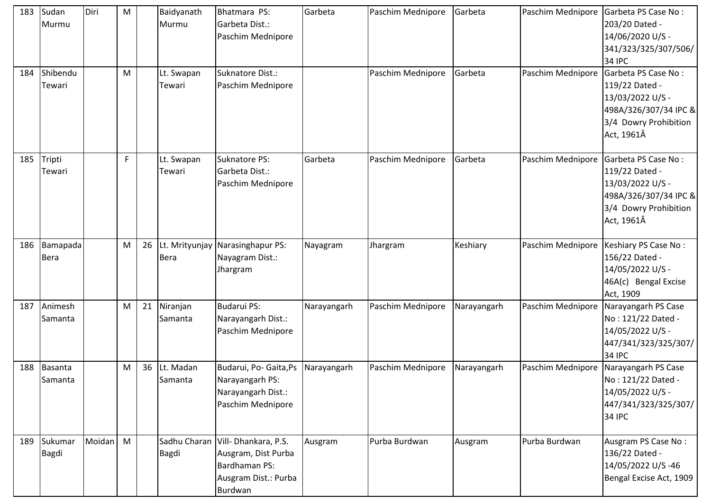| 183 | Sudan<br>Murmu              | Diri   | M |    | Baidyanath<br>Murmu  | Bhatmara PS:<br>Garbeta Dist.:<br>Paschim Mednipore                                                            | Garbeta     | Paschim Mednipore | Garbeta     | Paschim Mednipore | Garbeta PS Case No:<br>203/20 Dated -<br>14/06/2020 U/S -<br>341/323/325/307/506/<br><b>34 IPC</b>                        |
|-----|-----------------------------|--------|---|----|----------------------|----------------------------------------------------------------------------------------------------------------|-------------|-------------------|-------------|-------------------|---------------------------------------------------------------------------------------------------------------------------|
| 184 | Shibendu<br>Tewari          |        | M |    | Lt. Swapan<br>Tewari | Suknatore Dist.:<br>Paschim Mednipore                                                                          |             | Paschim Mednipore | Garbeta     | Paschim Mednipore | Garbeta PS Case No:<br>119/22 Dated -<br>13/03/2022 U/S -<br>498A/326/307/34 IPC &<br>3/4 Dowry Prohibition<br>Act, 1961Â |
| 185 | Tripti<br>Tewari            |        | F |    | Lt. Swapan<br>Tewari | Suknatore PS:<br>Garbeta Dist.:<br>Paschim Mednipore                                                           | Garbeta     | Paschim Mednipore | Garbeta     | Paschim Mednipore | Garbeta PS Case No:<br>119/22 Dated -<br>13/03/2022 U/S -<br>498A/326/307/34 IPC &<br>3/4 Dowry Prohibition<br>Act, 1961Â |
| 186 | Bamapada<br><b>Bera</b>     |        | M | 26 | <b>Bera</b>          | Lt. Mrityunjay Narasinghapur PS:<br>Nayagram Dist.:<br>Jhargram                                                | Nayagram    | Jhargram          | Keshiary    | Paschim Mednipore | Keshiary PS Case No:<br>156/22 Dated -<br>14/05/2022 U/S -<br>46A(c) Bengal Excise<br>Act, 1909                           |
| 187 | Animesh<br>Samanta          |        | M | 21 | Niranjan<br>Samanta  | <b>Budarui PS:</b><br>Narayangarh Dist.:<br>Paschim Mednipore                                                  | Narayangarh | Paschim Mednipore | Narayangarh | Paschim Mednipore | Narayangarh PS Case<br>No: 121/22 Dated -<br>14/05/2022 U/S -<br>447/341/323/325/307/<br><b>34 IPC</b>                    |
| 188 | Basanta<br>Samanta          |        | M | 36 | Lt. Madan<br>Samanta | Budarui, Po- Gaita, Ps<br>Narayangarh PS:<br>Narayangarh Dist.:<br>Paschim Mednipore                           | Narayangarh | Paschim Mednipore | Narayangarh | Paschim Mednipore | Narayangarh PS Case<br>No: 121/22 Dated -<br>14/05/2022 U/S -<br>447/341/323/325/307/<br><b>34 IPC</b>                    |
|     | 189 Sukumar<br><b>Bagdi</b> | Moidan | M |    | <b>Bagdi</b>         | Sadhu Charan   Vill- Dhankara, P.S.<br>Ausgram, Dist Purba<br>Bardhaman PS:<br>Ausgram Dist.: Purba<br>Burdwan | Ausgram     | Purba Burdwan     | Ausgram     | Purba Burdwan     | Ausgram PS Case No:<br>136/22 Dated -<br>14/05/2022 U/S-46<br>Bengal Excise Act, 1909                                     |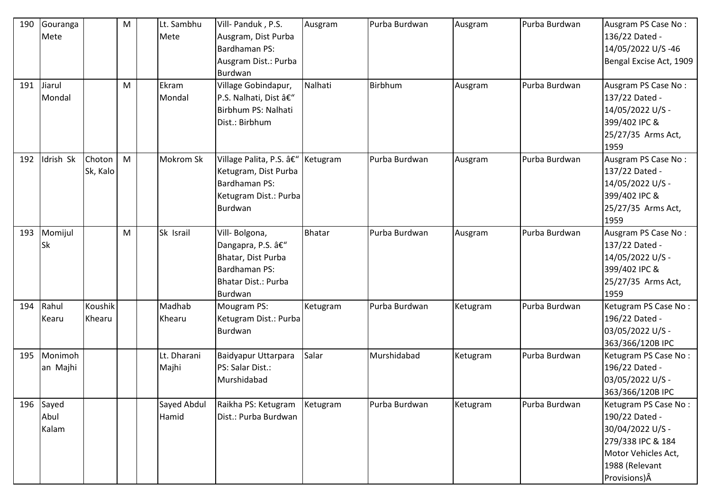| 190<br>191 | Gouranga<br>Mete<br>Jiarul<br>Mondal |                    | M<br>M | Lt. Sambhu<br>Mete<br>Ekram<br>Mondal | Vill- Panduk, P.S.<br>Ausgram, Dist Purba<br><b>Bardhaman PS:</b><br>Ausgram Dist.: Purba<br>Burdwan<br>Village Gobindapur,<br>P.S. Nalhati, Dist –<br>Birbhum PS: Nalhati<br>Dist.: Birbhum | Ausgram<br>Nalhati | Purba Burdwan<br>Birbhum | Ausgram<br>Ausgram | Purba Burdwan<br>Purba Burdwan | Ausgram PS Case No:<br>136/22 Dated -<br>14/05/2022 U/S-46<br>Bengal Excise Act, 1909<br>Ausgram PS Case No:<br>137/22 Dated -<br>14/05/2022 U/S -<br>399/402 IPC & |
|------------|--------------------------------------|--------------------|--------|---------------------------------------|----------------------------------------------------------------------------------------------------------------------------------------------------------------------------------------------|--------------------|--------------------------|--------------------|--------------------------------|---------------------------------------------------------------------------------------------------------------------------------------------------------------------|
|            |                                      |                    |        |                                       |                                                                                                                                                                                              |                    |                          |                    |                                | 25/27/35 Arms Act,<br>1959                                                                                                                                          |
| 192        | Idrish Sk                            | Choton<br>Sk, Kalo | M      | <b>Mokrom Sk</b>                      | Village Palita, P.S. – Ketugram<br>Ketugram, Dist Purba<br>Bardhaman PS:<br>Ketugram Dist.: Purba<br>Burdwan                                                                                 |                    | Purba Burdwan            | Ausgram            | Purba Burdwan                  | Ausgram PS Case No:<br>137/22 Dated -<br>14/05/2022 U/S -<br>399/402 IPC &<br>25/27/35 Arms Act,<br>1959                                                            |
| 193        | Momijul<br>Sk                        |                    | M      | Sk Israil                             | Vill-Bolgona,<br>Dangapra, P.S. –<br>Bhatar, Dist Purba<br>Bardhaman PS:<br><b>Bhatar Dist.: Purba</b><br>Burdwan                                                                            | Bhatar             | Purba Burdwan            | Ausgram            | Purba Burdwan                  | Ausgram PS Case No:<br>137/22 Dated -<br>14/05/2022 U/S -<br>399/402 IPC &<br>25/27/35 Arms Act,<br>1959                                                            |
| 194        | Rahul<br>Kearu                       | Koushik<br>Khearu  |        | Madhab<br>Khearu                      | Mougram PS:<br>Ketugram Dist.: Purba<br>Burdwan                                                                                                                                              | Ketugram           | Purba Burdwan            | Ketugram           | Purba Burdwan                  | Ketugram PS Case No:<br>196/22 Dated -<br>03/05/2022 U/S -<br>363/366/120B IPC                                                                                      |
| 195        | Monimoh<br>an Majhi                  |                    |        | Lt. Dharani<br>Majhi                  | Baidyapur Uttarpara<br>PS: Salar Dist.:<br>Murshidabad                                                                                                                                       | Salar              | Murshidabad              | Ketugram           | Purba Burdwan                  | Ketugram PS Case No:<br>196/22 Dated -<br>03/05/2022 U/S -<br>363/366/120B IPC                                                                                      |
| 196        | Sayed<br>Abul<br>Kalam               |                    |        | Sayed Abdul<br>Hamid                  | Raikha PS: Ketugram<br>Dist.: Purba Burdwan                                                                                                                                                  | Ketugram           | Purba Burdwan            | Ketugram           | Purba Burdwan                  | Ketugram PS Case No:<br>190/22 Dated -<br>30/04/2022 U/S -<br>279/338 IPC & 184<br>Motor Vehicles Act,<br>1988 (Relevant<br>Provisions) Â                           |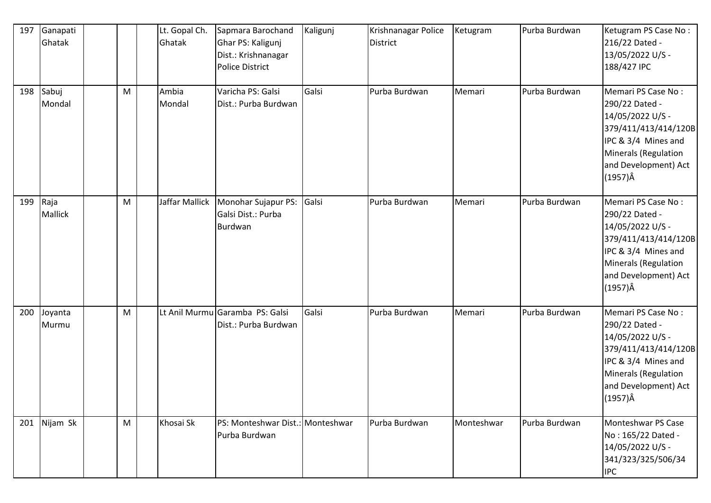| 197 | Ganapati<br>Ghatak     |   | Lt. Gopal Ch.<br>Ghatak | Sapmara Barochand<br>Ghar PS: Kaligunj<br>Dist.: Krishnanagar<br><b>Police District</b> | Kaligunj | Krishnanagar Police<br>District | Ketugram   | Purba Burdwan | Ketugram PS Case No:<br>216/22 Dated -<br>13/05/2022 U/S -<br>188/427 IPC                                                                                                  |
|-----|------------------------|---|-------------------------|-----------------------------------------------------------------------------------------|----------|---------------------------------|------------|---------------|----------------------------------------------------------------------------------------------------------------------------------------------------------------------------|
| 198 | Sabuj<br>Mondal        | M | Ambia<br>Mondal         | Varicha PS: Galsi<br>Dist.: Purba Burdwan                                               | Galsi    | Purba Burdwan                   | Memari     | Purba Burdwan | Memari PS Case No:<br>290/22 Dated -<br>14/05/2022 U/S -<br>379/411/413/414/120B<br>IPC & 3/4 Mines and<br>Minerals (Regulation<br>and Development) Act<br>$(1957)\hat{A}$ |
| 199 | Raja<br><b>Mallick</b> | M | Jaffar Mallick          | Monohar Sujapur PS:<br>Galsi Dist.: Purba<br>Burdwan                                    | Galsi    | Purba Burdwan                   | Memari     | Purba Burdwan | Memari PS Case No:<br>290/22 Dated -<br>14/05/2022 U/S -<br>379/411/413/414/120B<br>IPC & 3/4 Mines and<br>Minerals (Regulation<br>and Development) Act<br>$(1957)\hat{A}$ |
| 200 | Joyanta<br>Murmu       | M |                         | Lt Anil Murmu Garamba PS: Galsi<br>Dist.: Purba Burdwan                                 | Galsi    | Purba Burdwan                   | Memari     | Purba Burdwan | Memari PS Case No:<br>290/22 Dated -<br>14/05/2022 U/S -<br>379/411/413/414/120B<br>IPC & 3/4 Mines and<br>Minerals (Regulation<br>and Development) Act<br>(1957)Â         |
| 201 | Nijam Sk               | M | Khosai Sk               | PS: Monteshwar Dist.: Monteshwar<br>Purba Burdwan                                       |          | Purba Burdwan                   | Monteshwar | Purba Burdwan | Monteshwar PS Case<br>No: 165/22 Dated -<br>14/05/2022 U/S -<br>341/323/325/506/34<br><b>IPC</b>                                                                           |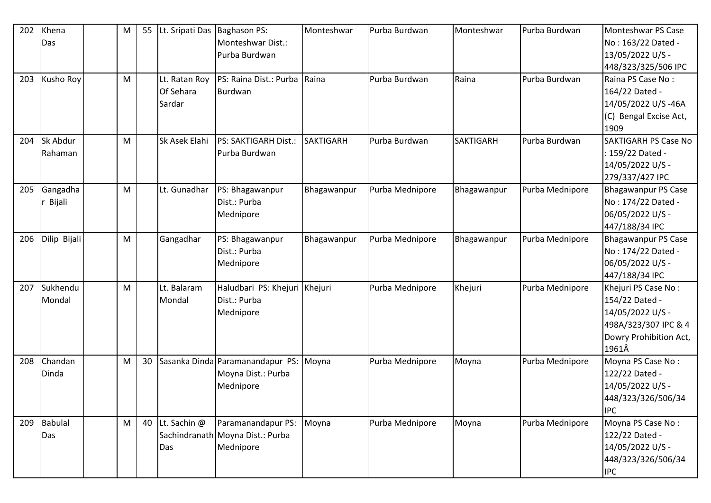| 202 | Khena<br>Das   | M | 55 | Lt. Sripati Das Baghason PS: | Monteshwar Dist.:                | Monteshwar       | Purba Burdwan   | Monteshwar       | Purba Burdwan   | Monteshwar PS Case<br>No: 163/22 Dated - |
|-----|----------------|---|----|------------------------------|----------------------------------|------------------|-----------------|------------------|-----------------|------------------------------------------|
|     |                |   |    |                              | Purba Burdwan                    |                  |                 |                  |                 | 13/05/2022 U/S -                         |
|     |                |   |    |                              |                                  |                  |                 |                  |                 | 448/323/325/506 IPC                      |
| 203 | Kusho Roy      | M |    | Lt. Ratan Roy                | PS: Raina Dist.: Purba           | Raina            | Purba Burdwan   | Raina            | Purba Burdwan   | Raina PS Case No:                        |
|     |                |   |    | Of Sehara                    | <b>Burdwan</b>                   |                  |                 |                  |                 | 164/22 Dated -                           |
|     |                |   |    | Sardar                       |                                  |                  |                 |                  |                 | 14/05/2022 U/S-46A                       |
|     |                |   |    |                              |                                  |                  |                 |                  |                 | (C) Bengal Excise Act,                   |
|     |                |   |    |                              |                                  |                  |                 |                  |                 | 1909                                     |
| 204 | Sk Abdur       | M |    | Sk Asek Elahi                | PS: SAKTIGARH Dist.:             | <b>SAKTIGARH</b> | Purba Burdwan   | <b>SAKTIGARH</b> | Purba Burdwan   | <b>SAKTIGARH PS Case No</b>              |
|     | Rahaman        |   |    |                              | Purba Burdwan                    |                  |                 |                  |                 | : 159/22 Dated -                         |
|     |                |   |    |                              |                                  |                  |                 |                  |                 | 14/05/2022 U/S -                         |
|     |                |   |    |                              |                                  |                  |                 |                  |                 | 279/337/427 IPC                          |
| 205 | Gangadha       | M |    | Lt. Gunadhar                 | PS: Bhagawanpur                  | Bhagawanpur      | Purba Mednipore | Bhagawanpur      | Purba Mednipore | <b>Bhagawanpur PS Case</b>               |
|     | Bijali         |   |    |                              | Dist.: Purba                     |                  |                 |                  |                 | No: 174/22 Dated -                       |
|     |                |   |    |                              | Mednipore                        |                  |                 |                  |                 | 06/05/2022 U/S -                         |
|     |                |   |    |                              |                                  |                  |                 |                  |                 | 447/188/34 IPC                           |
| 206 | Dilip Bijali   | M |    | Gangadhar                    | PS: Bhagawanpur                  | Bhagawanpur      | Purba Mednipore | Bhagawanpur      | Purba Mednipore | <b>Bhagawanpur PS Case</b>               |
|     |                |   |    |                              | Dist.: Purba                     |                  |                 |                  |                 | No: 174/22 Dated -                       |
|     |                |   |    |                              | Mednipore                        |                  |                 |                  |                 | 06/05/2022 U/S -                         |
|     |                |   |    |                              |                                  |                  |                 |                  |                 | 447/188/34 IPC                           |
| 207 | Sukhendu       | M |    | Lt. Balaram                  | Haludbari PS: Khejuri Khejuri    |                  | Purba Mednipore | Khejuri          | Purba Mednipore | Khejuri PS Case No:                      |
|     | Mondal         |   |    | Mondal                       | Dist.: Purba                     |                  |                 |                  |                 | 154/22 Dated -                           |
|     |                |   |    |                              | Mednipore                        |                  |                 |                  |                 | 14/05/2022 U/S -                         |
|     |                |   |    |                              |                                  |                  |                 |                  |                 | 498A/323/307 IPC & 4                     |
|     |                |   |    |                              |                                  |                  |                 |                  |                 | Dowry Prohibition Act,                   |
|     |                |   |    |                              |                                  |                  |                 |                  |                 | 1961Â                                    |
| 208 | Chandan        | M | 30 |                              | Sasanka Dinda Paramanandapur PS: | Moyna            | Purba Mednipore | Moyna            | Purba Mednipore | Moyna PS Case No:                        |
|     | Dinda          |   |    |                              | Moyna Dist.: Purba               |                  |                 |                  |                 | 122/22 Dated -                           |
|     |                |   |    |                              | Mednipore                        |                  |                 |                  |                 | 14/05/2022 U/S -                         |
|     |                |   |    |                              |                                  |                  |                 |                  |                 | 448/323/326/506/34                       |
|     |                |   |    |                              |                                  |                  |                 |                  |                 | <b>IPC</b>                               |
| 209 | <b>Babulal</b> | M | 40 | Lt. Sachin @                 | Paramanandapur PS:               | Moyna            | Purba Mednipore | Moyna            | Purba Mednipore | Moyna PS Case No:                        |
|     | Das            |   |    |                              | Sachindranath Moyna Dist.: Purba |                  |                 |                  |                 | 122/22 Dated -                           |
|     |                |   |    | Das                          | Mednipore                        |                  |                 |                  |                 | 14/05/2022 U/S -                         |
|     |                |   |    |                              |                                  |                  |                 |                  |                 | 448/323/326/506/34                       |
|     |                |   |    |                              |                                  |                  |                 |                  |                 | <b>IPC</b>                               |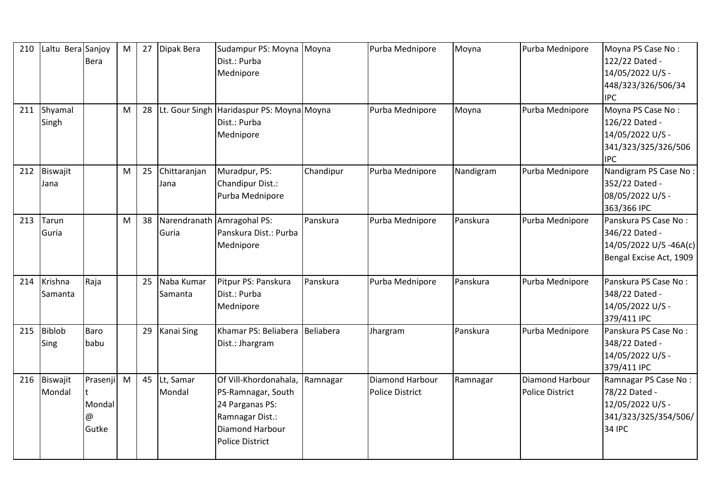| 210 | Laltu Bera Sanjoy     | <b>Bera</b>                      | ${\sf M}$ | 27 | Dipak Bera            | Sudampur PS: Moyna Moyna<br>Dist.: Purba<br>Mednipore                                                                                 |           | Purba Mednipore                           | Moyna     | Purba Mednipore                           | Moyna PS Case No:<br>122/22 Dated -<br>14/05/2022 U/S -<br>448/323/326/506/34<br><b>IPC</b>  |
|-----|-----------------------|----------------------------------|-----------|----|-----------------------|---------------------------------------------------------------------------------------------------------------------------------------|-----------|-------------------------------------------|-----------|-------------------------------------------|----------------------------------------------------------------------------------------------|
| 211 | Shyamal<br>Singh      |                                  | M         | 28 |                       | Lt. Gour Singh Haridaspur PS: Moyna Moyna<br>Dist.: Purba<br>Mednipore                                                                |           | Purba Mednipore                           | Moyna     | Purba Mednipore                           | Moyna PS Case No:<br>126/22 Dated -<br>14/05/2022 U/S -<br>341/323/325/326/506<br><b>IPC</b> |
| 212 | Biswajit<br>Jana      |                                  | M         | 25 | Chittaranjan<br>Jana  | Muradpur, PS:<br>Chandipur Dist.:<br>Purba Mednipore                                                                                  | Chandipur | Purba Mednipore                           | Nandigram | Purba Mednipore                           | Nandigram PS Case No:<br>352/22 Dated -<br>08/05/2022 U/S -<br>363/366 IPC                   |
| 213 | Tarun<br>Guria        |                                  | M         | 38 | Guria                 | Narendranath Amragohal PS:<br>Panskura Dist.: Purba<br>Mednipore                                                                      | Panskura  | Purba Mednipore                           | Panskura  | Purba Mednipore                           | Panskura PS Case No:<br>346/22 Dated -<br>14/05/2022 U/S-46A(c)<br>Bengal Excise Act, 1909   |
| 214 | Krishna<br>Samanta    | Raja                             |           | 25 | Naba Kumar<br>Samanta | Pitpur PS: Panskura<br>Dist.: Purba<br>Mednipore                                                                                      | Panskura  | Purba Mednipore                           | Panskura  | Purba Mednipore                           | Panskura PS Case No:<br>348/22 Dated -<br>14/05/2022 U/S -<br>379/411 IPC                    |
| 215 | <b>Biblob</b><br>Sing | Baro<br>babu                     |           | 29 | <b>Kanai Sing</b>     | Khamar PS: Beliabera<br>Dist.: Jhargram                                                                                               | Beliabera | Jhargram                                  | Panskura  | Purba Mednipore                           | Panskura PS Case No:<br>348/22 Dated -<br>14/05/2022 U/S -<br>379/411 IPC                    |
| 216 | Biswajit<br>Mondal    | Prasenji<br>Mondal<br>@<br>Gutke | M         | 45 | Lt, Samar<br>Mondal   | Of Vill-Khordonahala,<br>PS-Ramnagar, South<br>24 Parganas PS:<br>Ramnagar Dist.:<br><b>Diamond Harbour</b><br><b>Police District</b> | Ramnagar  | Diamond Harbour<br><b>Police District</b> | Ramnagar  | Diamond Harbour<br><b>Police District</b> | Ramnagar PS Case No:<br>78/22 Dated -<br>12/05/2022 U/S -<br>341/323/325/354/506/<br>34 IPC  |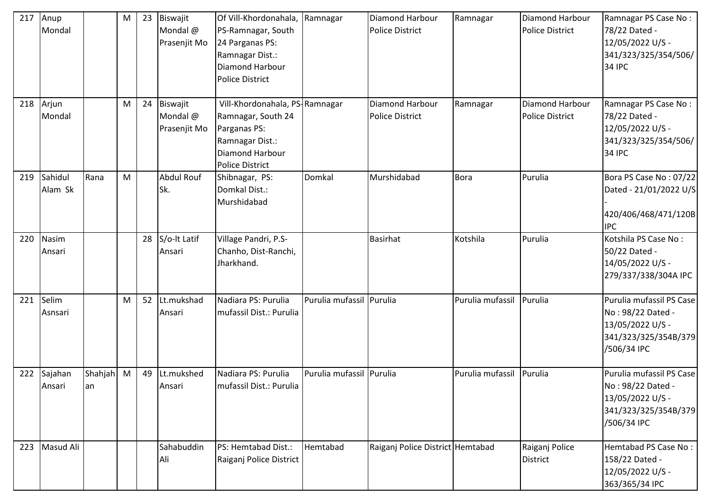| 217 | Anup<br>Mondal     |                  | M | 23 | Biswajit<br>Mondal @<br>Prasenjit Mo | Of Vill-Khordonahala, Ramnagar<br>PS-Ramnagar, South<br>24 Parganas PS:<br>Ramnagar Dist.:<br>Diamond Harbour<br><b>Police District</b> |                          | Diamond Harbour<br><b>Police District</b> | Ramnagar         | <b>Diamond Harbour</b><br><b>Police District</b> | Ramnagar PS Case No:<br>78/22 Dated -<br>12/05/2022 U/S -<br>341/323/325/354/506/<br><b>34 IPC</b>       |
|-----|--------------------|------------------|---|----|--------------------------------------|-----------------------------------------------------------------------------------------------------------------------------------------|--------------------------|-------------------------------------------|------------------|--------------------------------------------------|----------------------------------------------------------------------------------------------------------|
| 218 | Arjun<br>Mondal    |                  | M | 24 | Biswajit<br>Mondal @<br>Prasenjit Mo | Vill-Khordonahala, PS-Ramnagar<br>Ramnagar, South 24<br>Parganas PS:<br>Ramnagar Dist.:<br>Diamond Harbour<br><b>Police District</b>    |                          | Diamond Harbour<br><b>Police District</b> | Ramnagar         | <b>Diamond Harbour</b><br><b>Police District</b> | Ramnagar PS Case No:<br>78/22 Dated -<br>12/05/2022 U/S -<br>341/323/325/354/506/<br>34 IPC              |
| 219 | Sahidul<br>Alam Sk | Rana             | M |    | Abdul Rouf<br>Sk.                    | Shibnagar, PS:<br>Domkal Dist.:<br>Murshidabad                                                                                          | Domkal                   | Murshidabad                               | <b>Bora</b>      | Purulia                                          | Bora PS Case No: 07/22<br>Dated - 21/01/2022 U/S<br>420/406/468/471/120B<br><b>IPC</b>                   |
| 220 | Nasim<br>Ansari    |                  |   | 28 | S/o-It Latif<br>Ansari               | Village Pandri, P.S-<br>Chanho, Dist-Ranchi,<br>Jharkhand.                                                                              |                          | <b>Basirhat</b>                           | Kotshila         | Purulia                                          | Kotshila PS Case No:<br>50/22 Dated -<br>14/05/2022 U/S -<br>279/337/338/304A IPC                        |
| 221 | Selim<br>Asnsari   |                  | M | 52 | Lt.mukshad<br>Ansari                 | Nadiara PS: Purulia<br>mufassil Dist.: Purulia                                                                                          | Purulia mufassil Purulia |                                           | Purulia mufassil | Purulia                                          | Purulia mufassil PS Case<br>No: 98/22 Dated -<br>13/05/2022 U/S -<br>341/323/325/354B/379<br>/506/34 IPC |
| 222 | Sajahan<br>Ansari  | Shahjah M<br>lan |   | 49 | Lt.mukshed<br>Ansari                 | Nadiara PS: Purulia<br>mufassil Dist.: Purulia                                                                                          | Purulia mufassil Purulia |                                           | Purulia mufassil | Purulia                                          | Purulia mufassil PS Case<br>No: 98/22 Dated -<br>13/05/2022 U/S -<br>341/323/325/354B/379<br>/506/34 IPC |
| 223 | Masud Ali          |                  |   |    | Sahabuddin<br>Ali                    | PS: Hemtabad Dist.:<br>Raiganj Police District                                                                                          | Hemtabad                 | Raiganj Police District Hemtabad          |                  | Raiganj Police<br><b>District</b>                | Hemtabad PS Case No:<br>158/22 Dated -<br>12/05/2022 U/S -<br>363/365/34 IPC                             |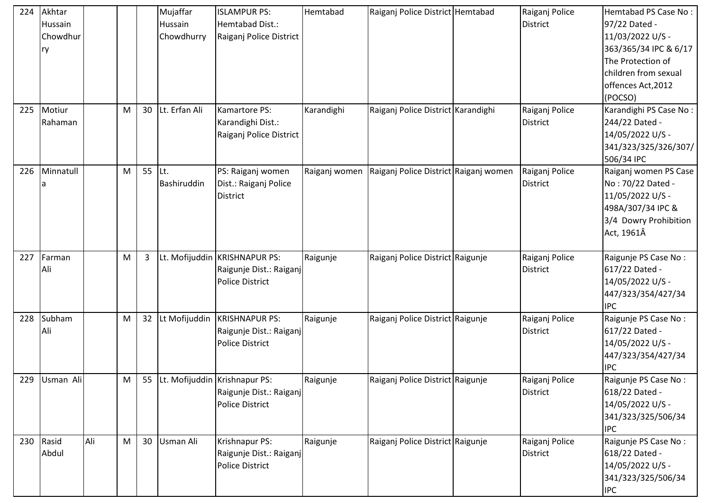| Akhtar<br>Raiganj Police District Hemtabad<br>Hemtabad Dist.:<br>97/22 Dated -<br>Hussain<br><b>District</b><br>Hussain<br>11/03/2022 U/S -<br>Chowdhur<br>Chowdhurry<br>Raiganj Police District<br>363/365/34 IPC & 6/17<br>ry<br>The Protection of<br>children from sexual<br>offences Act, 2012<br>(POCSO)<br>Lt. Erfan Ali<br>225<br>Motiur<br>30<br>Kamartore PS:<br>Karandighi<br>Raiganj Police District Karandighi<br>Karandighi PS Case No:<br>M<br>Raiganj Police<br>Karandighi Dist.:<br><b>District</b><br>244/22 Dated -<br>Rahaman<br>Raiganj Police District<br>14/05/2022 U/S -<br>341/323/325/326/307/<br>506/34 IPC<br>55<br>ILt.<br>PS: Raiganj women<br>Raiganj Police District Raiganj women<br>226<br>Minnatull<br>M<br>Raiganj women<br>Raiganj Police<br>Raiganj women PS Case<br>No: 70/22 Dated -<br>Bashiruddin<br>Dist.: Raiganj Police<br><b>District</b><br>a<br>11/05/2022 U/S -<br><b>District</b><br>498A/307/34 IPC &<br>3/4 Dowry Prohibition<br>Act, 1961Â<br>Lt. Mofijuddin KRISHNAPUR PS:<br>Farman<br>Raiganj Police District Raigunje<br>Raiganj Police<br>Raigunje PS Case No:<br>227<br>M<br>3<br>Raigunje<br>617/22 Dated -<br><b>District</b><br>Ali<br>Raigunje Dist.: Raiganj<br><b>Police District</b><br>14/05/2022 U/S -<br>447/323/354/427/34<br><b>IPC</b><br>Lt Mofijuddin<br>228<br>Subham<br><b>KRISHNAPUR PS:</b><br>Raigunje PS Case No:<br>M<br>32<br>Raigunje<br>Raiganj Police District Raigunje<br>Raiganj Police |
|-------------------------------------------------------------------------------------------------------------------------------------------------------------------------------------------------------------------------------------------------------------------------------------------------------------------------------------------------------------------------------------------------------------------------------------------------------------------------------------------------------------------------------------------------------------------------------------------------------------------------------------------------------------------------------------------------------------------------------------------------------------------------------------------------------------------------------------------------------------------------------------------------------------------------------------------------------------------------------------------------------------------------------------------------------------------------------------------------------------------------------------------------------------------------------------------------------------------------------------------------------------------------------------------------------------------------------------------------------------------------------------------------------------------------------------------------------------------------------|
|                                                                                                                                                                                                                                                                                                                                                                                                                                                                                                                                                                                                                                                                                                                                                                                                                                                                                                                                                                                                                                                                                                                                                                                                                                                                                                                                                                                                                                                                               |
|                                                                                                                                                                                                                                                                                                                                                                                                                                                                                                                                                                                                                                                                                                                                                                                                                                                                                                                                                                                                                                                                                                                                                                                                                                                                                                                                                                                                                                                                               |
|                                                                                                                                                                                                                                                                                                                                                                                                                                                                                                                                                                                                                                                                                                                                                                                                                                                                                                                                                                                                                                                                                                                                                                                                                                                                                                                                                                                                                                                                               |
|                                                                                                                                                                                                                                                                                                                                                                                                                                                                                                                                                                                                                                                                                                                                                                                                                                                                                                                                                                                                                                                                                                                                                                                                                                                                                                                                                                                                                                                                               |
|                                                                                                                                                                                                                                                                                                                                                                                                                                                                                                                                                                                                                                                                                                                                                                                                                                                                                                                                                                                                                                                                                                                                                                                                                                                                                                                                                                                                                                                                               |
|                                                                                                                                                                                                                                                                                                                                                                                                                                                                                                                                                                                                                                                                                                                                                                                                                                                                                                                                                                                                                                                                                                                                                                                                                                                                                                                                                                                                                                                                               |
|                                                                                                                                                                                                                                                                                                                                                                                                                                                                                                                                                                                                                                                                                                                                                                                                                                                                                                                                                                                                                                                                                                                                                                                                                                                                                                                                                                                                                                                                               |
|                                                                                                                                                                                                                                                                                                                                                                                                                                                                                                                                                                                                                                                                                                                                                                                                                                                                                                                                                                                                                                                                                                                                                                                                                                                                                                                                                                                                                                                                               |
|                                                                                                                                                                                                                                                                                                                                                                                                                                                                                                                                                                                                                                                                                                                                                                                                                                                                                                                                                                                                                                                                                                                                                                                                                                                                                                                                                                                                                                                                               |
|                                                                                                                                                                                                                                                                                                                                                                                                                                                                                                                                                                                                                                                                                                                                                                                                                                                                                                                                                                                                                                                                                                                                                                                                                                                                                                                                                                                                                                                                               |
|                                                                                                                                                                                                                                                                                                                                                                                                                                                                                                                                                                                                                                                                                                                                                                                                                                                                                                                                                                                                                                                                                                                                                                                                                                                                                                                                                                                                                                                                               |
|                                                                                                                                                                                                                                                                                                                                                                                                                                                                                                                                                                                                                                                                                                                                                                                                                                                                                                                                                                                                                                                                                                                                                                                                                                                                                                                                                                                                                                                                               |
|                                                                                                                                                                                                                                                                                                                                                                                                                                                                                                                                                                                                                                                                                                                                                                                                                                                                                                                                                                                                                                                                                                                                                                                                                                                                                                                                                                                                                                                                               |
|                                                                                                                                                                                                                                                                                                                                                                                                                                                                                                                                                                                                                                                                                                                                                                                                                                                                                                                                                                                                                                                                                                                                                                                                                                                                                                                                                                                                                                                                               |
|                                                                                                                                                                                                                                                                                                                                                                                                                                                                                                                                                                                                                                                                                                                                                                                                                                                                                                                                                                                                                                                                                                                                                                                                                                                                                                                                                                                                                                                                               |
|                                                                                                                                                                                                                                                                                                                                                                                                                                                                                                                                                                                                                                                                                                                                                                                                                                                                                                                                                                                                                                                                                                                                                                                                                                                                                                                                                                                                                                                                               |
|                                                                                                                                                                                                                                                                                                                                                                                                                                                                                                                                                                                                                                                                                                                                                                                                                                                                                                                                                                                                                                                                                                                                                                                                                                                                                                                                                                                                                                                                               |
|                                                                                                                                                                                                                                                                                                                                                                                                                                                                                                                                                                                                                                                                                                                                                                                                                                                                                                                                                                                                                                                                                                                                                                                                                                                                                                                                                                                                                                                                               |
|                                                                                                                                                                                                                                                                                                                                                                                                                                                                                                                                                                                                                                                                                                                                                                                                                                                                                                                                                                                                                                                                                                                                                                                                                                                                                                                                                                                                                                                                               |
|                                                                                                                                                                                                                                                                                                                                                                                                                                                                                                                                                                                                                                                                                                                                                                                                                                                                                                                                                                                                                                                                                                                                                                                                                                                                                                                                                                                                                                                                               |
|                                                                                                                                                                                                                                                                                                                                                                                                                                                                                                                                                                                                                                                                                                                                                                                                                                                                                                                                                                                                                                                                                                                                                                                                                                                                                                                                                                                                                                                                               |
|                                                                                                                                                                                                                                                                                                                                                                                                                                                                                                                                                                                                                                                                                                                                                                                                                                                                                                                                                                                                                                                                                                                                                                                                                                                                                                                                                                                                                                                                               |
|                                                                                                                                                                                                                                                                                                                                                                                                                                                                                                                                                                                                                                                                                                                                                                                                                                                                                                                                                                                                                                                                                                                                                                                                                                                                                                                                                                                                                                                                               |
|                                                                                                                                                                                                                                                                                                                                                                                                                                                                                                                                                                                                                                                                                                                                                                                                                                                                                                                                                                                                                                                                                                                                                                                                                                                                                                                                                                                                                                                                               |
|                                                                                                                                                                                                                                                                                                                                                                                                                                                                                                                                                                                                                                                                                                                                                                                                                                                                                                                                                                                                                                                                                                                                                                                                                                                                                                                                                                                                                                                                               |
| Ali<br><b>District</b><br>617/22 Dated -<br>Raigunje Dist.: Raiganj                                                                                                                                                                                                                                                                                                                                                                                                                                                                                                                                                                                                                                                                                                                                                                                                                                                                                                                                                                                                                                                                                                                                                                                                                                                                                                                                                                                                           |
| <b>Police District</b><br>14/05/2022 U/S -                                                                                                                                                                                                                                                                                                                                                                                                                                                                                                                                                                                                                                                                                                                                                                                                                                                                                                                                                                                                                                                                                                                                                                                                                                                                                                                                                                                                                                    |
| 447/323/354/427/34                                                                                                                                                                                                                                                                                                                                                                                                                                                                                                                                                                                                                                                                                                                                                                                                                                                                                                                                                                                                                                                                                                                                                                                                                                                                                                                                                                                                                                                            |
| <b>IPC</b><br>229 Usman Ali<br>M<br>55<br>Lt. Mofijuddin Krishnapur PS:<br>Raiganj Police District Raigunje<br>Raigunje<br>Raiganj Police<br>Raigunje PS Case No:                                                                                                                                                                                                                                                                                                                                                                                                                                                                                                                                                                                                                                                                                                                                                                                                                                                                                                                                                                                                                                                                                                                                                                                                                                                                                                             |
| District<br>618/22 Dated -<br>Raigunje Dist.: Raiganj                                                                                                                                                                                                                                                                                                                                                                                                                                                                                                                                                                                                                                                                                                                                                                                                                                                                                                                                                                                                                                                                                                                                                                                                                                                                                                                                                                                                                         |
| Police District<br>14/05/2022 U/S -                                                                                                                                                                                                                                                                                                                                                                                                                                                                                                                                                                                                                                                                                                                                                                                                                                                                                                                                                                                                                                                                                                                                                                                                                                                                                                                                                                                                                                           |
| 341/323/325/506/34                                                                                                                                                                                                                                                                                                                                                                                                                                                                                                                                                                                                                                                                                                                                                                                                                                                                                                                                                                                                                                                                                                                                                                                                                                                                                                                                                                                                                                                            |
| <b>IPC</b>                                                                                                                                                                                                                                                                                                                                                                                                                                                                                                                                                                                                                                                                                                                                                                                                                                                                                                                                                                                                                                                                                                                                                                                                                                                                                                                                                                                                                                                                    |
| Ali<br>M<br>30<br>230<br>Rasid<br>Usman Ali<br>Krishnapur PS:<br>Raiganj Police District Raigunje<br>Raigunje<br>Raiganj Police<br>Raigunje PS Case No:                                                                                                                                                                                                                                                                                                                                                                                                                                                                                                                                                                                                                                                                                                                                                                                                                                                                                                                                                                                                                                                                                                                                                                                                                                                                                                                       |
| Abdul<br>Raigunje Dist.: Raiganj<br><b>District</b><br>618/22 Dated -                                                                                                                                                                                                                                                                                                                                                                                                                                                                                                                                                                                                                                                                                                                                                                                                                                                                                                                                                                                                                                                                                                                                                                                                                                                                                                                                                                                                         |
| <b>Police District</b><br>14/05/2022 U/S -                                                                                                                                                                                                                                                                                                                                                                                                                                                                                                                                                                                                                                                                                                                                                                                                                                                                                                                                                                                                                                                                                                                                                                                                                                                                                                                                                                                                                                    |
| 341/323/325/506/34                                                                                                                                                                                                                                                                                                                                                                                                                                                                                                                                                                                                                                                                                                                                                                                                                                                                                                                                                                                                                                                                                                                                                                                                                                                                                                                                                                                                                                                            |
| <b>IPC</b>                                                                                                                                                                                                                                                                                                                                                                                                                                                                                                                                                                                                                                                                                                                                                                                                                                                                                                                                                                                                                                                                                                                                                                                                                                                                                                                                                                                                                                                                    |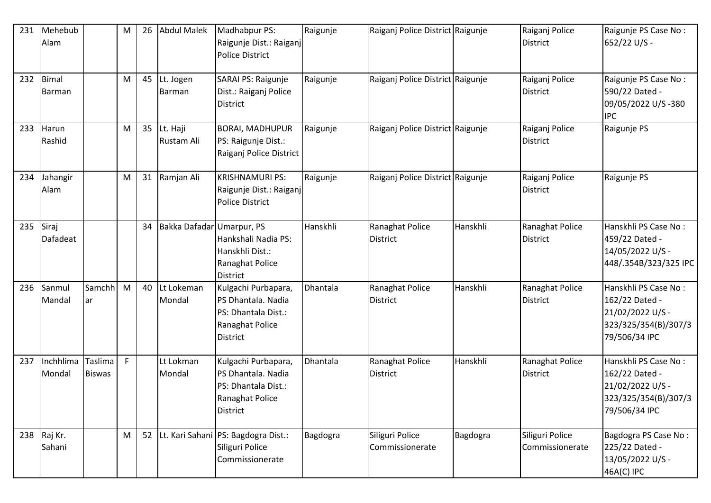| 231 | Mehebub<br>Alam       |                          | M | 26 | Abdul Malek               | Madhabpur PS:<br>Raigunje Dist.: Raiganj<br><b>Police District</b>                                     | Raigunje | Raiganj Police District Raigunje   |          | Raiganj Police<br><b>District</b>  | Raigunje PS Case No:<br>652/22 U/S -                                                                |
|-----|-----------------------|--------------------------|---|----|---------------------------|--------------------------------------------------------------------------------------------------------|----------|------------------------------------|----------|------------------------------------|-----------------------------------------------------------------------------------------------------|
| 232 | Bimal<br>Barman       |                          | M | 45 | Lt. Jogen<br>Barman       | SARAI PS: Raigunje<br>Dist.: Raiganj Police<br><b>District</b>                                         | Raigunje | Raiganj Police District Raigunje   |          | Raiganj Police<br><b>District</b>  | Raigunje PS Case No:<br>590/22 Dated -<br>09/05/2022 U/S-380<br><b>IPC</b>                          |
| 233 | Harun<br>Rashid       |                          | M | 35 | Lt. Haji<br>Rustam Ali    | <b>BORAI, MADHUPUR</b><br>PS: Raigunje Dist.:<br>Raiganj Police District                               | Raigunje | Raiganj Police District Raigunje   |          | Raiganj Police<br><b>District</b>  | Raigunje PS                                                                                         |
| 234 | Jahangir<br>Alam      |                          | M |    | 31 Ramjan Ali             | <b>KRISHNAMURI PS:</b><br>Raigunje Dist.: Raiganj<br><b>Police District</b>                            | Raigunje | Raiganj Police District Raigunje   |          | Raiganj Police<br><b>District</b>  | Raigunje PS                                                                                         |
| 235 | Siraj<br>Dafadeat     |                          |   | 34 | Bakka Dafadar Umarpur, PS | Hankshali Nadia PS:<br>Hanskhli Dist.:<br>Ranaghat Police<br>District                                  | Hanskhli | Ranaghat Police<br><b>District</b> | Hanskhli | Ranaghat Police<br><b>District</b> | Hanskhli PS Case No:<br>459/22 Dated -<br>14/05/2022 U/S -<br>448/.354B/323/325 IPC                 |
| 236 | Sanmul<br>Mandal      | Samchh<br>ar             | M | 40 | Lt Lokeman<br>Mondal      | Kulgachi Purbapara,<br>PS Dhantala. Nadia<br>PS: Dhantala Dist.:<br>Ranaghat Police<br>District        | Dhantala | Ranaghat Police<br><b>District</b> | Hanskhli | Ranaghat Police<br><b>District</b> | Hanskhli PS Case No:<br>162/22 Dated -<br>21/02/2022 U/S -<br>323/325/354(B)/307/3<br>79/506/34 IPC |
| 237 | Inchhlima<br>Mondal   | Taslima<br><b>Biswas</b> | F |    | Lt Lokman<br>Mondal       | Kulgachi Purbapara,<br>PS Dhantala. Nadia<br>PS: Dhantala Dist.:<br>Ranaghat Police<br><b>District</b> | Dhantala | Ranaghat Police<br>District        | Hanskhli | Ranaghat Police<br><b>District</b> | Hanskhli PS Case No:<br>162/22 Dated -<br>21/02/2022 U/S -<br>323/325/354(B)/307/3<br>79/506/34 IPC |
|     | 238 Raj Kr.<br>Sahani |                          | M |    |                           | 52 Lt. Kari Sahani PS: Bagdogra Dist.:<br>Siliguri Police<br>Commissionerate                           | Bagdogra | Siliguri Police<br>Commissionerate | Bagdogra | Siliguri Police<br>Commissionerate | Bagdogra PS Case No:<br>225/22 Dated -<br>13/05/2022 U/S -<br>46A(C) IPC                            |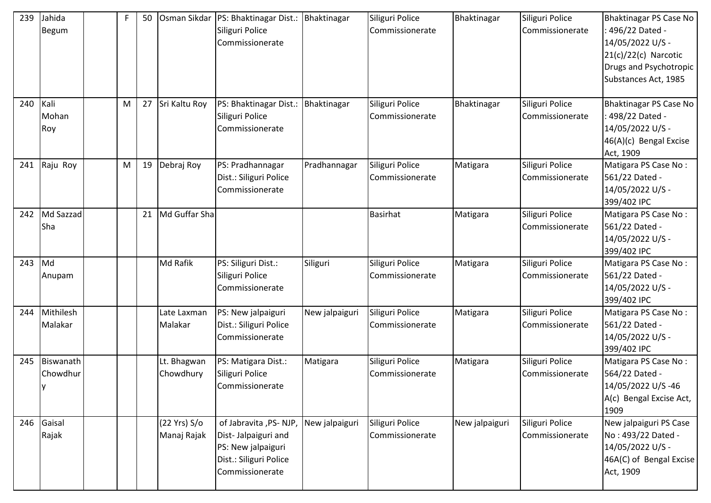| 239 | Jahida<br><b>Begum</b>       | F | 50 |                             | Osman Sikdar   PS: Bhaktinagar Dist.:<br>Siliguri Police<br>Commissionerate                                      | Bhaktinagar    | Siliguri Police<br>Commissionerate | Bhaktinagar    | Siliguri Police<br>Commissionerate | Bhaktinagar PS Case No<br>496/22 Dated -<br>14/05/2022 U/S -<br>$21(c)/22(c)$ Narcotic<br>Drugs and Psychotropic<br>Substances Act, 1985 |
|-----|------------------------------|---|----|-----------------------------|------------------------------------------------------------------------------------------------------------------|----------------|------------------------------------|----------------|------------------------------------|------------------------------------------------------------------------------------------------------------------------------------------|
| 240 | Kali<br>Mohan<br>Roy         | M | 27 | Sri Kaltu Roy               | PS: Bhaktinagar Dist.:<br>Siliguri Police<br>Commissionerate                                                     | Bhaktinagar    | Siliguri Police<br>Commissionerate | Bhaktinagar    | Siliguri Police<br>Commissionerate | Bhaktinagar PS Case No<br>498/22 Dated -<br>14/05/2022 U/S -<br>46(A)(c) Bengal Excise<br>Act, 1909                                      |
| 241 | Raju Roy                     | M | 19 | Debraj Roy                  | PS: Pradhannagar<br>Dist.: Siliguri Police<br>Commissionerate                                                    | Pradhannagar   | Siliguri Police<br>Commissionerate | Matigara       | Siliguri Police<br>Commissionerate | Matigara PS Case No:<br>561/22 Dated -<br>14/05/2022 U/S -<br>399/402 IPC                                                                |
| 242 | Md Sazzad<br>Sha             |   | 21 | Md Guffar Sha               |                                                                                                                  |                | <b>Basirhat</b>                    | Matigara       | Siliguri Police<br>Commissionerate | Matigara PS Case No:<br>561/22 Dated -<br>14/05/2022 U/S -<br>399/402 IPC                                                                |
| 243 | Md<br>Anupam                 |   |    | Md Rafik                    | PS: Siliguri Dist.:<br>Siliguri Police<br>Commissionerate                                                        | Siliguri       | Siliguri Police<br>Commissionerate | Matigara       | Siliguri Police<br>Commissionerate | Matigara PS Case No:<br>561/22 Dated -<br>14/05/2022 U/S -<br>399/402 IPC                                                                |
| 244 | Mithilesh<br>Malakar         |   |    | Late Laxman<br>Malakar      | PS: New jalpaiguri<br>Dist.: Siliguri Police<br>Commissionerate                                                  | New jalpaiguri | Siliguri Police<br>Commissionerate | Matigara       | Siliguri Police<br>Commissionerate | Matigara PS Case No:<br>561/22 Dated -<br>14/05/2022 U/S -<br>399/402 IPC                                                                |
| 245 | Biswanath<br>Chowdhur<br>IV. |   |    | Lt. Bhagwan<br>Chowdhury    | PS: Matigara Dist.:<br>Siliguri Police<br>Commissionerate                                                        | Matigara       | Siliguri Police<br>Commissionerate | Matigara       | Siliguri Police<br>Commissionerate | Matigara PS Case No:<br>564/22 Dated -<br>14/05/2022 U/S-46<br>A(c) Bengal Excise Act,<br>1909                                           |
| 246 | Gaisal<br>Rajak              |   |    | (22 Yrs) S/o<br>Manaj Rajak | of Jabravita ,PS- NJP,<br>Dist-Jalpaiguri and<br>PS: New jalpaiguri<br>Dist.: Siliguri Police<br>Commissionerate | New jalpaiguri | Siliguri Police<br>Commissionerate | New jalpaiguri | Siliguri Police<br>Commissionerate | New jalpaiguri PS Case<br>No: 493/22 Dated -<br>14/05/2022 U/S -<br>46A(C) of Bengal Excise<br>Act, 1909                                 |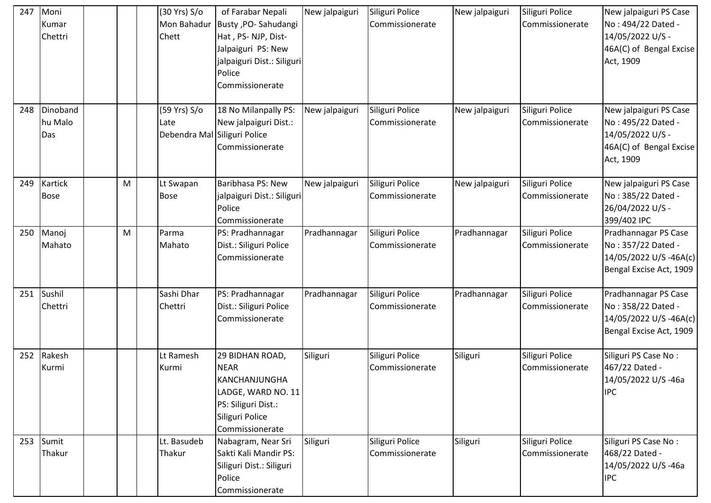| 247 | Moni<br>Kumar<br>Chettri   |   | (30 Yrs) S/o<br>Mon Bahadur<br>Chett | of Farabar Nepali<br>Busty , PO-Sahudangi<br>Hat, PS-NJP, Dist-<br>Jalpaiguri PS: New<br>jalpaiguri Dist.: Siliguri<br>Police<br>Commissionerate | New jalpaiguri | Siliguri Police<br>Commissionerate | New jalpaiguri | Siliguri Police<br>Commissionerate | New jalpaiguri PS Case<br>No: 494/22 Dated -<br>14/05/2022 U/S -<br>46A(C) of Bengal Excise<br>Act, 1909 |
|-----|----------------------------|---|--------------------------------------|--------------------------------------------------------------------------------------------------------------------------------------------------|----------------|------------------------------------|----------------|------------------------------------|----------------------------------------------------------------------------------------------------------|
| 248 | Dinoband<br>hu Malo<br>Das |   | (59 Yrs) S/o<br>Late<br>Debendra Mal | 18 No Milanpally PS:<br>New jalpaiguri Dist.:<br>Siliguri Police<br>Commissionerate                                                              | New jalpaiguri | Siliguri Police<br>Commissionerate | New jalpaiguri | Siliguri Police<br>Commissionerate | New jalpaiguri PS Case<br>No: 495/22 Dated -<br>14/05/2022 U/S -<br>46A(C) of Bengal Excise<br>Act, 1909 |
| 249 | Kartick<br><b>Bose</b>     | M | Lt Swapan<br><b>Bose</b>             | Baribhasa PS: New<br>jalpaiguri Dist.: Siliguri<br>Police<br>Commissionerate                                                                     | New jalpaiguri | Siliguri Police<br>Commissionerate | New jalpaiguri | Siliguri Police<br>Commissionerate | New jalpaiguri PS Case<br>No: 385/22 Dated -<br>26/04/2022 U/S -<br>399/402 IPC                          |
| 250 | Manoj<br>Mahato            | M | Parma<br>Mahato                      | PS: Pradhannagar<br>Dist.: Siliguri Police<br>Commissionerate                                                                                    | Pradhannagar   | Siliguri Police<br>Commissionerate | Pradhannagar   | Siliguri Police<br>Commissionerate | Pradhannagar PS Case<br>No: 357/22 Dated -<br>14/05/2022 U/S-46A(c)<br>Bengal Excise Act, 1909           |
| 251 | Sushil<br>Chettri          |   | Sashi Dhar<br>Chettri                | PS: Pradhannagar<br>Dist.: Siliguri Police<br>Commissionerate                                                                                    | Pradhannagar   | Siliguri Police<br>Commissionerate | Pradhannagar   | Siliguri Police<br>Commissionerate | Pradhannagar PS Case<br>No: 358/22 Dated -<br>14/05/2022 U/S-46A(c)<br>Bengal Excise Act, 1909           |
| 252 | Rakesh<br>Kurmi            |   | Lt Ramesh<br>Kurmi                   | 29 BIDHAN ROAD,<br><b>NEAR</b><br>KANCHANJUNGHA<br>LADGE, WARD NO. 11<br>PS: Siliguri Dist.:<br>Siliguri Police<br>Commissionerate               | Siliguri       | Siliguri Police<br>Commissionerate | Siliguri       | Siliguri Police<br>Commissionerate | Siliguri PS Case No:<br>467/22 Dated -<br>14/05/2022 U/S-46a<br><b>IPC</b>                               |
|     | 253 Sumit<br>Thakur        |   | Lt. Basudeb<br>Thakur                | Nabagram, Near Sri<br>Sakti Kali Mandir PS:<br>Siliguri Dist.: Siliguri<br>Police<br>Commissionerate                                             | Siliguri       | Siliguri Police<br>Commissionerate | Siliguri       | Siliguri Police<br>Commissionerate | Siliguri PS Case No:<br>468/22 Dated -<br>14/05/2022 U/S-46a<br><b>IPC</b>                               |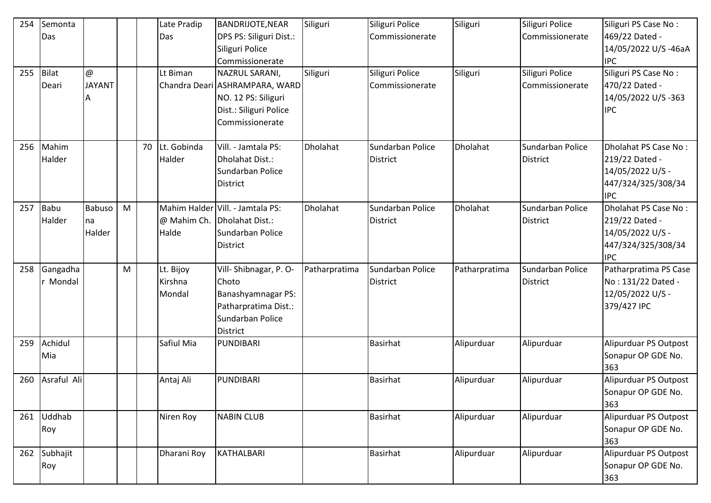| 254 | Semonta<br>Das       |                                |   |    | Late Pradip<br>Das             | <b>BANDRIJOTE, NEAR</b><br>DPS PS: Siliguri Dist.:<br>Siliguri Police<br>Commissionerate                             | Siliguri      | Siliguri Police<br>Commissionerate  | Siliguri        | Siliguri Police<br>Commissionerate  | Siliguri PS Case No:<br>469/22 Dated -<br>14/05/2022 U/S-46aA<br><b>IPC</b>                    |
|-----|----------------------|--------------------------------|---|----|--------------------------------|----------------------------------------------------------------------------------------------------------------------|---------------|-------------------------------------|-----------------|-------------------------------------|------------------------------------------------------------------------------------------------|
| 255 | Bilat<br>Deari       | $\omega$<br><b>JAYANT</b><br>A |   |    | Lt Biman                       | NAZRUL SARANI,<br>Chandra Deari ASHRAMPARA, WARD<br>NO. 12 PS: Siliguri<br>Dist.: Siliguri Police<br>Commissionerate | Siliguri      | Siliguri Police<br>Commissionerate  | Siliguri        | Siliguri Police<br>Commissionerate  | Siliguri PS Case No:<br>470/22 Dated -<br>14/05/2022 U/S-363<br><b>IPC</b>                     |
| 256 | Mahim<br>Halder      |                                |   | 70 | Lt. Gobinda<br>Halder          | Vill. - Jamtala PS:<br>Dholahat Dist.:<br>Sundarban Police<br><b>District</b>                                        | Dholahat      | Sundarban Police<br>District        | <b>Dholahat</b> | Sundarban Police<br><b>District</b> | Dholahat PS Case No:<br>219/22 Dated -<br>14/05/2022 U/S -<br>447/324/325/308/34<br><b>IPC</b> |
| 257 | Babu<br>Halder       | Babuso<br>Ina<br>Halder        | M |    | @ Mahim Ch.<br>Halde           | Mahim Halder Vill. - Jamtala PS:<br>Dholahat Dist.:<br>Sundarban Police<br><b>District</b>                           | Dholahat      | Sundarban Police<br><b>District</b> | <b>Dholahat</b> | Sundarban Police<br><b>District</b> | Dholahat PS Case No:<br>219/22 Dated -<br>14/05/2022 U/S -<br>447/324/325/308/34<br><b>IPC</b> |
| 258 | Gangadha<br>r Mondal |                                | M |    | Lt. Bijoy<br>Kirshna<br>Mondal | Vill-Shibnagar, P. O-<br>Choto<br>Banashyamnagar PS:<br>Patharpratima Dist.:<br>Sundarban Police<br><b>District</b>  | Patharpratima | Sundarban Police<br><b>District</b> | Patharpratima   | Sundarban Police<br><b>District</b> | Patharpratima PS Case<br>No: 131/22 Dated -<br>12/05/2022 U/S -<br>379/427 IPC                 |
| 259 | Achidul<br>Mia       |                                |   |    | Safiul Mia                     | PUNDIBARI                                                                                                            |               | <b>Basirhat</b>                     | Alipurduar      | Alipurduar                          | Alipurduar PS Outpost<br>Sonapur OP GDE No.<br>363                                             |
| 260 | Asraful Ali          |                                |   |    | Antaj Ali                      | PUNDIBARI                                                                                                            |               | <b>Basirhat</b>                     | Alipurduar      | Alipurduar                          | Alipurduar PS Outpost<br>Sonapur OP GDE No.<br>363                                             |
|     | 261 Uddhab<br>Roy    |                                |   |    | Niren Roy                      | <b>NABIN CLUB</b>                                                                                                    |               | <b>Basirhat</b>                     | Alipurduar      | Alipurduar                          | Alipurduar PS Outpost<br>Sonapur OP GDE No.<br>363                                             |
| 262 | Subhajit<br>Roy      |                                |   |    | Dharani Roy                    | KATHALBARI                                                                                                           |               | <b>Basirhat</b>                     | Alipurduar      | Alipurduar                          | Alipurduar PS Outpost<br>Sonapur OP GDE No.<br>363                                             |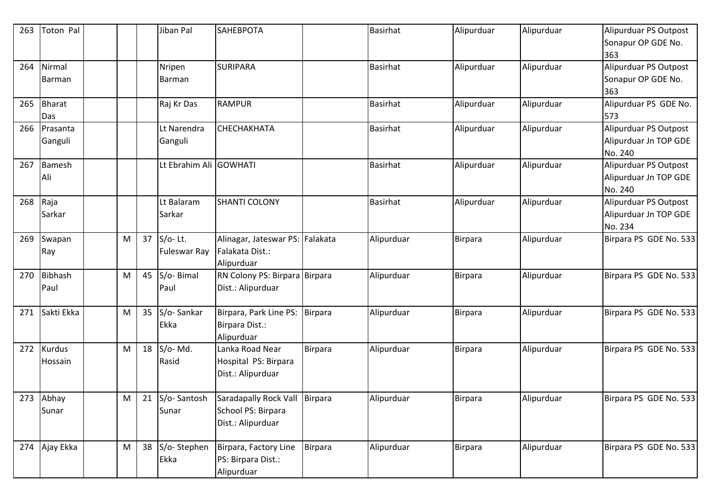| 263 | Toton Pal                       |           |    | Jiban Pal                         | SAHEBPOTA                                                               |                | <b>Basirhat</b> | Alipurduar     | Alipurduar | Alipurduar PS Outpost                                     |
|-----|---------------------------------|-----------|----|-----------------------------------|-------------------------------------------------------------------------|----------------|-----------------|----------------|------------|-----------------------------------------------------------|
|     |                                 |           |    |                                   |                                                                         |                |                 |                |            | Sonapur OP GDE No.<br>363                                 |
| 264 | Nirmal<br>Barman                |           |    | Nripen<br>Barman                  | <b>SURIPARA</b>                                                         |                | <b>Basirhat</b> | Alipurduar     | Alipurduar | Alipurduar PS Outpost<br>Sonapur OP GDE No.<br>363        |
| 265 | <b>Bharat</b><br>Das            |           |    | Raj Kr Das                        | <b>RAMPUR</b>                                                           |                | <b>Basirhat</b> | Alipurduar     | Alipurduar | Alipurduar PS GDE No.<br>573                              |
| 266 | Prasanta<br>Ganguli             |           |    | Lt Narendra<br>Ganguli            | СНЕСНАКНАТА                                                             |                | <b>Basirhat</b> | Alipurduar     | Alipurduar | Alipurduar PS Outpost<br>Alipurduar Jn TOP GDE<br>No. 240 |
| 267 | <b>Bamesh</b><br>Ali            |           |    | Lt Ebrahim Ali GOWHATI            |                                                                         |                | <b>Basirhat</b> | Alipurduar     | Alipurduar | Alipurduar PS Outpost<br>Alipurduar Jn TOP GDE<br>No. 240 |
| 268 | Raja<br>Sarkar                  |           |    | Lt Balaram<br>Sarkar              | <b>SHANTI COLONY</b>                                                    |                | <b>Basirhat</b> | Alipurduar     | Alipurduar | Alipurduar PS Outpost<br>Alipurduar Jn TOP GDE<br>No. 234 |
| 269 | Swapan<br>Ray                   | M         | 37 | $S/O-$ Lt.<br><b>Fuleswar Ray</b> | Alinagar, Jateswar PS: Falakata<br>Falakata Dist.:<br>Alipurduar        |                | Alipurduar      | Birpara        | Alipurduar | Birpara PS GDE No. 533                                    |
| 270 | Bibhash<br>Paul                 | M         | 45 | S/o- Bimal<br>Paul                | RN Colony PS: Birpara Birpara<br>Dist.: Alipurduar                      |                | Alipurduar      | Birpara        | Alipurduar | Birpara PS GDE No. 533                                    |
| 271 | Sakti Ekka                      | ${\sf M}$ | 35 | S/o-Sankar<br>Ekka                | Birpara, Park Line PS:<br>Birpara Dist.:<br>Alipurduar                  | <b>Birpara</b> | Alipurduar      | Birpara        | Alipurduar | Birpara PS GDE No. 533                                    |
| 272 | <b>Kurdus</b><br><b>Hossain</b> | M         | 18 | S/o-Md.<br>Rasid                  | Lanka Road Near<br>Hospital PS: Birpara<br>Dist.: Alipurduar            | <b>Birpara</b> | Alipurduar      | Birpara        | Alipurduar | Birpara PS GDE No. 533                                    |
|     | 273 Abhay<br>Sunar              | M         | 21 | S/o-Santosh<br>Sunar              | <b>Saradapally Rock Vall</b><br>School PS: Birpara<br>Dist.: Alipurduar | Birpara        | Alipurduar      | <b>Birpara</b> | Alipurduar | Birpara PS GDE No. 533                                    |
| 274 | Ajay Ekka                       | M         | 38 | S/o-Stephen<br>Ekka               | Birpara, Factory Line<br>PS: Birpara Dist.:<br>Alipurduar               | <b>Birpara</b> | Alipurduar      | <b>Birpara</b> | Alipurduar | Birpara PS GDE No. 533                                    |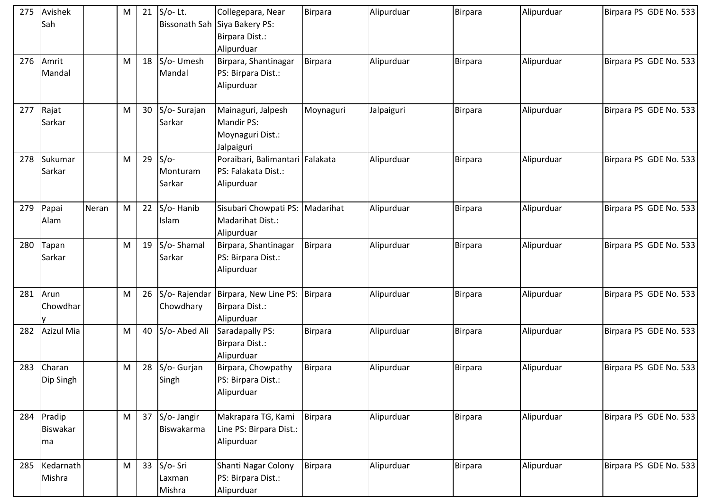| 275 | Avishek<br>Sah                      |       | M | 21 | $S/O-$ Lt.                   | Collegepara, Near<br>Bissonath Sah Siya Bakery PS:<br>Birpara Dist.:<br>Alipurduar | Birpara        | Alipurduar | <b>Birpara</b> | Alipurduar | Birpara PS GDE No. 533 |
|-----|-------------------------------------|-------|---|----|------------------------------|------------------------------------------------------------------------------------|----------------|------------|----------------|------------|------------------------|
| 276 | Amrit<br>Mandal                     |       | M | 18 | S/o- Umesh<br>Mandal         | Birpara, Shantinagar<br>PS: Birpara Dist.:<br>Alipurduar                           | <b>Birpara</b> | Alipurduar | Birpara        | Alipurduar | Birpara PS GDE No. 533 |
| 277 | Rajat<br>Sarkar                     |       | M | 30 | S/o-Surajan<br>Sarkar        | Mainaguri, Jalpesh<br><b>Mandir PS:</b><br>Moynaguri Dist.:<br>Jalpaiguri          | Moynaguri      | Jalpaiguri | <b>Birpara</b> | Alipurduar | Birpara PS GDE No. 533 |
| 278 | Sukumar<br>Sarkar                   |       | M | 29 | $S/O-$<br>Monturam<br>Sarkar | Poraibari, Balimantari Falakata<br>PS: Falakata Dist.:<br>Alipurduar               |                | Alipurduar | <b>Birpara</b> | Alipurduar | Birpara PS GDE No. 533 |
| 279 | Papai<br>Alam                       | Neran | M | 22 | S/o-Hanib<br><b>Islam</b>    | Sisubari Chowpati PS: Madarihat<br>Madarihat Dist.:<br>Alipurduar                  |                | Alipurduar | <b>Birpara</b> | Alipurduar | Birpara PS GDE No. 533 |
| 280 | Tapan<br>Sarkar                     |       | M | 19 | S/o-Shamal<br>Sarkar         | Birpara, Shantinagar<br>PS: Birpara Dist.:<br>Alipurduar                           | Birpara        | Alipurduar | Birpara        | Alipurduar | Birpara PS GDE No. 533 |
| 281 | Arun<br>Chowdhar                    |       | M | 26 | Chowdhary                    | S/o- Rajendar   Birpara, New Line PS:<br>Birpara Dist.:<br>Alipurduar              | Birpara        | Alipurduar | Birpara        | Alipurduar | Birpara PS GDE No. 533 |
| 282 | <b>Azizul Mia</b>                   |       | M | 40 | S/o- Abed Ali                | Saradapally PS:<br>Birpara Dist.:<br>Alipurduar                                    | <b>Birpara</b> | Alipurduar | <b>Birpara</b> | Alipurduar | Birpara PS GDE No. 533 |
| 283 | Charan<br>Dip Singh                 |       | M | 28 | S/o- Gurjan<br>Singh         | Birpara, Chowpathy<br>PS: Birpara Dist.:<br>Alipurduar                             | <b>Birpara</b> | Alipurduar | Birpara        | Alipurduar | Birpara PS GDE No. 533 |
|     | 284 Pradip<br><b>Biswakar</b><br>ma |       | M | 37 | S/o- Jangir<br>Biswakarma    | Makrapara TG, Kami<br>Line PS: Birpara Dist.:<br>Alipurduar                        | Birpara        | Alipurduar | <b>Birpara</b> | Alipurduar | Birpara PS GDE No. 533 |
|     | 285 Kedarnath<br>Mishra             |       | M | 33 | S/o-Sri<br>Laxman<br>Mishra  | Shanti Nagar Colony<br>PS: Birpara Dist.:<br>Alipurduar                            | Birpara        | Alipurduar | Birpara        | Alipurduar | Birpara PS GDE No. 533 |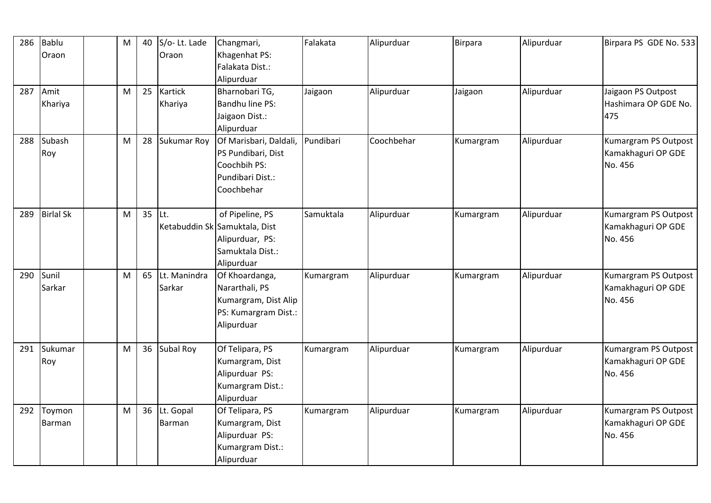| 286 | Bablu            | M |    | S/o-Lt. Lade       |                               | Falakata  |            |                |            |                        |
|-----|------------------|---|----|--------------------|-------------------------------|-----------|------------|----------------|------------|------------------------|
|     |                  |   | 40 |                    | Changmari,                    |           | Alipurduar | <b>Birpara</b> | Alipurduar | Birpara PS GDE No. 533 |
|     | Oraon            |   |    | Oraon              | Khagenhat PS:                 |           |            |                |            |                        |
|     |                  |   |    |                    | Falakata Dist.:               |           |            |                |            |                        |
|     |                  |   |    |                    | Alipurduar                    |           |            |                |            |                        |
|     | 287 Amit         | M | 25 | Kartick            | Bharnobari TG,                | Jaigaon   | Alipurduar | Jaigaon        | Alipurduar | Jaigaon PS Outpost     |
|     | Khariya          |   |    | Khariya            | Bandhu line PS:               |           |            |                |            | Hashimara OP GDE No.   |
|     |                  |   |    |                    | Jaigaon Dist.:                |           |            |                |            | 475                    |
|     |                  |   |    |                    | Alipurduar                    |           |            |                |            |                        |
| 288 | Subash           | M | 28 | <b>Sukumar Roy</b> | Of Marisbari, Daldali,        | Pundibari | Coochbehar | Kumargram      | Alipurduar | Kumargram PS Outpost   |
|     | Roy              |   |    |                    | PS Pundibari, Dist            |           |            |                |            | Kamakhaguri OP GDE     |
|     |                  |   |    |                    | Coochbih PS:                  |           |            |                |            | No. 456                |
|     |                  |   |    |                    | Pundibari Dist.:              |           |            |                |            |                        |
|     |                  |   |    |                    | Coochbehar                    |           |            |                |            |                        |
|     |                  |   |    |                    |                               |           |            |                |            |                        |
| 289 | <b>Birlal Sk</b> | M | 35 | ILt.               | of Pipeline, PS               | Samuktala | Alipurduar | Kumargram      | Alipurduar | Kumargram PS Outpost   |
|     |                  |   |    |                    | Ketabuddin Sk Samuktala, Dist |           |            |                |            | Kamakhaguri OP GDE     |
|     |                  |   |    |                    | Alipurduar, PS:               |           |            |                |            | No. 456                |
|     |                  |   |    |                    | Samuktala Dist.:              |           |            |                |            |                        |
|     |                  |   |    |                    | Alipurduar                    |           |            |                |            |                        |
| 290 | Sunil            | M | 65 | Lt. Manindra       | Of Khoardanga,                | Kumargram | Alipurduar | Kumargram      | Alipurduar | Kumargram PS Outpost   |
|     | Sarkar           |   |    | Sarkar             | Nararthali, PS                |           |            |                |            | Kamakhaguri OP GDE     |
|     |                  |   |    |                    | Kumargram, Dist Alip          |           |            |                |            | No. 456                |
|     |                  |   |    |                    |                               |           |            |                |            |                        |
|     |                  |   |    |                    | PS: Kumargram Dist.:          |           |            |                |            |                        |
|     |                  |   |    |                    | Alipurduar                    |           |            |                |            |                        |
|     |                  | M | 36 | Subal Roy          | Of Telipara, PS               |           |            |                |            |                        |
| 291 | Sukumar          |   |    |                    |                               | Kumargram | Alipurduar | Kumargram      | Alipurduar | Kumargram PS Outpost   |
|     | Roy              |   |    |                    | Kumargram, Dist               |           |            |                |            | Kamakhaguri OP GDE     |
|     |                  |   |    |                    | Alipurduar PS:                |           |            |                |            | No. 456                |
|     |                  |   |    |                    | Kumargram Dist.:              |           |            |                |            |                        |
|     |                  |   |    |                    | Alipurduar                    |           |            |                |            |                        |
| 292 | Toymon           | M | 36 | Lt. Gopal          | Of Telipara, PS               | Kumargram | Alipurduar | Kumargram      | Alipurduar | Kumargram PS Outpost   |
|     | Barman           |   |    | Barman             | Kumargram, Dist               |           |            |                |            | Kamakhaguri OP GDE     |
|     |                  |   |    |                    | Alipurduar PS:                |           |            |                |            | No. 456                |
|     |                  |   |    |                    | Kumargram Dist.:              |           |            |                |            |                        |
|     |                  |   |    |                    | Alipurduar                    |           |            |                |            |                        |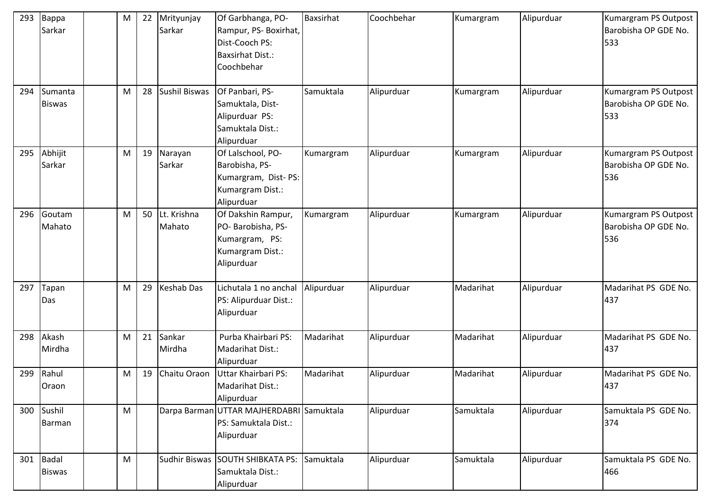| 293 | Bappa<br>Sarkar          | M | 22 | Mrityunjay<br>Sarkar  | Of Garbhanga, PO-<br>Rampur, PS- Boxirhat,<br>Dist-Cooch PS:<br><b>Baxsirhat Dist.:</b><br>Coochbehar | Baxsirhat  | Coochbehar | Kumargram | Alipurduar | Kumargram PS Outpost<br>Barobisha OP GDE No.<br>533 |
|-----|--------------------------|---|----|-----------------------|-------------------------------------------------------------------------------------------------------|------------|------------|-----------|------------|-----------------------------------------------------|
| 294 | Sumanta<br><b>Biswas</b> | M | 28 | Sushil Biswas         | Of Panbari, PS-<br>Samuktala, Dist-<br>Alipurduar PS:<br>Samuktala Dist.:<br>Alipurduar               | Samuktala  | Alipurduar | Kumargram | Alipurduar | Kumargram PS Outpost<br>Barobisha OP GDE No.<br>533 |
| 295 | Abhijit<br>Sarkar        | M | 19 | Narayan<br>Sarkar     | Of Lalschool, PO-<br>Barobisha, PS-<br>Kumargram, Dist-PS:<br>Kumargram Dist.:<br>Alipurduar          | Kumargram  | Alipurduar | Kumargram | Alipurduar | Kumargram PS Outpost<br>Barobisha OP GDE No.<br>536 |
| 296 | Goutam<br>Mahato         | M | 50 | Lt. Krishna<br>Mahato | Of Dakshin Rampur,<br>PO-Barobisha, PS-<br>Kumargram, PS:<br>Kumargram Dist.:<br>Alipurduar           | Kumargram  | Alipurduar | Kumargram | Alipurduar | Kumargram PS Outpost<br>Barobisha OP GDE No.<br>536 |
| 297 | Tapan<br>Das             | M | 29 | <b>Keshab Das</b>     | Lichutala 1 no anchal<br>PS: Alipurduar Dist.:<br>Alipurduar                                          | Alipurduar | Alipurduar | Madarihat | Alipurduar | Madarihat PS GDE No.<br>437                         |
| 298 | Akash<br>Mirdha          | M | 21 | Sankar<br>Mirdha      | Purba Khairbari PS:<br>Madarihat Dist.:<br>Alipurduar                                                 | Madarihat  | Alipurduar | Madarihat | Alipurduar | Madarihat PS GDE No.<br>437                         |
| 299 | Rahul<br>Oraon           | M | 19 | Chaitu Oraon          | Uttar Khairbari PS:<br>Madarihat Dist.:<br>Alipurduar                                                 | Madarihat  | Alipurduar | Madarihat | Alipurduar | Madarihat PS GDE No.<br>437                         |
|     | 300 Sushil<br>Barman     | M |    |                       | Darpa Barman UTTAR MAJHERDABRI Samuktala<br>PS: Samuktala Dist.:<br>Alipurduar                        |            | Alipurduar | Samuktala | Alipurduar | Samuktala PS GDE No.<br>374                         |
| 301 | Badal<br><b>Biswas</b>   | M |    | Sudhir Biswas         | <b>SOUTH SHIBKATA PS:</b><br>Samuktala Dist.:<br>Alipurduar                                           | Samuktala  | Alipurduar | Samuktala | Alipurduar | Samuktala PS GDE No.<br>466                         |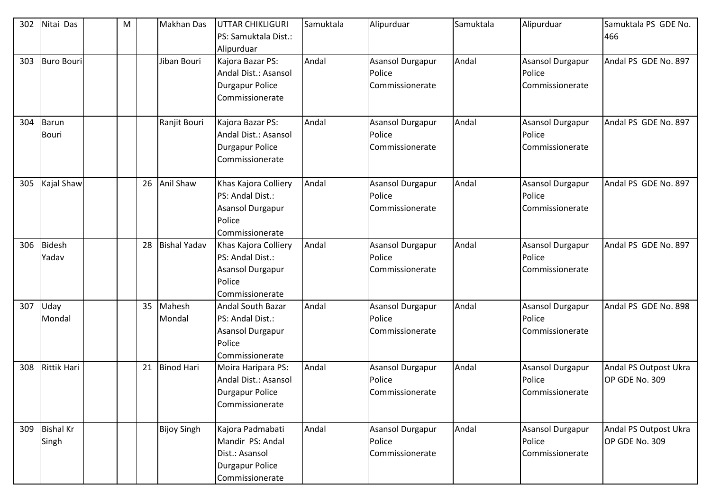| 302 | Nitai Das                 | M |    | <b>Makhan Das</b>   | UTTAR CHIKLIGURI<br>PS: Samuktala Dist.:<br>Alipurduar                                        | Samuktala | Alipurduar                                    | Samuktala | Alipurduar                                           | Samuktala PS GDE No.<br>466             |
|-----|---------------------------|---|----|---------------------|-----------------------------------------------------------------------------------------------|-----------|-----------------------------------------------|-----------|------------------------------------------------------|-----------------------------------------|
| 303 | <b>Buro Bouri</b>         |   |    | Jiban Bouri         | Kajora Bazar PS:<br>Andal Dist.: Asansol<br><b>Durgapur Police</b><br>Commissionerate         | Andal     | Asansol Durgapur<br>Police<br>Commissionerate | Andal     | <b>Asansol Durgapur</b><br>Police<br>Commissionerate | Andal PS GDE No. 897                    |
| 304 | Barun<br><b>Bouri</b>     |   |    | Ranjit Bouri        | Kajora Bazar PS:<br>Andal Dist.: Asansol<br>Durgapur Police<br>Commissionerate                | Andal     | Asansol Durgapur<br>Police<br>Commissionerate | Andal     | <b>Asansol Durgapur</b><br>Police<br>Commissionerate | Andal PS GDE No. 897                    |
| 305 | Kajal Shaw                |   | 26 | <b>Anil Shaw</b>    | Khas Kajora Colliery<br>PS: Andal Dist.:<br>Asansol Durgapur<br>Police<br>Commissionerate     | Andal     | Asansol Durgapur<br>Police<br>Commissionerate | Andal     | <b>Asansol Durgapur</b><br>Police<br>Commissionerate | Andal PS GDE No. 897                    |
| 306 | Bidesh<br>Yadav           |   | 28 | <b>Bishal Yadav</b> | Khas Kajora Colliery<br>PS: Andal Dist.:<br>Asansol Durgapur<br>Police<br>Commissionerate     | Andal     | Asansol Durgapur<br>Police<br>Commissionerate | Andal     | <b>Asansol Durgapur</b><br>Police<br>Commissionerate | Andal PS GDE No. 897                    |
| 307 | Uday<br>Mondal            |   | 35 | Mahesh<br>Mondal    | <b>Andal South Bazar</b><br>PS: Andal Dist.:<br>Asansol Durgapur<br>Police<br>Commissionerate | Andal     | Asansol Durgapur<br>Police<br>Commissionerate | Andal     | <b>Asansol Durgapur</b><br>Police<br>Commissionerate | Andal PS GDE No. 898                    |
| 308 | <b>Rittik Hari</b>        |   | 21 | <b>Binod Hari</b>   | Moira Haripara PS:<br>Andal Dist.: Asansol<br>Durgapur Police<br>Commissionerate              | Andal     | Asansol Durgapur<br>Police<br>Commissionerate | Andal     | Asansol Durgapur<br>Police<br>Commissionerate        | Andal PS Outpost Ukra<br>OP GDE No. 309 |
| 309 | <b>Bishal Kr</b><br>Singh |   |    | <b>Bijoy Singh</b>  | Kajora Padmabati<br>Mandir PS: Andal<br>Dist.: Asansol<br>Durgapur Police<br>Commissionerate  | Andal     | Asansol Durgapur<br>Police<br>Commissionerate | Andal     | Asansol Durgapur<br>Police<br>Commissionerate        | Andal PS Outpost Ukra<br>OP GDE No. 309 |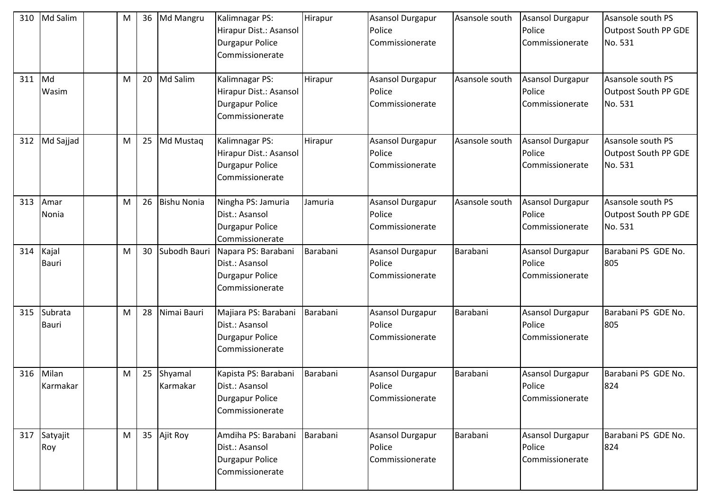| 310 | Md Salim                | M | 36 | Md Mangru           | Kalimnagar PS:<br>Hirapur Dist.: Asansol<br><b>Durgapur Police</b><br>Commissionerate | Hirapur  | <b>Asansol Durgapur</b><br>Police<br>Commissionerate | Asansole south | Asansol Durgapur<br>Police<br>Commissionerate | Asansole south PS<br>Outpost South PP GDE<br>No. 531 |
|-----|-------------------------|---|----|---------------------|---------------------------------------------------------------------------------------|----------|------------------------------------------------------|----------------|-----------------------------------------------|------------------------------------------------------|
| 311 | Md<br>Wasim             | M | 20 | Md Salim            | Kalimnagar PS:<br>Hirapur Dist.: Asansol<br><b>Durgapur Police</b><br>Commissionerate | Hirapur  | Asansol Durgapur<br>Police<br>Commissionerate        | Asansole south | Asansol Durgapur<br>Police<br>Commissionerate | Asansole south PS<br>Outpost South PP GDE<br>No. 531 |
| 312 | Md Sajjad               | M | 25 | Md Mustaq           | Kalimnagar PS:<br>Hirapur Dist.: Asansol<br><b>Durgapur Police</b><br>Commissionerate | Hirapur  | <b>Asansol Durgapur</b><br>Police<br>Commissionerate | Asansole south | Asansol Durgapur<br>Police<br>Commissionerate | Asansole south PS<br>Outpost South PP GDE<br>No. 531 |
| 313 | Amar<br>Nonia           | M | 26 | <b>Bishu Nonia</b>  | Ningha PS: Jamuria<br>Dist.: Asansol<br><b>Durgapur Police</b><br>Commissionerate     | Jamuria  | <b>Asansol Durgapur</b><br>Police<br>Commissionerate | Asansole south | Asansol Durgapur<br>Police<br>Commissionerate | Asansole south PS<br>Outpost South PP GDE<br>No. 531 |
| 314 | Kajal<br><b>Bauri</b>   | M | 30 | Subodh Bauri        | Napara PS: Barabani<br>Dist.: Asansol<br><b>Durgapur Police</b><br>Commissionerate    | Barabani | Asansol Durgapur<br>Police<br>Commissionerate        | Barabani       | Asansol Durgapur<br>Police<br>Commissionerate | Barabani PS GDE No.<br>805                           |
| 315 | Subrata<br><b>Bauri</b> | M | 28 | Nimai Bauri         | Majiara PS: Barabani<br>Dist.: Asansol<br><b>Durgapur Police</b><br>Commissionerate   | Barabani | Asansol Durgapur<br>Police<br>Commissionerate        | Barabani       | Asansol Durgapur<br>Police<br>Commissionerate | Barabani PS GDE No.<br>805                           |
| 316 | Milan<br>Karmakar       | M | 25 | Shyamal<br>Karmakar | Kapista PS: Barabani<br>Dist.: Asansol<br>Durgapur Police<br>Commissionerate          | Barabani | Asansol Durgapur<br>Police<br>Commissionerate        | Barabani       | Asansol Durgapur<br>Police<br>Commissionerate | Barabani PS GDE No.<br>824                           |
| 317 | Satyajit<br>Roy         | M | 35 | Ajit Roy            | Amdiha PS: Barabani<br>Dist.: Asansol<br><b>Durgapur Police</b><br>Commissionerate    | Barabani | Asansol Durgapur<br>Police<br>Commissionerate        | Barabani       | Asansol Durgapur<br>Police<br>Commissionerate | Barabani PS GDE No.<br>824                           |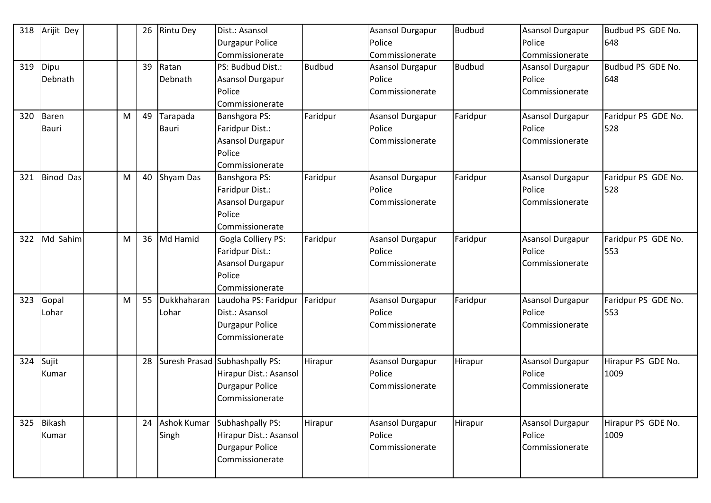| 318 | Arijit Dey       |   | 26 | <b>Rintu Dey</b>   | Dist.: Asansol                 |               | Asansol Durgapur | <b>Budbud</b> | <b>Asansol Durgapur</b> | Budbud PS GDE No.   |
|-----|------------------|---|----|--------------------|--------------------------------|---------------|------------------|---------------|-------------------------|---------------------|
|     |                  |   |    |                    | <b>Durgapur Police</b>         |               | Police           |               | Police                  | 648                 |
|     |                  |   |    |                    | Commissionerate                |               | Commissionerate  |               | Commissionerate         |                     |
| 319 | Dipu             |   | 39 | Ratan              | PS: Budbud Dist.:              | <b>Budbud</b> | Asansol Durgapur | <b>Budbud</b> | Asansol Durgapur        | Budbud PS GDE No.   |
|     | Debnath          |   |    | Debnath            | Asansol Durgapur               |               | Police           |               | Police                  | 648                 |
|     |                  |   |    |                    | Police                         |               | Commissionerate  |               | Commissionerate         |                     |
|     |                  |   |    |                    | Commissionerate                |               |                  |               |                         |                     |
| 320 | <b>Baren</b>     | M | 49 | Tarapada           | Banshgora PS:                  | Faridpur      | Asansol Durgapur | Faridpur      | Asansol Durgapur        | Faridpur PS GDE No. |
|     | <b>Bauri</b>     |   |    | <b>Bauri</b>       | Faridpur Dist.:                |               | Police           |               | Police                  | 528                 |
|     |                  |   |    |                    | Asansol Durgapur               |               | Commissionerate  |               | Commissionerate         |                     |
|     |                  |   |    |                    | Police                         |               |                  |               |                         |                     |
|     |                  |   |    |                    | Commissionerate                |               |                  |               |                         |                     |
| 321 | <b>Binod Das</b> | M | 40 | Shyam Das          | Banshgora PS:                  | Faridpur      | Asansol Durgapur | Faridpur      | <b>Asansol Durgapur</b> | Faridpur PS GDE No. |
|     |                  |   |    |                    | Faridpur Dist.:                |               | Police           |               | Police                  | 528                 |
|     |                  |   |    |                    | Asansol Durgapur               |               | Commissionerate  |               | Commissionerate         |                     |
|     |                  |   |    |                    | Police                         |               |                  |               |                         |                     |
|     |                  |   |    |                    | Commissionerate                |               |                  |               |                         |                     |
| 322 | Md Sahim         | M | 36 | Md Hamid           | <b>Gogla Colliery PS:</b>      | Faridpur      | Asansol Durgapur | Faridpur      | <b>Asansol Durgapur</b> | Faridpur PS GDE No. |
|     |                  |   |    |                    | Faridpur Dist.:                |               | Police           |               | Police                  | 553                 |
|     |                  |   |    |                    | Asansol Durgapur               |               | Commissionerate  |               | Commissionerate         |                     |
|     |                  |   |    |                    | Police                         |               |                  |               |                         |                     |
|     |                  |   |    |                    | Commissionerate                |               |                  |               |                         |                     |
| 323 | Gopal            | M | 55 | Dukkhaharan        | Laudoha PS: Faridpur           | Faridpur      | Asansol Durgapur | Faridpur      | <b>Asansol Durgapur</b> | Faridpur PS GDE No. |
|     | Lohar            |   |    | Lohar              | Dist.: Asansol                 |               | Police           |               | Police                  | 553                 |
|     |                  |   |    |                    | <b>Durgapur Police</b>         |               | Commissionerate  |               | Commissionerate         |                     |
|     |                  |   |    |                    | Commissionerate                |               |                  |               |                         |                     |
|     |                  |   |    |                    |                                |               |                  |               |                         |                     |
| 324 | Sujit            |   | 28 |                    | Suresh Prasad Subhashpally PS: | Hirapur       | Asansol Durgapur | Hirapur       | <b>Asansol Durgapur</b> | Hirapur PS GDE No.  |
|     | Kumar            |   |    |                    | Hirapur Dist.: Asansol         |               | Police           |               | Police                  | 1009                |
|     |                  |   |    |                    | <b>Durgapur Police</b>         |               | Commissionerate  |               | Commissionerate         |                     |
|     |                  |   |    |                    | Commissionerate                |               |                  |               |                         |                     |
|     |                  |   |    |                    |                                |               |                  |               |                         |                     |
|     | 325 Bikash       |   | 24 | <b>Ashok Kumar</b> | Subhashpally PS:               | Hirapur       | Asansol Durgapur | Hirapur       | Asansol Durgapur        | Hirapur PS GDE No.  |
|     | Kumar            |   |    | Singh              | Hirapur Dist.: Asansol         |               | Police           |               | Police                  | 1009                |
|     |                  |   |    |                    | Durgapur Police                |               | Commissionerate  |               | Commissionerate         |                     |
|     |                  |   |    |                    | Commissionerate                |               |                  |               |                         |                     |
|     |                  |   |    |                    |                                |               |                  |               |                         |                     |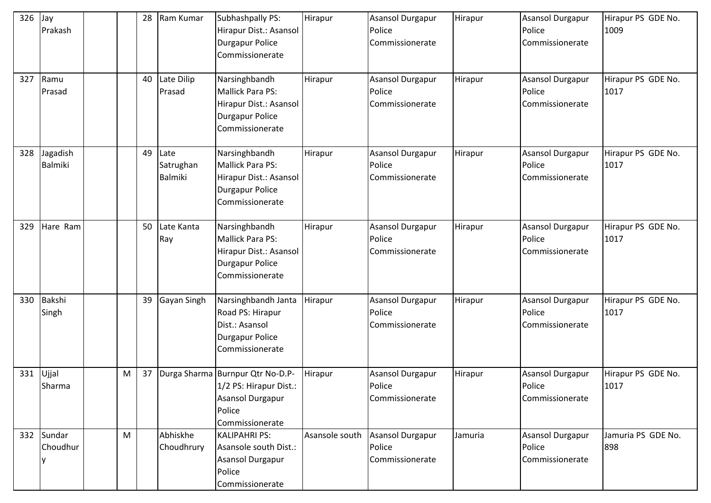| 326 | Jay<br>Prakash         |   | 28 | Ram Kumar                    | Subhashpally PS:<br>Hirapur Dist.: Asansol<br><b>Durgapur Police</b><br>Commissionerate                            | Hirapur        | Asansol Durgapur<br>Police<br>Commissionerate        | Hirapur | <b>Asansol Durgapur</b><br>Police<br>Commissionerate | Hirapur PS GDE No.<br>1009 |
|-----|------------------------|---|----|------------------------------|--------------------------------------------------------------------------------------------------------------------|----------------|------------------------------------------------------|---------|------------------------------------------------------|----------------------------|
| 327 | Ramu<br>Prasad         |   | 40 | Late Dilip<br>Prasad         | Narsinghbandh<br>Mallick Para PS:<br>Hirapur Dist.: Asansol<br><b>Durgapur Police</b><br>Commissionerate           | Hirapur        | Asansol Durgapur<br>Police<br>Commissionerate        | Hirapur | Asansol Durgapur<br>Police<br>Commissionerate        | Hirapur PS GDE No.<br>1017 |
| 328 | Jagadish<br>Balmiki    |   | 49 | Late<br>Satrughan<br>Balmiki | Narsinghbandh<br><b>Mallick Para PS:</b><br>Hirapur Dist.: Asansol<br><b>Durgapur Police</b><br>Commissionerate    | Hirapur        | Asansol Durgapur<br>Police<br>Commissionerate        | Hirapur | Asansol Durgapur<br>Police<br>Commissionerate        | Hirapur PS GDE No.<br>1017 |
| 329 | Hare Ram               |   | 50 | Late Kanta<br>Ray            | Narsinghbandh<br><b>Mallick Para PS:</b><br>Hirapur Dist.: Asansol<br><b>Durgapur Police</b><br>Commissionerate    | Hirapur        | Asansol Durgapur<br>Police<br>Commissionerate        | Hirapur | Asansol Durgapur<br>Police<br>Commissionerate        | Hirapur PS GDE No.<br>1017 |
| 330 | Bakshi<br>Singh        |   | 39 | Gayan Singh                  | Narsinghbandh Janta<br>Road PS: Hirapur<br>Dist.: Asansol<br><b>Durgapur Police</b><br>Commissionerate             | Hirapur        | Asansol Durgapur<br>Police<br>Commissionerate        | Hirapur | <b>Asansol Durgapur</b><br>Police<br>Commissionerate | Hirapur PS GDE No.<br>1017 |
| 331 | Ujjal<br>Sharma        | M | 37 |                              | Durga Sharma Burnpur Qtr No-D.P-<br>1/2 PS: Hirapur Dist.:<br><b>Asansol Durgapur</b><br>Police<br>Commissionerate | Hirapur        | Asansol Durgapur<br>Police<br>Commissionerate        | Hirapur | Asansol Durgapur<br>Police<br>Commissionerate        | Hirapur PS GDE No.<br>1017 |
|     | 332 Sundar<br>Choudhur | M |    | Abhiskhe<br>Choudhrury       | <b>KALIPAHRI PS:</b><br>Asansole south Dist.:<br><b>Asansol Durgapur</b><br>Police<br>Commissionerate              | Asansole south | <b>Asansol Durgapur</b><br>Police<br>Commissionerate | Jamuria | <b>Asansol Durgapur</b><br>Police<br>Commissionerate | Jamuria PS GDE No.<br>898  |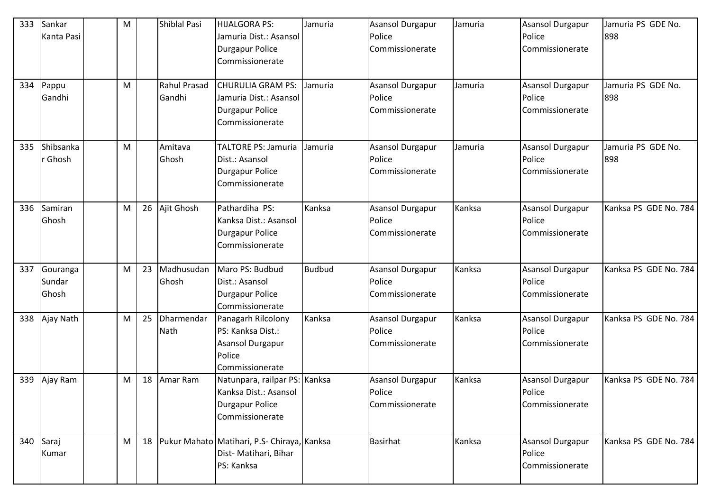| 333 | Sankar<br>Kanta Pasi               | ${\sf M}$ |    | Shiblal Pasi           | HIJALGORA PS:<br>Jamuria Dist.: Asansol<br><b>Durgapur Police</b><br>Commissionerate                | Jamuria       | <b>Asansol Durgapur</b><br>Police<br>Commissionerate | Jamuria | Asansol Durgapur<br>Police<br>Commissionerate        | Jamuria PS GDE No.<br>898 |
|-----|------------------------------------|-----------|----|------------------------|-----------------------------------------------------------------------------------------------------|---------------|------------------------------------------------------|---------|------------------------------------------------------|---------------------------|
| 334 | Pappu<br>Gandhi                    | M         |    | Rahul Prasad<br>Gandhi | <b>CHURULIA GRAM PS:</b><br>Jamuria Dist.: Asansol<br><b>Durgapur Police</b><br>Commissionerate     | Jamuria       | <b>Asansol Durgapur</b><br>Police<br>Commissionerate | Jamuria | <b>Asansol Durgapur</b><br>Police<br>Commissionerate | Jamuria PS GDE No.<br>898 |
| 335 | Shibsanka<br>r Ghosh               | M         |    | Amitava<br>Ghosh       | <b>TALTORE PS: Jamuria</b><br>Dist.: Asansol<br><b>Durgapur Police</b><br>Commissionerate           | Jamuria       | <b>Asansol Durgapur</b><br>Police<br>Commissionerate | Jamuria | Asansol Durgapur<br>Police<br>Commissionerate        | Jamuria PS GDE No.<br>898 |
| 336 | Samiran<br>Ghosh                   | M         | 26 | Ajit Ghosh             | Pathardiha PS:<br>Kanksa Dist.: Asansol<br><b>Durgapur Police</b><br>Commissionerate                | Kanksa        | <b>Asansol Durgapur</b><br>Police<br>Commissionerate | Kanksa  | Asansol Durgapur<br>Police<br>Commissionerate        | Kanksa PS GDE No. 784     |
| 337 | Gouranga<br>Sundar<br><b>Ghosh</b> | M         | 23 | Madhusudan<br>Ghosh    | Maro PS: Budbud<br>Dist.: Asansol<br><b>Durgapur Police</b><br>Commissionerate                      | <b>Budbud</b> | <b>Asansol Durgapur</b><br>Police<br>Commissionerate | Kanksa  | Asansol Durgapur<br>Police<br>Commissionerate        | Kanksa PS GDE No. 784     |
| 338 | Ajay Nath                          | M         | 25 | Dharmendar<br>Nath     | Panagarh Rilcolony<br>PS: Kanksa Dist.:<br>Asansol Durgapur<br>Police<br>Commissionerate            | Kanksa        | Asansol Durgapur<br>Police<br>Commissionerate        | Kanksa  | <b>Asansol Durgapur</b><br>Police<br>Commissionerate | Kanksa PS GDE No. 784     |
| 339 | Ajay Ram                           | M         | 18 | Amar Ram               | Natunpara, railpar PS: Kanksa<br>Kanksa Dist.: Asansol<br><b>Durgapur Police</b><br>Commissionerate |               | Asansol Durgapur<br>Police<br>Commissionerate        | Kanksa  | <b>Asansol Durgapur</b><br>Police<br>Commissionerate | Kanksa PS GDE No. 784     |
|     | 340 Saraj<br>Kumar                 | M         | 18 |                        | Pukur Mahato Matihari, P.S- Chiraya, Kanksa<br>Dist- Matihari, Bihar<br>PS: Kanksa                  |               | <b>Basirhat</b>                                      | Kanksa  | Asansol Durgapur<br>Police<br>Commissionerate        | Kanksa PS GDE No. 784     |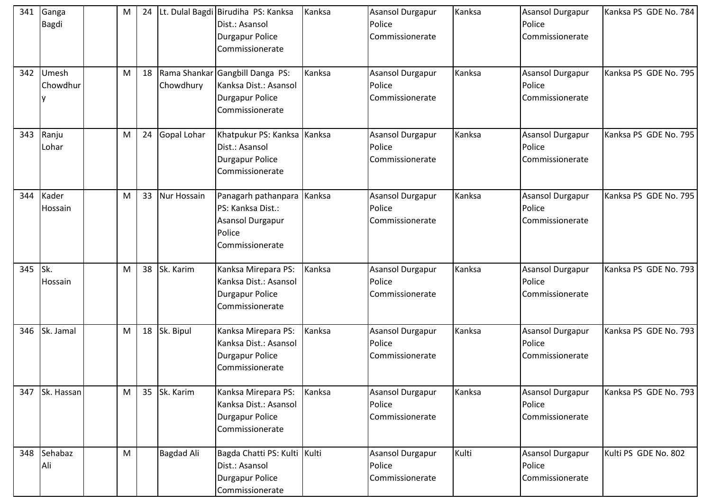| 341     | Ganga<br>Bagdi     | M |    |                   | Lt. Dulal Bagdi Birudiha PS: Kanksa<br>Dist.: Asansol<br><b>Durgapur Police</b><br>Commissionerate    | Kanksa | Asansol Durgapur<br>Police<br>Commissionerate        | Kanksa | <b>Asansol Durgapur</b><br>Police<br>Commissionerate | Kanksa PS GDE No. 784 |
|---------|--------------------|---|----|-------------------|-------------------------------------------------------------------------------------------------------|--------|------------------------------------------------------|--------|------------------------------------------------------|-----------------------|
| 342     | Umesh<br>Chowdhur  | M | 18 | Chowdhury         | Rama Shankar Gangbill Danga PS:<br>Kanksa Dist.: Asansol<br><b>Durgapur Police</b><br>Commissionerate | Kanksa | Asansol Durgapur<br>Police<br>Commissionerate        | Kanksa | Asansol Durgapur<br>Police<br>Commissionerate        | Kanksa PS GDE No. 795 |
| 343     | Ranju<br>Lohar     | M | 24 | Gopal Lohar       | Khatpukur PS: Kanksa Kanksa<br>Dist.: Asansol<br><b>Durgapur Police</b><br>Commissionerate            |        | <b>Asansol Durgapur</b><br>Police<br>Commissionerate | Kanksa | Asansol Durgapur<br>Police<br>Commissionerate        | Kanksa PS GDE No. 795 |
| 344     | Kader<br>Hossain   | M | 33 | Nur Hossain       | Panagarh pathanpara<br>PS: Kanksa Dist.:<br>Asansol Durgapur<br>Police<br>Commissionerate             | Kanksa | Asansol Durgapur<br>Police<br>Commissionerate        | Kanksa | Asansol Durgapur<br>Police<br>Commissionerate        | Kanksa PS GDE No. 795 |
| 345 Sk. | Hossain            | M | 38 | Sk. Karim         | Kanksa Mirepara PS:<br>Kanksa Dist.: Asansol<br><b>Durgapur Police</b><br>Commissionerate             | Kanksa | Asansol Durgapur<br>Police<br>Commissionerate        | Kanksa | Asansol Durgapur<br>Police<br>Commissionerate        | Kanksa PS GDE No. 793 |
| 346     | Sk. Jamal          | M | 18 | Sk. Bipul         | Kanksa Mirepara PS:<br>Kanksa Dist.: Asansol<br><b>Durgapur Police</b><br>Commissionerate             | Kanksa | Asansol Durgapur<br>Police<br>Commissionerate        | Kanksa | Asansol Durgapur<br>Police<br>Commissionerate        | Kanksa PS GDE No. 793 |
| 347     | Sk. Hassan         | M | 35 | Sk. Karim         | Kanksa Mirepara PS:<br>Kanksa Dist.: Asansol<br><b>Durgapur Police</b><br>Commissionerate             | Kanksa | Asansol Durgapur<br>Police<br>Commissionerate        | Kanksa | <b>Asansol Durgapur</b><br>Police<br>Commissionerate | Kanksa PS GDE No. 793 |
|         | 348 Sehabaz<br>Ali | M |    | <b>Bagdad Ali</b> | Bagda Chatti PS: Kulti Kulti<br>Dist.: Asansol<br><b>Durgapur Police</b><br>Commissionerate           |        | Asansol Durgapur<br>Police<br>Commissionerate        | Kulti  | Asansol Durgapur<br>Police<br>Commissionerate        | Kulti PS GDE No. 802  |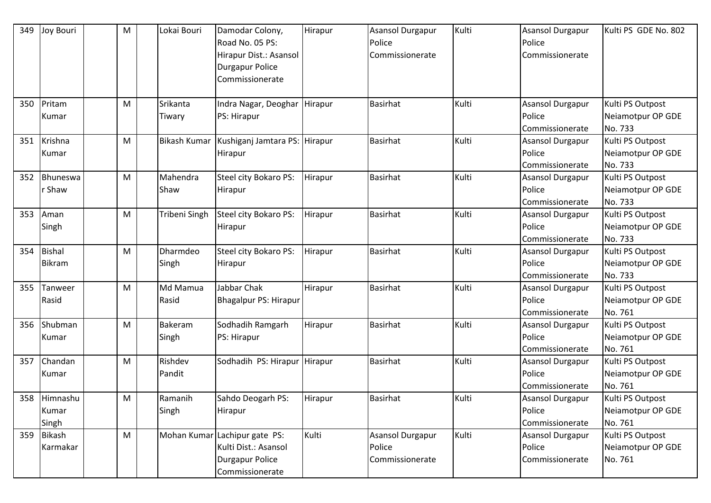| 349 | Joy Bouri                      | M | Lokai Bouri        | Damodar Colony,<br>Road No. 05 PS:<br>Hirapur Dist.: Asansol<br><b>Durgapur Police</b><br>Commissionerate | Hirapur | <b>Asansol Durgapur</b><br>Police<br>Commissionerate | Kulti | <b>Asansol Durgapur</b><br>Police<br>Commissionerate | Kulti PS GDE No. 802                             |
|-----|--------------------------------|---|--------------------|-----------------------------------------------------------------------------------------------------------|---------|------------------------------------------------------|-------|------------------------------------------------------|--------------------------------------------------|
| 350 | Pritam<br>Kumar                | M | Srikanta<br>Tiwary | Indra Nagar, Deoghar<br>PS: Hirapur                                                                       | Hirapur | <b>Basirhat</b>                                      | Kulti | Asansol Durgapur<br>Police<br>Commissionerate        | Kulti PS Outpost<br>Neiamotpur OP GDE<br>No. 733 |
| 351 | Krishna<br>Kumar               | M | Bikash Kumar       | Kushiganj Jamtara PS: Hirapur<br>Hirapur                                                                  |         | <b>Basirhat</b>                                      | Kulti | <b>Asansol Durgapur</b><br>Police<br>Commissionerate | Kulti PS Outpost<br>Neiamotpur OP GDE<br>No. 733 |
| 352 | Bhuneswa<br>r Shaw             | M | Mahendra<br>Shaw   | Steel city Bokaro PS:<br>Hirapur                                                                          | Hirapur | <b>Basirhat</b>                                      | Kulti | <b>Asansol Durgapur</b><br>Police<br>Commissionerate | Kulti PS Outpost<br>Neiamotpur OP GDE<br>No. 733 |
| 353 | Aman<br>Singh                  | M | Tribeni Singh      | Steel city Bokaro PS:<br>Hirapur                                                                          | Hirapur | <b>Basirhat</b>                                      | Kulti | Asansol Durgapur<br>Police<br>Commissionerate        | Kulti PS Outpost<br>Neiamotpur OP GDE<br>No. 733 |
| 354 | <b>Bishal</b><br><b>Bikram</b> | M | Dharmdeo<br>Singh  | Steel city Bokaro PS:<br>Hirapur                                                                          | Hirapur | <b>Basirhat</b>                                      | Kulti | Asansol Durgapur<br>Police<br>Commissionerate        | Kulti PS Outpost<br>Neiamotpur OP GDE<br>No. 733 |
| 355 | Tanweer<br>Rasid               | M | Md Mamua<br>Rasid  | Jabbar Chak<br><b>Bhagalpur PS: Hirapur</b>                                                               | Hirapur | <b>Basirhat</b>                                      | Kulti | <b>Asansol Durgapur</b><br>Police<br>Commissionerate | Kulti PS Outpost<br>Neiamotpur OP GDE<br>No. 761 |
| 356 | Shubman<br>Kumar               | M | Bakeram<br>Singh   | Sodhadih Ramgarh<br>PS: Hirapur                                                                           | Hirapur | <b>Basirhat</b>                                      | Kulti | <b>Asansol Durgapur</b><br>Police<br>Commissionerate | Kulti PS Outpost<br>Neiamotpur OP GDE<br>No. 761 |
| 357 | Chandan<br>Kumar               | M | Rishdev<br>Pandit  | Sodhadih PS: Hirapur Hirapur                                                                              |         | <b>Basirhat</b>                                      | Kulti | Asansol Durgapur<br>Police<br>Commissionerate        | Kulti PS Outpost<br>Neiamotpur OP GDE<br>No. 761 |
|     | 358 Himnashu<br>Kumar<br>Singh | M | Ramanih<br>Singh   | Sahdo Deogarh PS:<br>Hirapur                                                                              | Hirapur | <b>Basirhat</b>                                      | Kulti | Asansol Durgapur<br>Police<br>Commissionerate        | Kulti PS Outpost<br>Neiamotpur OP GDE<br>No. 761 |
| 359 | <b>Bikash</b><br>Karmakar      | M | Mohan Kumar        | Lachipur gate PS:<br>Kulti Dist.: Asansol<br><b>Durgapur Police</b><br>Commissionerate                    | Kulti   | Asansol Durgapur<br>Police<br>Commissionerate        | Kulti | Asansol Durgapur<br>Police<br>Commissionerate        | Kulti PS Outpost<br>Neiamotpur OP GDE<br>No. 761 |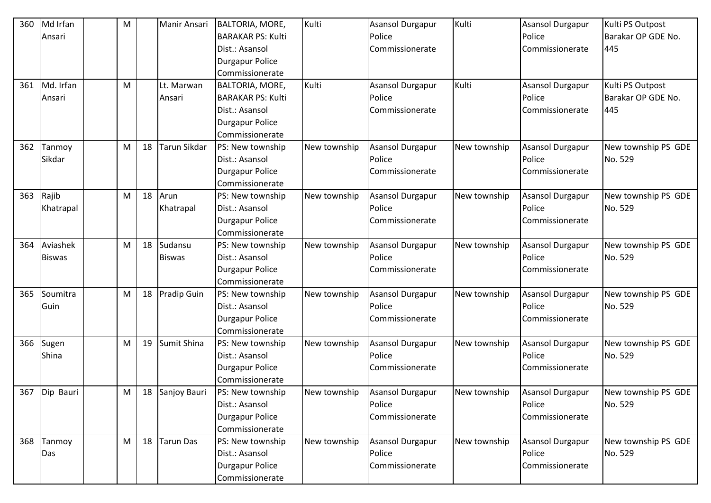| 360 | Md Irfan      | M |    | Manir Ansari       | BALTORIA, MORE,          | Kulti        | Asansol Durgapur        | Kulti        | <b>Asansol Durgapur</b> | Kulti PS Outpost    |
|-----|---------------|---|----|--------------------|--------------------------|--------------|-------------------------|--------------|-------------------------|---------------------|
|     | Ansari        |   |    |                    | <b>BARAKAR PS: Kulti</b> |              | Police                  |              | Police                  | Barakar OP GDE No.  |
|     |               |   |    |                    | Dist.: Asansol           |              | Commissionerate         |              | Commissionerate         | 445                 |
|     |               |   |    |                    | <b>Durgapur Police</b>   |              |                         |              |                         |                     |
|     |               |   |    |                    | Commissionerate          |              |                         |              |                         |                     |
| 361 | Md. Irfan     | M |    | Lt. Marwan         | BALTORIA, MORE,          | Kulti        | Asansol Durgapur        | Kulti        | <b>Asansol Durgapur</b> | Kulti PS Outpost    |
|     | Ansari        |   |    | Ansari             | <b>BARAKAR PS: Kulti</b> |              | Police                  |              | Police                  | Barakar OP GDE No.  |
|     |               |   |    |                    | Dist.: Asansol           |              | Commissionerate         |              | Commissionerate         | 445                 |
|     |               |   |    |                    | <b>Durgapur Police</b>   |              |                         |              |                         |                     |
|     |               |   |    |                    | Commissionerate          |              |                         |              |                         |                     |
| 362 | Tanmoy        | M | 18 | Tarun Sikdar       | PS: New township         | New township | <b>Asansol Durgapur</b> | New township | <b>Asansol Durgapur</b> | New township PS GDE |
|     | Sikdar        |   |    |                    | Dist.: Asansol           |              | Police                  |              | Police                  | No. 529             |
|     |               |   |    |                    | Durgapur Police          |              | Commissionerate         |              | Commissionerate         |                     |
|     |               |   |    |                    | Commissionerate          |              |                         |              |                         |                     |
| 363 | Rajib         | M | 18 | Arun               | PS: New township         | New township | <b>Asansol Durgapur</b> | New township | <b>Asansol Durgapur</b> | New township PS GDE |
|     | Khatrapal     |   |    | Khatrapal          | Dist.: Asansol           |              | Police                  |              | Police                  | No. 529             |
|     |               |   |    |                    | <b>Durgapur Police</b>   |              | Commissionerate         |              | Commissionerate         |                     |
|     |               |   |    |                    | Commissionerate          |              |                         |              |                         |                     |
| 364 | Aviashek      | M | 18 | Sudansu            | PS: New township         | New township | <b>Asansol Durgapur</b> | New township | <b>Asansol Durgapur</b> | New township PS GDE |
|     | <b>Biswas</b> |   |    | <b>Biswas</b>      | Dist.: Asansol           |              | Police                  |              | Police                  | No. 529             |
|     |               |   |    |                    | <b>Durgapur Police</b>   |              | Commissionerate         |              | Commissionerate         |                     |
|     |               |   |    |                    | Commissionerate          |              |                         |              |                         |                     |
| 365 | Soumitra      | M | 18 | <b>Pradip Guin</b> | PS: New township         | New township | <b>Asansol Durgapur</b> | New township | Asansol Durgapur        | New township PS GDE |
|     | Guin          |   |    |                    | Dist.: Asansol           |              | Police                  |              | Police                  | No. 529             |
|     |               |   |    |                    | <b>Durgapur Police</b>   |              | Commissionerate         |              | Commissionerate         |                     |
|     |               |   |    |                    | Commissionerate          |              |                         |              |                         |                     |
| 366 | Sugen         | M | 19 | Sumit Shina        | PS: New township         | New township | <b>Asansol Durgapur</b> | New township | <b>Asansol Durgapur</b> | New township PS GDE |
|     | Shina         |   |    |                    | Dist.: Asansol           |              | Police                  |              | Police                  | No. 529             |
|     |               |   |    |                    | Durgapur Police          |              | Commissionerate         |              | Commissionerate         |                     |
|     |               |   |    |                    | Commissionerate          |              |                         |              |                         |                     |
|     | 367 Dip Bauri | M |    | 18 Sanjoy Bauri    | PS: New township         | New township | Asansol Durgapur        | New township | <b>Asansol Durgapur</b> | New township PS GDE |
|     |               |   |    |                    | Dist.: Asansol           |              | Police                  |              | Police                  | No. 529             |
|     |               |   |    |                    | <b>Durgapur Police</b>   |              | Commissionerate         |              | Commissionerate         |                     |
|     |               |   |    |                    | Commissionerate          |              |                         |              |                         |                     |
| 368 | Tanmoy        | M | 18 | Tarun Das          | PS: New township         | New township | Asansol Durgapur        | New township | Asansol Durgapur        | New township PS GDE |
|     | Das           |   |    |                    | Dist.: Asansol           |              | Police                  |              | Police                  | No. 529             |
|     |               |   |    |                    | <b>Durgapur Police</b>   |              | Commissionerate         |              | Commissionerate         |                     |
|     |               |   |    |                    | Commissionerate          |              |                         |              |                         |                     |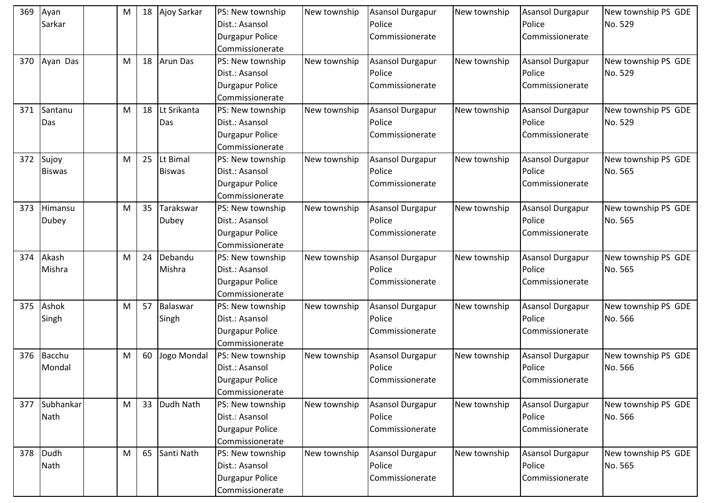| 369 | Ayan<br>Sarkar          | M | 18 | Ajoy Sarkar               | PS: New township<br>Dist.: Asansol<br><b>Durgapur Police</b>                                       | New township | <b>Asansol Durgapur</b><br>Police<br>Commissionerate | New township | <b>Asansol Durgapur</b><br>Police<br>Commissionerate | New township PS GDE<br>No. 529 |
|-----|-------------------------|---|----|---------------------------|----------------------------------------------------------------------------------------------------|--------------|------------------------------------------------------|--------------|------------------------------------------------------|--------------------------------|
| 370 | Ayan Das                | M | 18 | <b>Arun Das</b>           | Commissionerate<br>PS: New township<br>Dist.: Asansol<br><b>Durgapur Police</b><br>Commissionerate | New township | Asansol Durgapur<br>Police<br>Commissionerate        | New township | <b>Asansol Durgapur</b><br>Police<br>Commissionerate | New township PS GDE<br>No. 529 |
| 371 | Santanu<br>Das          | M | 18 | Lt Srikanta<br>Das        | PS: New township<br>Dist.: Asansol<br><b>Durgapur Police</b><br>Commissionerate                    | New township | Asansol Durgapur<br>Police<br>Commissionerate        | New township | <b>Asansol Durgapur</b><br>Police<br>Commissionerate | New township PS GDE<br>No. 529 |
| 372 | Sujoy<br><b>Biswas</b>  | M | 25 | Lt Bimal<br><b>Biswas</b> | PS: New township<br>Dist.: Asansol<br><b>Durgapur Police</b><br>Commissionerate                    | New township | Asansol Durgapur<br>Police<br>Commissionerate        | New township | <b>Asansol Durgapur</b><br>Police<br>Commissionerate | New township PS GDE<br>No. 565 |
| 373 | Himansu<br><b>Dubey</b> | M | 35 | Tarakswar<br><b>Dubey</b> | PS: New township<br>Dist.: Asansol<br><b>Durgapur Police</b><br>Commissionerate                    | New township | <b>Asansol Durgapur</b><br>Police<br>Commissionerate | New township | <b>Asansol Durgapur</b><br>Police<br>Commissionerate | New township PS GDE<br>No. 565 |
| 374 | Akash<br>Mishra         | M | 24 | Debandu<br>Mishra         | PS: New township<br>Dist.: Asansol<br><b>Durgapur Police</b><br>Commissionerate                    | New township | <b>Asansol Durgapur</b><br>Police<br>Commissionerate | New township | <b>Asansol Durgapur</b><br>Police<br>Commissionerate | New township PS GDE<br>No. 565 |
| 375 | Ashok<br>Singh          | M | 57 | Balaswar<br>Singh         | PS: New township<br>Dist.: Asansol<br><b>Durgapur Police</b><br>Commissionerate                    | New township | <b>Asansol Durgapur</b><br>Police<br>Commissionerate | New township | <b>Asansol Durgapur</b><br>Police<br>Commissionerate | New township PS GDE<br>No. 566 |
| 376 | Bacchu<br>Mondal        | M | 60 | Jogo Mondal               | PS: New township<br>Dist.: Asansol<br>Durgapur Police<br>Commissionerate                           | New township | <b>Asansol Durgapur</b><br>Police<br>Commissionerate | New township | <b>Asansol Durgapur</b><br>Police<br>Commissionerate | New township PS GDE<br>No. 566 |
| 377 | Subhankar<br>Nath       | M | 33 | Dudh Nath                 | PS: New township<br>Dist.: Asansol<br><b>Durgapur Police</b><br>Commissionerate                    | New township | Asansol Durgapur<br>Police<br>Commissionerate        | New township | <b>Asansol Durgapur</b><br>Police<br>Commissionerate | New township PS GDE<br>No. 566 |
| 378 | Dudh<br>Nath            | M | 65 | Santi Nath                | PS: New township<br>Dist.: Asansol<br><b>Durgapur Police</b><br>Commissionerate                    | New township | Asansol Durgapur<br>Police<br>Commissionerate        | New township | <b>Asansol Durgapur</b><br>Police<br>Commissionerate | New township PS GDE<br>No. 565 |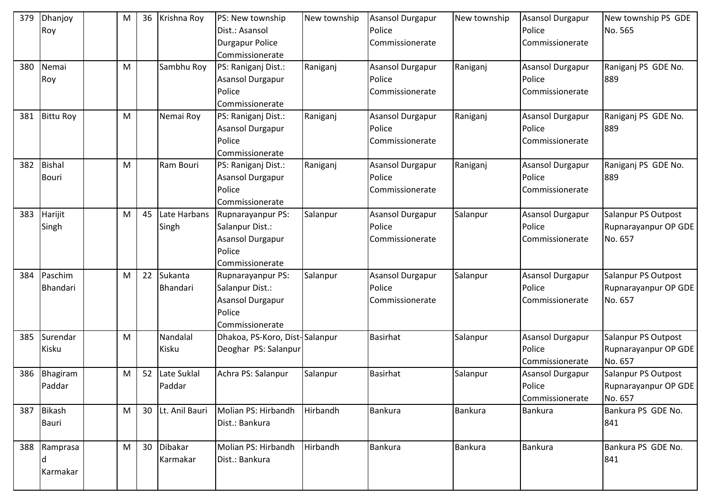| 379 | Dhanjoy          | M | 36 | Krishna Roy    | PS: New township               | New township | <b>Asansol Durgapur</b> | New township   | <b>Asansol Durgapur</b> | New township PS GDE  |
|-----|------------------|---|----|----------------|--------------------------------|--------------|-------------------------|----------------|-------------------------|----------------------|
|     | Roy              |   |    |                | Dist.: Asansol                 |              | Police                  |                | Police                  | No. 565              |
|     |                  |   |    |                | <b>Durgapur Police</b>         |              | Commissionerate         |                | Commissionerate         |                      |
|     |                  |   |    |                | Commissionerate                |              |                         |                |                         |                      |
| 380 | Nemai            | M |    | Sambhu Roy     | PS: Raniganj Dist.:            | Raniganj     | Asansol Durgapur        | Raniganj       | Asansol Durgapur        | Raniganj PS GDE No.  |
|     | Roy              |   |    |                | Asansol Durgapur               |              | Police                  |                | Police                  | 889                  |
|     |                  |   |    |                | Police                         |              | Commissionerate         |                | Commissionerate         |                      |
|     |                  |   |    |                | Commissionerate                |              |                         |                |                         |                      |
| 381 | <b>Bittu Roy</b> | M |    | Nemai Roy      | PS: Raniganj Dist.:            | Raniganj     | Asansol Durgapur        | Raniganj       | Asansol Durgapur        | Raniganj PS GDE No.  |
|     |                  |   |    |                | Asansol Durgapur               |              | Police                  |                | Police                  | 889                  |
|     |                  |   |    |                | Police                         |              | Commissionerate         |                | Commissionerate         |                      |
|     |                  |   |    |                | Commissionerate                |              |                         |                |                         |                      |
| 382 | <b>Bishal</b>    | M |    | Ram Bouri      | PS: Raniganj Dist.:            | Raniganj     | Asansol Durgapur        | Raniganj       | <b>Asansol Durgapur</b> | Raniganj PS GDE No.  |
|     | <b>Bouri</b>     |   |    |                | Asansol Durgapur               |              | Police                  |                | Police                  | 889                  |
|     |                  |   |    |                | Police                         |              | Commissionerate         |                | Commissionerate         |                      |
|     |                  |   |    |                | Commissionerate                |              |                         |                |                         |                      |
| 383 | Harijit          | M | 45 | Late Harbans   | Rupnarayanpur PS:              | Salanpur     | Asansol Durgapur        | Salanpur       | <b>Asansol Durgapur</b> | Salanpur PS Outpost  |
|     | Singh            |   |    | Singh          | Salanpur Dist.:                |              | Police                  |                | Police                  | Rupnarayanpur OP GDE |
|     |                  |   |    |                | Asansol Durgapur               |              | Commissionerate         |                | Commissionerate         | No. 657              |
|     |                  |   |    |                | Police                         |              |                         |                |                         |                      |
|     |                  |   |    |                | Commissionerate                |              |                         |                |                         |                      |
| 384 | Paschim          | M | 22 | Sukanta        | Rupnarayanpur PS:              | Salanpur     | Asansol Durgapur        | Salanpur       | <b>Asansol Durgapur</b> | Salanpur PS Outpost  |
|     | Bhandari         |   |    | Bhandari       | Salanpur Dist.:                |              | Police                  |                | Police                  | Rupnarayanpur OP GDE |
|     |                  |   |    |                | Asansol Durgapur               |              | Commissionerate         |                | Commissionerate         | No. 657              |
|     |                  |   |    |                | Police                         |              |                         |                |                         |                      |
|     |                  |   |    |                | Commissionerate                |              |                         |                |                         |                      |
| 385 | Surendar         | M |    | Nandalal       | Dhakoa, PS-Koro, Dist-Salanpur |              | <b>Basirhat</b>         | Salanpur       | Asansol Durgapur        | Salanpur PS Outpost  |
|     | Kisku            |   |    | Kisku          | Deoghar PS: Salanpur           |              |                         |                | Police                  | Rupnarayanpur OP GDE |
|     |                  |   |    |                |                                |              |                         |                | Commissionerate         | No. 657              |
| 386 | Bhagiram         | M | 52 | Late Suklal    | Achra PS: Salanpur             | Salanpur     | <b>Basirhat</b>         | Salanpur       | <b>Asansol Durgapur</b> | Salanpur PS Outpost  |
|     | Paddar           |   |    | Paddar         |                                |              |                         |                | Police                  | Rupnarayanpur OP GDE |
|     |                  |   |    |                |                                |              |                         |                | Commissionerate         | No. 657              |
|     | 387 Bikash       | M | 30 | Lt. Anil Bauri | Molian PS: Hirbandh            | Hirbandh     | Bankura                 | Bankura        | Bankura                 | Bankura PS GDE No.   |
|     | Bauri            |   |    |                | Dist.: Bankura                 |              |                         |                |                         | 841                  |
|     |                  |   |    |                |                                |              |                         |                |                         |                      |
|     | 388 Ramprasa     | M | 30 | Dibakar        | Molian PS: Hirbandh            | Hirbandh     | Bankura                 | <b>Bankura</b> | <b>Bankura</b>          | Bankura PS GDE No.   |
|     |                  |   |    | Karmakar       | Dist.: Bankura                 |              |                         |                |                         | 841                  |
|     | Karmakar         |   |    |                |                                |              |                         |                |                         |                      |
|     |                  |   |    |                |                                |              |                         |                |                         |                      |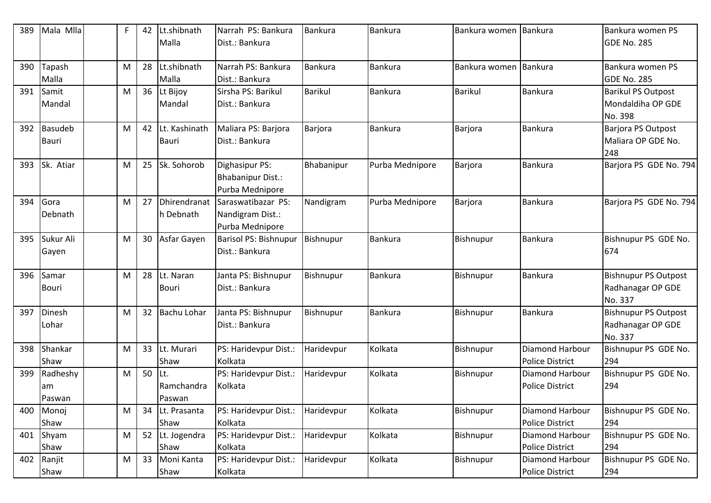| 389 | Mala Mlla                | F | 42 | Lt.shibnath<br>Malla        | Narrah PS: Bankura<br>Dist.: Bankura                      | Bankura          | Bankura         | Bankura women  | <b>Bankura</b>                                   | Bankura women PS<br>GDE No. 285                             |
|-----|--------------------------|---|----|-----------------------------|-----------------------------------------------------------|------------------|-----------------|----------------|--------------------------------------------------|-------------------------------------------------------------|
| 390 | Tapash<br>Malla          | M | 28 | Lt.shibnath<br>Malla        | Narrah PS: Bankura<br>Dist.: Bankura                      | <b>Bankura</b>   | Bankura         | Bankura women  | <b>Bankura</b>                                   | Bankura women PS<br>GDE No. 285                             |
| 391 | Samit<br>Mandal          | M | 36 | Lt Bijoy<br>Mandal          | Sirsha PS: Barikul<br>Dist.: Bankura                      | <b>Barikul</b>   | Bankura         | <b>Barikul</b> | <b>Bankura</b>                                   | <b>Barikul PS Outpost</b><br>Mondaldiha OP GDE<br>No. 398   |
| 392 | Basudeb<br><b>Bauri</b>  | M | 42 | Lt. Kashinath<br>Bauri      | Maliara PS: Barjora<br>Dist.: Bankura                     | Barjora          | Bankura         | Barjora        | <b>Bankura</b>                                   | Barjora PS Outpost<br>Maliara OP GDE No.<br>248             |
| 393 | Sk. Atiar                | M | 25 | Sk. Sohorob                 | Dighasipur PS:<br>Bhabanipur Dist.:<br>Purba Mednipore    | Bhabanipur       | Purba Mednipore | <b>Barjora</b> | <b>Bankura</b>                                   | Barjora PS GDE No. 794                                      |
| 394 | Gora<br>Debnath          | M | 27 | Dhirendranat<br>h Debnath   | Saraswatibazar PS:<br>Nandigram Dist.:<br>Purba Mednipore | Nandigram        | Purba Mednipore | Barjora        | <b>Bankura</b>                                   | Barjora PS GDE No. 794                                      |
| 395 | Sukur Ali<br>Gayen       | M | 30 | Asfar Gayen                 | Barisol PS: Bishnupur<br>Dist.: Bankura                   | <b>Bishnupur</b> | Bankura         | Bishnupur      | Bankura                                          | Bishnupur PS GDE No.<br>674                                 |
| 396 | Samar<br><b>Bouri</b>    | M | 28 | Lt. Naran<br><b>Bouri</b>   | Janta PS: Bishnupur<br>Dist.: Bankura                     | Bishnupur        | Bankura         | Bishnupur      | <b>Bankura</b>                                   | <b>Bishnupur PS Outpost</b><br>Radhanagar OP GDE<br>No. 337 |
| 397 | Dinesh<br>Lohar          | M | 32 | <b>Bachu Lohar</b>          | Janta PS: Bishnupur<br>Dist.: Bankura                     | Bishnupur        | Bankura         | Bishnupur      | <b>Bankura</b>                                   | <b>Bishnupur PS Outpost</b><br>Radhanagar OP GDE<br>No. 337 |
| 398 | Shankar<br>Shaw          | M | 33 | Lt. Murari<br>Shaw          | PS: Haridevpur Dist.:<br>Kolkata                          | Haridevpur       | Kolkata         | Bishnupur      | <b>Diamond Harbour</b><br><b>Police District</b> | Bishnupur PS GDE No.<br>294                                 |
| 399 | Radheshy<br>am<br>Paswan | M | 50 | Lt.<br>Ramchandra<br>Paswan | PS: Haridevpur Dist.:<br>Kolkata                          | Haridevpur       | Kolkata         | Bishnupur      | <b>Diamond Harbour</b><br>Police District        | Bishnupur PS GDE No.<br>294                                 |
| 400 | Monoj<br>Shaw            | M | 34 | Lt. Prasanta<br>Shaw        | PS: Haridevpur Dist.:<br>Kolkata                          | Haridevpur       | Kolkata         | Bishnupur      | Diamond Harbour<br><b>Police District</b>        | Bishnupur PS GDE No.<br>294                                 |
| 401 | Shyam<br>Shaw            | M | 52 | Lt. Jogendra<br>Shaw        | PS: Haridevpur Dist.:<br>Kolkata                          | Haridevpur       | Kolkata         | Bishnupur      | Diamond Harbour<br><b>Police District</b>        | Bishnupur PS GDE No.<br>294                                 |
| 402 | Ranjit<br>Shaw           | M | 33 | Moni Kanta<br>Shaw          | PS: Haridevpur Dist.:<br>Kolkata                          | Haridevpur       | Kolkata         | Bishnupur      | Diamond Harbour<br><b>Police District</b>        | Bishnupur PS GDE No.<br>294                                 |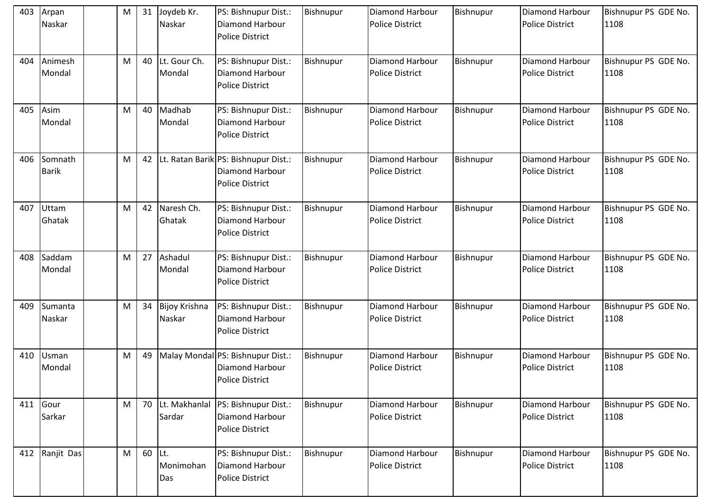| 403 | Arpan<br>Naskar         | M | 31 | Joydeb Kr.<br>Naskar     | PS: Bishnupur Dist.:<br>Diamond Harbour<br><b>Police District</b>                     | Bishnupur | <b>Diamond Harbour</b><br><b>Police District</b> | Bishnupur        | Diamond Harbour<br><b>Police District</b>        | Bishnupur PS GDE No.<br>1108 |
|-----|-------------------------|---|----|--------------------------|---------------------------------------------------------------------------------------|-----------|--------------------------------------------------|------------------|--------------------------------------------------|------------------------------|
| 404 | Animesh<br>Mondal       | M | 40 | Lt. Gour Ch.<br>Mondal   | PS: Bishnupur Dist.:<br>Diamond Harbour<br><b>Police District</b>                     | Bishnupur | Diamond Harbour<br><b>Police District</b>        | Bishnupur        | Diamond Harbour<br><b>Police District</b>        | Bishnupur PS GDE No.<br>1108 |
| 405 | Asim<br>Mondal          | M | 40 | Madhab<br>Mondal         | PS: Bishnupur Dist.:<br><b>Diamond Harbour</b><br><b>Police District</b>              | Bishnupur | <b>Diamond Harbour</b><br><b>Police District</b> | Bishnupur        | <b>Diamond Harbour</b><br><b>Police District</b> | Bishnupur PS GDE No.<br>1108 |
| 406 | Somnath<br><b>Barik</b> | M | 42 |                          | Lt. Ratan Barik PS: Bishnupur Dist.:<br>Diamond Harbour<br><b>Police District</b>     | Bishnupur | <b>Diamond Harbour</b><br><b>Police District</b> | <b>Bishnupur</b> | Diamond Harbour<br><b>Police District</b>        | Bishnupur PS GDE No.<br>1108 |
| 407 | Uttam<br>Ghatak         | M | 42 | Naresh Ch.<br>Ghatak     | PS: Bishnupur Dist.:<br>Diamond Harbour<br><b>Police District</b>                     | Bishnupur | Diamond Harbour<br><b>Police District</b>        | Bishnupur        | Diamond Harbour<br><b>Police District</b>        | Bishnupur PS GDE No.<br>1108 |
| 408 | Saddam<br>Mondal        | M | 27 | Ashadul<br>Mondal        | PS: Bishnupur Dist.:<br><b>Diamond Harbour</b><br><b>Police District</b>              | Bishnupur | Diamond Harbour<br><b>Police District</b>        | Bishnupur        | Diamond Harbour<br><b>Police District</b>        | Bishnupur PS GDE No.<br>1108 |
| 409 | Sumanta<br>Naskar       | M | 34 | Bijoy Krishna<br>Naskar  | PS: Bishnupur Dist.:<br><b>Diamond Harbour</b><br><b>Police District</b>              | Bishnupur | Diamond Harbour<br><b>Police District</b>        | Bishnupur        | <b>Diamond Harbour</b><br><b>Police District</b> | Bishnupur PS GDE No.<br>1108 |
|     | 410 Usman<br>Mondal     | M | 49 |                          | Malay Mondal PS: Bishnupur Dist.:<br><b>Diamond Harbour</b><br><b>Police District</b> | Bishnupur | Diamond Harbour<br><b>Police District</b>        | Bishnupur        | Diamond Harbour<br><b>Police District</b>        | Bishnupur PS GDE No.<br>1108 |
|     | 411 Gour<br>Sarkar      | M | 70 | Lt. Makhanlal<br>Sardar  | PS: Bishnupur Dist.:<br>Diamond Harbour<br><b>Police District</b>                     | Bishnupur | Diamond Harbour<br><b>Police District</b>        | Bishnupur        | Diamond Harbour<br><b>Police District</b>        | Bishnupur PS GDE No.<br>1108 |
| 412 | Ranjit Das              | M | 60 | ILt.<br>Monimohan<br>Das | PS: Bishnupur Dist.:<br>Diamond Harbour<br><b>Police District</b>                     | Bishnupur | Diamond Harbour<br><b>Police District</b>        | Bishnupur        | Diamond Harbour<br>Police District               | Bishnupur PS GDE No.<br>1108 |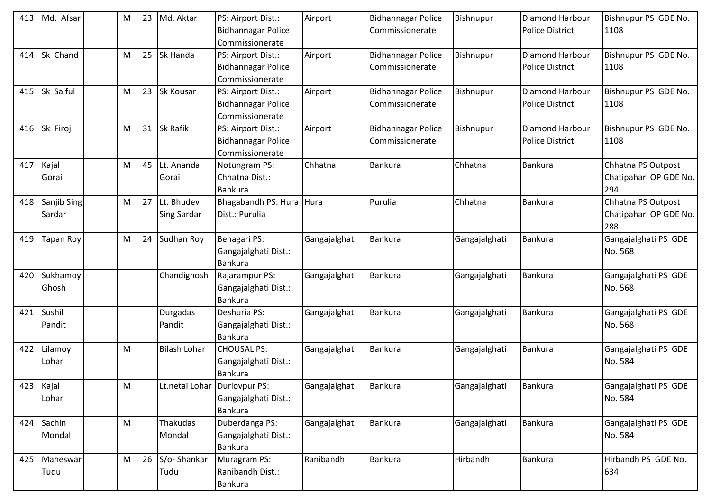| 413 | Md. Afsar        | M | 23 | Md. Aktar           | PS: Airport Dist.:             | Airport       | <b>Bidhannagar Police</b> | Bishnupur     | Diamond Harbour        | Bishnupur PS GDE No.   |
|-----|------------------|---|----|---------------------|--------------------------------|---------------|---------------------------|---------------|------------------------|------------------------|
|     |                  |   |    |                     | Bidhannagar Police             |               | Commissionerate           |               | <b>Police District</b> | 1108                   |
|     |                  |   |    |                     | Commissionerate                |               |                           |               |                        |                        |
| 414 | Sk Chand         | M | 25 | Sk Handa            | PS: Airport Dist.:             | Airport       | <b>Bidhannagar Police</b> | Bishnupur     | <b>Diamond Harbour</b> | Bishnupur PS GDE No.   |
|     |                  |   |    |                     | <b>Bidhannagar Police</b>      |               | Commissionerate           |               | <b>Police District</b> | 1108                   |
|     |                  |   |    |                     | Commissionerate                |               |                           |               |                        |                        |
| 415 | Sk Saiful        | M | 23 | <b>Sk Kousar</b>    | PS: Airport Dist.:             | Airport       | <b>Bidhannagar Police</b> | Bishnupur     | Diamond Harbour        | Bishnupur PS GDE No.   |
|     |                  |   |    |                     | <b>Bidhannagar Police</b>      |               | Commissionerate           |               | <b>Police District</b> | 1108                   |
|     |                  |   |    |                     | Commissionerate                |               |                           |               |                        |                        |
| 416 | Sk Firoj         | M | 31 | <b>Sk Rafik</b>     | PS: Airport Dist.:             | Airport       | <b>Bidhannagar Police</b> | Bishnupur     | <b>Diamond Harbour</b> | Bishnupur PS GDE No.   |
|     |                  |   |    |                     | <b>Bidhannagar Police</b>      |               | Commissionerate           |               | <b>Police District</b> | 1108                   |
|     |                  |   |    |                     | Commissionerate                |               |                           |               |                        |                        |
| 417 | Kajal            | M | 45 | Lt. Ananda          | Notungram PS:                  | Chhatna       | Bankura                   | Chhatna       | <b>Bankura</b>         | Chhatna PS Outpost     |
|     | Gorai            |   |    | Gorai               | Chhatna Dist.:                 |               |                           |               |                        | Chatipahari OP GDE No. |
|     |                  |   |    |                     | Bankura                        |               |                           |               |                        | 294                    |
| 418 | Sanjib Sing      | M | 27 | Lt. Bhudev          | Bhagabandh PS: Hura Hura       |               | Purulia                   | Chhatna       | <b>Bankura</b>         | Chhatna PS Outpost     |
|     | Sardar           |   |    | <b>Sing Sardar</b>  | Dist.: Purulia                 |               |                           |               |                        | Chatipahari OP GDE No. |
|     |                  |   |    |                     |                                |               |                           |               |                        | 288                    |
| 419 | <b>Tapan Roy</b> | M | 24 | Sudhan Roy          | Benagari PS:                   | Gangajalghati | Bankura                   | Gangajalghati | <b>Bankura</b>         | Gangajalghati PS GDE   |
|     |                  |   |    |                     | Gangajalghati Dist.:           |               |                           |               |                        | No. 568                |
|     |                  |   |    |                     | <b>Bankura</b>                 |               |                           |               |                        |                        |
| 420 | Sukhamoy         |   |    | Chandighosh         | Rajarampur PS:                 | Gangajalghati | <b>Bankura</b>            | Gangajalghati | <b>Bankura</b>         | Gangajalghati PS GDE   |
|     | Ghosh            |   |    |                     | Gangajalghati Dist.:           |               |                           |               |                        | No. 568                |
|     |                  |   |    |                     | <b>Bankura</b>                 |               |                           |               |                        |                        |
| 421 | Sushil           |   |    | Durgadas            | Deshuria PS:                   | Gangajalghati | Bankura                   | Gangajalghati | <b>Bankura</b>         | Gangajalghati PS GDE   |
|     | Pandit           |   |    | Pandit              | Gangajalghati Dist.:           |               |                           |               |                        | No. 568                |
|     |                  |   |    |                     | <b>Bankura</b>                 |               |                           |               |                        |                        |
| 422 | Lilamoy          | M |    | <b>Bilash Lohar</b> | <b>CHOUSAL PS:</b>             | Gangajalghati | Bankura                   | Gangajalghati | <b>Bankura</b>         | Gangajalghati PS GDE   |
|     | Lohar            |   |    |                     | Gangajalghati Dist.:           |               |                           |               |                        | No. 584                |
|     |                  |   |    |                     | <b>Bankura</b>                 |               |                           |               |                        |                        |
| 423 | Kajal            | M |    |                     | Lt.netai Lohar   Durlovpur PS: | Gangajalghati | <b>Bankura</b>            | Gangajalghati | <b>Bankura</b>         | Gangajalghati PS GDE   |
|     | Lohar            |   |    |                     | Gangajalghati Dist.:           |               |                           |               |                        | No. 584                |
|     |                  |   |    |                     | <b>Bankura</b>                 |               |                           |               |                        |                        |
| 424 | Sachin           | M |    | Thakudas            | Duberdanga PS:                 | Gangajalghati | <b>Bankura</b>            | Gangajalghati | <b>Bankura</b>         | Gangajalghati PS GDE   |
|     | Mondal           |   |    | Mondal              | Gangajalghati Dist.:           |               |                           |               |                        | No. 584                |
|     |                  |   |    |                     | <b>Bankura</b>                 |               |                           |               |                        |                        |
| 425 | Maheswar         | M | 26 | S/o-Shankar         | Muragram PS:                   | Ranibandh     | Bankura                   | Hirbandh      | <b>Bankura</b>         | Hirbandh PS GDE No.    |
|     | Tudu             |   |    | Tudu                | Ranibandh Dist.:               |               |                           |               |                        | 634                    |
|     |                  |   |    |                     | Bankura                        |               |                           |               |                        |                        |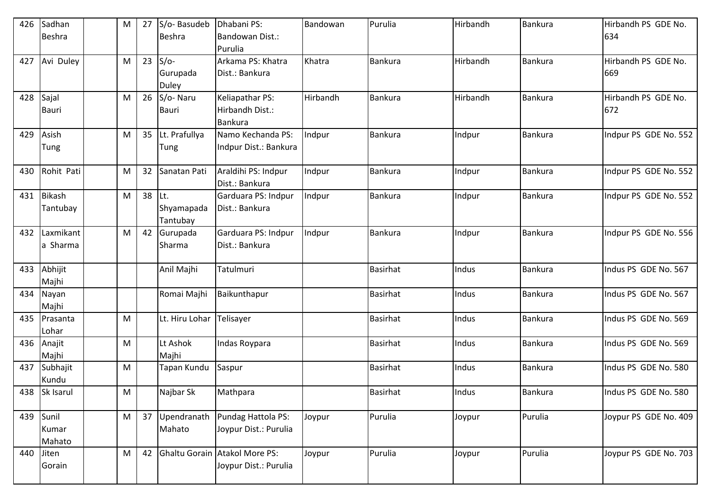| 426 | Sadhan<br>Beshra          | M | 27 | S/o-Basudeb<br>Beshra              | Dhabani PS:<br>Bandowan Dist.:<br>Purulia              | Bandowan | Purulia         | Hirbandh | Bankura        | Hirbandh PS GDE No.<br>634 |
|-----|---------------------------|---|----|------------------------------------|--------------------------------------------------------|----------|-----------------|----------|----------------|----------------------------|
| 427 | Avi Duley                 | M | 23 | $S/O-$<br>Gurupada<br><b>Duley</b> | Arkama PS: Khatra<br>Dist.: Bankura                    | Khatra   | <b>Bankura</b>  | Hirbandh | <b>Bankura</b> | Hirbandh PS GDE No.<br>669 |
| 428 | Sajal<br><b>Bauri</b>     | M | 26 | S/o-Naru<br><b>Bauri</b>           | Keliapathar PS:<br>Hirbandh Dist.:<br><b>Bankura</b>   | Hirbandh | <b>Bankura</b>  | Hirbandh | <b>Bankura</b> | Hirbandh PS GDE No.<br>672 |
| 429 | Asish<br>Tung             | M | 35 | Lt. Prafullya<br>Tung              | Namo Kechanda PS:<br>Indpur Dist.: Bankura             | Indpur   | Bankura         | Indpur   | <b>Bankura</b> | Indpur PS GDE No. 552      |
| 430 | Rohit Pati                | M | 32 | Sanatan Pati                       | Araldihi PS: Indpur<br>Dist.: Bankura                  | Indpur   | <b>Bankura</b>  | Indpur   | <b>Bankura</b> | Indpur PS GDE No. 552      |
| 431 | <b>Bikash</b><br>Tantubay | M | 38 | Lt.<br>Shyamapada<br>Tantubay      | Garduara PS: Indpur<br>Dist.: Bankura                  | Indpur   | <b>Bankura</b>  | Indpur   | <b>Bankura</b> | Indpur PS GDE No. 552      |
| 432 | Laxmikant<br>a Sharma     | M | 42 | Gurupada<br>Sharma                 | Garduara PS: Indpur<br>Dist.: Bankura                  | Indpur   | <b>Bankura</b>  | Indpur   | <b>Bankura</b> | Indpur PS GDE No. 556      |
| 433 | Abhijit<br>Majhi          |   |    | Anil Majhi                         | Tatulmuri                                              |          | <b>Basirhat</b> | Indus    | <b>Bankura</b> | Indus PS GDE No. 567       |
| 434 | Nayan<br>Majhi            |   |    | Romai Majhi                        | Baikunthapur                                           |          | <b>Basirhat</b> | Indus    | <b>Bankura</b> | Indus PS GDE No. 567       |
| 435 | Prasanta<br>Lohar         | M |    | Lt. Hiru Lohar                     | Telisayer                                              |          | <b>Basirhat</b> | Indus    | <b>Bankura</b> | Indus PS GDE No. 569       |
| 436 | Anajit<br>Majhi           | M |    | Lt Ashok<br>Majhi                  | Indas Roypara                                          |          | <b>Basirhat</b> | Indus    | <b>Bankura</b> | Indus PS GDE No. 569       |
| 437 | Subhajit<br>Kundu         | M |    | Tapan Kundu                        | Saspur                                                 |          | <b>Basirhat</b> | Indus    | <b>Bankura</b> | Indus PS GDE No. 580       |
|     | 438 Sk Isarul             | M |    | Najbar Sk                          | Mathpara                                               |          | <b>Basirhat</b> | Indus    | <b>Bankura</b> | Indus PS GDE No. 580       |
| 439 | Sunil<br>Kumar<br>Mahato  | M | 37 | Upendranath<br>Mahato              | Pundag Hattola PS:<br>Joypur Dist.: Purulia            | Joypur   | Purulia         | Joypur   | Purulia        | Joypur PS GDE No. 409      |
| 440 | Jiten<br>Gorain           | M | 42 |                                    | Ghaltu Gorain Atakol More PS:<br>Joypur Dist.: Purulia | Joypur   | Purulia         | Joypur   | Purulia        | Joypur PS GDE No. 703      |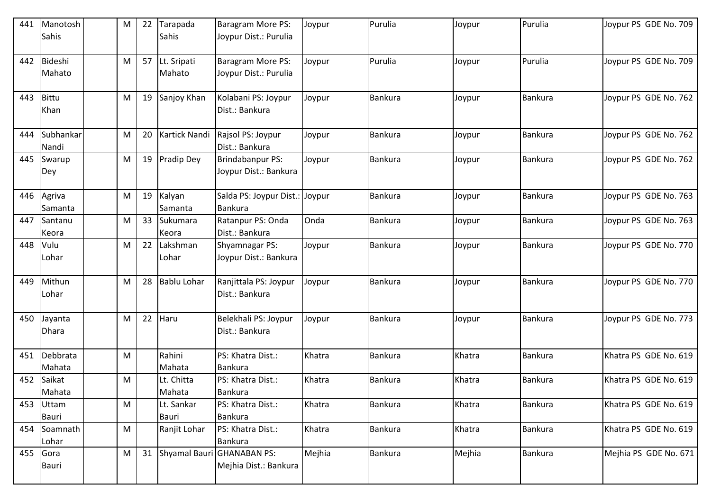| 441 | Manotosh        | M         | 22 | Tarapada           | Baragram More PS:                       | Joypur | Purulia        | Joypur | Purulia        | Joypur PS GDE No. 709 |
|-----|-----------------|-----------|----|--------------------|-----------------------------------------|--------|----------------|--------|----------------|-----------------------|
|     | Sahis           |           |    | Sahis              | Joypur Dist.: Purulia                   |        |                |        |                |                       |
| 442 | Bideshi         | M         | 57 | Lt. Sripati        | Baragram More PS:                       | Joypur | Purulia        | Joypur | Purulia        | Joypur PS GDE No. 709 |
|     | Mahato          |           |    | Mahato             | Joypur Dist.: Purulia                   |        |                |        |                |                       |
|     |                 |           |    |                    |                                         |        |                |        |                |                       |
| 443 | Bittu           | M         | 19 | Sanjoy Khan        | Kolabani PS: Joypur                     | Joypur | Bankura        | Joypur | <b>Bankura</b> | Joypur PS GDE No. 762 |
|     | Khan            |           |    |                    | Dist.: Bankura                          |        |                |        |                |                       |
|     |                 |           |    |                    |                                         |        |                |        |                |                       |
| 444 | Subhankar       | M         | 20 | Kartick Nandi      | Rajsol PS: Joypur                       | Joypur | Bankura        | Joypur | <b>Bankura</b> | Joypur PS GDE No. 762 |
|     | Nandi           |           |    |                    | Dist.: Bankura                          |        |                |        |                |                       |
| 445 | Swarup          | M         | 19 | Pradip Dey         | Brindabanpur PS:                        | Joypur | Bankura        | Joypur | <b>Bankura</b> | Joypur PS GDE No. 762 |
|     | Dey             |           |    |                    | Joypur Dist.: Bankura                   |        |                |        |                |                       |
| 446 | Agriva          | M         | 19 | Kalyan             | Salda PS: Joypur Dist.: Joypur          |        | <b>Bankura</b> | Joypur | <b>Bankura</b> | Joypur PS GDE No. 763 |
|     | Samanta         |           |    | Samanta            | <b>Bankura</b>                          |        |                |        |                |                       |
| 447 | Santanu         | M         | 33 | Sukumara           | Ratanpur PS: Onda                       | Onda   | Bankura        | Joypur | <b>Bankura</b> | Joypur PS GDE No. 763 |
|     | Keora           |           |    | Keora              | Dist.: Bankura                          |        |                |        |                |                       |
| 448 | Vulu            | M         | 22 | Lakshman           | <b>Shyamnagar PS:</b>                   | Joypur | Bankura        | Joypur | <b>Bankura</b> | Joypur PS GDE No. 770 |
|     | Lohar           |           |    | Lohar              | Joypur Dist.: Bankura                   |        |                |        |                |                       |
|     |                 |           |    |                    |                                         |        |                |        |                |                       |
| 449 | Mithun<br>Lohar | M         | 28 | <b>Bablu Lohar</b> | Ranjittala PS: Joypur<br>Dist.: Bankura | Joypur | Bankura        | Joypur | <b>Bankura</b> | Joypur PS GDE No. 770 |
|     |                 |           |    |                    |                                         |        |                |        |                |                       |
| 450 | Jayanta         | M         | 22 | Haru               | Belekhali PS: Joypur                    | Joypur | Bankura        | Joypur | Bankura        | Joypur PS GDE No. 773 |
|     | <b>Dhara</b>    |           |    |                    | Dist.: Bankura                          |        |                |        |                |                       |
|     |                 |           |    |                    |                                         |        |                |        |                |                       |
| 451 | Debbrata        | M         |    | Rahini             | PS: Khatra Dist.:                       | Khatra | <b>Bankura</b> | Khatra | <b>Bankura</b> | Khatra PS GDE No. 619 |
|     | Mahata          |           |    | Mahata             | Bankura                                 |        |                |        |                |                       |
| 452 | Saikat          | M         |    | Lt. Chitta         | PS: Khatra Dist.:                       | Khatra | Bankura        | Khatra | <b>Bankura</b> | Khatra PS GDE No. 619 |
|     | Mahata          |           |    | Mahata             | Bankura                                 |        |                |        |                |                       |
| 453 | Uttam           | M         |    | Lt. Sankar         | PS: Khatra Dist.:                       | Khatra | <b>Bankura</b> | Khatra | Bankura        | Khatra PS GDE No. 619 |
|     | <b>Bauri</b>    |           |    | <b>Bauri</b>       | <b>Bankura</b>                          |        |                |        |                |                       |
| 454 | Soamnath        | M         |    | Ranjit Lohar       | PS: Khatra Dist.:                       | Khatra | Bankura        | Khatra | Bankura        | Khatra PS GDE No. 619 |
|     | Lohar           |           |    |                    | <b>Bankura</b>                          |        |                |        |                |                       |
| 455 | Gora            | ${\sf M}$ | 31 |                    | Shyamal Bauri GHANABAN PS:              | Mejhia | <b>Bankura</b> | Mejhia | <b>Bankura</b> | Mejhia PS GDE No. 671 |
|     | Bauri           |           |    |                    | Mejhia Dist.: Bankura                   |        |                |        |                |                       |
|     |                 |           |    |                    |                                         |        |                |        |                |                       |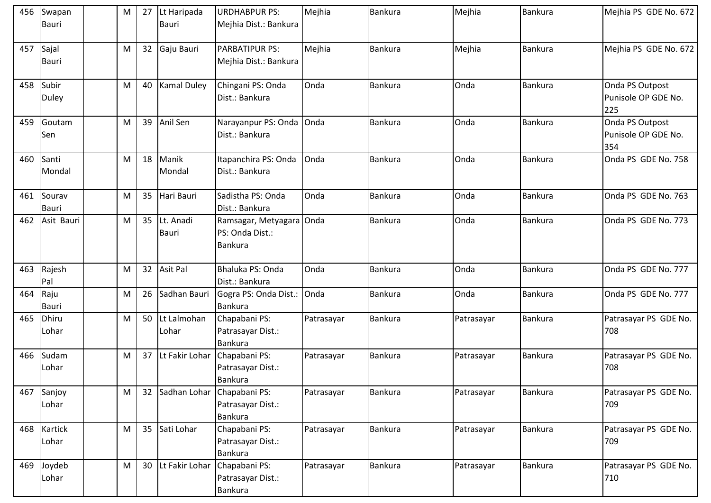| 456 | Swapan<br><b>Bauri</b> | M | 27 | Lt Haripada<br><b>Bauri</b> | <b>URDHABPUR PS:</b><br>Mejhia Dist.: Bankura              | Mejhia     | <b>Bankura</b> | Mejhia     | <b>Bankura</b> | Mejhia PS GDE No. 672                         |
|-----|------------------------|---|----|-----------------------------|------------------------------------------------------------|------------|----------------|------------|----------------|-----------------------------------------------|
| 457 | Sajal<br><b>Bauri</b>  | M | 32 | Gaju Bauri                  | <b>PARBATIPUR PS:</b><br>Mejhia Dist.: Bankura             | Mejhia     | <b>Bankura</b> | Mejhia     | <b>Bankura</b> | Mejhia PS GDE No. 672                         |
| 458 | Subir<br><b>Duley</b>  | M | 40 | <b>Kamal Duley</b>          | Chingani PS: Onda<br>Dist.: Bankura                        | Onda       | <b>Bankura</b> | Onda       | <b>Bankura</b> | Onda PS Outpost<br>Punisole OP GDE No.<br>225 |
| 459 | Goutam<br>Sen          | M | 39 | Anil Sen                    | Narayanpur PS: Onda<br>Dist.: Bankura                      | Onda       | <b>Bankura</b> | Onda       | <b>Bankura</b> | Onda PS Outpost<br>Punisole OP GDE No.<br>354 |
| 460 | Santi<br>Mondal        | M | 18 | Manik<br>Mondal             | Itapanchira PS: Onda<br>Dist.: Bankura                     | Onda       | <b>Bankura</b> | Onda       | <b>Bankura</b> | Onda PS GDE No. 758                           |
| 461 | Sourav<br><b>Bauri</b> | M | 35 | Hari Bauri                  | Sadistha PS: Onda<br>Dist.: Bankura                        | Onda       | <b>Bankura</b> | Onda       | Bankura        | Onda PS GDE No. 763                           |
| 462 | Asit Bauri             | M | 35 | Lt. Anadi<br><b>Bauri</b>   | Ramsagar, Metyagara<br>PS: Onda Dist.:<br><b>Bankura</b>   | Onda       | Bankura        | Onda       | Bankura        | Onda PS GDE No. 773                           |
| 463 | Rajesh<br>Pal          | M | 32 | <b>Asit Pal</b>             | Bhaluka PS: Onda<br>Dist.: Bankura                         | Onda       | <b>Bankura</b> | Onda       | Bankura        | Onda PS GDE No. 777                           |
| 464 | Raju<br><b>Bauri</b>   | M | 26 | Sadhan Bauri                | Gogra PS: Onda Dist.:<br><b>Bankura</b>                    | Onda       | <b>Bankura</b> | Onda       | Bankura        | Onda PS GDE No. 777                           |
| 465 | Dhiru<br>Lohar         | M | 50 | Lt Lalmohan<br>Lohar        | Chapabani PS:<br>Patrasayar Dist.:<br><b>Bankura</b>       | Patrasayar | Bankura        | Patrasayar | <b>Bankura</b> | Patrasayar PS GDE No.<br>708                  |
| 466 | Sudam<br>Lohar         | M | 37 | Lt Fakir Lohar              | Chapabani PS:<br>Patrasayar Dist.:<br>Bankura              | Patrasayar | Bankura        | Patrasayar | <b>Bankura</b> | Patrasayar PS GDE No.<br>708                  |
| 467 | Sanjoy<br>Lohar        | M | 32 |                             | Sadhan Lohar Chapabani PS:<br>Patrasayar Dist.:<br>Bankura | Patrasayar | <b>Bankura</b> | Patrasayar | Bankura        | Patrasayar PS GDE No.<br>709                  |
| 468 | Kartick<br>Lohar       | M | 35 | Sati Lohar                  | Chapabani PS:<br>Patrasayar Dist.:<br><b>Bankura</b>       | Patrasayar | Bankura        | Patrasayar | Bankura        | Patrasayar PS GDE No.<br>709                  |
| 469 | Joydeb<br>Lohar        | M | 30 | Lt Fakir Lohar              | Chapabani PS:<br>Patrasayar Dist.:<br>Bankura              | Patrasayar | <b>Bankura</b> | Patrasayar | <b>Bankura</b> | Patrasayar PS GDE No.<br>710                  |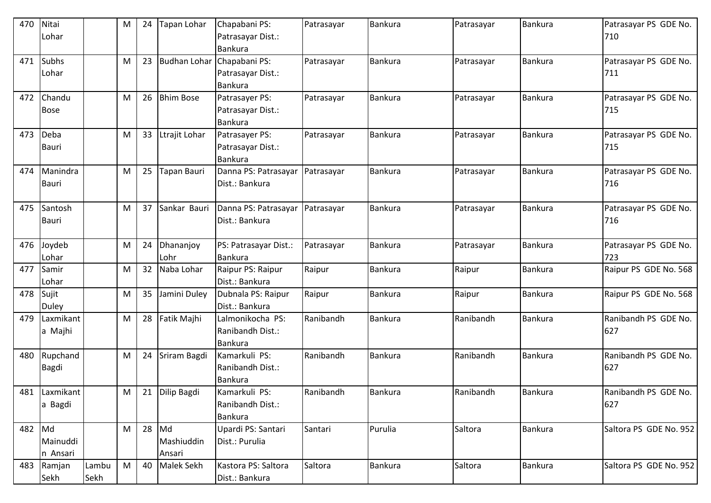| 470 | Nitai<br>Lohar             |               | M | 24 | <b>Tapan Lohar</b>         | Chapabani PS:<br>Patrasayar Dist.:<br><b>Bankura</b>  | Patrasayar | <b>Bankura</b> | Patrasayar | <b>Bankura</b> | Patrasayar PS GDE No.<br>710 |
|-----|----------------------------|---------------|---|----|----------------------------|-------------------------------------------------------|------------|----------------|------------|----------------|------------------------------|
| 471 | <b>Subhs</b><br>Lohar      |               | M | 23 | Budhan Lohar               | Chapabani PS:<br>Patrasayar Dist.:<br>Bankura         | Patrasayar | Bankura        | Patrasayar | Bankura        | Patrasayar PS GDE No.<br>711 |
| 472 | Chandu<br><b>Bose</b>      |               | M | 26 | <b>Bhim Bose</b>           | Patrasayer PS:<br>Patrasayar Dist.:<br><b>Bankura</b> | Patrasayar | <b>Bankura</b> | Patrasayar | <b>Bankura</b> | Patrasayar PS GDE No.<br>715 |
| 473 | Deba<br><b>Bauri</b>       |               | M | 33 | Ltrajit Lohar              | Patrasayer PS:<br>Patrasayar Dist.:<br><b>Bankura</b> | Patrasayar | Bankura        | Patrasayar | <b>Bankura</b> | Patrasayar PS GDE No.<br>715 |
| 474 | Manindra<br><b>Bauri</b>   |               | M | 25 | Tapan Bauri                | Danna PS: Patrasayar<br>Dist.: Bankura                | Patrasayar | Bankura        | Patrasayar | <b>Bankura</b> | Patrasayar PS GDE No.<br>716 |
| 475 | Santosh<br><b>Bauri</b>    |               | M | 37 | Sankar Bauri               | Danna PS: Patrasayar<br>Dist.: Bankura                | Patrasayar | <b>Bankura</b> | Patrasayar | <b>Bankura</b> | Patrasayar PS GDE No.<br>716 |
| 476 | Joydeb<br>Lohar            |               | M | 24 | Dhananjoy<br>Lohr          | PS: Patrasayar Dist.:<br>Bankura                      | Patrasayar | <b>Bankura</b> | Patrasayar | <b>Bankura</b> | Patrasayar PS GDE No.<br>723 |
| 477 | Samir<br>Lohar             |               | M | 32 | Naba Lohar                 | Raipur PS: Raipur<br>Dist.: Bankura                   | Raipur     | <b>Bankura</b> | Raipur     | <b>Bankura</b> | Raipur PS GDE No. 568        |
| 478 | Sujit<br>Duley             |               | M | 35 | Jamini Duley               | Dubnala PS: Raipur<br>Dist.: Bankura                  | Raipur     | Bankura        | Raipur     | <b>Bankura</b> | Raipur PS GDE No. 568        |
| 479 | Laxmikant<br>a Majhi       |               | M | 28 | Fatik Majhi                | Lalmonikocha PS:<br>Ranibandh Dist.:<br>Bankura       | Ranibandh  | <b>Bankura</b> | Ranibandh  | <b>Bankura</b> | Ranibandh PS GDE No.<br>627  |
| 480 | Rupchand<br><b>Bagdi</b>   |               | M | 24 | Sriram Bagdi               | Kamarkuli PS:<br>Ranibandh Dist.:<br>Bankura          | Ranibandh  | <b>Bankura</b> | Ranibandh  | <b>Bankura</b> | Ranibandh PS GDE No.<br>627  |
|     | 481 Laxmikant<br>a Bagdi   |               | M | 21 | Dilip Bagdi                | Kamarkuli PS:<br>Ranibandh Dist.:<br>Bankura          | Ranibandh  | <b>Bankura</b> | Ranibandh  | <b>Bankura</b> | Ranibandh PS GDE No.<br>627  |
| 482 | Md<br>Mainuddi<br>n Ansari |               | M | 28 | Md<br>Mashiuddin<br>Ansari | Upardi PS: Santari<br>Dist.: Purulia                  | Santari    | Purulia        | Saltora    | <b>Bankura</b> | Saltora PS GDE No. 952       |
| 483 | Ramjan<br>Sekh             | Lambu<br>Sekh | M | 40 | <b>Malek Sekh</b>          | Kastora PS: Saltora<br>Dist.: Bankura                 | Saltora    | <b>Bankura</b> | Saltora    | <b>Bankura</b> | Saltora PS GDE No. 952       |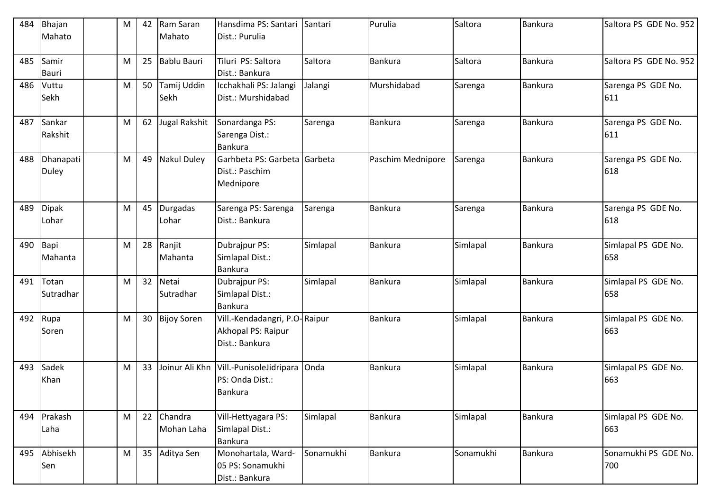| 484 | Bhajan<br>Mahato      | M | 42 | Ram Saran<br>Mahato   | Hansdima PS: Santari<br>Dist.: Purulia                                | Santari   | Purulia           | Saltora   | <b>Bankura</b> | Saltora PS GDE No. 952      |
|-----|-----------------------|---|----|-----------------------|-----------------------------------------------------------------------|-----------|-------------------|-----------|----------------|-----------------------------|
| 485 | Samir<br><b>Bauri</b> | M | 25 | <b>Bablu Bauri</b>    | Tiluri PS: Saltora<br>Dist.: Bankura                                  | Saltora   | Bankura           | Saltora   | <b>Bankura</b> | Saltora PS GDE No. 952      |
| 486 | Vuttu<br>Sekh         | M | 50 | Tamij Uddin<br>Sekh   | Icchakhali PS: Jalangi<br>Dist.: Murshidabad                          | Jalangi   | Murshidabad       | Sarenga   | <b>Bankura</b> | Sarenga PS GDE No.<br>611   |
| 487 | Sankar<br>Rakshit     | M | 62 | Jugal Rakshit         | Sonardanga PS:<br>Sarenga Dist.:<br><b>Bankura</b>                    | Sarenga   | Bankura           | Sarenga   | <b>Bankura</b> | Sarenga PS GDE No.<br>611   |
| 488 | Dhanapati<br>Duley    | M | 49 | <b>Nakul Duley</b>    | Garhbeta PS: Garbeta Garbeta<br>Dist.: Paschim<br>Mednipore           |           | Paschim Mednipore | Sarenga   | <b>Bankura</b> | Sarenga PS GDE No.<br>618   |
| 489 | <b>Dipak</b><br>Lohar | M | 45 | Durgadas<br>Lohar     | Sarenga PS: Sarenga<br>Dist.: Bankura                                 | Sarenga   | <b>Bankura</b>    | Sarenga   | Bankura        | Sarenga PS GDE No.<br>618   |
| 490 | Bapi<br>Mahanta       | M | 28 | Ranjit<br>Mahanta     | Dubrajpur PS:<br>Simlapal Dist.:<br><b>Bankura</b>                    | Simlapal  | Bankura           | Simlapal  | <b>Bankura</b> | Simlapal PS GDE No.<br>658  |
| 491 | Totan<br>Sutradhar    | M | 32 | Netai<br>Sutradhar    | Dubrajpur PS:<br>Simlapal Dist.:<br><b>Bankura</b>                    | Simlapal  | Bankura           | Simlapal  | <b>Bankura</b> | Simlapal PS GDE No.<br>658  |
| 492 | Rupa<br>Soren         | M | 30 | <b>Bijoy Soren</b>    | Vill.-Kendadangri, P.O-Raipur<br>Akhopal PS: Raipur<br>Dist.: Bankura |           | Bankura           | Simlapal  | <b>Bankura</b> | Simlapal PS GDE No.<br>663  |
| 493 | Sadek<br>Khan         | M | 33 | Joinur Ali Khn        | Vill.-PunisoleJidripara<br>PS: Onda Dist.:<br><b>Bankura</b>          | Onda      | Bankura           | Simlapal  | Bankura        | Simlapal PS GDE No.<br>663  |
| 494 | Prakash<br>Laha       | M | 22 | Chandra<br>Mohan Laha | Vill-Hettyagara PS:<br>Simlapal Dist.:<br><b>Bankura</b>              | Simlapal  | Bankura           | Simlapal  | <b>Bankura</b> | Simlapal PS GDE No.<br>663  |
| 495 | Abhisekh<br>Sen       | M | 35 | Aditya Sen            | Monohartala, Ward-<br>05 PS: Sonamukhi<br>Dist.: Bankura              | Sonamukhi | Bankura           | Sonamukhi | <b>Bankura</b> | Sonamukhi PS GDE No.<br>700 |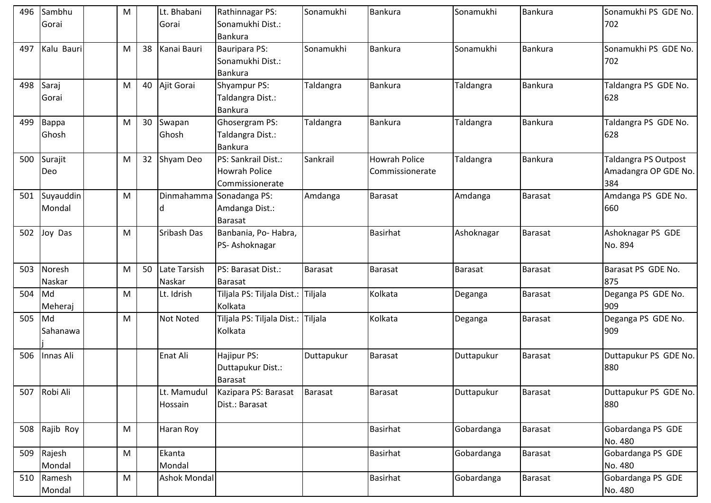| 496 | Sambhu<br>Gorai         | M         |    | Lt. Bhabani<br>Gorai   | Rathinnagar PS:<br>Sonamukhi Dist.:<br>Bankura                 | Sonamukhi  | <b>Bankura</b>                          | Sonamukhi      | <b>Bankura</b> | Sonamukhi PS GDE No.<br>702                         |
|-----|-------------------------|-----------|----|------------------------|----------------------------------------------------------------|------------|-----------------------------------------|----------------|----------------|-----------------------------------------------------|
| 497 | Kalu Bauri              | M         | 38 | Kanai Bauri            | <b>Bauripara PS:</b><br>Sonamukhi Dist.:<br>Bankura            | Sonamukhi  | Bankura                                 | Sonamukhi      | <b>Bankura</b> | Sonamukhi PS GDE No.<br>702                         |
|     | 498 Saraj<br>Gorai      | M         | 40 | Ajit Gorai             | Shyampur PS:<br>Taldangra Dist.:<br>Bankura                    | Taldangra  | Bankura                                 | Taldangra      | <b>Bankura</b> | Taldangra PS GDE No.<br>628                         |
| 499 | Bappa<br>Ghosh          | M         | 30 | Swapan<br>Ghosh        | Ghosergram PS:<br>Taldangra Dist.:<br>Bankura                  | Taldangra  | <b>Bankura</b>                          | Taldangra      | <b>Bankura</b> | Taldangra PS GDE No.<br>628                         |
| 500 | Surajit<br>Deo          | M         | 32 | Shyam Deo              | PS: Sankrail Dist.:<br><b>Howrah Police</b><br>Commissionerate | Sankrail   | <b>Howrah Police</b><br>Commissionerate | Taldangra      | Bankura        | Taldangra PS Outpost<br>Amadangra OP GDE No.<br>384 |
|     | 501 Suyauddin<br>Mondal | M         |    | Dinmahamma<br>Id       | Sonadanga PS:<br>Amdanga Dist.:<br>Barasat                     | Amdanga    | <b>Barasat</b>                          | Amdanga        | <b>Barasat</b> | Amdanga PS GDE No.<br>660                           |
| 502 | Joy Das                 | M         |    | Sribash Das            | Banbania, Po- Habra,<br>PS-Ashoknagar                          |            | <b>Basirhat</b>                         | Ashoknagar     | <b>Barasat</b> | Ashoknagar PS GDE<br>No. 894                        |
| 503 | Noresh<br>Naskar        | M         | 50 | Late Tarsish<br>Naskar | PS: Barasat Dist.:<br>Barasat                                  | Barasat    | <b>Barasat</b>                          | <b>Barasat</b> | <b>Barasat</b> | Barasat PS GDE No.<br>875                           |
| 504 | Md<br>Meheraj           | M         |    | Lt. Idrish             | Tiljala PS: Tiljala Dist.:<br>Kolkata                          | Tiljala    | Kolkata                                 | Deganga        | <b>Barasat</b> | Deganga PS GDE No.<br>909                           |
| 505 | Md<br>Sahanawa          | M         |    | <b>Not Noted</b>       | Tiljala PS: Tiljala Dist.: Tiljala<br>Kolkata                  |            | Kolkata                                 | Deganga        | <b>Barasat</b> | Deganga PS GDE No.<br>909                           |
| 506 | Innas Ali               |           |    | Enat Ali               | Hajipur PS:<br>Duttapukur Dist.:<br>Barasat                    | Duttapukur | Barasat                                 | Duttapukur     | <b>Barasat</b> | Duttapukur PS GDE No.<br>880                        |
|     | 507 Robi Ali            |           |    | Lt. Mamudul<br>Hossain | Kazipara PS: Barasat<br>Dist.: Barasat                         | Barasat    | <b>Barasat</b>                          | Duttapukur     | <b>Barasat</b> | Duttapukur PS GDE No.<br>880                        |
|     | 508 Rajib Roy           | M         |    | Haran Roy              |                                                                |            | <b>Basirhat</b>                         | Gobardanga     | <b>Barasat</b> | Gobardanga PS GDE<br>No. 480                        |
| 509 | Rajesh<br>Mondal        | M         |    | Ekanta<br>Mondal       |                                                                |            | <b>Basirhat</b>                         | Gobardanga     | <b>Barasat</b> | Gobardanga PS GDE<br>No. 480                        |
| 510 | Ramesh<br>Mondal        | ${\sf M}$ |    | <b>Ashok Mondal</b>    |                                                                |            | <b>Basirhat</b>                         | Gobardanga     | Barasat        | Gobardanga PS GDE<br>No. 480                        |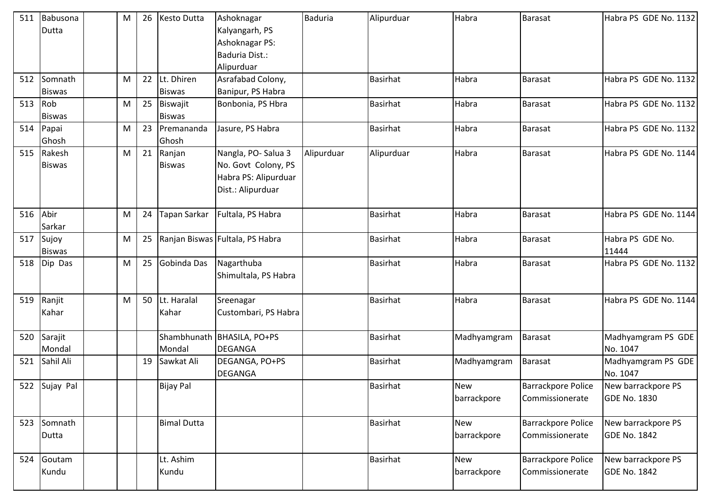| 511 | Babusona<br>Dutta        | M | 26 | Kesto Dutta                 | Ashoknagar<br>Kalyangarh, PS<br>Ashoknagar PS:<br>Baduria Dist.:<br>Alipurduar         | <b>Baduria</b> | Alipurduar      | Habra                     | Barasat                                      | Habra PS GDE No. 1132                     |
|-----|--------------------------|---|----|-----------------------------|----------------------------------------------------------------------------------------|----------------|-----------------|---------------------------|----------------------------------------------|-------------------------------------------|
| 512 | Somnath<br><b>Biswas</b> | M | 22 | Lt. Dhiren<br><b>Biswas</b> | Asrafabad Colony,<br>Banipur, PS Habra                                                 |                | <b>Basirhat</b> | Habra                     | <b>Barasat</b>                               | Habra PS GDE No. 1132                     |
| 513 | Rob<br><b>Biswas</b>     | M | 25 | Biswajit<br><b>Biswas</b>   | Bonbonia, PS Hbra                                                                      |                | <b>Basirhat</b> | Habra                     | <b>Barasat</b>                               | Habra PS GDE No. 1132                     |
| 514 | Papai<br>Ghosh           | M | 23 | Premananda<br>Ghosh         | Jasure, PS Habra                                                                       |                | Basirhat        | Habra                     | Barasat                                      | Habra PS GDE No. 1132                     |
| 515 | Rakesh<br><b>Biswas</b>  | M | 21 | Ranjan<br><b>Biswas</b>     | Nangla, PO-Salua 3<br>No. Govt Colony, PS<br>Habra PS: Alipurduar<br>Dist.: Alipurduar | Alipurduar     | Alipurduar      | Habra                     | <b>Barasat</b>                               | Habra PS GDE No. 1144                     |
| 516 | Abir<br>Sarkar           | M | 24 | Tapan Sarkar                | Fultala, PS Habra                                                                      |                | <b>Basirhat</b> | Habra                     | <b>Barasat</b>                               | Habra PS GDE No. 1144                     |
| 517 | Sujoy<br><b>Biswas</b>   | M | 25 |                             | Ranjan Biswas Fultala, PS Habra                                                        |                | <b>Basirhat</b> | Habra                     | <b>Barasat</b>                               | Habra PS GDE No.<br>11444                 |
| 518 | Dip Das                  | M | 25 | Gobinda Das                 | Nagarthuba<br>Shimultala, PS Habra                                                     |                | <b>Basirhat</b> | Habra                     | <b>Barasat</b>                               | Habra PS GDE No. 1132                     |
| 519 | Ranjit<br>Kahar          | M | 50 | Lt. Haralal<br>Kahar        | Sreenagar<br>Custombari, PS Habra                                                      |                | <b>Basirhat</b> | Habra                     | <b>Barasat</b>                               | Habra PS GDE No. 1144                     |
| 520 | Sarajit<br>Mondal        |   |    | Mondal                      | Shambhunath   BHASILA, PO+PS<br><b>DEGANGA</b>                                         |                | <b>Basirhat</b> | Madhyamgram               | Barasat                                      | Madhyamgram PS GDE<br>No. 1047            |
| 521 | Sahil Ali                |   | 19 | Sawkat Ali                  | DEGANGA, PO+PS<br><b>DEGANGA</b>                                                       |                | <b>Basirhat</b> | Madhyamgram               | Barasat                                      | Madhyamgram PS GDE<br>No. 1047            |
|     | 522 Sujay Pal            |   |    | <b>Bijay Pal</b>            |                                                                                        |                | <b>Basirhat</b> | <b>New</b><br>barrackpore | <b>Barrackpore Police</b><br>Commissionerate | New barrackpore PS<br>GDE No. 1830        |
| 523 | Somnath<br>Dutta         |   |    | <b>Bimal Dutta</b>          |                                                                                        |                | <b>Basirhat</b> | <b>New</b><br>barrackpore | Barrackpore Police<br>Commissionerate        | New barrackpore PS<br><b>GDE No. 1842</b> |
| 524 | Goutam<br>Kundu          |   |    | Lt. Ashim<br>Kundu          |                                                                                        |                | <b>Basirhat</b> | <b>New</b><br>barrackpore | <b>Barrackpore Police</b><br>Commissionerate | New barrackpore PS<br><b>GDE No. 1842</b> |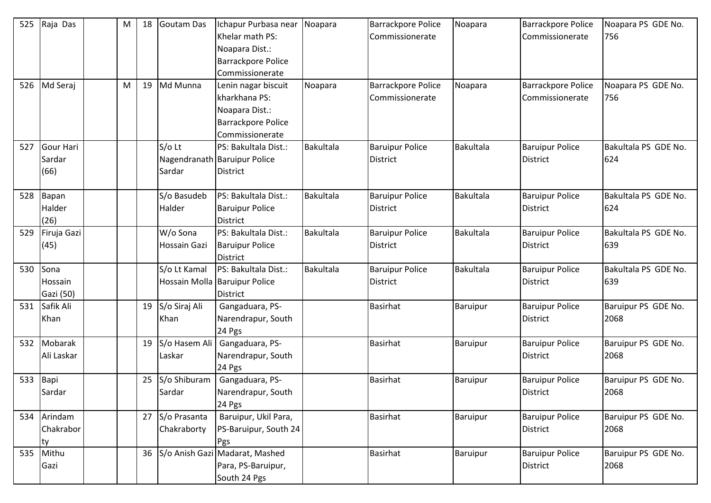| 525 | Raja Das                           | M | 18 | <b>Goutam Das</b>              | Ichapur Purbasa near<br>Khelar math PS:<br>Noapara Dist.:<br><b>Barrackpore Police</b><br>Commissionerate | Noapara   | Barrackpore Police<br>Commissionerate     | Noapara   | <b>Barrackpore Police</b><br>Commissionerate | Noapara PS GDE No.<br>756   |
|-----|------------------------------------|---|----|--------------------------------|-----------------------------------------------------------------------------------------------------------|-----------|-------------------------------------------|-----------|----------------------------------------------|-----------------------------|
| 526 | Md Seraj                           | M | 19 | Md Munna                       | Lenin nagar biscuit<br>kharkhana PS:<br>Noapara Dist.:<br><b>Barrackpore Police</b><br>Commissionerate    | Noapara   | Barrackpore Police<br>Commissionerate     | Noapara   | <b>Barrackpore Police</b><br>Commissionerate | Noapara PS GDE No.<br>756   |
| 527 | <b>Gour Hari</b><br>Sardar<br>(66) |   |    | $S/O$ Lt<br>Sardar             | PS: Bakultala Dist.:<br>Nagendranath Baruipur Police<br><b>District</b>                                   | Bakultala | <b>Baruipur Police</b><br>District        | Bakultala | <b>Baruipur Police</b><br>District           | Bakultala PS GDE No.<br>624 |
| 528 | Bapan<br>Halder<br>(26)            |   |    | S/o Basudeb<br>Halder          | PS: Bakultala Dist.:<br><b>Baruipur Police</b><br><b>District</b>                                         | Bakultala | <b>Baruipur Police</b><br><b>District</b> | Bakultala | <b>Baruipur Police</b><br>District           | Bakultala PS GDE No.<br>624 |
| 529 | Firuja Gazi<br>(45)                |   |    | W/o Sona<br>Hossain Gazi       | PS: Bakultala Dist.:<br><b>Baruipur Police</b><br><b>District</b>                                         | Bakultala | <b>Baruipur Police</b><br>District        | Bakultala | <b>Baruipur Police</b><br>District           | Bakultala PS GDE No.<br>639 |
| 530 | Sona<br>Hossain<br>Gazi (50)       |   |    | S/o Lt Kamal                   | PS: Bakultala Dist.:<br>Hossain Molla Baruipur Police<br><b>District</b>                                  | Bakultala | <b>Baruipur Police</b><br>District        | Bakultala | <b>Baruipur Police</b><br>District           | Bakultala PS GDE No.<br>639 |
| 531 | Safik Ali<br>Khan                  |   | 19 | S/o Siraj Ali<br>Khan          | Gangaduara, PS-<br>Narendrapur, South<br>24 Pgs                                                           |           | <b>Basirhat</b>                           | Baruipur  | <b>Baruipur Police</b><br>District           | Baruipur PS GDE No.<br>2068 |
| 532 | Mobarak<br>Ali Laskar              |   | 19 | S/o Hasem Ali<br>Laskar        | Gangaduara, PS-<br>Narendrapur, South<br>24 Pgs                                                           |           | <b>Basirhat</b>                           | Baruipur  | <b>Baruipur Police</b><br>District           | Baruipur PS GDE No.<br>2068 |
| 533 | Bapi<br>Sardar                     |   | 25 | S/o Shiburam<br>Sardar         | Gangaduara, PS-<br>Narendrapur, South<br>24 Pgs                                                           |           | <b>Basirhat</b>                           | Baruipur  | <b>Baruipur Police</b><br><b>District</b>    | Baruipur PS GDE No.<br>2068 |
| 534 | Arindam<br>Chakrabor<br>ty         |   |    | 27 S/o Prasanta<br>Chakraborty | Baruipur, Ukil Para,<br>PS-Baruipur, South 24<br>Pgs                                                      |           | <b>Basirhat</b>                           | Baruipur  | <b>Baruipur Police</b><br>District           | Baruipur PS GDE No.<br>2068 |
| 535 | Mithu<br>Gazi                      |   | 36 |                                | S/o Anish Gazi Madarat, Mashed<br>Para, PS-Baruipur,<br>South 24 Pgs                                      |           | <b>Basirhat</b>                           | Baruipur  | <b>Baruipur Police</b><br>District           | Baruipur PS GDE No.<br>2068 |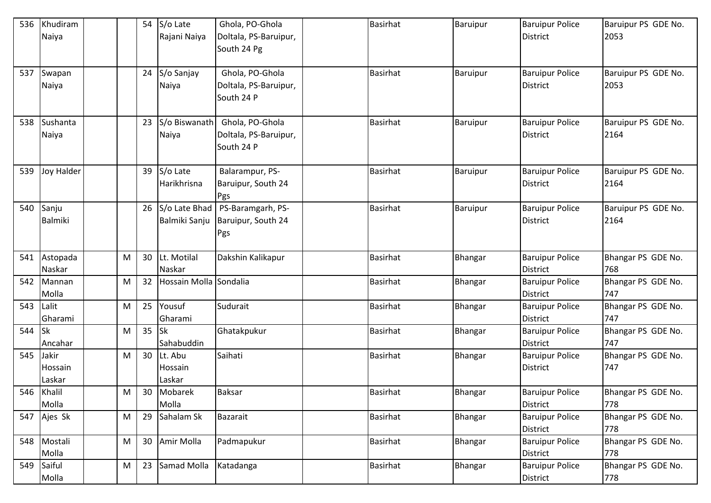| 536 | Khudiram             |   | 54 | S/o Late               | Ghola, PO-Ghola                     | <b>Basirhat</b> | Baruipur | <b>Baruipur Police</b>             | Baruipur PS GDE No. |
|-----|----------------------|---|----|------------------------|-------------------------------------|-----------------|----------|------------------------------------|---------------------|
|     | Naiya                |   |    | Rajani Naiya           | Doltala, PS-Baruipur,               |                 |          | <b>District</b>                    | 2053                |
|     |                      |   |    |                        | South 24 Pg                         |                 |          |                                    |                     |
|     |                      |   |    |                        |                                     |                 |          |                                    |                     |
| 537 | Swapan               |   | 24 | S/o Sanjay             | Ghola, PO-Ghola                     | <b>Basirhat</b> | Baruipur | <b>Baruipur Police</b>             | Baruipur PS GDE No. |
|     | Naiya                |   |    | Naiya                  | Doltala, PS-Baruipur,               |                 |          | <b>District</b>                    | 2053                |
|     |                      |   |    |                        | South 24 P                          |                 |          |                                    |                     |
|     |                      |   |    |                        |                                     |                 |          |                                    |                     |
| 538 | Sushanta             |   | 23 | S/o Biswanath          | Ghola, PO-Ghola                     | <b>Basirhat</b> | Baruipur | <b>Baruipur Police</b>             | Baruipur PS GDE No. |
|     | Naiya                |   |    | Naiya                  | Doltala, PS-Baruipur,<br>South 24 P |                 |          | <b>District</b>                    | 2164                |
|     |                      |   |    |                        |                                     |                 |          |                                    |                     |
| 539 | Joy Halder           |   | 39 | S/o Late               | Balarampur, PS-                     | <b>Basirhat</b> | Baruipur | <b>Baruipur Police</b>             | Baruipur PS GDE No. |
|     |                      |   |    | Harikhrisna            | Baruipur, South 24                  |                 |          | <b>District</b>                    | 2164                |
|     |                      |   |    |                        | Pgs                                 |                 |          |                                    |                     |
| 540 | Sanju                |   | 26 | S/o Late Bhad          | PS-Baramgarh, PS-                   | <b>Basirhat</b> | Baruipur | <b>Baruipur Police</b>             | Baruipur PS GDE No. |
|     | <b>Balmiki</b>       |   |    | Balmiki Sanju          | Baruipur, South 24                  |                 |          | District                           | 2164                |
|     |                      |   |    |                        | Pgs                                 |                 |          |                                    |                     |
|     |                      |   |    |                        |                                     |                 |          |                                    |                     |
| 541 | Astopada             | M | 30 | Lt. Motilal            | Dakshin Kalikapur                   | <b>Basirhat</b> | Bhangar  | <b>Baruipur Police</b>             | Bhangar PS GDE No.  |
|     | Naskar               |   |    | Naskar                 |                                     |                 |          | <b>District</b>                    | 768                 |
| 542 | Mannan               | M | 32 | Hossain Molla Sondalia |                                     | <b>Basirhat</b> | Bhangar  | <b>Baruipur Police</b>             | Bhangar PS GDE No.  |
|     | Molla                |   |    |                        |                                     |                 |          | <b>District</b>                    | 747                 |
| 543 | Lalit                | M | 25 | Yousuf                 | Sudurait                            | <b>Basirhat</b> | Bhangar  | <b>Baruipur Police</b>             | Bhangar PS GDE No.  |
|     | Gharami              |   |    | Gharami                |                                     |                 |          | <b>District</b>                    | 747                 |
| 544 | Isk                  | M | 35 | <b>Sk</b>              | Ghatakpukur                         | <b>Basirhat</b> | Bhangar  | <b>Baruipur Police</b>             | Bhangar PS GDE No.  |
|     | Ancahar              |   |    | Sahabuddin             |                                     |                 |          | <b>District</b>                    | 747                 |
| 545 | Jakir                | M | 30 | Lt. Abu                | Saihati                             | <b>Basirhat</b> | Bhangar  | <b>Baruipur Police</b>             | Bhangar PS GDE No.  |
|     | Hossain              |   |    | Hossain                |                                     |                 |          | <b>District</b>                    | 747                 |
|     | Laskar<br>546 Khalil |   | 30 | Laskar<br>Mobarek      | <b>Baksar</b>                       | <b>Basirhat</b> |          |                                    | Bhangar PS GDE No.  |
|     | Molla                | M |    | Molla                  |                                     |                 | Bhangar  | <b>Baruipur Police</b><br>District | 778                 |
| 547 | Ajes Sk              | M | 29 | Sahalam Sk             | Bazarait                            | <b>Basirhat</b> | Bhangar  | <b>Baruipur Police</b>             | Bhangar PS GDE No.  |
|     |                      |   |    |                        |                                     |                 |          | <b>District</b>                    | 778                 |
| 548 | Mostali              | M | 30 | Amir Molla             | Padmapukur                          | <b>Basirhat</b> | Bhangar  | <b>Baruipur Police</b>             | Bhangar PS GDE No.  |
|     | Molla                |   |    |                        |                                     |                 |          | District                           | 778                 |
| 549 | Saiful               | M | 23 | Samad Molla            | Katadanga                           | <b>Basirhat</b> | Bhangar  | <b>Baruipur Police</b>             | Bhangar PS GDE No.  |
|     | Molla                |   |    |                        |                                     |                 |          | District                           | 778                 |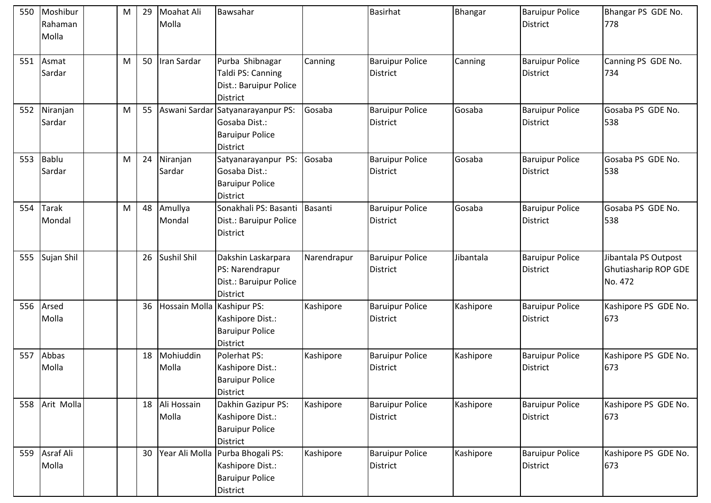|     | 550 Moshibur<br>Rahaman<br>Molla | M | Moahat Ali<br>29<br>Molla | Bawsahar                                                                           |             | <b>Basirhat</b>                           | Bhangar   | <b>Baruipur Police</b><br><b>District</b> | Bhangar PS GDE No.<br>778                               |
|-----|----------------------------------|---|---------------------------|------------------------------------------------------------------------------------|-------------|-------------------------------------------|-----------|-------------------------------------------|---------------------------------------------------------|
| 551 | Asmat<br>Sardar                  | M | 50<br>Iran Sardar         | Purba Shibnagar<br>Taldi PS: Canning<br>Dist.: Baruipur Police<br><b>District</b>  | Canning     | <b>Baruipur Police</b><br>District        | Canning   | <b>Baruipur Police</b><br><b>District</b> | Canning PS GDE No.<br>734                               |
| 552 | Niranjan<br>Sardar               | M | 55<br>Aswani Sardar       | Satyanarayanpur PS:<br>Gosaba Dist.:<br><b>Baruipur Police</b><br>District         | Gosaba      | <b>Baruipur Police</b><br>District        | Gosaba    | <b>Baruipur Police</b><br><b>District</b> | Gosaba PS GDE No.<br>538                                |
| 553 | Bablu<br>Sardar                  | M | 24<br>Niranjan<br>Sardar  | Satyanarayanpur PS:<br>Gosaba Dist.:<br><b>Baruipur Police</b><br><b>District</b>  | Gosaba      | <b>Baruipur Police</b><br><b>District</b> | Gosaba    | <b>Baruipur Police</b><br><b>District</b> | Gosaba PS GDE No.<br>538                                |
| 554 | <b>Tarak</b><br>Mondal           | M | Amullya<br>48<br>Mondal   | Sonakhali PS: Basanti<br>Dist.: Baruipur Police<br>District                        | Basanti     | <b>Baruipur Police</b><br><b>District</b> | Gosaba    | <b>Baruipur Police</b><br><b>District</b> | Gosaba PS GDE No.<br>538                                |
| 555 | Sujan Shil                       |   | Sushil Shil<br>26         | Dakshin Laskarpara<br>PS: Narendrapur<br>Dist.: Baruipur Police<br><b>District</b> | Narendrapur | <b>Baruipur Police</b><br>District        | Jibantala | <b>Baruipur Police</b><br><b>District</b> | Jibantala PS Outpost<br>Ghutiasharip ROP GDE<br>No. 472 |
|     | 556 Arsed<br>Molla               |   | 36<br>Hossain Molla       | Kashipur PS:<br>Kashipore Dist.:<br><b>Baruipur Police</b><br>District             | Kashipore   | <b>Baruipur Police</b><br><b>District</b> | Kashipore | <b>Baruipur Police</b><br><b>District</b> | Kashipore PS GDE No.<br>673                             |
| 557 | Abbas<br>Molla                   |   | Mohiuddin<br>18<br>Molla  | Polerhat PS:<br>Kashipore Dist.:<br><b>Baruipur Police</b><br>District             | Kashipore   | <b>Baruipur Police</b><br>District        | Kashipore | <b>Baruipur Police</b><br><b>District</b> | Kashipore PS GDE No.<br>673                             |
|     | 558 Arit Molla                   |   | 18 Ali Hossain<br>Molla   | Dakhin Gazipur PS:<br>Kashipore Dist.:<br><b>Baruipur Police</b><br>District       | Kashipore   | <b>Baruipur Police</b><br>District        | Kashipore | <b>Baruipur Police</b><br>District        | Kashipore PS GDE No.<br>673                             |
|     | 559 Asraf Ali<br>Molla           |   | Year Ali Molla<br>30      | Purba Bhogali PS:<br>Kashipore Dist.:<br><b>Baruipur Police</b><br>District        | Kashipore   | <b>Baruipur Police</b><br><b>District</b> | Kashipore | <b>Baruipur Police</b><br><b>District</b> | Kashipore PS GDE No.<br>673                             |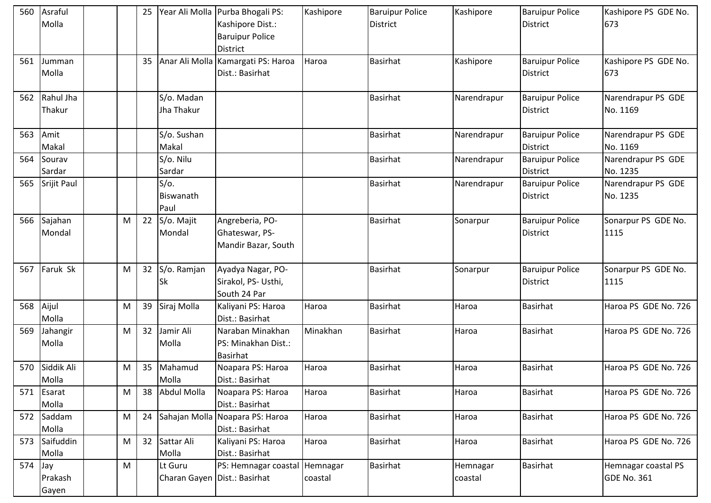|           | 560 Asraful<br>Molla |   | 25 |                                         | Year Ali Molla Purba Bhogali PS:<br>Kashipore Dist.:<br><b>Baruipur Police</b><br>District | Kashipore           | <b>Baruipur Police</b><br><b>District</b> | Kashipore           | <b>Baruipur Police</b><br><b>District</b> | Kashipore PS GDE No.<br>673               |
|-----------|----------------------|---|----|-----------------------------------------|--------------------------------------------------------------------------------------------|---------------------|-------------------------------------------|---------------------|-------------------------------------------|-------------------------------------------|
| 561       | Jumman<br>Molla      |   | 35 |                                         | Anar Ali Molla Kamargati PS: Haroa<br>Dist.: Basirhat                                      | Haroa               | <b>Basirhat</b>                           | Kashipore           | <b>Baruipur Police</b><br><b>District</b> | Kashipore PS GDE No.<br>673               |
| 562       | Rahul Jha<br>Thakur  |   |    | S/o. Madan<br>Jha Thakur                |                                                                                            |                     | <b>Basirhat</b>                           | Narendrapur         | <b>Baruipur Police</b><br><b>District</b> | Narendrapur PS GDE<br>No. 1169            |
| 563       | Amit<br>Makal        |   |    | S/o. Sushan<br>Makal                    |                                                                                            |                     | <b>Basirhat</b>                           | Narendrapur         | <b>Baruipur Police</b><br><b>District</b> | Narendrapur PS GDE<br>No. 1169            |
| 564       | Sourav<br>Sardar     |   |    | S/o. Nilu<br>Sardar                     |                                                                                            |                     | <b>Basirhat</b>                           | Narendrapur         | <b>Baruipur Police</b><br>District        | Narendrapur PS GDE<br>No. 1235            |
| 565       | Srijit Paul          |   |    | $S/O$ .<br>Biswanath<br>Paul            |                                                                                            |                     | <b>Basirhat</b>                           | Narendrapur         | <b>Baruipur Police</b><br><b>District</b> | Narendrapur PS GDE<br>No. 1235            |
| 566       | Sajahan<br>Mondal    | M | 22 | S/o. Majit<br>Mondal                    | Angreberia, PO-<br>Ghateswar, PS-<br>Mandir Bazar, South                                   |                     | <b>Basirhat</b>                           | Sonarpur            | <b>Baruipur Police</b><br><b>District</b> | Sonarpur PS GDE No.<br>1115               |
| 567       | Faruk Sk             | M | 32 | S/o. Ramjan<br><b>Sk</b>                | Ayadya Nagar, PO-<br>Sirakol, PS- Usthi,<br>South 24 Par                                   |                     | <b>Basirhat</b>                           | Sonarpur            | <b>Baruipur Police</b><br><b>District</b> | Sonarpur PS GDE No.<br>1115               |
| 568       | Aijul<br>Molla       | M | 39 | Siraj Molla                             | Kaliyani PS: Haroa<br>Dist.: Basirhat                                                      | Haroa               | <b>Basirhat</b>                           | Haroa               | <b>Basirhat</b>                           | Haroa PS GDE No. 726                      |
| 569       | Jahangir<br>Molla    | M | 32 | Jamir Ali<br>Molla                      | Naraban Minakhan<br>PS: Minakhan Dist.:<br>Basirhat                                        | Minakhan            | <b>Basirhat</b>                           | Haroa               | <b>Basirhat</b>                           | Haroa PS GDE No. 726                      |
| 570       | Siddik Ali<br>Molla  | M | 35 | Mahamud<br>Molla                        | Noapara PS: Haroa<br>Dist.: Basirhat                                                       | Haroa               | <b>Basirhat</b>                           | Haroa               | <b>Basirhat</b>                           | Haroa PS GDE No. 726                      |
| 571       | Esarat<br>Molla      | M | 38 | Abdul Molla                             | Noapara PS: Haroa<br>Dist.: Basirhat                                                       | Haroa               | <b>Basirhat</b>                           | Haroa               | <b>Basirhat</b>                           | Haroa PS GDE No. 726                      |
|           | 572 Saddam<br>Molla  | M | 24 |                                         | Sahajan Molla Noapara PS: Haroa<br>Dist.: Basirhat                                         | Haroa               | <b>Basirhat</b>                           | Haroa               | <b>Basirhat</b>                           | Haroa PS GDE No. 726                      |
| 573       | Saifuddin<br>Molla   | M | 32 | Sattar Ali<br>Molla                     | Kaliyani PS: Haroa<br>Dist.: Basirhat                                                      | Haroa               | <b>Basirhat</b>                           | Haroa               | <b>Basirhat</b>                           | Haroa PS GDE No. 726                      |
| $574$ Jay | Prakash<br>Gayen     | M |    | Lt Guru<br>Charan Gayen Dist.: Basirhat | PS: Hemnagar coastal                                                                       | Hemnagar<br>coastal | Basirhat                                  | Hemnagar<br>coastal | <b>Basirhat</b>                           | Hemnagar coastal PS<br><b>GDE No. 361</b> |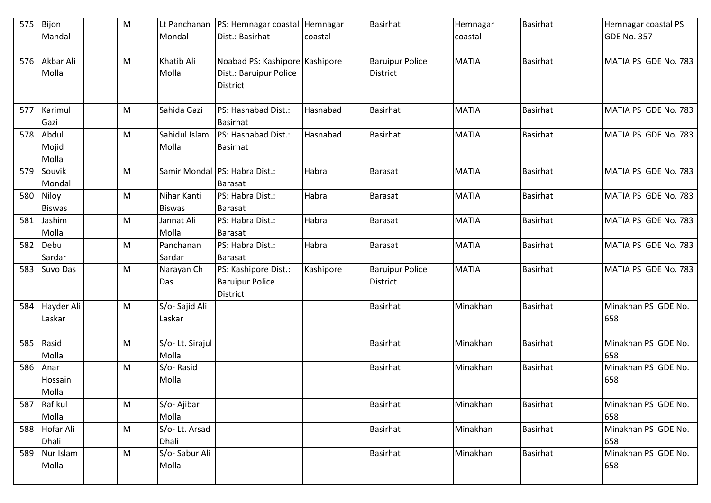| 575 | Bijon                    | M         |                               | Lt Panchanan   PS: Hemnagar coastal   Hemnagar                              |           | <b>Basirhat</b>                    | Hemnagar     | <b>Basirhat</b> | Hemnagar coastal PS        |
|-----|--------------------------|-----------|-------------------------------|-----------------------------------------------------------------------------|-----------|------------------------------------|--------------|-----------------|----------------------------|
|     | Mandal                   |           | Mondal                        | Dist.: Basirhat                                                             | coastal   |                                    | coastal      |                 | <b>GDE No. 357</b>         |
| 576 | Akbar Ali<br>Molla       | M         | Khatib Ali<br>Molla           | Noabad PS: Kashipore Kashipore<br>Dist.: Baruipur Police<br><b>District</b> |           | <b>Baruipur Police</b><br>District | <b>MATIA</b> | <b>Basirhat</b> | MATIA PS GDE No. 783       |
| 577 | Karimul<br>Gazi          | M         | Sahida Gazi                   | PS: Hasnabad Dist.:<br><b>Basirhat</b>                                      | Hasnabad  | <b>Basirhat</b>                    | <b>MATIA</b> | <b>Basirhat</b> | MATIA PS GDE No. 783       |
| 578 | Abdul<br>Mojid<br>Molla  | M         | Sahidul Islam<br>Molla        | PS: Hasnabad Dist.:<br><b>Basirhat</b>                                      | Hasnabad  | <b>Basirhat</b>                    | <b>MATIA</b> | <b>Basirhat</b> | MATIA PS GDE No. 783       |
| 579 | Souvik<br>Mondal         | M         |                               | Samir Mondal PS: Habra Dist.:<br><b>Barasat</b>                             | Habra     | <b>Barasat</b>                     | <b>MATIA</b> | <b>Basirhat</b> | MATIA PS GDE No. 783       |
| 580 | Niloy<br><b>Biswas</b>   | M         | Nihar Kanti<br><b>Biswas</b>  | PS: Habra Dist.:<br><b>Barasat</b>                                          | Habra     | Barasat                            | <b>MATIA</b> | <b>Basirhat</b> | MATIA PS GDE No. 783       |
| 581 | Jashim<br>Molla          | M         | Jannat Ali<br>Molla           | PS: Habra Dist.:<br><b>Barasat</b>                                          | Habra     | Barasat                            | <b>MATIA</b> | <b>Basirhat</b> | MATIA PS GDE No. 783       |
| 582 | Debu<br>Sardar           | M         | Panchanan<br>Sardar           | PS: Habra Dist.:<br><b>Barasat</b>                                          | Habra     | <b>Barasat</b>                     | <b>MATIA</b> | <b>Basirhat</b> | MATIA PS GDE No. 783       |
| 583 | Suvo Das                 | M         | Narayan Ch<br>Das             | PS: Kashipore Dist.:<br><b>Baruipur Police</b><br><b>District</b>           | Kashipore | <b>Baruipur Police</b><br>District | <b>MATIA</b> | <b>Basirhat</b> | MATIA PS GDE No. 783       |
| 584 | Hayder Ali<br>Laskar     | M         | S/o-Sajid Ali<br>Laskar       |                                                                             |           | <b>Basirhat</b>                    | Minakhan     | <b>Basirhat</b> | Minakhan PS GDE No.<br>658 |
| 585 | Rasid<br>Molla           | M         | S/o-Lt. Sirajul<br>Molla      |                                                                             |           | <b>Basirhat</b>                    | Minakhan     | <b>Basirhat</b> | Minakhan PS GDE No.<br>658 |
| 586 | Anar<br>Hossain<br>Molla | M         | S/o-Rasid<br>Molla            |                                                                             |           | <b>Basirhat</b>                    | Minakhan     | <b>Basirhat</b> | Minakhan PS GDE No.<br>658 |
| 587 | Rafikul<br>Molla         | M         | S/o-Ajibar<br>Molla           |                                                                             |           | <b>Basirhat</b>                    | Minakhan     | <b>Basirhat</b> | Minakhan PS GDE No.<br>658 |
| 588 | Hofar Ali<br>Dhali       | M         | S/o-Lt. Arsad<br><b>Dhali</b> |                                                                             |           | <b>Basirhat</b>                    | Minakhan     | <b>Basirhat</b> | Minakhan PS GDE No.<br>658 |
| 589 | Nur Islam<br>Molla       | ${\sf M}$ | S/o-Sabur Ali<br>Molla        |                                                                             |           | <b>Basirhat</b>                    | Minakhan     | <b>Basirhat</b> | Minakhan PS GDE No.<br>658 |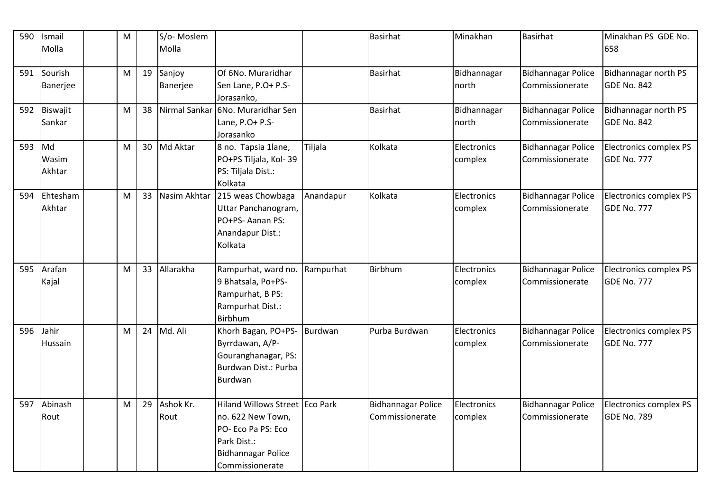| 590 | Ismail<br>Molla | M |    | S/o-Moslem<br>Molla |                                             |           | <b>Basirhat</b>           | Minakhan    | <b>Basirhat</b>           | Minakhan PS GDE No.<br>658  |
|-----|-----------------|---|----|---------------------|---------------------------------------------|-----------|---------------------------|-------------|---------------------------|-----------------------------|
|     |                 |   |    |                     |                                             |           |                           |             |                           |                             |
| 591 | Sourish         | M | 19 | Sanjoy              | Of 6No. Muraridhar                          |           | <b>Basirhat</b>           | Bidhannagar | <b>Bidhannagar Police</b> | <b>Bidhannagar north PS</b> |
|     | Banerjee        |   |    | Banerjee            | Sen Lane, P.O+ P.S-                         |           |                           | north       | Commissionerate           | GDE No. 842                 |
|     |                 |   |    |                     | Jorasanko,                                  |           |                           |             |                           |                             |
| 592 | <b>Biswajit</b> | M | 38 | Nirmal Sankar       | 6No. Muraridhar Sen                         |           | <b>Basirhat</b>           | Bidhannagar | <b>Bidhannagar Police</b> | <b>Bidhannagar north PS</b> |
|     | Sankar          |   |    |                     | Lane, P.O+ P.S-                             |           |                           | north       | Commissionerate           | GDE No. 842                 |
|     |                 |   |    |                     | Jorasanko                                   |           |                           |             |                           |                             |
| 593 | Md              | M | 30 | Md Aktar            | 8 no. Tapsia 1lane,                         | Tiljala   | Kolkata                   | Electronics | <b>Bidhannagar Police</b> | Electronics complex PS      |
|     | Wasim           |   |    |                     | PO+PS Tiljala, Kol-39                       |           |                           | complex     | Commissionerate           | GDE No. 777                 |
|     | Akhtar          |   |    |                     | PS: Tiljala Dist.:<br>Kolkata               |           |                           |             |                           |                             |
| 594 | Ehtesham        | M | 33 | Nasim Akhtar        | 215 weas Chowbaga                           | Anandapur | Kolkata                   | Electronics | <b>Bidhannagar Police</b> | Electronics complex PS      |
|     | Akhtar          |   |    |                     | Uttar Panchanogram,                         |           |                           | complex     | Commissionerate           | <b>GDE No. 777</b>          |
|     |                 |   |    |                     | PO+PS-Aanan PS:                             |           |                           |             |                           |                             |
|     |                 |   |    |                     | Anandapur Dist.:                            |           |                           |             |                           |                             |
|     |                 |   |    |                     | Kolkata                                     |           |                           |             |                           |                             |
|     |                 |   |    |                     |                                             |           |                           |             |                           |                             |
| 595 | Arafan          | M | 33 | Allarakha           | Rampurhat, ward no.                         | Rampurhat | Birbhum                   | Electronics | <b>Bidhannagar Police</b> | Electronics complex PS      |
|     | Kajal           |   |    |                     | 9 Bhatsala, Po+PS-                          |           |                           | complex     | Commissionerate           | GDE No. 777                 |
|     |                 |   |    |                     | Rampurhat, B PS:                            |           |                           |             |                           |                             |
|     |                 |   |    |                     | Rampurhat Dist.:                            |           |                           |             |                           |                             |
|     |                 |   |    |                     | <b>Birbhum</b>                              |           |                           |             |                           |                             |
| 596 | Jahir           | M | 24 | Md. Ali             | Khorh Bagan, PO+PS-                         | Burdwan   | Purba Burdwan             | Electronics | <b>Bidhannagar Police</b> | Electronics complex PS      |
|     | Hussain         |   |    |                     | Byrrdawan, A/P-                             |           |                           | complex     | Commissionerate           | <b>GDE No. 777</b>          |
|     |                 |   |    |                     | Gouranghanagar, PS:<br>Burdwan Dist.: Purba |           |                           |             |                           |                             |
|     |                 |   |    |                     | Burdwan                                     |           |                           |             |                           |                             |
|     |                 |   |    |                     |                                             |           |                           |             |                           |                             |
| 597 | Abinash         | M | 29 | Ashok Kr.           | Hiland Willows Street Eco Park              |           | <b>Bidhannagar Police</b> | Electronics | <b>Bidhannagar Police</b> | Electronics complex PS      |
|     | Rout            |   |    | Rout                | no. 622 New Town,                           |           | Commissionerate           | complex     | Commissionerate           | GDE No. 789                 |
|     |                 |   |    |                     | PO- Eco Pa PS: Eco                          |           |                           |             |                           |                             |
|     |                 |   |    |                     | Park Dist.:                                 |           |                           |             |                           |                             |
|     |                 |   |    |                     | <b>Bidhannagar Police</b>                   |           |                           |             |                           |                             |
|     |                 |   |    |                     | Commissionerate                             |           |                           |             |                           |                             |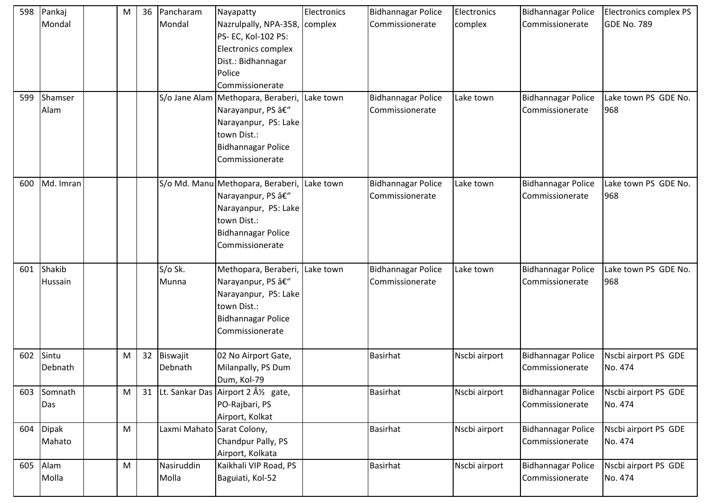| 598 | Pankaj<br>Mondal  | M | 36 | Pancharam<br>Mondal        | Nayapatty<br>Nazrulpally, NPA-358, complex<br>PS- EC, Kol-102 PS:<br>Electronics complex<br>Dist.: Bidhannagar<br>Police<br>Commissionerate                 | Electronics | <b>Bidhannagar Police</b><br>Commissionerate | Electronics<br>complex | Bidhannagar Police<br>Commissionerate        | Electronics complex PS<br><b>GDE No. 789</b> |
|-----|-------------------|---|----|----------------------------|-------------------------------------------------------------------------------------------------------------------------------------------------------------|-------------|----------------------------------------------|------------------------|----------------------------------------------|----------------------------------------------|
| 599 | Shamser<br>Alam   |   |    |                            | S/o Jane Alam   Methopara, Beraberi,   Lake town<br>Narayanpur, PS –<br>Narayanpur, PS: Lake<br>town Dist.:<br><b>Bidhannagar Police</b><br>Commissionerate |             | <b>Bidhannagar Police</b><br>Commissionerate | Lake town              | <b>Bidhannagar Police</b><br>Commissionerate | Lake town PS GDE No.<br>968                  |
| 600 | Md. Imran         |   |    |                            | S/o Md. Manu Methopara, Beraberi, Lake town<br>Narayanpur, PS –<br>Narayanpur, PS: Lake<br>town Dist.:<br><b>Bidhannagar Police</b><br>Commissionerate      |             | <b>Bidhannagar Police</b><br>Commissionerate | Lake town              | <b>Bidhannagar Police</b><br>Commissionerate | Lake town PS GDE No.<br>968                  |
| 601 | Shakib<br>Hussain |   |    | S/o Sk.<br>Munna           | Methopara, Beraberi, Lake town<br>Narayanpur, PS –<br>Narayanpur, PS: Lake<br>town Dist.:<br><b>Bidhannagar Police</b><br>Commissionerate                   |             | <b>Bidhannagar Police</b><br>Commissionerate | Lake town              | Bidhannagar Police<br>Commissionerate        | Lake town PS GDE No.<br>968                  |
| 602 | Sintu<br>Debnath  | M | 32 | Biswajit<br>Debnath        | 02 No Airport Gate,<br>Milanpally, PS Dum<br>Dum, Kol-79                                                                                                    |             | <b>Basirhat</b>                              | Nscbi airport          | Bidhannagar Police<br>Commissionerate        | Nscbi airport PS GDE<br>No. 474              |
| 603 | Somnath<br>Das    | M |    |                            | 31 Lt. Sankar Das Airport 2 ½ gate,<br>PO-Rajbari, PS<br>Airport, Kolkat                                                                                    |             | <b>Basirhat</b>                              | Nscbi airport          | Bidhannagar Police<br>Commissionerate        | Nscbi airport PS GDE<br>No. 474              |
| 604 | Dipak<br>Mahato   | M |    | Laxmi Mahato Sarat Colony, | Chandpur Pally, PS<br>Airport, Kolkata                                                                                                                      |             | <b>Basirhat</b>                              | Nscbi airport          | Bidhannagar Police<br>Commissionerate        | Nscbi airport PS GDE<br>No. 474              |
| 605 | Alam<br>Molla     | M |    | Nasiruddin<br>Molla        | Kaikhali VIP Road, PS<br>Baguiati, Kol-52                                                                                                                   |             | <b>Basirhat</b>                              | Nscbi airport          | <b>Bidhannagar Police</b><br>Commissionerate | Nscbi airport PS GDE<br>No. 474              |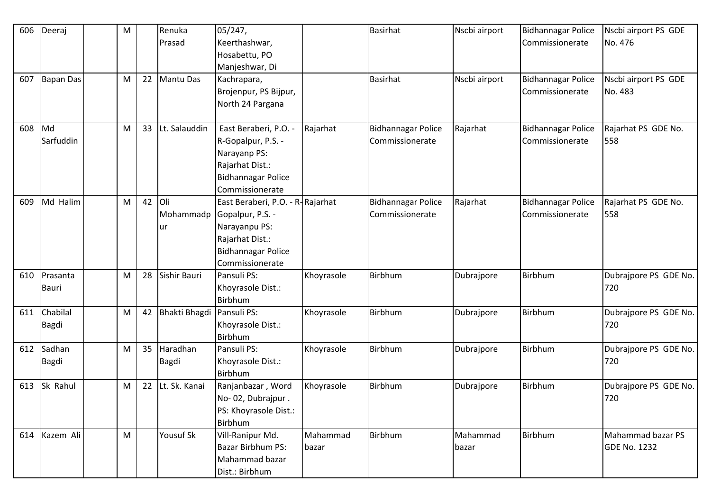| 606 | Deeraj        | M |    | Renuka           | 05/247,                          |            | <b>Basirhat</b>           | Nscbi airport | <b>Bidhannagar Police</b> | Nscbi airport PS GDE  |
|-----|---------------|---|----|------------------|----------------------------------|------------|---------------------------|---------------|---------------------------|-----------------------|
|     |               |   |    | Prasad           | Keerthashwar,                    |            |                           |               | Commissionerate           | No. 476               |
|     |               |   |    |                  | Hosabettu, PO                    |            |                           |               |                           |                       |
|     |               |   |    |                  | Manjeshwar, Di                   |            |                           |               |                           |                       |
| 607 | Bapan Das     | M | 22 | <b>Mantu Das</b> | Kachrapara,                      |            | <b>Basirhat</b>           | Nscbi airport | <b>Bidhannagar Police</b> | Nscbi airport PS GDE  |
|     |               |   |    |                  | Brojenpur, PS Bijpur,            |            |                           |               | Commissionerate           | No. 483               |
|     |               |   |    |                  | North 24 Pargana                 |            |                           |               |                           |                       |
|     |               |   |    |                  |                                  |            |                           |               |                           |                       |
| 608 | Md            | M | 33 | Lt. Salauddin    | East Beraberi, P.O. -            | Rajarhat   | <b>Bidhannagar Police</b> | Rajarhat      | <b>Bidhannagar Police</b> | Rajarhat PS GDE No.   |
|     | Sarfuddin     |   |    |                  | R-Gopalpur, P.S. -               |            | Commissionerate           |               | Commissionerate           | 558                   |
|     |               |   |    |                  | Narayanp PS:                     |            |                           |               |                           |                       |
|     |               |   |    |                  | Rajarhat Dist.:                  |            |                           |               |                           |                       |
|     |               |   |    |                  | <b>Bidhannagar Police</b>        |            |                           |               |                           |                       |
|     |               |   |    |                  | Commissionerate                  |            |                           |               |                           |                       |
| 609 | Md Halim      | M | 42 | lOli             | East Beraberi, P.O. - R-Rajarhat |            | <b>Bidhannagar Police</b> | Rajarhat      | <b>Bidhannagar Police</b> | Rajarhat PS GDE No.   |
|     |               |   |    | Mohammadp        | Gopalpur, P.S. -                 |            | Commissionerate           |               | Commissionerate           | 558                   |
|     |               |   |    | ur               | Narayanpu PS:                    |            |                           |               |                           |                       |
|     |               |   |    |                  | Rajarhat Dist.:                  |            |                           |               |                           |                       |
|     |               |   |    |                  | <b>Bidhannagar Police</b>        |            |                           |               |                           |                       |
|     |               |   |    |                  | Commissionerate                  |            |                           |               |                           |                       |
| 610 | Prasanta      | M | 28 | Sishir Bauri     | Pansuli PS:                      | Khoyrasole | Birbhum                   | Dubrajpore    | Birbhum                   | Dubrajpore PS GDE No. |
|     | <b>Bauri</b>  |   |    |                  | Khoyrasole Dist.:                |            |                           |               |                           | 720                   |
|     |               |   |    |                  | Birbhum                          |            |                           |               |                           |                       |
| 611 | Chabilal      | M | 42 | Bhakti Bhagdi    | Pansuli PS:                      | Khoyrasole | Birbhum                   | Dubrajpore    | Birbhum                   | Dubrajpore PS GDE No. |
|     |               |   |    |                  |                                  |            |                           |               |                           | 720                   |
|     | Bagdi         |   |    |                  | Khoyrasole Dist.:<br>Birbhum     |            |                           |               |                           |                       |
|     | Sadhan        |   | 35 | Haradhan         | Pansuli PS:                      |            | Birbhum                   |               | Birbhum                   |                       |
| 612 |               | M |    |                  |                                  | Khoyrasole |                           | Dubrajpore    |                           | Dubrajpore PS GDE No. |
|     | Bagdi         |   |    | <b>Bagdi</b>     | Khoyrasole Dist.:                |            |                           |               |                           | 720                   |
|     |               |   |    |                  | Birbhum                          |            |                           |               |                           |                       |
|     | 613 Sk Rahul  | M | 22 | Lt. Sk. Kanai    | Ranjanbazar, Word                | Khoyrasole | Birbhum                   | Dubrajpore    | Birbhum                   | Dubrajpore PS GDE No. |
|     |               |   |    |                  | No-02, Dubrajpur.                |            |                           |               |                           | 720                   |
|     |               |   |    |                  | PS: Khoyrasole Dist.:            |            |                           |               |                           |                       |
|     |               |   |    |                  | Birbhum                          |            |                           |               |                           |                       |
|     | 614 Kazem Ali | M |    | <b>Yousuf Sk</b> | Vill-Ranipur Md.                 | Mahammad   | Birbhum                   | Mahammad      | Birbhum                   | Mahammad bazar PS     |
|     |               |   |    |                  | Bazar Birbhum PS:                | bazar      |                           | bazar         |                           | <b>GDE No. 1232</b>   |
|     |               |   |    |                  | Mahammad bazar                   |            |                           |               |                           |                       |
|     |               |   |    |                  | Dist.: Birbhum                   |            |                           |               |                           |                       |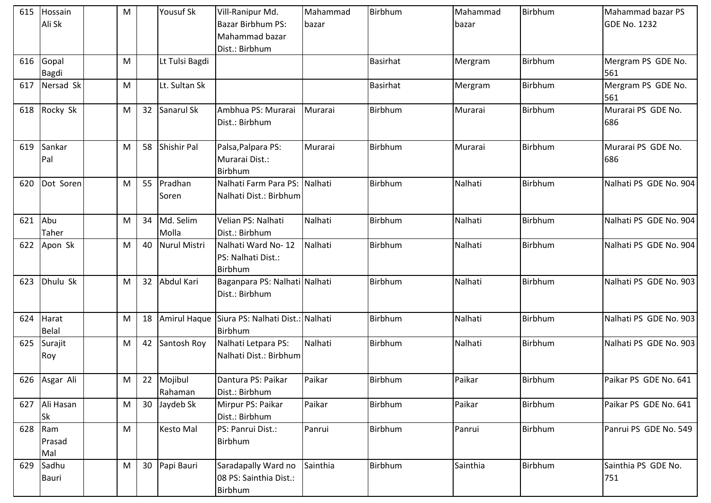|     | 615 Hossain<br>Ali Sk  | M         |    | <b>Yousuf Sk</b>      | Vill-Ranipur Md.<br>Bazar Birbhum PS:<br>Mahammad bazar<br>Dist.: Birbhum | Mahammad<br>bazar | Birbhum         | Mahammad<br>bazar | Birbhum        | Mahammad bazar PS<br><b>GDE No. 1232</b> |
|-----|------------------------|-----------|----|-----------------------|---------------------------------------------------------------------------|-------------------|-----------------|-------------------|----------------|------------------------------------------|
| 616 | Gopal<br>Bagdi         | M         |    | Lt Tulsi Bagdi        |                                                                           |                   | <b>Basirhat</b> | Mergram           | Birbhum        | Mergram PS GDE No.<br>561                |
| 617 | Nersad Sk              | M         |    | Lt. Sultan Sk         |                                                                           |                   | <b>Basirhat</b> | Mergram           | <b>Birbhum</b> | Mergram PS GDE No.<br>561                |
| 618 | Rocky Sk               | M         | 32 | Sanarul Sk            | Ambhua PS: Murarai<br>Dist.: Birbhum                                      | Murarai           | Birbhum         | Murarai           | Birbhum        | Murarai PS GDE No.<br>686                |
| 619 | Sankar<br>Pal          | M         | 58 | <b>Shishir Pal</b>    | Palsa, Palpara PS:<br>Murarai Dist.:<br>Birbhum                           | Murarai           | Birbhum         | Murarai           | Birbhum        | Murarai PS GDE No.<br>686                |
| 620 | Dot Soren              | M         | 55 | Pradhan<br>Soren      | Nalhati Farm Para PS: Nalhati<br>Nalhati Dist.: Birbhum                   |                   | Birbhum         | Nalhati           | Birbhum        | Nalhati PS GDE No. 904                   |
| 621 | Abu<br>Taher           | M         | 34 | Md. Selim<br>Molla    | Velian PS: Nalhati<br>Dist.: Birbhum                                      | Nalhati           | Birbhum         | Nalhati           | <b>Birbhum</b> | Nalhati PS GDE No. 904                   |
| 622 | Apon Sk                | M         | 40 | <b>Nurul Mistri</b>   | Nalhati Ward No-12<br>PS: Nalhati Dist.:<br>Birbhum                       | Nalhati           | Birbhum         | Nalhati           | Birbhum        | Nalhati PS GDE No. 904                   |
| 623 | Dhulu Sk               | M         | 32 | Abdul Kari            | Baganpara PS: Nalhati Nalhati<br>Dist.: Birbhum                           |                   | Birbhum         | Nalhati           | Birbhum        | Nalhati PS GDE No. 903                   |
| 624 | Harat<br>Belal         | M         | 18 | Amirul Haque          | Siura PS: Nalhati Dist.: Nalhati<br>Birbhum                               |                   | Birbhum         | Nalhati           | Birbhum        | Nalhati PS GDE No. 903                   |
| 625 | Surajit<br>Roy         | M         | 42 | Santosh Roy           | Nalhati Letpara PS:<br>Nalhati Dist.: Birbhum                             | Nalhati           | Birbhum         | Nalhati           | Birbhum        | Nalhati PS GDE No. 903                   |
|     | 626 Asgar Ali          | ${\sf M}$ |    | 22 Mojibul<br>Rahaman | Dantura PS: Paikar<br>Dist.: Birbhum                                      | Paikar            | Birbhum         | Paikar            | Birbhum        | Paikar PS GDE No. 641                    |
| 627 | Ali Hasan<br><b>Sk</b> | M         | 30 | Jaydeb Sk             | Mirpur PS: Paikar<br>Dist.: Birbhum                                       | Paikar            | Birbhum         | Paikar            | Birbhum        | Paikar PS GDE No. 641                    |
| 628 | Ram<br>Prasad<br>Mal   | M         |    | Kesto Mal             | PS: Panrui Dist.:<br>Birbhum                                              | Panrui            | Birbhum         | Panrui            | Birbhum        | Panrui PS GDE No. 549                    |
| 629 | Sadhu<br><b>Bauri</b>  | M         | 30 | Papi Bauri            | Saradapally Ward no<br>08 PS: Sainthia Dist.:<br>Birbhum                  | Sainthia          | Birbhum         | Sainthia          | Birbhum        | Sainthia PS GDE No.<br>751               |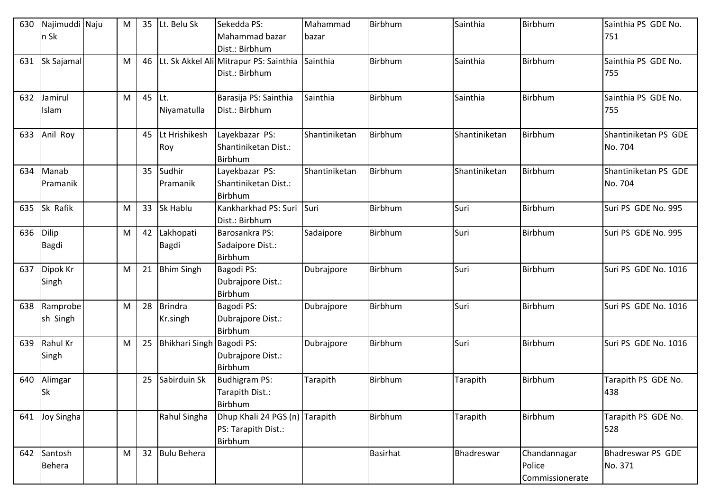| 630 | Najimuddi Naju        | M | 35 | Lt. Belu Sk               | Sekedda PS:                                                      | Mahammad      | Birbhum         | Sainthia      | <b>Birbhum</b>                            | Sainthia PS GDE No.             |
|-----|-----------------------|---|----|---------------------------|------------------------------------------------------------------|---------------|-----------------|---------------|-------------------------------------------|---------------------------------|
|     | n Sk                  |   |    |                           | Mahammad bazar<br>Dist.: Birbhum                                 | <b>bazar</b>  |                 |               |                                           | 751                             |
| 631 | Sk Sajamal            | M | 46 |                           | Lt. Sk Akkel Ali Mitrapur PS: Sainthia<br>Dist.: Birbhum         | Sainthia      | Birbhum         | Sainthia      | <b>Birbhum</b>                            | Sainthia PS GDE No.<br>755      |
| 632 | Jamirul<br>Islam      | M | 45 | ILt.<br>Niyamatulla       | Barasija PS: Sainthia<br>Dist.: Birbhum                          | Sainthia      | Birbhum         | Sainthia      | <b>Birbhum</b>                            | Sainthia PS GDE No.<br>755      |
| 633 | Anil Roy              |   | 45 | Lt Hrishikesh<br>Roy      | Layekbazar PS:<br>Shantiniketan Dist.:<br>Birbhum                | Shantiniketan | Birbhum         | Shantiniketan | <b>Birbhum</b>                            | Shantiniketan PS GDE<br>No. 704 |
| 634 | Manab<br>Pramanik     |   | 35 | Sudhir<br>Pramanik        | Layekbazar PS:<br>Shantiniketan Dist.:<br><b>Birbhum</b>         | Shantiniketan | Birbhum         | Shantiniketan | <b>Birbhum</b>                            | Shantiniketan PS GDE<br>No. 704 |
| 635 | Sk Rafik              | M | 33 | <b>Sk Hablu</b>           | Kankharkhad PS: Suri<br>Dist.: Birbhum                           | Suri          | Birbhum         | Suri          | <b>Birbhum</b>                            | Suri PS GDE No. 995             |
| 636 | Dilip<br><b>Bagdi</b> | M | 42 | Lakhopati<br><b>Bagdi</b> | Barosankra PS:<br>Sadaipore Dist.:<br>Birbhum                    | Sadaipore     | Birbhum         | Suri          | <b>Birbhum</b>                            | Suri PS GDE No. 995             |
| 637 | Dipok Kr<br>Singh     | M | 21 | <b>Bhim Singh</b>         | Bagodi PS:<br>Dubrajpore Dist.:<br><b>Birbhum</b>                | Dubrajpore    | Birbhum         | Suri          | <b>Birbhum</b>                            | Suri PS GDE No. 1016            |
| 638 | Ramprobe<br>sh Singh  | M | 28 | Brindra<br>Kr.singh       | Bagodi PS:<br>Dubrajpore Dist.:<br>Birbhum                       | Dubrajpore    | Birbhum         | Suri          | Birbhum                                   | Suri PS GDE No. 1016            |
| 639 | Rahul Kr<br>Singh     | M | 25 | Bhikhari Singh Bagodi PS: | Dubrajpore Dist.:<br><b>Birbhum</b>                              | Dubrajpore    | Birbhum         | Suri          | <b>Birbhum</b>                            | Suri PS GDE No. 1016            |
| 640 | Alimgar<br><b>Sk</b>  |   | 25 | Sabirduin Sk              | <b>Budhigram PS:</b><br>Tarapith Dist.:<br>Birbhum               | Tarapith      | Birbhum         | Tarapith      | Birbhum                                   | Tarapith PS GDE No.<br>438      |
| 641 | Joy Singha            |   |    | Rahul Singha              | Dhup Khali 24 PGS (n) Tarapith<br>PS: Tarapith Dist.:<br>Birbhum |               | Birbhum         | Tarapith      | <b>Birbhum</b>                            | Tarapith PS GDE No.<br>528      |
| 642 | Santosh<br>Behera     | M | 32 | Bulu Behera               |                                                                  |               | <b>Basirhat</b> | Bhadreswar    | Chandannagar<br>Police<br>Commissionerate | Bhadreswar PS GDE<br>No. 371    |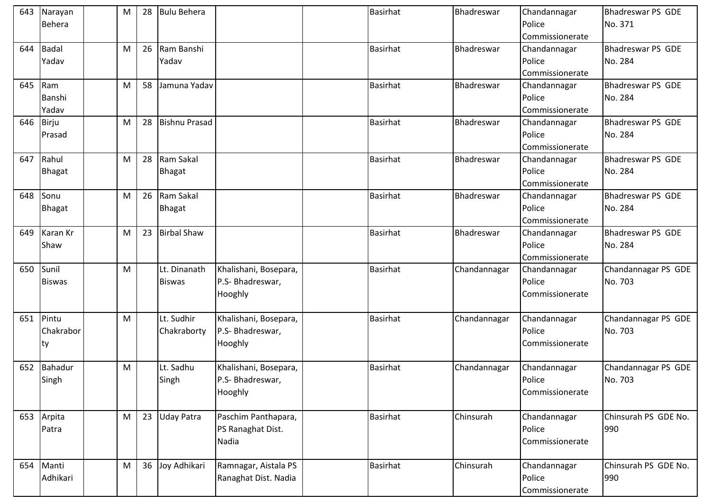| 643 | Narayan       | M | 28 | <b>Bulu Behera</b>   |                                              | <b>Basirhat</b> | Bhadreswar   | Chandannagar             | <b>Bhadreswar PS GDE</b> |
|-----|---------------|---|----|----------------------|----------------------------------------------|-----------------|--------------|--------------------------|--------------------------|
|     | <b>Behera</b> |   |    |                      |                                              |                 |              | Police                   | No. 371                  |
|     |               |   |    |                      |                                              |                 |              | <b>I</b> Commissionerate |                          |
| 644 | <b>Badal</b>  | M | 26 | Ram Banshi           |                                              | <b>Basirhat</b> | Bhadreswar   | Chandannagar             | Bhadreswar PS GDE        |
|     | Yadav         |   |    | Yadav                |                                              |                 |              | Police                   | No. 284                  |
|     |               |   |    |                      |                                              |                 |              | Commissionerate          |                          |
| 645 | Ram           | M | 58 | Jamuna Yadav         |                                              | <b>Basirhat</b> | Bhadreswar   | Chandannagar             | <b>Bhadreswar PS GDE</b> |
|     | Banshi        |   |    |                      |                                              |                 |              | Police                   | No. 284                  |
|     | Yadav         |   |    |                      |                                              |                 |              | Commissionerate          |                          |
|     | 646 Birju     | M | 28 | <b>Bishnu Prasad</b> |                                              | Basirhat        | Bhadreswar   | Chandannagar             | <b>Bhadreswar PS GDE</b> |
|     | Prasad        |   |    |                      |                                              |                 |              | Police                   | No. 284                  |
|     |               |   |    |                      |                                              |                 |              | Commissionerate          |                          |
| 647 | Rahul         | M | 28 | Ram Sakal            |                                              | <b>Basirhat</b> | Bhadreswar   | Chandannagar             | <b>Bhadreswar PS GDE</b> |
|     | <b>Bhagat</b> |   |    | <b>Bhagat</b>        |                                              |                 |              | Police                   | No. 284                  |
|     |               |   |    |                      |                                              |                 |              | Commissionerate          |                          |
| 648 | Sonu          | M | 26 | Ram Sakal            |                                              | <b>Basirhat</b> | Bhadreswar   | Chandannagar             | <b>Bhadreswar PS GDE</b> |
|     | Bhagat        |   |    | <b>Bhagat</b>        |                                              |                 |              | Police                   | No. 284                  |
|     |               |   |    |                      |                                              |                 |              | Commissionerate          |                          |
| 649 | Karan Kr      | M | 23 | <b>Birbal Shaw</b>   |                                              | <b>Basirhat</b> | Bhadreswar   | Chandannagar             | Bhadreswar PS GDE        |
|     | Shaw          |   |    |                      |                                              |                 |              | Police                   | No. 284                  |
|     |               |   |    |                      |                                              |                 |              | Commissionerate          |                          |
| 650 | Sunil         | M |    | Lt. Dinanath         | Khalishani, Bosepara,                        | <b>Basirhat</b> | Chandannagar | Chandannagar             | Chandannagar PS GDE      |
|     | <b>Biswas</b> |   |    | <b>Biswas</b>        | P.S- Bhadreswar,                             |                 |              | Police                   | No. 703                  |
|     |               |   |    |                      | Hooghly                                      |                 |              | Commissionerate          |                          |
|     |               |   |    |                      |                                              |                 |              |                          |                          |
| 651 | Pintu         | M |    | Lt. Sudhir           | Khalishani, Bosepara,                        | <b>Basirhat</b> | Chandannagar | Chandannagar             | Chandannagar PS GDE      |
|     | Chakrabor     |   |    | Chakraborty          | P.S- Bhadreswar,                             |                 |              | Police                   | No. 703                  |
|     | ty            |   |    |                      | Hooghly                                      |                 |              | Commissionerate          |                          |
|     |               |   |    |                      |                                              |                 |              |                          |                          |
| 652 | Bahadur       | M |    | Lt. Sadhu            | Khalishani, Bosepara,                        | Basirhat        | Chandannagar | Chandannagar             | Chandannagar PS GDE      |
|     | Singh         |   |    | Singh                | P.S- Bhadreswar,                             |                 |              | Police                   | No. 703                  |
|     |               |   |    |                      | Hooghly                                      |                 |              | Commissionerate          |                          |
|     |               |   |    |                      |                                              |                 |              |                          |                          |
|     | 653 Arpita    | M | 23 | <b>Uday Patra</b>    | Paschim Panthapara,                          | <b>Basirhat</b> | Chinsurah    | Chandannagar             | Chinsurah PS GDE No.     |
|     | Patra         |   |    |                      | PS Ranaghat Dist.                            |                 |              | Police                   | 990                      |
|     |               |   |    |                      | Nadia                                        |                 |              | Commissionerate          |                          |
| 654 | Manti         | M | 36 | Joy Adhikari         |                                              | Basirhat        | Chinsurah    |                          | Chinsurah PS GDE No.     |
|     | Adhikari      |   |    |                      | Ramnagar, Aistala PS<br>Ranaghat Dist. Nadia |                 |              | Chandannagar<br>Police   | 990                      |
|     |               |   |    |                      |                                              |                 |              | Commissionerate          |                          |
|     |               |   |    |                      |                                              |                 |              |                          |                          |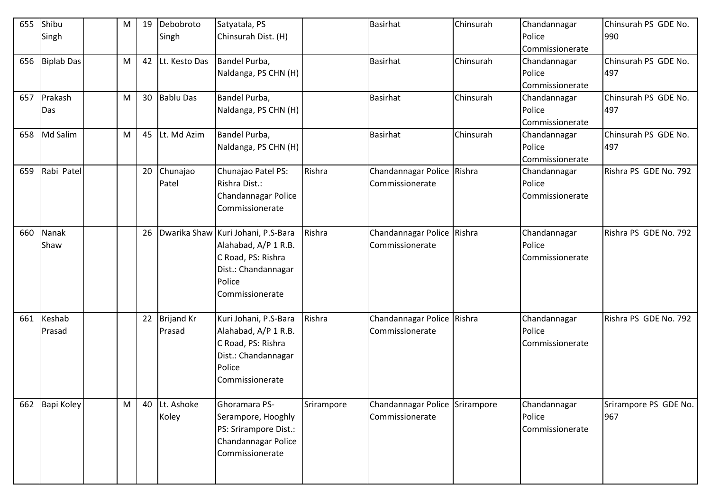| 655 | Shibu<br>Singh   | M | 19 | Debobroto<br>Singh      | Satyatala, PS<br>Chinsurah Dist. (H)                                                                                                 |            | <b>Basirhat</b>                                   | Chinsurah | Chandannagar<br>Police<br>Commissionerate | Chinsurah PS GDE No.<br>990  |
|-----|------------------|---|----|-------------------------|--------------------------------------------------------------------------------------------------------------------------------------|------------|---------------------------------------------------|-----------|-------------------------------------------|------------------------------|
|     | 656 Biplab Das   | M | 42 | Lt. Kesto Das           | Bandel Purba,<br>Naldanga, PS CHN (H)                                                                                                |            | <b>Basirhat</b>                                   | Chinsurah | Chandannagar<br>Police<br>Commissionerate | Chinsurah PS GDE No.<br>497  |
| 657 | Prakash<br>Das   | M |    | 30 Bablu Das            | Bandel Purba,<br>Naldanga, PS CHN (H)                                                                                                |            | <b>Basirhat</b>                                   | Chinsurah | Chandannagar<br>Police<br>Commissionerate | Chinsurah PS GDE No.<br>497  |
|     | 658 Md Salim     | M | 45 | Lt. Md Azim             | Bandel Purba,<br>Naldanga, PS CHN (H)                                                                                                |            | Basirhat                                          | Chinsurah | Chandannagar<br>Police<br>Commissionerate | Chinsurah PS GDE No.<br>497  |
| 659 | Rabi Patel       |   | 20 | Chunajao<br>Patel       | Chunajao Patel PS:<br>Rishra Dist.:<br>Chandannagar Police<br>Commissionerate                                                        | Rishra     | Chandannagar Police Rishra<br>Commissionerate     |           | Chandannagar<br>Police<br>Commissionerate | Rishra PS GDE No. 792        |
| 660 | Nanak<br>Shaw    |   | 26 |                         | Dwarika Shaw Kuri Johani, P.S-Bara<br>Alahabad, A/P 1 R.B.<br>C Road, PS: Rishra<br>Dist.: Chandannagar<br>Police<br>Commissionerate | Rishra     | Chandannagar Police Rishra<br>Commissionerate     |           | Chandannagar<br>Police<br>Commissionerate | Rishra PS GDE No. 792        |
| 661 | Keshab<br>Prasad |   |    | 22 Brijand Kr<br>Prasad | Kuri Johani, P.S-Bara<br>Alahabad, A/P 1 R.B.<br>C Road, PS: Rishra<br>Dist.: Chandannagar<br>Police<br>Commissionerate              | Rishra     | Chandannagar Police Rishra<br>Commissionerate     |           | Chandannagar<br>Police<br>Commissionerate | Rishra PS GDE No. 792        |
|     | 662 Bapi Koley   | M | 40 | Lt. Ashoke<br>Koley     | Ghoramara PS-<br>Serampore, Hooghly<br>PS: Srirampore Dist.:<br>Chandannagar Police<br>Commissionerate                               | Srirampore | Chandannagar Police Srirampore<br>Commissionerate |           | Chandannagar<br>Police<br>Commissionerate | Srirampore PS GDE No.<br>967 |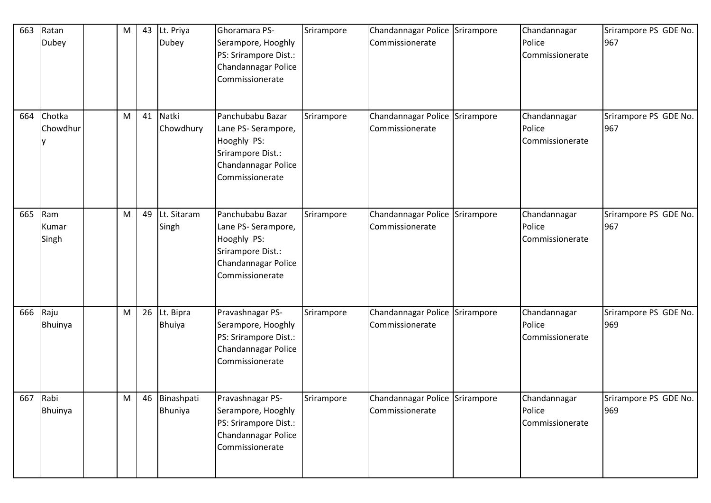| 663 | Ratan<br>Dubey        | M | 43 | Lt. Priya<br><b>Dubey</b>  | Ghoramara PS-<br>Serampore, Hooghly<br>PS: Srirampore Dist.:<br>Chandannagar Police<br>Commissionerate                | Srirampore | Chandannagar Police Srirampore<br>Commissionerate | Chandannagar<br>Police<br>Commissionerate | Srirampore PS GDE No.<br>967 |
|-----|-----------------------|---|----|----------------------------|-----------------------------------------------------------------------------------------------------------------------|------------|---------------------------------------------------|-------------------------------------------|------------------------------|
| 664 | Chotka<br>Chowdhur    | M | 41 | Natki<br>Chowdhury         | Panchubabu Bazar<br>Lane PS- Serampore,<br>Hooghly PS:<br>Srirampore Dist.:<br>Chandannagar Police<br>Commissionerate | Srirampore | Chandannagar Police Srirampore<br>Commissionerate | Chandannagar<br>Police<br>Commissionerate | Srirampore PS GDE No.<br>967 |
| 665 | Ram<br>Kumar<br>Singh | M | 49 | Lt. Sitaram<br>Singh       | Panchubabu Bazar<br>Lane PS- Serampore,<br>Hooghly PS:<br>Srirampore Dist.:<br>Chandannagar Police<br>Commissionerate | Srirampore | Chandannagar Police Srirampore<br>Commissionerate | Chandannagar<br>Police<br>Commissionerate | Srirampore PS GDE No.<br>967 |
| 666 | Raju<br>Bhuinya       | M | 26 | Lt. Bipra<br><b>Bhuiya</b> | Pravashnagar PS-<br>Serampore, Hooghly<br>PS: Srirampore Dist.:<br>Chandannagar Police<br>Commissionerate             | Srirampore | Chandannagar Police Srirampore<br>Commissionerate | Chandannagar<br>Police<br>Commissionerate | Srirampore PS GDE No.<br>969 |
|     | 667 Rabi<br>Bhuinya   | M |    | 46 Binashpati<br>Bhuniya   | Pravashnagar PS-<br>Serampore, Hooghly<br>PS: Srirampore Dist.:<br>Chandannagar Police<br>Commissionerate             | Srirampore | Chandannagar Police Srirampore<br>Commissionerate | Chandannagar<br>Police<br>Commissionerate | Srirampore PS GDE No.<br>969 |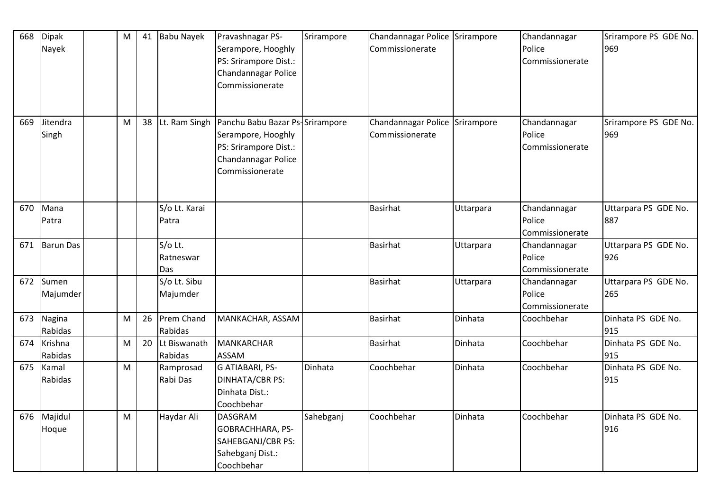| 668 | Dipak<br>Nayek     | M         | 41 | <b>Babu Nayek</b>           | Pravashnagar PS-<br>Serampore, Hooghly<br>PS: Srirampore Dist.:<br>Chandannagar Police<br>Commissionerate                | Srirampore | Chandannagar Police Srirampore<br>Commissionerate |           | Chandannagar<br>Police<br>Commissionerate | Srirampore PS GDE No.<br>969 |
|-----|--------------------|-----------|----|-----------------------------|--------------------------------------------------------------------------------------------------------------------------|------------|---------------------------------------------------|-----------|-------------------------------------------|------------------------------|
| 669 | Jitendra<br>Singh  | M         | 38 | Lt. Ram Singh               | Panchu Babu Bazar Ps-Srirampore<br>Serampore, Hooghly<br>PS: Srirampore Dist.:<br>Chandannagar Police<br>Commissionerate |            | Chandannagar Police Srirampore<br>Commissionerate |           | Chandannagar<br>Police<br>Commissionerate | Srirampore PS GDE No.<br>969 |
| 670 | Mana<br>Patra      |           |    | S/o Lt. Karai<br>Patra      |                                                                                                                          |            | <b>Basirhat</b>                                   | Uttarpara | Chandannagar<br>Police                    | Uttarpara PS GDE No.<br>887  |
|     |                    |           |    |                             |                                                                                                                          |            |                                                   |           | Commissionerate                           |                              |
| 671 | <b>Barun Das</b>   |           |    | S/o Lt.<br>Ratneswar<br>Das |                                                                                                                          |            | <b>Basirhat</b>                                   | Uttarpara | Chandannagar<br>Police<br>Commissionerate | Uttarpara PS GDE No.<br>926  |
| 672 | Sumen<br>Majumder  |           |    | S/o Lt. Sibu<br>Majumder    |                                                                                                                          |            | <b>Basirhat</b>                                   | Uttarpara | Chandannagar<br>Police<br>Commissionerate | Uttarpara PS GDE No.<br>265  |
| 673 | Nagina<br>Rabidas  | M         | 26 | Prem Chand<br>Rabidas       | MANKACHAR, ASSAM                                                                                                         |            | <b>Basirhat</b>                                   | Dinhata   | Coochbehar                                | Dinhata PS GDE No.<br>915    |
| 674 | Krishna<br>Rabidas | M         | 20 | Lt Biswanath<br>Rabidas     | MANKARCHAR<br><b>ASSAM</b>                                                                                               |            | <b>Basirhat</b>                                   | Dinhata   | Coochbehar                                | Dinhata PS GDE No.<br>915    |
| 675 | Kamal<br>Rabidas   | M         |    | Ramprosad<br>Rabi Das       | G ATIABARI, PS-<br><b>DINHATA/CBR PS:</b><br>Dinhata Dist.:<br>Coochbehar                                                | Dinhata    | Coochbehar                                        | Dinhata   | Coochbehar                                | Dinhata PS GDE No.<br>915    |
| 676 | Majidul<br>Hoque   | ${\sf M}$ |    | Haydar Ali                  | <b>DASGRAM</b><br>GOBRACHHARA, PS-<br>SAHEBGANJ/CBR PS:<br>Sahebganj Dist.:<br>Coochbehar                                | Sahebganj  | Coochbehar                                        | Dinhata   | Coochbehar                                | Dinhata PS GDE No.<br>916    |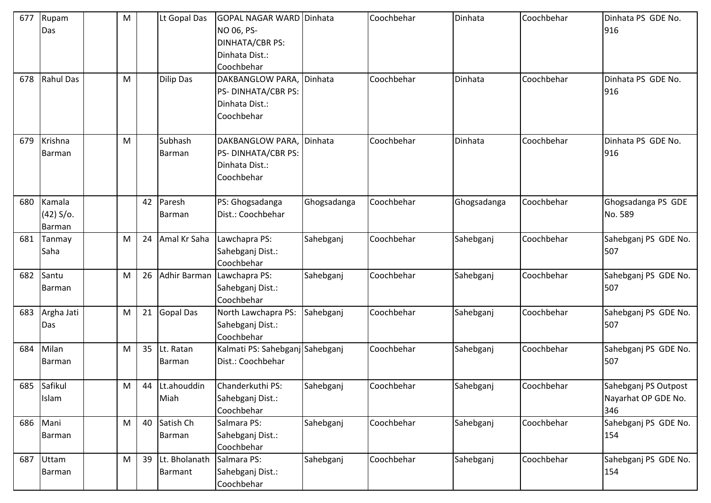| 677 | Rupam<br>Das                    | M |    | Lt Gopal Das             | <b>GOPAL NAGAR WARD Dinhata</b><br>NO 06, PS-<br><b>DINHATA/CBR PS:</b><br>Dinhata Dist.:<br>Coochbehar |             | Coochbehar | Dinhata     | Coochbehar | Dinhata PS GDE No.<br>916                          |
|-----|---------------------------------|---|----|--------------------------|---------------------------------------------------------------------------------------------------------|-------------|------------|-------------|------------|----------------------------------------------------|
| 678 | Rahul Das                       | M |    | <b>Dilip Das</b>         | DAKBANGLOW PARA,<br>PS- DINHATA/CBR PS:<br>Dinhata Dist.:<br>Coochbehar                                 | Dinhata     | Coochbehar | Dinhata     | Coochbehar | Dinhata PS GDE No.<br>916                          |
| 679 | Krishna<br>Barman               | M |    | Subhash<br><b>Barman</b> | DAKBANGLOW PARA,<br>PS-DINHATA/CBR PS:<br>Dinhata Dist.:<br>Coochbehar                                  | Dinhata     | Coochbehar | Dinhata     | Coochbehar | Dinhata PS GDE No.<br>916                          |
| 680 | Kamala<br>$(42) S$ o.<br>Barman |   | 42 | Paresh<br><b>Barman</b>  | PS: Ghogsadanga<br>Dist.: Coochbehar                                                                    | Ghogsadanga | Coochbehar | Ghogsadanga | Coochbehar | Ghogsadanga PS GDE<br>No. 589                      |
| 681 | Tanmay<br>Saha                  | M | 24 | Amal Kr Saha             | Lawchapra PS:<br>Sahebganj Dist.:<br>Coochbehar                                                         | Sahebganj   | Coochbehar | Sahebganj   | Coochbehar | Sahebganj PS GDE No.<br>507                        |
| 682 | Santu<br>Barman                 | M | 26 | Adhir Barman             | Lawchapra PS:<br>Sahebganj Dist.:<br>Coochbehar                                                         | Sahebganj   | Coochbehar | Sahebganj   | Coochbehar | Sahebganj PS GDE No.<br>507                        |
| 683 | Argha Jati<br>Das               | M | 21 | <b>Gopal Das</b>         | North Lawchapra PS:<br>Sahebganj Dist.:<br>Coochbehar                                                   | Sahebganj   | Coochbehar | Sahebganj   | Coochbehar | Sahebganj PS GDE No.<br>507                        |
| 684 | Milan<br>Barman                 | M | 35 | Lt. Ratan<br>Barman      | Kalmati PS: Sahebganj Sahebganj<br>Dist.: Coochbehar                                                    |             | Coochbehar | Sahebganj   | Coochbehar | Sahebganj PS GDE No.<br>507                        |
|     | 685 Safikul<br>Islam            | M | 44 | Lt.ahouddin<br>Miah      | Chanderkuthi PS:<br>Sahebganj Dist.:<br>Coochbehar                                                      | Sahebganj   | Coochbehar | Sahebganj   | Coochbehar | Sahebganj PS Outpost<br>Nayarhat OP GDE No.<br>346 |
|     | 686 Mani<br>Barman              | M | 40 | Satish Ch<br>Barman      | Salmara PS:<br>Sahebganj Dist.:<br>Coochbehar                                                           | Sahebganj   | Coochbehar | Sahebganj   | Coochbehar | Sahebganj PS GDE No.<br>154                        |
| 687 | Uttam<br>Barman                 | M | 39 | Lt. Bholanath<br>Barmant | Salmara PS:<br>Sahebganj Dist.:<br>Coochbehar                                                           | Sahebganj   | Coochbehar | Sahebganj   | Coochbehar | Sahebganj PS GDE No.<br>154                        |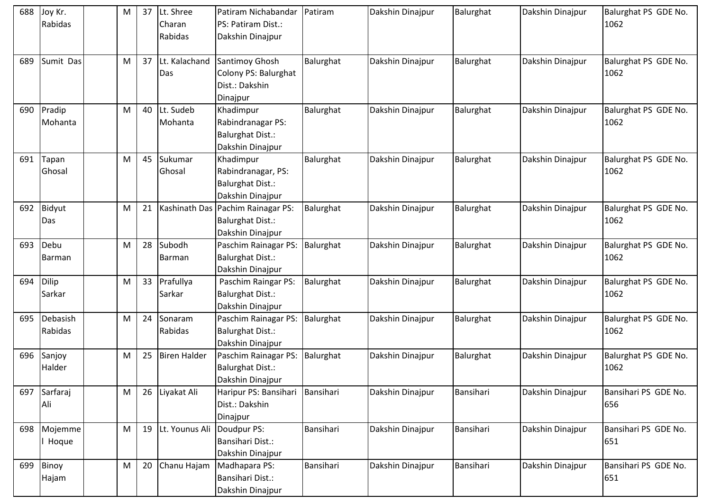| 688 | Joy Kr.<br>Rabidas    | M | 37 | Lt. Shree<br>Charan<br>Rabidas | Patiram Nichabandar<br>PS: Patiram Dist.:<br>Dakshin Dinajpur                    | Patiram   | Dakshin Dinajpur | Balurghat | Dakshin Dinajpur | Balurghat PS GDE No.<br>1062 |
|-----|-----------------------|---|----|--------------------------------|----------------------------------------------------------------------------------|-----------|------------------|-----------|------------------|------------------------------|
| 689 | Sumit Das             | M | 37 | Lt. Kalachand<br>Das           | Santimoy Ghosh<br>Colony PS: Balurghat<br>Dist.: Dakshin<br>Dinajpur             | Balurghat | Dakshin Dinajpur | Balurghat | Dakshin Dinajpur | Balurghat PS GDE No.<br>1062 |
| 690 | Pradip<br>Mohanta     | M | 40 | Lt. Sudeb<br>Mohanta           | Khadimpur<br>Rabindranagar PS:<br><b>Balurghat Dist.:</b><br>Dakshin Dinajpur    | Balurghat | Dakshin Dinajpur | Balurghat | Dakshin Dinajpur | Balurghat PS GDE No.<br>1062 |
| 691 | Tapan<br>Ghosal       | M | 45 | Sukumar<br>Ghosal              | Khadimpur<br>Rabindranagar, PS:<br><b>Balurghat Dist.:</b><br>Dakshin Dinajpur   | Balurghat | Dakshin Dinajpur | Balurghat | Dakshin Dinajpur | Balurghat PS GDE No.<br>1062 |
| 692 | Bidyut<br>Das         | M | 21 |                                | Kashinath Das Pachim Rainagar PS:<br><b>Balurghat Dist.:</b><br>Dakshin Dinajpur | Balurghat | Dakshin Dinajpur | Balurghat | Dakshin Dinajpur | Balurghat PS GDE No.<br>1062 |
| 693 | Debu<br><b>Barman</b> | M | 28 | Subodh<br>Barman               | Paschim Rainagar PS:<br><b>Balurghat Dist.:</b><br>Dakshin Dinajpur              | Balurghat | Dakshin Dinajpur | Balurghat | Dakshin Dinajpur | Balurghat PS GDE No.<br>1062 |
| 694 | Dilip<br>Sarkar       | M | 33 | Prafullya<br>Sarkar            | Paschim Raingar PS:<br><b>Balurghat Dist.:</b><br>Dakshin Dinajpur               | Balurghat | Dakshin Dinajpur | Balurghat | Dakshin Dinajpur | Balurghat PS GDE No.<br>1062 |
| 695 | Debasish<br>Rabidas   | M | 24 | Sonaram<br>Rabidas             | Paschim Rainagar PS:<br><b>Balurghat Dist.:</b><br>Dakshin Dinajpur              | Balurghat | Dakshin Dinajpur | Balurghat | Dakshin Dinajpur | Balurghat PS GDE No.<br>1062 |
| 696 | Sanjoy<br>Halder      | M | 25 | <b>Biren Halder</b>            | Paschim Rainagar PS:<br><b>Balurghat Dist.:</b><br>Dakshin Dinajpur              | Balurghat | Dakshin Dinajpur | Balurghat | Dakshin Dinajpur | Balurghat PS GDE No.<br>1062 |
| 697 | Sarfaraj<br>Ali       | M | 26 | Liyakat Ali                    | Haripur PS: Bansihari<br>Dist.: Dakshin<br>Dinajpur                              | Bansihari | Dakshin Dinajpur | Bansihari | Dakshin Dinajpur | Bansihari PS GDE No.<br>656  |
| 698 | Mojemme<br>Hoque      | M | 19 | Lt. Younus Ali                 | Doudpur PS:<br><b>Bansihari Dist.:</b><br>Dakshin Dinajpur                       | Bansihari | Dakshin Dinajpur | Bansihari | Dakshin Dinajpur | Bansihari PS GDE No.<br>651  |
| 699 | Binoy<br>Hajam        | M | 20 | Chanu Hajam                    | Madhapara PS:<br>Bansihari Dist.:<br>Dakshin Dinajpur                            | Bansihari | Dakshin Dinajpur | Bansihari | Dakshin Dinajpur | Bansihari PS GDE No.<br>651  |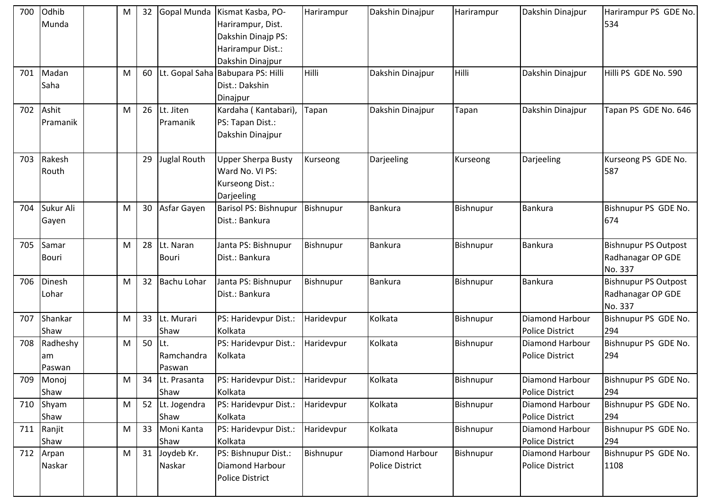| 700 | Odhib<br>Munda           | M | 32 |                              | Gopal Munda Kismat Kasba, PO-<br>Harirampur, Dist.<br>Dakshin Dinajp PS:<br>Harirampur Dist.:<br>Dakshin Dinajpur | Harirampur   | Dakshin Dinajpur                   | Harirampur       | Dakshin Dinajpur                                 | Harirampur PS GDE No.<br>534                                |
|-----|--------------------------|---|----|------------------------------|-------------------------------------------------------------------------------------------------------------------|--------------|------------------------------------|------------------|--------------------------------------------------|-------------------------------------------------------------|
| 701 | Madan<br>Saha            | M | 60 |                              | Lt. Gopal Saha Babupara PS: Hilli<br>Dist.: Dakshin<br>Dinajpur                                                   | <b>Hilli</b> | Dakshin Dinajpur                   | Hilli            | Dakshin Dinajpur                                 | Hilli PS GDE No. 590                                        |
| 702 | Ashit<br>Pramanik        | M | 26 | Lt. Jiten<br>Pramanik        | Kardaha (Kantabari),<br>PS: Tapan Dist.:<br>Dakshin Dinajpur                                                      | Tapan        | Dakshin Dinajpur                   | Tapan            | Dakshin Dinajpur                                 | Tapan PS GDE No. 646                                        |
| 703 | Rakesh<br>Routh          |   | 29 | <b>Juglal Routh</b>          | Upper Sherpa Busty<br>Ward No. VI PS:<br>Kurseong Dist.:<br>Darjeeling                                            | Kurseong     | Darjeeling                         | Kurseong         | Darjeeling                                       | Kurseong PS GDE No.<br>587                                  |
| 704 | Sukur Ali<br>Gayen       | M | 30 | Asfar Gayen                  | Barisol PS: Bishnupur<br>Dist.: Bankura                                                                           | Bishnupur    | Bankura                            | Bishnupur        | <b>Bankura</b>                                   | Bishnupur PS GDE No.<br>674                                 |
| 705 | Samar<br><b>Bouri</b>    | M | 28 | Lt. Naran<br><b>Bouri</b>    | Janta PS: Bishnupur<br>Dist.: Bankura                                                                             | Bishnupur    | Bankura                            | Bishnupur        | <b>Bankura</b>                                   | Bishnupur PS Outpost<br>Radhanagar OP GDE<br>No. 337        |
| 706 | Dinesh<br>Lohar          | M | 32 | <b>Bachu Lohar</b>           | Janta PS: Bishnupur<br>Dist.: Bankura                                                                             | Bishnupur    | Bankura                            | Bishnupur        | <b>Bankura</b>                                   | <b>Bishnupur PS Outpost</b><br>Radhanagar OP GDE<br>No. 337 |
| 707 | Shankar<br>Shaw          | M | 33 | Lt. Murari<br>Shaw           | PS: Haridevpur Dist.:<br>Kolkata                                                                                  | Haridevpur   | Kolkata                            | <b>Bishnupur</b> | <b>Diamond Harbour</b><br><b>Police District</b> | Bishnupur PS GDE No.<br>294                                 |
| 708 | Radheshy<br>am<br>Paswan | M | 50 | lLt.<br>Ramchandra<br>Paswan | PS: Haridevpur Dist.:<br>Kolkata                                                                                  | Haridevpur   | Kolkata                            | Bishnupur        | Diamond Harbour<br><b>Police District</b>        | Bishnupur PS GDE No.<br>294                                 |
| 709 | Monoj<br>Shaw            | M | 34 | Lt. Prasanta<br>Shaw         | PS: Haridevpur Dist.:<br>Kolkata                                                                                  | Haridevpur   | Kolkata                            | Bishnupur        | <b>Diamond Harbour</b><br><b>Police District</b> | Bishnupur PS GDE No.<br>294                                 |
| 710 | Shyam<br>Shaw            | M | 52 | Lt. Jogendra<br>Shaw         | PS: Haridevpur Dist.:<br>Kolkata                                                                                  | Haridevpur   | Kolkata                            | Bishnupur        | <b>Diamond Harbour</b><br>Police District        | Bishnupur PS GDE No.<br>294                                 |
| 711 | Ranjit<br>Shaw           | M | 33 | Moni Kanta<br>Shaw           | PS: Haridevpur Dist.:<br>Kolkata                                                                                  | Haridevpur   | Kolkata                            | Bishnupur        | Diamond Harbour<br>Police District               | Bishnupur PS GDE No.<br>294                                 |
| 712 | Arpan<br>Naskar          | M | 31 | Joydeb Kr.<br>Naskar         | PS: Bishnupur Dist.:<br><b>Diamond Harbour</b><br>Police District                                                 | Bishnupur    | Diamond Harbour<br>Police District | Bishnupur        | Diamond Harbour<br>Police District               | Bishnupur PS GDE No.<br>1108                                |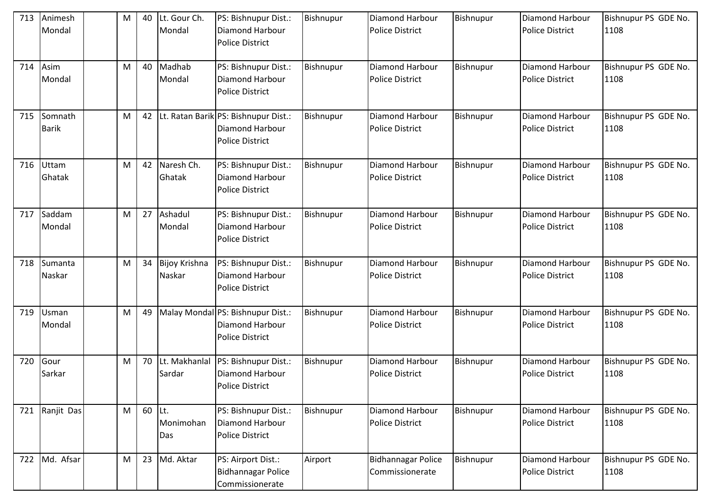| 713 | Animesh<br>Mondal       | M | 40 | Lt. Gour Ch.<br>Mondal         | PS: Bishnupur Dist.:<br>Diamond Harbour<br><b>Police District</b>                        | Bishnupur | <b>Diamond Harbour</b><br><b>Police District</b> | Bishnupur | <b>Diamond Harbour</b><br><b>Police District</b> | Bishnupur PS GDE No.<br>1108 |
|-----|-------------------------|---|----|--------------------------------|------------------------------------------------------------------------------------------|-----------|--------------------------------------------------|-----------|--------------------------------------------------|------------------------------|
| 714 | Asim<br>Mondal          | M | 40 | Madhab<br>Mondal               | PS: Bishnupur Dist.:<br>Diamond Harbour<br><b>Police District</b>                        | Bishnupur | Diamond Harbour<br><b>Police District</b>        | Bishnupur | Diamond Harbour<br><b>Police District</b>        | Bishnupur PS GDE No.<br>1108 |
| 715 | Somnath<br><b>Barik</b> | M | 42 |                                | Lt. Ratan Barik PS: Bishnupur Dist.:<br><b>Diamond Harbour</b><br><b>Police District</b> | Bishnupur | <b>Diamond Harbour</b><br><b>Police District</b> | Bishnupur | Diamond Harbour<br><b>Police District</b>        | Bishnupur PS GDE No.<br>1108 |
| 716 | <b>Uttam</b><br>Ghatak  | M | 42 | Naresh Ch.<br>Ghatak           | PS: Bishnupur Dist.:<br>Diamond Harbour<br>Police District                               | Bishnupur | Diamond Harbour<br><b>Police District</b>        | Bishnupur | <b>Diamond Harbour</b><br><b>Police District</b> | Bishnupur PS GDE No.<br>1108 |
| 717 | Saddam<br>Mondal        | M | 27 | Ashadul<br>Mondal              | PS: Bishnupur Dist.:<br>Diamond Harbour<br><b>Police District</b>                        | Bishnupur | Diamond Harbour<br><b>Police District</b>        | Bishnupur | <b>Diamond Harbour</b><br><b>Police District</b> | Bishnupur PS GDE No.<br>1108 |
| 718 | Sumanta<br>Naskar       | M | 34 | <b>Bijoy Krishna</b><br>Naskar | PS: Bishnupur Dist.:<br>Diamond Harbour<br><b>Police District</b>                        | Bishnupur | Diamond Harbour<br><b>Police District</b>        | Bishnupur | <b>Diamond Harbour</b><br><b>Police District</b> | Bishnupur PS GDE No.<br>1108 |
| 719 | Usman<br>Mondal         | M | 49 |                                | Malay Mondal PS: Bishnupur Dist.:<br>Diamond Harbour<br><b>Police District</b>           | Bishnupur | Diamond Harbour<br><b>Police District</b>        | Bishnupur | Diamond Harbour<br><b>Police District</b>        | Bishnupur PS GDE No.<br>1108 |
| 720 | Gour<br>Sarkar          | M | 70 | Lt. Makhanlal<br>Sardar        | PS: Bishnupur Dist.:<br>Diamond Harbour<br><b>Police District</b>                        | Bishnupur | Diamond Harbour<br><b>Police District</b>        | Bishnupur | <b>Diamond Harbour</b><br><b>Police District</b> | Bishnupur PS GDE No.<br>1108 |
| 721 | Ranjit Das              | M | 60 | ILt.<br>Monimohan<br>Das       | PS: Bishnupur Dist.:<br>Diamond Harbour<br>Police District                               | Bishnupur | Diamond Harbour<br><b>Police District</b>        | Bishnupur | Diamond Harbour<br><b>Police District</b>        | Bishnupur PS GDE No.<br>1108 |
| 722 | Md. Afsar               | M | 23 | Md. Aktar                      | PS: Airport Dist.:<br><b>Bidhannagar Police</b><br>Commissionerate                       | Airport   | <b>Bidhannagar Police</b><br>Commissionerate     | Bishnupur | Diamond Harbour<br>Police District               | Bishnupur PS GDE No.<br>1108 |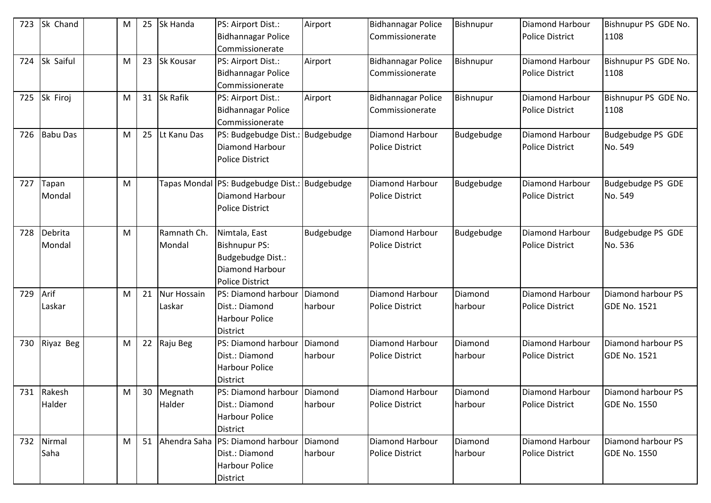| 723 | Sk Chand          | M | 25 | Sk Handa                     | PS: Airport Dist.:<br><b>Bidhannagar Police</b><br><b>Commissionerate</b>                               | Airport            | <b>Bidhannagar Police</b><br>Commissionerate | Bishnupur          | Diamond Harbour<br><b>Police District</b>        | Bishnupur PS GDE No.<br>1108              |
|-----|-------------------|---|----|------------------------------|---------------------------------------------------------------------------------------------------------|--------------------|----------------------------------------------|--------------------|--------------------------------------------------|-------------------------------------------|
| 724 | Sk Saiful         | M | 23 | Sk Kousar                    | PS: Airport Dist.:<br><b>Bidhannagar Police</b><br>Commissionerate                                      | Airport            | <b>Bidhannagar Police</b><br>Commissionerate | Bishnupur          | Diamond Harbour<br><b>Police District</b>        | Bishnupur PS GDE No.<br>1108              |
| 725 | Sk Firoj          | M | 31 | Sk Rafik                     | PS: Airport Dist.:<br><b>Bidhannagar Police</b><br>Commissionerate                                      | Airport            | <b>Bidhannagar Police</b><br>Commissionerate | Bishnupur          | Diamond Harbour<br><b>Police District</b>        | Bishnupur PS GDE No.<br>1108              |
| 726 | <b>Babu Das</b>   | M | 25 | Lt Kanu Das                  | PS: Budgebudge Dist.:<br>Diamond Harbour<br><b>Police District</b>                                      | Budgebudge         | Diamond Harbour<br><b>Police District</b>    | Budgebudge         | Diamond Harbour<br><b>Police District</b>        | Budgebudge PS GDE<br>No. 549              |
| 727 | Tapan<br>Mondal   | M |    |                              | Tapas Mondal PS: Budgebudge Dist.: Budgebudge<br>Diamond Harbour<br><b>Police District</b>              |                    | Diamond Harbour<br><b>Police District</b>    | Budgebudge         | Diamond Harbour<br><b>Police District</b>        | Budgebudge PS GDE<br>No. 549              |
| 728 | Debrita<br>Mondal | M |    | Ramnath Ch.<br>Mondal        | Nimtala, East<br><b>Bishnupur PS:</b><br>Budgebudge Dist.:<br>Diamond Harbour<br><b>Police District</b> | Budgebudge         | Diamond Harbour<br><b>Police District</b>    | Budgebudge         | Diamond Harbour<br><b>Police District</b>        | Budgebudge PS GDE<br>No. 536              |
| 729 | Arif<br>Laskar    | M | 21 | <b>Nur Hossain</b><br>Laskar | PS: Diamond harbour<br>Dist.: Diamond<br><b>Harbour Police</b><br><b>District</b>                       | Diamond<br>harbour | Diamond Harbour<br><b>Police District</b>    | Diamond<br>harbour | Diamond Harbour<br><b>Police District</b>        | Diamond harbour PS<br><b>GDE No. 1521</b> |
| 730 | Riyaz Beg         | M | 22 | Raju Beg                     | PS: Diamond harbour<br>Dist.: Diamond<br><b>Harbour Police</b><br><b>District</b>                       | Diamond<br>harbour | Diamond Harbour<br><b>Police District</b>    | Diamond<br>harbour | Diamond Harbour<br><b>Police District</b>        | Diamond harbour PS<br><b>GDE No. 1521</b> |
| 731 | Rakesh<br>Halder  | M | 30 | Megnath<br>Halder            | PS: Diamond harbour Diamond<br>Dist.: Diamond<br><b>Harbour Police</b><br><b>District</b>               | harbour            | Diamond Harbour<br><b>Police District</b>    | Diamond<br>harbour | Diamond Harbour<br><b>Police District</b>        | Diamond harbour PS<br><b>GDE No. 1550</b> |
| 732 | Nirmal<br>Saha    | M | 51 |                              | Ahendra Saha   PS: Diamond harbour<br>Dist.: Diamond<br><b>Harbour Police</b><br><b>District</b>        | Diamond<br>harbour | Diamond Harbour<br><b>Police District</b>    | Diamond<br>harbour | <b>Diamond Harbour</b><br><b>Police District</b> | Diamond harbour PS<br><b>GDE No. 1550</b> |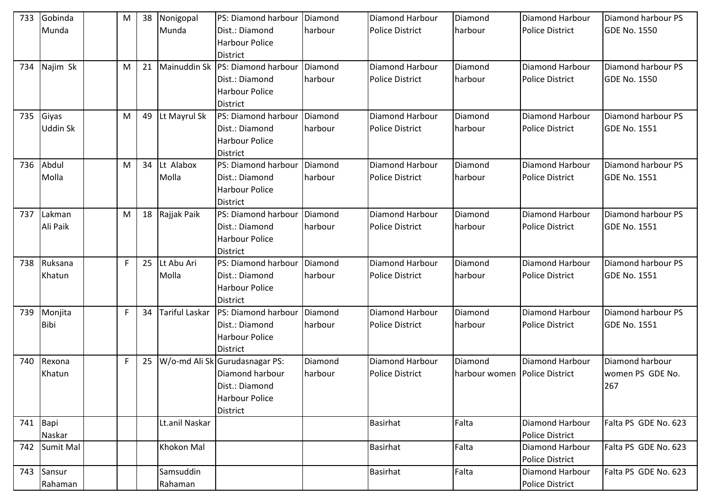| 733 | Gobinda     | M           | 38 | Nonigopal      | PS: Diamond harbour              | Diamond | Diamond Harbour        | Diamond       | <b>Diamond Harbour</b> | Diamond harbour PS   |
|-----|-------------|-------------|----|----------------|----------------------------------|---------|------------------------|---------------|------------------------|----------------------|
|     | Munda       |             |    | Munda          | Dist.: Diamond                   | harbour | <b>Police District</b> | harbour       | <b>Police District</b> | <b>GDE No. 1550</b>  |
|     |             |             |    |                | <b>Harbour Police</b>            |         |                        |               |                        |                      |
|     |             |             |    |                | <b>District</b>                  |         |                        |               |                        |                      |
| 734 | Najim Sk    | M           | 21 |                | Mainuddin Sk PS: Diamond harbour | Diamond | Diamond Harbour        | Diamond       | Diamond Harbour        | Diamond harbour PS   |
|     |             |             |    |                | Dist.: Diamond                   | harbour | <b>Police District</b> | harbour       | <b>Police District</b> | <b>GDE No. 1550</b>  |
|     |             |             |    |                | Harbour Police                   |         |                        |               |                        |                      |
|     |             |             |    |                | District                         |         |                        |               |                        |                      |
| 735 | Giyas       | M           | 49 | Lt Mayrul Sk   | PS: Diamond harbour              | Diamond | Diamond Harbour        | Diamond       | Diamond Harbour        | Diamond harbour PS   |
|     | Uddin Sk    |             |    |                | Dist.: Diamond                   | harbour | <b>Police District</b> | harbour       | <b>Police District</b> | <b>GDE No. 1551</b>  |
|     |             |             |    |                | <b>Harbour Police</b>            |         |                        |               |                        |                      |
|     |             |             |    |                | District                         |         |                        |               |                        |                      |
| 736 | Abdul       | M           | 34 | Lt Alabox      | PS: Diamond harbour              | Diamond | Diamond Harbour        | Diamond       | <b>Diamond Harbour</b> | Diamond harbour PS   |
|     | Molla       |             |    | Molla          | Dist.: Diamond                   | harbour | <b>Police District</b> | harbour       | <b>Police District</b> | <b>GDE No. 1551</b>  |
|     |             |             |    |                | Harbour Police                   |         |                        |               |                        |                      |
|     |             |             |    |                | District                         |         |                        |               |                        |                      |
| 737 | Lakman      | M           | 18 | Rajjak Paik    | PS: Diamond harbour              | Diamond | Diamond Harbour        | Diamond       | Diamond Harbour        | Diamond harbour PS   |
|     | Ali Paik    |             |    |                | Dist.: Diamond                   | harbour | <b>Police District</b> | harbour       | <b>Police District</b> | <b>GDE No. 1551</b>  |
|     |             |             |    |                | <b>Harbour Police</b>            |         |                        |               |                        |                      |
|     |             |             |    |                | <b>District</b>                  |         |                        |               |                        |                      |
| 738 | Ruksana     | F.          | 25 | Lt Abu Ari     | PS: Diamond harbour              | Diamond | Diamond Harbour        | Diamond       | Diamond Harbour        | Diamond harbour PS   |
|     | Khatun      |             |    | Molla          | Dist.: Diamond                   | harbour | <b>Police District</b> | harbour       | <b>Police District</b> | <b>GDE No. 1551</b>  |
|     |             |             |    |                | <b>Harbour Police</b>            |         |                        |               |                        |                      |
|     |             |             |    |                | <b>District</b>                  |         |                        |               |                        |                      |
| 739 | Monjita     | F           | 34 | Tariful Laskar | PS: Diamond harbour              | Diamond | Diamond Harbour        | Diamond       | Diamond Harbour        | Diamond harbour PS   |
|     | <b>Bibi</b> |             |    |                | Dist.: Diamond                   | harbour | <b>Police District</b> | harbour       | <b>Police District</b> | <b>GDE No. 1551</b>  |
|     |             |             |    |                | <b>Harbour Police</b>            |         |                        |               |                        |                      |
|     |             |             |    |                | District                         |         |                        |               |                        |                      |
| 740 | Rexona      | $\mathsf F$ | 25 |                | W/o-md Ali Sk Gurudasnagar PS:   | Diamond | Diamond Harbour        | Diamond       | Diamond Harbour        | Diamond harbour      |
|     | Khatun      |             |    |                | Diamond harbour                  | harbour | <b>Police District</b> | harbour women | <b>Police District</b> | women PS GDE No.     |
|     |             |             |    |                | Dist.: Diamond                   |         |                        |               |                        | 267                  |
|     |             |             |    |                | Harbour Police                   |         |                        |               |                        |                      |
|     |             |             |    |                | <b>District</b>                  |         |                        |               |                        |                      |
|     | 741 Bapi    |             |    | Lt.anil Naskar |                                  |         | Basirhat               | Falta         | Diamond Harbour        | Falta PS GDE No. 623 |
|     | Naskar      |             |    |                |                                  |         |                        |               | <b>Police District</b> |                      |
| 742 | Sumit Mal   |             |    | Khokon Mal     |                                  |         | <b>Basirhat</b>        | Falta         | Diamond Harbour        | Falta PS GDE No. 623 |
|     |             |             |    |                |                                  |         |                        |               | <b>Police District</b> |                      |
| 743 | Sansur      |             |    | Samsuddin      |                                  |         | <b>Basirhat</b>        | Falta         | Diamond Harbour        | Falta PS GDE No. 623 |
|     | Rahaman     |             |    | Rahaman        |                                  |         |                        |               | Police District        |                      |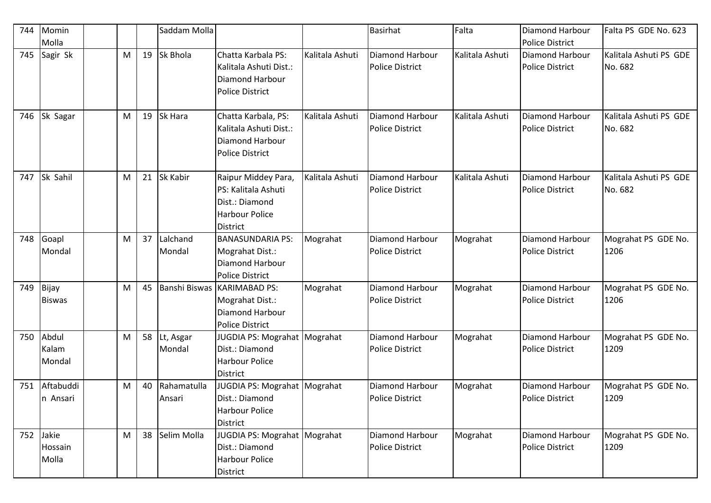| 744 | Momin<br>Molla                   |   |    | Saddam Molla          |                                                                                                   |                 | <b>Basirhat</b>                                  | Falta           | Diamond Harbour<br><b>Police District</b>        | Falta PS GDE No. 623              |
|-----|----------------------------------|---|----|-----------------------|---------------------------------------------------------------------------------------------------|-----------------|--------------------------------------------------|-----------------|--------------------------------------------------|-----------------------------------|
| 745 | Sagir Sk                         | M | 19 | Sk Bhola              | Chatta Karbala PS:<br>Kalitala Ashuti Dist.:<br>Diamond Harbour<br><b>Police District</b>         | Kalitala Ashuti | <b>Diamond Harbour</b><br><b>Police District</b> | Kalitala Ashuti | <b>Diamond Harbour</b><br><b>Police District</b> | Kalitala Ashuti PS GDE<br>No. 682 |
| 746 | Sk Sagar                         | M | 19 | Sk Hara               | Chatta Karbala, PS:<br>Kalitala Ashuti Dist.:<br>Diamond Harbour<br><b>Police District</b>        | Kalitala Ashuti | Diamond Harbour<br><b>Police District</b>        | Kalitala Ashuti | <b>Diamond Harbour</b><br><b>Police District</b> | Kalitala Ashuti PS GDE<br>No. 682 |
| 747 | Sk Sahil                         | M | 21 | Sk Kabir              | Raipur Middey Para,<br>PS: Kalitala Ashuti<br>Dist.: Diamond<br><b>Harbour Police</b><br>District | Kalitala Ashuti | Diamond Harbour<br><b>Police District</b>        | Kalitala Ashuti | Diamond Harbour<br><b>Police District</b>        | Kalitala Ashuti PS GDE<br>No. 682 |
| 748 | Goapl<br>Mondal                  | M | 37 | Lalchand<br>Mondal    | <b>BANASUNDARIA PS:</b><br>Mograhat Dist.:<br>Diamond Harbour<br><b>Police District</b>           | Mograhat        | Diamond Harbour<br><b>Police District</b>        | Mograhat        | Diamond Harbour<br><b>Police District</b>        | Mograhat PS GDE No.<br>1206       |
| 749 | Bijay<br><b>Biswas</b>           | M | 45 | Banshi Biswas         | <b>KARIMABAD PS:</b><br>Mograhat Dist.:<br>Diamond Harbour<br><b>Police District</b>              | Mograhat        | Diamond Harbour<br><b>Police District</b>        | Mograhat        | Diamond Harbour<br><b>Police District</b>        | Mograhat PS GDE No.<br>1206       |
| 750 | Abdul<br>Kalam<br>Mondal         | M | 58 | Lt, Asgar<br>Mondal   | JUGDIA PS: Mograhat Mograhat<br>Dist.: Diamond<br><b>Harbour Police</b><br><b>District</b>        |                 | Diamond Harbour<br><b>Police District</b>        | Mograhat        | Diamond Harbour<br><b>Police District</b>        | Mograhat PS GDE No.<br>1209       |
| 751 | Aftabuddi<br>In Ansari           | M | 40 | Rahamatulla<br>Ansari | JUGDIA PS: Mograhat   Mograhat<br>Dist.: Diamond<br>Harbour Police<br><b>District</b>             |                 | Diamond Harbour<br><b>Police District</b>        | Mograhat        | Diamond Harbour<br><b>Police District</b>        | Mograhat PS GDE No.<br>1209       |
| 752 | Jakie<br><b>Hossain</b><br>Molla | M | 38 | Selim Molla           | JUGDIA PS: Mograhat Mograhat<br>Dist.: Diamond<br><b>Harbour Police</b><br><b>District</b>        |                 | Diamond Harbour<br>Police District               | Mograhat        | Diamond Harbour<br><b>Police District</b>        | Mograhat PS GDE No.<br>1209       |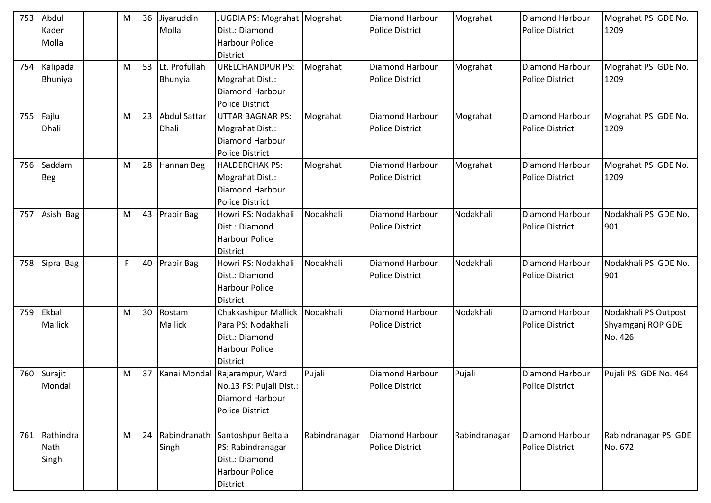| 753 | Abdul<br>Kader<br>Molla    | M |    | 36 Jiyaruddin<br>Molla       | JUGDIA PS: Mograhat Mograhat<br>Dist.: Diamond<br><b>Harbour Police</b><br><b>District</b>                      |               | Diamond Harbour<br><b>Police District</b> | Mograhat      | Diamond Harbour<br><b>Police District</b>        | Mograhat PS GDE No.<br>1209                          |
|-----|----------------------------|---|----|------------------------------|-----------------------------------------------------------------------------------------------------------------|---------------|-------------------------------------------|---------------|--------------------------------------------------|------------------------------------------------------|
| 754 | Kalipada<br>Bhuniya        | M | 53 | Lt. Profullah<br>Bhunyia     | <b>URELCHANDPUR PS:</b><br>Mograhat Dist.:<br>Diamond Harbour<br><b>Police District</b>                         | Mograhat      | Diamond Harbour<br><b>Police District</b> | Mograhat      | Diamond Harbour<br><b>Police District</b>        | Mograhat PS GDE No.<br>1209                          |
| 755 | Fajlu<br><b>Dhali</b>      | M | 23 | <b>Abdul Sattar</b><br>Dhali | <b>UTTAR BAGNAR PS:</b><br>Mograhat Dist.:<br>Diamond Harbour<br><b>Police District</b>                         | Mograhat      | Diamond Harbour<br><b>Police District</b> | Mograhat      | Diamond Harbour<br><b>Police District</b>        | Mograhat PS GDE No.<br>1209                          |
| 756 | Saddam<br><b>Beg</b>       | M | 28 | Hannan Beg                   | <b>HALDERCHAK PS:</b><br>Mograhat Dist.:<br>Diamond Harbour<br><b>Police District</b>                           | Mograhat      | Diamond Harbour<br><b>Police District</b> | Mograhat      | <b>Diamond Harbour</b><br><b>Police District</b> | Mograhat PS GDE No.<br>1209                          |
| 757 | Asish Bag                  | M | 43 | Prabir Bag                   | Howri PS: Nodakhali<br>Dist.: Diamond<br><b>Harbour Police</b><br><b>District</b>                               | Nodakhali     | Diamond Harbour<br><b>Police District</b> | Nodakhali     | Diamond Harbour<br><b>Police District</b>        | Nodakhali PS GDE No.<br>901                          |
| 758 | Sipra Bag                  | F | 40 | Prabir Bag                   | Howri PS: Nodakhali<br>Dist.: Diamond<br><b>Harbour Police</b><br><b>District</b>                               | Nodakhali     | Diamond Harbour<br><b>Police District</b> | Nodakhali     | Diamond Harbour<br><b>Police District</b>        | Nodakhali PS GDE No.<br>901                          |
| 759 | Ekbal<br>Mallick           | M | 30 | Rostam<br><b>Mallick</b>     | <b>Chakkashipur Mallick</b><br>Para PS: Nodakhali<br>Dist.: Diamond<br><b>Harbour Police</b><br><b>District</b> | Nodakhali     | Diamond Harbour<br><b>Police District</b> | Nodakhali     | <b>Diamond Harbour</b><br><b>Police District</b> | Nodakhali PS Outpost<br>Shyamganj ROP GDE<br>No. 426 |
| 760 | Surajit<br>Mondal          | M | 37 | Kanai Mondal                 | Rajarampur, Ward<br>No.13 PS: Pujali Dist.:<br>Diamond Harbour<br><b>Police District</b>                        | Pujali        | Diamond Harbour<br><b>Police District</b> | Pujali        | Diamond Harbour<br><b>Police District</b>        | Pujali PS GDE No. 464                                |
| 761 | Rathindra<br>Nath<br>Singh | M | 24 | Rabindranath<br>Singh        | Santoshpur Beltala<br>PS: Rabindranagar<br>Dist.: Diamond<br><b>Harbour Police</b><br>District                  | Rabindranagar | Diamond Harbour<br><b>Police District</b> | Rabindranagar | Diamond Harbour<br><b>Police District</b>        | Rabindranagar PS GDE<br>No. 672                      |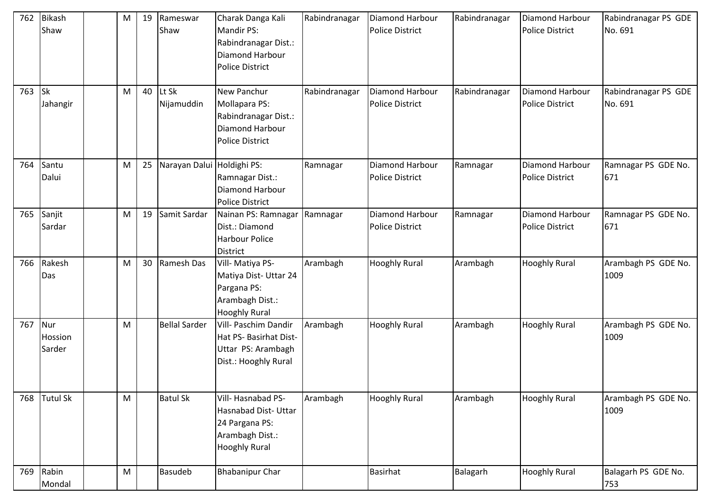| 762 | <b>Bikash</b><br>Shaw    | M         | 19 | Rameswar<br>Shaw           | Charak Danga Kali<br><b>Mandir PS:</b><br>Rabindranagar Dist.:<br>Diamond Harbour<br><b>Police District</b> | Rabindranagar | Diamond Harbour<br><b>Police District</b> | Rabindranagar | Diamond Harbour<br><b>Police District</b> | Rabindranagar PS GDE<br>No. 691 |
|-----|--------------------------|-----------|----|----------------------------|-------------------------------------------------------------------------------------------------------------|---------------|-------------------------------------------|---------------|-------------------------------------------|---------------------------------|
| 763 | <b>Sk</b><br>Jahangir    | M         | 40 | Lt Sk<br>Nijamuddin        | New Panchur<br>Mollapara PS:<br>Rabindranagar Dist.:<br>Diamond Harbour<br><b>Police District</b>           | Rabindranagar | Diamond Harbour<br><b>Police District</b> | Rabindranagar | Diamond Harbour<br><b>Police District</b> | Rabindranagar PS GDE<br>No. 691 |
| 764 | Santu<br>Dalui           | M         | 25 | Narayan Dalui Holdighi PS: | Ramnagar Dist.:<br>Diamond Harbour<br><b>Police District</b>                                                | Ramnagar      | Diamond Harbour<br><b>Police District</b> | Ramnagar      | Diamond Harbour<br><b>Police District</b> | Ramnagar PS GDE No.<br>671      |
| 765 | Sanjit<br>Sardar         | M         | 19 | Samit Sardar               | Nainan PS: Ramnagar<br>Dist.: Diamond<br><b>Harbour Police</b><br><b>District</b>                           | Ramnagar      | Diamond Harbour<br><b>Police District</b> | Ramnagar      | Diamond Harbour<br><b>Police District</b> | Ramnagar PS GDE No.<br>671      |
| 766 | Rakesh<br>Das            | M         | 30 | Ramesh Das                 | Vill- Matiya PS-<br>Matiya Dist- Uttar 24<br>Pargana PS:<br>Arambagh Dist.:<br><b>Hooghly Rural</b>         | Arambagh      | <b>Hooghly Rural</b>                      | Arambagh      | <b>Hooghly Rural</b>                      | Arambagh PS GDE No.<br>1009     |
| 767 | Nur<br>Hossion<br>Sarder | M         |    | <b>Bellal Sarder</b>       | Vill- Paschim Dandir<br>Hat PS- Basirhat Dist-<br>Uttar PS: Arambagh<br>Dist.: Hooghly Rural                | Arambagh      | <b>Hooghly Rural</b>                      | Arambagh      | <b>Hooghly Rural</b>                      | Arambagh PS GDE No.<br>1009     |
| 768 | <b>Tutul Sk</b>          | M         |    | <b>Batul Sk</b>            | Vill-Hasnabad PS-<br>Hasnabad Dist- Uttar<br>24 Pargana PS:<br>Arambagh Dist.:<br><b>Hooghly Rural</b>      | Arambagh      | <b>Hooghly Rural</b>                      | Arambagh      | <b>Hooghly Rural</b>                      | Arambagh PS GDE No.<br>1009     |
| 769 | Rabin<br>Mondal          | ${\sf M}$ |    | <b>Basudeb</b>             | <b>Bhabanipur Char</b>                                                                                      |               | <b>Basirhat</b>                           | Balagarh      | <b>Hooghly Rural</b>                      | Balagarh PS GDE No.<br>753      |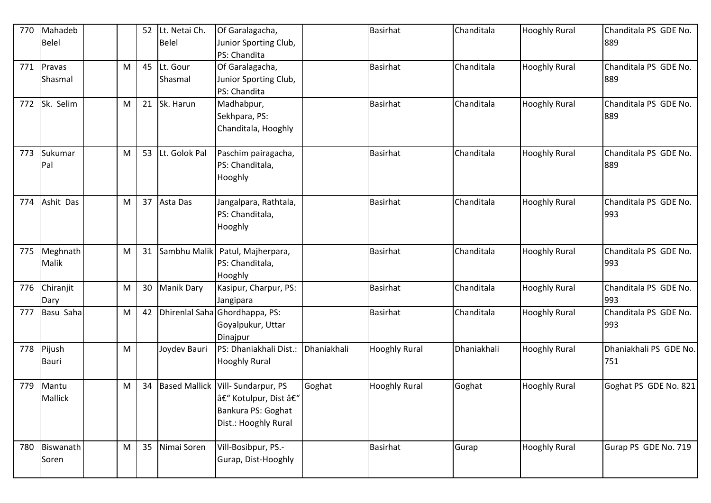| 770 | Mahadeb        |           | 52 | Lt. Netai Ch.        | Of Garalagacha,                |             | <b>Basirhat</b>      | Chanditala  | <b>Hooghly Rural</b> | Chanditala PS GDE No.  |
|-----|----------------|-----------|----|----------------------|--------------------------------|-------------|----------------------|-------------|----------------------|------------------------|
|     | <b>Belel</b>   |           |    | <b>Belel</b>         | Junior Sporting Club,          |             |                      |             |                      | 889                    |
|     |                |           |    |                      | PS: Chandita                   |             |                      |             |                      |                        |
| 771 | Pravas         | M         | 45 | Lt. Gour             | Of Garalagacha,                |             | <b>Basirhat</b>      | Chanditala  | <b>Hooghly Rural</b> | Chanditala PS GDE No.  |
|     | Shasmal        |           |    | Shasmal              | Junior Sporting Club,          |             |                      |             |                      | 889                    |
|     |                |           |    |                      | PS: Chandita                   |             |                      |             |                      |                        |
| 772 | Sk. Selim      | M         | 21 | Sk. Harun            | Madhabpur,                     |             | <b>Basirhat</b>      | Chanditala  | <b>Hooghly Rural</b> | Chanditala PS GDE No.  |
|     |                |           |    |                      | Sekhpara, PS:                  |             |                      |             |                      | 889                    |
|     |                |           |    |                      | Chanditala, Hooghly            |             |                      |             |                      |                        |
| 773 | Sukumar        | M         | 53 | Lt. Golok Pal        | Paschim pairagacha,            |             | <b>Basirhat</b>      | Chanditala  | <b>Hooghly Rural</b> | Chanditala PS GDE No.  |
|     | Pal            |           |    |                      | PS: Chanditala,                |             |                      |             |                      | 889                    |
|     |                |           |    |                      | Hooghly                        |             |                      |             |                      |                        |
| 774 | Ashit Das      | M         | 37 | Asta Das             | Jangalpara, Rathtala,          |             | Basirhat             | Chanditala  | <b>Hooghly Rural</b> | Chanditala PS GDE No.  |
|     |                |           |    |                      | PS: Chanditala,                |             |                      |             |                      | 993                    |
|     |                |           |    |                      | Hooghly                        |             |                      |             |                      |                        |
| 775 | Meghnath       | M         | 31 | Sambhu Malik         | Patul, Majherpara,             |             | <b>Basirhat</b>      | Chanditala  | <b>Hooghly Rural</b> | Chanditala PS GDE No.  |
|     | Malik          |           |    |                      | PS: Chanditala,                |             |                      |             |                      | 993                    |
|     |                |           |    |                      | Hooghly                        |             |                      |             |                      |                        |
| 776 | Chiranjit      | M         | 30 | <b>Manik Dary</b>    | Kasipur, Charpur, PS:          |             | Basirhat             | Chanditala  | <b>Hooghly Rural</b> | Chanditala PS GDE No.  |
|     | Dary           |           |    |                      | Jangipara                      |             |                      |             |                      | 993                    |
| 777 | Basu Saha      | ${\sf M}$ | 42 |                      | Dhirenlal Saha Ghordhappa, PS: |             | <b>Basirhat</b>      | Chanditala  | <b>Hooghly Rural</b> | Chanditala PS GDE No.  |
|     |                |           |    |                      | Goyalpukur, Uttar              |             |                      |             |                      | 993                    |
|     |                |           |    |                      | Dinajpur                       |             |                      |             |                      |                        |
| 778 | Pijush         | M         |    | Joydev Bauri         | PS: Dhaniakhali Dist.:         | Dhaniakhali | <b>Hooghly Rural</b> | Dhaniakhali | <b>Hooghly Rural</b> | Dhaniakhali PS GDE No. |
|     | <b>Bauri</b>   |           |    |                      | <b>Hooghly Rural</b>           |             |                      |             |                      | 751                    |
|     |                |           |    |                      |                                |             |                      |             |                      |                        |
| 779 | Mantu          | M         | 34 | <b>Based Mallick</b> | Vill-Sundarpur, PS             | Goghat      | <b>Hooghly Rural</b> | Goghat      | <b>Hooghly Rural</b> | Goghat PS GDE No. 821  |
|     | <b>Mallick</b> |           |    |                      | – Kotulpur, Dist –             |             |                      |             |                      |                        |
|     |                |           |    |                      | Bankura PS: Goghat             |             |                      |             |                      |                        |
|     |                |           |    |                      | Dist.: Hooghly Rural           |             |                      |             |                      |                        |
| 780 | Biswanath      | M         | 35 | Nimai Soren          | Vill-Bosibpur, PS.-            |             | <b>Basirhat</b>      | Gurap       | <b>Hooghly Rural</b> | Gurap PS GDE No. 719   |
|     | Soren          |           |    |                      | Gurap, Dist-Hooghly            |             |                      |             |                      |                        |
|     |                |           |    |                      |                                |             |                      |             |                      |                        |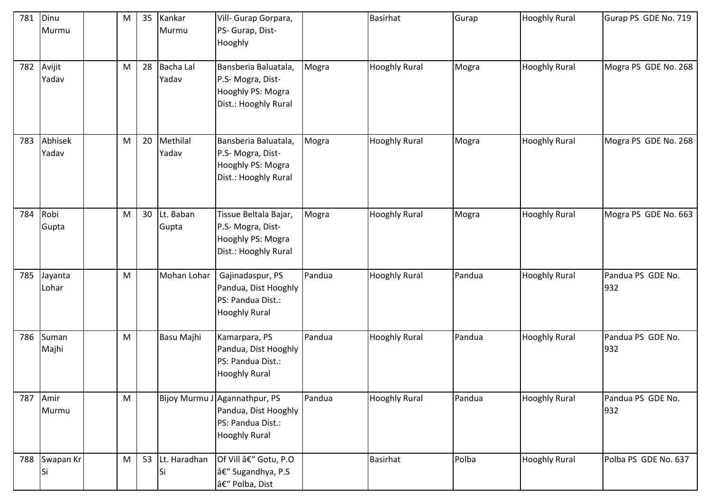| 781 | Dinu<br>Murmu       | M | 35 | Kankar<br>Murmu    | Vill- Gurap Gorpara,<br>PS- Gurap, Dist-<br>Hooghly                                                |        | <b>Basirhat</b>      | Gurap  | <b>Hooghly Rural</b> | Gurap PS GDE No. 719     |
|-----|---------------------|---|----|--------------------|----------------------------------------------------------------------------------------------------|--------|----------------------|--------|----------------------|--------------------------|
| 782 | Avijit<br>Yadav     | M | 28 | Bacha Lal<br>Yadav | Bansberia Baluatala,<br>P.S- Mogra, Dist-<br>Hooghly PS: Mogra<br>Dist.: Hooghly Rural             | Mogra  | <b>Hooghly Rural</b> | Mogra  | <b>Hooghly Rural</b> | Mogra PS GDE No. 268     |
| 783 | Abhisek<br>Yadav    | M | 20 | Methilal<br>Yadav  | Bansberia Baluatala,<br>P.S- Mogra, Dist-<br>Hooghly PS: Mogra<br>Dist.: Hooghly Rural             | Mogra  | <b>Hooghly Rural</b> | Mogra  | <b>Hooghly Rural</b> | Mogra PS GDE No. 268     |
| 784 | Robi<br>Gupta       | M | 30 | Lt. Baban<br>Gupta | Tissue Beltala Bajar,<br>P.S- Mogra, Dist-<br>Hooghly PS: Mogra<br>Dist.: Hooghly Rural            | Mogra  | <b>Hooghly Rural</b> | Mogra  | <b>Hooghly Rural</b> | Mogra PS GDE No. 663     |
| 785 | Jayanta<br>Lohar    | M |    | Mohan Lohar        | Gajinadaspur, PS<br>Pandua, Dist Hooghly<br>PS: Pandua Dist.:<br><b>Hooghly Rural</b>              | Pandua | <b>Hooghly Rural</b> | Pandua | <b>Hooghly Rural</b> | Pandua PS GDE No.<br>932 |
| 786 | Suman<br>Majhi      | M |    | Basu Majhi         | Kamarpara, PS<br>Pandua, Dist Hooghly<br>PS: Pandua Dist.:<br><b>Hooghly Rural</b>                 | Pandua | <b>Hooghly Rural</b> | Pandua | <b>Hooghly Rural</b> | Pandua PS GDE No.<br>932 |
| 787 | Amir<br>Murmu       | M |    |                    | Bijoy Murmu J Agannathpur, PS<br>Pandua, Dist Hooghly<br>PS: Pandua Dist.:<br><b>Hooghly Rural</b> | Pandua | <b>Hooghly Rural</b> | Pandua | <b>Hooghly Rural</b> | Pandua PS GDE No.<br>932 |
|     | 788 Swapan Kr<br>Si | M | 53 | Lt. Haradhan<br>Si | Of Vill â€" Gotu, P.O<br>– Sugandhya, P.S<br>â€" Polba, Dist                                       |        | Basirhat             | Polba  | <b>Hooghly Rural</b> | Polba PS GDE No. 637     |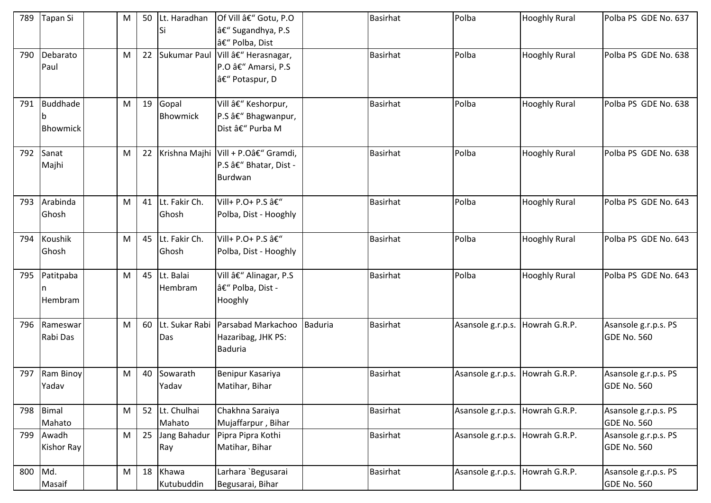| 789 | Tapan Si             | M | 50 | Lt. Haradhan<br>Si       | <b>Of Vill â€" Gotu, P.O</b><br>– Sugandhya, P.S<br>– Polba, Dist           |         | <b>Basirhat</b> | Polba             | <b>Hooghly Rural</b> | Polba PS GDE No. 637                       |
|-----|----------------------|---|----|--------------------------|-----------------------------------------------------------------------------|---------|-----------------|-------------------|----------------------|--------------------------------------------|
| 790 | Debarato<br>Paul     | M | 22 | Sukumar Paul             | Vill – Herasnagar,<br>P.O â€" Amarsi, P.S<br>– Potaspur, D                  |         | <b>Basirhat</b> | Polba             | <b>Hooghly Rural</b> | Polba PS GDE No. 638                       |
| 791 | Buddhade<br>Bhowmick | M | 19 | Gopal<br><b>Bhowmick</b> | Vill – Keshorpur,<br>P.S â€" Bhagwanpur,<br>Dist – Purba M                  |         | <b>Basirhat</b> | Polba             | <b>Hooghly Rural</b> | Polba PS GDE No. 638                       |
| 792 | Sanat<br>Majhi       | M | 22 |                          | Krishna Majhi Vill + P.O– Gramdi,<br>P.S – Bhatar, Dist -<br><b>Burdwan</b> |         | <b>Basirhat</b> | Polba             | <b>Hooghly Rural</b> | Polba PS GDE No. 638                       |
| 793 | Arabinda<br>Ghosh    | M | 41 | Lt. Fakir Ch.<br>Ghosh   | Vill+ P.O+ P.S â€"<br>Polba, Dist - Hooghly                                 |         | <b>Basirhat</b> | Polba             | <b>Hooghly Rural</b> | Polba PS GDE No. 643                       |
| 794 | Koushik<br>Ghosh     | M | 45 | Lt. Fakir Ch.<br>Ghosh   | Vill+ P.O+ P.S â€"<br>Polba, Dist - Hooghly                                 |         | <b>Basirhat</b> | Polba             | <b>Hooghly Rural</b> | Polba PS GDE No. 643                       |
| 795 | Patitpaba<br>Hembram | M | 45 | Lt. Balai<br>Hembram     | Vill – Alinagar, P.S<br>– Polba, Dist -<br>Hooghly                          |         | <b>Basirhat</b> | Polba             | <b>Hooghly Rural</b> | Polba PS GDE No. 643                       |
| 796 | Rameswar<br>Rabi Das | M | 60 | Das                      | Lt. Sukar Rabi Parsabad Markachoo<br>Hazaribag, JHK PS:<br><b>Baduria</b>   | Baduria | <b>Basirhat</b> | Asansole g.r.p.s. | Howrah G.R.P.        | Asansole g.r.p.s. PS<br>GDE No. 560        |
| 797 | Ram Binoy<br>Yadav   | M | 40 | Sowarath<br>Yadav        | Benipur Kasariya<br>Matihar, Bihar                                          |         | <b>Basirhat</b> | Asansole g.r.p.s. | Howrah G.R.P.        | Asansole g.r.p.s. PS<br><b>GDE No. 560</b> |
| 798 | Bimal<br>Mahato      | M | 52 | Lt. Chulhai<br>Mahato    | Chakhna Saraiya<br>Mujaffarpur, Bihar                                       |         | <b>Basirhat</b> | Asansole g.r.p.s. | Howrah G.R.P.        | Asansole g.r.p.s. PS<br><b>GDE No. 560</b> |
| 799 | Awadh<br>Kishor Ray  | M | 25 | Jang Bahadur<br>Ray      | Pipra Pipra Kothi<br>Matihar, Bihar                                         |         | <b>Basirhat</b> | Asansole g.r.p.s. | Howrah G.R.P.        | Asansole g.r.p.s. PS<br><b>GDE No. 560</b> |
| 800 | Md.<br>Masaif        | M | 18 | Khawa<br>Kutubuddin      | Larhara `Begusarai<br>Begusarai, Bihar                                      |         | <b>Basirhat</b> | Asansole g.r.p.s. | Howrah G.R.P.        | Asansole g.r.p.s. PS<br><b>GDE No. 560</b> |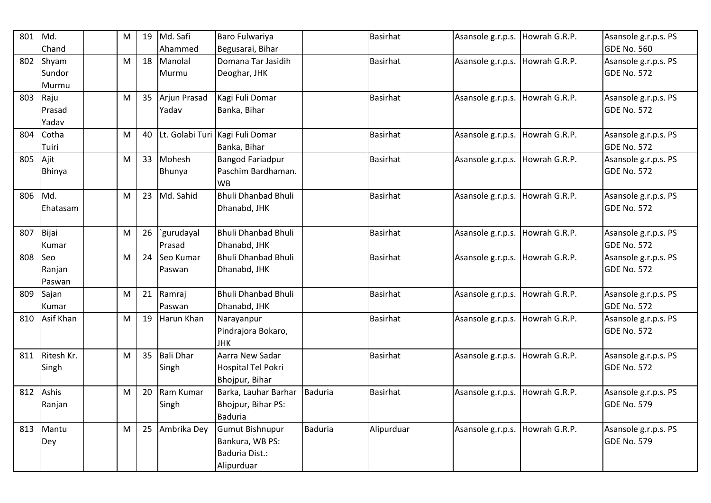| 801 | Md.           | M         | 19 | Md. Safi         | Baro Fulwariya                  |                | <b>Basirhat</b> | Asansole g.r.p.s.               | Howrah G.R.P. | Asansole g.r.p.s. PS |
|-----|---------------|-----------|----|------------------|---------------------------------|----------------|-----------------|---------------------------------|---------------|----------------------|
|     | Chand         |           |    | Ahammed          | Begusarai, Bihar                |                |                 |                                 |               | <b>GDE No. 560</b>   |
| 802 | Shyam         | M         | 18 | Manolal          | Domana Tar Jasidih              |                | <b>Basirhat</b> | Asansole g.r.p.s.               | Howrah G.R.P. | Asansole g.r.p.s. PS |
|     | Sundor        |           |    | Murmu            | Deoghar, JHK                    |                |                 |                                 |               | <b>GDE No. 572</b>   |
|     | Murmu         |           |    |                  |                                 |                |                 |                                 |               |                      |
| 803 | Raju          | M         | 35 | Arjun Prasad     | Kagi Fuli Domar                 |                | <b>Basirhat</b> | Asansole g.r.p.s.               | Howrah G.R.P. | Asansole g.r.p.s. PS |
|     | Prasad        |           |    | Yadav            | Banka, Bihar                    |                |                 |                                 |               | <b>GDE No. 572</b>   |
|     | Yadav         |           |    |                  |                                 |                |                 |                                 |               |                      |
| 804 | Cotha         | M         | 40 |                  | Lt. Golabi Turi Kagi Fuli Domar |                | <b>Basirhat</b> | Asansole g.r.p.s.               | Howrah G.R.P. | Asansole g.r.p.s. PS |
|     | Tuiri         |           |    |                  | Banka, Bihar                    |                |                 |                                 |               | <b>GDE No. 572</b>   |
| 805 | Ajit          | ${\sf M}$ | 33 | Mohesh           | <b>Bangod Fariadpur</b>         |                | <b>Basirhat</b> | Asansole g.r.p.s.               | Howrah G.R.P. | Asansole g.r.p.s. PS |
|     | <b>Bhinya</b> |           |    | Bhunya           | Paschim Bardhaman.              |                |                 |                                 |               | <b>GDE No. 572</b>   |
|     |               |           |    |                  | <b>WB</b>                       |                |                 |                                 |               |                      |
| 806 | Md.           | M         | 23 | Md. Sahid        | <b>Bhuli Dhanbad Bhuli</b>      |                | <b>Basirhat</b> | Asansole g.r.p.s.               | Howrah G.R.P. | Asansole g.r.p.s. PS |
|     | Ehatasam      |           |    |                  | Dhanabd, JHK                    |                |                 |                                 |               | <b>GDE No. 572</b>   |
|     |               |           |    |                  |                                 |                |                 |                                 |               |                      |
| 807 | Bijai         | M         | 26 | `gurudayal       | <b>Bhuli Dhanbad Bhuli</b>      |                | <b>Basirhat</b> | Asansole g.r.p.s.               | Howrah G.R.P. | Asansole g.r.p.s. PS |
|     | Kumar         |           |    | Prasad           | Dhanabd, JHK                    |                |                 |                                 |               | GDE No. 572          |
| 808 | <b>Seo</b>    | M         | 24 | Seo Kumar        | <b>Bhuli Dhanbad Bhuli</b>      |                | <b>Basirhat</b> | Asansole g.r.p.s.               | Howrah G.R.P. | Asansole g.r.p.s. PS |
|     | Ranjan        |           |    | Paswan           | Dhanabd, JHK                    |                |                 |                                 |               | <b>GDE No. 572</b>   |
|     | Paswan        |           |    |                  |                                 |                |                 |                                 |               |                      |
| 809 | Sajan         | M         | 21 | Ramraj           | Bhuli Dhanbad Bhuli             |                | <b>Basirhat</b> | Asansole g.r.p.s.               | Howrah G.R.P. | Asansole g.r.p.s. PS |
|     | Kumar         |           |    | Paswan           | Dhanabd, JHK                    |                |                 |                                 |               | <b>GDE No. 572</b>   |
| 810 | Asif Khan     | M         | 19 | Harun Khan       | Narayanpur                      |                | <b>Basirhat</b> | Asansole g.r.p.s. Howrah G.R.P. |               | Asansole g.r.p.s. PS |
|     |               |           |    |                  | Pindrajora Bokaro,              |                |                 |                                 |               | <b>GDE No. 572</b>   |
|     |               |           |    |                  | <b>JHK</b>                      |                |                 |                                 |               |                      |
| 811 | Ritesh Kr.    | M         | 35 | <b>Bali Dhar</b> | Aarra New Sadar                 |                | <b>Basirhat</b> | Asansole g.r.p.s.               | Howrah G.R.P. | Asansole g.r.p.s. PS |
|     | Singh         |           |    | Singh            | Hospital Tel Pokri              |                |                 |                                 |               | GDE No. 572          |
|     |               |           |    |                  | Bhojpur, Bihar                  |                |                 |                                 |               |                      |
| 812 | Ashis         | M         | 20 | Ram Kumar        | Barka, Lauhar Barhar            | Baduria        | <b>Basirhat</b> | Asansole g.r.p.s.               | Howrah G.R.P. | Asansole g.r.p.s. PS |
|     | Ranjan        |           |    | Singh            | Bhojpur, Bihar PS:              |                |                 |                                 |               | <b>GDE No. 579</b>   |
|     |               |           |    |                  | <b>Baduria</b>                  |                |                 |                                 |               |                      |
| 813 | Mantu         | M         | 25 | Ambrika Dey      | Gumut Bishnupur                 | <b>Baduria</b> | Alipurduar      | Asansole g.r.p.s.               | Howrah G.R.P. | Asansole g.r.p.s. PS |
|     | Dey           |           |    |                  | Bankura, WB PS:                 |                |                 |                                 |               | <b>GDE No. 579</b>   |
|     |               |           |    |                  | Baduria Dist.:                  |                |                 |                                 |               |                      |
|     |               |           |    |                  | Alipurduar                      |                |                 |                                 |               |                      |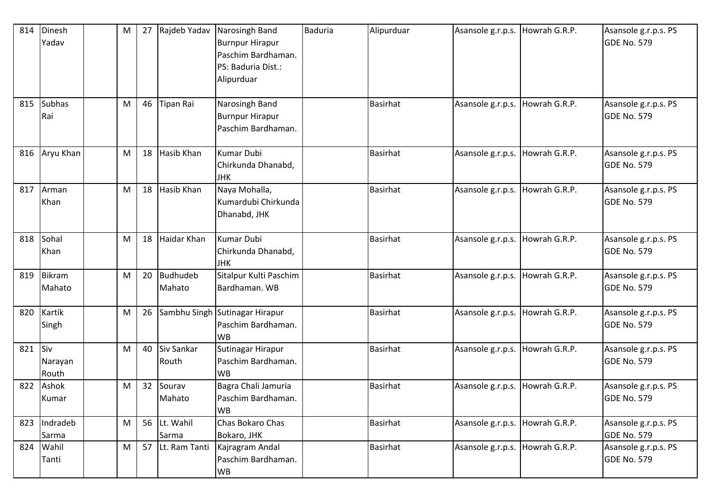| 814 | Dinesh<br>Yadav         | M | 27 | Rajdeb Yadav              | Narosingh Band<br><b>Burnpur Hirapur</b><br>Paschim Bardhaman.<br>PS: Baduria Dist.:<br>Alipurduar | <b>Baduria</b> | Alipurduar      | Asansole g.r.p.s. Howrah G.R.P. |               | Asansole g.r.p.s. PS<br>GDE No. 579        |
|-----|-------------------------|---|----|---------------------------|----------------------------------------------------------------------------------------------------|----------------|-----------------|---------------------------------|---------------|--------------------------------------------|
| 815 | <b>Subhas</b><br>Rai    | M | 46 | <b>Tipan Rai</b>          | Narosingh Band<br><b>Burnpur Hirapur</b><br>Paschim Bardhaman.                                     |                | <b>Basirhat</b> | Asansole g.r.p.s. Howrah G.R.P. |               | Asansole g.r.p.s. PS<br><b>GDE No. 579</b> |
| 816 | Aryu Khan               | M | 18 | Hasib Khan                | <b>Kumar Dubi</b><br>Chirkunda Dhanabd,<br><b>JHK</b>                                              |                | <b>Basirhat</b> | Asansole g.r.p.s. Howrah G.R.P. |               | Asansole g.r.p.s. PS<br><b>GDE No. 579</b> |
| 817 | Arman<br>Khan           | M | 18 | Hasib Khan                | Naya Mohalla,<br>Kumardubi Chirkunda<br>Dhanabd, JHK                                               |                | <b>Basirhat</b> | Asansole g.r.p.s. Howrah G.R.P. |               | Asansole g.r.p.s. PS<br>GDE No. 579        |
| 818 | Sohal<br>Khan           | M | 18 | Haidar Khan               | <b>Kumar Dubi</b><br>Chirkunda Dhanabd,<br><b>JHK</b>                                              |                | <b>Basirhat</b> | Asansole g.r.p.s. Howrah G.R.P. |               | Asansole g.r.p.s. PS<br><b>GDE No. 579</b> |
| 819 | Bikram<br>Mahato        | M | 20 | <b>Budhudeb</b><br>Mahato | Sitalpur Kulti Paschim<br>Bardhaman. WB                                                            |                | <b>Basirhat</b> | Asansole g.r.p.s. Howrah G.R.P. |               | Asansole g.r.p.s. PS<br><b>GDE No. 579</b> |
| 820 | Kartik<br>Singh         | M | 26 |                           | Sambhu Singh Sutinagar Hirapur<br>Paschim Bardhaman.<br><b>WB</b>                                  |                | <b>Basirhat</b> | Asansole g.r.p.s. Howrah G.R.P. |               | Asansole g.r.p.s. PS<br>GDE No. 579        |
| 821 | Siv<br>Narayan<br>Routh | M | 40 | Siv Sankar<br>Routh       | Sutinagar Hirapur<br>Paschim Bardhaman.<br><b>WB</b>                                               |                | <b>Basirhat</b> | Asansole g.r.p.s.               | Howrah G.R.P. | Asansole g.r.p.s. PS<br>GDE No. 579        |
| 822 | Ashok<br>Kumar          | M | 32 | Sourav<br>Mahato          | Bagra Chali Jamuria<br>Paschim Bardhaman.<br><b>WB</b>                                             |                | <b>Basirhat</b> | Asansole g.r.p.s. Howrah G.R.P. |               | Asansole g.r.p.s. PS<br>GDE No. 579        |
| 823 | Indradeb<br>Sarma       | M |    | 56 Lt. Wahil<br>Sarma     | Chas Bokaro Chas<br>Bokaro, JHK                                                                    |                | <b>Basirhat</b> | Asansole g.r.p.s. Howrah G.R.P. |               | Asansole g.r.p.s. PS<br>GDE No. 579        |
| 824 | Wahil<br>Tanti          | M | 57 | Lt. Ram Tanti             | Kajragram Andal<br>Paschim Bardhaman.<br><b>WB</b>                                                 |                | <b>Basirhat</b> | Asansole g.r.p.s. Howrah G.R.P. |               | Asansole g.r.p.s. PS<br><b>GDE No. 579</b> |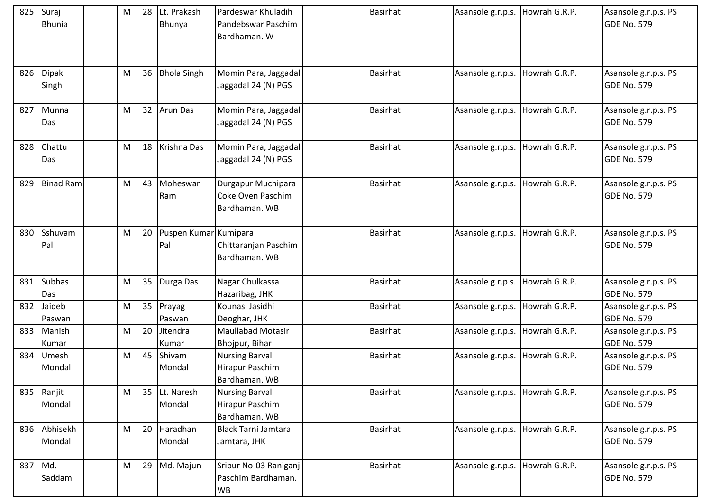|         | 825 Suraj<br><b>Bhunia</b> | M | 28 | Lt. Prakash<br>Bhunya        | Pardeswar Khuladih<br>Pandebswar Paschim<br>Bardhaman. W         | <b>Basirhat</b> | Asansole g.r.p.s. Howrah G.R.P. |               | Asansole g.r.p.s. PS<br><b>GDE No. 579</b> |
|---------|----------------------------|---|----|------------------------------|------------------------------------------------------------------|-----------------|---------------------------------|---------------|--------------------------------------------|
|         | 826 Dipak<br>Singh         | M | 36 | <b>Bhola Singh</b>           | Momin Para, Jaggadal<br>Jaggadal 24 (N) PGS                      | <b>Basirhat</b> | Asansole g.r.p.s. Howrah G.R.P. |               | Asansole g.r.p.s. PS<br><b>GDE No. 579</b> |
| 827     | Munna<br>Das               | M | 32 | <b>Arun Das</b>              | Momin Para, Jaggadal<br>Jaggadal 24 (N) PGS                      | <b>Basirhat</b> | Asansole g.r.p.s.               | Howrah G.R.P. | Asansole g.r.p.s. PS<br><b>GDE No. 579</b> |
| 828     | Chattu<br>Das              | M | 18 | Krishna Das                  | Momin Para, Jaggadal<br>Jaggadal 24 (N) PGS                      | <b>Basirhat</b> | Asansole g.r.p.s.               | Howrah G.R.P. | Asansole g.r.p.s. PS<br><b>GDE No. 579</b> |
| 829     | <b>Binad Ram</b>           | M | 43 | Moheswar<br>Ram              | Durgapur Muchipara<br>Coke Oven Paschim<br>Bardhaman. WB         | <b>Basirhat</b> | Asansole g.r.p.s. Howrah G.R.P. |               | Asansole g.r.p.s. PS<br><b>GDE No. 579</b> |
| 830     | Sshuvam<br>Pal             | M | 20 | Puspen Kumar Kumipara<br>Pal | Chittaranjan Paschim<br>Bardhaman. WB                            | <b>Basirhat</b> | Asansole g.r.p.s.               | Howrah G.R.P. | Asansole g.r.p.s. PS<br><b>GDE No. 579</b> |
| 831     | <b>Subhas</b><br>Das       | M | 35 | Durga Das                    | Nagar Chulkassa<br>Hazaribag, JHK                                | <b>Basirhat</b> | Asansole g.r.p.s.               | Howrah G.R.P. | Asansole g.r.p.s. PS<br><b>GDE No. 579</b> |
| 832     | Jaideb<br>Paswan           | M | 35 | Prayag<br>Paswan             | Kounasi Jasidhi<br>Deoghar, JHK                                  | <b>Basirhat</b> | Asansole g.r.p.s. Howrah G.R.P. |               | Asansole g.r.p.s. PS<br>GDE No. 579        |
| 833     | Manish<br>Kumar            | M | 20 | Jitendra<br>Kumar            | <b>Maullabad Motasir</b><br>Bhojpur, Bihar                       | <b>Basirhat</b> | Asansole g.r.p.s.               | Howrah G.R.P. | Asansole g.r.p.s. PS<br><b>GDE No. 579</b> |
| 834     | <b>Umesh</b><br>Mondal     | M | 45 | Shivam<br>Mondal             | <b>Nursing Barval</b><br>Hirapur Paschim<br>Bardhaman. WB        | <b>Basirhat</b> | Asansole g.r.p.s. Howrah G.R.P. |               | Asansole g.r.p.s. PS<br><b>GDE No. 579</b> |
|         | 835 Ranjit<br>Mondal       | M |    | 35 Lt. Naresh<br>Mondal      | <b>Nursing Barval</b><br><b>Hirapur Paschim</b><br>Bardhaman. WB | <b>Basirhat</b> | Asansole g.r.p.s. Howrah G.R.P. |               | Asansole g.r.p.s. PS<br><b>GDE No. 579</b> |
|         | 836 Abhisekh<br>Mondal     | M | 20 | Haradhan<br>Mondal           | <b>Black Tarni Jamtara</b><br>Jamtara, JHK                       | <b>Basirhat</b> | Asansole g.r.p.s.               | Howrah G.R.P. | Asansole g.r.p.s. PS<br><b>GDE No. 579</b> |
| 837 Md. | Saddam                     | M | 29 | Md. Majun                    | Sripur No-03 Raniganj<br>Paschim Bardhaman.<br>WB                | <b>Basirhat</b> | Asansole g.r.p.s.               | Howrah G.R.P. | Asansole g.r.p.s. PS<br>GDE No. 579        |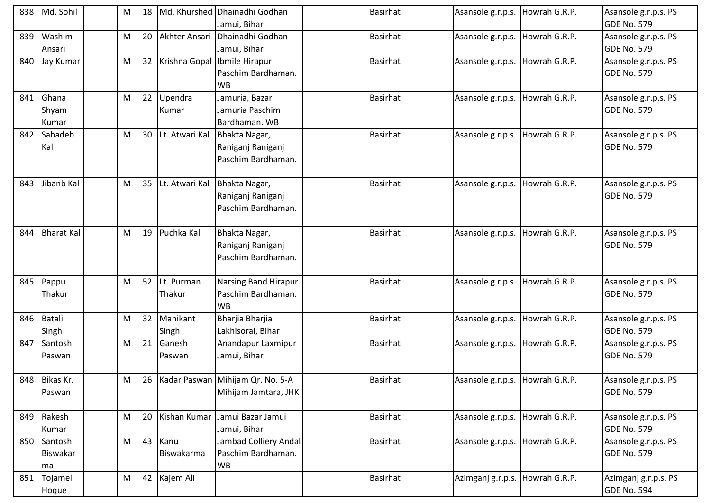| 838 | Md. Sohil                            | M |    |                                 | Md. Khurshed Dhainadhi Godhan<br>Jamui, Bihar               | <b>Basirhat</b> | Asansole g.r.p.s. Howrah G.R.P. |               | Asansole g.r.p.s. PS<br><b>GDE No. 579</b> |
|-----|--------------------------------------|---|----|---------------------------------|-------------------------------------------------------------|-----------------|---------------------------------|---------------|--------------------------------------------|
| 839 | Washim<br>Ansari                     | M | 20 | Akhter Ansari                   | Dhainadhi Godhan<br>Jamui, Bihar                            | <b>Basirhat</b> | Asansole g.r.p.s. Howrah G.R.P. |               | Asansole g.r.p.s. PS<br><b>GDE No. 579</b> |
| 840 | Jay Kumar                            | M |    | 32 Krishna Gopal Ibmile Hirapur | Paschim Bardhaman.<br><b>WB</b>                             | <b>Basirhat</b> | Asansole g.r.p.s. Howrah G.R.P. |               | Asansole g.r.p.s. PS<br><b>GDE No. 579</b> |
| 841 | Ghana<br>Shyam<br>Kumar              | M |    | 22 Upendra<br>Kumar             | Jamuria, Bazar<br>Jamuria Paschim<br>Bardhaman. WB          | <b>Basirhat</b> | Asansole g.r.p.s. Howrah G.R.P. |               | Asansole g.r.p.s. PS<br><b>GDE No. 579</b> |
| 842 | Sahadeb<br>Kal                       | M | 30 | Lt. Atwari Kal                  | Bhakta Nagar,<br>Raniganj Raniganj<br>Paschim Bardhaman.    | <b>Basirhat</b> | Asansole g.r.p.s. Howrah G.R.P. |               | Asansole g.r.p.s. PS<br><b>GDE No. 579</b> |
| 843 | Jibanb Kal                           | M | 35 | Lt. Atwari Kal                  | Bhakta Nagar,<br>Raniganj Raniganj<br>Paschim Bardhaman.    | <b>Basirhat</b> | Asansole g.r.p.s. Howrah G.R.P. |               | Asansole g.r.p.s. PS<br><b>GDE No. 579</b> |
| 844 | <b>Bharat Kal</b>                    | M |    | 19 Puchka Kal                   | Bhakta Nagar,<br>Raniganj Raniganj<br>Paschim Bardhaman.    | <b>Basirhat</b> | Asansole g.r.p.s. Howrah G.R.P. |               | Asansole g.r.p.s. PS<br><b>GDE No. 579</b> |
| 845 | Pappu<br>Thakur                      | M |    | 52 Lt. Purman<br>Thakur         | Narsing Band Hirapur<br>Paschim Bardhaman.<br><b>WB</b>     | <b>Basirhat</b> | Asansole g.r.p.s.               | Howrah G.R.P. | Asansole g.r.p.s. PS<br><b>GDE No. 579</b> |
| 846 | Batali<br>Singh                      | M |    | 32 Manikant<br>Singh            | Bharjia Bharjia<br>Lakhisorai, Bihar                        | <b>Basirhat</b> | Asansole g.r.p.s.               | Howrah G.R.P. | Asansole g.r.p.s. PS<br><b>GDE No. 579</b> |
| 847 | Santosh<br>Paswan                    | M | 21 | Ganesh<br>Paswan                | Anandapur Laxmipur<br>Jamui, Bihar                          | <b>Basirhat</b> | Asansole g.r.p.s.               | Howrah G.R.P. | Asansole g.r.p.s. PS<br><b>GDE No. 579</b> |
|     | 848 Bikas Kr.<br>Paswan              | M |    |                                 | 26 Kadar Paswan Mihijam Qr. No. 5-A<br>Mihijam Jamtara, JHK | Basirhat        | Asansole g.r.p.s. Howrah G.R.P. |               | Asansole g.r.p.s. PS<br><b>GDE No. 579</b> |
|     | 849 Rakesh<br>Kumar                  | M | 20 | Kishan Kumar                    | Jamui Bazar Jamui<br>Jamui, Bihar                           | <b>Basirhat</b> | Asansole g.r.p.s.               | Howrah G.R.P. | Asansole g.r.p.s. PS<br><b>GDE No. 579</b> |
|     | 850 Santosh<br><b>Biswakar</b><br>ma | M |    | 43 Kanu<br>Biswakarma           | Jambad Colliery Andal<br>Paschim Bardhaman.<br><b>WB</b>    | <b>Basirhat</b> | Asansole g.r.p.s. Howrah G.R.P. |               | Asansole g.r.p.s. PS<br><b>GDE No. 579</b> |
| 851 | Tojamel<br>Hoque                     | M |    | 42 Kajem Ali                    |                                                             | <b>Basirhat</b> | Azimganj g.r.p.s. Howrah G.R.P. |               | Azimganj g.r.p.s. PS<br><b>GDE No. 594</b> |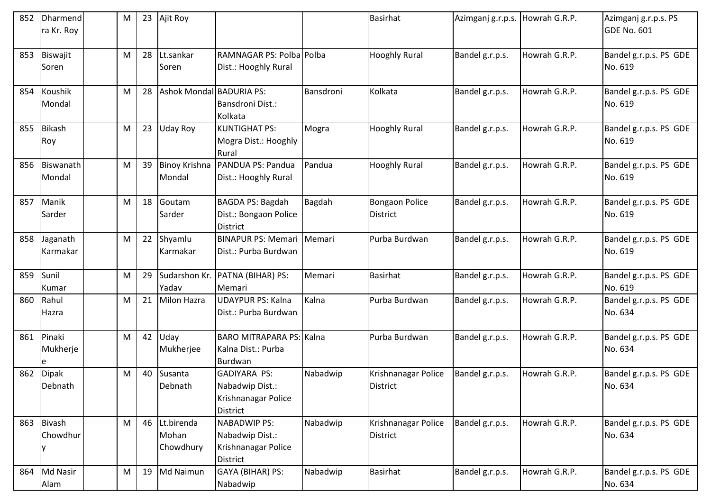| 852 | <b>Dharmend</b><br>ra Kr. Roy | M | 23 | Ajit Roy                         |                                                                                  |           | <b>Basirhat</b>                          | Azimganj g.r.p.s. Howrah G.R.P. |               | Azimganj g.r.p.s. PS<br>GDE No. 601 |
|-----|-------------------------------|---|----|----------------------------------|----------------------------------------------------------------------------------|-----------|------------------------------------------|---------------------------------|---------------|-------------------------------------|
| 853 | Biswajit<br>Soren             | M | 28 | Lt.sankar<br>Soren               | RAMNAGAR PS: Polba Polba<br>Dist.: Hooghly Rural                                 |           | <b>Hooghly Rural</b>                     | Bandel g.r.p.s.                 | Howrah G.R.P. | Bandel g.r.p.s. PS GDE<br>No. 619   |
| 854 | <b>Koushik</b><br>Mondal      | M | 28 | Ashok Mondal BADURIA PS:         | Bansdroni Dist.:<br>Kolkata                                                      | Bansdroni | Kolkata                                  | Bandel g.r.p.s.                 | Howrah G.R.P. | Bandel g.r.p.s. PS GDE<br>No. 619   |
| 855 | Bikash<br>Roy                 | M | 23 | <b>Uday Roy</b>                  | <b>KUNTIGHAT PS:</b><br>Mogra Dist.: Hooghly<br>Rural                            | Mogra     | <b>Hooghly Rural</b>                     | Bandel g.r.p.s.                 | Howrah G.R.P. | Bandel g.r.p.s. PS GDE<br>No. 619   |
| 856 | Biswanath<br>Mondal           | M | 39 | <b>Binoy Krishna</b><br>Mondal   | PANDUA PS: Pandua<br>Dist.: Hooghly Rural                                        | Pandua    | <b>Hooghly Rural</b>                     | Bandel g.r.p.s.                 | Howrah G.R.P. | Bandel g.r.p.s. PS GDE<br>No. 619   |
| 857 | Manik<br>Sarder               | M | 18 | Goutam<br>Sarder                 | BAGDA PS: Bagdah<br>Dist.: Bongaon Police<br><b>District</b>                     | Bagdah    | <b>Bongaon Police</b><br><b>District</b> | Bandel g.r.p.s.                 | Howrah G.R.P. | Bandel g.r.p.s. PS GDE<br>No. 619   |
| 858 | Jaganath<br>Karmakar          | M | 22 | Shyamlu<br>Karmakar              | <b>BINAPUR PS: Memari</b><br>Dist.: Purba Burdwan                                | Memari    | Purba Burdwan                            | Bandel g.r.p.s.                 | Howrah G.R.P. | Bandel g.r.p.s. PS GDE<br>No. 619   |
| 859 | Sunil<br>Kumar                | M | 29 | Yadav                            | Sudarshon Kr. PATNA (BIHAR) PS:<br>Memari                                        | Memari    | <b>Basirhat</b>                          | Bandel g.r.p.s.                 | Howrah G.R.P. | Bandel g.r.p.s. PS GDE<br>No. 619   |
| 860 | Rahul<br>Hazra                | M | 21 | <b>Milon Hazra</b>               | <b>UDAYPUR PS: Kalna</b><br>Dist.: Purba Burdwan                                 | Kalna     | Purba Burdwan                            | Bandel g.r.p.s.                 | Howrah G.R.P. | Bandel g.r.p.s. PS GDE<br>No. 634   |
| 861 | Pinaki<br>Mukherje<br>e       | M | 42 | Uday<br>Mukherjee                | BARO MITRAPARA PS: Kalna<br>Kalna Dist.: Purba<br>Burdwan                        |           | Purba Burdwan                            | Bandel g.r.p.s.                 | Howrah G.R.P. | Bandel g.r.p.s. PS GDE<br>No. 634   |
| 862 | <b>Dipak</b><br>Debnath       | M | 40 | Susanta<br>Debnath               | <b>GADIYARA PS:</b><br>Nabadwip Dist.:<br>Krishnanagar Police<br><b>District</b> | Nabadwip  | Krishnanagar Police<br><b>District</b>   | Bandel g.r.p.s.                 | Howrah G.R.P. | Bandel g.r.p.s. PS GDE<br>No. 634   |
| 863 | <b>Bivash</b><br>Chowdhur     | M | 46 | Lt.birenda<br>Mohan<br>Chowdhury | <b>NABADWIP PS:</b><br>Nabadwip Dist.:<br>Krishnanagar Police<br><b>District</b> | Nabadwip  | Krishnanagar Police<br><b>District</b>   | Bandel g.r.p.s.                 | Howrah G.R.P. | Bandel g.r.p.s. PS GDE<br>No. 634   |
| 864 | Md Nasir<br>Alam              | M | 19 | Md Naimun                        | GAYA (BIHAR) PS:<br>Nabadwip                                                     | Nabadwip  | <b>Basirhat</b>                          | Bandel g.r.p.s.                 | Howrah G.R.P. | Bandel g.r.p.s. PS GDE<br>No. 634   |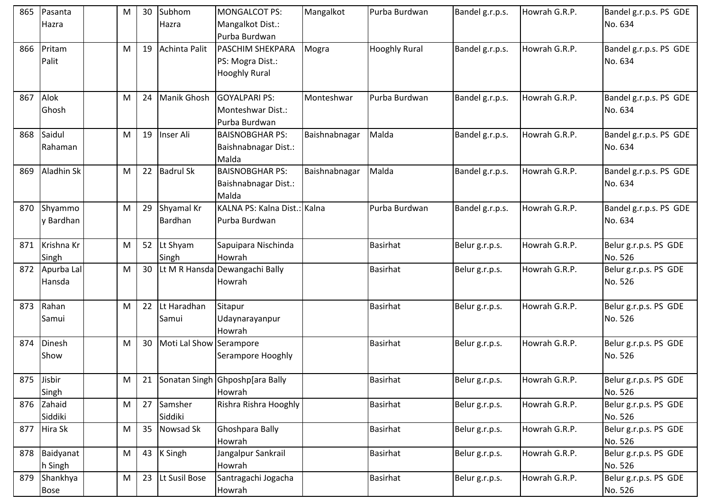| 865 | Pasanta<br>Hazra         | M | 30 | Subhom<br>Hazra         | MONGALCOT PS:<br>Mangalkot Dist.:<br>Purba Burdwan           | Mangalkot     | Purba Burdwan        | Bandel g.r.p.s. | Howrah G.R.P. | Bandel g.r.p.s. PS GDE<br>No. 634 |
|-----|--------------------------|---|----|-------------------------|--------------------------------------------------------------|---------------|----------------------|-----------------|---------------|-----------------------------------|
| 866 | Pritam<br>Palit          | M | 19 | Achinta Palit           | PASCHIM SHEKPARA<br>PS: Mogra Dist.:<br><b>Hooghly Rural</b> | Mogra         | <b>Hooghly Rural</b> | Bandel g.r.p.s. | Howrah G.R.P. | Bandel g.r.p.s. PS GDE<br>No. 634 |
| 867 | Alok<br>Ghosh            | M | 24 | Manik Ghosh             | <b>GOYALPARI PS:</b><br>Monteshwar Dist.:<br>Purba Burdwan   | Monteshwar    | Purba Burdwan        | Bandel g.r.p.s. | Howrah G.R.P. | Bandel g.r.p.s. PS GDE<br>No. 634 |
| 868 | Saidul<br>Rahaman        | M | 19 | Inser Ali               | <b>BAISNOBGHAR PS:</b><br>Baishnabnagar Dist.:<br>Malda      | Baishnabnagar | Malda                | Bandel g.r.p.s. | Howrah G.R.P. | Bandel g.r.p.s. PS GDE<br>No. 634 |
| 869 | Aladhin Sk               | M | 22 | <b>Badrul Sk</b>        | <b>BAISNOBGHAR PS:</b><br>Baishnabnagar Dist.:<br>Malda      | Baishnabnagar | Malda                | Bandel g.r.p.s. | Howrah G.R.P. | Bandel g.r.p.s. PS GDE<br>No. 634 |
| 870 | Shyammo<br>y Bardhan     | M | 29 | Shyamal Kr<br>Bardhan   | KALNA PS: Kalna Dist.: Kalna<br>Purba Burdwan                |               | Purba Burdwan        | Bandel g.r.p.s. | Howrah G.R.P. | Bandel g.r.p.s. PS GDE<br>No. 634 |
| 871 | Krishna Kr<br>Singh      | M | 52 | Lt Shyam<br>Singh       | Sapuipara Nischinda<br>Howrah                                |               | Basirhat             | Belur g.r.p.s.  | Howrah G.R.P. | Belur g.r.p.s. PS GDE<br>No. 526  |
|     | 872 Apurba Lal<br>Hansda | M | 30 |                         | Lt M R Hansda Dewangachi Bally<br>Howrah                     |               | <b>Basirhat</b>      | Belur g.r.p.s.  | Howrah G.R.P. | Belur g.r.p.s. PS GDE<br>No. 526  |
| 873 | Rahan<br>Samui           | M | 22 | Lt Haradhan<br>Samui    | Sitapur<br>Udaynarayanpur<br>Howrah                          |               | <b>Basirhat</b>      | Belur g.r.p.s.  | Howrah G.R.P. | Belur g.r.p.s. PS GDE<br>No. 526  |
| 874 | Dinesh<br>Show           | M | 30 | Moti Lal Show Serampore | Serampore Hooghly                                            |               | <b>Basirhat</b>      | Belur g.r.p.s.  | Howrah G.R.P. | Belur g.r.p.s. PS GDE<br>No. 526  |
|     | 875 Jisbir<br>Singh      | M |    |                         | 21   Sonatan Singh   Ghposhp[ara Bally<br>Howrah             |               | <b>Basirhat</b>      | Belur g.r.p.s.  | Howrah G.R.P. | Belur g.r.p.s. PS GDE<br>No. 526  |
| 876 | Zahaid<br>Siddiki        | M | 27 | Samsher<br>Siddiki      | Rishra Rishra Hooghly                                        |               | <b>Basirhat</b>      | Belur g.r.p.s.  | Howrah G.R.P. | Belur g.r.p.s. PS GDE<br>No. 526  |
|     | 877 Hira Sk              | M | 35 | Nowsad Sk               | Ghoshpara Bally<br>Howrah                                    |               | <b>Basirhat</b>      | Belur g.r.p.s.  | Howrah G.R.P. | Belur g.r.p.s. PS GDE<br>No. 526  |
| 878 | Baidyanat<br>h Singh     | M | 43 | K Singh                 | Jangalpur Sankrail<br>Howrah                                 |               | <b>Basirhat</b>      | Belur g.r.p.s.  | Howrah G.R.P. | Belur g.r.p.s. PS GDE<br>No. 526  |
| 879 | Shankhya<br><b>Bose</b>  | M | 23 | Lt Susil Bose           | Santragachi Jogacha<br>Howrah                                |               | <b>Basirhat</b>      | Belur g.r.p.s.  | Howrah G.R.P. | Belur g.r.p.s. PS GDE<br>No. 526  |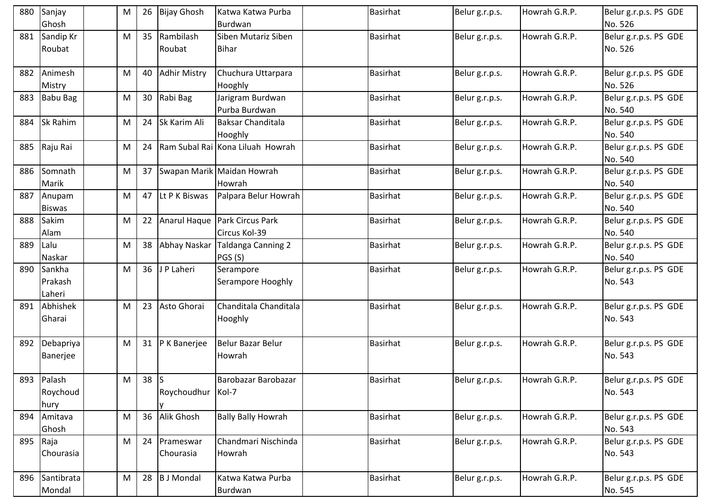|     | 880 Sanjay<br>Ghosh             | M         | 26     | <b>Bijay Ghosh</b>     | Katwa Katwa Purba<br><b>Burdwan</b>  | <b>Basirhat</b> | Belur g.r.p.s. | Howrah G.R.P. | Belur g.r.p.s. PS GDE<br>No. 526 |
|-----|---------------------------------|-----------|--------|------------------------|--------------------------------------|-----------------|----------------|---------------|----------------------------------|
|     | 881 Sandip Kr<br>Roubat         | M         | 35     | Rambilash<br>Roubat    | Siben Mutariz Siben<br><b>Bihar</b>  | <b>Basirhat</b> | Belur g.r.p.s. | Howrah G.R.P. | Belur g.r.p.s. PS GDE<br>No. 526 |
| 882 | Animesh<br>Mistry               | M         | 40     | <b>Adhir Mistry</b>    | Chuchura Uttarpara<br>Hooghly        | Basirhat        | Belur g.r.p.s. | Howrah G.R.P. | Belur g.r.p.s. PS GDE<br>No. 526 |
| 883 | <b>Babu Bag</b>                 | M         | 30     | Rabi Bag               | Jarigram Burdwan<br>Purba Burdwan    | <b>Basirhat</b> | Belur g.r.p.s. | Howrah G.R.P. | Belur g.r.p.s. PS GDE<br>No. 540 |
| 884 | <b>Sk Rahim</b>                 | M         | 24     | Sk Karim Ali           | <b>Baksar Chanditala</b><br>Hooghly  | <b>Basirhat</b> | Belur g.r.p.s. | Howrah G.R.P. | Belur g.r.p.s. PS GDE<br>No. 540 |
| 885 | Raju Rai                        | M         | 24     |                        | Ram Subal Rai Kona Liluah Howrah     | <b>Basirhat</b> | Belur g.r.p.s. | Howrah G.R.P. | Belur g.r.p.s. PS GDE<br>No. 540 |
| 886 | Somnath<br>Marik                | M         | 37     |                        | Swapan Marik Maidan Howrah<br>Howrah | <b>Basirhat</b> | Belur g.r.p.s. | Howrah G.R.P. | Belur g.r.p.s. PS GDE<br>No. 540 |
| 887 | Anupam<br><b>Biswas</b>         | M         | 47     | Lt P K Biswas          | Palpara Belur Howrah                 | <b>Basirhat</b> | Belur g.r.p.s. | Howrah G.R.P. | Belur g.r.p.s. PS GDE<br>No. 540 |
| 888 | Sakim<br>Alam                   | M         | 22     | Anarul Haque           | Park Circus Park<br>Circus Kol-39    | Basirhat        | Belur g.r.p.s. | Howrah G.R.P. | Belur g.r.p.s. PS GDE<br>No. 540 |
| 889 | Lalu<br>Naskar                  | M         | 38     | Abhay Naskar           | <b>Taldanga Canning 2</b><br>PGS (S) | <b>Basirhat</b> | Belur g.r.p.s. | Howrah G.R.P. | Belur g.r.p.s. PS GDE<br>No. 540 |
|     | 890 Sankha<br>Prakash<br>Laheri | M         | 36     | J P Laheri             | Serampore<br>Serampore Hooghly       | <b>Basirhat</b> | Belur g.r.p.s. | Howrah G.R.P. | Belur g.r.p.s. PS GDE<br>No. 543 |
| 891 | Abhishek<br>Gharai              | M         | 23     | Asto Ghorai            | Chanditala Chanditala<br>Hooghly     | <b>Basirhat</b> | Belur g.r.p.s. | Howrah G.R.P. | Belur g.r.p.s. PS GDE<br>No. 543 |
| 892 | Debapriya<br>Banerjee           | M         |        | 31 P K Banerjee        | Belur Bazar Belur<br>Howrah          | Basirhat        | Belur g.r.p.s. | Howrah G.R.P. | Belur g.r.p.s. PS GDE<br>No. 543 |
|     | 893 Palash<br>Roychoud<br>hury  | ${\sf M}$ | $38$ S | Roychoudhur Kol-7      | Barobazar Barobazar                  | <b>Basirhat</b> | Belur g.r.p.s. | Howrah G.R.P. | Belur g.r.p.s. PS GDE<br>No. 543 |
| 894 | Amitava<br>Ghosh                | M         | 36     | Alik Ghosh             | <b>Bally Bally Howrah</b>            | <b>Basirhat</b> | Belur g.r.p.s. | Howrah G.R.P. | Belur g.r.p.s. PS GDE<br>No. 543 |
| 895 | Raja<br>Chourasia               | M         | 24     | Prameswar<br>Chourasia | Chandmari Nischinda<br>Howrah        | Basirhat        | Belur g.r.p.s. | Howrah G.R.P. | Belur g.r.p.s. PS GDE<br>No. 543 |
|     | 896 Santibrata<br>Mondal        | M         | 28     | <b>B</b> J Mondal      | Katwa Katwa Purba<br>Burdwan         | <b>Basirhat</b> | Belur g.r.p.s. | Howrah G.R.P. | Belur g.r.p.s. PS GDE<br>No. 545 |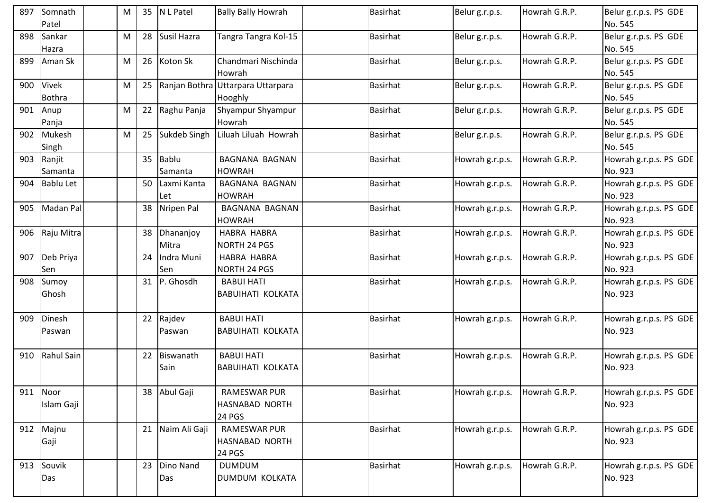| 897 | Somnath<br>Patel           | M |    | 35 N L Patel          | <b>Bally Bally Howrah</b>                              | <b>Basirhat</b> | Belur g.r.p.s.  | Howrah G.R.P. | Belur g.r.p.s. PS GDE<br>No. 545  |
|-----|----------------------------|---|----|-----------------------|--------------------------------------------------------|-----------------|-----------------|---------------|-----------------------------------|
|     | 898 Sankar<br>Hazra        | M | 28 | Susil Hazra           | Tangra Tangra Kol-15                                   | <b>Basirhat</b> | Belur g.r.p.s.  | Howrah G.R.P. | Belur g.r.p.s. PS GDE<br>No. 545  |
| 899 | Aman Sk                    | M |    | 26 Koton Sk           | Chandmari Nischinda<br>Howrah                          | <b>Basirhat</b> | Belur g.r.p.s.  | Howrah G.R.P. | Belur g.r.p.s. PS GDE<br>No. 545  |
|     | 900 Vivek<br><b>Bothra</b> | M | 25 |                       | Ranjan Bothra Uttarpara Uttarpara<br>Hooghly           | Basirhat        | Belur g.r.p.s.  | Howrah G.R.P. | Belur g.r.p.s. PS GDE<br>No. 545  |
| 901 | Anup<br>Panja              | M |    | 22 Raghu Panja        | Shyampur Shyampur<br>Howrah                            | <b>Basirhat</b> | Belur g.r.p.s.  | Howrah G.R.P. | Belur g.r.p.s. PS GDE<br>No. 545  |
| 902 | Mukesh<br>Singh            | M | 25 | Sukdeb Singh          | Liluah Liluah Howrah                                   | <b>Basirhat</b> | Belur g.r.p.s.  | Howrah G.R.P. | Belur g.r.p.s. PS GDE<br>No. 545  |
| 903 | Ranjit<br>Samanta          |   | 35 | Bablu<br>Samanta      | BAGNANA BAGNAN<br><b>HOWRAH</b>                        | Basirhat        | Howrah g.r.p.s. | Howrah G.R.P. | Howrah g.r.p.s. PS GDE<br>No. 923 |
|     | 904 Bablu Let              |   | 50 | Laxmi Kanta<br>Let    | BAGNANA BAGNAN<br><b>HOWRAH</b>                        | <b>Basirhat</b> | Howrah g.r.p.s. | Howrah G.R.P. | Howrah g.r.p.s. PS GDE<br>No. 923 |
| 905 | Madan Pal                  |   |    | 38 Nripen Pal         | <b>BAGNANA BAGNAN</b><br><b>HOWRAH</b>                 | <b>Basirhat</b> | Howrah g.r.p.s. | Howrah G.R.P. | Howrah g.r.p.s. PS GDE<br>No. 923 |
| 906 | Raju Mitra                 |   |    | 38 Dhananjoy<br>Mitra | <b>HABRA HABRA</b><br>NORTH 24 PGS                     | Basirhat        | Howrah g.r.p.s. | Howrah G.R.P. | Howrah g.r.p.s. PS GDE<br>No. 923 |
|     | 907 Deb Priya<br>Sen       |   | 24 | Indra Muni<br>Sen     | <b>HABRA HABRA</b><br>NORTH 24 PGS                     | <b>Basirhat</b> | Howrah g.r.p.s. | Howrah G.R.P. | Howrah g.r.p.s. PS GDE<br>No. 923 |
|     | 908 Sumoy<br>Ghosh         |   |    | 31 P. Ghosdh          | <b>BABUI HATI</b><br><b>BABUIHATI KOLKATA</b>          | Basirhat        | Howrah g.r.p.s. | Howrah G.R.P. | Howrah g.r.p.s. PS GDE<br>No. 923 |
| 909 | Dinesh<br>Paswan           |   |    | 22 Rajdev<br>Paswan   | <b>BABUI HATI</b><br><b>BABUIHATI KOLKATA</b>          | <b>Basirhat</b> | Howrah g.r.p.s. | Howrah G.R.P. | Howrah g.r.p.s. PS GDE<br>No. 923 |
|     | 910 Rahul Sain             |   |    | 22 Biswanath<br>Sain  | <b>BABUI HATI</b><br><b>BABUIHATI KOLKATA</b>          | <b>Basirhat</b> | Howrah g.r.p.s. | Howrah G.R.P. | Howrah g.r.p.s. PS GDE<br>No. 923 |
| 911 | Noor<br>Islam Gaji         |   |    | 38 Abul Gaji          | <b>RAMESWAR PUR</b><br>HASNABAD NORTH<br><b>24 PGS</b> | <b>Basirhat</b> | Howrah g.r.p.s. | Howrah G.R.P. | Howrah g.r.p.s. PS GDE<br>No. 923 |
|     | 912 Majnu<br>Gaji          |   |    | 21 Naim Ali Gaji      | <b>RAMESWAR PUR</b><br><b>HASNABAD NORTH</b><br>24 PGS | <b>Basirhat</b> | Howrah g.r.p.s. | Howrah G.R.P. | Howrah g.r.p.s. PS GDE<br>No. 923 |
|     | 913 Souvik<br>Das          |   |    | 23 Dino Nand<br>Das   | <b>DUMDUM</b><br>DUMDUM KOLKATA                        | <b>Basirhat</b> | Howrah g.r.p.s. | Howrah G.R.P. | Howrah g.r.p.s. PS GDE<br>No. 923 |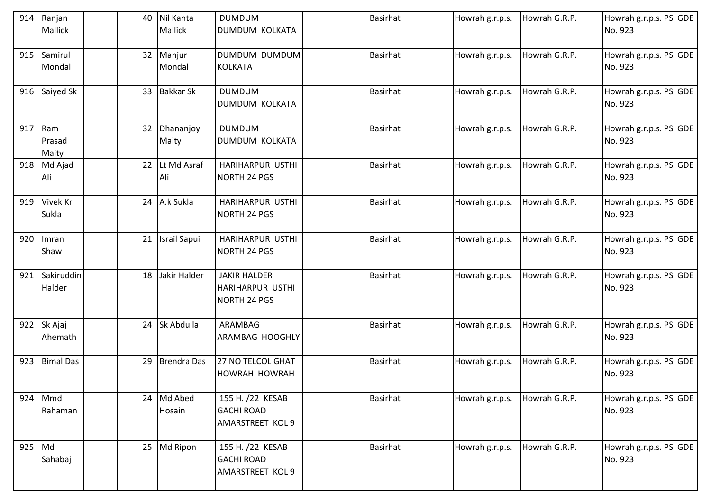| 914    | Ranjan<br><b>Mallick</b> | 40              | Nil Kanta<br>Mallick | <b>DUMDUM</b><br>DUMDUM KOLKATA                                | <b>Basirhat</b> | Howrah g.r.p.s. | Howrah G.R.P. | Howrah g.r.p.s. PS GDE<br>No. 923 |
|--------|--------------------------|-----------------|----------------------|----------------------------------------------------------------|-----------------|-----------------|---------------|-----------------------------------|
| 915    | Samirul<br>Mondal        | 32              | Manjur<br>Mondal     | DUMDUM DUMDUM<br><b>KOLKATA</b>                                | <b>Basirhat</b> | Howrah g.r.p.s. | Howrah G.R.P. | Howrah g.r.p.s. PS GDE<br>No. 923 |
| 916    | Saiyed Sk                | 33              | <b>Bakkar Sk</b>     | <b>DUMDUM</b><br><b>DUMDUM KOLKATA</b>                         | <b>Basirhat</b> | Howrah g.r.p.s. | Howrah G.R.P. | Howrah g.r.p.s. PS GDE<br>No. 923 |
| 917    | Ram<br>Prasad<br>Maity   | 32 <sup>2</sup> | Dhananjoy<br>Maity   | <b>DUMDUM</b><br><b>DUMDUM KOLKATA</b>                         | <b>Basirhat</b> | Howrah g.r.p.s. | Howrah G.R.P. | Howrah g.r.p.s. PS GDE<br>No. 923 |
| 918    | Md Ajad<br>Ali           | 22              | Lt Md Asraf<br>Ali   | HARIHARPUR USTHI<br><b>NORTH 24 PGS</b>                        | <b>Basirhat</b> | Howrah g.r.p.s. | Howrah G.R.P. | Howrah g.r.p.s. PS GDE<br>No. 923 |
| 919    | Vivek Kr<br>Sukla        | 24              | A.k Sukla            | HARIHARPUR USTHI<br>NORTH 24 PGS                               | <b>Basirhat</b> | Howrah g.r.p.s. | Howrah G.R.P. | Howrah g.r.p.s. PS GDE<br>No. 923 |
| 920    | Imran<br>Shaw            | 21              | <b>Israil Sapui</b>  | HARIHARPUR USTHI<br>NORTH 24 PGS                               | <b>Basirhat</b> | Howrah g.r.p.s. | Howrah G.R.P. | Howrah g.r.p.s. PS GDE<br>No. 923 |
| 921    | Sakiruddin<br>Halder     | 18              | Jakir Halder         | <b>JAKIR HALDER</b><br><b>HARIHARPUR USTHI</b><br>NORTH 24 PGS | <b>Basirhat</b> | Howrah g.r.p.s. | Howrah G.R.P. | Howrah g.r.p.s. PS GDE<br>No. 923 |
| 922    | Sk Ajaj<br>Ahemath       | 24              | Sk Abdulla           | ARAMBAG<br>ARAMBAG HOOGHLY                                     | <b>Basirhat</b> | Howrah g.r.p.s. | Howrah G.R.P. | Howrah g.r.p.s. PS GDE<br>No. 923 |
| 923    | <b>Bimal Das</b>         | 29              | Brendra Das          | 27 NO TELCOL GHAT<br><b>HOWRAH HOWRAH</b>                      | <b>Basirhat</b> | Howrah g.r.p.s. | Howrah G.R.P. | Howrah g.r.p.s. PS GDE<br>No. 923 |
| 924    | Mmd<br>Rahaman           | 24              | Md Abed<br>Hosain    | 155 H. /22 KESAB<br><b>GACHI ROAD</b><br>AMARSTREET KOL 9      | <b>Basirhat</b> | Howrah g.r.p.s. | Howrah G.R.P. | Howrah g.r.p.s. PS GDE<br>No. 923 |
| 925 Md | Sahabaj                  |                 | 25 Md Ripon          | 155 H. /22 KESAB<br><b>GACHI ROAD</b><br>AMARSTREET KOL 9      | <b>Basirhat</b> | Howrah g.r.p.s. | Howrah G.R.P. | Howrah g.r.p.s. PS GDE<br>No. 923 |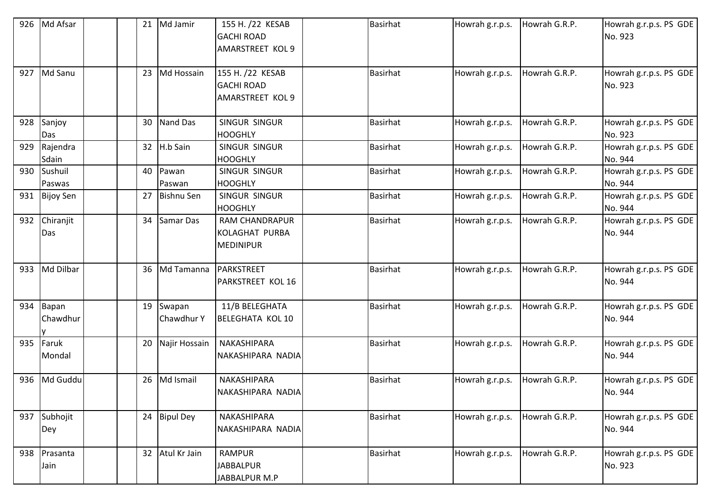| 926 | Md Afsar          | 21 | Md Jamir             | 155 H. /22 KESAB<br><b>GACHI ROAD</b><br><b>AMARSTREET KOL 9</b> | <b>Basirhat</b> | Howrah g.r.p.s. | Howrah G.R.P. | Howrah g.r.p.s. PS GDE<br>No. 923 |
|-----|-------------------|----|----------------------|------------------------------------------------------------------|-----------------|-----------------|---------------|-----------------------------------|
| 927 | Md Sanu           |    | 23 Md Hossain        | 155 H. /22 KESAB<br><b>GACHI ROAD</b><br><b>AMARSTREET KOL 9</b> | <b>Basirhat</b> | Howrah g.r.p.s. | Howrah G.R.P. | Howrah g.r.p.s. PS GDE<br>No. 923 |
| 928 | Sanjoy<br>Das     | 30 | Nand Das             | SINGUR SINGUR<br><b>HOOGHLY</b>                                  | <b>Basirhat</b> | Howrah g.r.p.s. | Howrah G.R.P. | Howrah g.r.p.s. PS GDE<br>No. 923 |
| 929 | Rajendra<br>Sdain | 32 | H.b Sain             | SINGUR SINGUR<br><b>HOOGHLY</b>                                  | <b>Basirhat</b> | Howrah g.r.p.s. | Howrah G.R.P. | Howrah g.r.p.s. PS GDE<br>No. 944 |
| 930 | Sushuil<br>Paswas | 40 | Pawan<br>Paswan      | SINGUR SINGUR<br><b>HOOGHLY</b>                                  | <b>Basirhat</b> | Howrah g.r.p.s. | Howrah G.R.P. | Howrah g.r.p.s. PS GDE<br>No. 944 |
| 931 | <b>Bijoy Sen</b>  | 27 | <b>Bishnu Sen</b>    | SINGUR SINGUR<br><b>HOOGHLY</b>                                  | <b>Basirhat</b> | Howrah g.r.p.s. | Howrah G.R.P. | Howrah g.r.p.s. PS GDE<br>No. 944 |
| 932 | Chiranjit<br>Das  | 34 | Samar Das            | <b>RAM CHANDRAPUR</b><br>KOLAGHAT PURBA<br><b>MEDINIPUR</b>      | <b>Basirhat</b> | Howrah g.r.p.s. | Howrah G.R.P. | Howrah g.r.p.s. PS GDE<br>No. 944 |
| 933 | Md Dilbar         | 36 | Md Tamanna           | PARKSTREET<br><b>PARKSTREET KOL 16</b>                           | <b>Basirhat</b> | Howrah g.r.p.s. | Howrah G.R.P. | Howrah g.r.p.s. PS GDE<br>No. 944 |
| 934 | Bapan<br>Chawdhur | 19 | Swapan<br>Chawdhur Y | 11/B BELEGHATA<br><b>BELEGHATA KOL 10</b>                        | <b>Basirhat</b> | Howrah g.r.p.s. | Howrah G.R.P. | Howrah g.r.p.s. PS GDE<br>No. 944 |
| 935 | Faruk<br>Mondal   | 20 | Najir Hossain        | NAKASHIPARA<br>NAKASHIPARA NADIA                                 | <b>Basirhat</b> | Howrah g.r.p.s. | Howrah G.R.P. | Howrah g.r.p.s. PS GDE<br>No. 944 |
| 936 | Md Guddu          | 26 | Md Ismail            | NAKASHIPARA<br>NAKASHIPARA NADIA                                 | <b>Basirhat</b> | Howrah g.r.p.s. | Howrah G.R.P. | Howrah g.r.p.s. PS GDE<br>No. 944 |
| 937 | Subhojit<br>Dey   |    | 24 Bipul Dey         | NAKASHIPARA<br>NAKASHIPARA NADIA                                 | <b>Basirhat</b> | Howrah g.r.p.s. | Howrah G.R.P. | Howrah g.r.p.s. PS GDE<br>No. 944 |
| 938 | Prasanta<br>Jain  |    | 32 Atul Kr Jain      | <b>RAMPUR</b><br><b>JABBALPUR</b><br>JABBALPUR M.P               | <b>Basirhat</b> | Howrah g.r.p.s. | Howrah G.R.P. | Howrah g.r.p.s. PS GDE<br>No. 923 |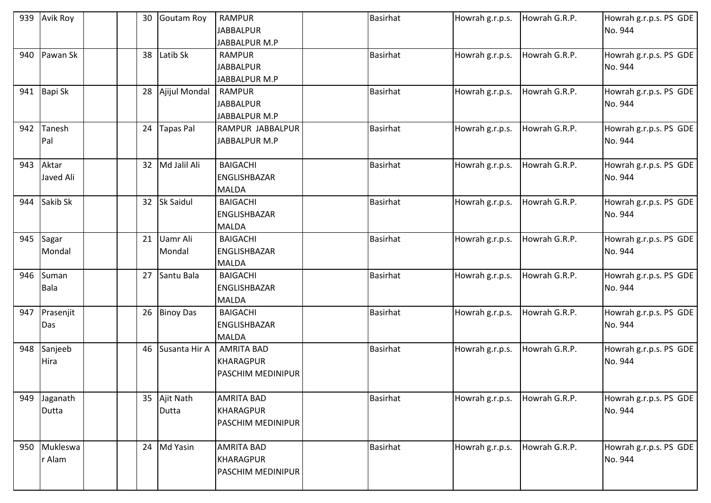| 939 | Avik Roy                  | 30 | Goutam Roy         | <b>RAMPUR</b><br><b>JABBALPUR</b><br>JABBALPUR M.P                | <b>Basirhat</b> | Howrah g.r.p.s. | Howrah G.R.P. | Howrah g.r.p.s. PS GDE<br>No. 944 |
|-----|---------------------------|----|--------------------|-------------------------------------------------------------------|-----------------|-----------------|---------------|-----------------------------------|
| 940 | Pawan Sk                  | 38 | Latib Sk           | <b>RAMPUR</b><br><b>JABBALPUR</b><br>JABBALPUR M.P                | <b>Basirhat</b> | Howrah g.r.p.s. | Howrah G.R.P. | Howrah g.r.p.s. PS GDE<br>No. 944 |
| 941 | Bapi Sk                   | 28 | Ajijul Mondal      | <b>RAMPUR</b><br><b>JABBALPUR</b><br>JABBALPUR M.P                | <b>Basirhat</b> | Howrah g.r.p.s. | Howrah G.R.P. | Howrah g.r.p.s. PS GDE<br>No. 944 |
| 942 | Tanesh<br>Pal             | 24 | <b>Tapas Pal</b>   | RAMPUR JABBALPUR<br>JABBALPUR M.P                                 | <b>Basirhat</b> | Howrah g.r.p.s. | Howrah G.R.P. | Howrah g.r.p.s. PS GDE<br>No. 944 |
| 943 | Aktar<br><b>Javed Ali</b> | 32 | Md Jalil Ali       | <b>BAIGACHI</b><br>ENGLISHBAZAR<br><b>MALDA</b>                   | <b>Basirhat</b> | Howrah g.r.p.s. | Howrah G.R.P. | Howrah g.r.p.s. PS GDE<br>No. 944 |
| 944 | Sakib Sk                  | 32 | <b>Sk Saidul</b>   | <b>BAIGACHI</b><br>ENGLISHBAZAR<br><b>MALDA</b>                   | <b>Basirhat</b> | Howrah g.r.p.s. | Howrah G.R.P. | Howrah g.r.p.s. PS GDE<br>No. 944 |
| 945 | Sagar<br>Mondal           | 21 | Uamr Ali<br>Mondal | <b>BAIGACHI</b><br><b>ENGLISHBAZAR</b><br><b>MALDA</b>            | <b>Basirhat</b> | Howrah g.r.p.s. | Howrah G.R.P. | Howrah g.r.p.s. PS GDE<br>No. 944 |
| 946 | Suman<br><b>Bala</b>      | 27 | Santu Bala         | <b>BAIGACHI</b><br>ENGLISHBAZAR<br><b>MALDA</b>                   | <b>Basirhat</b> | Howrah g.r.p.s. | Howrah G.R.P. | Howrah g.r.p.s. PS GDE<br>No. 944 |
| 947 | Prasenjit<br>Das          | 26 | <b>Binoy Das</b>   | <b>BAIGACHI</b><br>ENGLISHBAZAR<br><b>MALDA</b>                   | <b>Basirhat</b> | Howrah g.r.p.s. | Howrah G.R.P. | Howrah g.r.p.s. PS GDE<br>No. 944 |
| 948 | Sanjeeb<br>Hira           | 46 | Susanta Hir A      | <b>AMRITA BAD</b><br><b>KHARAGPUR</b><br><b>PASCHIM MEDINIPUR</b> | <b>Basirhat</b> | Howrah g.r.p.s. | Howrah G.R.P. | Howrah g.r.p.s. PS GDE<br>No. 944 |
| 949 | Jaganath<br>Dutta         | 35 | Ajit Nath<br>Dutta | <b>AMRITA BAD</b><br><b>KHARAGPUR</b><br>PASCHIM MEDINIPUR        | <b>Basirhat</b> | Howrah g.r.p.s. | Howrah G.R.P. | Howrah g.r.p.s. PS GDE<br>No. 944 |
| 950 | Mukleswa<br>r Alam        |    | 24 Md Yasin        | <b>AMRITA BAD</b><br>KHARAGPUR<br><b>PASCHIM MEDINIPUR</b>        | <b>Basirhat</b> | Howrah g.r.p.s. | Howrah G.R.P. | Howrah g.r.p.s. PS GDE<br>No. 944 |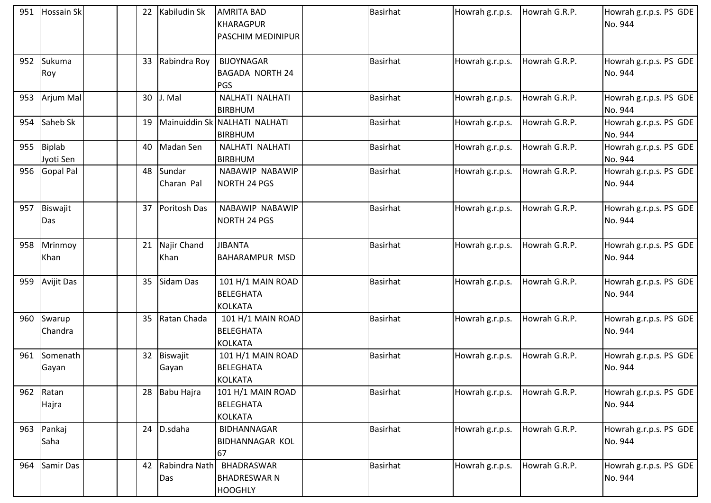|     | 951 Hossain Sk          |    | Kabiludin Sk         | <b>AMRITA BAD</b><br>KHARAGPUR<br><b>PASCHIM MEDINIPUR</b> | <b>Basirhat</b> | Howrah g.r.p.s. | Howrah G.R.P. | Howrah g.r.p.s. PS GDE<br>No. 944 |
|-----|-------------------------|----|----------------------|------------------------------------------------------------|-----------------|-----------------|---------------|-----------------------------------|
|     | 952 Sukuma<br>Roy       | 33 | Rabindra Roy         | <b>BIJOYNAGAR</b><br><b>BAGADA NORTH 24</b><br><b>PGS</b>  | <b>Basirhat</b> | Howrah g.r.p.s. | Howrah G.R.P. | Howrah g.r.p.s. PS GDE<br>No. 944 |
|     | 953 Arjum Mal           | 30 | J. Mal               | NALHATI NALHATI<br><b>BIRBHUM</b>                          | <b>Basirhat</b> | Howrah g.r.p.s. | Howrah G.R.P. | Howrah g.r.p.s. PS GDE<br>No. 944 |
| 954 | Saheb Sk                | 19 |                      | Mainuiddin Sk NALHATI NALHATI<br><b>BIRBHUM</b>            | <b>Basirhat</b> | Howrah g.r.p.s. | Howrah G.R.P. | Howrah g.r.p.s. PS GDE<br>No. 944 |
|     | 955 Biplab<br>Jyoti Sen | 40 | Madan Sen            | NALHATI NALHATI<br><b>BIRBHUM</b>                          | <b>Basirhat</b> | Howrah g.r.p.s. | Howrah G.R.P. | Howrah g.r.p.s. PS GDE<br>No. 944 |
|     | 956 Gopal Pal           | 48 | Sundar<br>Charan Pal | NABAWIP NABAWIP<br>NORTH 24 PGS                            | <b>Basirhat</b> | Howrah g.r.p.s. | Howrah G.R.P. | Howrah g.r.p.s. PS GDE<br>No. 944 |
| 957 | <b>Biswajit</b><br>Das  | 37 | Poritosh Das         | NABAWIP NABAWIP<br>NORTH 24 PGS                            | <b>Basirhat</b> | Howrah g.r.p.s. | Howrah G.R.P. | Howrah g.r.p.s. PS GDE<br>No. 944 |
| 958 | Mrinmoy<br>Khan         | 21 | Najir Chand<br>Khan  | <b>JIBANTA</b><br><b>BAHARAMPUR MSD</b>                    | <b>Basirhat</b> | Howrah g.r.p.s. | Howrah G.R.P. | Howrah g.r.p.s. PS GDE<br>No. 944 |
| 959 | <b>Avijit Das</b>       | 35 | Sidam Das            | 101 H/1 MAIN ROAD<br>BELEGHATA<br><b>KOLKATA</b>           | <b>Basirhat</b> | Howrah g.r.p.s. | Howrah G.R.P. | Howrah g.r.p.s. PS GDE<br>No. 944 |
|     | 960 Swarup<br>Chandra   | 35 | Ratan Chada          | 101 H/1 MAIN ROAD<br><b>BELEGHATA</b><br><b>KOLKATA</b>    | <b>Basirhat</b> | Howrah g.r.p.s. | Howrah G.R.P. | Howrah g.r.p.s. PS GDE<br>No. 944 |
| 961 | Somenath<br>Gayan       | 32 | Biswajit<br>Gayan    | 101 H/1 MAIN ROAD<br><b>BELEGHATA</b><br><b>KOLKATA</b>    | <b>Basirhat</b> | Howrah g.r.p.s. | Howrah G.R.P. | Howrah g.r.p.s. PS GDE<br>No. 944 |
| 962 | Ratan<br>Hajra          | 28 | Babu Hajra           | 101 H/1 MAIN ROAD<br>BELEGHATA<br><b>KOLKATA</b>           | <b>Basirhat</b> | Howrah g.r.p.s. | Howrah G.R.P. | Howrah g.r.p.s. PS GDE<br>No. 944 |
| 963 | Pankaj<br>Saha          | 24 | D.sdaha              | <b>BIDHANNAGAR</b><br><b>BIDHANNAGAR KOL</b><br>67         | <b>Basirhat</b> | Howrah g.r.p.s. | Howrah G.R.P. | Howrah g.r.p.s. PS GDE<br>No. 944 |
| 964 | Samir Das               | 42 | Rabindra Nath<br>Das | BHADRASWAR<br><b>BHADRESWAR N</b><br><b>HOOGHLY</b>        | <b>Basirhat</b> | Howrah g.r.p.s. | Howrah G.R.P. | Howrah g.r.p.s. PS GDE<br>No. 944 |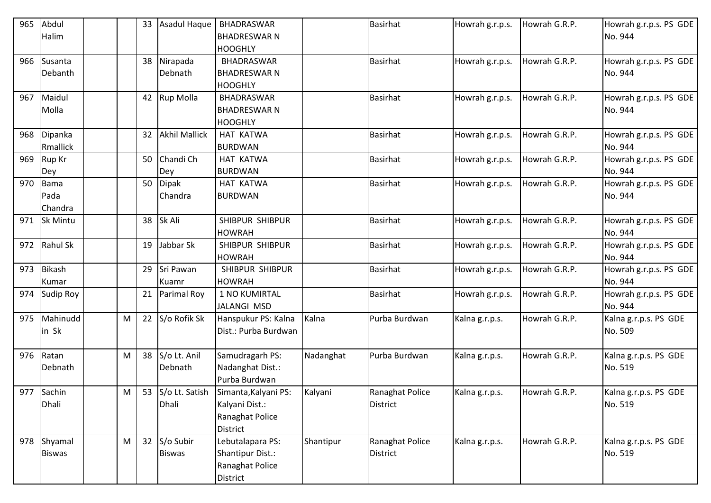| 965 | Abdul            |   | 33 | Asadul Haque         | <b>BHADRASWAR</b>                      |           | <b>Basirhat</b> | Howrah g.r.p.s. | Howrah G.R.P. | Howrah g.r.p.s. PS GDE |
|-----|------------------|---|----|----------------------|----------------------------------------|-----------|-----------------|-----------------|---------------|------------------------|
|     | Halim            |   |    |                      | <b>BHADRESWAR N</b>                    |           |                 |                 |               | No. 944                |
|     |                  |   |    |                      | <b>HOOGHLY</b>                         |           |                 |                 |               |                        |
| 966 | Susanta          |   | 38 | Nirapada             | BHADRASWAR                             |           | <b>Basirhat</b> | Howrah g.r.p.s. | Howrah G.R.P. | Howrah g.r.p.s. PS GDE |
|     | Debanth          |   |    | Debnath              | <b>BHADRESWAR N</b>                    |           |                 |                 |               | No. 944                |
|     |                  |   |    |                      | <b>HOOGHLY</b>                         |           |                 |                 |               |                        |
| 967 | Maidul           |   |    | 42 Rup Molla         | <b>BHADRASWAR</b>                      |           | <b>Basirhat</b> | Howrah g.r.p.s. | Howrah G.R.P. | Howrah g.r.p.s. PS GDE |
|     | Molla            |   |    |                      | <b>BHADRESWAR N</b>                    |           |                 |                 |               | No. 944                |
|     |                  |   |    |                      | <b>HOOGHLY</b>                         |           |                 |                 |               |                        |
| 968 | Dipanka          |   | 32 | <b>Akhil Mallick</b> | HAT KATWA                              |           | <b>Basirhat</b> | Howrah g.r.p.s. | Howrah G.R.P. | Howrah g.r.p.s. PS GDE |
|     | <b>Rmallick</b>  |   |    |                      | <b>BURDWAN</b>                         |           |                 |                 |               | No. 944                |
| 969 | Rup Kr           |   | 50 | Chandi Ch            | HAT KATWA                              |           | <b>Basirhat</b> | Howrah g.r.p.s. | Howrah G.R.P. | Howrah g.r.p.s. PS GDE |
|     | Dey              |   |    | Dey                  | <b>BURDWAN</b>                         |           |                 |                 |               | No. 944                |
| 970 | Bama             |   | 50 | <b>Dipak</b>         | <b>HAT KATWA</b>                       |           | <b>Basirhat</b> | Howrah g.r.p.s. | Howrah G.R.P. | Howrah g.r.p.s. PS GDE |
|     | Pada             |   |    | Chandra              | <b>BURDWAN</b>                         |           |                 |                 |               | No. 944                |
|     | Chandra          |   |    |                      |                                        |           |                 |                 |               |                        |
| 971 | <b>Sk Mintu</b>  |   | 38 | Sk Ali               | SHIBPUR SHIBPUR                        |           | <b>Basirhat</b> | Howrah g.r.p.s. | Howrah G.R.P. | Howrah g.r.p.s. PS GDE |
|     |                  |   |    |                      | <b>HOWRAH</b>                          |           |                 |                 |               | No. 944                |
| 972 | <b>Rahul Sk</b>  |   | 19 | Jabbar Sk            | SHIBPUR SHIBPUR                        |           | <b>Basirhat</b> | Howrah g.r.p.s. | Howrah G.R.P. | Howrah g.r.p.s. PS GDE |
|     |                  |   |    |                      | <b>HOWRAH</b>                          |           |                 |                 |               | No. 944                |
| 973 | <b>Bikash</b>    |   | 29 | Sri Pawan            | SHIBPUR SHIBPUR                        |           | <b>Basirhat</b> | Howrah g.r.p.s. | Howrah G.R.P. | Howrah g.r.p.s. PS GDE |
|     | Kumar            |   |    | Kuamr                | <b>HOWRAH</b>                          |           |                 |                 |               | No. 944                |
| 974 | <b>Sudip Roy</b> |   | 21 | Parimal Roy          | 1 NO KUMIRTAL                          |           | <b>Basirhat</b> | Howrah g.r.p.s. | Howrah G.R.P. | Howrah g.r.p.s. PS GDE |
|     |                  |   |    |                      | <b>JALANGI MSD</b>                     |           |                 |                 |               | No. 944                |
| 975 | Mahinudd         | M | 22 | S/o Rofik Sk         | Hanspukur PS: Kalna                    | Kalna     | Purba Burdwan   | Kalna g.r.p.s.  | Howrah G.R.P. | Kalna g.r.p.s. PS GDE  |
|     | in Sk            |   |    |                      | Dist.: Purba Burdwan                   |           |                 |                 |               | No. 509                |
|     |                  |   |    |                      |                                        |           |                 |                 |               |                        |
| 976 | Ratan            | M | 38 | S/o Lt. Anil         | Samudragarh PS:                        | Nadanghat | Purba Burdwan   | Kalna g.r.p.s.  | Howrah G.R.P. | Kalna g.r.p.s. PS GDE  |
|     | Debnath          |   |    | Debnath              | Nadanghat Dist.:                       |           |                 |                 |               | No. 519                |
|     |                  |   |    |                      | Purba Burdwan                          |           |                 |                 |               |                        |
|     | 977 Sachin       | M |    |                      | 53 S/o Lt. Satish Simanta, Kalyani PS: | Kalyani   | Ranaghat Police | Kalna g.r.p.s.  | Howrah G.R.P. | Kalna g.r.p.s. PS GDE  |
|     | Dhali            |   |    | Dhali                | Kalyani Dist.:                         |           | District        |                 |               | No. 519                |
|     |                  |   |    |                      | Ranaghat Police                        |           |                 |                 |               |                        |
|     |                  |   |    |                      | <b>District</b>                        |           |                 |                 |               |                        |
| 978 | Shyamal          | M | 32 | S/o Subir            | Lebutalapara PS:                       | Shantipur | Ranaghat Police | Kalna g.r.p.s.  | Howrah G.R.P. | Kalna g.r.p.s. PS GDE  |
|     | <b>Biswas</b>    |   |    | <b>Biswas</b>        | Shantipur Dist.:                       |           | District        |                 |               | No. 519                |
|     |                  |   |    |                      | Ranaghat Police                        |           |                 |                 |               |                        |
|     |                  |   |    |                      | District                               |           |                 |                 |               |                        |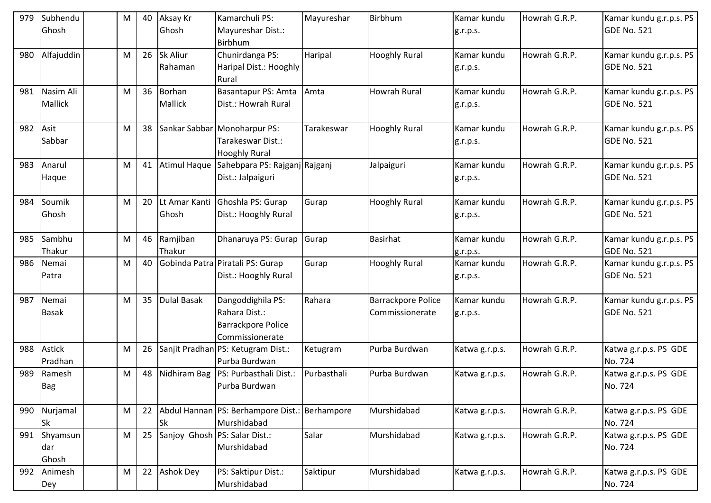| 979 | Subhendu<br>Ghosh           | M | 40 | Aksay Kr<br>Ghosh          | Kamarchuli PS:<br>Mayureshar Dist.:<br>Birbhum                                     | Mayureshar  | Birbhum                                      | Kamar kundu<br>g.r.p.s. | Howrah G.R.P. | Kamar kundu g.r.p.s. PS<br>GDE No. 521        |
|-----|-----------------------------|---|----|----------------------------|------------------------------------------------------------------------------------|-------------|----------------------------------------------|-------------------------|---------------|-----------------------------------------------|
| 980 | Alfajuddin                  | M | 26 | <b>Sk Aliur</b><br>Rahaman | Chunirdanga PS:<br>Haripal Dist.: Hooghly<br><b>Rural</b>                          | Haripal     | <b>Hooghly Rural</b>                         | Kamar kundu<br>g.r.p.s. | Howrah G.R.P. | Kamar kundu g.r.p.s. PS<br><b>GDE No. 521</b> |
| 981 | Nasim Ali<br><b>Mallick</b> | M | 36 | <b>Borhan</b><br>Mallick   | Basantapur PS: Amta<br>Dist.: Howrah Rural                                         | Amta        | <b>Howrah Rural</b>                          | Kamar kundu<br>g.r.p.s. | Howrah G.R.P. | Kamar kundu g.r.p.s. PS<br><b>GDE No. 521</b> |
| 982 | Asit<br>Sabbar              | M | 38 |                            | Sankar Sabbar Monoharpur PS:<br>Tarakeswar Dist.:<br><b>Hooghly Rural</b>          | Tarakeswar  | <b>Hooghly Rural</b>                         | Kamar kundu<br>g.r.p.s. | Howrah G.R.P. | Kamar kundu g.r.p.s. PS<br><b>GDE No. 521</b> |
| 983 | Anarul<br>Haque             | M | 41 | <b>Atimul Haque</b>        | Sahebpara PS: Rajganj Rajganj<br>Dist.: Jalpaiguri                                 |             | Jalpaiguri                                   | Kamar kundu<br>g.r.p.s. | Howrah G.R.P. | Kamar kundu g.r.p.s. PS<br>GDE No. 521        |
| 984 | Soumik<br>Ghosh             | M | 20 | Lt Amar Kanti<br>Ghosh     | Ghoshla PS: Gurap<br>Dist.: Hooghly Rural                                          | Gurap       | <b>Hooghly Rural</b>                         | Kamar kundu<br>g.r.p.s. | Howrah G.R.P. | Kamar kundu g.r.p.s. PS<br><b>GDE No. 521</b> |
| 985 | Sambhu<br>Thakur            | M | 46 | Ramjiban<br>Thakur         | Dhanaruya PS: Gurap                                                                | Gurap       | <b>Basirhat</b>                              | Kamar kundu<br>g.r.p.s. | Howrah G.R.P. | Kamar kundu g.r.p.s. PS<br><b>GDE No. 521</b> |
| 986 | Nemai<br>Patra              | M | 40 |                            | Gobinda Patra Piratali PS: Gurap<br>Dist.: Hooghly Rural                           | Gurap       | <b>Hooghly Rural</b>                         | Kamar kundu<br>g.r.p.s. | Howrah G.R.P. | Kamar kundu g.r.p.s. PS<br><b>GDE No. 521</b> |
| 987 | Nemai<br><b>Basak</b>       | M | 35 | <b>Dulal Basak</b>         | Dangoddighila PS:<br>Rahara Dist.:<br><b>Barrackpore Police</b><br>Commissionerate | Rahara      | <b>Barrackpore Police</b><br>Commissionerate | Kamar kundu<br>g.r.p.s. | Howrah G.R.P. | Kamar kundu g.r.p.s. PS<br><b>GDE No. 521</b> |
| 988 | <b>Astick</b><br>Pradhan    | M | 26 |                            | Sanjit Pradhan PS: Ketugram Dist.:<br>Purba Burdwan                                | Ketugram    | Purba Burdwan                                | Katwa g.r.p.s.          | Howrah G.R.P. | Katwa g.r.p.s. PS GDE<br>No. 724              |
| 989 | Ramesh<br>Bag               | M | 48 | Nidhiram Bag               | PS: Purbasthali Dist.:<br>Purba Burdwan                                            | Purbasthali | Purba Burdwan                                | Katwa g.r.p.s.          | Howrah G.R.P. | Katwa g.r.p.s. PS GDE<br>No. 724              |
| 990 | Nurjamal<br><b>Sk</b>       | M | 22 | Sk                         | Abdul Hannan   PS: Berhampore Dist.:   Berhampore<br>Murshidabad                   |             | Murshidabad                                  | Katwa g.r.p.s.          | Howrah G.R.P. | Katwa g.r.p.s. PS GDE<br>No. 724              |
| 991 | Shyamsun<br>dar<br>Ghosh    | M | 25 |                            | Sanjoy Ghosh PS: Salar Dist.:<br>Murshidabad                                       | Salar       | Murshidabad                                  | Katwa g.r.p.s.          | Howrah G.R.P. | Katwa g.r.p.s. PS GDE<br>No. 724              |
| 992 | Animesh<br>Dey              | M | 22 | <b>Ashok Dey</b>           | PS: Saktipur Dist.:<br>Murshidabad                                                 | Saktipur    | Murshidabad                                  | Katwa g.r.p.s.          | Howrah G.R.P. | Katwa g.r.p.s. PS GDE<br>No. 724              |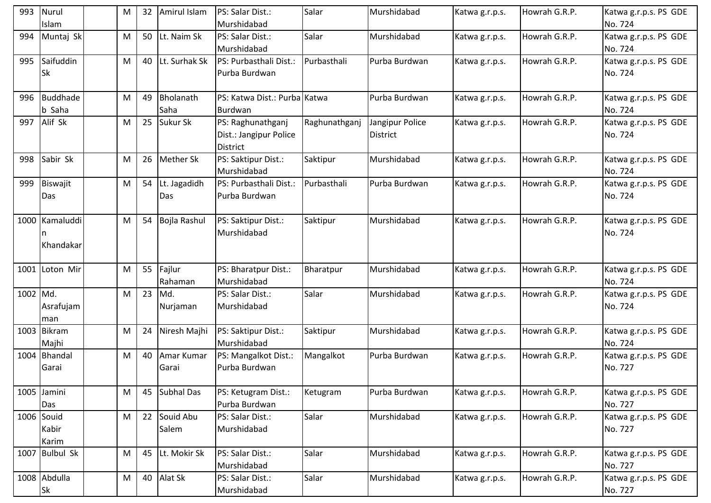| 993      | Nurul<br>Islam               | M | 32 | Amirul Islam         | PS: Salar Dist.:<br>Murshidabad                         | Salar         | Murshidabad                        | Katwa g.r.p.s. | Howrah G.R.P. | Katwa g.r.p.s. PS GDE<br>No. 724 |
|----------|------------------------------|---|----|----------------------|---------------------------------------------------------|---------------|------------------------------------|----------------|---------------|----------------------------------|
| 994      | Muntaj Sk                    | M | 50 | Lt. Naim Sk          | PS: Salar Dist.:<br>Murshidabad                         | Salar         | Murshidabad                        | Katwa g.r.p.s. | Howrah G.R.P. | Katwa g.r.p.s. PS GDE<br>No. 724 |
| 995      | Saifuddin<br><b>Sk</b>       | M | 40 | Lt. Surhak Sk        | PS: Purbasthali Dist.:<br>Purba Burdwan                 | Purbasthali   | Purba Burdwan                      | Katwa g.r.p.s. | Howrah G.R.P. | Katwa g.r.p.s. PS GDE<br>No. 724 |
| 996      | Buddhade<br>b Saha           | M | 49 | Bholanath<br>Saha    | PS: Katwa Dist.: Purba Katwa<br><b>Burdwan</b>          |               | Purba Burdwan                      | Katwa g.r.p.s. | Howrah G.R.P. | Katwa g.r.p.s. PS GDE<br>No. 724 |
|          | 997 Alif Sk                  | M | 25 | Sukur Sk             | PS: Raghunathganj<br>Dist.: Jangipur Police<br>District | Raghunathganj | Jangipur Police<br><b>District</b> | Katwa g.r.p.s. | Howrah G.R.P. | Katwa g.r.p.s. PS GDE<br>No. 724 |
| 998      | Sabir Sk                     | M | 26 | <b>Mether Sk</b>     | PS: Saktipur Dist.:<br>Murshidabad                      | Saktipur      | Murshidabad                        | Katwa g.r.p.s. | Howrah G.R.P. | Katwa g.r.p.s. PS GDE<br>No. 724 |
| 999      | Biswajit<br>Das              | M | 54 | Lt. Jagadidh<br>Das  | PS: Purbasthali Dist.:<br>Purba Burdwan                 | Purbasthali   | Purba Burdwan                      | Katwa g.r.p.s. | Howrah G.R.P. | Katwa g.r.p.s. PS GDE<br>No. 724 |
|          | 1000 Kamaluddi<br>Khandakar  | M | 54 | Bojla Rashul         | PS: Saktipur Dist.:<br>Murshidabad                      | Saktipur      | Murshidabad                        | Katwa g.r.p.s. | Howrah G.R.P. | Katwa g.r.p.s. PS GDE<br>No. 724 |
|          | 1001 Loton Mir               | M |    | 55 Fajlur<br>Rahaman | PS: Bharatpur Dist.:<br>Murshidabad                     | Bharatpur     | Murshidabad                        | Katwa g.r.p.s. | Howrah G.R.P. | Katwa g.r.p.s. PS GDE<br>No. 724 |
| 1002 Md. | Asrafujam<br>man             | M | 23 | Md.<br>Nurjaman      | PS: Salar Dist.:<br>Murshidabad                         | Salar         | Murshidabad                        | Katwa g.r.p.s. | Howrah G.R.P. | Katwa g.r.p.s. PS GDE<br>No. 724 |
|          | 1003 Bikram<br>Majhi         | M | 24 | Niresh Majhi         | PS: Saktipur Dist.:<br>Murshidabad                      | Saktipur      | Murshidabad                        | Katwa g.r.p.s. | Howrah G.R.P. | Katwa g.r.p.s. PS GDE<br>No. 724 |
|          | 1004 Bhandal<br>Garai        | M | 40 | Amar Kumar<br>Garai  | PS: Mangalkot Dist.:<br>Purba Burdwan                   | Mangalkot     | Purba Burdwan                      | Katwa g.r.p.s. | Howrah G.R.P. | Katwa g.r.p.s. PS GDE<br>No. 727 |
|          | 1005 Jamini<br>Das           | M | 45 | <b>Subhal Das</b>    | PS: Ketugram Dist.:<br>Purba Burdwan                    | Ketugram      | Purba Burdwan                      | Katwa g.r.p.s. | Howrah G.R.P. | Katwa g.r.p.s. PS GDE<br>No. 727 |
|          | 1006 Souid<br>Kabir<br>Karim | M | 22 | Souid Abu<br>Salem   | PS: Salar Dist.:<br>Murshidabad                         | Salar         | Murshidabad                        | Katwa g.r.p.s. | Howrah G.R.P. | Katwa g.r.p.s. PS GDE<br>No. 727 |
|          | 1007 Bulbul Sk               | M | 45 | Lt. Mokir Sk         | PS: Salar Dist.:<br>Murshidabad                         | Salar         | Murshidabad                        | Katwa g.r.p.s. | Howrah G.R.P. | Katwa g.r.p.s. PS GDE<br>No. 727 |
|          | 1008 Abdulla<br><b>Sk</b>    | M | 40 | Alat Sk              | PS: Salar Dist.:<br>Murshidabad                         | Salar         | Murshidabad                        | Katwa g.r.p.s. | Howrah G.R.P. | Katwa g.r.p.s. PS GDE<br>No. 727 |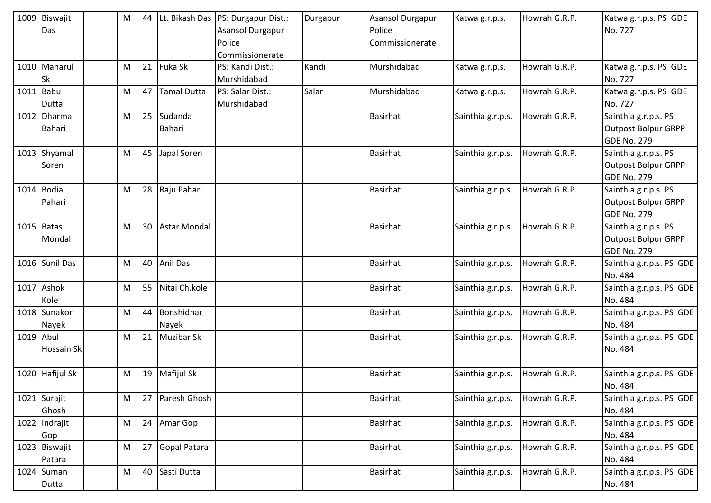|           | 1009 Biswajit<br>Das    | M | 44 |                     | Lt. Bikash Das   PS: Durgapur Dist.:<br>Asansol Durgapur<br>Police<br>Commissionerate | Durgapur | <b>Asansol Durgapur</b><br>Police<br>Commissionerate | Katwa g.r.p.s.    | Howrah G.R.P. | Katwa g.r.p.s. PS GDE<br>No. 727                                         |
|-----------|-------------------------|---|----|---------------------|---------------------------------------------------------------------------------------|----------|------------------------------------------------------|-------------------|---------------|--------------------------------------------------------------------------|
|           | 1010 Manarul<br>Sk      | M | 21 | Fuka Sk             | PS: Kandi Dist.:<br>Murshidabad                                                       | Kandi    | Murshidabad                                          | Katwa g.r.p.s.    | Howrah G.R.P. | Katwa g.r.p.s. PS GDE<br>No. 727                                         |
|           | 1011 Babu<br>Dutta      | M | 47 | <b>Tamal Dutta</b>  | PS: Salar Dist.:<br>Murshidabad                                                       | Salar    | Murshidabad                                          | Katwa g.r.p.s.    | Howrah G.R.P. | Katwa g.r.p.s. PS GDE<br>No. 727                                         |
|           | 1012 Dharma<br>Bahari   | M | 25 | Sudanda<br>Bahari   |                                                                                       |          | <b>Basirhat</b>                                      | Sainthia g.r.p.s. | Howrah G.R.P. | Sainthia g.r.p.s. PS<br><b>Outpost Bolpur GRPP</b><br><b>GDE No. 279</b> |
|           | 1013 Shyamal<br>Soren   | M | 45 | Japal Soren         |                                                                                       |          | <b>Basirhat</b>                                      | Sainthia g.r.p.s. | Howrah G.R.P. | Sainthia g.r.p.s. PS<br><b>Outpost Bolpur GRPP</b><br>GDE No. 279        |
|           | 1014 Bodia<br>Pahari    | M | 28 | Raju Pahari         |                                                                                       |          | <b>Basirhat</b>                                      | Sainthia g.r.p.s. | Howrah G.R.P. | Sainthia g.r.p.s. PS<br>Outpost Bolpur GRPP<br><b>GDE No. 279</b>        |
|           | $1015$ Batas<br>Mondal  | M | 30 | <b>Astar Mondal</b> |                                                                                       |          | <b>Basirhat</b>                                      | Sainthia g.r.p.s. | Howrah G.R.P. | Sainthia g.r.p.s. PS<br><b>Outpost Bolpur GRPP</b><br><b>GDE No. 279</b> |
|           | 1016 Sunil Das          | M | 40 | <b>Anil Das</b>     |                                                                                       |          | <b>Basirhat</b>                                      | Sainthia g.r.p.s. | Howrah G.R.P. | Sainthia g.r.p.s. PS GDE<br>No. 484                                      |
|           | 1017 Ashok<br>Kole      | M | 55 | Nitai Ch.kole       |                                                                                       |          | <b>Basirhat</b>                                      | Sainthia g.r.p.s. | Howrah G.R.P. | Sainthia g.r.p.s. PS GDE<br>No. 484                                      |
|           | 1018 Sunakor<br>Nayek   | M | 44 | Bonshidhar<br>Nayek |                                                                                       |          | <b>Basirhat</b>                                      | Sainthia g.r.p.s. | Howrah G.R.P. | Sainthia g.r.p.s. PS GDE<br>No. 484                                      |
| 1019 Abul | Hossain Sk              | M | 21 | <b>Muzibar Sk</b>   |                                                                                       |          | <b>Basirhat</b>                                      | Sainthia g.r.p.s. | Howrah G.R.P. | Sainthia g.r.p.s. PS GDE<br>No. 484                                      |
|           | 1020 Hafijul Sk         | M | 19 | Mafijul Sk          |                                                                                       |          | <b>Basirhat</b>                                      | Sainthia g.r.p.s. | Howrah G.R.P. | Sainthia g.r.p.s. PS GDE<br>No. 484                                      |
|           | 1021 Surajit<br>Ghosh   | M | 27 | Paresh Ghosh        |                                                                                       |          | <b>Basirhat</b>                                      | Sainthia g.r.p.s. | Howrah G.R.P. | Sainthia g.r.p.s. PS GDE<br>No. 484                                      |
|           | 1022 Indrajit<br>Gop    | M | 24 | Amar Gop            |                                                                                       |          | <b>Basirhat</b>                                      | Sainthia g.r.p.s. | Howrah G.R.P. | Sainthia g.r.p.s. PS GDE<br>No. 484                                      |
|           | 1023 Biswajit<br>Patara | M | 27 | Gopal Patara        |                                                                                       |          | Basirhat                                             | Sainthia g.r.p.s. | Howrah G.R.P. | Sainthia g.r.p.s. PS GDE<br>No. 484                                      |
|           | 1024 Suman<br>Dutta     | M | 40 | Sasti Dutta         |                                                                                       |          | <b>Basirhat</b>                                      | Sainthia g.r.p.s. | Howrah G.R.P. | Sainthia g.r.p.s. PS GDE<br>No. 484                                      |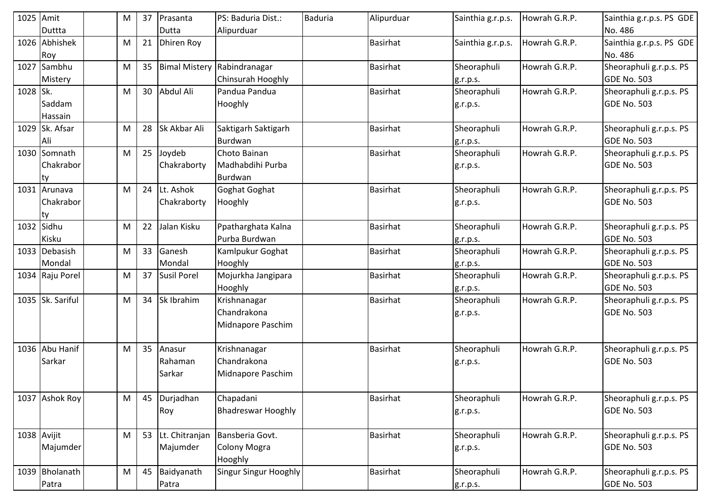| 1025 Amit |                  | M         | 37 | Prasanta             | PS: Baduria Dist.:           | <b>Baduria</b> | Alipurduar      | Sainthia g.r.p.s. | Howrah G.R.P. | Sainthia g.r.p.s. PS GDE |
|-----------|------------------|-----------|----|----------------------|------------------------------|----------------|-----------------|-------------------|---------------|--------------------------|
|           | Duttta           |           |    | Dutta                | Alipurduar                   |                |                 |                   |               | No. 486                  |
|           | 1026 Abhishek    | M         | 21 | Dhiren Roy           |                              |                | <b>Basirhat</b> | Sainthia g.r.p.s. | Howrah G.R.P. | Sainthia g.r.p.s. PS GDE |
|           | Roy              |           |    |                      |                              |                |                 |                   |               | No. 486                  |
|           | 1027 Sambhu      | M         | 35 | <b>Bimal Mistery</b> | Rabindranagar                |                | <b>Basirhat</b> | Sheoraphuli       | Howrah G.R.P. | Sheoraphuli g.r.p.s. PS  |
|           | Mistery          |           |    |                      | Chinsurah Hooghly            |                |                 | g.r.p.s.          |               | <b>GDE No. 503</b>       |
| 1028 Sk.  |                  | M         | 30 | Abdul Ali            | Pandua Pandua                |                | <b>Basirhat</b> | Sheoraphuli       | Howrah G.R.P. | Sheoraphuli g.r.p.s. PS  |
|           | Saddam           |           |    |                      | Hooghly                      |                |                 | g.r.p.s.          |               | <b>GDE No. 503</b>       |
|           | Hassain          |           |    |                      |                              |                |                 |                   |               |                          |
|           | 1029 Sk. Afsar   | M         | 28 | Sk Akbar Ali         | Saktigarh Saktigarh          |                | <b>Basirhat</b> | Sheoraphuli       | Howrah G.R.P. | Sheoraphuli g.r.p.s. PS  |
|           | Ali              |           |    |                      | Burdwan                      |                |                 | g.r.p.s.          |               | <b>GDE No. 503</b>       |
|           | 1030 Somnath     | M         | 25 | Joydeb               | Choto Bainan                 |                | <b>Basirhat</b> | Sheoraphuli       | Howrah G.R.P. | Sheoraphuli g.r.p.s. PS  |
|           | Chakrabor        |           |    | Chakraborty          | Madhabdihi Purba             |                |                 | g.r.p.s.          |               | GDE No. 503              |
|           | ty               |           |    |                      | Burdwan                      |                |                 |                   |               |                          |
|           | 1031 Arunava     | ${\sf M}$ | 24 | Lt. Ashok            | Goghat Goghat                |                | <b>Basirhat</b> | Sheoraphuli       | Howrah G.R.P. | Sheoraphuli g.r.p.s. PS  |
|           | Chakrabor        |           |    | Chakraborty          | Hooghly                      |                |                 | g.r.p.s.          |               | GDE No. 503              |
|           | lty              |           |    |                      |                              |                |                 |                   |               |                          |
|           | 1032 Sidhu       | M         | 22 | Jalan Kisku          | Ppatharghata Kalna           |                | <b>Basirhat</b> | Sheoraphuli       | Howrah G.R.P. | Sheoraphuli g.r.p.s. PS  |
|           | Kisku            |           |    |                      | Purba Burdwan                |                |                 | g.r.p.s.          |               | GDE No. 503              |
|           | 1033 Debasish    | M         | 33 | Ganesh               | Kamlpukur Goghat             |                | <b>Basirhat</b> | Sheoraphuli       | Howrah G.R.P. | Sheoraphuli g.r.p.s. PS  |
|           | Mondal           |           |    | Mondal               | Hooghly                      |                |                 | g.r.p.s.          |               | <b>GDE No. 503</b>       |
|           | 1034 Raju Porel  | M         | 37 | <b>Susil Porel</b>   | Mojurkha Jangipara           |                | <b>Basirhat</b> | Sheoraphuli       | Howrah G.R.P. | Sheoraphuli g.r.p.s. PS  |
|           |                  |           |    |                      | Hooghly                      |                |                 | g.r.p.s.          |               | <b>GDE No. 503</b>       |
|           | 1035 Sk. Sariful | M         | 34 | Sk Ibrahim           | Krishnanagar                 |                | <b>Basirhat</b> | Sheoraphuli       | Howrah G.R.P. | Sheoraphuli g.r.p.s. PS  |
|           |                  |           |    |                      | Chandrakona                  |                |                 | g.r.p.s.          |               | <b>GDE No. 503</b>       |
|           |                  |           |    |                      | Midnapore Paschim            |                |                 |                   |               |                          |
|           |                  |           |    |                      |                              |                |                 |                   |               |                          |
|           | 1036 Abu Hanif   | M         | 35 | Anasur               | Krishnanagar                 |                | <b>Basirhat</b> | Sheoraphuli       | Howrah G.R.P. | Sheoraphuli g.r.p.s. PS  |
|           | Sarkar           |           |    | Rahaman              | Chandrakona                  |                |                 | g.r.p.s.          |               | <b>GDE No. 503</b>       |
|           |                  |           |    | Sarkar               | Midnapore Paschim            |                |                 |                   |               |                          |
|           |                  |           |    |                      |                              |                |                 |                   |               |                          |
|           | 1037 Ashok Roy   | M         | 45 | Durjadhan            | Chapadani                    |                | <b>Basirhat</b> | Sheoraphuli       | Howrah G.R.P. | Sheoraphuli g.r.p.s. PS  |
|           |                  |           |    | Roy                  | <b>Bhadreswar Hooghly</b>    |                |                 | g.r.p.s.          |               | GDE No. 503              |
|           |                  |           |    |                      |                              |                |                 |                   |               |                          |
|           | 1038 Avijit      | ${\sf M}$ | 53 | Lt. Chitranjan       | Bansberia Govt.              |                | <b>Basirhat</b> | Sheoraphuli       | Howrah G.R.P. | Sheoraphuli g.r.p.s. PS  |
|           | Majumder         |           |    | Majumder             | Colony Mogra                 |                |                 | g.r.p.s.          |               | <b>GDE No. 503</b>       |
|           |                  |           |    |                      | Hooghly                      |                |                 |                   |               |                          |
|           | 1039 Bholanath   | M         | 45 | Baidyanath           | <b>Singur Singur Hooghly</b> |                | <b>Basirhat</b> | Sheoraphuli       | Howrah G.R.P. | Sheoraphuli g.r.p.s. PS  |
|           | Patra            |           |    | Patra                |                              |                |                 | g.r.p.s.          |               | GDE No. 503              |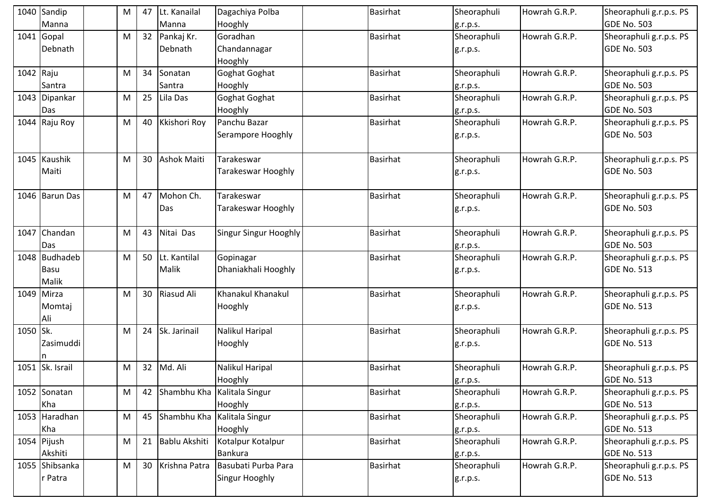|           | 1040 Sandip               | M | 47 | Lt. Kanailal       | Dagachiya Polba                | <b>Basirhat</b> | Sheoraphuli             | Howrah G.R.P. | Sheoraphuli g.r.p.s. PS                       |
|-----------|---------------------------|---|----|--------------------|--------------------------------|-----------------|-------------------------|---------------|-----------------------------------------------|
|           | Manna                     |   |    | Manna              | Hooghly                        |                 | g.r.p.s.                |               | <b>GDE No. 503</b>                            |
|           | $1041$ Gopal              | M |    | 32 Pankaj Kr.      | Goradhan                       | <b>Basirhat</b> | Sheoraphuli             | Howrah G.R.P. | Sheoraphuli g.r.p.s. PS                       |
|           | Debnath                   |   |    | Debnath            | Chandannagar                   |                 | g.r.p.s.                |               | <b>GDE No. 503</b>                            |
|           |                           |   |    |                    | Hooghly                        |                 |                         |               |                                               |
| 1042 Raju |                           | M | 34 | Sonatan            | Goghat Goghat                  | <b>Basirhat</b> | Sheoraphuli             | Howrah G.R.P. | Sheoraphuli g.r.p.s. PS                       |
|           | Santra                    |   |    | Santra             | Hooghly                        |                 | g.r.p.s.                |               | <b>GDE No. 503</b>                            |
|           | 1043 Dipankar             | M | 25 | Lila Das           | Goghat Goghat                  | <b>Basirhat</b> | Sheoraphuli             | Howrah G.R.P. | Sheoraphuli g.r.p.s. PS                       |
|           | Das                       |   |    |                    | Hooghly                        |                 | g.r.p.s.                |               | <b>GDE No. 503</b>                            |
|           | 1044 Raju Roy             | M | 40 | Kkishori Roy       | Panchu Bazar                   | <b>Basirhat</b> | Sheoraphuli             | Howrah G.R.P. | Sheoraphuli g.r.p.s. PS                       |
|           |                           |   |    |                    | Serampore Hooghly              |                 | g.r.p.s.                |               | <b>GDE No. 503</b>                            |
|           |                           |   |    |                    |                                |                 |                         |               |                                               |
|           | 1045 Kaushik              | M | 30 | <b>Ashok Maiti</b> | Tarakeswar                     | <b>Basirhat</b> | Sheoraphuli             | Howrah G.R.P. | Sheoraphuli g.r.p.s. PS                       |
|           | Maiti                     |   |    |                    | Tarakeswar Hooghly             |                 | g.r.p.s.                |               | <b>GDE No. 503</b>                            |
|           | 1046 Barun Das            | M | 47 | Mohon Ch.          | Tarakeswar                     | <b>Basirhat</b> | Sheoraphuli             | Howrah G.R.P. | Sheoraphuli g.r.p.s. PS                       |
|           |                           |   |    | Das                | Tarakeswar Hooghly             |                 | g.r.p.s.                |               | <b>GDE No. 503</b>                            |
|           |                           |   |    |                    |                                |                 |                         |               |                                               |
|           | 1047 Chandan              | M | 43 | Nitai Das          | <b>Singur Singur Hooghly</b>   | <b>Basirhat</b> | Sheoraphuli             | Howrah G.R.P. | Sheoraphuli g.r.p.s. PS                       |
|           | Das                       |   |    |                    |                                |                 | g.r.p.s.                |               | <b>GDE No. 503</b>                            |
|           | 1048 Budhadeb             | M | 50 | Lt. Kantilal       | Gopinagar                      | <b>Basirhat</b> | Sheoraphuli             | Howrah G.R.P. | Sheoraphuli g.r.p.s. PS                       |
|           | <b>Basu</b>               |   |    | Malik              | Dhaniakhali Hooghly            |                 | g.r.p.s.                |               | <b>GDE No. 513</b>                            |
|           | Malik                     |   |    |                    |                                |                 |                         |               |                                               |
|           | 1049 Mirza                | M | 30 | Riasud Ali         | Khanakul Khanakul              | <b>Basirhat</b> | Sheoraphuli             | Howrah G.R.P. | Sheoraphuli g.r.p.s. PS                       |
|           | Momtaj                    |   |    |                    | Hooghly                        |                 | g.r.p.s.                |               | <b>GDE No. 513</b>                            |
|           | Ali                       |   |    |                    |                                |                 |                         |               |                                               |
| 1050 Sk.  |                           | M | 24 | Sk. Jarinail       | Nalikul Haripal                | <b>Basirhat</b> | Sheoraphuli             | Howrah G.R.P. | Sheoraphuli g.r.p.s. PS                       |
|           | Zasimuddi                 |   |    |                    | Hooghly                        |                 | g.r.p.s.                |               | <b>GDE No. 513</b>                            |
|           |                           |   |    |                    |                                |                 |                         |               |                                               |
|           | 1051 Sk. Israil           | M | 32 | Md. Ali            | Nalikul Haripal                | <b>Basirhat</b> | Sheoraphuli             | Howrah G.R.P. | Sheoraphuli g.r.p.s. PS                       |
|           |                           |   |    |                    | Hooghly                        |                 | g.r.p.s.                |               | <b>GDE No. 513</b>                            |
|           | 1052 Sonatan              | M | 42 |                    | Shambhu Kha Kalitala Singur    | <b>Basirhat</b> | Sheoraphuli             | Howrah G.R.P. | Sheoraphuli g.r.p.s. PS                       |
|           | Kha                       |   |    |                    | Hooghly                        |                 | g.r.p.s.                |               | <b>GDE No. 513</b>                            |
|           | 1053 Haradhan             | M | 45 | Shambhu Kha        | Kalitala Singur                | <b>Basirhat</b> | Sheoraphuli             | Howrah G.R.P. | Sheoraphuli g.r.p.s. PS                       |
|           | Kha                       |   |    |                    | Hooghly                        |                 | g.r.p.s.                |               | <b>GDE No. 513</b>                            |
|           | 1054 Pijush               | M | 21 | Bablu Akshiti      | Kotalpur Kotalpur              | Basirhat        | Sheoraphuli             | Howrah G.R.P. | Sheoraphuli g.r.p.s. PS                       |
|           | Akshiti<br>1055 Shibsanka | M |    | 30 Krishna Patra   | Bankura<br>Basubati Purba Para | <b>Basirhat</b> | g.r.p.s.<br>Sheoraphuli | Howrah G.R.P. | <b>GDE No. 513</b>                            |
|           | r Patra                   |   |    |                    | Singur Hooghly                 |                 |                         |               | Sheoraphuli g.r.p.s. PS<br><b>GDE No. 513</b> |
|           |                           |   |    |                    |                                |                 | g.r.p.s.                |               |                                               |
|           |                           |   |    |                    |                                |                 |                         |               |                                               |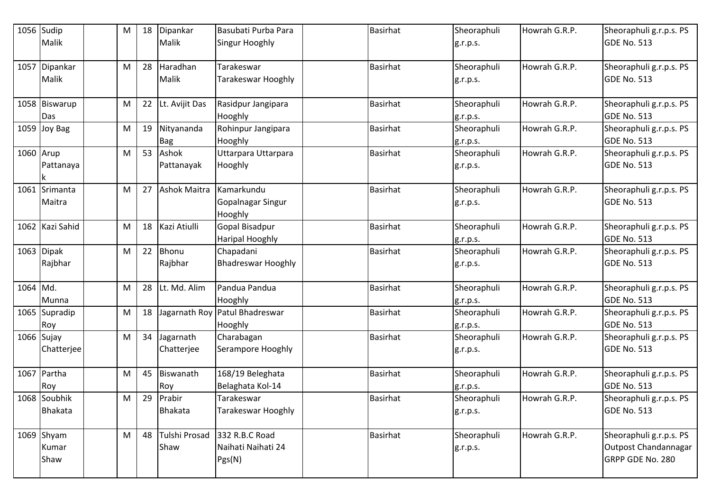|           | 1056 Sudip      | M | 18 | Dipankar            | Basubati Purba Para          | Basirhat        | Sheoraphuli | Howrah G.R.P. | Sheoraphuli g.r.p.s. PS |
|-----------|-----------------|---|----|---------------------|------------------------------|-----------------|-------------|---------------|-------------------------|
|           | Malik           |   |    | Malik               | Singur Hooghly               |                 | g.r.p.s.    |               | <b>GDE No. 513</b>      |
| 1057      | Dipankar        | M | 28 | Haradhan            | Tarakeswar                   | Basirhat        | Sheoraphuli | Howrah G.R.P. | Sheoraphuli g.r.p.s. PS |
|           | Malik           |   |    | Malik               | Tarakeswar Hooghly           |                 | g.r.p.s.    |               | <b>GDE No. 513</b>      |
|           | 1058 Biswarup   | M | 22 | Lt. Avijit Das      | Rasidpur Jangipara           | <b>Basirhat</b> | Sheoraphuli | Howrah G.R.P. | Sheoraphuli g.r.p.s. PS |
|           | Das             |   |    |                     | Hooghly                      |                 | g.r.p.s.    |               | <b>GDE No. 513</b>      |
|           | 1059 Joy Bag    | M | 19 | Nityananda          | Rohinpur Jangipara           | <b>Basirhat</b> | Sheoraphuli | Howrah G.R.P. | Sheoraphuli g.r.p.s. PS |
|           |                 |   |    | <b>Bag</b>          | Hooghly                      |                 | g.r.p.s.    |               | <b>GDE No. 513</b>      |
| 1060 Arup |                 | M | 53 | Ashok               | Uttarpara Uttarpara          | <b>Basirhat</b> | Sheoraphuli | Howrah G.R.P. | Sheoraphuli g.r.p.s. PS |
|           | Pattanaya<br>k  |   |    | Pattanayak          | Hooghly                      |                 | g.r.p.s.    |               | <b>GDE No. 513</b>      |
|           | 1061 Srimanta   | M | 27 | <b>Ashok Maitra</b> | Kamarkundu                   | <b>Basirhat</b> | Sheoraphuli | Howrah G.R.P. | Sheoraphuli g.r.p.s. PS |
|           | Maitra          |   |    |                     | Gopalnagar Singur<br>Hooghly |                 | g.r.p.s.    |               | <b>GDE No. 513</b>      |
|           | 1062 Kazi Sahid | M | 18 | Kazi Atiulli        | Gopal Bisadpur               | <b>Basirhat</b> | Sheoraphuli | Howrah G.R.P. | Sheoraphuli g.r.p.s. PS |
|           |                 |   |    |                     | <b>Haripal Hooghly</b>       |                 | g.r.p.s.    |               | <b>GDE No. 513</b>      |
|           | 1063 Dipak      | M | 22 | Bhonu               | Chapadani                    | <b>Basirhat</b> | Sheoraphuli | Howrah G.R.P. | Sheoraphuli g.r.p.s. PS |
|           | Rajbhar         |   |    | Rajbhar             | <b>Bhadreswar Hooghly</b>    |                 | g.r.p.s.    |               | <b>GDE No. 513</b>      |
| 1064 Md.  |                 | M | 28 | Lt. Md. Alim        | Pandua Pandua                | <b>Basirhat</b> | Sheoraphuli | Howrah G.R.P. | Sheoraphuli g.r.p.s. PS |
|           | Munna           |   |    |                     | Hooghly                      |                 | g.r.p.s.    |               | <b>GDE No. 513</b>      |
|           | 1065 Supradip   | M | 18 | Jagarnath Roy       | Patul Bhadreswar             | <b>Basirhat</b> | Sheoraphuli | Howrah G.R.P. | Sheoraphuli g.r.p.s. PS |
|           | Roy             |   |    |                     | Hooghly                      |                 | g.r.p.s.    |               | <b>GDE No. 513</b>      |
|           | 1066 Sujay      | M | 34 | Jagarnath           | Charabagan                   | <b>Basirhat</b> | Sheoraphuli | Howrah G.R.P. | Sheoraphuli g.r.p.s. PS |
|           | Chatterjee      |   |    | Chatterjee          | Serampore Hooghly            |                 | g.r.p.s.    |               | <b>GDE No. 513</b>      |
|           | 1067 Partha     | M | 45 | Biswanath           | 168/19 Beleghata             | <b>Basirhat</b> | Sheoraphuli | Howrah G.R.P. | Sheoraphuli g.r.p.s. PS |
|           | Roy             |   |    | Roy                 | Belaghata Kol-14             |                 | g.r.p.s.    |               | <b>GDE No. 513</b>      |
|           | 1068 Soubhik    | M | 29 | Prabir              | Tarakeswar                   | <b>Basirhat</b> | Sheoraphuli | Howrah G.R.P. | Sheoraphuli g.r.p.s. PS |
|           | <b>Bhakata</b>  |   |    | <b>Bhakata</b>      | Tarakeswar Hooghly           |                 | g.r.p.s.    |               | <b>GDE No. 513</b>      |
|           | 1069 Shyam      | M | 48 | Tulshi Prosad       | 332 R.B.C Road               | <b>Basirhat</b> | Sheoraphuli | Howrah G.R.P. | Sheoraphuli g.r.p.s. PS |
|           | Kumar           |   |    | Shaw                | Naihati Naihati 24           |                 | g.r.p.s.    |               | Outpost Chandannagar    |
|           | Shaw            |   |    |                     | Pgs(N)                       |                 |             |               | GRPP GDE No. 280        |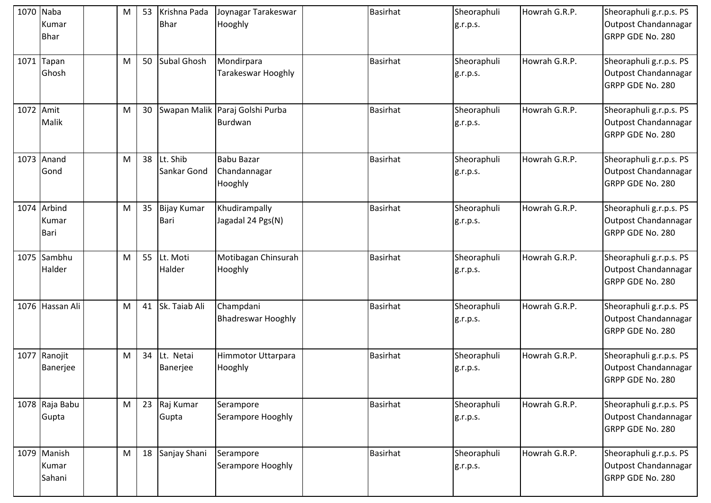|           | 1070 Naba<br>Kumar<br><b>Bhar</b>   | M | 53 | Krishna Pada<br><b>Bhar</b> | Joynagar Tarakeswar<br>Hooghly               | <b>Basirhat</b> | Sheoraphuli<br>g.r.p.s. | Howrah G.R.P. | Sheoraphuli g.r.p.s. PS<br>Outpost Chandannagar<br>GRPP GDE No. 280 |
|-----------|-------------------------------------|---|----|-----------------------------|----------------------------------------------|-----------------|-------------------------|---------------|---------------------------------------------------------------------|
|           | $1071$ Tapan<br>Ghosh               | M | 50 | <b>Subal Ghosh</b>          | Mondirpara<br>Tarakeswar Hooghly             | <b>Basirhat</b> | Sheoraphuli<br>g.r.p.s. | Howrah G.R.P. | Sheoraphuli g.r.p.s. PS<br>Outpost Chandannagar<br>GRPP GDE No. 280 |
| 1072 Amit | Malik                               | M | 30 |                             | Swapan Malik Paraj Golshi Purba<br>Burdwan   | <b>Basirhat</b> | Sheoraphuli<br>g.r.p.s. | Howrah G.R.P. | Sheoraphuli g.r.p.s. PS<br>Outpost Chandannagar<br>GRPP GDE No. 280 |
|           | 1073 Anand<br>Gond                  | M | 38 | Lt. Shib<br>Sankar Gond     | <b>Babu Bazar</b><br>Chandannagar<br>Hooghly | <b>Basirhat</b> | Sheoraphuli<br>g.r.p.s. | Howrah G.R.P. | Sheoraphuli g.r.p.s. PS<br>Outpost Chandannagar<br>GRPP GDE No. 280 |
|           | 1074 Arbind<br>Kumar<br><b>Bari</b> | M | 35 | <b>Bijay Kumar</b><br>Bari  | Khudirampally<br>Jagadal 24 Pgs(N)           | <b>Basirhat</b> | Sheoraphuli<br>g.r.p.s. | Howrah G.R.P. | Sheoraphuli g.r.p.s. PS<br>Outpost Chandannagar<br>GRPP GDE No. 280 |
|           | 1075 Sambhu<br>Halder               | M | 55 | Lt. Moti<br>Halder          | Motibagan Chinsurah<br>Hooghly               | <b>Basirhat</b> | Sheoraphuli<br>g.r.p.s. | Howrah G.R.P. | Sheoraphuli g.r.p.s. PS<br>Outpost Chandannagar<br>GRPP GDE No. 280 |
|           | 1076 Hassan Ali                     | M | 41 | Sk. Taiab Ali               | Champdani<br><b>Bhadreswar Hooghly</b>       | <b>Basirhat</b> | Sheoraphuli<br>g.r.p.s. | Howrah G.R.P. | Sheoraphuli g.r.p.s. PS<br>Outpost Chandannagar<br>GRPP GDE No. 280 |
|           | 1077 Ranojit<br>Banerjee            | M | 34 | Lt. Netai<br>Banerjee       | Himmotor Uttarpara<br>Hooghly                | <b>Basirhat</b> | Sheoraphuli<br>g.r.p.s. | Howrah G.R.P. | Sheoraphuli g.r.p.s. PS<br>Outpost Chandannagar<br>GRPP GDE No. 280 |
|           | 1078 Raja Babu<br>Gupta             | M | 23 | Raj Kumar<br>Gupta          | Serampore<br>Serampore Hooghly               | <b>Basirhat</b> | Sheoraphuli<br>g.r.p.s. | Howrah G.R.P. | Sheoraphuli g.r.p.s. PS<br>Outpost Chandannagar<br>GRPP GDE No. 280 |
|           | 1079 Manish<br>Kumar<br>Sahani      | M | 18 | Sanjay Shani                | Serampore<br>Serampore Hooghly               | <b>Basirhat</b> | Sheoraphuli<br>g.r.p.s. | Howrah G.R.P. | Sheoraphuli g.r.p.s. PS<br>Outpost Chandannagar<br>GRPP GDE No. 280 |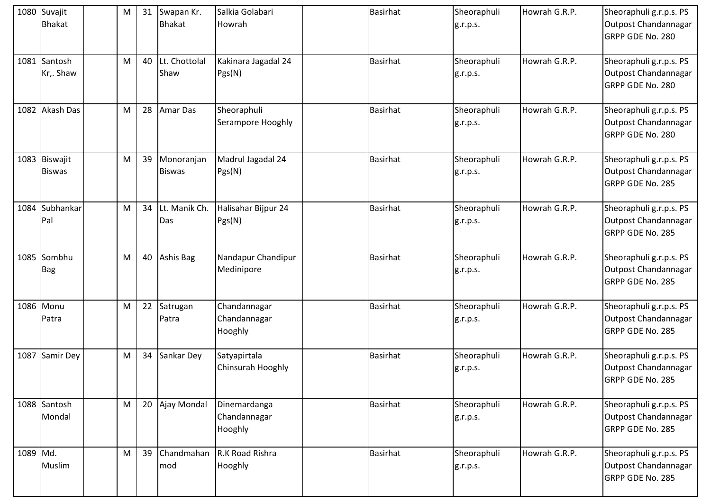|          | 1080 Suvajit<br><b>Bhakat</b>  | M |    | 31 Swapan Kr.<br><b>Bhakat</b> | Salkia Golabari<br>Howrah               | <b>Basirhat</b> | Sheoraphuli<br>g.r.p.s. | Howrah G.R.P. | Sheoraphuli g.r.p.s. PS<br>Outpost Chandannagar<br>GRPP GDE No. 280 |
|----------|--------------------------------|---|----|--------------------------------|-----------------------------------------|-----------------|-------------------------|---------------|---------------------------------------------------------------------|
|          | 1081 Santosh<br>Kr,. Shaw      | M |    | 40 Lt. Chottolal<br>Shaw       | Kakinara Jagadal 24<br>Pgs(N)           | <b>Basirhat</b> | Sheoraphuli<br>g.r.p.s. | Howrah G.R.P. | Sheoraphuli g.r.p.s. PS<br>Outpost Chandannagar<br>GRPP GDE No. 280 |
|          | 1082 Akash Das                 | M |    | 28 Amar Das                    | Sheoraphuli<br>Serampore Hooghly        | <b>Basirhat</b> | Sheoraphuli<br>g.r.p.s. | Howrah G.R.P. | Sheoraphuli g.r.p.s. PS<br>Outpost Chandannagar<br>GRPP GDE No. 280 |
|          | 1083 Biswajit<br><b>Biswas</b> | M | 39 | Monoranjan<br><b>Biswas</b>    | Madrul Jagadal 24<br>Pgs(N)             | <b>Basirhat</b> | Sheoraphuli<br>g.r.p.s. | Howrah G.R.P. | Sheoraphuli g.r.p.s. PS<br>Outpost Chandannagar<br>GRPP GDE No. 285 |
|          | 1084 Subhankar<br>Pal          | M | 34 | Lt. Manik Ch.<br>Das           | Halisahar Bijpur 24<br>Pgs(N)           | <b>Basirhat</b> | Sheoraphuli<br>g.r.p.s. | Howrah G.R.P. | Sheoraphuli g.r.p.s. PS<br>Outpost Chandannagar<br>GRPP GDE No. 285 |
|          | 1085 Sombhu<br><b>Bag</b>      | M |    | 40 Ashis Bag                   | Nandapur Chandipur<br>Medinipore        | <b>Basirhat</b> | Sheoraphuli<br>g.r.p.s. | Howrah G.R.P. | Sheoraphuli g.r.p.s. PS<br>Outpost Chandannagar<br>GRPP GDE No. 285 |
|          | 1086 Monu<br>Patra             | M | 22 | Satrugan<br>Patra              | Chandannagar<br>Chandannagar<br>Hooghly | <b>Basirhat</b> | Sheoraphuli<br>g.r.p.s. | Howrah G.R.P. | Sheoraphuli g.r.p.s. PS<br>Outpost Chandannagar<br>GRPP GDE No. 285 |
|          | 1087 Samir Dey                 | M | 34 | Sankar Dey                     | Satyapirtala<br>Chinsurah Hooghly       | <b>Basirhat</b> | Sheoraphuli<br>g.r.p.s. | Howrah G.R.P. | Sheoraphuli g.r.p.s. PS<br>Outpost Chandannagar<br>GRPP GDE No. 285 |
|          | 1088 Santosh<br>Mondal         | M |    | 20 Ajay Mondal                 | Dinemardanga<br>Chandannagar<br>Hooghly | <b>Basirhat</b> | Sheoraphuli<br>g.r.p.s. | Howrah G.R.P. | Sheoraphuli g.r.p.s. PS<br>Outpost Chandannagar<br>GRPP GDE No. 285 |
| 1089 Md. | Muslim                         | M | 39 | Chandmahan<br>mod              | R.K Road Rishra<br>Hooghly              | Basirhat        | Sheoraphuli<br>g.r.p.s. | Howrah G.R.P. | Sheoraphuli g.r.p.s. PS<br>Outpost Chandannagar<br>GRPP GDE No. 285 |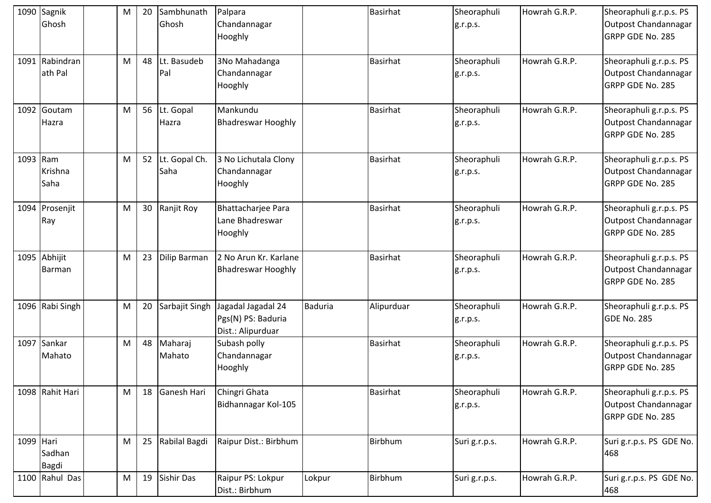|           | 1090 Sagnik<br>Ghosh      | M | 20 | Sambhunath<br>Ghosh   | Palpara<br>Chandannagar<br>Hooghly                            |                | <b>Basirhat</b> | Sheoraphuli<br>g.r.p.s. | Howrah G.R.P. | Sheoraphuli g.r.p.s. PS<br>Outpost Chandannagar<br>GRPP GDE No. 285        |
|-----------|---------------------------|---|----|-----------------------|---------------------------------------------------------------|----------------|-----------------|-------------------------|---------------|----------------------------------------------------------------------------|
|           | 1091 Rabindran<br>ath Pal | M | 48 | Lt. Basudeb<br>Pal    | 3No Mahadanga<br>Chandannagar<br>Hooghly                      |                | Basirhat        | Sheoraphuli<br>g.r.p.s. | Howrah G.R.P. | Sheoraphuli g.r.p.s. PS<br>Outpost Chandannagar<br>GRPP GDE No. 285        |
|           | 1092 Goutam<br>Hazra      | M |    | 56 Lt. Gopal<br>Hazra | Mankundu<br><b>Bhadreswar Hooghly</b>                         |                | <b>Basirhat</b> | Sheoraphuli<br>g.r.p.s. | Howrah G.R.P. | Sheoraphuli g.r.p.s. PS<br>Outpost Chandannagar<br>GRPP GDE No. 285        |
| 1093 Ram  | Krishna<br>Saha           | M | 52 | Lt. Gopal Ch.<br>Saha | 3 No Lichutala Clony<br>Chandannagar<br>Hooghly               |                | <b>Basirhat</b> | Sheoraphuli<br>g.r.p.s. | Howrah G.R.P. | Sheoraphuli g.r.p.s. PS<br>Outpost Chandannagar<br>GRPP GDE No. 285        |
|           | 1094 Prosenjit<br>Ray     | M | 30 | Ranjit Roy            | Bhattacharjee Para<br>Lane Bhadreswar<br>Hooghly              |                | <b>Basirhat</b> | Sheoraphuli<br>g.r.p.s. | Howrah G.R.P. | Sheoraphuli g.r.p.s. PS<br>Outpost Chandannagar<br>GRPP GDE No. 285        |
|           | 1095 Abhijit<br>Barman    | M | 23 | Dilip Barman          | 2 No Arun Kr. Karlane<br><b>Bhadreswar Hooghly</b>            |                | <b>Basirhat</b> | Sheoraphuli<br>g.r.p.s. | Howrah G.R.P. | Sheoraphuli g.r.p.s. PS<br>Outpost Chandannagar<br>GRPP GDE No. 285        |
|           | 1096 Rabi Singh           | M | 20 | Sarbajit Singh        | Jagadal Jagadal 24<br>Pgs(N) PS: Baduria<br>Dist.: Alipurduar | <b>Baduria</b> | Alipurduar      | Sheoraphuli<br>g.r.p.s. | Howrah G.R.P. | Sheoraphuli g.r.p.s. PS<br>GDE No. 285                                     |
|           | 1097 Sankar<br>Mahato     | M | 48 | Maharaj<br>Mahato     | Subash polly<br>Chandannagar<br>Hooghly                       |                | <b>Basirhat</b> | Sheoraphuli<br>g.r.p.s. | Howrah G.R.P. | Sheoraphuli g.r.p.s. PS<br>Outpost Chandannagar<br><b>GRPP GDE No. 285</b> |
|           | 1098 Rahit Hari           | M | 18 | Ganesh Hari           | Chingri Ghata<br>Bidhannagar Kol-105                          |                | <b>Basirhat</b> | Sheoraphuli<br>g.r.p.s. | Howrah G.R.P. | Sheoraphuli g.r.p.s. PS<br>Outpost Chandannagar<br>GRPP GDE No. 285        |
| 1099 Hari | Sadhan<br>Bagdi           | M | 25 | Rabilal Bagdi         | Raipur Dist.: Birbhum                                         |                | Birbhum         | Suri g.r.p.s.           | Howrah G.R.P. | Suri g.r.p.s. PS GDE No.<br>468                                            |
|           | 1100 Rahul Das            | M | 19 | <b>Sishir Das</b>     | Raipur PS: Lokpur<br>Dist.: Birbhum                           | Lokpur         | Birbhum         | Suri g.r.p.s.           | Howrah G.R.P. | Suri g.r.p.s. PS GDE No.<br>468                                            |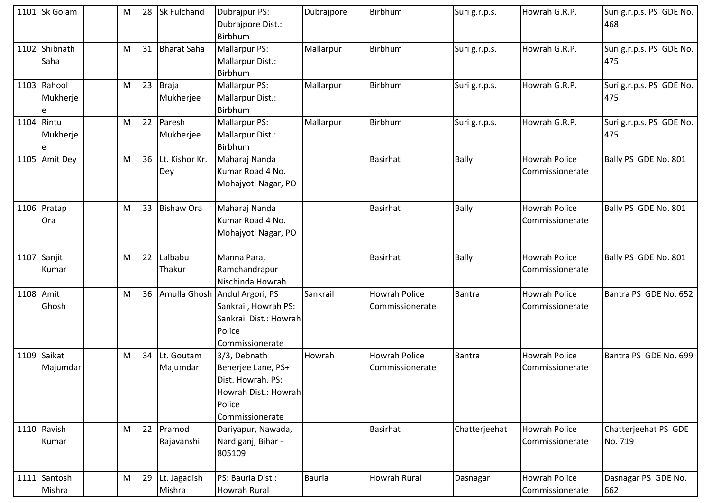|            | 1101 Sk Golam                | M | 28 | <b>Sk Fulchand</b>     | Dubrajpur PS:<br>Dubrajpore Dist.:<br>Birbhum                                                                | Dubrajpore | Birbhum                                 | Suri g.r.p.s. | Howrah G.R.P.                                  | Suri g.r.p.s. PS GDE No.<br>468 |
|------------|------------------------------|---|----|------------------------|--------------------------------------------------------------------------------------------------------------|------------|-----------------------------------------|---------------|------------------------------------------------|---------------------------------|
|            | 1102 Shibnath<br>Saha        | M | 31 | <b>Bharat Saha</b>     | Mallarpur PS:<br>Mallarpur Dist.:<br>Birbhum                                                                 | Mallarpur  | Birbhum                                 | Suri g.r.p.s. | Howrah G.R.P.                                  | Suri g.r.p.s. PS GDE No.<br>475 |
|            | 1103 Rahool<br>Mukherje<br>e | M | 23 | Braja<br>Mukherjee     | Mallarpur PS:<br>Mallarpur Dist.:<br>Birbhum                                                                 | Mallarpur  | Birbhum                                 | Suri g.r.p.s. | Howrah G.R.P.                                  | Suri g.r.p.s. PS GDE No.<br>475 |
| 1104 Rintu | Mukherje                     | M | 22 | Paresh<br>Mukherjee    | Mallarpur PS:<br>Mallarpur Dist.:<br>Birbhum                                                                 | Mallarpur  | Birbhum                                 | Suri g.r.p.s. | Howrah G.R.P.                                  | Suri g.r.p.s. PS GDE No.<br>475 |
|            | 1105 Amit Dey                | M | 36 | Lt. Kishor Kr.<br>Dey  | Maharaj Nanda<br>Kumar Road 4 No.<br>Mohajyoti Nagar, PO                                                     |            | <b>Basirhat</b>                         | Bally         | <b>Howrah Police</b><br><b>Commissionerate</b> | Bally PS GDE No. 801            |
|            | 1106 Pratap<br><b>Ora</b>    | M | 33 | <b>Bishaw Ora</b>      | Maharaj Nanda<br>Kumar Road 4 No.<br>Mohajyoti Nagar, PO                                                     |            | <b>Basirhat</b>                         | <b>Bally</b>  | Howrah Police<br>Commissionerate               | Bally PS GDE No. 801            |
|            | 1107 Sanjit<br>Kumar         | M | 22 | Lalbabu<br>Thakur      | Manna Para,<br>Ramchandrapur<br>Nischinda Howrah                                                             |            | <b>Basirhat</b>                         | <b>Bally</b>  | <b>Howrah Police</b><br>Commissionerate        | Bally PS GDE No. 801            |
| 1108 Amit  | Ghosh                        | M | 36 |                        | Amulla Ghosh Andul Argori, PS<br>Sankrail, Howrah PS:<br>Sankrail Dist.: Howrah<br>Police<br>Commissionerate | Sankrail   | <b>Howrah Police</b><br>Commissionerate | Bantra        | <b>Howrah Police</b><br>Commissionerate        | Bantra PS GDE No. 652           |
|            | 1109 Saikat<br>Majumdar      | M | 34 | Lt. Goutam<br>Majumdar | 3/3, Debnath<br>Benerjee Lane, PS+<br>Dist. Howrah. PS:<br>Howrah Dist.: Howrah<br>Police<br>Commissionerate | Howrah     | <b>Howrah Police</b><br>Commissionerate | <b>Bantra</b> | <b>Howrah Police</b><br>Commissionerate        | Bantra PS GDE No. 699           |
|            | 1110 Ravish<br>Kumar         | M | 22 | Pramod<br>Rajavanshi   | Dariyapur, Nawada,<br>Nardiganj, Bihar -<br>805109                                                           |            | Basirhat                                | Chatterjeehat | <b>Howrah Police</b><br>Commissionerate        | Chatterjeehat PS GDE<br>No. 719 |
|            | 1111 Santosh<br>Mishra       | M | 29 | Lt. Jagadish<br>Mishra | PS: Bauria Dist.:<br>Howrah Rural                                                                            | Bauria     | <b>Howrah Rural</b>                     | Dasnagar      | <b>Howrah Police</b><br>Commissionerate        | Dasnagar PS GDE No.<br>662      |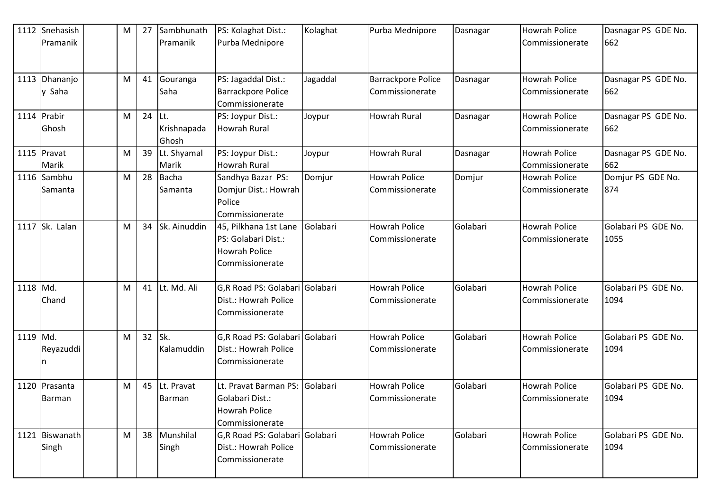|          | 1112 Snehasish<br>Pramanik  | M | 27 | Sambhunath<br>Pramanik       | PS: Kolaghat Dist.:<br>Purba Mednipore                                                  | Kolaghat | Purba Mednipore                              | Dasnagar | <b>Howrah Police</b><br>Commissionerate        | Dasnagar PS GDE No.<br>662  |
|----------|-----------------------------|---|----|------------------------------|-----------------------------------------------------------------------------------------|----------|----------------------------------------------|----------|------------------------------------------------|-----------------------------|
|          | 1113 Dhananjo<br>y Saha     | M | 41 | Gouranga<br>Saha             | PS: Jagaddal Dist.:<br><b>Barrackpore Police</b><br>Commissionerate                     | Jagaddal | <b>Barrackpore Police</b><br>Commissionerate | Dasnagar | Howrah Police<br>Commissionerate               | Dasnagar PS GDE No.<br>662  |
|          | 1114 Prabir<br><b>Ghosh</b> | M | 24 | ILt.<br>Krishnapada<br>Ghosh | PS: Joypur Dist.:<br>Howrah Rural                                                       | Joypur   | <b>Howrah Rural</b>                          | Dasnagar | <b>Howrah Police</b><br>Commissionerate        | Dasnagar PS GDE No.<br>662  |
|          | 1115 Pravat<br>Marik        | M | 39 | Lt. Shyamal<br>Marik         | PS: Joypur Dist.:<br><b>Howrah Rural</b>                                                | Joypur   | <b>Howrah Rural</b>                          | Dasnagar | <b>Howrah Police</b><br><b>Commissionerate</b> | Dasnagar PS GDE No.<br>662  |
|          | 1116 Sambhu<br>Samanta      | M | 28 | Bacha<br>Samanta             | Sandhya Bazar PS:<br>Domjur Dist.: Howrah<br>Police<br>Commissionerate                  | Domjur   | <b>Howrah Police</b><br>Commissionerate      | Domjur   | <b>Howrah Police</b><br>Commissionerate        | Domjur PS GDE No.<br>874    |
|          | 1117 Sk. Lalan              | M | 34 | Sk. Ainuddin                 | 45, Pilkhana 1st Lane<br>PS: Golabari Dist.:<br><b>Howrah Police</b><br>Commissionerate | Golabari | <b>Howrah Police</b><br>Commissionerate      | Golabari | Howrah Police<br>Commissionerate               | Golabari PS GDE No.<br>1055 |
| 1118 Md. | Chand                       | M | 41 | Lt. Md. Ali                  | G,R Road PS: Golabari Golabari<br>Dist.: Howrah Police<br>Commissionerate               |          | <b>Howrah Police</b><br>Commissionerate      | Golabari | <b>Howrah Police</b><br>Commissionerate        | Golabari PS GDE No.<br>1094 |
| 1119 Md. | Reyazuddi                   | M | 32 | Sk.<br>Kalamuddin            | G,R Road PS: Golabari Golabari<br>Dist.: Howrah Police<br>Commissionerate               |          | <b>Howrah Police</b><br>Commissionerate      | Golabari | <b>Howrah Police</b><br>Commissionerate        | Golabari PS GDE No.<br>1094 |
|          | 1120 Prasanta<br>Barman     | M | 45 | Lt. Pravat<br>Barman         | Lt. Pravat Barman PS:<br>Golabari Dist.:<br>Howrah Police<br>Commissionerate            | Golabari | <b>Howrah Police</b><br>Commissionerate      | Golabari | <b>Howrah Police</b><br>Commissionerate        | Golabari PS GDE No.<br>1094 |
|          | 1121 Biswanath<br>Singh     | M | 38 | Munshilal<br>Singh           | G,R Road PS: Golabari Golabari<br>Dist.: Howrah Police<br>Commissionerate               |          | <b>Howrah Police</b><br>Commissionerate      | Golabari | <b>Howrah Police</b><br>Commissionerate        | Golabari PS GDE No.<br>1094 |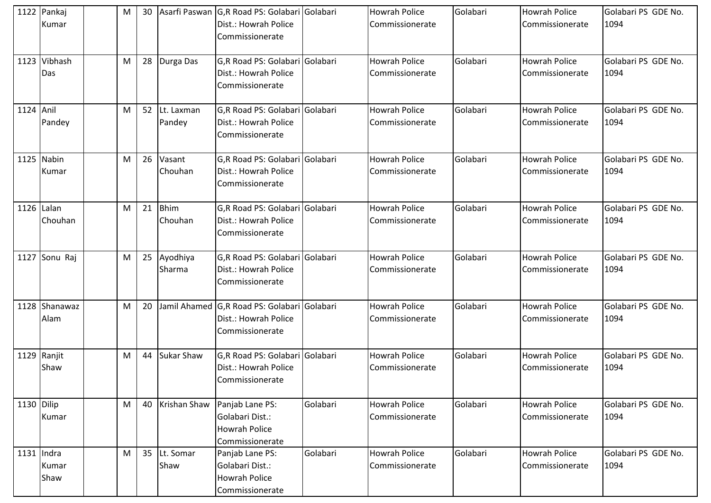|            | 1122 Pankaj<br>Kumar  | M | 30 |                         | Asarfi Paswan G,R Road PS: Golabari Golabari<br>Dist.: Howrah Police<br>Commissionerate |          | <b>Howrah Police</b><br>Commissionerate | Golabari | <b>Howrah Police</b><br>Commissionerate   | Golabari PS GDE No.<br>1094 |
|------------|-----------------------|---|----|-------------------------|-----------------------------------------------------------------------------------------|----------|-----------------------------------------|----------|-------------------------------------------|-----------------------------|
|            | 1123 Vibhash<br>Das   | M |    | 28 Durga Das            | G,R Road PS: Golabari Golabari<br>Dist.: Howrah Police<br>Commissionerate               |          | <b>Howrah Police</b><br>Commissionerate | Golabari | <b>Howrah Police</b><br>Commissionerate   | Golabari PS GDE No.<br>1094 |
| 1124 Anil  | Pandey                | M |    | 52 Lt. Laxman<br>Pandey | G,R Road PS: Golabari Golabari<br>Dist.: Howrah Police<br>Commissionerate               |          | <b>Howrah Police</b><br>Commissionerate | Golabari | Howrah Police<br>Commissionerate          | Golabari PS GDE No.<br>1094 |
|            | 1125 Nabin<br>Kumar   | M | 26 | Vasant<br>Chouhan       | G,R Road PS: Golabari Golabari<br>Dist.: Howrah Police<br>Commissionerate               |          | <b>Howrah Police</b><br>Commissionerate | Golabari | <b>Howrah Police</b><br>Commissionerate   | Golabari PS GDE No.<br>1094 |
| 1126 Lalan | Chouhan               | M | 21 | Bhim<br>Chouhan         | G,R Road PS: Golabari Golabari<br>Dist.: Howrah Police<br>Commissionerate               |          | <b>Howrah Police</b><br>Commissionerate | Golabari | <b>Howrah Police</b><br>Commissionerate   | Golabari PS GDE No.<br>1094 |
|            | 1127 Sonu Raj         | M |    | 25 Ayodhiya<br>Sharma   | G,R Road PS: Golabari Golabari<br>Dist.: Howrah Police<br>Commissionerate               |          | <b>Howrah Police</b><br>Commissionerate | Golabari | Howrah Police<br>Commissionerate          | Golabari PS GDE No.<br>1094 |
|            | 1128 Shanawaz<br>Alam | M | 20 |                         | Jamil Ahamed G,R Road PS: Golabari Golabari<br>Dist.: Howrah Police<br>Commissionerate  |          | <b>Howrah Police</b><br>Commissionerate | Golabari | <b>Howrah Police</b><br>Commissionerate   | Golabari PS GDE No.<br>1094 |
|            | 1129 Ranjit<br>Shaw   | M | 44 | Sukar Shaw              | G,R Road PS: Golabari Golabari<br>Dist.: Howrah Police<br>Commissionerate               |          | <b>Howrah Police</b><br>Commissionerate | Golabari | <b>Howrah Police</b><br>l Commissionerate | Golabari PS GDE No.<br>1094 |
| 1130 Dilip | Kumar                 | M | 40 | Krishan Shaw            | Panjab Lane PS:<br>Golabari Dist.:<br><b>Howrah Police</b><br>Commissionerate           | Golabari | <b>Howrah Police</b><br>Commissionerate | Golabari | <b>Howrah Police</b><br>Commissionerate   | Golabari PS GDE No.<br>1094 |
| 1131 Indra | Kumar<br>Shaw         | M | 35 | Lt. Somar<br>Shaw       | Panjab Lane PS:<br>Golabari Dist.:<br><b>Howrah Police</b><br>Commissionerate           | Golabari | <b>Howrah Police</b><br>Commissionerate | Golabari | <b>Howrah Police</b><br>Commissionerate   | Golabari PS GDE No.<br>1094 |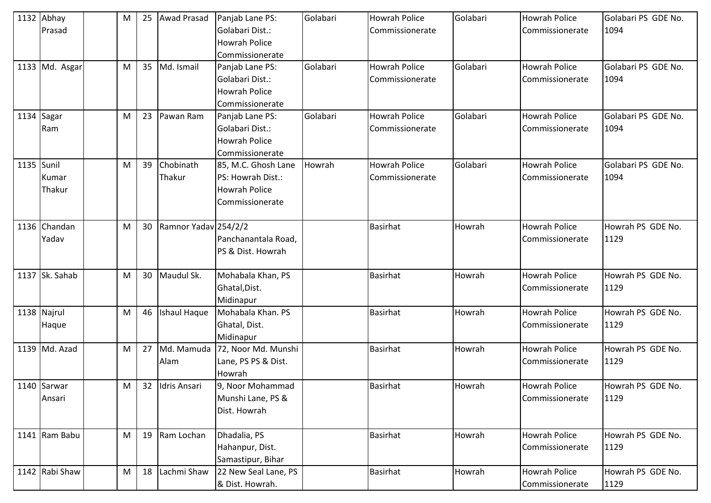|            | 1132 Abhay<br>Prasad | M | 25 | <b>Awad Prasad</b>   | Panjab Lane PS:<br>Golabari Dist.: | Golabari | <b>Howrah Police</b><br>Commissionerate | Golabari | <b>Howrah Police</b><br>Commissionerate | Golabari PS GDE No.<br>1094 |
|------------|----------------------|---|----|----------------------|------------------------------------|----------|-----------------------------------------|----------|-----------------------------------------|-----------------------------|
|            |                      |   |    |                      | <b>Howrah Police</b>               |          |                                         |          |                                         |                             |
|            |                      |   |    |                      | Commissionerate                    |          |                                         |          |                                         |                             |
|            | 1133 Md. Asgar       | M | 35 | Md. Ismail           | Panjab Lane PS:                    | Golabari | <b>Howrah Police</b>                    | Golabari | <b>Howrah Police</b>                    | Golabari PS GDE No.         |
|            |                      |   |    |                      | Golabari Dist.:                    |          | Commissionerate                         |          | Commissionerate                         | 1094                        |
|            |                      |   |    |                      | <b>Howrah Police</b>               |          |                                         |          |                                         |                             |
|            |                      |   |    |                      | Commissionerate                    |          |                                         |          |                                         |                             |
|            | 1134 Sagar           | M | 23 | Pawan Ram            | Panjab Lane PS:                    | Golabari | <b>Howrah Police</b>                    | Golabari | <b>Howrah Police</b>                    | Golabari PS GDE No.         |
|            | Ram                  |   |    |                      | Golabari Dist.:                    |          | Commissionerate                         |          | Commissionerate                         | 1094                        |
|            |                      |   |    |                      | <b>Howrah Police</b>               |          |                                         |          |                                         |                             |
|            |                      |   |    |                      | Commissionerate                    |          |                                         |          |                                         |                             |
| 1135 Sunil |                      | M | 39 | Chobinath            | 85, M.C. Ghosh Lane                | Howrah   | <b>Howrah Police</b>                    | Golabari | <b>Howrah Police</b>                    | Golabari PS GDE No.         |
|            | Kumar                |   |    | Thakur               | PS: Howrah Dist.:                  |          | Commissionerate                         |          | Commissionerate                         | 1094                        |
|            | Thakur               |   |    |                      | <b>Howrah Police</b>               |          |                                         |          |                                         |                             |
|            |                      |   |    |                      | Commissionerate                    |          |                                         |          |                                         |                             |
|            | 1136 Chandan         | M | 30 | Ramnor Yadav 254/2/2 |                                    |          | <b>Basirhat</b>                         | Howrah   | <b>Howrah Police</b>                    | Howrah PS GDE No.           |
|            | Yadav                |   |    |                      | Panchanantala Road,                |          |                                         |          | Commissionerate                         | 1129                        |
|            |                      |   |    |                      | PS & Dist. Howrah                  |          |                                         |          |                                         |                             |
|            | 1137 Sk. Sahab       | M | 30 | Maudul Sk.           | Mohabala Khan, PS                  |          | Basirhat                                | Howrah   | <b>Howrah Police</b>                    | Howrah PS GDE No.           |
|            |                      |   |    |                      | Ghatal, Dist.                      |          |                                         |          | Commissionerate                         | 1129                        |
|            |                      |   |    |                      | Midinapur                          |          |                                         |          |                                         |                             |
|            | 1138 Najrul          | M | 46 | <b>Ishaul Haque</b>  | Mohabala Khan. PS                  |          | <b>Basirhat</b>                         | Howrah   | <b>Howrah Police</b>                    | Howrah PS GDE No.           |
|            | Haque                |   |    |                      | Ghatal, Dist.                      |          |                                         |          | Commissionerate                         | 1129                        |
|            |                      |   |    |                      | Midinapur                          |          |                                         |          |                                         |                             |
|            | 1139 Md. Azad        | M | 27 | Md. Mamuda           | 72, Noor Md. Munshi                |          | <b>Basirhat</b>                         | Howrah   | <b>Howrah Police</b>                    | Howrah PS GDE No.           |
|            |                      |   |    | Alam                 | Lane, PS PS & Dist.                |          |                                         |          | Commissionerate                         | 1129                        |
|            |                      |   |    |                      | Howrah                             |          |                                         |          |                                         |                             |
|            | 1140 Sarwar          | M |    | 32 Idris Ansari      | 9, Noor Mohammad                   |          | Basirhat                                | Howrah   | <b>Howrah Police</b>                    | Howrah PS GDE No.           |
|            | Ansari               |   |    |                      | Munshi Lane, PS &                  |          |                                         |          | Commissionerate                         | 1129                        |
|            |                      |   |    |                      | Dist. Howrah                       |          |                                         |          |                                         |                             |
|            | 1141 Ram Babu        | M | 19 | Ram Lochan           | Dhadalia, PS                       |          | <b>Basirhat</b>                         | Howrah   | <b>Howrah Police</b>                    | Howrah PS GDE No.           |
|            |                      |   |    |                      | Hahanpur, Dist.                    |          |                                         |          | Commissionerate                         | 1129                        |
|            |                      |   |    |                      | Samastipur, Bihar                  |          |                                         |          |                                         |                             |
|            | 1142 Rabi Shaw       | M | 18 | Lachmi Shaw          | 22 New Seal Lane, PS               |          | <b>Basirhat</b>                         | Howrah   | <b>Howrah Police</b>                    | Howrah PS GDE No.           |
|            |                      |   |    |                      | & Dist. Howrah.                    |          |                                         |          | Commissionerate                         | 1129                        |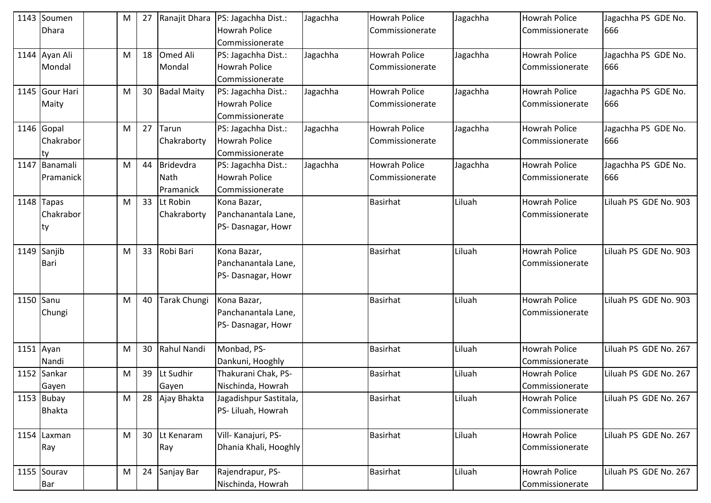|           | 1143 Soumen<br><b>Dhara</b> | M | 27 |                     | Ranajit Dhara   PS: Jagachha Dist.:<br><b>Howrah Police</b> | Jagachha | <b>Howrah Police</b> | Jagachha | Howrah Police        | Jagachha PS GDE No.   |
|-----------|-----------------------------|---|----|---------------------|-------------------------------------------------------------|----------|----------------------|----------|----------------------|-----------------------|
|           |                             |   |    |                     | Commissionerate                                             |          | Commissionerate      |          | Commissionerate      | 666                   |
|           | 1144 Ayan Ali               | M | 18 | Omed Ali            | PS: Jagachha Dist.:                                         | Jagachha | <b>Howrah Police</b> | Jagachha | <b>Howrah Police</b> | Jagachha PS GDE No.   |
|           | Mondal                      |   |    | Mondal              | <b>Howrah Police</b>                                        |          | Commissionerate      |          | Commissionerate      | 666                   |
|           |                             |   |    |                     | Commissionerate                                             |          |                      |          |                      |                       |
|           | 1145 Gour Hari              | M | 30 | <b>Badal Maity</b>  | PS: Jagachha Dist.:                                         | Jagachha | <b>Howrah Police</b> | Jagachha | Howrah Police        | Jagachha PS GDE No.   |
|           | Maity                       |   |    |                     | <b>Howrah Police</b>                                        |          | Commissionerate      |          | Commissionerate      | 666                   |
|           |                             |   |    |                     | Commissionerate                                             |          |                      |          |                      |                       |
|           | 1146 Gopal                  | M | 27 | Tarun               | PS: Jagachha Dist.:                                         | Jagachha | <b>Howrah Police</b> | Jagachha | <b>Howrah Police</b> | Jagachha PS GDE No.   |
|           | Chakrabor                   |   |    | Chakraborty         | <b>Howrah Police</b>                                        |          | Commissionerate      |          | Commissionerate      | 666                   |
|           | Ity                         |   |    |                     | Commissionerate                                             |          |                      |          |                      |                       |
| 1147      | Banamali                    | M | 44 | <b>Bridevdra</b>    | PS: Jagachha Dist.:                                         | Jagachha | <b>Howrah Police</b> | Jagachha | <b>Howrah Police</b> | Jagachha PS GDE No.   |
|           | <b>IPramanick</b>           |   |    | Nath                | <b>Howrah Police</b>                                        |          | Commissionerate      |          | Commissionerate      | 666                   |
|           |                             |   |    | Pramanick           | Commissionerate                                             |          |                      |          |                      |                       |
|           | $1148$ Tapas                | M | 33 | Lt Robin            | Kona Bazar,                                                 |          | <b>Basirhat</b>      | Liluah   | <b>Howrah Police</b> | Liluah PS GDE No. 903 |
|           | Chakrabor                   |   |    | Chakraborty         | Panchanantala Lane,                                         |          |                      |          | Commissionerate      |                       |
|           | Ity                         |   |    |                     | PS-Dasnagar, Howr                                           |          |                      |          |                      |                       |
|           | 1149 Sanjib                 | M | 33 | Robi Bari           | Kona Bazar,                                                 |          | <b>Basirhat</b>      | Liluah   | <b>Howrah Police</b> | Liluah PS GDE No. 903 |
|           | <b>Bari</b>                 |   |    |                     | Panchanantala Lane,                                         |          |                      |          | Commissionerate      |                       |
|           |                             |   |    |                     | PS-Dasnagar, Howr                                           |          |                      |          |                      |                       |
|           |                             |   |    |                     |                                                             |          |                      |          |                      |                       |
| 1150 Sanu |                             | M | 40 | <b>Tarak Chungi</b> | Kona Bazar,                                                 |          | <b>Basirhat</b>      | Liluah   | <b>Howrah Police</b> | Liluah PS GDE No. 903 |
|           | Chungi                      |   |    |                     | Panchanantala Lane,                                         |          |                      |          | Commissionerate      |                       |
|           |                             |   |    |                     | PS-Dasnagar, Howr                                           |          |                      |          |                      |                       |
|           | $1151$ Ayan                 | M | 30 | Rahul Nandi         | Monbad, PS-                                                 |          | <b>Basirhat</b>      | Liluah   | <b>Howrah Police</b> | Liluah PS GDE No. 267 |
|           | Nandi                       |   |    |                     | Dankuni, Hooghly                                            |          |                      |          | Commissionerate      |                       |
|           | 1152 Sankar                 | M | 39 | Lt Sudhir           | Thakurani Chak, PS-                                         |          | <b>Basirhat</b>      | Liluah   | Howrah Police        | Liluah PS GDE No. 267 |
|           | Gayen                       |   |    | Gayen               | Nischinda, Howrah                                           |          |                      |          | Commissionerate      |                       |
|           | $1153$ Bubay                | M | 28 | Ajay Bhakta         | Jagadishpur Sastitala,                                      |          | <b>Basirhat</b>      | Liluah   | Howrah Police        | Liluah PS GDE No. 267 |
|           | Bhakta                      |   |    |                     | PS- Liluah, Howrah                                          |          |                      |          | Commissionerate      |                       |
|           |                             |   |    |                     |                                                             |          |                      |          |                      |                       |
|           | 1154 Laxman                 | M | 30 | Lt Kenaram          | Vill- Kanajuri, PS-                                         |          | <b>Basirhat</b>      | Liluah   | <b>Howrah Police</b> | Liluah PS GDE No. 267 |
|           | Ray                         |   |    | <b>Ray</b>          | Dhania Khali, Hooghly                                       |          |                      |          | Commissionerate      |                       |
|           |                             |   |    |                     |                                                             |          |                      |          |                      |                       |
|           | 1155 Sourav                 | M | 24 | Sanjay Bar          | Rajendrapur, PS-                                            |          | <b>Basirhat</b>      | Liluah   | <b>Howrah Police</b> | Liluah PS GDE No. 267 |
|           | <b>Bar</b>                  |   |    |                     | Nischinda, Howrah                                           |          |                      |          | Commissionerate      |                       |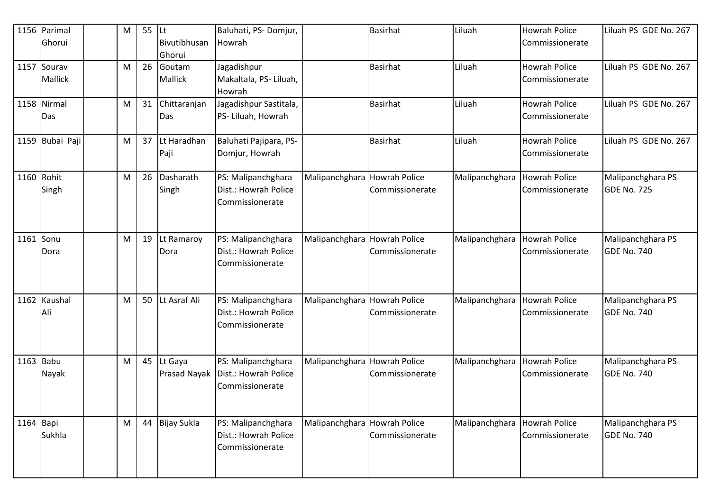|           | 1156 Parimal<br>Ghorui        | M | 55 | <b>ILt</b><br>Bivutibhusan<br>Ghorui | Baluhati, PS-Domjur,<br>Howrah                                |                              | <b>Basirhat</b>                         | Liluah                       | <b>Howrah Police</b><br>Commissionerate | Liluah PS GDE No. 267                   |
|-----------|-------------------------------|---|----|--------------------------------------|---------------------------------------------------------------|------------------------------|-----------------------------------------|------------------------------|-----------------------------------------|-----------------------------------------|
|           | 1157 Sourav<br><b>Mallick</b> | M | 26 | Goutam<br>Mallick                    | Jagadishpur<br>Makaltala, PS-Liluah,<br>Howrah                |                              | <b>Basirhat</b>                         | Liluah                       | <b>Howrah Police</b><br>Commissionerate | Liluah PS GDE No. 267                   |
|           | 1158 Nirmal<br>Das            | M | 31 | Chittaranjan<br>Das                  | Jagadishpur Sastitala,<br>PS- Liluah, Howrah                  |                              | <b>Basirhat</b>                         | Liluah                       | <b>Howrah Police</b><br>Commissionerate | Liluah PS GDE No. 267                   |
|           | 1159 Bubai Paji               | M | 37 | Lt Haradhan<br>Paji                  | Baluhati Pajipara, PS-<br>Domjur, Howrah                      |                              | <b>Basirhat</b>                         | Liluah                       | <b>Howrah Police</b><br>Commissionerate | Liluah PS GDE No. 267                   |
|           | 1160 Rohit<br>Singh           | M | 26 | Dasharath<br>Singh                   | PS: Malipanchghara<br>Dist.: Howrah Police<br>Commissionerate | Malipanchghara Howrah Police | Commissionerate                         | Malipanchghara               | <b>Howrah Police</b><br>Commissionerate | Malipanchghara PS<br>GDE No. 725        |
| 1161 Sonu | Dora                          | M | 19 | Lt Ramaroy<br>Dora                   | PS: Malipanchghara<br>Dist.: Howrah Police<br>Commissionerate | Malipanchghara               | <b>Howrah Police</b><br>Commissionerate | Malipanchghara               | <b>Howrah Police</b><br>Commissionerate | Malipanchghara PS<br><b>GDE No. 740</b> |
|           | 1162 Kaushal<br>Ali           | M | 50 | Lt Asraf Ali                         | PS: Malipanchghara<br>Dist.: Howrah Police<br>Commissionerate | Malipanchghara Howrah Police | Commissionerate                         | Malipanchghara               | Howrah Police<br>Commissionerate        | Malipanchghara PS<br><b>GDE No. 740</b> |
| 1163 Babu | Nayak                         | M | 45 | Lt Gaya<br>Prasad Nayak              | PS: Malipanchghara<br>Dist.: Howrah Police<br>Commissionerate | Malipanchghara Howrah Police | Commissionerate                         | Malipanchghara Howrah Police | Commissionerate                         | Malipanchghara PS<br><b>GDE No. 740</b> |
| 1164 Bapi | Sukhla                        | M | 44 | <b>Bijay Sukla</b>                   | PS: Malipanchghara<br>Dist.: Howrah Police<br>Commissionerate | Malipanchghara Howrah Police | Commissionerate                         | Malipanchghara               | <b>Howrah Police</b><br>Commissionerate | Malipanchghara PS<br>GDE No. 740        |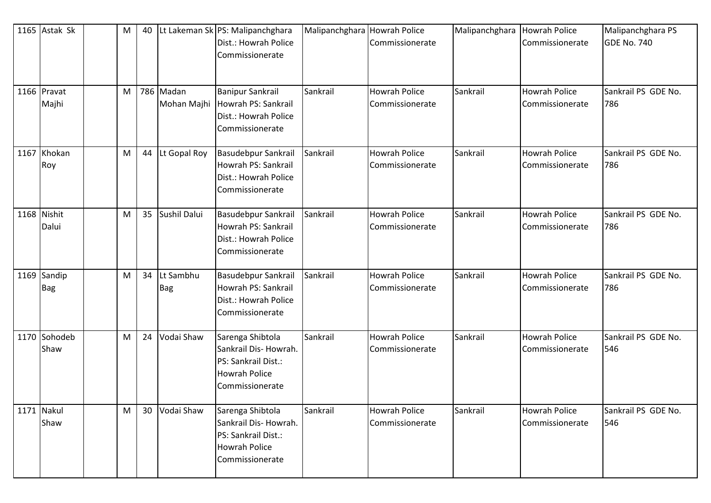| 1165 Astak Sk             | M | 40 |                          | Lt Lakeman Sk PS: Malipanchghara<br>Dist.: Howrah Police<br>Commissionerate                                 | Malipanchghara Howrah Police | Commissionerate                         | Malipanchghara | <b>Howrah Police</b><br>Commissionerate | Malipanchghara PS<br>GDE No. 740 |
|---------------------------|---|----|--------------------------|-------------------------------------------------------------------------------------------------------------|------------------------------|-----------------------------------------|----------------|-----------------------------------------|----------------------------------|
| 1166 Pravat<br>Majhi      | M |    | 786 Madan<br>Mohan Majhi | <b>Banipur Sankrail</b><br>Howrah PS: Sankrail<br>Dist.: Howrah Police<br>Commissionerate                   | Sankrail                     | <b>Howrah Police</b><br>Commissionerate | Sankrail       | <b>Howrah Police</b><br>Commissionerate | Sankrail PS GDE No.<br>786       |
| 1167 Khokan<br>Roy        | M | 44 | Lt Gopal Roy             | Basudebpur Sankrail<br>Howrah PS: Sankrail<br>Dist.: Howrah Police<br>Commissionerate                       | Sankrail                     | <b>Howrah Police</b><br>Commissionerate | Sankrail       | <b>Howrah Police</b><br>Commissionerate | Sankrail PS GDE No.<br>786       |
| 1168 Nishit<br>Dalui      | M | 35 | Sushil Dalui             | <b>Basudebpur Sankrail</b><br>Howrah PS: Sankrail<br>Dist.: Howrah Police<br>Commissionerate                | Sankrail                     | <b>Howrah Police</b><br>Commissionerate | Sankrail       | <b>Howrah Police</b><br>Commissionerate | Sankrail PS GDE No.<br>786       |
| 1169 Sandip<br><b>Bag</b> | M | 34 | Lt Sambhu<br><b>Bag</b>  | <b>Basudebpur Sankrail</b><br>Howrah PS: Sankrail<br>Dist.: Howrah Police<br>Commissionerate                | Sankrail                     | <b>Howrah Police</b><br>Commissionerate | Sankrail       | <b>Howrah Police</b><br>Commissionerate | Sankrail PS GDE No.<br>786       |
| 1170 Sohodeb<br>Shaw      | M | 24 | Vodai Shaw               | Sarenga Shibtola<br>Sankrail Dis- Howrah.<br>PS: Sankrail Dist.:<br><b>Howrah Police</b><br>Commissionerate | Sankrail                     | <b>Howrah Police</b><br>Commissionerate | Sankrail       | <b>Howrah Police</b><br>Commissionerate | Sankrail PS GDE No.<br>546       |
| 1171 Nakul<br>Shaw        | M | 30 | Vodai Shaw               | Sarenga Shibtola<br>Sankrail Dis-Howrah.<br>PS: Sankrail Dist.:<br>Howrah Police<br>Commissionerate         | Sankrail                     | Howrah Police<br>Commissionerate        | Sankrail       | <b>Howrah Police</b><br>Commissionerate | Sankrail PS GDE No.<br>546       |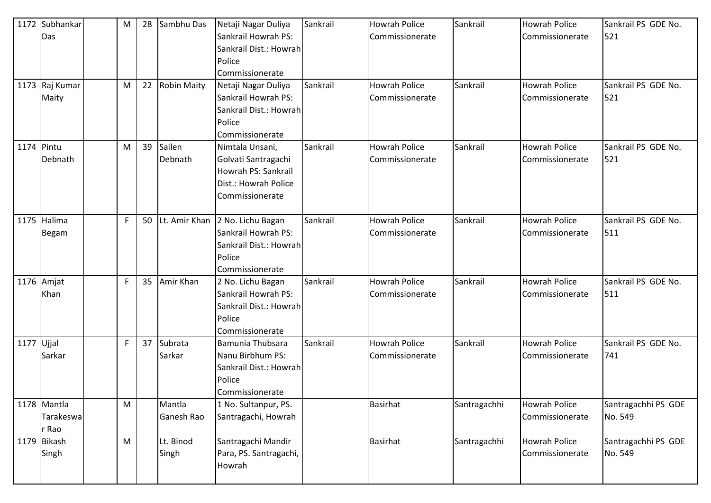|            | 1172 Subhankar | M           | 28 | Sambhu Das     | Netaji Nagar Duliya    | Sankrail | <b>Howrah Police</b> | Sankrail     | <b>Howrah Police</b> | Sankrail PS GDE No. |
|------------|----------------|-------------|----|----------------|------------------------|----------|----------------------|--------------|----------------------|---------------------|
|            | Das            |             |    |                | Sankrail Howrah PS:    |          | Commissionerate      |              | Commissionerate      | 521                 |
|            |                |             |    |                | Sankrail Dist.: Howrah |          |                      |              |                      |                     |
|            |                |             |    |                | Police                 |          |                      |              |                      |                     |
|            |                |             |    |                | Commissionerate        |          |                      |              |                      |                     |
|            | 1173 Raj Kumar | M           |    | 22 Robin Maity | Netaji Nagar Duliya    | Sankrail | <b>Howrah Police</b> | Sankrail     | Howrah Police        | Sankrail PS GDE No. |
|            | Maity          |             |    |                | Sankrail Howrah PS:    |          | Commissionerate      |              | Commissionerate      | 521                 |
|            |                |             |    |                | Sankrail Dist.: Howrah |          |                      |              |                      |                     |
|            |                |             |    |                | Police                 |          |                      |              |                      |                     |
|            |                |             |    |                | Commissionerate        |          |                      |              |                      |                     |
| 1174 Pintu |                | M           | 39 | Sailen         | Nimtala Unsani,        | Sankrail | <b>Howrah Police</b> | Sankrail     | <b>Howrah Police</b> | Sankrail PS GDE No. |
|            | Debnath        |             |    | Debnath        | Golvati Santragachi    |          | Commissionerate      |              | Commissionerate      | 521                 |
|            |                |             |    |                | Howrah PS: Sankrail    |          |                      |              |                      |                     |
|            |                |             |    |                | Dist.: Howrah Police   |          |                      |              |                      |                     |
|            |                |             |    |                | Commissionerate        |          |                      |              |                      |                     |
|            |                |             |    |                |                        |          |                      |              |                      |                     |
|            | 1175 Halima    | $\mathsf F$ | 50 | Lt. Amir Khan  | 2 No. Lichu Bagan      | Sankrail | <b>Howrah Police</b> | Sankrail     | <b>Howrah Police</b> | Sankrail PS GDE No. |
|            | <b>Begam</b>   |             |    |                | Sankrail Howrah PS:    |          | Commissionerate      |              | Commissionerate      | 511                 |
|            |                |             |    |                | Sankrail Dist.: Howrah |          |                      |              |                      |                     |
|            |                |             |    |                | Police                 |          |                      |              |                      |                     |
|            |                |             |    |                | Commissionerate        |          |                      |              |                      |                     |
|            | 1176 Amjat     | F           | 35 | Amir Khan      | 2 No. Lichu Bagan      | Sankrail | <b>Howrah Police</b> | Sankrail     | <b>Howrah Police</b> | Sankrail PS GDE No. |
|            | Khan           |             |    |                | Sankrail Howrah PS:    |          | Commissionerate      |              | Commissionerate      | 511                 |
|            |                |             |    |                | Sankrail Dist.: Howrah |          |                      |              |                      |                     |
|            |                |             |    |                | Police                 |          |                      |              |                      |                     |
|            |                |             |    |                | Commissionerate        |          |                      |              |                      |                     |
| 1177 Ujjal |                | F           | 37 | Subrata        | Bamunia Thubsara       | Sankrail | <b>Howrah Police</b> | Sankrail     | Howrah Police        | Sankrail PS GDE No. |
|            | Sarkar         |             |    | Sarkar         | Nanu Birbhum PS:       |          | Commissionerate      |              | Commissionerate      | 741                 |
|            |                |             |    |                | Sankrail Dist.: Howrah |          |                      |              |                      |                     |
|            |                |             |    |                | Police                 |          |                      |              |                      |                     |
|            |                |             |    |                | Commissionerate        |          |                      |              |                      |                     |
|            | 1178 Mantla    | M           |    | Mantla         | 1 No. Sultanpur, PS.   |          | <b>Basirhat</b>      | Santragachhi | <b>Howrah Police</b> | Santragachhi PS GDE |
|            | Tarakeswa      |             |    | Ganesh Rao     | Santragachi, Howrah    |          |                      |              | Commissionerate      | No. 549             |
|            | r Rao          |             |    |                |                        |          |                      |              |                      |                     |
|            | 1179 Bikash    | M           |    | Lt. Binod      | Santragachi Mandir     |          | <b>Basirhat</b>      | Santragachhi | <b>Howrah Police</b> | Santragachhi PS GDE |
|            | Singh          |             |    | Singh          | Para, PS. Santragachi, |          |                      |              | Commissionerate      | No. 549             |
|            |                |             |    |                | Howrah                 |          |                      |              |                      |                     |
|            |                |             |    |                |                        |          |                      |              |                      |                     |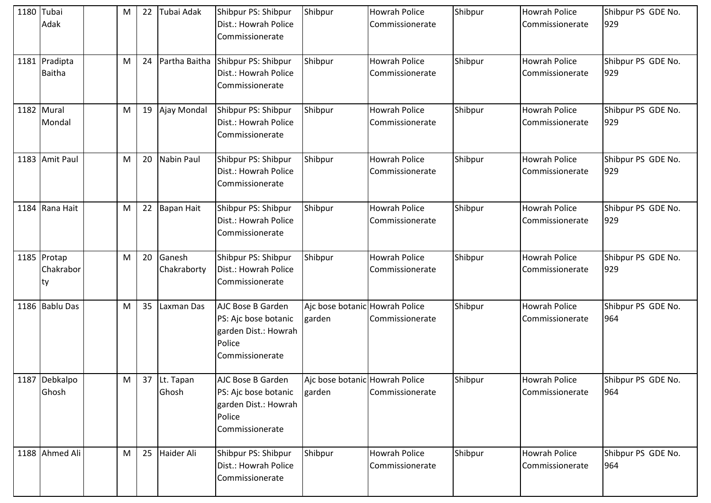| 1180 Tubai | Adak                           | M | 22 | Tubai Adak            | Shibpur PS: Shibpur<br>Dist.: Howrah Police<br>Commissionerate                                        | Shibpur                                  | <b>Howrah Police</b><br>Commissionerate | Shibpur | <b>Howrah Police</b><br>Commissionerate | Shibpur PS GDE No.<br>929 |
|------------|--------------------------------|---|----|-----------------------|-------------------------------------------------------------------------------------------------------|------------------------------------------|-----------------------------------------|---------|-----------------------------------------|---------------------------|
|            | 1181 Pradipta<br><b>Baitha</b> | M | 24 | Partha Baitha         | Shibpur PS: Shibpur<br>Dist.: Howrah Police<br>Commissionerate                                        | Shibpur                                  | <b>Howrah Police</b><br>Commissionerate | Shibpur | <b>Howrah Police</b><br>Commissionerate | Shibpur PS GDE No.<br>929 |
|            | 1182 Mural<br>Mondal           | M | 19 | Ajay Mondal           | Shibpur PS: Shibpur<br>Dist.: Howrah Police<br>Commissionerate                                        | Shibpur                                  | <b>Howrah Police</b><br>Commissionerate | Shibpur | <b>Howrah Police</b><br>Commissionerate | Shibpur PS GDE No.<br>929 |
|            | 1183 Amit Paul                 | M | 20 | <b>Nabin Paul</b>     | Shibpur PS: Shibpur<br>Dist.: Howrah Police<br>Commissionerate                                        | Shibpur                                  | <b>Howrah Police</b><br>Commissionerate | Shibpur | <b>Howrah Police</b><br>Commissionerate | Shibpur PS GDE No.<br>929 |
|            | 1184 Rana Hait                 | M | 22 | Bapan Hait            | Shibpur PS: Shibpur<br>Dist.: Howrah Police<br>Commissionerate                                        | Shibpur                                  | <b>Howrah Police</b><br>Commissionerate | Shibpur | <b>Howrah Police</b><br>Commissionerate | Shibpur PS GDE No.<br>929 |
|            | 1185 Protap<br>Chakrabor<br>ty | M | 20 | Ganesh<br>Chakraborty | Shibpur PS: Shibpur<br>Dist.: Howrah Police<br>Commissionerate                                        | Shibpur                                  | <b>Howrah Police</b><br>Commissionerate | Shibpur | <b>Howrah Police</b><br>Commissionerate | Shibpur PS GDE No.<br>929 |
|            | 1186 Bablu Das                 | M | 35 | Laxman Das            | AJC Bose B Garden<br>PS: Ajc bose botanic<br>garden Dist.: Howrah<br>Police<br>Commissionerate        | Ajc bose botanic Howrah Police<br>garden | Commissionerate                         | Shibpur | <b>Howrah Police</b><br>Commissionerate | Shibpur PS GDE No.<br>964 |
|            | 1187 Debkalpo<br>Ghosh         | M |    | 37 Lt. Tapan<br>Ghosh | <b>AJC Bose B Garden</b><br>PS: Ajc bose botanic<br>garden Dist.: Howrah<br>Police<br>Commissionerate | Ajc bose botanic Howrah Police<br>garden | Commissionerate                         | Shibpur | <b>Howrah Police</b><br>Commissionerate | Shibpur PS GDE No.<br>964 |
|            | 1188 Ahmed Ali                 | M | 25 | Haider Ali            | Shibpur PS: Shibpur<br>Dist.: Howrah Police<br>Commissionerate                                        | Shibpur                                  | <b>Howrah Police</b><br>Commissionerate | Shibpur | Howrah Police<br>Commissionerate        | Shibpur PS GDE No.<br>964 |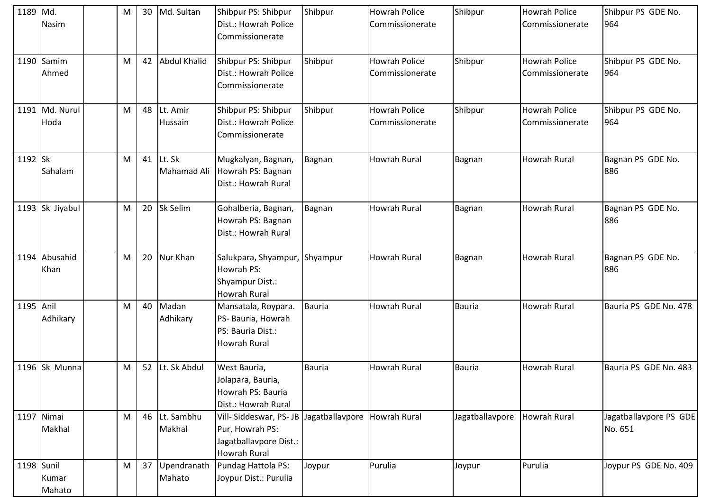| 1189 Md.   | <b>Nasim</b>           | M | 30 | Md. Sultan              | Shibpur PS: Shibpur<br>Dist.: Howrah Police<br>Commissionerate                            | Shibpur         | <b>Howrah Police</b><br>Commissionerate | Shibpur         | <b>Howrah Police</b><br>Commissionerate | Shibpur PS GDE No.<br>964         |
|------------|------------------------|---|----|-------------------------|-------------------------------------------------------------------------------------------|-----------------|-----------------------------------------|-----------------|-----------------------------------------|-----------------------------------|
|            | 1190 Samim<br>Ahmed    | M | 42 | Abdul Khalid            | Shibpur PS: Shibpur<br>Dist.: Howrah Police<br>Commissionerate                            | Shibpur         | <b>Howrah Police</b><br>Commissionerate | Shibpur         | <b>Howrah Police</b><br>Commissionerate | Shibpur PS GDE No.<br>964         |
|            | 1191 Md. Nurul<br>Hoda | M | 48 | Lt. Amir<br>Hussain     | Shibpur PS: Shibpur<br>Dist.: Howrah Police<br>Commissionerate                            | Shibpur         | <b>Howrah Police</b><br>Commissionerate | Shibpur         | <b>Howrah Police</b><br>Commissionerate | Shibpur PS GDE No.<br>964         |
| 1192 Sk    | Sahalam                | M | 41 | Lt. Sk<br>Mahamad Ali   | Mugkalyan, Bagnan,<br>Howrah PS: Bagnan<br>Dist.: Howrah Rural                            | Bagnan          | Howrah Rural                            | Bagnan          | <b>Howrah Rural</b>                     | Bagnan PS GDE No.<br>886          |
|            | 1193 Sk Jiyabul        | M | 20 | <b>Sk Selim</b>         | Gohalberia, Bagnan,<br>Howrah PS: Bagnan<br>Dist.: Howrah Rural                           | Bagnan          | Howrah Rural                            | Bagnan          | <b>Howrah Rural</b>                     | Bagnan PS GDE No.<br>886          |
|            | 1194 Abusahid<br>Khan  | M | 20 | Nur Khan                | Salukpara, Shyampur, Shyampur<br>Howrah PS:<br>Shyampur Dist.:<br><b>Howrah Rural</b>     |                 | Howrah Rural                            | Bagnan          | Howrah Rural                            | Bagnan PS GDE No.<br>886          |
| 1195 Anil  | Adhikary               | M | 40 | Madan<br>Adhikary       | Mansatala, Roypara.<br>PS- Bauria, Howrah<br>PS: Bauria Dist.:<br><b>Howrah Rural</b>     | Bauria          | <b>Howrah Rural</b>                     | <b>Bauria</b>   | <b>Howrah Rural</b>                     | Bauria PS GDE No. 478             |
|            | 1196 Sk Munna          | M |    | 52 Lt. Sk Abdul         | West Bauria,<br>Jolapara, Bauria,<br>Howrah PS: Bauria<br>Dist.: Howrah Rural             | <b>Bauria</b>   | Howrah Rural                            | <b>Bauria</b>   | <b>Howrah Rural</b>                     | Bauria PS GDE No. 483             |
|            | 1197 Nimai<br>Makhal   | M |    | 46 Lt. Sambhu<br>Makhal | Vill-Siddeswar, PS-JB<br>Pur, Howrah PS:<br>Jagatballavpore Dist.:<br><b>Howrah Rural</b> | Jagatballavpore | <b>Howrah Rural</b>                     | Jagatballavpore | <b>Howrah Rural</b>                     | Jagatballavpore PS GDE<br>No. 651 |
| 1198 Sunil | Kumar<br>Mahato        | M | 37 | Upendranath<br>Mahato   | Pundag Hattola PS:<br>Joypur Dist.: Purulia                                               | Joypur          | Purulia                                 | Joypur          | Purulia                                 | Joypur PS GDE No. 409             |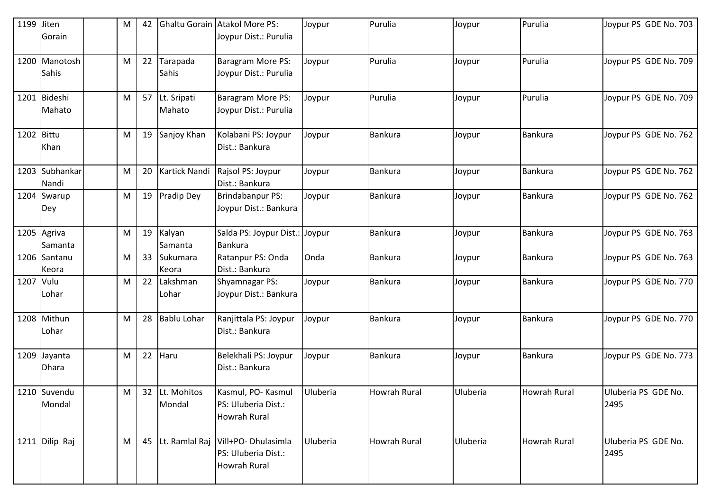| 1199 Jiten | Gorain                        | M | 42 |                       | Ghaltu Gorain Atakol More PS:<br>Joypur Dist.: Purulia                    | Joypur   | Purulia             | Joypur   | Purulia             | Joypur PS GDE No. 703       |
|------------|-------------------------------|---|----|-----------------------|---------------------------------------------------------------------------|----------|---------------------|----------|---------------------|-----------------------------|
|            | 1200 Manotosh<br><b>Sahis</b> | M | 22 | Tarapada<br>Sahis     | Baragram More PS:<br>Joypur Dist.: Purulia                                | Joypur   | Purulia             | Joypur   | Purulia             | Joypur PS GDE No. 709       |
|            | 1201 Bideshi<br>Mahato        | M | 57 | Lt. Sripati<br>Mahato | Baragram More PS:<br>Joypur Dist.: Purulia                                | Joypur   | Purulia             | Joypur   | Purulia             | Joypur PS GDE No. 709       |
| 1202 Bittu | Khan                          | M | 19 | Sanjoy Khan           | Kolabani PS: Joypur<br>Dist.: Bankura                                     | Joypur   | <b>Bankura</b>      | Joypur   | Bankura             | Joypur PS GDE No. 762       |
|            | 1203 Subhankar<br>Nandi       | M | 20 | Kartick Nandi         | Rajsol PS: Joypur<br>Dist.: Bankura                                       | Joypur   | <b>Bankura</b>      | Joypur   | Bankura             | Joypur PS GDE No. 762       |
|            | 1204 Swarup<br>Dey            | M | 19 | Pradip Dey            | Brindabanpur PS:<br>Joypur Dist.: Bankura                                 | Joypur   | <b>Bankura</b>      | Joypur   | Bankura             | Joypur PS GDE No. 762       |
|            | 1205 Agriva<br>Samanta        | M | 19 | Kalyan<br>Samanta     | Salda PS: Joypur Dist.: Joypur<br><b>Bankura</b>                          |          | <b>Bankura</b>      | Joypur   | <b>Bankura</b>      | Joypur PS GDE No. 763       |
|            | 1206 Santanu<br>Keora         | M | 33 | Sukumara<br>Keora     | Ratanpur PS: Onda<br>Dist.: Bankura                                       | Onda     | <b>Bankura</b>      | Joypur   | Bankura             | Joypur PS GDE No. 763       |
| 1207 Vulu  | Lohar                         | M | 22 | Lakshman<br>Lohar     | <b>Shyamnagar PS:</b><br>Joypur Dist.: Bankura                            | Joypur   | <b>Bankura</b>      | Joypur   | Bankura             | Joypur PS GDE No. 770       |
|            | 1208 Mithun<br>Lohar          | M | 28 | <b>Bablu Lohar</b>    | Ranjittala PS: Joypur<br>Dist.: Bankura                                   | Joypur   | <b>Bankura</b>      | Joypur   | <b>Bankura</b>      | Joypur PS GDE No. 770       |
|            | 1209 Jayanta<br><b>Dhara</b>  | M | 22 | Haru                  | Belekhali PS: Joypur<br>Dist.: Bankura                                    | Joypur   | <b>Bankura</b>      | Joypur   | Bankura             | Joypur PS GDE No. 773       |
|            | 1210 Suvendu<br>Mondal        | M | 32 | Lt. Mohitos<br>Mondal | Kasmul, PO- Kasmul<br>PS: Uluberia Dist.:<br><b>Howrah Rural</b>          | Uluberia | <b>Howrah Rural</b> | Uluberia | <b>Howrah Rural</b> | Uluberia PS GDE No.<br>2495 |
|            | 1211 Dilip Raj                | M | 45 |                       | Lt. Ramlal Raj Vill+PO- Dhulasimla<br>PS: Uluberia Dist.:<br>Howrah Rural | Uluberia | Howrah Rural        | Uluberia | <b>Howrah Rural</b> | Uluberia PS GDE No.<br>2495 |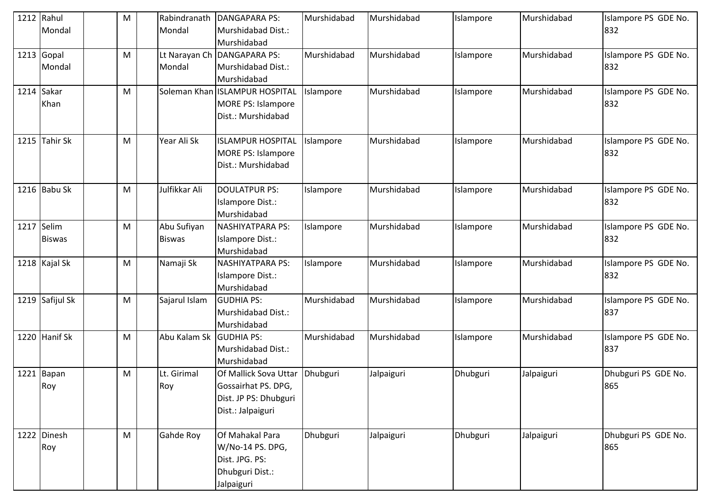| 1212 | Rahul                | ${\sf M}$ | Rabindranath            | <b>DANGAPARA PS:</b>                                                                       | Murshidabad | Murshidabad | Islampore | Murshidabad | Islampore PS GDE No.        |
|------|----------------------|-----------|-------------------------|--------------------------------------------------------------------------------------------|-------------|-------------|-----------|-------------|-----------------------------|
|      | Mondal               |           | Mondal                  | Murshidabad Dist.:<br>Murshidabad                                                          |             |             |           |             | 832                         |
|      | 1213 Gopal<br>Mondal | M         | Lt Narayan Ch<br>Mondal | <b>DANGAPARA PS:</b><br>Murshidabad Dist.:<br>Murshidabad                                  | Murshidabad | Murshidabad | Islampore | Murshidabad | Islampore PS GDE No.<br>832 |
|      | 1214 Sakar<br>Khan   | M         |                         | Soleman Khan   ISLAMPUR HOSPITAL<br><b>MORE PS: Islampore</b><br>Dist.: Murshidabad        | Islampore   | Murshidabad | Islampore | Murshidabad | Islampore PS GDE No.<br>832 |
|      | 1215 Tahir Sk        | M         | Year Ali Sk             | <b>ISLAMPUR HOSPITAL</b><br><b>MORE PS: Islampore</b><br>Dist.: Murshidabad                | Islampore   | Murshidabad | Islampore | Murshidabad | Islampore PS GDE No.<br>832 |
|      | 1216 Babu Sk         | M         | Julfikkar Ali           | <b>DOULATPUR PS:</b><br>Islampore Dist.:<br>Murshidabad                                    | Islampore   | Murshidabad | Islampore | Murshidabad | Islampore PS GDE No.<br>832 |
| 1217 | Selim                | M         | Abu Sufiyan             | <b>NASHIYATPARA PS:</b>                                                                    | Islampore   | Murshidabad | Islampore | Murshidabad | Islampore PS GDE No.        |
|      | <b>Biswas</b>        |           | <b>Biswas</b>           | Islampore Dist.:<br>Murshidabad                                                            |             |             |           |             | 832                         |
|      | 1218 Kajal Sk        | M         | Namaji Sk               | <b>NASHIYATPARA PS:</b><br>Islampore Dist.:<br>Murshidabad                                 | Islampore   | Murshidabad | Islampore | Murshidabad | Islampore PS GDE No.<br>832 |
|      | 1219 Safijul Sk      | M         | Sajarul Islam           | <b>GUDHIA PS:</b><br>Murshidabad Dist.:<br>Murshidabad                                     | Murshidabad | Murshidabad | Islampore | Murshidabad | Islampore PS GDE No.<br>837 |
|      | 1220 Hanif Sk        | M         | Abu Kalam Sk            | <b>GUDHIA PS:</b><br>Murshidabad Dist.:<br>Murshidabad                                     | Murshidabad | Murshidabad | Islampore | Murshidabad | Islampore PS GDE No.<br>837 |
| 1221 | Bapan<br>Roy         | M         | Lt. Girimal<br>Roy      | Of Mallick Sova Uttar<br>Gossairhat PS. DPG,<br>Dist. JP PS: Dhubguri<br>Dist.: Jalpaiguri | Dhubguri    | Jalpaiguri  | Dhubguri  | Jalpaiguri  | Dhubguri PS GDE No.<br>865  |
|      | 1222 Dinesh<br>Roy   | M         | Gahde Roy               | Of Mahakal Para<br>W/No-14 PS. DPG,<br>Dist. JPG. PS:<br>Dhubguri Dist.:<br>Jalpaiguri     | Dhubguri    | Jalpaiguri  | Dhubguri  | Jalpaiguri  | Dhubguri PS GDE No.<br>865  |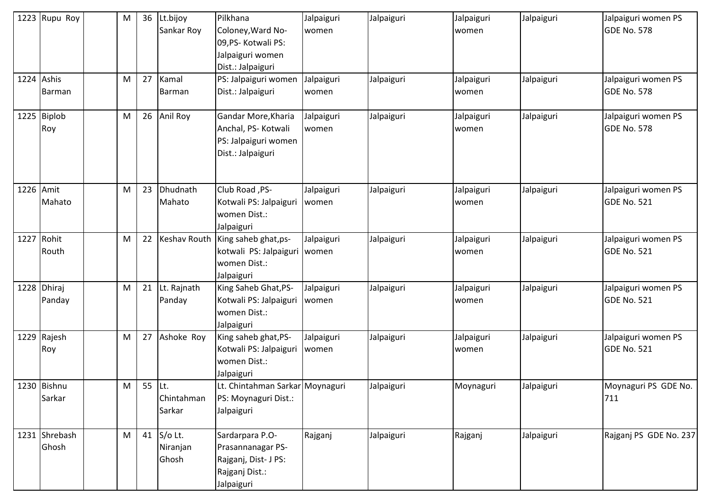|           | 1223 Rupu Roy          | M | 36     | Lt.bijoy<br>Sankar Roy       | Pilkhana<br>Coloney, Ward No-<br>09, PS- Kotwali PS:<br>Jalpaiguri women<br>Dist.: Jalpaiguri | Jalpaiguri<br>women | Jalpaiguri | Jalpaiguri<br>women | Jalpaiguri | Jalpaiguri women PS<br><b>GDE No. 578</b> |
|-----------|------------------------|---|--------|------------------------------|-----------------------------------------------------------------------------------------------|---------------------|------------|---------------------|------------|-------------------------------------------|
|           | 1224 Ashis<br>Barman   | M | 27     | Kamal<br>Barman              | PS: Jalpaiguri women<br>Dist.: Jalpaiguri                                                     | Jalpaiguri<br>women | Jalpaiguri | Jalpaiguri<br>women | Jalpaiguri | Jalpaiguri women PS<br><b>GDE No. 578</b> |
|           | 1225 Biplob<br>Roy     | M | 26     | Anil Roy                     | Gandar More, Kharia<br>Anchal, PS- Kotwali<br>PS: Jalpaiguri women<br>Dist.: Jalpaiguri       | Jalpaiguri<br>women | Jalpaiguri | Jalpaiguri<br>women | Jalpaiguri | Jalpaiguri women PS<br><b>GDE No. 578</b> |
| 1226 Amit | Mahato                 | M | 23     | Dhudnath<br>Mahato           | Club Road, PS-<br>Kotwali PS: Jalpaiguri<br>women Dist.:<br>Jalpaiguri                        | Jalpaiguri<br>women | Jalpaiguri | Jalpaiguri<br>women | Jalpaiguri | Jalpaiguri women PS<br><b>GDE No. 521</b> |
|           | 1227 Rohit<br>Routh    | M | 22     |                              | Keshav Routh   King saheb ghat, ps-<br>kotwali PS: Jalpaiguri<br>women Dist.:<br>Jalpaiguri   | Jalpaiguri<br>women | Jalpaiguri | Jalpaiguri<br>women | Jalpaiguri | Jalpaiguri women PS<br><b>GDE No. 521</b> |
|           | 1228 Dhiraj<br>Panday  | M | 21     | Lt. Rajnath<br>Panday        | King Saheb Ghat, PS-<br>Kotwali PS: Jalpaiguri<br>women Dist.:<br>Jalpaiguri                  | Jalpaiguri<br>women | Jalpaiguri | Jalpaiguri<br>women | Jalpaiguri | Jalpaiguri women PS<br><b>GDE No. 521</b> |
|           | 1229 Rajesh<br>Roy     | M | 27     | Ashoke Roy                   | King saheb ghat, PS-<br>Kotwali PS: Jalpaiguri<br>women Dist.:<br>Jalpaiguri                  | Jalpaiguri<br>women | Jalpaiguri | Jalpaiguri<br>women | Jalpaiguri | Jalpaiguri women PS<br><b>GDE No. 521</b> |
|           | 1230 Bishnu<br>Sarkar  | M | 55 Lt. | Chintahman<br>Sarkar         | Lt. Chintahman Sarkar Moynaguri<br>PS: Moynaguri Dist.:<br>Jalpaiguri                         |                     | Jalpaiguri | Moynaguri           | Jalpaiguri | Moynaguri PS GDE No.<br>711               |
|           | 1231 Shrebash<br>Ghosh | M | 41     | S/o Lt.<br>Niranjan<br>Ghosh | Sardarpara P.O-<br>Prasannanagar PS-<br>Rajganj, Dist- J PS:<br>Rajganj Dist.:<br>Jalpaiguri  | Rajganj             | Jalpaiguri | Rajganj             | Jalpaiguri | Rajganj PS GDE No. 237                    |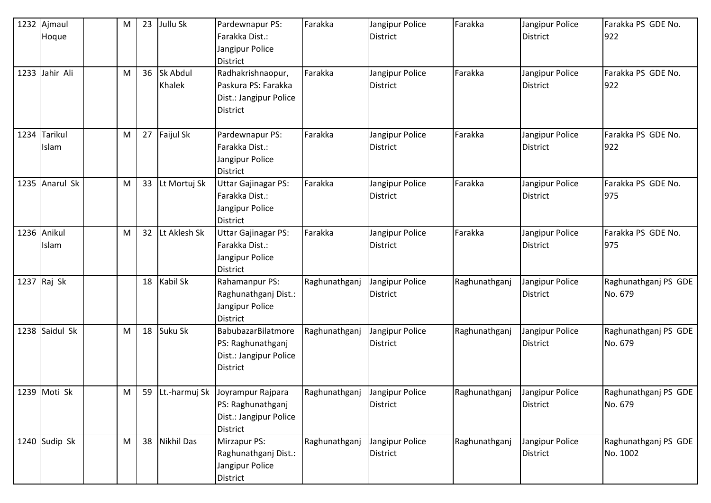| 1232 Ajmaul<br>Hoque  | M | 23 | Jullu Sk           | Pardewnapur PS:<br>Farakka Dist.:                                                             | Farakka       | Jangipur Police<br><b>District</b> | Farakka       | Jangipur Police<br><b>District</b> | Farakka PS GDE No.<br>922        |
|-----------------------|---|----|--------------------|-----------------------------------------------------------------------------------------------|---------------|------------------------------------|---------------|------------------------------------|----------------------------------|
|                       |   |    |                    | Jangipur Police<br><b>District</b>                                                            |               |                                    |               |                                    |                                  |
| 1233 Jahir Ali        | M | 36 | Sk Abdul<br>Khalek | Radhakrishnaopur,<br>Paskura PS: Farakka<br>Dist.: Jangipur Police<br><b>District</b>         | Farakka       | Jangipur Police<br><b>District</b> | Farakka       | Jangipur Police<br><b>District</b> | Farakka PS GDE No.<br>922        |
| 1234 Tarikul<br>Islam | M | 27 | Faijul Sk          | Pardewnapur PS:<br>Farakka Dist.:<br>Jangipur Police<br><b>District</b>                       | Farakka       | Jangipur Police<br><b>District</b> | Farakka       | Jangipur Police<br><b>District</b> | Farakka PS GDE No.<br>922        |
| 1235 Anarul Sk        | M | 33 | Lt Mortuj Sk       | <b>Uttar Gajinagar PS:</b><br>Farakka Dist.:<br>Jangipur Police<br><b>District</b>            | Farakka       | Jangipur Police<br><b>District</b> | Farakka       | Jangipur Police<br><b>District</b> | Farakka PS GDE No.<br>975        |
| 1236 Anikul<br>Islam  | M | 32 | Lt Aklesh Sk       | <b>Uttar Gajinagar PS:</b><br>Farakka Dist.:<br>Jangipur Police<br><b>District</b>            | Farakka       | Jangipur Police<br><b>District</b> | Farakka       | Jangipur Police<br><b>District</b> | Farakka PS GDE No.<br>975        |
| 1237 Raj Sk           |   | 18 | <b>Kabil Sk</b>    | Rahamanpur PS:<br>Raghunathganj Dist.:<br>Jangipur Police<br><b>District</b>                  | Raghunathganj | Jangipur Police<br><b>District</b> | Raghunathganj | Jangipur Police<br><b>District</b> | Raghunathganj PS GDE<br>No. 679  |
| 1238 Saidul Sk        | M | 18 | Suku Sk            | BabubazarBilatmore<br>PS: Raghunathganj<br>Dist.: Jangipur Police<br><b>District</b>          | Raghunathganj | Jangipur Police<br><b>District</b> | Raghunathganj | Jangipur Police<br><b>District</b> | Raghunathganj PS GDE<br>No. 679  |
| 1239 Moti Sk          | M |    |                    | 59 Lt.-harmuj Sk Joyrampur Rajpara<br>PS: Raghunathganj<br>Dist.: Jangipur Police<br>District | Raghunathganj | Jangipur Police<br><b>District</b> | Raghunathganj | Jangipur Police<br>District        | Raghunathganj PS GDE<br>No. 679  |
| 1240 Sudip Sk         | M | 38 | Nikhil Das         | Mirzapur PS:<br>Raghunathganj Dist.:<br>Jangipur Police<br>District                           | Raghunathganj | Jangipur Police<br><b>District</b> | Raghunathganj | Jangipur Police<br><b>District</b> | Raghunathganj PS GDE<br>No. 1002 |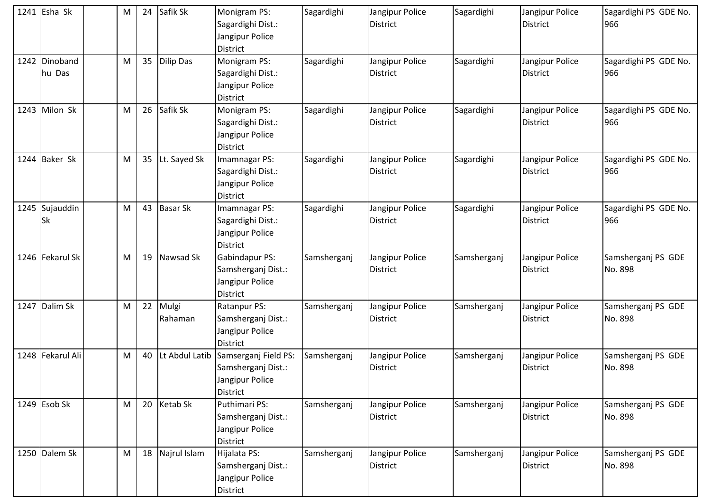| 1241 Esha Sk            | M | 24 | Safik Sk         | Monigram PS:<br>Sagardighi Dist.:<br>Jangipur Police<br>District                 | Sagardighi  | Jangipur Police<br><b>District</b> | Sagardighi  | Jangipur Police<br><b>District</b> | Sagardighi PS GDE No.<br>966  |
|-------------------------|---|----|------------------|----------------------------------------------------------------------------------|-------------|------------------------------------|-------------|------------------------------------|-------------------------------|
| 1242 Dinoband<br>hu Das | M | 35 | Dilip Das        | Monigram PS:<br>Sagardighi Dist.:<br>Jangipur Police<br>District                 | Sagardighi  | Jangipur Police<br><b>District</b> | Sagardighi  | Jangipur Police<br><b>District</b> | Sagardighi PS GDE No.<br>966  |
| 1243 Milon Sk           | M | 26 | Safik Sk         | Monigram PS:<br>Sagardighi Dist.:<br>Jangipur Police<br><b>District</b>          | Sagardighi  | Jangipur Police<br><b>District</b> | Sagardighi  | Jangipur Police<br><b>District</b> | Sagardighi PS GDE No.<br>966  |
| 1244 Baker Sk           | M | 35 | Lt. Sayed Sk     | Imamnagar PS:<br>Sagardighi Dist.:<br>Jangipur Police<br><b>District</b>         | Sagardighi  | Jangipur Police<br><b>District</b> | Sagardighi  | Jangipur Police<br><b>District</b> | Sagardighi PS GDE No.<br>966  |
| 1245 Sujauddin<br>lSk   | M | 43 | <b>Basar Sk</b>  | Imamnagar PS:<br>Sagardighi Dist.:<br>Jangipur Police<br>District                | Sagardighi  | Jangipur Police<br><b>District</b> | Sagardighi  | Jangipur Police<br><b>District</b> | Sagardighi PS GDE No.<br>966  |
| 1246 Fekarul Sk         | M | 19 | Nawsad Sk        | Gabindapur PS:<br>Samsherganj Dist.:<br>Jangipur Police<br><b>District</b>       | Samsherganj | Jangipur Police<br><b>District</b> | Samsherganj | Jangipur Police<br><b>District</b> | Samsherganj PS GDE<br>No. 898 |
| 1247 Dalim Sk           | M | 22 | Mulgi<br>Rahaman | Ratanpur PS:<br>Samsherganj Dist.:<br>Jangipur Police<br><b>District</b>         | Samsherganj | Jangipur Police<br><b>District</b> | Samsherganj | Jangipur Police<br><b>District</b> | Samsherganj PS GDE<br>No. 898 |
| 1248 Fekarul Ali        | M | 40 | Lt Abdul Latib   | Samserganj Field PS:<br>Samsherganj Dist.:<br>Jangipur Police<br><b>District</b> | Samsherganj | Jangipur Police<br><b>District</b> | Samsherganj | Jangipur Police<br><b>District</b> | Samsherganj PS GDE<br>No. 898 |
| 1249 Esob Sk            | M | 20 | <b>Ketab Sk</b>  | Puthimari PS:<br>Samsherganj Dist.:<br>Jangipur Police<br>District               | Samsherganj | Jangipur Police<br><b>District</b> | Samsherganj | Jangipur Police<br><b>District</b> | Samsherganj PS GDE<br>No. 898 |
| 1250 Dalem Sk           | M | 18 | Najrul Islam     | Hijalata PS:<br>Samsherganj Dist.:<br>Jangipur Police<br>District                | Samsherganj | Jangipur Police<br><b>District</b> | Samsherganj | Jangipur Police<br>District        | Samsherganj PS GDE<br>No. 898 |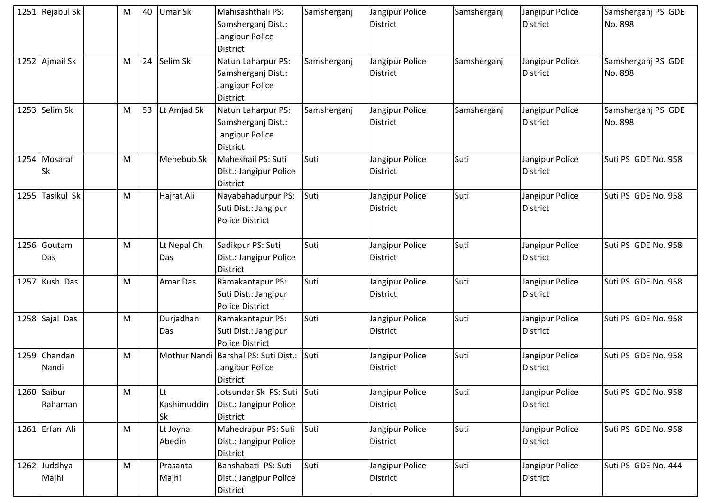| 1251 Rejabul Sk           | M | 40 | <b>Umar Sk</b>                 | Mahisashthali PS:<br>Samsherganj Dist.:<br>Jangipur Police<br>District  | Samsherganj | Jangipur Police<br><b>District</b> | Samsherganj | Jangipur Police<br><b>District</b> | Samsherganj PS GDE<br>No. 898 |
|---------------------------|---|----|--------------------------------|-------------------------------------------------------------------------|-------------|------------------------------------|-------------|------------------------------------|-------------------------------|
| 1252 Ajmail Sk            | M | 24 | Selim Sk                       | Natun Laharpur PS:<br>Samsherganj Dist.:<br>Jangipur Police<br>District | Samsherganj | Jangipur Police<br>District        | Samsherganj | Jangipur Police<br><b>District</b> | Samsherganj PS GDE<br>No. 898 |
| 1253 Selim Sk             | M | 53 | Lt Amjad Sk                    | Natun Laharpur PS:<br>Samsherganj Dist.:<br>Jangipur Police<br>District | Samsherganj | Jangipur Police<br>District        | Samsherganj | Jangipur Police<br><b>District</b> | Samsherganj PS GDE<br>No. 898 |
| 1254 Mosaraf<br><b>Sk</b> | M |    | Mehebub Sk                     | Maheshail PS: Suti<br>Dist.: Jangipur Police<br>District                | Suti        | Jangipur Police<br>District        | Suti        | Jangipur Police<br><b>District</b> | Suti PS GDE No. 958           |
| 1255 Tasikul Sk           | M |    | Hajrat Ali                     | Nayabahadurpur PS:<br>Suti Dist.: Jangipur<br><b>Police District</b>    | Suti        | Jangipur Police<br>District        | Suti        | Jangipur Police<br><b>District</b> | Suti PS GDE No. 958           |
| 1256 Goutam<br>Das        | M |    | Lt Nepal Ch<br>Das             | Sadikpur PS: Suti<br>Dist.: Jangipur Police<br>District                 | Suti        | Jangipur Police<br><b>District</b> | Suti        | Jangipur Police<br><b>District</b> | Suti PS GDE No. 958           |
| 1257 Kush Das             | M |    | <b>Amar Das</b>                | Ramakantapur PS:<br>Suti Dist.: Jangipur<br><b>Police District</b>      | Suti        | Jangipur Police<br><b>District</b> | Suti        | Jangipur Police<br><b>District</b> | Suti PS GDE No. 958           |
| 1258 Sajal Das            | M |    | Durjadhan<br>Das               | Ramakantapur PS:<br>Suti Dist.: Jangipur<br><b>Police District</b>      | Suti        | Jangipur Police<br>District        | Suti        | Jangipur Police<br><b>District</b> | Suti PS GDE No. 958           |
| 1259 Chandan<br>Nandi     | M |    |                                | Mothur Nandi Barshal PS: Suti Dist.:<br>Jangipur Police<br>District     | Suti        | Jangipur Police<br>District        | Suti        | Jangipur Police<br><b>District</b> | Suti PS GDE No. 958           |
| 1260 Saibur<br>Rahaman    | M |    | <b>Lt</b><br>Kashimuddin<br>Sk | Jotsundar Sk PS: Suti Suti<br>Dist.: Jangipur Police<br>District        |             | Jangipur Police<br>District        | Suti        | Jangipur Police<br><b>District</b> | Suti PS GDE No. 958           |
| 1261 Erfan Ali            | M |    | Lt Joynal<br>Abedin            | Mahedrapur PS: Suti<br>Dist.: Jangipur Police<br>District               | Suti        | Jangipur Police<br>District        | Suti        | Jangipur Police<br>District        | Suti PS GDE No. 958           |
| 1262 Juddhya<br>Majhi     | M |    | Prasanta<br>Majhi              | Banshabati PS: Suti<br>Dist.: Jangipur Police<br>District               | Suti        | Jangipur Police<br>District        | Suti        | Jangipur Police<br>District        | Suti PS GDE No. 444           |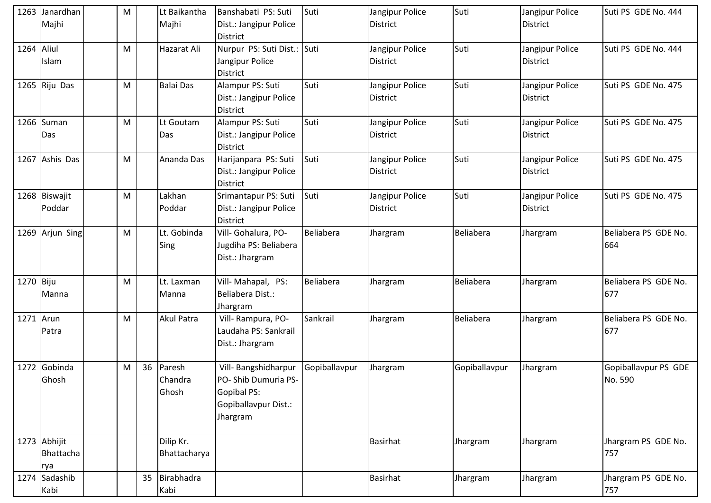|            | 1263 Janardhan<br>Majhi          | M |    | Lt Baikantha<br>Majhi      | Banshabati PS: Suti<br>Dist.: Jangipur Police<br>District                                      | Suti             | Jangipur Police<br>District        | Suti             | Jangipur Police<br><b>District</b> | Suti PS GDE No. 444             |
|------------|----------------------------------|---|----|----------------------------|------------------------------------------------------------------------------------------------|------------------|------------------------------------|------------------|------------------------------------|---------------------------------|
| 1264 Aliul | Islam                            | M |    | Hazarat Ali                | Nurpur PS: Suti Dist.: Suti<br>Jangipur Police<br>District                                     |                  | Jangipur Police<br>District        | Suti             | Jangipur Police<br><b>District</b> | Suti PS GDE No. 444             |
|            | 1265 Riju Das                    | M |    | <b>Balai Das</b>           | Alampur PS: Suti<br>Dist.: Jangipur Police<br>District                                         | Suti             | Jangipur Police<br>District        | Suti             | Jangipur Police<br><b>District</b> | Suti PS GDE No. 475             |
|            | 1266 Suman<br>Das                | M |    | Lt Goutam<br>Das           | Alampur PS: Suti<br>Dist.: Jangipur Police<br>District                                         | Suti             | Jangipur Police<br><b>District</b> | Suti             | Jangipur Police<br><b>District</b> | Suti PS GDE No. 475             |
|            | 1267 Ashis Das                   | M |    | Ananda Das                 | Harijanpara PS: Suti<br>Dist.: Jangipur Police<br>District                                     | Suti             | Jangipur Police<br><b>District</b> | Suti             | Jangipur Police<br><b>District</b> | Suti PS GDE No. 475             |
|            | 1268 Biswajit<br>Poddar          | M |    | Lakhan<br>Poddar           | Srimantapur PS: Suti<br>Dist.: Jangipur Police<br>District                                     | Suti             | Jangipur Police<br>District        | Suti             | Jangipur Police<br>District        | Suti PS GDE No. 475             |
|            | 1269 Arjun Sing                  | M |    | Lt. Gobinda<br><b>Sing</b> | Vill- Gohalura, PO-<br>Jugdiha PS: Beliabera<br>Dist.: Jhargram                                | <b>Beliabera</b> | Jhargram                           | <b>Beliabera</b> | Jhargram                           | Beliabera PS GDE No.<br>664     |
| 1270 Biju  | Manna                            | M |    | Lt. Laxman<br>Manna        | Vill-Mahapal, PS:<br>Beliabera Dist.:<br>Jhargram                                              | Beliabera        | Jhargram                           | <b>Beliabera</b> | Jhargram                           | Beliabera PS GDE No.<br>677     |
| 1271 Arun  | Patra                            | M |    | <b>Akul Patra</b>          | Vill-Rampura, PO-<br>Laudaha PS: Sankrail<br>Dist.: Jhargram                                   | Sankrail         | Jhargram                           | Beliabera        | Jhargram                           | Beliabera PS GDE No.<br>677     |
|            | 1272 Gobinda<br>Ghosh            | M | 36 | Paresh<br>Chandra<br>Ghosh | Vill- Bangshidharpur<br>PO-Shib Dumuria PS-<br>Gopibal PS:<br>Gopiballavpur Dist.:<br>Jhargram | Gopiballavpur    | Jhargram                           | Gopiballavpur    | Jhargram                           | Gopiballavpur PS GDE<br>No. 590 |
|            | 1273 Abhijit<br>Bhattacha<br>rya |   |    | Dilip Kr.<br>Bhattacharya  |                                                                                                |                  | <b>Basirhat</b>                    | Jhargram         | Jhargram                           | Jhargram PS GDE No.<br>757      |
|            | 1274 Sadashib<br>Kabi            |   | 35 | Birabhadra<br>Kabi         |                                                                                                |                  | <b>Basirhat</b>                    | Jhargram         | Jhargram                           | Jhargram PS GDE No.<br>757      |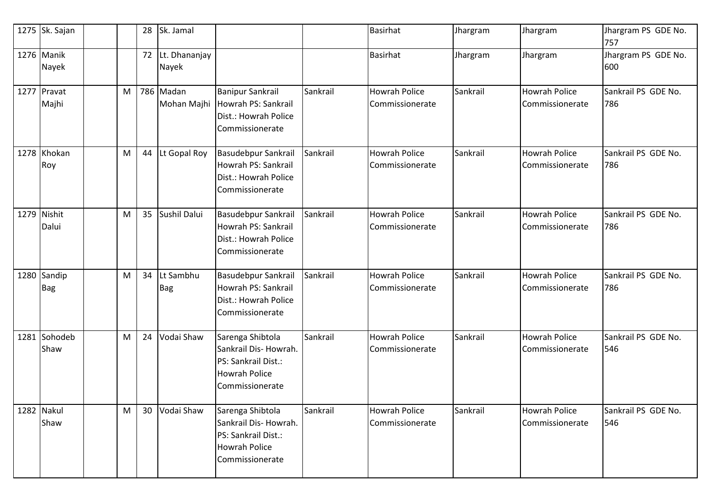| 1275 Sk. Sajan            |   | 28 | Sk. Jamal                |                                                                                                            |          | <b>Basirhat</b>                         | Jhargram | Jhargram                                | Jhargram PS GDE No.<br>757 |
|---------------------------|---|----|--------------------------|------------------------------------------------------------------------------------------------------------|----------|-----------------------------------------|----------|-----------------------------------------|----------------------------|
| 1276 Manik<br>Nayek       |   | 72 | Lt. Dhananjay<br>Nayek   |                                                                                                            |          | <b>Basirhat</b>                         | Jhargram | Jhargram                                | Jhargram PS GDE No.<br>600 |
| 1277 Pravat<br>Majhi      | M |    | 786 Madan<br>Mohan Majhi | <b>Banipur Sankrail</b><br>Howrah PS: Sankrail<br>Dist.: Howrah Police<br>Commissionerate                  | Sankrail | <b>Howrah Police</b><br>Commissionerate | Sankrail | <b>Howrah Police</b><br>Commissionerate | Sankrail PS GDE No.<br>786 |
| 1278 Khokan<br>Roy        | M | 44 | Lt Gopal Roy             | <b>Basudebpur Sankrail</b><br>Howrah PS: Sankrail<br>Dist.: Howrah Police<br>Commissionerate               | Sankrail | <b>Howrah Police</b><br>Commissionerate | Sankrail | <b>Howrah Police</b><br>Commissionerate | Sankrail PS GDE No.<br>786 |
| 1279 Nishit<br>Dalui      | M | 35 | Sushil Dalui             | <b>Basudebpur Sankrail</b><br>Howrah PS: Sankrail<br>Dist.: Howrah Police<br>Commissionerate               | Sankrail | <b>Howrah Police</b><br>Commissionerate | Sankrail | Howrah Police<br>Commissionerate        | Sankrail PS GDE No.<br>786 |
| 1280 Sandip<br><b>Bag</b> | M | 34 | Lt Sambhu<br><b>Bag</b>  | <b>Basudebpur Sankrail</b><br>Howrah PS: Sankrail<br>Dist.: Howrah Police<br>Commissionerate               | Sankrail | <b>Howrah Police</b><br>Commissionerate | Sankrail | <b>Howrah Police</b><br>Commissionerate | Sankrail PS GDE No.<br>786 |
| 1281 Sohodeb<br>Shaw      | M | 24 | Vodai Shaw               | Sarenga Shibtola<br>Sankrail Dis-Howrah.<br>PS: Sankrail Dist.:<br><b>Howrah Police</b><br>Commissionerate | Sankrail | <b>Howrah Police</b><br>Commissionerate | Sankrail | <b>Howrah Police</b><br>Commissionerate | Sankrail PS GDE No.<br>546 |
| 1282 Nakul<br>Shaw        | M | 30 | Vodai Shaw               | Sarenga Shibtola<br>Sankrail Dis-Howrah.<br>PS: Sankrail Dist.:<br><b>Howrah Police</b><br>Commissionerate | Sankrail | Howrah Police<br>Commissionerate        | Sankrail | Howrah Police<br>Commissionerate        | Sankrail PS GDE No.<br>546 |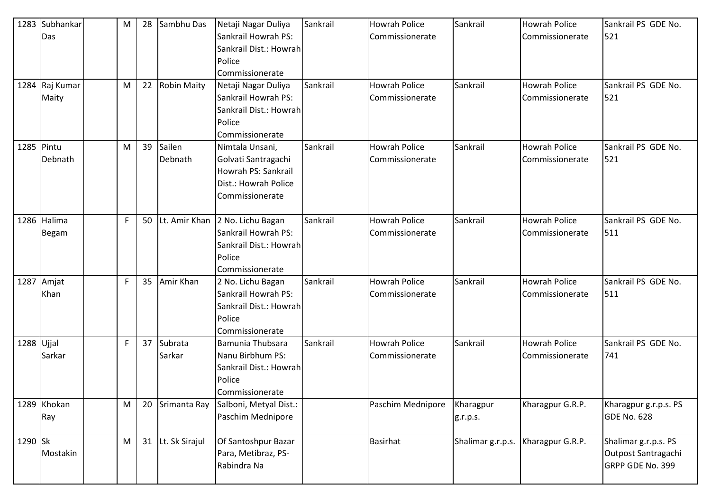|              | 1283 Subhankar | M | 28 | Sambhu Das         | Netaji Nagar Duliya    | Sankrail | <b>Howrah Police</b> | Sankrail          | <b>Howrah Police</b> | Sankrail PS GDE No.   |
|--------------|----------------|---|----|--------------------|------------------------|----------|----------------------|-------------------|----------------------|-----------------------|
|              | Das            |   |    |                    | Sankrail Howrah PS:    |          | Commissionerate      |                   | Commissionerate      | 521                   |
|              |                |   |    |                    | Sankrail Dist.: Howrah |          |                      |                   |                      |                       |
|              |                |   |    |                    | Police                 |          |                      |                   |                      |                       |
|              |                |   |    |                    | Commissionerate        |          |                      |                   |                      |                       |
|              | 1284 Raj Kumar | M | 22 | <b>Robin Maity</b> | Netaji Nagar Duliya    | Sankrail | <b>Howrah Police</b> | Sankrail          | <b>Howrah Police</b> | Sankrail PS GDE No.   |
|              | Maity          |   |    |                    | Sankrail Howrah PS:    |          | Commissionerate      |                   | Commissionerate      | 521                   |
|              |                |   |    |                    | Sankrail Dist.: Howrah |          |                      |                   |                      |                       |
|              |                |   |    |                    | Police                 |          |                      |                   |                      |                       |
|              |                |   |    |                    | Commissionerate        |          |                      |                   |                      |                       |
|              | 1285 Pintu     | M | 39 | Sailen             | Nimtala Unsani,        | Sankrail | <b>Howrah Police</b> | Sankrail          | <b>Howrah Police</b> | Sankrail PS GDE No.   |
|              | Debnath        |   |    | Debnath            | Golvati Santragachi    |          | Commissionerate      |                   | Commissionerate      | 521                   |
|              |                |   |    |                    | Howrah PS: Sankrail    |          |                      |                   |                      |                       |
|              |                |   |    |                    | Dist.: Howrah Police   |          |                      |                   |                      |                       |
|              |                |   |    |                    | Commissionerate        |          |                      |                   |                      |                       |
|              |                |   |    |                    |                        |          |                      |                   |                      |                       |
|              | 1286 Halima    | F | 50 | Lt. Amir Khan      | 2 No. Lichu Bagan      | Sankrail | <b>Howrah Police</b> | Sankrail          | <b>Howrah Police</b> | Sankrail PS GDE No.   |
|              | Begam          |   |    |                    | Sankrail Howrah PS:    |          | Commissionerate      |                   | Commissionerate      | 511                   |
|              |                |   |    |                    | Sankrail Dist.: Howrah |          |                      |                   |                      |                       |
|              |                |   |    |                    | Police                 |          |                      |                   |                      |                       |
|              |                |   |    |                    | Commissionerate        |          |                      |                   |                      |                       |
|              | 1287 Amjat     | F | 35 | Amir Khan          | 2 No. Lichu Bagan      | Sankrail | <b>Howrah Police</b> | Sankrail          | <b>Howrah Police</b> | Sankrail PS GDE No.   |
|              | Khan           |   |    |                    | Sankrail Howrah PS:    |          | Commissionerate      |                   | Commissionerate      | 511                   |
|              |                |   |    |                    | Sankrail Dist.: Howrah |          |                      |                   |                      |                       |
|              |                |   |    |                    | Police                 |          |                      |                   |                      |                       |
|              |                |   |    |                    | Commissionerate        |          |                      |                   |                      |                       |
| $1288$ Ujjal |                | F | 37 | Subrata            | Bamunia Thubsara       | Sankrail | <b>Howrah Police</b> | Sankrail          | <b>Howrah Police</b> | Sankrail PS GDE No.   |
|              | Sarkar         |   |    | Sarkar             | Nanu Birbhum PS:       |          | Commissionerate      |                   | Commissionerate      | 741                   |
|              |                |   |    |                    | Sankrail Dist.: Howrah |          |                      |                   |                      |                       |
|              |                |   |    |                    | Police                 |          |                      |                   |                      |                       |
|              |                |   |    |                    | Commissionerate        |          |                      |                   |                      |                       |
|              | 1289 Khokan    | M | 20 | Srimanta Ray       | Salboni, Metyal Dist.: |          | Paschim Mednipore    | Kharagpur         | Kharagpur G.R.P.     | Kharagpur g.r.p.s. PS |
|              | Ray            |   |    |                    | Paschim Mednipore      |          |                      | g.r.p.s.          |                      | GDE No. 628           |
|              |                |   |    |                    |                        |          |                      |                   |                      |                       |
| 1290 Sk      |                | M |    | 31 Lt. Sk Sirajul  | Of Santoshpur Bazar    |          | <b>Basirhat</b>      | Shalimar g.r.p.s. | Kharagpur G.R.P.     | Shalimar g.r.p.s. PS  |
|              | Mostakin       |   |    |                    | Para, Metibraz, PS-    |          |                      |                   |                      | Outpost Santragachi   |
|              |                |   |    |                    | Rabindra Na            |          |                      |                   |                      | GRPP GDE No. 399      |
|              |                |   |    |                    |                        |          |                      |                   |                      |                       |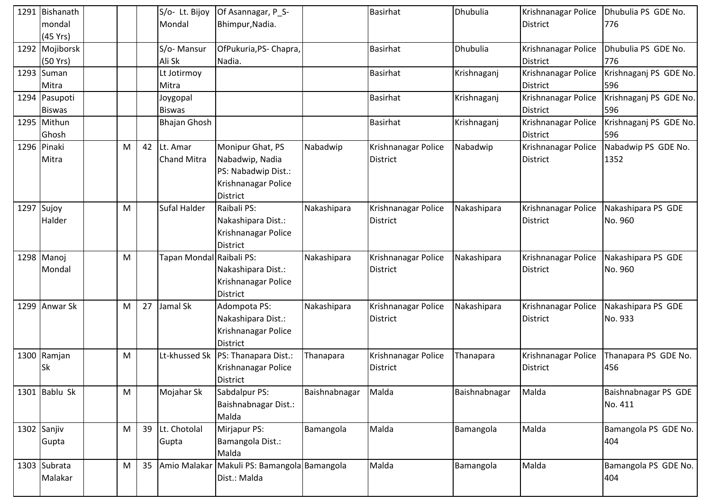| 1291 Bishanath             |   |    | S/o- Lt. Bijoy           | Of Asannagar, P_S-                                   |               | <b>Basirhat</b>     | Dhubulia      | Krishnanagar Police                    | Dhubulia PS GDE No.    |
|----------------------------|---|----|--------------------------|------------------------------------------------------|---------------|---------------------|---------------|----------------------------------------|------------------------|
| mondal                     |   |    | Mondal                   | Bhimpur, Nadia.                                      |               |                     |               | <b>District</b>                        | 776                    |
| (45 Yrs)                   |   |    |                          |                                                      |               | <b>Basirhat</b>     | Dhubulia      |                                        | Dhubulia PS GDE No.    |
| 1292 Mojiborsk<br>(50 Yrs) |   |    | S/o-Mansur<br>Ali Sk     | OfPukuria, PS- Chapra,<br>Nadia.                     |               |                     |               | Krishnanagar Police<br><b>District</b> | 776                    |
| 1293 Suman                 |   |    | Lt Jotirmoy              |                                                      |               | <b>Basirhat</b>     | Krishnaganj   | Krishnanagar Police                    | Krishnaganj PS GDE No. |
| Mitra                      |   |    | Mitra                    |                                                      |               |                     |               | <b>District</b>                        | 596                    |
| 1294 Pasupoti              |   |    | Joygopal                 |                                                      |               | <b>Basirhat</b>     | Krishnaganj   | Krishnanagar Police                    | Krishnaganj PS GDE No. |
| <b>Biswas</b>              |   |    | <b>Biswas</b>            |                                                      |               |                     |               | <b>District</b>                        | 596                    |
| 1295 Mithun                |   |    | <b>Bhajan Ghosh</b>      |                                                      |               | <b>Basirhat</b>     | Krishnaganj   | Krishnanagar Police                    | Krishnaganj PS GDE No. |
| Ghosh                      |   |    |                          |                                                      |               |                     |               | <b>District</b>                        | 596                    |
| 1296 Pinaki                | M |    | 42 Lt. Amar              | Monipur Ghat, PS                                     | Nabadwip      | Krishnanagar Police | Nabadwip      | Krishnanagar Police                    | Nabadwip PS GDE No.    |
| Mitra                      |   |    | <b>Chand Mitra</b>       | Nabadwip, Nadia                                      |               | <b>District</b>     |               | <b>District</b>                        | 1352                   |
|                            |   |    |                          | PS: Nabadwip Dist.:                                  |               |                     |               |                                        |                        |
|                            |   |    |                          | Krishnanagar Police                                  |               |                     |               |                                        |                        |
|                            |   |    |                          | District                                             |               |                     |               |                                        |                        |
| 1297 Sujoy                 | M |    | Sufal Halder             | Raibali PS:                                          | Nakashipara   | Krishnanagar Police | Nakashipara   | Krishnanagar Police                    | Nakashipara PS GDE     |
| Halder                     |   |    |                          | Nakashipara Dist.:                                   |               | <b>District</b>     |               | <b>District</b>                        | No. 960                |
|                            |   |    |                          | Krishnanagar Police                                  |               |                     |               |                                        |                        |
| 1298 Manoj                 | M |    | Tapan Mondal Raibali PS: | District                                             | Nakashipara   | Krishnanagar Police | Nakashipara   | Krishnanagar Police                    | Nakashipara PS GDE     |
| Mondal                     |   |    |                          | Nakashipara Dist.:                                   |               | <b>District</b>     |               | <b>District</b>                        | No. 960                |
|                            |   |    |                          | Krishnanagar Police                                  |               |                     |               |                                        |                        |
|                            |   |    |                          | District                                             |               |                     |               |                                        |                        |
| 1299 Anwar Sk              | M | 27 | Jamal Sk                 | Adompota PS:                                         | Nakashipara   | Krishnanagar Police | Nakashipara   | Krishnanagar Police                    | Nakashipara PS GDE     |
|                            |   |    |                          | Nakashipara Dist.:                                   |               | <b>District</b>     |               | <b>District</b>                        | No. 933                |
|                            |   |    |                          | Krishnanagar Police                                  |               |                     |               |                                        |                        |
|                            |   |    |                          | <b>District</b>                                      |               |                     |               |                                        |                        |
| 1300 Ramjan                | M |    |                          | Lt-khussed Sk   PS: Thanapara Dist.:                 | Thanapara     | Krishnanagar Police | Thanapara     | Krishnanagar Police                    | Thanapara PS GDE No.   |
| <b>Sk</b>                  |   |    |                          | Krishnanagar Police                                  |               | District            |               | <b>District</b>                        | 456                    |
|                            |   |    |                          | District                                             |               |                     |               |                                        |                        |
| 1301 Bablu Sk              | M |    | Mojahar Sk               | Sabdalpur PS:                                        | Baishnabnagar | Malda               | Baishnabnagar | Malda                                  | Baishnabnagar PS GDE   |
|                            |   |    |                          | Baishnabnagar Dist.:                                 |               |                     |               |                                        | No. 411                |
|                            |   |    |                          | Malda                                                |               |                     |               |                                        |                        |
| 1302 Sanjiv                | M | 39 | Lt. Chotolal             | Mirjapur PS:                                         | Bamangola     | Malda               | Bamangola     | Malda                                  | Bamangola PS GDE No.   |
| Gupta                      |   |    | Gupta                    | Bamangola Dist.:                                     |               |                     |               |                                        | 404                    |
|                            | M | 35 |                          | Malda<br>Amio Malakar Makuli PS: Bamangola Bamangola |               | Malda               |               | Malda                                  | Bamangola PS GDE No.   |
| 1303 Subrata<br>Malakar    |   |    |                          | Dist.: Malda                                         |               |                     | Bamangola     |                                        | 404                    |
|                            |   |    |                          |                                                      |               |                     |               |                                        |                        |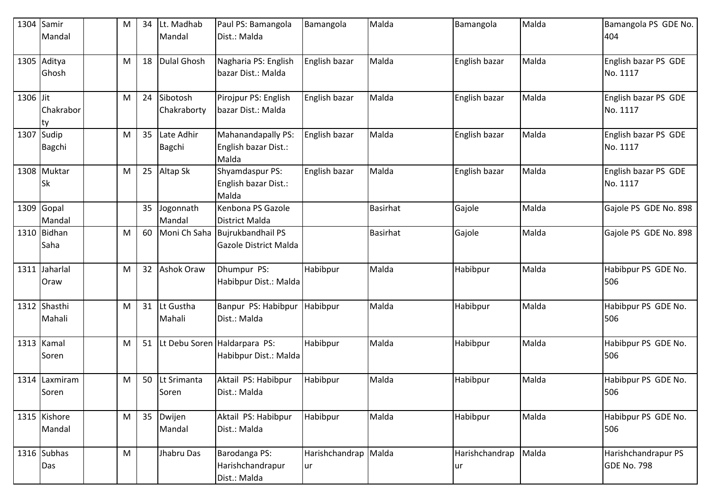| 1304     | Samir<br>Mandal          | M | 34 | Lt. Madhab<br>Mandal        | Paul PS: Bamangola<br>Dist.: Malda                    | Bamangola             | Malda           | Bamangola             | Malda | Bamangola PS GDE No.<br>404               |
|----------|--------------------------|---|----|-----------------------------|-------------------------------------------------------|-----------------------|-----------------|-----------------------|-------|-------------------------------------------|
|          | 1305 Aditya<br>Ghosh     | M | 18 | <b>Dulal Ghosh</b>          | Nagharia PS: English<br>bazar Dist.: Malda            | English bazar         | Malda           | English bazar         | Malda | English bazar PS GDE<br>No. 1117          |
| 1306 Jit | Chakrabor<br>Ity         | M | 24 | Sibotosh<br>Chakraborty     | Pirojpur PS: English<br>bazar Dist.: Malda            | English bazar         | Malda           | English bazar         | Malda | English bazar PS GDE<br>No. 1117          |
| 1307     | Sudip<br><b>Bagchi</b>   | M | 35 | Late Adhir<br><b>Bagchi</b> | Mahanandapally PS:<br>English bazar Dist.:<br>Malda   | English bazar         | Malda           | English bazar         | Malda | English bazar PS GDE<br>No. 1117          |
|          | 1308 Muktar<br><b>Sk</b> | M | 25 | Altap Sk                    | Shyamdaspur PS:<br>English bazar Dist.:<br>Malda      | English bazar         | Malda           | English bazar         | Malda | English bazar PS GDE<br>No. 1117          |
|          | 1309 Gopal<br>Mandal     |   | 35 | Jogonnath<br>Mandal         | Kenbona PS Gazole<br>District Malda                   |                       | <b>Basirhat</b> | Gajole                | Malda | Gajole PS GDE No. 898                     |
|          | 1310 Bidhan<br>Saha      | M | 60 | Moni Ch Saha                | <b>Bujrukbandhail PS</b><br>Gazole District Malda     |                       | <b>Basirhat</b> | Gajole                | Malda | Gajole PS GDE No. 898                     |
| 1311     | Jaharlal<br>Oraw         | M | 32 | <b>Ashok Oraw</b>           | Dhumpur PS:<br>Habibpur Dist.: Malda                  | Habibpur              | Malda           | Habibpur              | Malda | Habibpur PS GDE No.<br>506                |
|          | 1312 Shasthi<br>Mahali   | M | 31 | Lt Gustha<br>Mahali         | Banpur PS: Habibpur<br>Dist.: Malda                   | Habibpur              | Malda           | Habibpur              | Malda | Habibpur PS GDE No.<br>506                |
|          | 1313 Kamal<br>Soren      | M | 51 |                             | Lt Debu Soren Haldarpara PS:<br>Habibpur Dist.: Malda | Habibpur              | Malda           | Habibpur              | Malda | Habibpur PS GDE No.<br>506                |
|          | 1314 Laxmiram<br>Soren   | M | 50 | Lt Srimanta<br>Soren        | Aktail PS: Habibpur<br>Dist.: Malda                   | Habibpur              | Malda           | Habibpur              | Malda | Habibpur PS GDE No.<br>506                |
|          | 1315 Kishore<br>Mandal   | M | 35 | Dwijen<br>Mandal            | Aktail PS: Habibpur<br>Dist.: Malda                   | Habibpur              | Malda           | Habibpur              | Malda | Habibpur PS GDE No.<br>506                |
|          | 1316 Subhas<br>Das       | M |    | Jhabru Das                  | Barodanga PS:<br>Harishchandrapur<br>Dist.: Malda     | Harishchandrap<br> ur | Malda           | Harishchandrap<br>lur | Malda | Harishchandrapur PS<br><b>GDE No. 798</b> |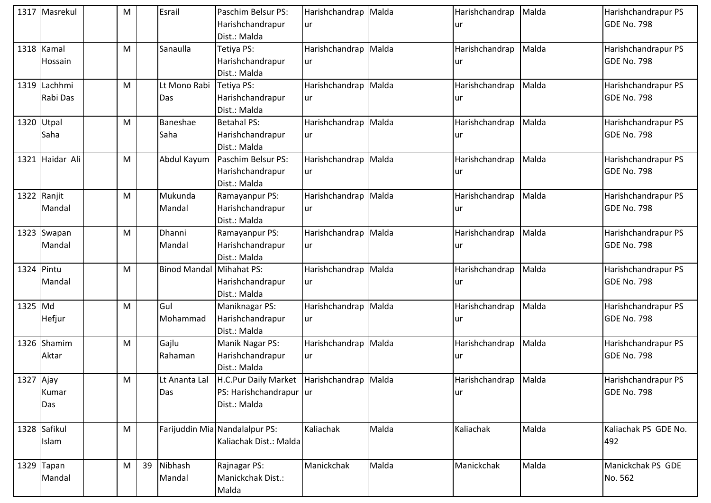|           | 1317 Masrekul   | M |    | Esrail                          | Paschim Belsur PS:                            | Harishchandrap Malda |       | Harishchandrap | Malda | Harishchandrapur PS  |
|-----------|-----------------|---|----|---------------------------------|-----------------------------------------------|----------------------|-------|----------------|-------|----------------------|
|           |                 |   |    |                                 | Harishchandrapur                              | lur                  |       | ur             |       | <b>GDE No. 798</b>   |
|           |                 |   |    |                                 | Dist.: Malda                                  |                      |       |                |       |                      |
|           | 1318 Kamal      | M |    | Sanaulla                        | Tetiya PS:                                    | Harishchandrap Malda |       | Harishchandrap | Malda | Harishchandrapur PS  |
|           | Hossain         |   |    |                                 | Harishchandrapur                              | lur                  |       | ur             |       | <b>GDE No. 798</b>   |
|           |                 |   |    |                                 | Dist.: Malda                                  |                      |       |                |       |                      |
|           | 1319 Lachhmi    | M |    | Lt Mono Rabi                    | Tetiya PS:                                    | Harishchandrap Malda |       | Harishchandrap | Malda | Harishchandrapur PS  |
|           | Rabi Das        |   |    | Das                             | Harishchandrapur                              | <b>ur</b>            |       | ur             |       | <b>GDE No. 798</b>   |
|           |                 |   |    |                                 | Dist.: Malda                                  |                      |       |                |       |                      |
|           | 1320 Utpal      | M |    | Baneshae                        | <b>Betahal PS:</b>                            | Harishchandrap Malda |       | Harishchandrap | Malda | Harishchandrapur PS  |
|           | Saha            |   |    | Saha                            | Harishchandrapur                              | lur                  |       | ur             |       | GDE No. 798          |
|           |                 |   |    |                                 | Dist.: Malda                                  |                      |       |                |       |                      |
|           | 1321 Haidar Ali | M |    | Abdul Kayum                     | Paschim Belsur PS:                            | Harishchandrap Malda |       | Harishchandrap | Malda | Harishchandrapur PS  |
|           |                 |   |    |                                 | Harishchandrapur                              | ur                   |       | ur             |       | GDE No. 798          |
|           |                 |   |    |                                 | Dist.: Malda                                  |                      |       |                |       |                      |
|           | 1322 Ranjit     | M |    | Mukunda                         | Ramayanpur PS:                                | Harishchandrap Malda |       | Harishchandrap | Malda | Harishchandrapur PS  |
|           | Mandal          |   |    | Mandal                          | Harishchandrapur                              | lur                  |       | ur             |       | <b>GDE No. 798</b>   |
|           |                 |   |    |                                 | Dist.: Malda                                  |                      |       |                |       |                      |
|           | 1323 Swapan     | M |    | Dhanni                          | Ramayanpur PS:                                | Harishchandrap Malda |       | Harishchandrap | Malda | Harishchandrapur PS  |
|           | Mandal          |   |    | Mandal                          | Harishchandrapur                              | lur                  |       | ur             |       | <b>GDE No. 798</b>   |
|           |                 |   |    |                                 | Dist.: Malda                                  |                      |       |                |       |                      |
|           | 1324 Pintu      | M |    | <b>Binod Mandal Mihahat PS:</b> |                                               | Harishchandrap Malda |       | Harishchandrap | Malda | Harishchandrapur PS  |
|           | Mandal          |   |    |                                 | Harishchandrapur                              | lur                  |       | ur             |       | GDE No. 798          |
|           |                 |   |    |                                 | Dist.: Malda                                  |                      |       |                |       |                      |
| 1325 Md   |                 | M |    | Gul                             | Maniknagar PS:                                | Harishchandrap Malda |       | Harishchandrap | Malda | Harishchandrapur PS  |
|           | Hefjur          |   |    | Mohammad                        | Harishchandrapur                              | ur                   |       | ur             |       | GDE No. 798          |
|           |                 |   |    |                                 | Dist.: Malda                                  |                      |       |                |       |                      |
|           | 1326 Shamim     | M |    | Gajlu                           | Manik Nagar PS:                               | Harishchandrap Malda |       | Harishchandrap | Malda | Harishchandrapur PS  |
|           | Aktar           |   |    | Rahaman                         | Harishchandrapur                              | lur                  |       | ur             |       | <b>GDE No. 798</b>   |
|           |                 |   |    |                                 | Dist.: Malda                                  |                      |       |                |       |                      |
| 1327 Ajay |                 | M |    | Lt Ananta Lal                   | H.C.Pur Daily Market   Harishchandrap   Malda |                      |       | Harishchandrap | Malda | Harishchandrapur PS  |
|           | Kumar           |   |    | Das                             | PS: Harishchandrapur ur                       |                      |       | ur             |       | <b>GDE No. 798</b>   |
|           | Das             |   |    |                                 | Dist.: Malda                                  |                      |       |                |       |                      |
|           |                 |   |    |                                 |                                               |                      |       |                |       |                      |
|           | 1328 Safikul    | M |    |                                 | Farijuddin Mia Nandalalpur PS:                | Kaliachak            | Malda | Kaliachak      | Malda | Kaliachak PS GDE No. |
|           | Islam           |   |    |                                 | Kaliachak Dist.: Malda                        |                      |       |                |       | 492                  |
|           |                 |   |    |                                 |                                               |                      |       |                |       |                      |
|           | 1329 Tapan      | M | 39 | Nibhash                         | Rajnagar PS:                                  | Manickchak           | Malda | Manickchak     | Malda | Manickchak PS GDE    |
|           | Mandal          |   |    | Mandal                          | Manickchak Dist.:                             |                      |       |                |       | No. 562              |
|           |                 |   |    |                                 | Malda                                         |                      |       |                |       |                      |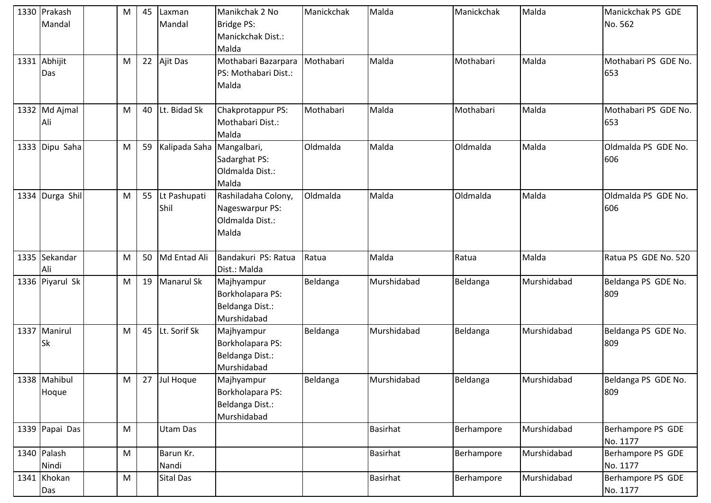| 1330 Prakash<br>Mandal    | M         | 45 | Laxman<br>Mandal          | Manikchak 2 No<br>Bridge PS:<br>Manickchak Dist.:<br>Malda         | Manickchak | Malda           | Manickchak | Malda       | Manickchak PS GDE<br>No. 562  |
|---------------------------|-----------|----|---------------------------|--------------------------------------------------------------------|------------|-----------------|------------|-------------|-------------------------------|
| 1331 Abhijit<br>Das       | M         | 22 | Ajit Das                  | Mothabari Bazarpara<br>PS: Mothabari Dist.:<br>Malda               | Mothabari  | Malda           | Mothabari  | Malda       | Mothabari PS GDE No.<br>653   |
| 1332 Md Ajmal<br>Ali      | M         | 40 | Lt. Bidad Sk              | Chakprotappur PS:<br>Mothabari Dist.:<br>Malda                     | Mothabari  | Malda           | Mothabari  | Malda       | Mothabari PS GDE No.<br>653   |
| 1333 Dipu Saha            | M         | 59 | Kalipada Saha Mangalbari, | Sadarghat PS:<br>Oldmalda Dist.:<br>Malda                          | Oldmalda   | Malda           | Oldmalda   | Malda       | Oldmalda PS GDE No.<br>606    |
| 1334 Durga Shill          | M         | 55 | Lt Pashupati<br>Shil      | Rashiladaha Colony,<br>Nageswarpur PS:<br>Oldmalda Dist.:<br>Malda | Oldmalda   | Malda           | Oldmalda   | Malda       | Oldmalda PS GDE No.<br>606    |
| 1335 Sekandar<br>Ali      | M         | 50 | Md Entad Ali              | Bandakuri PS: Ratua<br>Dist.: Malda                                | Ratua      | Malda           | Ratua      | Malda       | Ratua PS GDE No. 520          |
| 1336 Piyarul Sk           | M         | 19 | Manarul Sk                | Majhyampur<br>Borkholapara PS:<br>Beldanga Dist.:<br>Murshidabad   | Beldanga   | Murshidabad     | Beldanga   | Murshidabad | Beldanga PS GDE No.<br>809    |
| 1337 Manirul<br><b>Sk</b> | M         | 45 | Lt. Sorif Sk              | Majhyampur<br>Borkholapara PS:<br>Beldanga Dist.:<br>Murshidabad   | Beldanga   | Murshidabad     | Beldanga   | Murshidabad | Beldanga PS GDE No.<br>809    |
| 1338 Mahibul<br>Hoque     | M         | 27 | Jul Hoque                 | Majhyampur<br>Borkholapara PS:<br>Beldanga Dist.:<br>Murshidabad   | Beldanga   | Murshidabad     | Beldanga   | Murshidabad | Beldanga PS GDE No.<br>809    |
| 1339 Papai Das            | M         |    | Utam Das                  |                                                                    |            | <b>Basirhat</b> | Berhampore | Murshidabad | Berhampore PS GDE<br>No. 1177 |
| 1340 Palash<br>Nindi      | M         |    | Barun Kr.<br>Nandi        |                                                                    |            | <b>Basirhat</b> | Berhampore | Murshidabad | Berhampore PS GDE<br>No. 1177 |
| 1341 Khokan<br>Das        | ${\sf M}$ |    | <b>Sital Das</b>          |                                                                    |            | <b>Basirhat</b> | Berhampore | Murshidabad | Berhampore PS GDE<br>No. 1177 |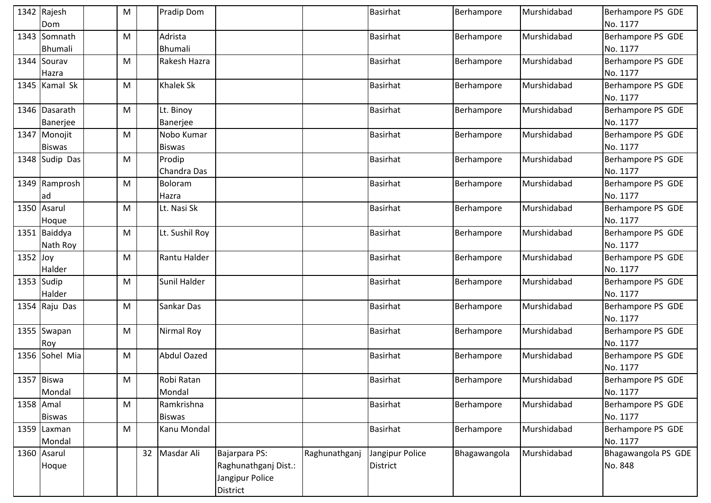|            | 1342 Rajesh      | M |    | <b>Pradip Dom</b>  |                      |               | <b>Basirhat</b> | Berhampore   | Murshidabad | Berhampore PS GDE   |
|------------|------------------|---|----|--------------------|----------------------|---------------|-----------------|--------------|-------------|---------------------|
|            | Dom              |   |    |                    |                      |               |                 |              |             | No. 1177            |
|            | 1343 Somnath     | M |    | Adrista            |                      |               | <b>Basirhat</b> | Berhampore   | Murshidabad | Berhampore PS GDE   |
|            | <b>Bhumali</b>   |   |    | <b>Bhumali</b>     |                      |               |                 |              |             | No. 1177            |
|            | 1344 Sourav      | M |    | Rakesh Hazra       |                      |               | <b>Basirhat</b> | Berhampore   | Murshidabad | Berhampore PS GDE   |
|            | Hazra            |   |    |                    |                      |               |                 |              |             | No. 1177            |
|            | 1345 Kamal Sk    | M |    | <b>Khalek Sk</b>   |                      |               | Basirhat        | Berhampore   | Murshidabad | Berhampore PS GDE   |
|            |                  |   |    |                    |                      |               |                 |              |             | No. 1177            |
|            | 1346 Dasarath    | M |    | Lt. Binoy          |                      |               | <b>Basirhat</b> | Berhampore   | Murshidabad | Berhampore PS GDE   |
|            | Banerjee         |   |    | Banerjee           |                      |               |                 |              |             | No. 1177            |
|            | 1347 Monojit     | M |    | Nobo Kumar         |                      |               | Basirhat        | Berhampore   | Murshidabad | Berhampore PS GDE   |
|            | <b>Biswas</b>    |   |    | <b>Biswas</b>      |                      |               |                 |              |             | No. 1177            |
|            | 1348 Sudip Das   | M |    | Prodip             |                      |               | Basirhat        | Berhampore   | Murshidabad | Berhampore PS GDE   |
|            |                  |   |    | Chandra Das        |                      |               |                 |              |             | No. 1177            |
|            | 1349 Ramprosh    | M |    | Boloram            |                      |               | <b>Basirhat</b> | Berhampore   | Murshidabad | Berhampore PS GDE   |
|            | ad               |   |    | Hazra              |                      |               |                 |              |             | No. 1177            |
|            | 1350 Asarul      | M |    | Lt. Nasi Sk        |                      |               | <b>Basirhat</b> | Berhampore   | Murshidabad | Berhampore PS GDE   |
|            | Hoque            |   |    |                    |                      |               |                 |              |             | No. 1177            |
|            | 1351 Baiddya     | M |    | Lt. Sushil Roy     |                      |               | <b>Basirhat</b> | Berhampore   | Murshidabad | Berhampore PS GDE   |
|            | Nath Roy         |   |    |                    |                      |               |                 |              |             | No. 1177            |
| $1352$ Joy |                  | M |    | Rantu Halder       |                      |               | <b>Basirhat</b> | Berhampore   | Murshidabad | Berhampore PS GDE   |
|            | Halder           |   |    |                    |                      |               |                 |              |             | No. 1177            |
|            | $1353$ Sudip     | M |    | Sunil Halder       |                      |               | Basirhat        | Berhampore   | Murshidabad | Berhampore PS GDE   |
|            | Halder           |   |    |                    |                      |               |                 |              |             | No. 1177            |
|            | 1354 $R$ aju Das | M |    | Sankar Das         |                      |               | <b>Basirhat</b> | Berhampore   | Murshidabad | Berhampore PS GDE   |
|            |                  |   |    |                    |                      |               |                 |              |             | No. 1177            |
|            | 1355 Swapan      | M |    | Nirmal Roy         |                      |               | <b>Basirhat</b> | Berhampore   | Murshidabad | Berhampore PS GDE   |
|            | Roy              |   |    |                    |                      |               |                 |              |             | No. 1177            |
|            | 1356 Sohel Mia   | M |    | <b>Abdul Oazed</b> |                      |               | <b>Basirhat</b> | Berhampore   | Murshidabad | Berhampore PS GDE   |
|            |                  |   |    |                    |                      |               |                 |              |             | No. 1177            |
|            | 1357 Biswa       | M |    | Robi Ratan         |                      |               | <b>Basirhat</b> | Berhampore   | Murshidabad | Berhampore PS GDE   |
|            | Mondal           |   |    | Mondal             |                      |               |                 |              |             | No. 1177            |
|            | 1358 Amal        | M |    | Ramkrishna         |                      |               | <b>Basirhat</b> | Berhampore   | Murshidabad | Berhampore PS GDE   |
|            | <b>Biswas</b>    |   |    | <b>Biswas</b>      |                      |               |                 |              |             | No. 1177            |
|            | 1359 Laxman      | M |    | Kanu Mondal        |                      |               | <b>Basirhat</b> | Berhampore   | Murshidabad | Berhampore PS GDE   |
|            | Mondal           |   |    |                    |                      |               |                 |              |             | No. 1177            |
|            | 1360 Asarul      |   | 32 | Masdar Ali         | Bajarpara PS:        | Raghunathganj | Jangipur Police | Bhagawangola | Murshidabad | Bhagawangola PS GDE |
|            | Hoque            |   |    |                    | Raghunathganj Dist.: |               | <b>District</b> |              |             | No. 848             |
|            |                  |   |    |                    | Jangipur Police      |               |                 |              |             |                     |
|            |                  |   |    |                    | <b>District</b>      |               |                 |              |             |                     |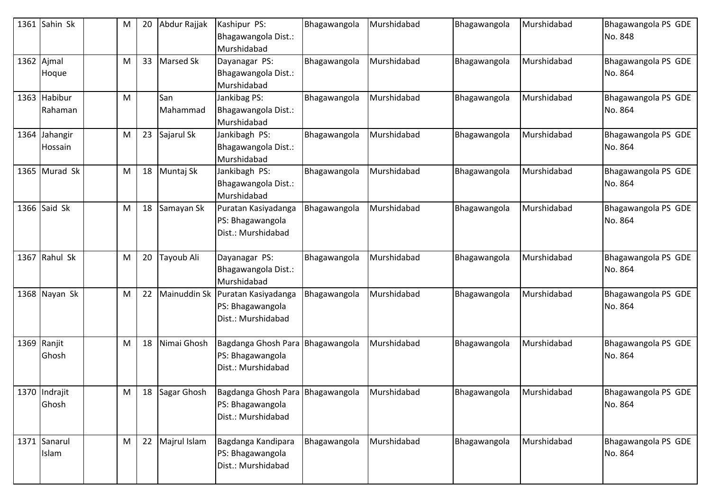| 1361 Sahin Sk            | M | 20 | Abdur Rajjak    | Kashipur PS:<br>Bhagawangola Dist.:<br>Murshidabad                         | Bhagawangola | Murshidabad | Bhagawangola | Murshidabad | Bhagawangola PS GDE<br>No. 848 |
|--------------------------|---|----|-----------------|----------------------------------------------------------------------------|--------------|-------------|--------------|-------------|--------------------------------|
| 1362 Ajmal<br>Hoque      | M | 33 | Marsed Sk       | Dayanagar PS:<br>Bhagawangola Dist.:<br>Murshidabad                        | Bhagawangola | Murshidabad | Bhagawangola | Murshidabad | Bhagawangola PS GDE<br>No. 864 |
| 1363 Habibur<br>Rahaman  | M |    | San<br>Mahammad | Jankibag PS:<br>Bhagawangola Dist.:<br>Murshidabad                         | Bhagawangola | Murshidabad | Bhagawangola | Murshidabad | Bhagawangola PS GDE<br>No. 864 |
| 1364 Jahangir<br>Hossain | M | 23 | Sajarul Sk      | Jankibagh PS:<br>Bhagawangola Dist.:<br>Murshidabad                        | Bhagawangola | Murshidabad | Bhagawangola | Murshidabad | Bhagawangola PS GDE<br>No. 864 |
| 1365 Murad Sk            | M |    | 18 Muntaj Sk    | Jankibagh PS:<br>Bhagawangola Dist.:<br>Murshidabad                        | Bhagawangola | Murshidabad | Bhagawangola | Murshidabad | Bhagawangola PS GDE<br>No. 864 |
| 1366 Said Sk             | M | 18 | Samayan Sk      | Puratan Kasiyadanga<br>PS: Bhagawangola<br>Dist.: Murshidabad              | Bhagawangola | Murshidabad | Bhagawangola | Murshidabad | Bhagawangola PS GDE<br>No. 864 |
| 1367 Rahul Sk            | M | 20 | Tayoub Ali      | Dayanagar PS:<br>Bhagawangola Dist.:<br>Murshidabad                        | Bhagawangola | Murshidabad | Bhagawangola | Murshidabad | Bhagawangola PS GDE<br>No. 864 |
| 1368 Nayan Sk            | M | 22 |                 | Mainuddin Sk Puratan Kasiyadanga<br>PS: Bhagawangola<br>Dist.: Murshidabad | Bhagawangola | Murshidabad | Bhagawangola | Murshidabad | Bhagawangola PS GDE<br>No. 864 |
| 1369 Ranjit<br>Ghosh     | M | 18 | Nimai Ghosh     | Bagdanga Ghosh Para Bhagawangola<br>PS: Bhagawangola<br>Dist.: Murshidabad |              | Murshidabad | Bhagawangola | Murshidabad | Bhagawangola PS GDE<br>No. 864 |
| 1370 Indrajit<br>Ghosh   | M | 18 | Sagar Ghosh     | Bagdanga Ghosh Para Bhagawangola<br>PS: Bhagawangola<br>Dist.: Murshidabad |              | Murshidabad | Bhagawangola | Murshidabad | Bhagawangola PS GDE<br>No. 864 |
| 1371 Sanarul<br>Islam    | M |    | 22 Majrul Islam | Bagdanga Kandipara<br>PS: Bhagawangola<br>Dist.: Murshidabad               | Bhagawangola | Murshidabad | Bhagawangola | Murshidabad | Bhagawangola PS GDE<br>No. 864 |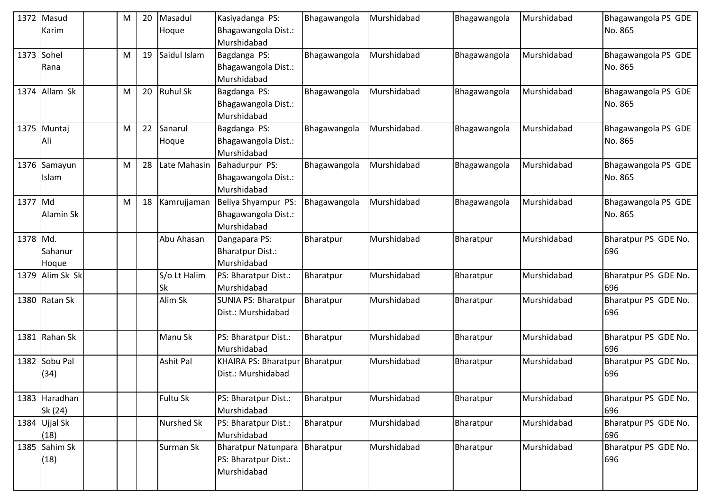| 1372     | Masud<br>Karim           | M         | 20 | Masadul<br>Hoque          | Kasiyadanga PS:<br>Bhagawangola Dist.:<br>Murshidabad             | Bhagawangola | Murshidabad | Bhagawangola | Murshidabad | Bhagawangola PS GDE<br>No. 865 |
|----------|--------------------------|-----------|----|---------------------------|-------------------------------------------------------------------|--------------|-------------|--------------|-------------|--------------------------------|
|          | 1373 Sohel<br>Rana       | M         | 19 | Saidul Islam              | Bagdanga PS:<br>Bhagawangola Dist.:<br>Murshidabad                | Bhagawangola | Murshidabad | Bhagawangola | Murshidabad | Bhagawangola PS GDE<br>No. 865 |
|          | 1374 Allam Sk            | M         | 20 | <b>Ruhul Sk</b>           | Bagdanga PS:<br>Bhagawangola Dist.:<br>Murshidabad                | Bhagawangola | Murshidabad | Bhagawangola | Murshidabad | Bhagawangola PS GDE<br>No. 865 |
|          | 1375 Muntaj<br>Ali       | ${\sf M}$ | 22 | Sanarul<br>Hoque          | Bagdanga PS:<br>Bhagawangola Dist.:<br>Murshidabad                | Bhagawangola | Murshidabad | Bhagawangola | Murshidabad | Bhagawangola PS GDE<br>No. 865 |
|          | 1376 Samayun<br>Islam    | M         | 28 | Late Mahasin              | Bahadurpur PS:<br>Bhagawangola Dist.:<br>Murshidabad              | Bhagawangola | Murshidabad | Bhagawangola | Murshidabad | Bhagawangola PS GDE<br>No. 865 |
| 1377 Md  | Alamin Sk                | ${\sf M}$ | 18 | Kamrujjaman               | Beliya Shyampur PS:<br>Bhagawangola Dist.:<br>Murshidabad         | Bhagawangola | Murshidabad | Bhagawangola | Murshidabad | Bhagawangola PS GDE<br>No. 865 |
| 1378 Md. | Sahanur<br>Hoque         |           |    | Abu Ahasan                | Dangapara PS:<br><b>Bharatpur Dist.:</b><br>Murshidabad           | Bharatpur    | Murshidabad | Bharatpur    | Murshidabad | Bharatpur PS GDE No.<br>696    |
|          | 1379 Alim Sk Sk          |           |    | S/o Lt Halim<br><b>Sk</b> | PS: Bharatpur Dist.:<br>Murshidabad                               | Bharatpur    | Murshidabad | Bharatpur    | Murshidabad | Bharatpur PS GDE No.<br>696    |
|          | 1380 Ratan Sk            |           |    | Alim Sk                   | <b>SUNIA PS: Bharatpur</b><br>Dist.: Murshidabad                  | Bharatpur    | Murshidabad | Bharatpur    | Murshidabad | Bharatpur PS GDE No.<br>696    |
| 1381     | Rahan Sk                 |           |    | Manu Sk                   | PS: Bharatpur Dist.:<br>Murshidabad                               | Bharatpur    | Murshidabad | Bharatpur    | Murshidabad | Bharatpur PS GDE No.<br>696    |
|          | 1382 Sobu Pal<br>(34)    |           |    | <b>Ashit Pal</b>          | <b>KHAIRA PS: Bharatpur</b><br>Dist.: Murshidabad                 | Bharatpur    | Murshidabad | Bharatpur    | Murshidabad | Bharatpur PS GDE No.<br>696    |
|          | 1383 Haradhan<br>Sk (24) |           |    | Fultu Sk                  | PS: Bharatpur Dist.:<br>Murshidabad                               | Bharatpur    | Murshidabad | Bharatpur    | Murshidabad | Bharatpur PS GDE No.<br>696    |
|          | 1384 Ujjal Sk<br>(18)    |           |    | <b>Nurshed Sk</b>         | PS: Bharatpur Dist.:<br>Murshidabad                               | Bharatpur    | Murshidabad | Bharatpur    | Murshidabad | Bharatpur PS GDE No.<br>696    |
|          | 1385 Sahim Sk<br>(18)    |           |    | Surman Sk                 | <b>Bharatpur Natunpara</b><br>PS: Bharatpur Dist.:<br>Murshidabad | Bharatpur    | Murshidabad | Bharatpur    | Murshidabad | Bharatpur PS GDE No.<br>696    |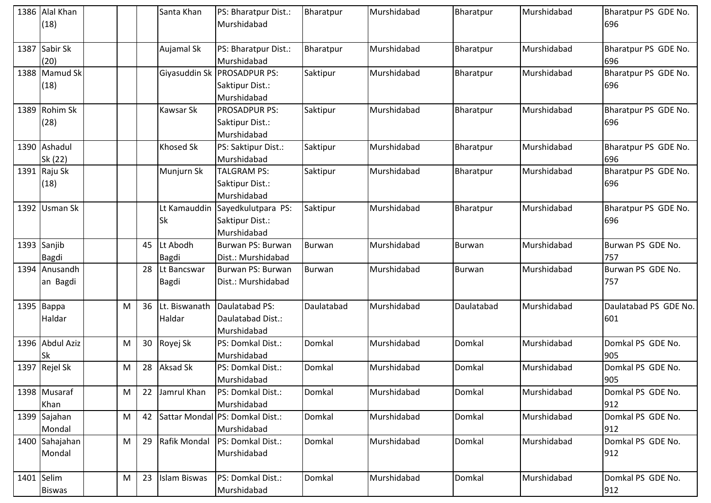|      | 1386 Alal Khan  |   |    | Santa Khan          | PS: Bharatpur Dist.:            | Bharatpur     | Murshidabad | Bharatpur     | Murshidabad | Bharatpur PS GDE No.  |
|------|-----------------|---|----|---------------------|---------------------------------|---------------|-------------|---------------|-------------|-----------------------|
|      | (18)            |   |    |                     | Murshidabad                     |               |             |               |             | 696                   |
| 1387 | Sabir Sk        |   |    | Aujamal Sk          | PS: Bharatpur Dist.:            | Bharatpur     | Murshidabad | Bharatpur     | Murshidabad | Bharatpur PS GDE No.  |
|      | (20)            |   |    |                     | Murshidabad                     |               |             |               |             | 696                   |
|      | 1388 Mamud Sk   |   |    | Giyasuddin Sk       | <b>PROSADPUR PS:</b>            | Saktipur      | Murshidabad | Bharatpur     | Murshidabad | Bharatpur PS GDE No.  |
|      | (18)            |   |    |                     | Saktipur Dist.:                 |               |             |               |             | 696                   |
|      |                 |   |    |                     | Murshidabad                     |               |             |               |             |                       |
|      | 1389 Rohim Sk   |   |    | <b>Kawsar Sk</b>    | <b>PROSADPUR PS:</b>            | Saktipur      | Murshidabad | Bharatpur     | Murshidabad | Bharatpur PS GDE No.  |
|      | (28)            |   |    |                     | Saktipur Dist.:                 |               |             |               |             | 696                   |
|      |                 |   |    |                     | Murshidabad                     |               |             |               |             |                       |
|      | 1390 Ashadul    |   |    | <b>Khosed Sk</b>    | PS: Saktipur Dist.:             | Saktipur      | Murshidabad | Bharatpur     | Murshidabad | Bharatpur PS GDE No.  |
|      | Sk (22)         |   |    |                     | Murshidabad                     |               |             |               |             | 696                   |
|      | 1391 Raju Sk    |   |    | Munjurn Sk          | <b>TALGRAM PS:</b>              | Saktipur      | Murshidabad | Bharatpur     | Murshidabad | Bharatpur PS GDE No.  |
|      | (18)            |   |    |                     | Saktipur Dist.:                 |               |             |               |             | 696                   |
|      |                 |   |    |                     | Murshidabad                     |               |             |               |             |                       |
|      | 1392 Usman Sk   |   |    | Lt Kamauddin        | Sayedkulutpara PS:              | Saktipur      | Murshidabad | Bharatpur     | Murshidabad | Bharatpur PS GDE No.  |
|      |                 |   |    | <b>Sk</b>           | Saktipur Dist.:                 |               |             |               |             | 696                   |
|      |                 |   |    |                     | Murshidabad                     |               |             |               |             |                       |
|      | 1393 Sanjib     |   | 45 | Lt Abodh            | Burwan PS: Burwan               | <b>Burwan</b> | Murshidabad | <b>Burwan</b> | Murshidabad | Burwan PS GDE No.     |
|      | <b>Bagdi</b>    |   |    | <b>Bagdi</b>        | Dist.: Murshidabad              |               |             |               |             | 757                   |
|      | 1394 Anusandh   |   | 28 | Lt Bancswar         | Burwan PS: Burwan               | Burwan        | Murshidabad | <b>Burwan</b> | Murshidabad | Burwan PS GDE No.     |
|      | an Bagdi        |   |    | <b>Bagdi</b>        | Dist.: Murshidabad              |               |             |               |             | 757                   |
|      | 1395 Bappa      | M | 36 | Lt. Biswanath       | Daulatabad PS:                  | Daulatabad    | Murshidabad | Daulatabad    | Murshidabad | Daulatabad PS GDE No. |
|      | Haldar          |   |    | Haldar              | Daulatabad Dist.:               |               |             |               |             | 601                   |
|      |                 |   |    |                     | Murshidabad                     |               |             |               |             |                       |
|      | 1396 Abdul Aziz | M | 30 | Royej Sk            | PS: Domkal Dist.:               | Domkal        | Murshidabad | Domkal        | Murshidabad | Domkal PS GDE No.     |
|      | <b>Sk</b>       |   |    |                     | Murshidabad                     |               |             |               |             | 905                   |
|      | 1397 Rejel Sk   | M | 28 | <b>Aksad Sk</b>     | PS: Domkal Dist.:               | Domkal        | Murshidabad | Domkal        | Murshidabad | Domkal PS GDE No.     |
|      |                 |   |    |                     | Murshidabad                     |               |             |               |             | 905                   |
|      | 1398 Musaraf    | M | 22 | Jamrul Khan         | PS: Domkal Dist.:               | Domkal        | Murshidabad | Domkal        | Murshidabad | Domkal PS GDE No.     |
|      | Khan            |   |    |                     | Murshidabad                     |               |             |               |             | 912                   |
|      | 1399 Sajahan    | M | 42 |                     | Sattar Mondal PS: Domkal Dist.: | Domkal        | Murshidabad | Domkal        | Murshidabad | Domkal PS GDE No.     |
|      | Mondal          |   |    |                     | Murshidabad                     |               |             |               |             | 912                   |
|      | 1400 Sahajahan  | M | 29 | Rafik Mondal        | PS: Domkal Dist.:               | Domkal        | Murshidabad | Domkal        | Murshidabad | Domkal PS GDE No.     |
|      | Mondal          |   |    |                     | Murshidabad                     |               |             |               |             | 912                   |
|      |                 |   |    |                     |                                 |               |             |               |             |                       |
|      | 1401 Selim      | M | 23 | <b>Islam Biswas</b> | PS: Domkal Dist.:               | Domkal        | Murshidabad | Domkal        | Murshidabad | Domkal PS GDE No.     |
|      | <b>Biswas</b>   |   |    |                     | Murshidabad                     |               |             |               |             | 912                   |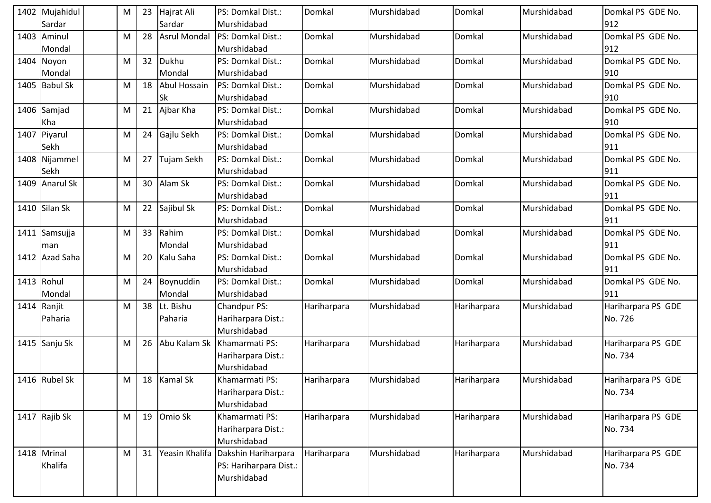| 1402 Mujahidul | M | 23 | Hajrat Ali          | PS: Domkal Dist.:      | Domkal      | Murshidabad | Domkal      | Murshidabad | Domkal PS GDE No.  |
|----------------|---|----|---------------------|------------------------|-------------|-------------|-------------|-------------|--------------------|
| Sardar         |   |    | Sardar              | Murshidabad            |             |             |             |             | 912                |
| 1403 Aminul    | M | 28 | <b>Asrul Mondal</b> | PS: Domkal Dist.:      | Domkal      | Murshidabad | Domkal      | Murshidabad | Domkal PS GDE No.  |
| Mondal         |   |    |                     | Murshidabad            |             |             |             |             | 912                |
| 1404 Noyon     | M | 32 | Dukhu               | PS: Domkal Dist.:      | Domkal      | Murshidabad | Domkal      | Murshidabad | Domkal PS GDE No.  |
| Mondal         |   |    | Mondal              | Murshidabad            |             |             |             |             | 910                |
| 1405 Babul Sk  | M | 18 | Abul Hossain        | PS: Domkal Dist.:      | Domkal      | Murshidabad | Domkal      | Murshidabad | Domkal PS GDE No.  |
|                |   |    | <b>Sk</b>           | Murshidabad            |             |             |             |             | 910                |
| 1406 Samjad    | M | 21 | Ajbar Kha           | PS: Domkal Dist.:      | Domkal      | Murshidabad | Domkal      | Murshidabad | Domkal PS GDE No.  |
| Kha            |   |    |                     | Murshidabad            |             |             |             |             | 910                |
| 1407 Piyarul   | M | 24 | Gajlu Sekh          | PS: Domkal Dist.:      | Domkal      | Murshidabad | Domkal      | Murshidabad | Domkal PS GDE No.  |
| Sekh           |   |    |                     | Murshidabad            |             |             |             |             | 911                |
| 1408 Nijammel  | M | 27 | Tujam Sekh          | PS: Domkal Dist.:      | Domkal      | Murshidabad | Domkal      | Murshidabad | Domkal PS GDE No.  |
| Sekh           |   |    |                     | Murshidabad            |             |             |             |             | 911                |
| 1409 Anarul Sk | M | 30 | Alam Sk             | PS: Domkal Dist.:      | Domkal      | Murshidabad | Domkal      | Murshidabad | Domkal PS GDE No.  |
|                |   |    |                     | Murshidabad            |             |             |             |             | 911                |
| 1410 Silan Sk  | M | 22 | Sajibul Sk          | PS: Domkal Dist.:      | Domkal      | Murshidabad | Domkal      | Murshidabad | Domkal PS GDE No.  |
|                |   |    |                     | Murshidabad            |             |             |             |             | 911                |
| 1411 Samsujja  | M | 33 | Rahim               | PS: Domkal Dist.:      | Domkal      | Murshidabad | Domkal      | Murshidabad | Domkal PS GDE No.  |
| man            |   |    | Mondal              | Murshidabad            |             |             |             |             | 911                |
| 1412 Azad Saha | M | 20 | Kalu Saha           | PS: Domkal Dist.:      | Domkal      | Murshidabad | Domkal      | Murshidabad | Domkal PS GDE No.  |
|                |   |    |                     | Murshidabad            |             |             |             |             | 911                |
| 1413 Rohul     | M | 24 | Boynuddin           | PS: Domkal Dist.:      | Domkal      | Murshidabad | Domkal      | Murshidabad | Domkal PS GDE No.  |
| Mondal         |   |    | Mondal              | Murshidabad            |             |             |             |             | 911                |
| 1414 Ranjit    | M | 38 | Lt. Bishu           | Chandpur PS:           | Hariharpara | Murshidabad | Hariharpara | Murshidabad | Hariharpara PS GDE |
| Paharia        |   |    | Paharia             | Hariharpara Dist.:     |             |             |             |             | No. 726            |
|                |   |    |                     | Murshidabad            |             |             |             |             |                    |
| 1415 Sanju Sk  | M | 26 | Abu Kalam Sk        | Khamarmati PS:         | Hariharpara | Murshidabad | Hariharpara | Murshidabad | Hariharpara PS GDE |
|                |   |    |                     | Hariharpara Dist.:     |             |             |             |             | No. 734            |
|                |   |    |                     | Murshidabad            |             |             |             |             |                    |
| 1416 Rubel Sk  | M |    | 18 Kamal Sk         | Khamarmati PS:         | Hariharpara | Murshidabad | Hariharpara | Murshidabad | Hariharpara PS GDE |
|                |   |    |                     | Hariharpara Dist.:     |             |             |             |             | No. 734            |
|                |   |    |                     | Murshidabad            |             |             |             |             |                    |
| 1417 Rajib Sk  | M | 19 | Omio Sk             | Khamarmati PS:         | Hariharpara | Murshidabad | Hariharpara | Murshidabad | Hariharpara PS GDE |
|                |   |    |                     | Hariharpara Dist.:     |             |             |             |             | No. 734            |
|                |   |    |                     | Murshidabad            |             |             |             |             |                    |
| 1418 Mrinal    | M | 31 | Yeasin Khalifa      | Dakshin Hariharpara    | Hariharpara | Murshidabad | Hariharpara | Murshidabad | Hariharpara PS GDE |
| Khalifa        |   |    |                     | PS: Hariharpara Dist.: |             |             |             |             | No. 734            |
|                |   |    |                     | Murshidabad            |             |             |             |             |                    |
|                |   |    |                     |                        |             |             |             |             |                    |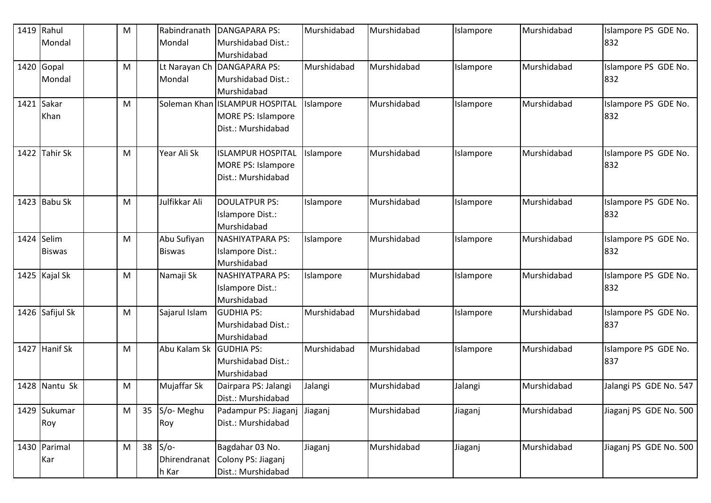|      | 1419 Rahul      | M |    | Rabindranath  | <b>DANGAPARA PS:</b>                    | Murshidabad | Murshidabad | Islampore | Murshidabad | Islampore PS GDE No.        |
|------|-----------------|---|----|---------------|-----------------------------------------|-------------|-------------|-----------|-------------|-----------------------------|
|      | Mondal          |   |    | Mondal        | Murshidabad Dist.:                      |             |             |           |             | 832                         |
|      |                 |   |    |               | Murshidabad                             |             |             |           |             |                             |
|      | 1420 Gopal      | M |    |               | Lt Narayan Ch   DANGAPARA PS:           | Murshidabad | Murshidabad | Islampore | Murshidabad | Islampore PS GDE No.        |
|      | Mondal          |   |    | Mondal        | Murshidabad Dist.:                      |             |             |           |             | 832                         |
|      |                 |   |    |               | Murshidabad                             |             |             |           |             |                             |
|      | 1421 Sakar      | M |    |               | Soleman Khan ISLAMPUR HOSPITAL          | Islampore   | Murshidabad | Islampore | Murshidabad | Islampore PS GDE No.        |
|      | Khan            |   |    |               | <b>MORE PS: Islampore</b>               |             |             |           |             | 832                         |
|      |                 |   |    |               | Dist.: Murshidabad                      |             |             |           |             |                             |
|      | 1422 Tahir Sk   | M |    | Year Ali Sk   | <b>ISLAMPUR HOSPITAL</b>                | Islampore   | Murshidabad | Islampore | Murshidabad | Islampore PS GDE No.        |
|      |                 |   |    |               | <b>MORE PS: Islampore</b>               |             |             |           |             | 832                         |
|      |                 |   |    |               | Dist.: Murshidabad                      |             |             |           |             |                             |
|      | 1423 Babu Sk    | M |    | Julfikkar Ali | <b>DOULATPUR PS:</b>                    | Islampore   | Murshidabad | Islampore | Murshidabad | Islampore PS GDE No.        |
|      |                 |   |    |               | Islampore Dist.:                        |             |             |           |             | 832                         |
|      |                 |   |    |               | Murshidabad                             |             |             |           |             |                             |
| 1424 | Selim           | M |    | Abu Sufiyan   | <b>NASHIYATPARA PS:</b>                 | Islampore   | Murshidabad | Islampore | Murshidabad | Islampore PS GDE No.        |
|      | <b>Biswas</b>   |   |    | <b>Biswas</b> | Islampore Dist.:                        |             |             |           |             | 832                         |
|      |                 |   |    |               | Murshidabad                             |             |             |           |             |                             |
|      | 1425 Kajal Sk   | M |    | Namaji Sk     | <b>NASHIYATPARA PS:</b>                 | Islampore   | Murshidabad | Islampore | Murshidabad | Islampore PS GDE No.        |
|      |                 |   |    |               | Islampore Dist.:                        |             |             |           |             | 832                         |
|      |                 |   |    |               | Murshidabad                             |             |             |           |             |                             |
| 1426 | Safijul Sk      | M |    | Sajarul Islam | <b>GUDHIA PS:</b>                       | Murshidabad | Murshidabad | Islampore | Murshidabad | Islampore PS GDE No.        |
|      |                 |   |    |               | Murshidabad Dist.:                      |             |             |           |             | 837                         |
|      |                 |   |    |               | Murshidabad                             |             |             |           |             |                             |
| 1427 | <b>Hanif Sk</b> | M |    | Abu Kalam Sk  | <b>GUDHIA PS:</b><br>Murshidabad Dist.: | Murshidabad | Murshidabad | Islampore | Murshidabad | Islampore PS GDE No.<br>837 |
|      |                 |   |    |               | Murshidabad                             |             |             |           |             |                             |
| 1428 | Nantu Sk        | M |    | Mujaffar Sk   | Dairpara PS: Jalangi                    | Jalangi     | Murshidabad | Jalangi   | Murshidabad | Jalangi PS GDE No. 547      |
|      |                 |   |    |               | Dist.: Murshidabad                      |             |             |           |             |                             |
|      | 1429 Sukumar    | M | 35 | S/o-Meghu     | Padampur PS: Jiaganj                    | Jiaganj     | Murshidabad | Jiaganj   | Murshidabad | Jiaganj PS GDE No. 500      |
|      | Roy             |   |    | Roy           | Dist.: Murshidabad                      |             |             |           |             |                             |
|      |                 |   |    |               |                                         |             |             |           |             |                             |
|      | 1430 Parimal    | M | 38 | $S/O-$        | Bagdahar 03 No.                         | Jiaganj     | Murshidabad | Jiaganj   | Murshidabad | Jiaganj PS GDE No. 500      |
|      | Kar             |   |    | Dhirendranat  | Colony PS: Jiaganj                      |             |             |           |             |                             |
|      |                 |   |    | h Kar         | Dist.: Murshidabad                      |             |             |           |             |                             |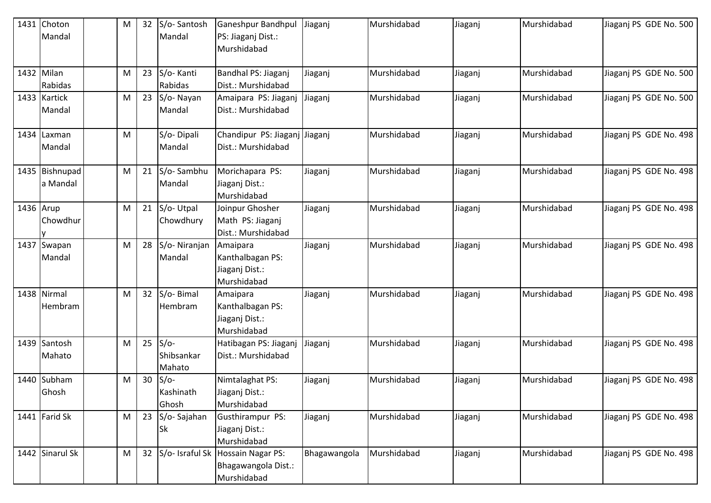| 1431 Choton<br>Mandal      | M | 32 | S/o-Santosh<br>Mandal          | <b>Ganeshpur Bandhpul</b><br>PS: Jiaganj Dist.:                | Jiaganj      | Murshidabad | Jiaganj | Murshidabad | Jiaganj PS GDE No. 500 |
|----------------------------|---|----|--------------------------------|----------------------------------------------------------------|--------------|-------------|---------|-------------|------------------------|
|                            |   |    |                                | Murshidabad                                                    |              |             |         |             |                        |
| 1432 Milan<br>Rabidas      | M | 23 | S/o-Kanti<br>Rabidas           | Bandhal PS: Jiaganj<br>Dist.: Murshidabad                      | Jiaganj      | Murshidabad | Jiaganj | Murshidabad | Jiaganj PS GDE No. 500 |
| 1433 Kartick<br>Mandal     | M | 23 | S/o-Nayan<br>Mandal            | Amaipara PS: Jiaganj<br>Dist.: Murshidabad                     | Jiaganj      | Murshidabad | Jiaganj | Murshidabad | Jiaganj PS GDE No. 500 |
| 1434 Laxman<br>Mandal      | M |    | S/o-Dipali<br>Mandal           | Chandipur PS: Jiaganj Jiaganj<br>Dist.: Murshidabad            |              | Murshidabad | Jiaganj | Murshidabad | Jiaganj PS GDE No. 498 |
| 1435 Bishnupad<br>a Mandal | M | 21 | S/o-Sambhu<br>Mandal           | Morichapara PS:<br>Jiaganj Dist.:<br>Murshidabad               | Jiaganj      | Murshidabad | Jiaganj | Murshidabad | Jiaganj PS GDE No. 498 |
| 1436 Arup<br>Chowdhur      | M | 21 | S/o-Utpal<br>Chowdhury         | Joinpur Ghosher<br>Math PS: Jiaganj<br>Dist.: Murshidabad      | Jiaganj      | Murshidabad | Jiaganj | Murshidabad | Jiaganj PS GDE No. 498 |
| 1437 Swapan<br>Mandal      | M | 28 | S/o-Niranjan<br>Mandal         | Amaipara<br>Kanthalbagan PS:<br>Jiaganj Dist.:<br>Murshidabad  | Jiaganj      | Murshidabad | Jiaganj | Murshidabad | Jiaganj PS GDE No. 498 |
| 1438 Nirmal<br>Hembram     | M | 32 | S/o-Bimal<br>Hembram           | Amaipara<br>Kanthalbagan PS:<br>Jiaganj Dist.:<br>Murshidabad  | Jiaganj      | Murshidabad | Jiaganj | Murshidabad | Jiaganj PS GDE No. 498 |
| 1439 Santosh<br>Mahato     | M | 25 | $S/O-$<br>Shibsankar<br>Mahato | Hatibagan PS: Jiaganj<br>Dist.: Murshidabad                    | Jiaganj      | Murshidabad | Jiaganj | Murshidabad | Jiaganj PS GDE No. 498 |
| 1440 Subham<br>Ghosh       | M | 30 | $S/O-$<br>Kashinath<br>Ghosh   | Nimtalaghat PS:<br>Jiaganj Dist.:<br>Murshidabad               | Jiaganj      | Murshidabad | Jiaganj | Murshidabad | Jiaganj PS GDE No. 498 |
| 1441 Farid Sk              | M | 23 | S/o-Sajahan<br><b>Sk</b>       | Gusthirampur PS:<br>Jiaganj Dist.:<br>Murshidabad              | Jiaganj      | Murshidabad | Jiaganj | Murshidabad | Jiaganj PS GDE No. 498 |
| 1442 Sinarul Sk            | M | 32 | S/o- Israful Sk                | <b>Hossain Nagar PS:</b><br>Bhagawangola Dist.:<br>Murshidabad | Bhagawangola | Murshidabad | Jiaganj | Murshidabad | Jiaganj PS GDE No. 498 |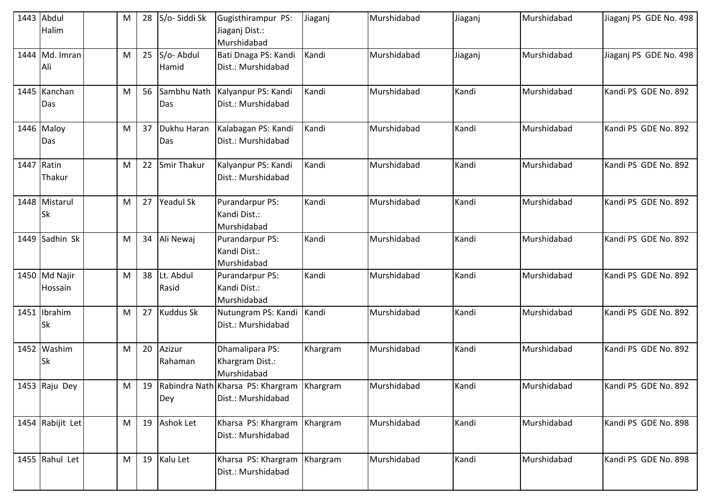|      | 1443 Abdul<br>Halim         | M | 28 | S/o-Siddi Sk       | Gugisthirampur PS:<br>Jiaganj Dist.:<br>Murshidabad              | Jiaganj  | Murshidabad | Jiaganj | Murshidabad | Jiaganj PS GDE No. 498 |
|------|-----------------------------|---|----|--------------------|------------------------------------------------------------------|----------|-------------|---------|-------------|------------------------|
|      | 1444 Md. Imran<br>Ali       | M | 25 | S/o-Abdul<br>Hamid | Bati Dnaga PS: Kandi<br>Dist.: Murshidabad                       | Kandi    | Murshidabad | Jiaganj | Murshidabad | Jiaganj PS GDE No. 498 |
|      | 1445 Kanchan<br>Das         | M | 56 | Sambhu Nath<br>Das | Kalyanpur PS: Kandi<br>Dist.: Murshidabad                        | Kandi    | Murshidabad | Kandi   | Murshidabad | Kandi PS GDE No. 892   |
|      | 1446 Maloy<br>Das           | M | 37 | Dukhu Haran<br>Das | Kalabagan PS: Kandi<br>Dist.: Murshidabad                        | Kandi    | Murshidabad | Kandi   | Murshidabad | Kandi PS GDE No. 892   |
| 1447 | Ratin<br>Thakur             | M | 22 | Smir Thakur        | Kalyanpur PS: Kandi<br>Dist.: Murshidabad                        | Kandi    | Murshidabad | Kandi   | Murshidabad | Kandi PS GDE No. 892   |
|      | 1448 Mistarul<br><b>Sk</b>  | M | 27 | <b>Yeadul Sk</b>   | Purandarpur PS:<br>Kandi Dist.:<br>Murshidabad                   | Kandi    | Murshidabad | Kandi   | Murshidabad | Kandi PS GDE No. 892   |
|      | 1449 Sadhin Sk              | M | 34 | Ali Newaj          | <b>Purandarpur PS:</b><br>Kandi Dist.:<br>Murshidabad            | Kandi    | Murshidabad | Kandi   | Murshidabad | Kandi PS GDE No. 892   |
|      | 1450 Md Najir<br>Hossain    | M | 38 | Lt. Abdul<br>Rasid | <b>Purandarpur PS:</b><br>Kandi Dist.:<br>Murshidabad            | Kandi    | Murshidabad | Kandi   | Murshidabad | Kandi PS GDE No. 892   |
|      | 1451   Ibrahim<br><b>Sk</b> | M | 27 | <b>Kuddus Sk</b>   | Nutungram PS: Kandi<br>Dist.: Murshidabad                        | Kandi    | Murshidabad | Kandi   | Murshidabad | Kandi PS GDE No. 892   |
|      | 1452 Washim<br><b>Sk</b>    | M | 20 | Azizur<br>Rahaman  | Dhamalipara PS:<br>Khargram Dist.:<br>Murshidabad                | Khargram | Murshidabad | Kandi   | Murshidabad | Kandi PS GDE No. 892   |
|      | 1453 Raju Dey               | M | 19 | Dey                | Rabindra Nath Kharsa PS: Khargram Khargram<br>Dist.: Murshidabad |          | Murshidabad | Kandi   | Murshidabad | Kandi PS GDE No. 892   |
|      | 1454 Rabijit Let            | M | 19 | <b>Ashok Let</b>   | Kharsa PS: Khargram<br>Dist.: Murshidabad                        | Khargram | Murshidabad | Kandi   | Murshidabad | Kandi PS GDE No. 898   |
|      | 1455 Rahul Let              | M |    | 19 Kalu Let        | Kharsa PS: Khargram<br>Dist.: Murshidabad                        | Khargram | Murshidabad | Kandi   | Murshidabad | Kandi PS GDE No. 898   |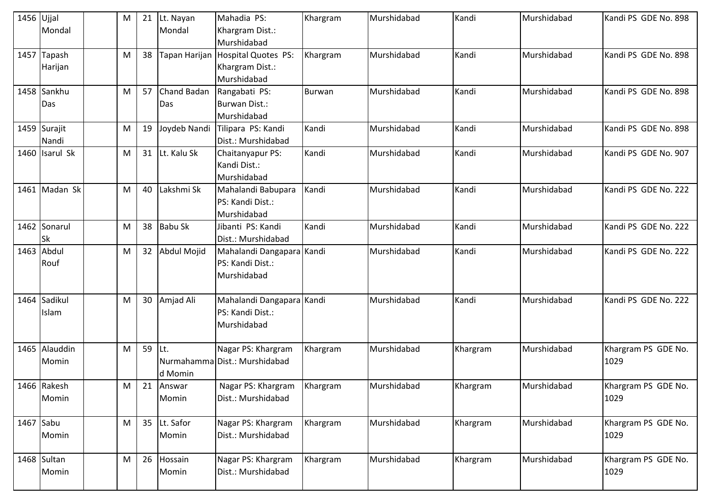| $1456$ Ujjal |                | M | 21 | Lt. Nayan          | Mahadia PS:                     | Khargram      | Murshidabad | Kandi    | Murshidabad | Kandi PS GDE No. 898 |
|--------------|----------------|---|----|--------------------|---------------------------------|---------------|-------------|----------|-------------|----------------------|
|              | Mondal         |   |    | Mondal             | Khargram Dist.:                 |               |             |          |             |                      |
|              |                |   |    |                    | Murshidabad                     |               |             |          |             |                      |
| 1457         | Tapash         | M | 38 | Tapan Harijan      | <b>Hospital Quotes PS:</b>      | Khargram      | Murshidabad | Kandi    | Murshidabad | Kandi PS GDE No. 898 |
|              | Harijan        |   |    |                    | Khargram Dist.:                 |               |             |          |             |                      |
|              |                |   |    |                    | Murshidabad                     |               |             |          |             |                      |
|              | 1458 Sankhu    | M | 57 | <b>Chand Badan</b> | Rangabati PS:                   | <b>Burwan</b> | Murshidabad | Kandi    | Murshidabad | Kandi PS GDE No. 898 |
|              | Das            |   |    | Das                | Burwan Dist.:                   |               |             |          |             |                      |
|              |                |   |    |                    | Murshidabad                     |               |             |          |             |                      |
|              | 1459 Surajit   | M | 19 |                    | Joydeb Nandi Tilipara PS: Kandi | Kandi         | Murshidabad | Kandi    | Murshidabad | Kandi PS GDE No. 898 |
|              | Nandi          |   |    |                    | Dist.: Murshidabad              |               |             |          |             |                      |
|              | 1460 Isarul Sk | M | 31 | Lt. Kalu Sk        | Chaitanyapur PS:                | Kandi         | Murshidabad | Kandi    | Murshidabad | Kandi PS GDE No. 907 |
|              |                |   |    |                    | Kandi Dist.:                    |               |             |          |             |                      |
|              |                |   |    |                    | Murshidabad                     |               |             |          |             |                      |
|              | 1461 Madan Sk  | M | 40 | Lakshmi Sk         | Mahalandi Babupara              | Kandi         | Murshidabad | Kandi    | Murshidabad | Kandi PS GDE No. 222 |
|              |                |   |    |                    | PS: Kandi Dist.:                |               |             |          |             |                      |
|              |                |   |    |                    | Murshidabad                     |               |             |          |             |                      |
|              | 1462 Sonarul   | M | 38 | <b>Babu Sk</b>     | Jibanti PS: Kandi               | Kandi         | Murshidabad | Kandi    | Murshidabad | Kandi PS GDE No. 222 |
|              | Sk             |   |    |                    | Dist.: Murshidabad              |               |             |          |             |                      |
|              | 1463 Abdul     | M | 32 | Abdul Mojid        | Mahalandi Dangapara Kandi       |               | Murshidabad | Kandi    | Murshidabad | Kandi PS GDE No. 222 |
|              | Rouf           |   |    |                    | PS: Kandi Dist.:                |               |             |          |             |                      |
|              |                |   |    |                    | Murshidabad                     |               |             |          |             |                      |
|              |                |   |    |                    |                                 |               |             |          |             |                      |
|              | 1464 Sadikul   | M | 30 | Amjad Ali          | Mahalandi Dangapara Kandi       |               | Murshidabad | Kandi    | Murshidabad | Kandi PS GDE No. 222 |
|              | Islam          |   |    |                    | PS: Kandi Dist.:                |               |             |          |             |                      |
|              |                |   |    |                    | Murshidabad                     |               |             |          |             |                      |
|              | 1465 Alauddin  | M | 59 | ILt.               | Nagar PS: Khargram              | Khargram      | Murshidabad | Khargram | Murshidabad | Khargram PS GDE No.  |
|              | Momin          |   |    |                    | Nurmahamma Dist.: Murshidabad   |               |             |          |             | 1029                 |
|              |                |   |    | d Momin            |                                 |               |             |          |             |                      |
|              | 1466 Rakesh    | M | 21 | Answar             | Nagar PS: Khargram              | Khargram      | Murshidabad | Khargram | Murshidabad | Khargram PS GDE No.  |
|              | Momin          |   |    | Momin              | Dist.: Murshidabad              |               |             |          |             | 1029                 |
|              |                |   |    |                    |                                 |               |             |          |             |                      |
|              | 1467 Sabu      | M | 35 | Lt. Safor          | Nagar PS: Khargram              | Khargram      | Murshidabad | Khargram | Murshidabad | Khargram PS GDE No.  |
|              | Momin          |   |    | Momin              | Dist.: Murshidabad              |               |             |          |             | 1029                 |
|              |                |   |    |                    |                                 |               |             |          |             |                      |
|              | 1468 Sultan    | M | 26 | Hossain            | Nagar PS: Khargram              | Khargram      | Murshidabad | Khargram | Murshidabad | Khargram PS GDE No.  |
|              | Momin          |   |    | Momin              | Dist.: Murshidabad              |               |             |          |             | 1029                 |
|              |                |   |    |                    |                                 |               |             |          |             |                      |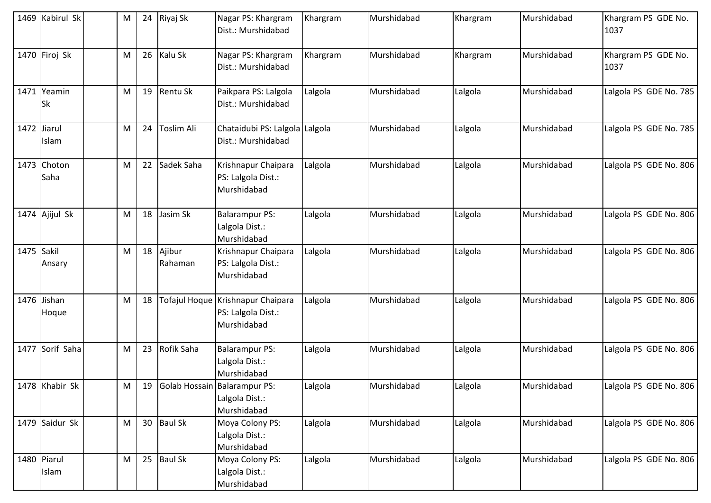|            | 1469 Kabirul Sk          | M | 24 | Riyaj Sk          | Nagar PS: Khargram<br>Dist.: Murshidabad                               | Khargram | Murshidabad | Khargram | Murshidabad | Khargram PS GDE No.<br>1037 |
|------------|--------------------------|---|----|-------------------|------------------------------------------------------------------------|----------|-------------|----------|-------------|-----------------------------|
|            | 1470 Firoj Sk            | M | 26 | Kalu Sk           | Nagar PS: Khargram<br>Dist.: Murshidabad                               | Khargram | Murshidabad | Khargram | Murshidabad | Khargram PS GDE No.<br>1037 |
|            | 1471 Yeamin<br><b>Sk</b> | M | 19 | Rentu Sk          | Paikpara PS: Lalgola<br>Dist.: Murshidabad                             | Lalgola  | Murshidabad | Lalgola  | Murshidabad | Lalgola PS GDE No. 785      |
|            | 1472 Jiarul<br>Islam     | M | 24 | Toslim Ali        | Chataidubi PS: Lalgola Lalgola<br>Dist.: Murshidabad                   |          | Murshidabad | Lalgola  | Murshidabad | Lalgola PS GDE No. 785      |
|            | 1473 Choton<br>Saha      | M | 22 | Sadek Saha        | Krishnapur Chaipara<br>PS: Lalgola Dist.:<br>Murshidabad               | Lalgola  | Murshidabad | Lalgola  | Murshidabad | Lalgola PS GDE No. 806      |
|            | 1474 Ajijul Sk           | M | 18 | Jasim Sk          | <b>Balarampur PS:</b><br>Lalgola Dist.:<br>Murshidabad                 | Lalgola  | Murshidabad | Lalgola  | Murshidabad | Lalgola PS GDE No. 806      |
| 1475 Sakil | Ansary                   | M | 18 | Ajibur<br>Rahaman | Krishnapur Chaipara<br>PS: Lalgola Dist.:<br>Murshidabad               | Lalgola  | Murshidabad | Lalgola  | Murshidabad | Lalgola PS GDE No. 806      |
|            | 1476 Jishan<br>Hoque     | M | 18 |                   | Tofajul Hoque Krishnapur Chaipara<br>PS: Lalgola Dist.:<br>Murshidabad | Lalgola  | Murshidabad | Lalgola  | Murshidabad | Lalgola PS GDE No. 806      |
|            | 1477 Sorif Saha          | M | 23 | Rofik Saha        | <b>Balarampur PS:</b><br>Lalgola Dist.:<br>Murshidabad                 | Lalgola  | Murshidabad | Lalgola  | Murshidabad | Lalgola PS GDE No. 806      |
|            | 1478 Khabir Sk           | M | 19 |                   | Golab Hossain Balarampur PS:<br>Lalgola Dist.:<br>Murshidabad          | Lalgola  | Murshidabad | Lalgola  | Murshidabad | Lalgola PS GDE No. 806      |
|            | 1479 Saidur Sk           | M | 30 | <b>Baul Sk</b>    | Moya Colony PS:<br>Lalgola Dist.:<br>Murshidabad                       | Lalgola  | Murshidabad | Lalgola  | Murshidabad | Lalgola PS GDE No. 806      |
|            | 1480 Piarul<br>Islam     | M | 25 | <b>Baul Sk</b>    | Moya Colony PS:<br>Lalgola Dist.:<br>Murshidabad                       | Lalgola  | Murshidabad | Lalgola  | Murshidabad | Lalgola PS GDE No. 806      |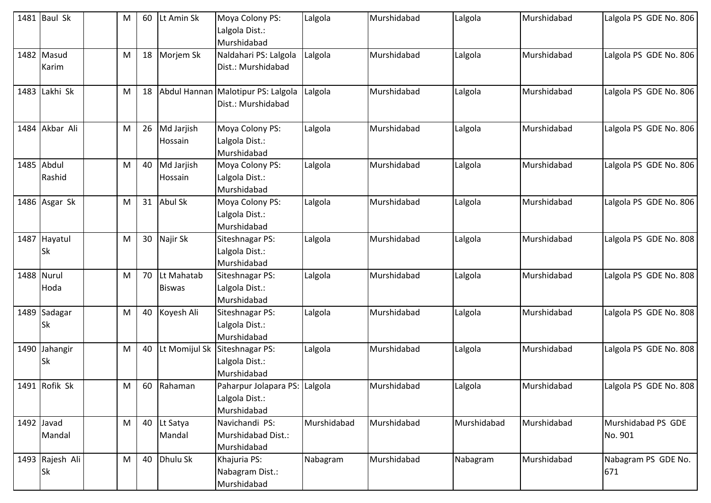|      | 1481 Baul Sk                 | M | 60 | Lt Amin Sk                  | Moya Colony PS:<br>Lalgola Dist.:<br>Murshidabad               | Lalgola     | Murshidabad | Lalgola     | Murshidabad | Lalgola PS GDE No. 806        |
|------|------------------------------|---|----|-----------------------------|----------------------------------------------------------------|-------------|-------------|-------------|-------------|-------------------------------|
|      | 1482 Masud<br>Karim          | M | 18 | Morjem Sk                   | Naldahari PS: Lalgola<br>Dist.: Murshidabad                    | Lalgola     | Murshidabad | Lalgola     | Murshidabad | Lalgola PS GDE No. 806        |
|      | 1483 Lakhi Sk                | M | 18 |                             | Abdul Hannan Malotipur PS: Lalgola<br>Dist.: Murshidabad       | Lalgola     | Murshidabad | Lalgola     | Murshidabad | Lalgola PS GDE No. 806        |
|      | 1484 Akbar Ali               | M | 26 | Md Jarjish<br>Hossain       | Moya Colony PS:<br>Lalgola Dist.:<br>Murshidabad               | Lalgola     | Murshidabad | Lalgola     | Murshidabad | Lalgola PS GDE No. 806        |
|      | 1485 Abdul<br>Rashid         | M | 40 | Md Jarjish<br>Hossain       | Moya Colony PS:<br>Lalgola Dist.:<br>Murshidabad               | Lalgola     | Murshidabad | Lalgola     | Murshidabad | Lalgola PS GDE No. 806        |
|      | 1486 Asgar Sk                | M | 31 | <b>Abul Sk</b>              | Moya Colony PS:<br>Lalgola Dist.:<br>Murshidabad               | Lalgola     | Murshidabad | Lalgola     | Murshidabad | Lalgola PS GDE No. 806        |
|      | 1487 Hayatul<br><b>Sk</b>    | M | 30 | Najir Sk                    | Siteshnagar PS:<br>Lalgola Dist.:<br>Murshidabad               | Lalgola     | Murshidabad | Lalgola     | Murshidabad | Lalgola PS GDE No. 808        |
|      | 1488 Nurul<br>Hoda           | M | 70 | Lt Mahatab<br><b>Biswas</b> | Siteshnagar PS:<br>Lalgola Dist.:<br>Murshidabad               | Lalgola     | Murshidabad | Lalgola     | Murshidabad | Lalgola PS GDE No. 808        |
|      | 1489 Sadagar<br><b>Sk</b>    | M | 40 | Koyesh Ali                  | Siteshnagar PS:<br>Lalgola Dist.:<br>Murshidabad               | Lalgola     | Murshidabad | Lalgola     | Murshidabad | Lalgola PS GDE No. 808        |
| 1490 | Jahangir<br><b>Sk</b>        | M | 40 |                             | Lt Momijul Sk Siteshnagar PS:<br>Lalgola Dist.:<br>Murshidabad | Lalgola     | Murshidabad | Lalgola     | Murshidabad | Lalgola PS GDE No. 808        |
|      | 1491 Rofik Sk                | M | 60 | Rahaman                     | Paharpur Jolapara PS: Lalgola<br>Lalgola Dist.:<br>Murshidabad |             | Murshidabad | Lalgola     | Murshidabad | Lalgola PS GDE No. 808        |
|      | 1492 Javad<br>Mandal         | M | 40 | Lt Satya<br>Mandal          | Navichandi PS:<br>Murshidabad Dist.:<br>Murshidabad            | Murshidabad | Murshidabad | Murshidabad | Murshidabad | Murshidabad PS GDE<br>No. 901 |
|      | 1493 Rajesh Ali<br><b>Sk</b> | M | 40 | Dhulu Sk                    | Khajuria PS:<br>Nabagram Dist.:<br>Murshidabad                 | Nabagram    | Murshidabad | Nabagram    | Murshidabad | Nabagram PS GDE No.<br>671    |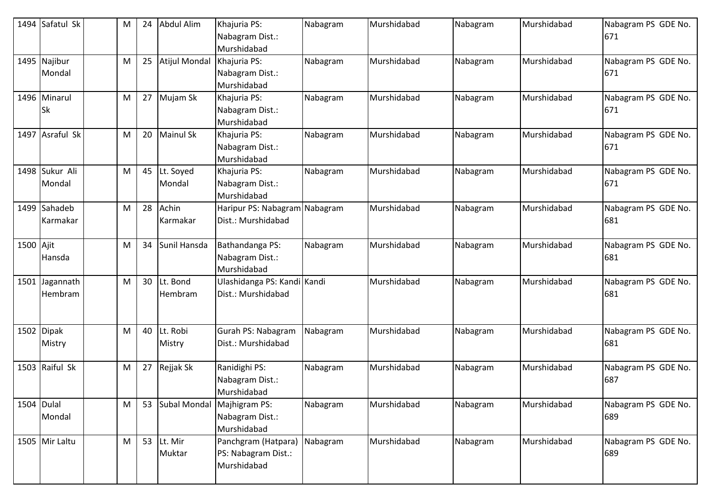|            | 1494 Safatul Sk           | M | 24 | Abdul Alim                 | Khajuria PS:<br>Nabagram Dist.:<br>Murshidabad            | Nabagram | Murshidabad | Nabagram | Murshidabad | Nabagram PS GDE No.<br>671 |
|------------|---------------------------|---|----|----------------------------|-----------------------------------------------------------|----------|-------------|----------|-------------|----------------------------|
|            | 1495 Najibur<br>Mondal    | M | 25 | Atijul Mondal              | Khajuria PS:<br>Nabagram Dist.:<br>Murshidabad            | Nabagram | Murshidabad | Nabagram | Murshidabad | Nabagram PS GDE No.<br>671 |
|            | 1496 Minarul<br><b>Sk</b> | M | 27 | Mujam Sk                   | Khajuria PS:<br>Nabagram Dist.:<br>Murshidabad            | Nabagram | Murshidabad | Nabagram | Murshidabad | Nabagram PS GDE No.<br>671 |
|            | 1497 Asraful Sk           | M | 20 | <b>Mainul Sk</b>           | Khajuria PS:<br>Nabagram Dist.:<br>Murshidabad            | Nabagram | Murshidabad | Nabagram | Murshidabad | Nabagram PS GDE No.<br>671 |
|            | 1498 Sukur Ali<br>Mondal  | M | 45 | Lt. Soyed<br>Mondal        | Khajuria PS:<br>Nabagram Dist.:<br>Murshidabad            | Nabagram | Murshidabad | Nabagram | Murshidabad | Nabagram PS GDE No.<br>671 |
|            | 1499 Sahadeb<br>Karmakar  | M | 28 | Achin<br>Karmakar          | Haripur PS: Nabagram Nabagram<br>Dist.: Murshidabad       |          | Murshidabad | Nabagram | Murshidabad | Nabagram PS GDE No.<br>681 |
| 1500 Ajit  | Hansda                    | M | 34 | Sunil Hansda               | Bathandanga PS:<br>Nabagram Dist.:<br>Murshidabad         | Nabagram | Murshidabad | Nabagram | Murshidabad | Nabagram PS GDE No.<br>681 |
| 1501       | Jagannath<br>Hembram      | M | 30 | Lt. Bond<br>Hembram        | Ulashidanga PS: Kandi Kandi<br>Dist.: Murshidabad         |          | Murshidabad | Nabagram | Murshidabad | Nabagram PS GDE No.<br>681 |
|            | 1502 Dipak<br>Mistry      | M | 40 | Lt. Robi<br>Mistry         | Gurah PS: Nabagram<br>Dist.: Murshidabad                  | Nabagram | Murshidabad | Nabagram | Murshidabad | Nabagram PS GDE No.<br>681 |
|            | 1503 Raiful Sk            | M | 27 | Rejjak Sk                  | Ranidighi PS:<br>Nabagram Dist.:<br>Murshidabad           | Nabagram | Murshidabad | Nabagram | Murshidabad | Nabagram PS GDE No.<br>687 |
| 1504 Dulal | Mondal                    | M | 53 | Subal Mondal Majhigram PS: | Nabagram Dist.:<br>Murshidabad                            | Nabagram | Murshidabad | Nabagram | Murshidabad | Nabagram PS GDE No.<br>689 |
|            | 1505 Mir Laltu            | M | 53 | Lt. Mir<br>Muktar          | Panchgram (Hatpara)<br>PS: Nabagram Dist.:<br>Murshidabad | Nabagram | Murshidabad | Nabagram | Murshidabad | Nabagram PS GDE No.<br>689 |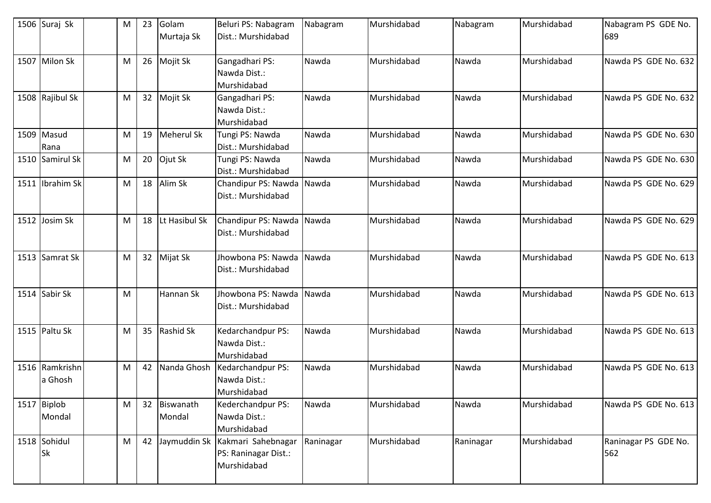| 1506 Suraj Sk             | M         | 23 | Golam<br>Murtaja Sk | Beluri PS: Nabagram<br>Dist.: Murshidabad                              | Nabagram  | Murshidabad | Nabagram  | Murshidabad | Nabagram PS GDE No.<br>689  |
|---------------------------|-----------|----|---------------------|------------------------------------------------------------------------|-----------|-------------|-----------|-------------|-----------------------------|
| 1507 Milon Sk             | M         | 26 | Mojit Sk            | Gangadhari PS:<br>Nawda Dist.:<br>Murshidabad                          | Nawda     | Murshidabad | Nawda     | Murshidabad | Nawda PS GDE No. 632        |
| 1508 Rajibul Sk           | M         | 32 | Mojit Sk            | Gangadhari PS:<br>Nawda Dist.:<br>Murshidabad                          | Nawda     | Murshidabad | Nawda     | Murshidabad | Nawda PS GDE No. 632        |
| 1509 Masud<br>Rana        | M         | 19 | Meherul Sk          | Tungi PS: Nawda<br>Dist.: Murshidabad                                  | Nawda     | Murshidabad | Nawda     | Murshidabad | Nawda PS GDE No. 630        |
| 1510 Samirul Sk           | M         | 20 | Ojut Sk             | Tungi PS: Nawda<br>Dist.: Murshidabad                                  | Nawda     | Murshidabad | Nawda     | Murshidabad | Nawda PS GDE No. 630        |
| 1511 Ibrahim Sk           | M         | 18 | Alim Sk             | Chandipur PS: Nawda<br>Dist.: Murshidabad                              | Nawda     | Murshidabad | Nawda     | Murshidabad | Nawda PS GDE No. 629        |
| 1512 Josim Sk             | M         | 18 | Lt Hasibul Sk       | Chandipur PS: Nawda  <br>Dist.: Murshidabad                            | Nawda     | Murshidabad | Nawda     | Murshidabad | Nawda PS GDE No. 629        |
| 1513 Samrat Sk            | M         | 32 | Mijat Sk            | Jhowbona PS: Nawda<br>Dist.: Murshidabad                               | Nawda     | Murshidabad | Nawda     | Murshidabad | Nawda PS GDE No. 613        |
| 1514 Sabir Sk             | M         |    | Hannan Sk           | Jhowbona PS: Nawda<br>Dist.: Murshidabad                               | Nawda     | Murshidabad | Nawda     | Murshidabad | Nawda PS GDE No. 613        |
| 1515 Paltu Sk             | M         | 35 | Rashid Sk           | Kedarchandpur PS:<br>Nawda Dist.:<br>Murshidabad                       | Nawda     | Murshidabad | Nawda     | Murshidabad | Nawda PS GDE No. 613        |
| 1516 Ramkrishn<br>a Ghosh | M         | 42 | Nanda Ghosh         | Kedarchandpur PS:<br>Nawda Dist.:<br>Murshidabad                       | Nawda     | Murshidabad | Nawda     | Murshidabad | Nawda PS GDE No. 613        |
| 1517 Biplob<br>Mondal     | ${\sf M}$ | 32 | Biswanath<br>Mondal | Kederchandpur PS:<br>Nawda Dist.:<br>Murshidabad                       | Nawda     | Murshidabad | Nawda     | Murshidabad | Nawda PS GDE No. 613        |
| 1518 Sohidul<br><b>Sk</b> | M         | 42 |                     | Jaymuddin Sk Kakmari Sahebnagar<br>PS: Raninagar Dist.:<br>Murshidabad | Raninagar | Murshidabad | Raninagar | Murshidabad | Raninagar PS GDE No.<br>562 |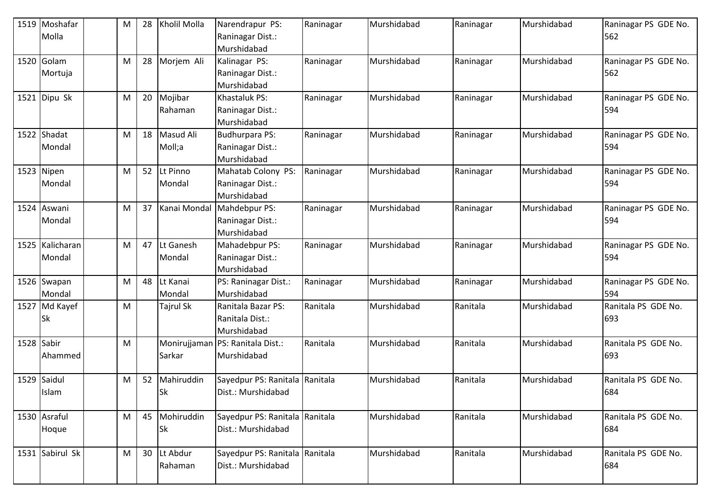| 1519 Moshafar<br>Molla     | M | 28 | Kholil Molla               | Narendrapur PS:<br>Raninagar Dist.:<br>Murshidabad       | Raninagar | Murshidabad | Raninagar | Murshidabad | Raninagar PS GDE No.<br>562 |
|----------------------------|---|----|----------------------------|----------------------------------------------------------|-----------|-------------|-----------|-------------|-----------------------------|
| 1520 Golam<br>Mortuja      | M | 28 | Morjem Ali                 | Kalinagar PS:<br>Raninagar Dist.:<br>Murshidabad         | Raninagar | Murshidabad | Raninagar | Murshidabad | Raninagar PS GDE No.<br>562 |
| 1521 $Dipu Sk$             | M | 20 | Mojibar<br>Rahaman         | Khastaluk PS:<br>Raninagar Dist.:<br>Murshidabad         | Raninagar | Murshidabad | Raninagar | Murshidabad | Raninagar PS GDE No.<br>594 |
| 1522 Shadat<br>Mondal      | M | 18 | Masud Ali<br>Moll;a        | <b>Budhurpara PS:</b><br>Raninagar Dist.:<br>Murshidabad | Raninagar | Murshidabad | Raninagar | Murshidabad | Raninagar PS GDE No.<br>594 |
| 1523 Nipen<br>Mondal       | M | 52 | Lt Pinno<br>Mondal         | Mahatab Colony PS:<br>Raninagar Dist.:<br>Murshidabad    | Raninagar | Murshidabad | Raninagar | Murshidabad | Raninagar PS GDE No.<br>594 |
| 1524 Aswani<br>Mondal      | M | 37 | Kanai Mondal               | Mahdebpur PS:<br>Raninagar Dist.:<br>Murshidabad         | Raninagar | Murshidabad | Raninagar | Murshidabad | Raninagar PS GDE No.<br>594 |
| 1525 Kalicharan<br>Mondal  | M | 47 | Lt Ganesh<br>Mondal        | Mahadebpur PS:<br>Raninagar Dist.:<br>Murshidabad        | Raninagar | Murshidabad | Raninagar | Murshidabad | Raninagar PS GDE No.<br>594 |
| 1526 Swapan<br>Mondal      | M | 48 | Lt Kanai<br>Mondal         | PS: Raninagar Dist.:<br>Murshidabad                      | Raninagar | Murshidabad | Raninagar | Murshidabad | Raninagar PS GDE No.<br>594 |
| 1527 Md Kayef<br><b>Sk</b> | M |    | <b>Tajrul Sk</b>           | Ranitala Bazar PS:<br>Ranitala Dist.:<br>Murshidabad     | Ranitala  | Murshidabad | Ranitala  | Murshidabad | Ranitala PS GDE No.<br>693  |
| 1528 Sabir<br>Ahammed      | M |    | Monirujjaman<br>Sarkar     | PS: Ranitala Dist.:<br>Murshidabad                       | Ranitala  | Murshidabad | Ranitala  | Murshidabad | Ranitala PS GDE No.<br>693  |
| 1529 Saidul<br>Islam       | M | 52 | Mahiruddin<br><b>Sk</b>    | Sayedpur PS: Ranitala Ranitala<br>Dist.: Murshidabad     |           | Murshidabad | Ranitala  | Murshidabad | Ranitala PS GDE No.<br>684  |
| 1530 Asraful<br>Hoque      | M |    | 45 Mohiruddin<br><b>Sk</b> | Sayedpur PS: Ranitala Ranitala<br>Dist.: Murshidabad     |           | Murshidabad | Ranitala  | Murshidabad | Ranitala PS GDE No.<br>684  |
| 1531 Sabirul Sk            | M | 30 | Lt Abdur<br>Rahaman        | Sayedpur PS: Ranitala Ranitala<br>Dist.: Murshidabad     |           | Murshidabad | Ranitala  | Murshidabad | Ranitala PS GDE No.<br>684  |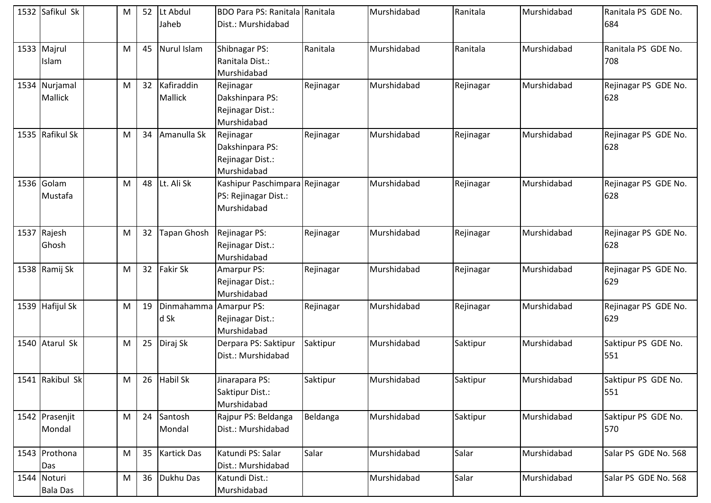| 1532 Safikul Sk                 | M | 52 | Lt Abdul<br>Jaheb            | <b>BDO Para PS: Ranitala Ranitala</b><br>Dist.: Murshidabad           |           | Murshidabad | Ranitala  | Murshidabad | Ranitala PS GDE No.<br>684  |
|---------------------------------|---|----|------------------------------|-----------------------------------------------------------------------|-----------|-------------|-----------|-------------|-----------------------------|
| 1533 Majrul<br>Islam            | M | 45 | Nurul Islam                  | Shibnagar PS:<br>Ranitala Dist.:<br>Murshidabad                       | Ranitala  | Murshidabad | Ranitala  | Murshidabad | Ranitala PS GDE No.<br>708  |
| 1534 Nurjamal<br><b>Mallick</b> | M | 32 | Kafiraddin<br><b>Mallick</b> | Rejinagar<br>Dakshinpara PS:<br>Rejinagar Dist.:<br>Murshidabad       | Rejinagar | Murshidabad | Rejinagar | Murshidabad | Rejinagar PS GDE No.<br>628 |
| 1535 Rafikul Sk                 | M | 34 | Amanulla Sk                  | Rejinagar<br>Dakshinpara PS:<br>Rejinagar Dist.:<br>Murshidabad       | Rejinagar | Murshidabad | Rejinagar | Murshidabad | Rejinagar PS GDE No.<br>628 |
| 1536 Golam<br>Mustafa           | M | 48 | Lt. Ali Sk                   | Kashipur Paschimpara Rejinagar<br>PS: Rejinagar Dist.:<br>Murshidabad |           | Murshidabad | Rejinagar | Murshidabad | Rejinagar PS GDE No.<br>628 |
| 1537 Rajesh<br>Ghosh            | M | 32 | Tapan Ghosh                  | Rejinagar PS:<br>Rejinagar Dist.:<br>Murshidabad                      | Rejinagar | Murshidabad | Rejinagar | Murshidabad | Rejinagar PS GDE No.<br>628 |
| 1538 Ramij Sk                   | M | 32 | <b>Fakir Sk</b>              | Amarpur PS:<br>Rejinagar Dist.:<br>Murshidabad                        | Rejinagar | Murshidabad | Rejinagar | Murshidabad | Rejinagar PS GDE No.<br>629 |
| 1539 Hafijul Sk                 | M | 19 | Dinmahamma<br>d Sk           | Amarpur PS:<br>Rejinagar Dist.:<br>Murshidabad                        | Rejinagar | Murshidabad | Rejinagar | Murshidabad | Rejinagar PS GDE No.<br>629 |
| 1540 Atarul Sk                  | M | 25 | Diraj Sk                     | Derpara PS: Saktipur<br>Dist.: Murshidabad                            | Saktipur  | Murshidabad | Saktipur  | Murshidabad | Saktipur PS GDE No.<br>551  |
| 1541 Rakibul Sk                 | M |    | 26 Habil Sk                  | Jinarapara PS:<br>Saktipur Dist.:<br>Murshidabad                      | Saktipur  | Murshidabad | Saktipur  | Murshidabad | Saktipur PS GDE No.<br>551  |
| 1542 Prasenjit<br>Mondal        | M | 24 | Santosh<br>Mondal            | Rajpur PS: Beldanga<br>Dist.: Murshidabad                             | Beldanga  | Murshidabad | Saktipur  | Murshidabad | Saktipur PS GDE No.<br>570  |
| 1543 Prothona<br>Das            | M | 35 | <b>Kartick Das</b>           | Katundi PS: Salar<br>Dist.: Murshidabad                               | Salar     | Murshidabad | Salar     | Murshidabad | Salar PS GDE No. 568        |
| 1544 Noturi<br><b>Bala Das</b>  | M | 36 | Dukhu Das                    | Katundi Dist.:<br>Murshidabad                                         |           | Murshidabad | Salar     | Murshidabad | Salar PS GDE No. 568        |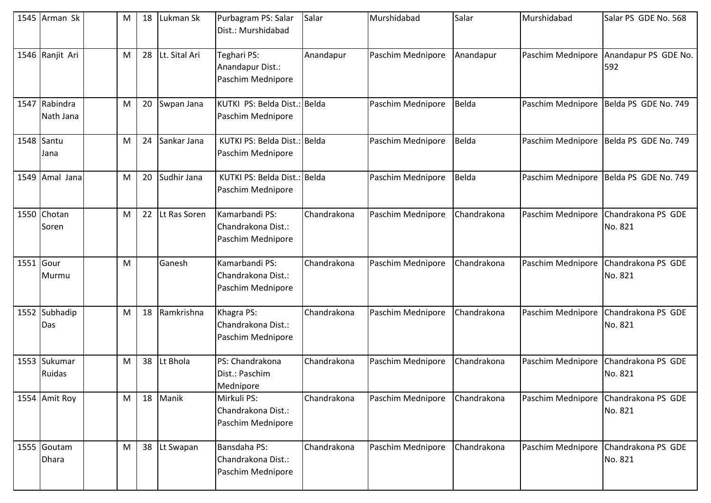| 1545 Arman Sk               | M | 18 | Lukman Sk     | Purbagram PS: Salar<br>Dist.: Murshidabad                 | Salar       | Murshidabad       | Salar       | Murshidabad       | Salar PS GDE No. 568          |
|-----------------------------|---|----|---------------|-----------------------------------------------------------|-------------|-------------------|-------------|-------------------|-------------------------------|
| 1546 Ranjit Ari             | M | 28 | Lt. Sital Ari | Teghari PS:<br>Anandapur Dist.:<br>Paschim Mednipore      | Anandapur   | Paschim Mednipore | Anandapur   | Paschim Mednipore | Anandapur PS GDE No.<br>592   |
| 1547 Rabindra<br>Nath Jana  | M | 20 | Swpan Jana    | KUTKI PS: Belda Dist.: Belda<br>Paschim Mednipore         |             | Paschim Mednipore | Belda       | Paschim Mednipore | Belda PS GDE No. 749          |
| 1548 Santu<br>Jana          | M | 24 | Sankar Jana   | KUTKI PS: Belda Dist.: Belda<br>Paschim Mednipore         |             | Paschim Mednipore | Belda       | Paschim Mednipore | Belda PS GDE No. 749          |
| 1549 Amal Jana              | M | 20 | Sudhir Jana   | KUTKI PS: Belda Dist.: Belda<br>Paschim Mednipore         |             | Paschim Mednipore | Belda       | Paschim Mednipore | Belda PS GDE No. 749          |
| 1550 Chotan<br>Soren        | M | 22 | Lt Ras Soren  | Kamarbandi PS:<br>Chandrakona Dist.:<br>Paschim Mednipore | Chandrakona | Paschim Mednipore | Chandrakona | Paschim Mednipore | Chandrakona PS GDE<br>No. 821 |
| 1551 Gour<br>Murmu          | M |    | Ganesh        | Kamarbandi PS:<br>Chandrakona Dist.:<br>Paschim Mednipore | Chandrakona | Paschim Mednipore | Chandrakona | Paschim Mednipore | Chandrakona PS GDE<br>No. 821 |
| 1552 Subhadip<br>Das        | M | 18 | Ramkrishna    | Khagra PS:<br>Chandrakona Dist.:<br>Paschim Mednipore     | Chandrakona | Paschim Mednipore | Chandrakona | Paschim Mednipore | Chandrakona PS GDE<br>No. 821 |
| 1553 Sukumar<br>Ruidas      | M | 38 | Lt Bhola      | PS: Chandrakona<br>Dist.: Paschim<br>Mednipore            | Chandrakona | Paschim Mednipore | Chandrakona | Paschim Mednipore | Chandrakona PS GDE<br>No. 821 |
| 1554 Amit Roy               | M | 18 | Manik         | Mirkuli PS:<br>Chandrakona Dist.:<br>Paschim Mednipore    | Chandrakona | Paschim Mednipore | Chandrakona | Paschim Mednipore | Chandrakona PS GDE<br>No. 821 |
| 1555 Goutam<br><b>Dhara</b> | M |    | 38 Lt Swapan  | Bansdaha PS:<br>Chandrakona Dist.:<br>Paschim Mednipore   | Chandrakona | Paschim Mednipore | Chandrakona | Paschim Mednipore | Chandrakona PS GDE<br>No. 821 |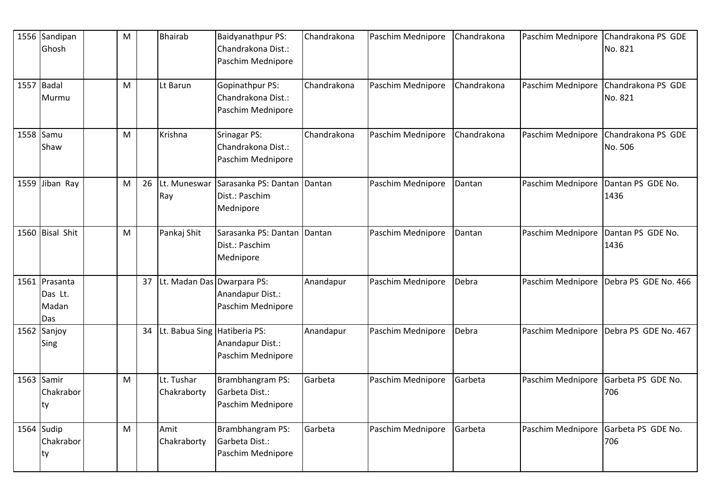| 1556 Sandipan<br>Ghosh                   | M |    | <b>Bhairab</b>                | Baidyanathpur PS:<br>Chandrakona Dist.:<br>Paschim Mednipore | Chandrakona | Paschim Mednipore | Chandrakona | Paschim Mednipore | Chandrakona PS GDE<br>No. 821 |
|------------------------------------------|---|----|-------------------------------|--------------------------------------------------------------|-------------|-------------------|-------------|-------------------|-------------------------------|
| 1557 Badal<br>Murmu                      | M |    | Lt Barun                      | Gopinathpur PS:<br>Chandrakona Dist.:<br>Paschim Mednipore   | Chandrakona | Paschim Mednipore | Chandrakona | Paschim Mednipore | Chandrakona PS GDE<br>No. 821 |
| 1558 Samu<br>Shaw                        | M |    | Krishna                       | Srinagar PS:<br>Chandrakona Dist.:<br>Paschim Mednipore      | Chandrakona | Paschim Mednipore | Chandrakona | Paschim Mednipore | Chandrakona PS GDE<br>No. 506 |
| 1559 Jiban Ray                           | M | 26 | Lt. Muneswar<br>Ray           | Sarasanka PS: Dantan<br>Dist.: Paschim<br>Mednipore          | Dantan      | Paschim Mednipore | Dantan      | Paschim Mednipore | Dantan PS GDE No.<br>1436     |
| 1560 Bisal Shit                          | M |    | Pankaj Shit                   | Sarasanka PS: Dantan<br>Dist.: Paschim<br>Mednipore          | Dantan      | Paschim Mednipore | Dantan      | Paschim Mednipore | Dantan PS GDE No.<br>1436     |
| 1561 Prasanta<br>Das Lt.<br>Madan<br>Das |   |    | 37 Lt. Madan Das Dwarpara PS: | Anandapur Dist.:<br>Paschim Mednipore                        | Anandapur   | Paschim Mednipore | Debra       | Paschim Mednipore | Debra PS GDE No. 466          |
| 1562 Sanjoy<br>Sing                      |   | 34 | Lt. Babua Sing Hatiberia PS:  | Anandapur Dist.:<br>Paschim Mednipore                        | Anandapur   | Paschim Mednipore | Debra       | Paschim Mednipore | Debra PS GDE No. 467          |
| 1563 Samir<br>Chakrabor<br>ty            | M |    | Lt. Tushar<br>Chakraborty     | Brambhangram PS:<br>Garbeta Dist.:<br>Paschim Mednipore      | Garbeta     | Paschim Mednipore | Garbeta     | Paschim Mednipore | Garbeta PS GDE No.<br>706     |
| 1564 Sudip<br>Chakrabor<br>ty            | M |    | Amit<br>Chakraborty           | Brambhangram PS:<br>Garbeta Dist.:<br>Paschim Mednipore      | Garbeta     | Paschim Mednipore | Garbeta     | Paschim Mednipore | Garbeta PS GDE No.<br>706     |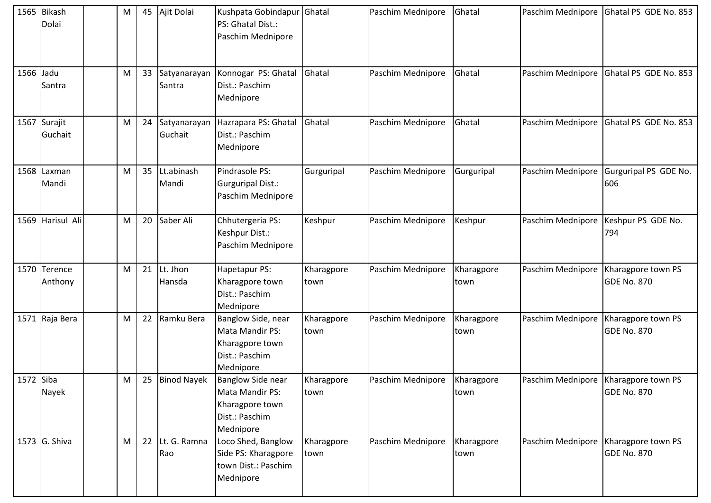|           | 1565 Bikash<br>Dolai    | M | 45 | Ajit Dolai              | Kushpata Gobindapur Ghatal<br>PS: Ghatal Dist.:<br>Paschim Mednipore                    |                    | Paschim Mednipore | Ghatal             |                                        | Paschim Mednipore Ghatal PS GDE No. 853  |
|-----------|-------------------------|---|----|-------------------------|-----------------------------------------------------------------------------------------|--------------------|-------------------|--------------------|----------------------------------------|------------------------------------------|
| 1566 Jadu | Santra                  | M | 33 | Satyanarayan<br>Santra  | Konnogar PS: Ghatal<br>Dist.: Paschim<br>Mednipore                                      | Ghatal             | Paschim Mednipore | Ghatal             | Paschim Mednipore                      | Ghatal PS GDE No. 853                    |
|           | 1567 Surajit<br>Guchait | M | 24 | Satyanarayan<br>Guchait | Hazrapara PS: Ghatal<br>Dist.: Paschim<br>Mednipore                                     | Ghatal             | Paschim Mednipore | Ghatal             | Paschim Mednipore                      | Ghatal PS GDE No. 853                    |
|           | 1568 Laxman<br>Mandi    | M | 35 | Lt.abinash<br>Mandi     | Pindrasole PS:<br>Gurguripal Dist.:<br>Paschim Mednipore                                | Gurguripal         | Paschim Mednipore | Gurguripal         | Paschim Mednipore                      | Gurguripal PS GDE No.<br>606             |
|           | 1569 Harisul Ali        | M | 20 | Saber Ali               | Chhutergeria PS:<br>Keshpur Dist.:<br>Paschim Mednipore                                 | Keshpur            | Paschim Mednipore | Keshpur            | Paschim Mednipore                      | Keshpur PS GDE No.<br>794                |
|           | 1570 Terence<br>Anthony | M | 21 | Lt. Jhon<br>Hansda      | Hapetapur PS:<br>Kharagpore town<br>Dist.: Paschim<br>Mednipore                         | Kharagpore<br>town | Paschim Mednipore | Kharagpore<br>town | Paschim Mednipore                      | Kharagpore town PS<br><b>GDE No. 870</b> |
|           | 1571 Raja Bera          | M | 22 | Ramku Bera              | Banglow Side, near<br>Mata Mandir PS:<br>Kharagpore town<br>Dist.: Paschim<br>Mednipore | Kharagpore<br>town | Paschim Mednipore | Kharagpore<br>town | Paschim Mednipore                      | Kharagpore town PS<br><b>GDE No. 870</b> |
| 1572 Siba | Nayek                   | M | 25 | <b>Binod Nayek</b>      | Banglow Side near<br>Mata Mandir PS:<br>Kharagpore town<br>Dist.: Paschim<br>Mednipore  | Kharagpore<br>town | Paschim Mednipore | Kharagpore<br>town | Paschim Mednipore                      | Kharagpore town PS<br><b>GDE No. 870</b> |
|           | 1573 G. Shiva           | M |    | 22 Lt. G. Ramna<br>Rao  | Loco Shed, Banglow<br>Side PS: Kharagpore<br>town Dist.: Paschim<br>Mednipore           | Kharagpore<br>town | Paschim Mednipore | Kharagpore<br>town | Paschim Mednipore   Kharagpore town PS | <b>GDE No. 870</b>                       |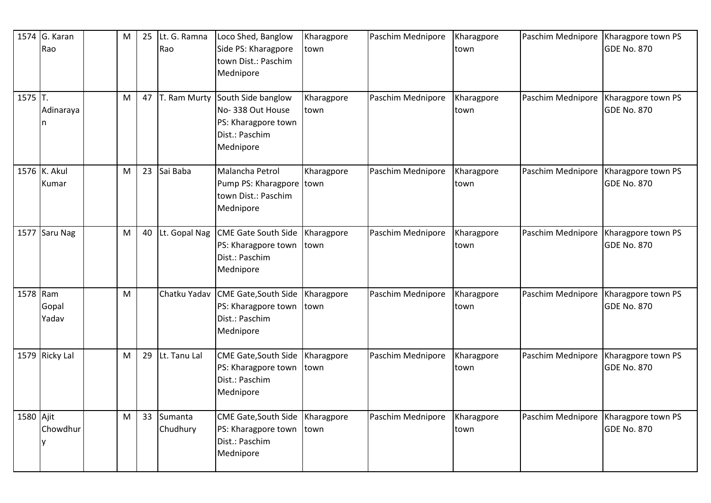|           | 1574 G. Karan<br>Rao  | M | 25 | Lt. G. Ramna<br>Rao | Loco Shed, Banglow<br>Side PS: Kharagpore<br>town Dist.: Paschim<br>Mednipore                | Kharagpore<br>town | Paschim Mednipore | Kharagpore<br>town | Paschim Mednipore | Kharagpore town PS<br><b>GDE No. 870</b> |
|-----------|-----------------------|---|----|---------------------|----------------------------------------------------------------------------------------------|--------------------|-------------------|--------------------|-------------------|------------------------------------------|
| $1575$ T. | Adinaraya             | M | 47 | T. Ram Murty        | South Side banglow<br>No-338 Out House<br>PS: Kharagpore town<br>Dist.: Paschim<br>Mednipore | Kharagpore<br>town | Paschim Mednipore | Kharagpore<br>town | Paschim Mednipore | Kharagpore town PS<br><b>GDE No. 870</b> |
|           | 1576 K. Akul<br>Kumar | M | 23 | Sai Baba            | Malancha Petrol<br>Pump PS: Kharagpore town<br>town Dist.: Paschim<br>Mednipore              | Kharagpore         | Paschim Mednipore | Kharagpore<br>town | Paschim Mednipore | Kharagpore town PS<br><b>GDE No. 870</b> |
|           | 1577 Saru Nag         | M | 40 | Lt. Gopal Nag       | <b>CME Gate South Side</b><br>PS: Kharagpore town<br>Dist.: Paschim<br>Mednipore             | Kharagpore<br>town | Paschim Mednipore | Kharagpore<br>town | Paschim Mednipore | Kharagpore town PS<br><b>GDE No. 870</b> |
| 1578 Ram  | Gopal<br>Yadav        | M |    | Chatku Yadav        | <b>CME Gate, South Side</b><br>PS: Kharagpore town<br>Dist.: Paschim<br>Mednipore            | Kharagpore<br>town | Paschim Mednipore | Kharagpore<br>town | Paschim Mednipore | Kharagpore town PS<br><b>GDE No. 870</b> |
|           | 1579 Ricky Lal        | M | 29 | Lt. Tanu Lal        | <b>CME Gate, South Side</b><br>PS: Kharagpore town<br>Dist.: Paschim<br>Mednipore            | Kharagpore<br>town | Paschim Mednipore | Kharagpore<br>town | Paschim Mednipore | Kharagpore town PS<br><b>GDE No. 870</b> |
| 1580 Ajit | Chowdhur              | M | 33 | Sumanta<br>Chudhury | <b>CME Gate, South Side</b><br>PS: Kharagpore town<br>Dist.: Paschim<br>Mednipore            | Kharagpore<br>town | Paschim Mednipore | Kharagpore<br>town | Paschim Mednipore | Kharagpore town PS<br><b>GDE No. 870</b> |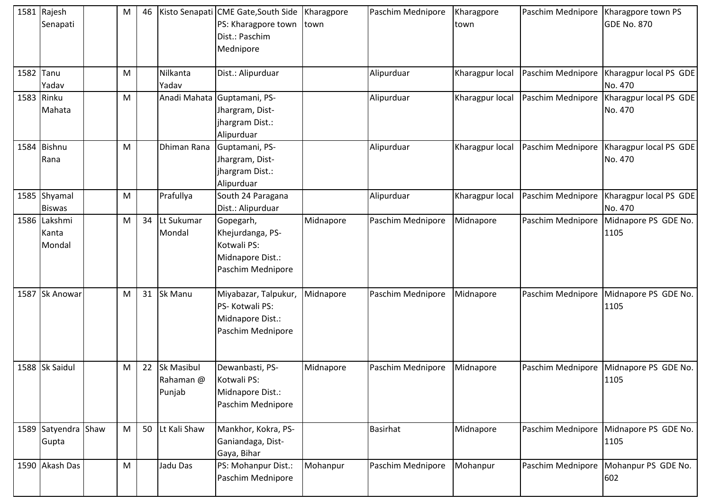| 1581 Rajesh<br>Senapati         | M         | 46 |                                          | Kisto Senapati CME Gate, South Side<br>PS: Kharagpore town<br>Dist.: Paschim<br>Mednipore | Kharagpore<br>town | Paschim Mednipore | Kharagpore<br>town | Paschim Mednipore   Kharagpore town PS | <b>GDE No. 870</b>                                    |
|---------------------------------|-----------|----|------------------------------------------|-------------------------------------------------------------------------------------------|--------------------|-------------------|--------------------|----------------------------------------|-------------------------------------------------------|
| 1582 Tanu<br>Yadav              | M         |    | Nilkanta<br>Yadav                        | Dist.: Alipurduar                                                                         |                    | Alipurduar        | Kharagpur local    | Paschim Mednipore                      | Kharagpur local PS GDE<br>No. 470                     |
| 1583 Rinku<br>Mahata            | M         |    | Anadi Mahata                             | Guptamani, PS-<br>Jhargram, Dist-<br>jhargram Dist.:<br>Alipurduar                        |                    | Alipurduar        | Kharagpur local    | Paschim Mednipore                      | Kharagpur local PS GDE<br>No. 470                     |
| 1584 Bishnu<br>Rana             | M         |    | Dhiman Rana                              | Guptamani, PS-<br>Jhargram, Dist-<br>jhargram Dist.:<br>Alipurduar                        |                    | Alipurduar        | Kharagpur local    |                                        | Paschim Mednipore   Kharagpur local PS GDE<br>No. 470 |
| 1585 Shyamal<br><b>Biswas</b>   | M         |    | Prafullya                                | South 24 Paragana<br>Dist.: Alipurduar                                                    |                    | Alipurduar        | Kharagpur local    | Paschim Mednipore                      | Kharagpur local PS GDE<br>No. 470                     |
| 1586 Lakshmi<br>Kanta<br>Mondal | M         | 34 | Lt Sukumar<br>Mondal                     | Gopegarh,<br>Khejurdanga, PS-<br>Kotwali PS:<br>Midnapore Dist.:<br>Paschim Mednipore     | Midnapore          | Paschim Mednipore | Midnapore          | Paschim Mednipore                      | Midnapore PS GDE No.<br>1105                          |
| 1587 Sk Anowar                  | M         | 31 | Sk Manu                                  | Miyabazar, Talpukur,<br>PS-Kotwali PS:<br>Midnapore Dist.:<br>Paschim Mednipore           | Midnapore          | Paschim Mednipore | Midnapore          |                                        | Paschim Mednipore Midnapore PS GDE No.<br>1105        |
| 1588 Sk Saidul                  | M         | 22 | <b>Sk Masibul</b><br>Rahaman @<br>Punjab | Dewanbasti, PS-<br>Kotwali PS:<br>Midnapore Dist.:<br>Paschim Mednipore                   | Midnapore          | Paschim Mednipore | Midnapore          | Paschim Mednipore                      | Midnapore PS GDE No.<br>1105                          |
| 1589 Satyendra Shaw<br>Gupta    | M         | 50 | Lt Kali Shaw                             | Mankhor, Kokra, PS-<br>Ganiandaga, Dist-<br>Gaya, Bihar                                   |                    | <b>Basirhat</b>   | Midnapore          | Paschim Mednipore                      | Midnapore PS GDE No.<br>1105                          |
| 1590 Akash Das                  | ${\sf M}$ |    | Jadu Das                                 | PS: Mohanpur Dist.:<br>Paschim Mednipore                                                  | Mohanpur           | Paschim Mednipore | Mohanpur           | Paschim Mednipore                      | Mohanpur PS GDE No.<br>602                            |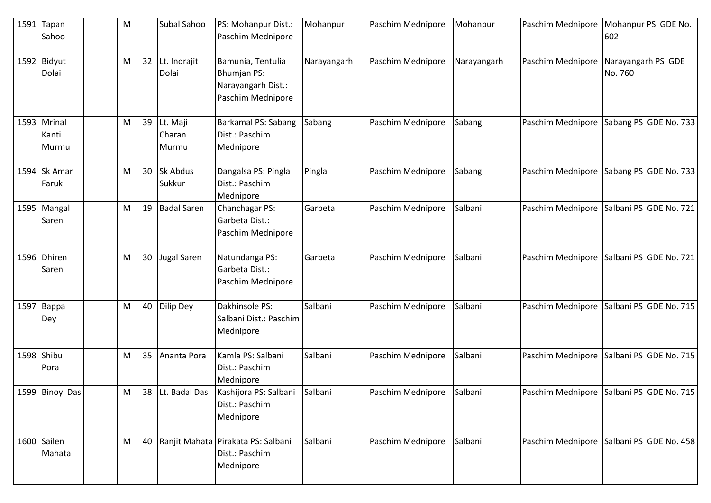| 1591 | Tapan<br>Sahoo                | M |    | Subal Sahoo                 | PS: Mohanpur Dist.:<br>Paschim Mednipore                                           | Mohanpur    | Paschim Mednipore | Mohanpur    | Paschim Mednipore | Mohanpur PS GDE No.<br>602    |
|------|-------------------------------|---|----|-----------------------------|------------------------------------------------------------------------------------|-------------|-------------------|-------------|-------------------|-------------------------------|
|      | 1592 Bidyut<br>Dolai          | M | 32 | Lt. Indrajit<br>Dolai       | Bamunia, Tentulia<br><b>Bhumjan PS:</b><br>Narayangarh Dist.:<br>Paschim Mednipore | Narayangarh | Paschim Mednipore | Narayangarh | Paschim Mednipore | Narayangarh PS GDE<br>No. 760 |
|      | 1593 Mrinal<br>Kanti<br>Murmu | M | 39 | Lt. Maji<br>Charan<br>Murmu | Barkamal PS: Sabang<br>Dist.: Paschim<br>Mednipore                                 | Sabang      | Paschim Mednipore | Sabang      | Paschim Mednipore | Sabang PS GDE No. 733         |
|      | 1594 Sk Amar<br>Faruk         | M | 30 | Sk Abdus<br>Sukkur          | Dangalsa PS: Pingla<br>Dist.: Paschim<br>Mednipore                                 | Pingla      | Paschim Mednipore | Sabang      | Paschim Mednipore | Sabang PS GDE No. 733         |
|      | 1595 Mangal<br>Saren          | M | 19 | <b>Badal Saren</b>          | Chanchagar PS:<br>Garbeta Dist.:<br>Paschim Mednipore                              | Garbeta     | Paschim Mednipore | Salbani     | Paschim Mednipore | Salbani PS GDE No. 721        |
|      | 1596 Dhiren<br>Saren          | M | 30 | <b>Jugal Saren</b>          | Natundanga PS:<br>Garbeta Dist.:<br>Paschim Mednipore                              | Garbeta     | Paschim Mednipore | Salbani     | Paschim Mednipore | Salbani PS GDE No. 721        |
|      | 1597 Bappa<br>Dey             | M | 40 | <b>Dilip Dey</b>            | Dakhinsole PS:<br>Salbani Dist.: Paschim<br>Mednipore                              | Salbani     | Paschim Mednipore | Salbani     | Paschim Mednipore | Salbani PS GDE No. 715        |
|      | 1598 Shibu<br>Pora            | M | 35 | Ananta Pora                 | Kamla PS: Salbani<br>Dist.: Paschim<br>Mednipore                                   | Salbani     | Paschim Mednipore | Salbani     | Paschim Mednipore | Salbani PS GDE No. 715        |
|      | 1599 Binoy Das                | M | 38 | Lt. Badal Das               | Kashijora PS: Salbani<br>Dist.: Paschim<br>Mednipore                               | Salbani     | Paschim Mednipore | Salbani     | Paschim Mednipore | Salbani PS GDE No. 715        |
|      | 1600 Sailen<br>Mahata         | M | 40 |                             | Ranjit Mahata Pirakata PS: Salbani<br>Dist.: Paschim<br>Mednipore                  | Salbani     | Paschim Mednipore | Salbani     | Paschim Mednipore | Salbani PS GDE No. 458        |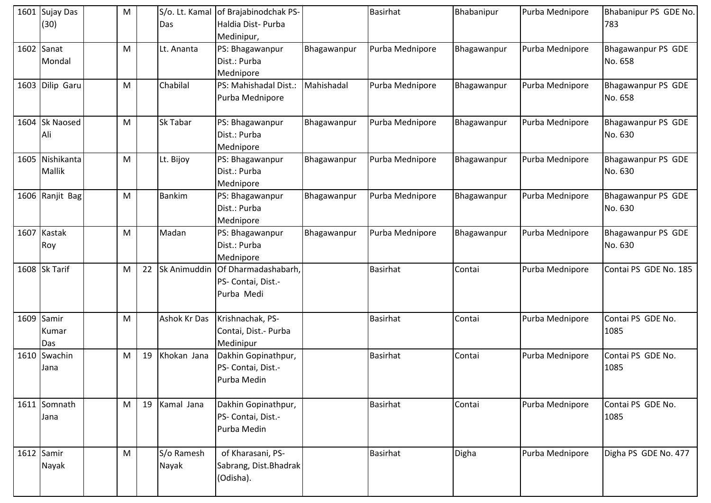| 1601 Sujay Das<br>(30)     | M |    | Das                 | S/o. Lt. Kamal of Brajabinodchak PS-<br>Haldia Dist-Purba  |             | <b>Basirhat</b> | Bhabanipur  | Purba Mednipore | Bhabanipur PS GDE No.<br>783  |
|----------------------------|---|----|---------------------|------------------------------------------------------------|-------------|-----------------|-------------|-----------------|-------------------------------|
| $1602$ Sanat<br>Mondal     | M |    | Lt. Ananta          | Medinipur,<br>PS: Bhagawanpur<br>Dist.: Purba<br>Mednipore | Bhagawanpur | Purba Mednipore | Bhagawanpur | Purba Mednipore | Bhagawanpur PS GDE<br>No. 658 |
| 1603 Dilip Garu            | M |    | Chabilal            | PS: Mahishadal Dist.:<br>Purba Mednipore                   | Mahishadal  | Purba Mednipore | Bhagawanpur | Purba Mednipore | Bhagawanpur PS GDE<br>No. 658 |
| 1604 Sk Naosed<br>Ali      | M |    | Sk Tabar            | PS: Bhagawanpur<br>Dist.: Purba<br>Mednipore               | Bhagawanpur | Purba Mednipore | Bhagawanpur | Purba Mednipore | Bhagawanpur PS GDE<br>No. 630 |
| 1605 Nishikanta<br>Mallik  | M |    | Lt. Bijoy           | PS: Bhagawanpur<br>Dist.: Purba<br>Mednipore               | Bhagawanpur | Purba Mednipore | Bhagawanpur | Purba Mednipore | Bhagawanpur PS GDE<br>No. 630 |
| 1606 Ranjit Bag            | M |    | <b>Bankim</b>       | PS: Bhagawanpur<br>Dist.: Purba<br>Mednipore               | Bhagawanpur | Purba Mednipore | Bhagawanpur | Purba Mednipore | Bhagawanpur PS GDE<br>No. 630 |
| 1607 Kastak<br>Roy         | M |    | Madan               | PS: Bhagawanpur<br>Dist.: Purba<br>Mednipore               | Bhagawanpur | Purba Mednipore | Bhagawanpur | Purba Mednipore | Bhagawanpur PS GDE<br>No. 630 |
| 1608 Sk Tarif              | M | 22 | <b>Sk Animuddin</b> | Of Dharmadashabarh,<br>PS- Contai, Dist.-<br>Purba Medi    |             | <b>Basirhat</b> | Contai      | Purba Mednipore | Contai PS GDE No. 185         |
| 1609 Samir<br>Kumar<br>Das | M |    | Ashok Kr Das        | Krishnachak, PS-<br>Contai, Dist.- Purba<br>Medinipur      |             | <b>Basirhat</b> | Contai      | Purba Mednipore | Contai PS GDE No.<br>1085     |
| 1610 Swachin<br>Jana       | M | 19 | Khokan Jana         | Dakhin Gopinathpur,<br>PS- Contai, Dist.-<br>Purba Medin   |             | <b>Basirhat</b> | Contai      | Purba Mednipore | Contai PS GDE No.<br>1085     |
| 1611 Somnath<br>Jana       | M | 19 | Kamal Jana          | Dakhin Gopinathpur,<br>PS- Contai, Dist.-<br>Purba Medin   |             | <b>Basirhat</b> | Contai      | Purba Mednipore | Contai PS GDE No.<br>1085     |
| 1612 Samir<br>Nayak        | M |    | S/o Ramesh<br>Nayak | of Kharasani, PS-<br>Sabrang, Dist.Bhadrak<br>(Odisha).    |             | <b>Basirhat</b> | Digha       | Purba Mednipore | Digha PS GDE No. 477          |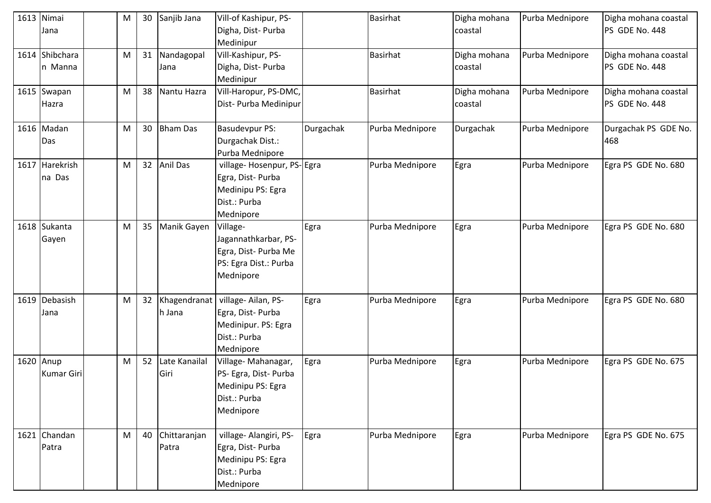| 1613 Nimai<br>Jana             | M | 30 | Sanjib Jana            | Vill-of Kashipur, PS-<br>Digha, Dist-Purba<br>Medinipur                                          |           | Basirhat        | Digha mohana<br>coastal | Purba Mednipore | Digha mohana coastal<br>PS GDE No. 448 |
|--------------------------------|---|----|------------------------|--------------------------------------------------------------------------------------------------|-----------|-----------------|-------------------------|-----------------|----------------------------------------|
| 1614 Shibchara<br>n Manna      | M | 31 | Nandagopal<br>Jana     | Vill-Kashipur, PS-<br>Digha, Dist-Purba<br>Medinipur                                             |           | Basirhat        | Digha mohana<br>coastal | Purba Mednipore | Digha mohana coastal<br>PS GDE No. 448 |
| 1615 Swapan<br>Hazra           | M | 38 | Nantu Hazra            | Vill-Haropur, PS-DMC,<br>Dist- Purba Medinipur                                                   |           | <b>Basirhat</b> | Digha mohana<br>coastal | Purba Mednipore | Digha mohana coastal<br>PS GDE No. 448 |
| 1616 Madan<br>Das              | M | 30 | <b>Bham Das</b>        | <b>Basudevpur PS:</b><br>Durgachak Dist.:<br>Purba Mednipore                                     | Durgachak | Purba Mednipore | Durgachak               | Purba Mednipore | Durgachak PS GDE No.<br>468            |
| 1617 Harekrish<br>na Das       | M | 32 | Anil Das               | village- Hosenpur, PS-Egra<br>Egra, Dist-Purba<br>Medinipu PS: Egra<br>Dist.: Purba<br>Mednipore |           | Purba Mednipore | Egra                    | Purba Mednipore | Egra PS GDE No. 680                    |
| 1618 Sukanta<br>Gayen          | M | 35 | Manik Gayen            | Village-<br>Jagannathkarbar, PS-<br>Egra, Dist- Purba Me<br>PS: Egra Dist.: Purba<br>Mednipore   | Egra      | Purba Mednipore | Egra                    | Purba Mednipore | Egra PS GDE No. 680                    |
| 1619 Debasish<br>Jana          | M | 32 | Khagendranat<br>h Jana | village-Ailan, PS-<br>Egra, Dist-Purba<br>Medinipur. PS: Egra<br>Dist.: Purba<br>Mednipore       | Egra      | Purba Mednipore | Egra                    | Purba Mednipore | Egra PS GDE No. 680                    |
| 1620 Anup<br><b>Kumar Giri</b> | M | 52 | Late Kanailal<br>Giri  | Village-Mahanagar,<br>PS- Egra, Dist- Purba<br>Medinipu PS: Egra<br>Dist.: Purba<br>Mednipore    | Egra      | Purba Mednipore | Egra                    | Purba Mednipore | Egra PS GDE No. 675                    |
| 1621 Chandan<br>Patra          | M | 40 | Chittaranjan<br>Patra  | village- Alangiri, PS-<br>Egra, Dist- Purba<br>Medinipu PS: Egra<br>Dist.: Purba<br>Mednipore    | Egra      | Purba Mednipore | Egra                    | Purba Mednipore | Egra PS GDE No. 675                    |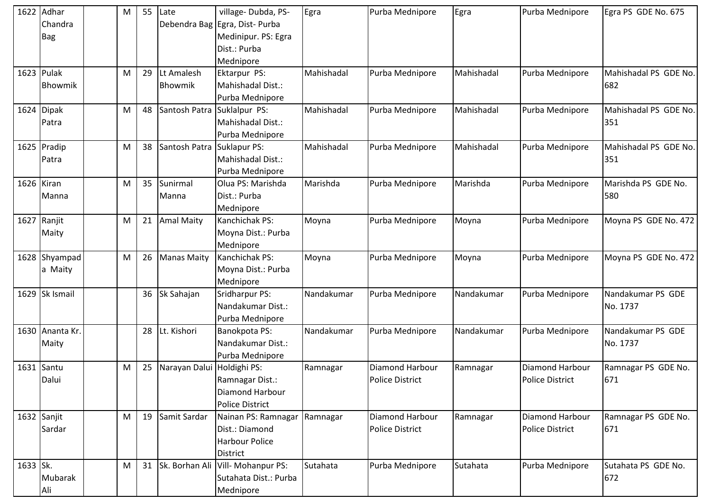|          | 1622 Adhar<br>Chandra<br><b>Bag</b> | М | 55 | Late                       | village-Dubda, PS-<br>Debendra Bag Egra, Dist- Purba<br>Medinipur. PS: Egra<br>Dist.: Purba<br>Mednipore | Egra       | Purba Mednipore                           | Egra       | Purba Mednipore                                  | Egra PS GDE No. 675           |
|----------|-------------------------------------|---|----|----------------------------|----------------------------------------------------------------------------------------------------------|------------|-------------------------------------------|------------|--------------------------------------------------|-------------------------------|
|          | 1623 Pulak<br>Bhowmik               | M | 29 | Lt Amalesh<br>Bhowmik      | Ektarpur PS:<br>Mahishadal Dist.:<br>Purba Mednipore                                                     | Mahishadal | Purba Mednipore                           | Mahishadal | Purba Mednipore                                  | Mahishadal PS GDE No.<br>682  |
|          | 1624 Dipak<br>Patra                 | M | 48 | Santosh Patra              | Suklalpur PS:<br>Mahishadal Dist.:<br>Purba Mednipore                                                    | Mahishadal | Purba Mednipore                           | Mahishadal | Purba Mednipore                                  | Mahishadal PS GDE No.<br>351  |
|          | 1625 Pradip<br>Patra                | M | 38 | Santosh Patra Suklapur PS: | Mahishadal Dist.:<br>Purba Mednipore                                                                     | Mahishadal | Purba Mednipore                           | Mahishadal | Purba Mednipore                                  | Mahishadal PS GDE No.<br>351  |
|          | 1626 Kiran<br>Manna                 | M | 35 | Sunirmal<br>Manna          | Olua PS: Marishda<br>Dist.: Purba<br>Mednipore                                                           | Marishda   | Purba Mednipore                           | Marishda   | Purba Mednipore                                  | Marishda PS GDE No.<br>580    |
|          | 1627 Ranjit<br>Maity                | M | 21 | <b>Amal Maity</b>          | Kanchichak PS:<br>Moyna Dist.: Purba<br>Mednipore                                                        | Moyna      | Purba Mednipore                           | Moyna      | Purba Mednipore                                  | Moyna PS GDE No. 472          |
|          | 1628 Shyampad<br>a Maity            | M | 26 | <b>Manas Maity</b>         | Kanchichak PS:<br>Moyna Dist.: Purba<br>Mednipore                                                        | Moyna      | Purba Mednipore                           | Moyna      | Purba Mednipore                                  | Moyna PS GDE No. 472          |
|          | 1629 Sk Ismail                      |   | 36 | Sk Sahajan                 | Sridharpur PS:<br>Nandakumar Dist.:<br>Purba Mednipore                                                   | Nandakumar | Purba Mednipore                           | Nandakumar | Purba Mednipore                                  | Nandakumar PS GDE<br>No. 1737 |
|          | 1630 Ananta Kr.<br>Maity            |   | 28 | Lt. Kishori                | Banokpota PS:<br>Nandakumar Dist.:<br>Purba Mednipore                                                    | Nandakumar | Purba Mednipore                           | Nandakumar | Purba Mednipore                                  | Nandakumar PS GDE<br>No. 1737 |
|          | 1631 Santu<br>Dalui                 | M | 25 | Narayan Dalui              | Holdighi PS:<br>Ramnagar Dist.:<br>Diamond Harbour<br><b>Police District</b>                             | Ramnagar   | Diamond Harbour<br><b>Police District</b> | Ramnagar   | Diamond Harbour<br><b>Police District</b>        | Ramnagar PS GDE No.<br>671    |
|          | 1632 Sanjit<br>Sardar               | M | 19 | Samit Sardar               | Nainan PS: Ramnagar<br>Dist.: Diamond<br>Harbour Police<br><b>District</b>                               | Ramnagar   | Diamond Harbour<br>Police District        | Ramnagar   | <b>Diamond Harbour</b><br><b>Police District</b> | Ramnagar PS GDE No.<br>671    |
| 1633 Sk. | Mubarak<br>Ali                      | M | 31 |                            | Sk. Borhan Ali Vill- Mohanpur PS:<br>Sutahata Dist.: Purba<br>Mednipore                                  | Sutahata   | Purba Mednipore                           | Sutahata   | Purba Mednipore                                  | Sutahata PS GDE No.<br>672    |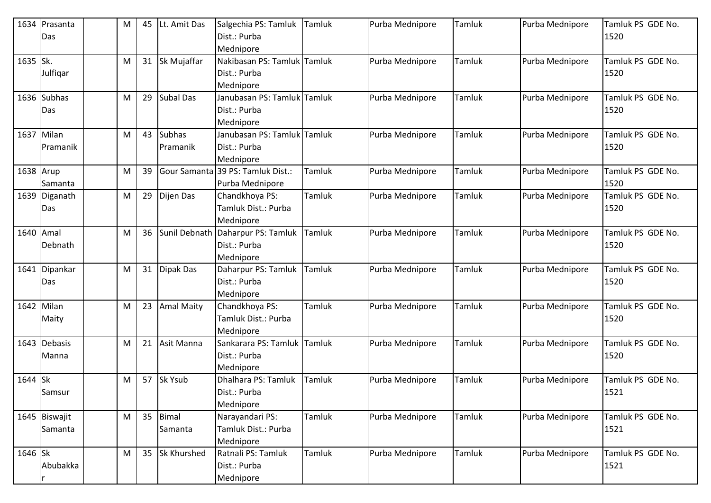|           | 1634 Prasanta<br>Das     | M | 45 | Lt. Amit Das              | Salgechia PS: Tamluk<br>Dist.: Purba                           | Tamluk | Purba Mednipore | Tamluk | Purba Mednipore | Tamluk PS GDE No.<br>1520 |
|-----------|--------------------------|---|----|---------------------------|----------------------------------------------------------------|--------|-----------------|--------|-----------------|---------------------------|
| 1635 Sk.  |                          | M | 31 | Sk Mujaffar               | Mednipore<br>Nakibasan PS: Tamluk                              | Tamluk | Purba Mednipore | Tamluk | Purba Mednipore | Tamluk PS GDE No.         |
|           | Julfiqar                 |   |    |                           | Dist.: Purba<br>Mednipore                                      |        |                 |        |                 | 1520                      |
|           | 1636 Subhas<br>Das       | M | 29 | <b>Subal Das</b>          | Janubasan PS: Tamluk Tamluk<br>Dist.: Purba<br>Mednipore       |        | Purba Mednipore | Tamluk | Purba Mednipore | Tamluk PS GDE No.<br>1520 |
|           | 1637 Milan<br>Pramanik   | M | 43 | <b>Subhas</b><br>Pramanik | Janubasan PS: Tamluk Tamluk<br>Dist.: Purba<br>Mednipore       |        | Purba Mednipore | Tamluk | Purba Mednipore | Tamluk PS GDE No.<br>1520 |
| 1638 Arup | Samanta                  | M | 39 | Gour Samanta              | 39 PS: Tamluk Dist.:<br>Purba Mednipore                        | Tamluk | Purba Mednipore | Tamluk | Purba Mednipore | Tamluk PS GDE No.<br>1520 |
|           | 1639 Diganath<br>Das     | M | 29 | Dijen Das                 | Chandkhoya PS:<br>Tamluk Dist.: Purba<br>Mednipore             | Tamluk | Purba Mednipore | Tamluk | Purba Mednipore | Tamluk PS GDE No.<br>1520 |
| 1640      | Amal<br>Debnath          | M | 36 |                           | Sunil Debnath Daharpur PS: Tamluk<br>Dist.: Purba<br>Mednipore | Tamluk | Purba Mednipore | Tamluk | Purba Mednipore | Tamluk PS GDE No.<br>1520 |
|           | 1641 Dipankar<br>Das     | M | 31 | Dipak Das                 | Daharpur PS: Tamluk<br>Dist.: Purba<br>Mednipore               | Tamluk | Purba Mednipore | Tamluk | Purba Mednipore | Tamluk PS GDE No.<br>1520 |
|           | 1642 Milan<br>Maity      | M | 23 | <b>Amal Maity</b>         | Chandkhoya PS:<br>Tamluk Dist.: Purba<br>Mednipore             | Tamluk | Purba Mednipore | Tamluk | Purba Mednipore | Tamluk PS GDE No.<br>1520 |
|           | 1643 Debasis<br>Manna    | M | 21 | Asit Manna                | Sankarara PS: Tamluk<br>Dist.: Purba<br>Mednipore              | Tamluk | Purba Mednipore | Tamluk | Purba Mednipore | Tamluk PS GDE No.<br>1520 |
| 1644 Sk   | Samsur                   | M | 57 | Sk Ysub                   | Dhalhara PS: Tamluk<br>Dist.: Purba<br>Mednipore               | Tamluk | Purba Mednipore | Tamluk | Purba Mednipore | Tamluk PS GDE No.<br>1521 |
|           | 1645 Biswajit<br>Samanta | M | 35 | <b>Bimal</b><br>Samanta   | Narayandari PS:<br>Tamluk Dist.: Purba<br>Mednipore            | Tamluk | Purba Mednipore | Tamluk | Purba Mednipore | Tamluk PS GDE No.<br>1521 |
| 1646 Sk   | Abubakka                 | M | 35 | <b>Sk Khurshed</b>        | Ratnali PS: Tamluk<br>Dist.: Purba<br>Mednipore                | Tamluk | Purba Mednipore | Tamluk | Purba Mednipore | Tamluk PS GDE No.<br>1521 |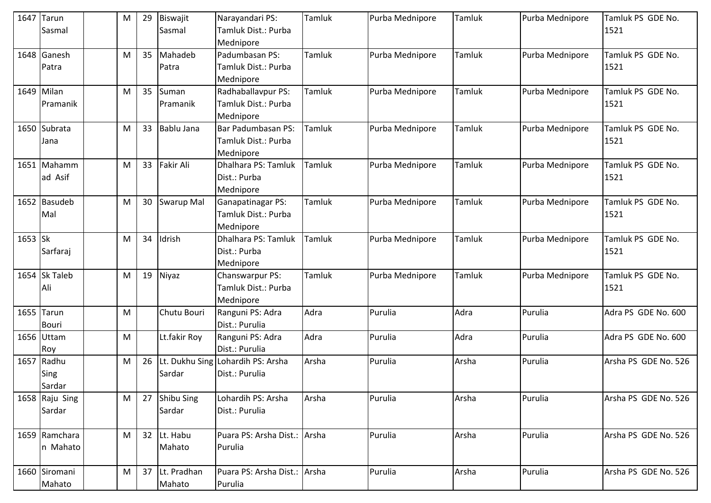|         | 1647 Tarun<br>Sasmal | 29<br>M | Biswajit<br>Sasmal | Narayandari PS:<br>Tamluk Dist.: Purba | Tamluk | Purba Mednipore | Tamluk | Purba Mednipore | Tamluk PS GDE No.<br>1521 |
|---------|----------------------|---------|--------------------|----------------------------------------|--------|-----------------|--------|-----------------|---------------------------|
|         |                      |         |                    | Mednipore                              |        |                 |        |                 |                           |
|         | 1648 Ganesh          | 35<br>M | Mahadeb            | Padumbasan PS:                         | Tamluk | Purba Mednipore | Tamluk | Purba Mednipore | Tamluk PS GDE No.         |
|         | Patra                |         | Patra              | Tamluk Dist.: Purba                    |        |                 |        |                 | 1521                      |
|         |                      |         |                    | Mednipore                              |        |                 |        |                 |                           |
|         | 1649 Milan           | 35<br>M | Suman              | Radhaballavpur PS:                     | Tamluk | Purba Mednipore | Tamluk | Purba Mednipore | Tamluk PS GDE No.         |
|         | Pramanik             |         | Pramanik           | Tamluk Dist.: Purba                    |        |                 |        |                 | 1521                      |
|         |                      |         |                    | Mednipore                              |        |                 |        |                 |                           |
|         | 1650 Subrata         | 33<br>M | Bablu Jana         | Bar Padumbasan PS:                     | Tamluk | Purba Mednipore | Tamluk | Purba Mednipore | Tamluk PS GDE No.         |
|         | Jana                 |         |                    | Tamluk Dist.: Purba                    |        |                 |        |                 | 1521                      |
|         |                      |         |                    | Mednipore                              |        |                 |        |                 |                           |
|         | 1651 Mahamm          | 33<br>M | <b>Fakir Ali</b>   | Dhalhara PS: Tamluk                    | Tamluk | Purba Mednipore | Tamluk | Purba Mednipore | Tamluk PS GDE No.         |
|         | ad Asif              |         |                    | Dist.: Purba                           |        |                 |        |                 | 1521                      |
|         |                      |         |                    | Mednipore                              |        |                 |        |                 |                           |
|         | 1652 Basudeb         | 30<br>M | <b>Swarup Mal</b>  | Ganapatinagar PS:                      | Tamluk | Purba Mednipore | Tamluk | Purba Mednipore | Tamluk PS GDE No.         |
|         | Mal                  |         |                    | Tamluk Dist.: Purba                    |        |                 |        |                 | 1521                      |
|         |                      |         |                    | Mednipore                              |        |                 |        |                 |                           |
| 1653 Sk |                      | 34<br>M | Idrish             | Dhalhara PS: Tamluk                    | Tamluk | Purba Mednipore | Tamluk | Purba Mednipore | Tamluk PS GDE No.         |
|         | Sarfaraj             |         |                    | Dist.: Purba                           |        |                 |        |                 | 1521                      |
|         |                      |         |                    | Mednipore                              |        |                 |        |                 | Tamluk PS GDE No.         |
|         | 1654 Sk Taleb<br>Ali | 19<br>M | Niyaz              | Chanswarpur PS:<br>Tamluk Dist.: Purba | Tamluk | Purba Mednipore | Tamluk | Purba Mednipore |                           |
|         |                      |         |                    | Mednipore                              |        |                 |        |                 | 1521                      |
|         | 1655 Tarun           | M       | Chutu Bouri        | Ranguni PS: Adra                       | Adra   | Purulia         | Adra   | Purulia         | Adra PS GDE No. 600       |
|         | <b>Bouri</b>         |         |                    | Dist.: Purulia                         |        |                 |        |                 |                           |
|         | 1656 Uttam           | M       | Lt.fakir Roy       | Ranguni PS: Adra                       | Adra   | Purulia         | Adra   | Purulia         | Adra PS GDE No. 600       |
|         | Roy                  |         |                    | Dist.: Purulia                         |        |                 |        |                 |                           |
|         | 1657 Radhu           | 26<br>M |                    | Lt. Dukhu Sing Lohardih PS: Arsha      | Arsha  | Purulia         | Arsha  | Purulia         | Arsha PS GDE No. 526      |
|         | Sing                 |         | Sardar             | Dist.: Purulia                         |        |                 |        |                 |                           |
|         | Sardar               |         |                    |                                        |        |                 |        |                 |                           |
|         | 1658 Raju Sing       | M<br>27 | Shibu Sing         | Lohardih PS: Arsha                     | Arsha  | Purulia         | Arsha  | Purulia         | Arsha PS GDE No. 526      |
|         | Sardar               |         | Sardar             | Dist.: Purulia                         |        |                 |        |                 |                           |
|         |                      |         |                    |                                        |        |                 |        |                 |                           |
|         | 1659 Ramchara        | M       | 32 Lt. Habu        | Puara PS: Arsha Dist.: Arsha           |        | Purulia         | Arsha  | Purulia         | Arsha PS GDE No. 526      |
|         | n Mahato             |         | Mahato             | Purulia                                |        |                 |        |                 |                           |
|         |                      |         |                    |                                        |        |                 |        |                 |                           |
|         | 1660 Siromani        | 37<br>M | Lt. Pradhan        | Puara PS: Arsha Dist.: Arsha           |        | Purulia         | Arsha  | Purulia         | Arsha PS GDE No. 526      |
|         | Mahato               |         | Mahato             | Purulia                                |        |                 |        |                 |                           |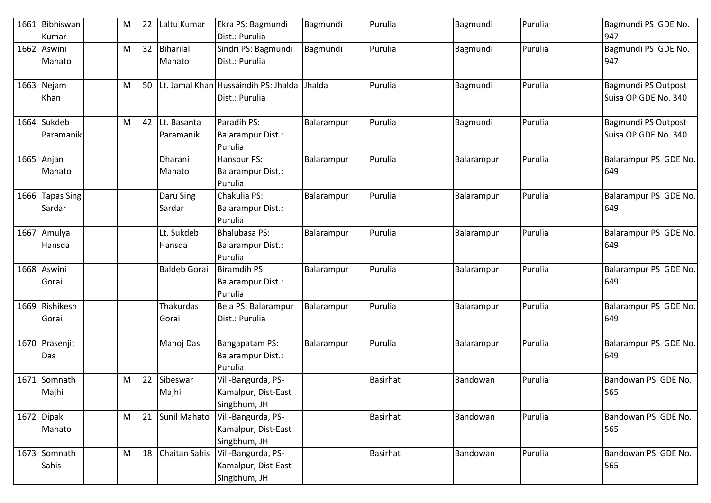| 1661 | Bibhiswan<br>Kumar           | M         | 22 | Laltu Kumar               | Ekra PS: Bagmundi<br>Dist.: Purulia                         | Bagmundi   | Purulia         | Bagmundi   | Purulia | Bagmundi PS GDE No.<br>947                  |
|------|------------------------------|-----------|----|---------------------------|-------------------------------------------------------------|------------|-----------------|------------|---------|---------------------------------------------|
|      | 1662 Aswini<br>Mahato        | M         | 32 | Biharilal<br>Mahato       | Sindri PS: Bagmundi<br>Dist.: Purulia                       | Bagmundi   | Purulia         | Bagmundi   | Purulia | Bagmundi PS GDE No.<br>947                  |
|      | 1663 Nejam<br>Khan           | M         | 50 |                           | Lt. Jamal Khan Hussaindih PS: Jhalda<br>Dist.: Purulia      | Jhalda     | Purulia         | Bagmundi   | Purulia | Bagmundi PS Outpost<br>Suisa OP GDE No. 340 |
|      | 1664 Sukdeb<br>l Paramanik   | M         | 42 | Lt. Basanta<br>Paramanik  | Paradih PS:<br><b>Balarampur Dist.:</b><br>Purulia          | Balarampur | Purulia         | Bagmundi   | Purulia | Bagmundi PS Outpost<br>Suisa OP GDE No. 340 |
|      | 1665 Anjan<br>Mahato         |           |    | Dharani<br>Mahato         | Hanspur PS:<br><b>Balarampur Dist.:</b><br>Purulia          | Balarampur | Purulia         | Balarampur | Purulia | Balarampur PS GDE No.<br>649                |
|      | 1666 Tapas Sing<br>Sardar    |           |    | Daru Sing<br>Sardar       | Chakulia PS:<br><b>Balarampur Dist.:</b><br>Purulia         | Balarampur | Purulia         | Balarampur | Purulia | Balarampur PS GDE No.<br>649                |
| 1667 | Amulya<br>Hansda             |           |    | Lt. Sukdeb<br>Hansda      | <b>Bhalubasa PS:</b><br><b>Balarampur Dist.:</b><br>Purulia | Balarampur | Purulia         | Balarampur | Purulia | Balarampur PS GDE No.<br>649                |
|      | 1668 Aswini<br>Gorai         |           |    | <b>Baldeb Gorai</b>       | <b>Biramdih PS:</b><br><b>Balarampur Dist.:</b><br>Purulia  | Balarampur | Purulia         | Balarampur | Purulia | Balarampur PS GDE No.<br>649                |
|      | 1669 Rishikesh<br>Gorai      |           |    | <b>Thakurdas</b><br>Gorai | Bela PS: Balarampur<br>Dist.: Purulia                       | Balarampur | Purulia         | Balarampur | Purulia | Balarampur PS GDE No.<br>649                |
|      | 1670 Prasenjit<br>Das        |           |    | Manoj Das                 | Bangapatam PS:<br><b>Balarampur Dist.:</b><br>Purulia       | Balarampur | Purulia         | Balarampur | Purulia | Balarampur PS GDE No.<br>649                |
| 1671 | Somnath<br>Majhi             | ${\sf M}$ | 22 | Sibeswar<br>Majhi         | Vill-Bangurda, PS-<br>Kamalpur, Dist-East<br>Singbhum, JH   |            | <b>Basirhat</b> | Bandowan   | Purulia | Bandowan PS GDE No.<br>565                  |
|      | 1672 Dipak<br>Mahato         | M         | 21 | Sunil Mahato              | Vill-Bangurda, PS-<br>Kamalpur, Dist-East<br>Singbhum, JH   |            | <b>Basirhat</b> | Bandowan   | Purulia | Bandowan PS GDE No.<br>565                  |
|      | 1673 Somnath<br><b>Sahis</b> | M         | 18 | Chaitan Sahis             | Vill-Bangurda, PS-<br>Kamalpur, Dist-East<br>Singbhum, JH   |            | Basirhat        | Bandowan   | Purulia | Bandowan PS GDE No.<br>565                  |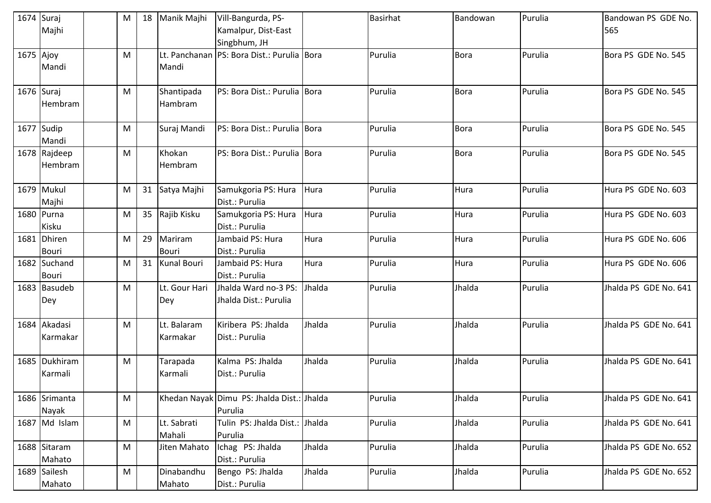|           | $1674$ Suraj<br>Majhi        | M         | 18 | Manik Majhi             | Vill-Bangurda, PS-<br>Kamalpur, Dist-East<br>Singbhum, JH |        | <b>Basirhat</b> | Bandowan    | Purulia | Bandowan PS GDE No.<br>565 |
|-----------|------------------------------|-----------|----|-------------------------|-----------------------------------------------------------|--------|-----------------|-------------|---------|----------------------------|
| 1675 Ajoy | Mandi                        | M         |    | Mandi                   | Lt. Panchanan PS: Bora Dist.: Purulia Bora                |        | Purulia         | <b>Bora</b> | Purulia | Bora PS GDE No. 545        |
|           | 1676 Suraj<br>Hembram        | M         |    | Shantipada<br>Hambram   | PS: Bora Dist.: Purulia Bora                              |        | Purulia         | <b>Bora</b> | Purulia | Bora PS GDE No. 545        |
|           | 1677 Sudip<br>Mandi          | M         |    | Suraj Mandi             | PS: Bora Dist.: Purulia Bora                              |        | Purulia         | <b>Bora</b> | Purulia | Bora PS GDE No. 545        |
|           | 1678 Rajdeep<br>Hembram      | M         |    | Khokan<br>Hembram       | PS: Bora Dist.: Purulia Bora                              |        | Purulia         | <b>Bora</b> | Purulia | Bora PS GDE No. 545        |
|           | 1679 Mukul<br>Majhi          | M         | 31 | Satya Majhi             | Samukgoria PS: Hura<br>Dist.: Purulia                     | Hura   | Purulia         | Hura        | Purulia | Hura PS GDE No. 603        |
|           | 1680 Purna<br>Kisku          | M         | 35 | Rajib Kisku             | Samukgoria PS: Hura<br>Dist.: Purulia                     | Hura   | Purulia         | Hura        | Purulia | Hura PS GDE No. 603        |
|           | 1681 Dhiren<br><b>Bouri</b>  | M         | 29 | Mariram<br><b>Bouri</b> | Jambaid PS: Hura<br>Dist.: Purulia                        | Hura   | Purulia         | Hura        | Purulia | Hura PS GDE No. 606        |
|           | 1682 Suchand<br><b>Bouri</b> | M         | 31 | <b>Kunal Bouri</b>      | Jambaid PS: Hura<br>Dist.: Purulia                        | Hura   | Purulia         | Hura        | Purulia | Hura PS GDE No. 606        |
|           | 1683 Basudeb<br>Dey          | M         |    | Lt. Gour Hari<br>Dey    | Jhalda Ward no-3 PS:<br>Jhalda Dist.: Purulia             | Jhalda | Purulia         | Jhalda      | Purulia | Jhalda PS GDE No. 641      |
|           | 1684 Akadasi<br>Karmakar     | M         |    | Lt. Balaram<br>Karmakar | Kiribera PS: Jhalda<br>Dist.: Purulia                     | Jhalda | Purulia         | Jhalda      | Purulia | Jhalda PS GDE No. 641      |
|           | 1685 Dukhiram<br>Karmali     | M         |    | Tarapada<br>Karmali     | Kalma PS: Jhalda<br>Dist.: Purulia                        | Jhalda | Purulia         | Jhalda      | Purulia | Jhalda PS GDE No. 641      |
|           | 1686 Srimanta<br>Nayak       | M         |    |                         | Khedan Nayak Dimu PS: Jhalda Dist.: Jhalda<br>Purulia     |        | Purulia         | Jhalda      | Purulia | Jhalda PS GDE No. 641      |
|           | 1687 Md Islam                | M         |    | Lt. Sabrati<br>Mahali   | Tulin PS: Jhalda Dist.: Jhalda<br>Purulia                 |        | Purulia         | Jhalda      | Purulia | Jhalda PS GDE No. 641      |
|           | 1688 Sitaram<br>Mahato       | ${\sf M}$ |    | Jiten Mahato            | Ichag PS: Jhalda<br>Dist.: Purulia                        | Jhalda | Purulia         | Jhalda      | Purulia | Jhalda PS GDE No. 652      |
|           | 1689 Sailesh<br>Mahato       | M         |    | Dinabandhu<br>Mahato    | Bengo PS: Jhalda<br>Dist.: Purulia                        | Jhalda | Purulia         | Jhalda      | Purulia | Jhalda PS GDE No. 652      |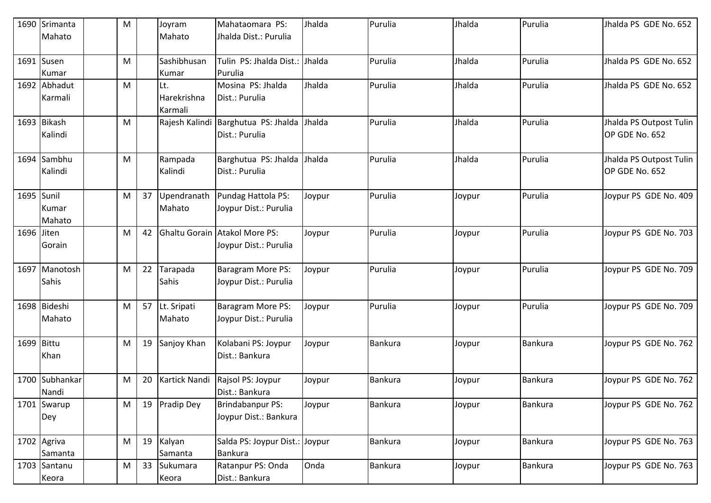|            | 1690 Srimanta                 | M         |    | Joyram                   | Mahataomara PS:                                        | Jhalda | Purulia        | Jhalda | Purulia        | Jhalda PS GDE No. 652                     |
|------------|-------------------------------|-----------|----|--------------------------|--------------------------------------------------------|--------|----------------|--------|----------------|-------------------------------------------|
|            | Mahato                        |           |    | Mahato                   | Jhalda Dist.: Purulia                                  |        |                |        |                |                                           |
|            | 1691 Susen<br>Kumar           | M         |    | Sashibhusan<br>Kumar     | Tulin PS: Jhalda Dist.:<br>Purulia                     | Jhalda | Purulia        | Jhalda | Purulia        | Jhalda PS GDE No. 652                     |
|            | 1692 Abhadut                  | M         |    | Lt.                      | Mosina PS: Jhalda                                      | Jhalda | Purulia        | Jhalda | Purulia        | Jhalda PS GDE No. 652                     |
|            | Karmali                       |           |    | Harekrishna<br>Karmali   | Dist.: Purulia                                         |        |                |        |                |                                           |
|            | 1693 Bikash<br>Kalindi        | M         |    |                          | Rajesh Kalindi Barghutua PS: Jhalda<br>Dist.: Purulia  | Jhalda | Purulia        | Jhalda | Purulia        | Jhalda PS Outpost Tulin<br>OP GDE No. 652 |
|            | 1694 Sambhu<br>Kalindi        | M         |    | Rampada<br>Kalindi       | Barghutua PS: Jhalda<br>Dist.: Purulia                 | Jhalda | Purulia        | Jhalda | Purulia        | Jhalda PS Outpost Tulin<br>OP GDE No. 652 |
|            | 1695 Sunil<br>Kumar<br>Mahato | ${\sf M}$ | 37 | Upendranath<br>Mahato    | Pundag Hattola PS:<br>Joypur Dist.: Purulia            | Joypur | Purulia        | Joypur | Purulia        | Joypur PS GDE No. 409                     |
| 1696 Jiten | Gorain                        | M         | 42 |                          | Ghaltu Gorain Atakol More PS:<br>Joypur Dist.: Purulia | Joypur | Purulia        | Joypur | Purulia        | Joypur PS GDE No. 703                     |
|            | 1697 Manotosh<br><b>Sahis</b> | M         | 22 | Tarapada<br><b>Sahis</b> | Baragram More PS:<br>Joypur Dist.: Purulia             | Joypur | Purulia        | Joypur | Purulia        | Joypur PS GDE No. 709                     |
|            | 1698 Bideshi<br>Mahato        | M         | 57 | Lt. Sripati<br>Mahato    | Baragram More PS:<br>Joypur Dist.: Purulia             | Joypur | Purulia        | Joypur | Purulia        | Joypur PS GDE No. 709                     |
| 1699 Bittu | Khan                          | M         | 19 | Sanjoy Khan              | Kolabani PS: Joypur<br>Dist.: Bankura                  | Joypur | <b>Bankura</b> | Joypur | <b>Bankura</b> | Joypur PS GDE No. 762                     |
|            | 1700 Subhankar<br>Nandi       | M         | 20 | Kartick Nandi            | Rajsol PS: Joypur<br>Dist.: Bankura                    | Joypur | <b>Bankura</b> | Joypur | <b>Bankura</b> | Joypur PS GDE No. 762                     |
|            | 1701 Swarup<br>Dey            | ${\sf M}$ | 19 | Pradip Dey               | <b>Brindabanpur PS:</b><br>Joypur Dist.: Bankura       | Joypur | <b>Bankura</b> | Joypur | <b>Bankura</b> | Joypur PS GDE No. 762                     |
|            | 1702 Agriva<br>Samanta        | M         | 19 | Kalyan<br>Samanta        | Salda PS: Joypur Dist.: Joypur<br><b>Bankura</b>       |        | Bankura        | Joypur | Bankura        | Joypur PS GDE No. 763                     |
|            | 1703 Santanu<br>Keora         | M         | 33 | Sukumara<br>Keora        | Ratanpur PS: Onda<br>Dist.: Bankura                    | Onda   | <b>Bankura</b> | Joypur | <b>Bankura</b> | Joypur PS GDE No. 763                     |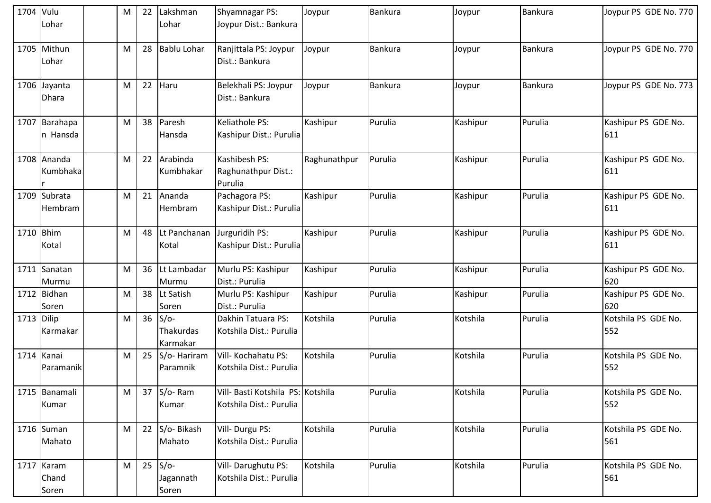| 1704 Vulu    | Lohar                          | M | 22 | Lakshman<br>Lohar               | Shyamnagar PS:<br>Joypur Dist.: Bankura                      | Joypur       | <b>Bankura</b> | Joypur   | <b>Bankura</b> | Joypur PS GDE No. 770      |
|--------------|--------------------------------|---|----|---------------------------------|--------------------------------------------------------------|--------------|----------------|----------|----------------|----------------------------|
|              | 1705 Mithun<br>Lohar           | M | 28 | <b>Bablu Lohar</b>              | Ranjittala PS: Joypur<br>Dist.: Bankura                      | Joypur       | Bankura        | Joypur   | <b>Bankura</b> | Joypur PS GDE No. 770      |
|              | 1706 Jayanta<br><b>Dhara</b>   | M | 22 | Haru                            | Belekhali PS: Joypur<br>Dist.: Bankura                       | Joypur       | Bankura        | Joypur   | Bankura        | Joypur PS GDE No. 773      |
|              | 1707 Barahapa<br>In Hansda     | M | 38 | Paresh<br>Hansda                | Keliathole PS:<br>Kashipur Dist.: Purulia                    | Kashipur     | Purulia        | Kashipur | Purulia        | Kashipur PS GDE No.<br>611 |
|              | 1708 Ananda<br>Kumbhaka        | M | 22 | Arabinda<br>Kumbhakar           | Kashibesh PS:<br>Raghunathpur Dist.:<br>Purulia              | Raghunathpur | Purulia        | Kashipur | Purulia        | Kashipur PS GDE No.<br>611 |
|              | 1709 Subrata<br>Hembram        | M | 21 | Ananda<br>Hembram               | Pachagora PS:<br>Kashipur Dist.: Purulia                     | Kashipur     | Purulia        | Kashipur | Purulia        | Kashipur PS GDE No.<br>611 |
| 1710 Bhim    | Kotal                          | M | 48 | Lt Panchanan<br>Kotal           | Jurguridih PS:<br>Kashipur Dist.: Purulia                    | Kashipur     | Purulia        | Kashipur | Purulia        | Kashipur PS GDE No.<br>611 |
|              | 1711 Sanatan<br>Murmu          | M | 36 | Lt Lambadar<br>Murmu            | Murlu PS: Kashipur<br>Dist.: Purulia                         | Kashipur     | Purulia        | Kashipur | Purulia        | Kashipur PS GDE No.<br>620 |
|              | 1712 Bidhan<br>Soren           | M | 38 | Lt Satish<br>Soren              | Murlu PS: Kashipur<br>Dist.: Purulia                         | Kashipur     | Purulia        | Kashipur | Purulia        | Kashipur PS GDE No.<br>620 |
| $1713$ Dilip | Karmakar                       | M | 36 | $S/O-$<br>Thakurdas<br>Karmakar | Dakhin Tatuara PS:<br>Kotshila Dist.: Purulia                | Kotshila     | Purulia        | Kotshila | Purulia        | Kotshila PS GDE No.<br>552 |
|              | 1714 Kanai<br><b>Paramanik</b> | M | 25 | S/o-Hariram<br>Paramnik         | Vill- Kochahatu PS:<br>Kotshila Dist.: Purulia               | Kotshila     | Purulia        | Kotshila | Purulia        | Kotshila PS GDE No.<br>552 |
|              | 1715 Banamali<br>Kumar         | M | 37 | S/o-Ram<br>Kumar                | Vill- Basti Kotshila PS: Kotshila<br>Kotshila Dist.: Purulia |              | Purulia        | Kotshila | Purulia        | Kotshila PS GDE No.<br>552 |
|              | 1716 Suman<br>Mahato           | M | 22 | S/o-Bikash<br>Mahato            | Vill- Durgu PS:<br>Kotshila Dist.: Purulia                   | Kotshila     | Purulia        | Kotshila | Purulia        | Kotshila PS GDE No.<br>561 |
|              | 1717 Karam<br>Chand<br>Soren   | M | 25 | $S/O-$<br>Jagannath<br>Soren    | Vill-Darughutu PS:<br>Kotshila Dist.: Purulia                | Kotshila     | Purulia        | Kotshila | Purulia        | Kotshila PS GDE No.<br>561 |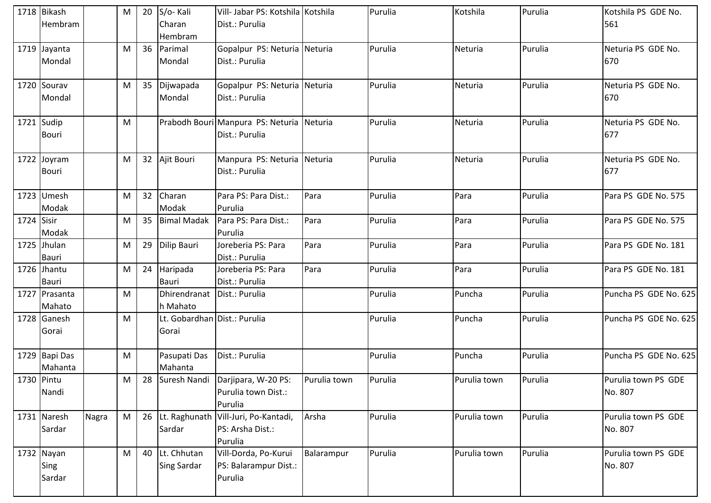|            | 1718 Bikash<br>Hembram       |       | M | 20 | S/o-Kali<br>Charan<br>Hembram             | Vill- Jabar PS: Kotshila Kotshila<br>Dist.: Purulia                   |              | Purulia | Kotshila     | Purulia | Kotshila PS GDE No.<br>561     |
|------------|------------------------------|-------|---|----|-------------------------------------------|-----------------------------------------------------------------------|--------------|---------|--------------|---------|--------------------------------|
|            | 1719 Jayanta<br>Mondal       |       | M | 36 | Parimal<br>Mondal                         | Gopalpur PS: Neturia Neturia<br>Dist.: Purulia                        |              | Purulia | Neturia      | Purulia | Neturia PS GDE No.<br>670      |
|            | 1720 Sourav<br>Mondal        |       | M | 35 | Dijwapada<br>Mondal                       | Gopalpur PS: Neturia Neturia<br>Dist.: Purulia                        |              | Purulia | Neturia      | Purulia | Neturia PS GDE No.<br>670      |
|            | 1721 Sudip<br>Bouri          |       | M |    |                                           | Prabodh Bouri Manpura PS: Neturia Neturia<br>Dist.: Purulia           |              | Purulia | Neturia      | Purulia | Neturia PS GDE No.<br>677      |
|            | 1722 Joyram<br>Bouri         |       | M |    | 32 Ajit Bouri                             | Manpura PS: Neturia Neturia<br>Dist.: Purulia                         |              | Purulia | Neturia      | Purulia | Neturia PS GDE No.<br>677      |
|            | 1723 Umesh<br>Modak          |       | M | 32 | Charan<br>Modak                           | Para PS: Para Dist.:<br>Purulia                                       | Para         | Purulia | Para         | Purulia | Para PS GDE No. 575            |
| 1724 Sisir | Modak                        |       | M | 35 | <b>Bimal Madak</b>                        | Para PS: Para Dist.:<br>Purulia                                       | Para         | Purulia | Para         | Purulia | Para PS GDE No. 575            |
|            | 1725 Jhulan<br>Bauri         |       | M | 29 | Dilip Bauri                               | Joreberia PS: Para<br>Dist.: Purulia                                  | Para         | Purulia | Para         | Purulia | Para PS GDE No. 181            |
|            | 1726 Jhantu<br><b>Bauri</b>  |       | M | 24 | Haripada<br><b>Bauri</b>                  | Joreberia PS: Para<br>Dist.: Purulia                                  | Para         | Purulia | Para         | Purulia | Para PS GDE No. 181            |
|            | 1727 Prasanta<br>Mahato      |       | M |    | Dhirendranat   Dist.: Purulia<br>h Mahato |                                                                       |              | Purulia | Puncha       | Purulia | Puncha PS GDE No. 625          |
|            | 1728 Ganesh<br>Gorai         |       | M |    | Lt. Gobardhan Dist.: Purulia<br>Gorai     |                                                                       |              | Purulia | Puncha       | Purulia | Puncha PS GDE No. 625          |
|            | 1729 Bapi Das<br>Mahanta     |       | M |    | Pasupati Das<br>Mahanta                   | Dist.: Purulia                                                        |              | Purulia | Puncha       | Purulia | Puncha PS GDE No. 625          |
| 1730 Pintu | Nandi                        |       | M |    |                                           | 28 Suresh Nandi Darjipara, W-20 PS:<br>Purulia town Dist.:<br>Purulia | Purulia town | Purulia | Purulia town | Purulia | Purulia town PS GDE<br>No. 807 |
|            | 1731 Naresh<br>Sardar        | Nagra | M |    | 26 Lt. Raghunath<br>Sardar                | Vill-Juri, Po-Kantadi,<br>PS: Arsha Dist.:<br>Purulia                 | Arsha        | Purulia | Purulia town | Purulia | Purulia town PS GDE<br>No. 807 |
|            | 1732 Nayan<br>Sing<br>Sardar |       | M | 40 | Lt. Chhutan<br><b>Sing Sardar</b>         | Vill-Dorda, Po-Kurui<br>PS: Balarampur Dist.:<br>Purulia              | Balarampur   | Purulia | Purulia town | Purulia | Purulia town PS GDE<br>No. 807 |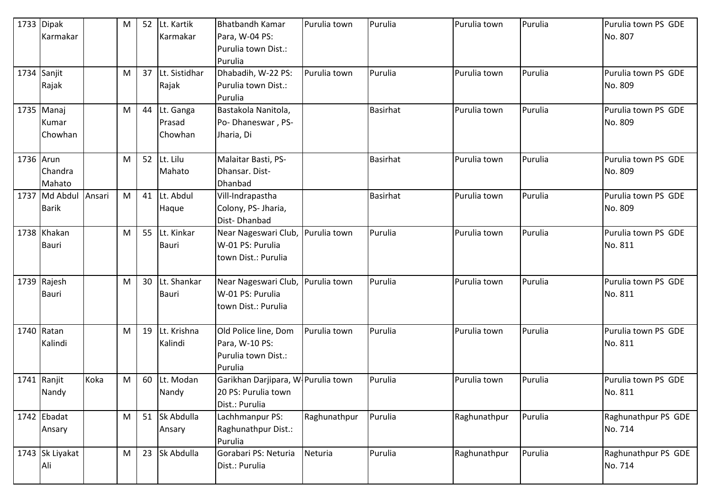|           | 1733 Dipak<br>Karmakar           |        | M         | 52 | Lt. Kartik<br>Karmakar         | <b>Bhatbandh Kamar</b><br>Para, W-04 PS:<br>Purulia town Dist.:<br>Purulia  | Purulia town | Purulia         | Purulia town | Purulia | Purulia town PS GDE<br>No. 807 |
|-----------|----------------------------------|--------|-----------|----|--------------------------------|-----------------------------------------------------------------------------|--------------|-----------------|--------------|---------|--------------------------------|
|           | 1734 Sanjit<br>Rajak             |        | M         | 37 | Lt. Sistidhar<br>Rajak         | Dhabadih, W-22 PS:<br>Purulia town Dist.:<br>Purulia                        | Purulia town | Purulia         | Purulia town | Purulia | Purulia town PS GDE<br>No. 809 |
|           | $1735$ Manaj<br>Kumar<br>Chowhan |        | M         | 44 | Lt. Ganga<br>Prasad<br>Chowhan | Bastakola Nanitola,<br>Po-Dhaneswar, PS-<br>Jharia, Di                      |              | <b>Basirhat</b> | Purulia town | Purulia | Purulia town PS GDE<br>No. 809 |
| 1736 Arun | Chandra<br>Mahato                |        | M         | 52 | Lt. Lilu<br>Mahato             | Malaitar Basti, PS-<br>Dhansar. Dist-<br><b>Dhanbad</b>                     |              | <b>Basirhat</b> | Purulia town | Purulia | Purulia town PS GDE<br>No. 809 |
|           | 1737 Md Abdul<br><b>Barik</b>    | Ansari | M         | 41 | Lt. Abdul<br>Haque             | Vill-Indrapastha<br>Colony, PS- Jharia,<br>Dist-Dhanbad                     |              | <b>Basirhat</b> | Purulia town | Purulia | Purulia town PS GDE<br>No. 809 |
|           | 1738 Khakan<br><b>Bauri</b>      |        | M         | 55 | Lt. Kinkar<br><b>Bauri</b>     | Near Nageswari Club,<br>W-01 PS: Purulia<br>town Dist.: Purulia             | Purulia town | Purulia         | Purulia town | Purulia | Purulia town PS GDE<br>No. 811 |
|           | 1739 Rajesh<br>Bauri             |        | M         | 30 | Lt. Shankar<br><b>Bauri</b>    | Near Nageswari Club,<br>W-01 PS: Purulia<br>town Dist.: Purulia             | Purulia town | Purulia         | Purulia town | Purulia | Purulia town PS GDE<br>No. 811 |
|           | 1740 Ratan<br>Kalindi            |        | M         | 19 | Lt. Krishna<br>Kalindi         | Old Police line, Dom<br>Para, W-10 PS:<br>Purulia town Dist.:<br>Purulia    | Purulia town | Purulia         | Purulia town | Purulia | Purulia town PS GDE<br>No. 811 |
|           | 1741 Ranjit<br>Nandy             | Koka   | ${\sf M}$ | 60 | Lt. Modan<br>Nandy             | Garikhan Darjipara, W-Purulia town<br>20 PS: Purulia town<br>Dist.: Purulia |              | Purulia         | Purulia town | Purulia | Purulia town PS GDE<br>No. 811 |
|           | 1742 Ebadat<br>Ansary            |        | M         | 51 | Sk Abdulla<br>Ansary           | Lachhmanpur PS:<br>Raghunathpur Dist.:<br>Purulia                           | Raghunathpur | Purulia         | Raghunathpur | Purulia | Raghunathpur PS GDE<br>No. 714 |
|           | 1743 Sk Liyakat<br>Ali           |        | M         | 23 | Sk Abdulla                     | Gorabari PS: Neturia<br>Dist.: Purulia                                      | Neturia      | Purulia         | Raghunathpur | Purulia | Raghunathpur PS GDE<br>No. 714 |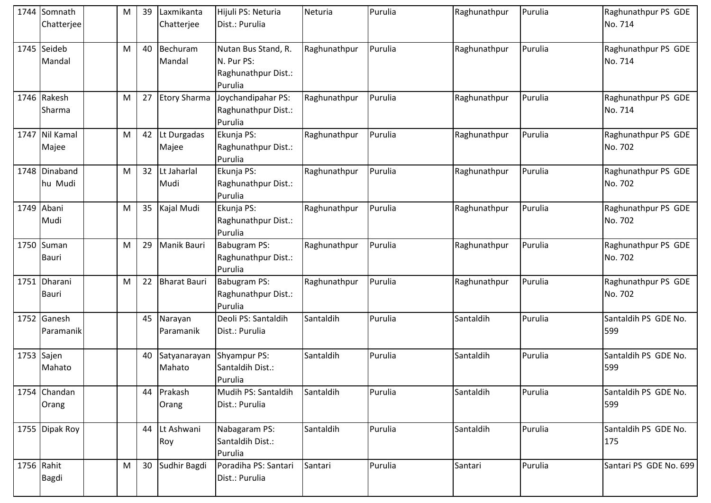|            | 1744 Somnath             | M | 39 | Laxmikanta             | Hijuli PS: Neturia                                                  | Neturia      | Purulia | Raghunathpur | Purulia | Raghunathpur PS GDE            |
|------------|--------------------------|---|----|------------------------|---------------------------------------------------------------------|--------------|---------|--------------|---------|--------------------------------|
|            | Chatterjee               |   |    | Chatterjee             | Dist.: Purulia                                                      |              |         |              |         | No. 714                        |
|            | 1745 Seideb<br>Mandal    | M | 40 | Bechuram<br>Mandal     | Nutan Bus Stand, R.<br>N. Pur PS:<br>Raghunathpur Dist.:<br>Purulia | Raghunathpur | Purulia | Raghunathpur | Purulia | Raghunathpur PS GDE<br>No. 714 |
|            | 1746 Rakesh<br>Sharma    | M | 27 | <b>Etory Sharma</b>    | Joychandipahar PS:<br>Raghunathpur Dist.:<br>Purulia                | Raghunathpur | Purulia | Raghunathpur | Purulia | Raghunathpur PS GDE<br>No. 714 |
| 1747       | Nil Kamal<br>Majee       | M | 42 | Lt Durgadas<br>Majee   | Ekunja PS:<br>Raghunathpur Dist.:<br>Purulia                        | Raghunathpur | Purulia | Raghunathpur | Purulia | Raghunathpur PS GDE<br>No. 702 |
|            | 1748 Dinaband<br>hu Mudi | M | 32 | Lt Jaharlal<br>Mudi    | Ekunja PS:<br>Raghunathpur Dist.:<br>Purulia                        | Raghunathpur | Purulia | Raghunathpur | Purulia | Raghunathpur PS GDE<br>No. 702 |
|            | 1749 Abani<br>Mudi       | M | 35 | Kajal Mudi             | Ekunja PS:<br>Raghunathpur Dist.:<br>Purulia                        | Raghunathpur | Purulia | Raghunathpur | Purulia | Raghunathpur PS GDE<br>No. 702 |
|            | 1750 Suman<br>Bauri      | M | 29 | Manik Bauri            | <b>Babugram PS:</b><br>Raghunathpur Dist.:<br>Purulia               | Raghunathpur | Purulia | Raghunathpur | Purulia | Raghunathpur PS GDE<br>No. 702 |
|            | 1751 Dharani<br>Bauri    | M | 22 | <b>Bharat Bauri</b>    | Babugram PS:<br>Raghunathpur Dist.:<br>Purulia                      | Raghunathpur | Purulia | Raghunathpur | Purulia | Raghunathpur PS GDE<br>No. 702 |
|            | 1752 Ganesh<br>Paramanik |   | 45 | Narayan<br>Paramanik   | Deoli PS: Santaldih<br>Dist.: Purulia                               | Santaldih    | Purulia | Santaldih    | Purulia | Santaldih PS GDE No.<br>599    |
|            | 1753 Sajen<br>Mahato     |   | 40 | Satyanarayan<br>Mahato | Shyampur PS:<br>Santaldih Dist.:<br>Purulia                         | Santaldih    | Purulia | Santaldih    | Purulia | Santaldih PS GDE No.<br>599    |
|            | 1754 Chandan<br>Orang    |   | 44 | Prakash<br>Orang       | Mudih PS: Santaldih<br>Dist.: Purulia                               | Santaldih    | Purulia | Santaldih    | Purulia | Santaldih PS GDE No.<br>599    |
|            | 1755 Dipak Roy           |   | 44 | Lt Ashwani<br>Roy      | Nabagaram PS:<br>Santaldih Dist.:<br>Purulia                        | Santaldih    | Purulia | Santaldih    | Purulia | Santaldih PS GDE No.<br>175    |
| 1756 Rahit | Bagdi                    | M | 30 | Sudhir Bagdi           | Poradiha PS: Santari<br>Dist.: Purulia                              | Santari      | Purulia | Santari      | Purulia | Santari PS GDE No. 699         |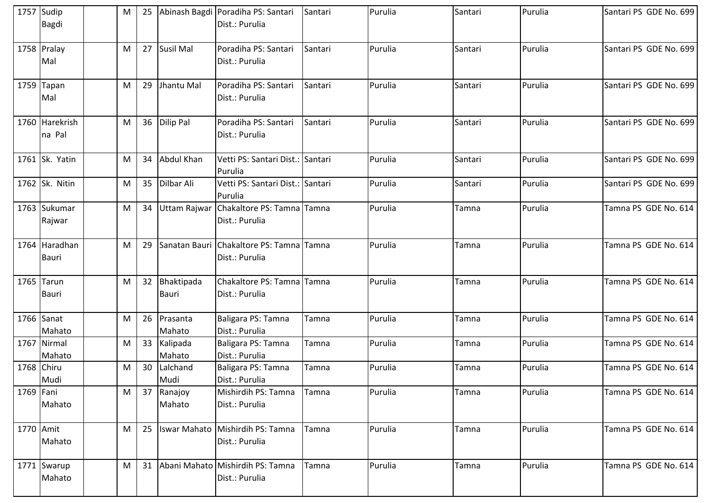|           | 1757 Sudip<br><b>Bagdi</b>    | M | 25 |                            | Abinash Bagdi Poradiha PS: Santari<br>Dist.: Purulia           | Santari | Purulia | Santari | Purulia | Santari PS GDE No. 699 |
|-----------|-------------------------------|---|----|----------------------------|----------------------------------------------------------------|---------|---------|---------|---------|------------------------|
|           | 1758 Pralay<br>Mal            | M | 27 | Susil Mal                  | Poradiha PS: Santari<br>Dist.: Purulia                         | Santari | Purulia | Santari | Purulia | Santari PS GDE No. 699 |
|           | $1759$ Tapan<br>Mal           | M | 29 | Jhantu Mal                 | Poradiha PS: Santari<br>Dist.: Purulia                         | Santari | Purulia | Santari | Purulia | Santari PS GDE No. 699 |
|           | 1760 Harekrish<br>na Pal      | M | 36 | Dilip Pal                  | Poradiha PS: Santari<br>Dist.: Purulia                         | Santari | Purulia | Santari | Purulia | Santari PS GDE No. 699 |
|           | 1761 Sk. Yatin                | M | 34 | Abdul Khan                 | Vetti PS: Santari Dist.: Santari<br>Purulia                    |         | Purulia | Santari | Purulia | Santari PS GDE No. 699 |
|           | 1762 Sk. Nitin                | M | 35 | Dilbar Ali                 | Vetti PS: Santari Dist.: Santari<br>Purulia                    |         | Purulia | Santari | Purulia | Santari PS GDE No. 699 |
|           | 1763 Sukumar<br>Rajwar        | M | 34 |                            | Uttam Rajwar Chakaltore PS: Tamna Tamna<br>Dist.: Purulia      |         | Purulia | Tamna   | Purulia | Tamna PS GDE No. 614   |
|           | 1764 Haradhan<br><b>Bauri</b> | M | 29 |                            | Sanatan Bauri   Chakaltore PS: Tamna   Tamna<br>Dist.: Purulia |         | Purulia | Tamna   | Purulia | Tamna PS GDE No. 614   |
|           | $1765$ Tarun<br><b>Bauri</b>  | M | 32 | Bhaktipada<br><b>Bauri</b> | Chakaltore PS: Tamna Tamna<br>Dist.: Purulia                   |         | Purulia | Tamna   | Purulia | Tamna PS GDE No. 614   |
|           | 1766 Sanat<br>Mahato          | M | 26 | Prasanta<br>Mahato         | Baligara PS: Tamna<br>Dist.: Purulia                           | Tamna   | Purulia | Tamna   | Purulia | Tamna PS GDE No. 614   |
|           | 1767 Nirmal<br>Mahato         | M | 33 | Kalipada<br>Mahato         | Baligara PS: Tamna<br>Dist.: Purulia                           | Tamna   | Purulia | Tamna   | Purulia | Tamna PS GDE No. 614   |
|           | 1768 Chiru<br>Mudi            | M | 30 | Lalchand<br>Mudi           | Baligara PS: Tamna<br>Dist.: Purulia                           | Tamna   | Purulia | Tamna   | Purulia | Tamna PS GDE No. 614   |
| 1769 Fani | Mahato                        | M | 37 | Ranajoy<br>Mahato          | Mishirdih PS: Tamna<br>Dist.: Purulia                          | Tamna   | Purulia | Tamna   | Purulia | Tamna PS GDE No. 614   |
| 1770 Amit | Mahato                        | M | 25 | <b>Iswar Mahato</b>        | Mishirdih PS: Tamna<br>Dist.: Purulia                          | Tamna   | Purulia | Tamna   | Purulia | Tamna PS GDE No. 614   |
|           | 1771 Swarup<br>Mahato         | M | 31 |                            | Abani Mahato Mishirdih PS: Tamna<br>Dist.: Purulia             | Tamna   | Purulia | Tamna   | Purulia | Tamna PS GDE No. 614   |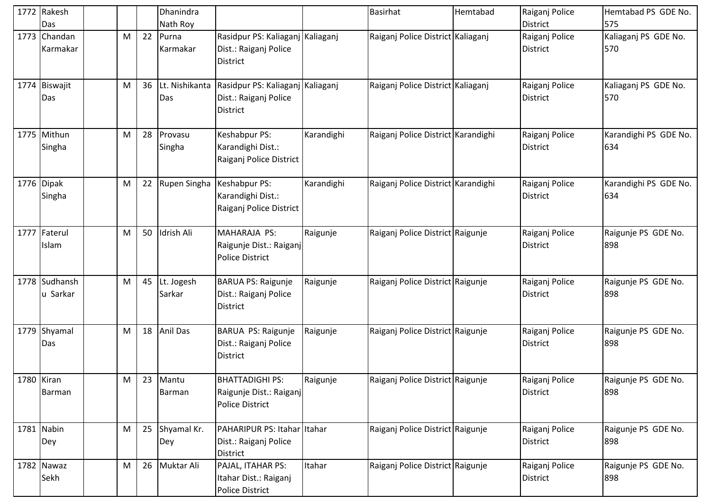|            | 1772 Rakesh<br>Das        |   |    | Dhanindra<br>Nath Roy |                                                                              |            | Basirhat                           | Hemtabad | Raiganj Police<br><b>District</b> | Hemtabad PS GDE No.<br>575   |
|------------|---------------------------|---|----|-----------------------|------------------------------------------------------------------------------|------------|------------------------------------|----------|-----------------------------------|------------------------------|
|            | 1773 Chandan<br>Karmakar  | M | 22 | Purna<br>Karmakar     | Rasidpur PS: Kaliaganj Kaliaganj<br>Dist.: Raiganj Police<br><b>District</b> |            | Raiganj Police District Kaliaganj  |          | Raiganj Police<br><b>District</b> | Kaliaganj PS GDE No.<br>570  |
|            | 1774 Biswajit<br>Das      | M | 36 | Lt. Nishikanta<br>Das | Rasidpur PS: Kaliaganj Kaliaganj<br>Dist.: Raiganj Police<br><b>District</b> |            | Raiganj Police District Kaliaganj  |          | Raiganj Police<br><b>District</b> | Kaliaganj PS GDE No.<br>570  |
|            | 1775 Mithun<br>Singha     | M | 28 | Provasu<br>Singha     | Keshabpur PS:<br>Karandighi Dist.:<br>Raiganj Police District                | Karandighi | Raiganj Police District Karandighi |          | Raiganj Police<br><b>District</b> | Karandighi PS GDE No.<br>634 |
|            | 1776 Dipak<br>Singha      | M | 22 | Rupen Singha          | Keshabpur PS:<br>Karandighi Dist.:<br>Raiganj Police District                | Karandighi | Raiganj Police District Karandighi |          | Raiganj Police<br><b>District</b> | Karandighi PS GDE No.<br>634 |
|            | 1777 Faterul<br>Islam     | M | 50 | Idrish Ali            | MAHARAJA PS:<br>Raigunje Dist.: Raiganj<br><b>Police District</b>            | Raigunje   | Raiganj Police District Raigunje   |          | Raiganj Police<br>District        | Raigunje PS GDE No.<br>898   |
|            | 1778 Sudhansh<br>u Sarkar | M | 45 | Lt. Jogesh<br>Sarkar  | <b>BARUA PS: Raigunje</b><br>Dist.: Raiganj Police<br>District               | Raigunje   | Raiganj Police District Raigunje   |          | Raiganj Police<br><b>District</b> | Raigunje PS GDE No.<br>898   |
|            | 1779 Shyamal<br>Das       | M | 18 | <b>Anil Das</b>       | BARUA PS: Raigunje<br>Dist.: Raiganj Police<br><b>District</b>               | Raigunje   | Raiganj Police District Raigunje   |          | Raiganj Police<br><b>District</b> | Raigunje PS GDE No.<br>898   |
| 1780 Kiran | Barman                    | M | 23 | Mantu<br>Barman       | <b>BHATTADIGHI PS:</b><br>Raigunje Dist.: Raiganj<br><b>Police District</b>  | Raigunje   | Raiganj Police District Raigunje   |          | Raiganj Police<br><b>District</b> | Raigunje PS GDE No.<br>898   |
|            | 1781 Nabin<br>Dey         | M | 25 | Shyamal Kr.<br>Dey    | PAHARIPUR PS: Itahar Itahar<br>Dist.: Raiganj Police<br>District             |            | Raiganj Police District Raigunje   |          | Raiganj Police<br><b>District</b> | Raigunje PS GDE No.<br>898   |
|            | 1782 Nawaz<br>Sekh        | M | 26 | Muktar Ali            | PAJAL, ITAHAR PS:<br>Itahar Dist.: Raiganj<br>Police District                | Itahar     | Raiganj Police District Raigunje   |          | Raiganj Police<br>District        | Raigunje PS GDE No.<br>898   |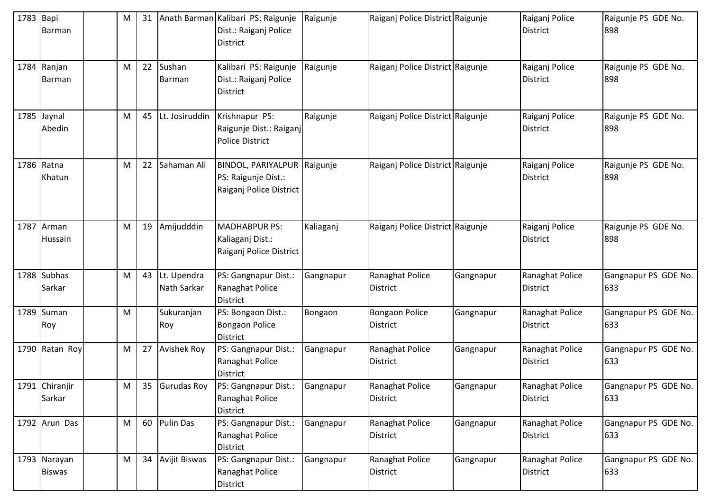| 1783 Bapi | Barman                        | M | 31 |                            | Anath Barman Kalibari PS: Raigunje<br>Dist.: Raiganj Police<br><b>District</b> | Raigunje  | Raiganj Police District Raigunje         |           | Raiganj Police<br><b>District</b>  | Raigunje PS GDE No.<br>898  |
|-----------|-------------------------------|---|----|----------------------------|--------------------------------------------------------------------------------|-----------|------------------------------------------|-----------|------------------------------------|-----------------------------|
|           | 1784 Ranjan<br>Barman         | M | 22 | Sushan<br><b>Barman</b>    | Kalibari PS: Raigunje<br>Dist.: Raiganj Police<br><b>District</b>              | Raigunje  | Raiganj Police District Raigunje         |           | Raiganj Police<br><b>District</b>  | Raigunje PS GDE No.<br>898  |
|           | 1785 Jaynal<br>Abedin         | M | 45 | Lt. Josiruddin             | Krishnapur PS:<br>Raigunje Dist.: Raiganj<br><b>Police District</b>            | Raigunje  | Raiganj Police District Raigunje         |           | Raiganj Police<br><b>District</b>  | Raigunje PS GDE No.<br>898  |
|           | 1786 Ratna<br>Khatun          | M | 22 | Sahaman Ali                | BINDOL, PARIYALPUR Raigunje<br>PS: Raigunje Dist.:<br>Raiganj Police District  |           | Raiganj Police District Raigunje         |           | Raiganj Police<br><b>District</b>  | Raigunje PS GDE No.<br>898  |
|           | 1787 Arman<br>Hussain         | M | 19 | Amijudddin                 | <b>MADHABPUR PS:</b><br>Kaliaganj Dist.:<br>Raiganj Police District            | Kaliaganj | Raiganj Police District Raigunje         |           | Raiganj Police<br><b>District</b>  | Raigunje PS GDE No.<br>898  |
|           | 1788 Subhas<br>Sarkar         | M | 43 | Lt. Upendra<br>Nath Sarkar | PS: Gangnapur Dist.:<br>Ranaghat Police<br><b>District</b>                     | Gangnapur | Ranaghat Police<br><b>District</b>       | Gangnapur | Ranaghat Police<br><b>District</b> | Gangnapur PS GDE No.<br>633 |
|           | 1789 Suman<br>Roy             | M |    | Sukuranjan<br>Roy          | PS: Bongaon Dist.:<br><b>Bongaon Police</b><br>District                        | Bongaon   | <b>Bongaon Police</b><br><b>District</b> | Gangnapur | Ranaghat Police<br><b>District</b> | Gangnapur PS GDE No.<br>633 |
|           | 1790 Ratan Roy                | M | 27 | <b>Avishek Roy</b>         | PS: Gangnapur Dist.:<br>Ranaghat Police<br><b>District</b>                     | Gangnapur | Ranaghat Police<br>District              | Gangnapur | Ranaghat Police<br><b>District</b> | Gangnapur PS GDE No.<br>633 |
|           | 1791 Chiranjir<br>Sarkar      | M | 35 | Gurudas Roy                | PS: Gangnapur Dist.:<br>Ranaghat Police<br><b>District</b>                     | Gangnapur | Ranaghat Police<br><b>District</b>       | Gangnapur | Ranaghat Police<br><b>District</b> | Gangnapur PS GDE No.<br>633 |
|           | 1792 Arun Das                 | M |    | 60 Pulin Das               | PS: Gangnapur Dist.:<br>Ranaghat Police<br>District                            | Gangnapur | Ranaghat Police<br>District              | Gangnapur | Ranaghat Police<br><b>District</b> | Gangnapur PS GDE No.<br>633 |
|           | 1793 Narayan<br><b>Biswas</b> | M | 34 | <b>Avijit Biswas</b>       | PS: Gangnapur Dist.:<br>Ranaghat Police<br>District                            | Gangnapur | Ranaghat Police<br>District              | Gangnapur | Ranaghat Police<br>District        | Gangnapur PS GDE No.<br>633 |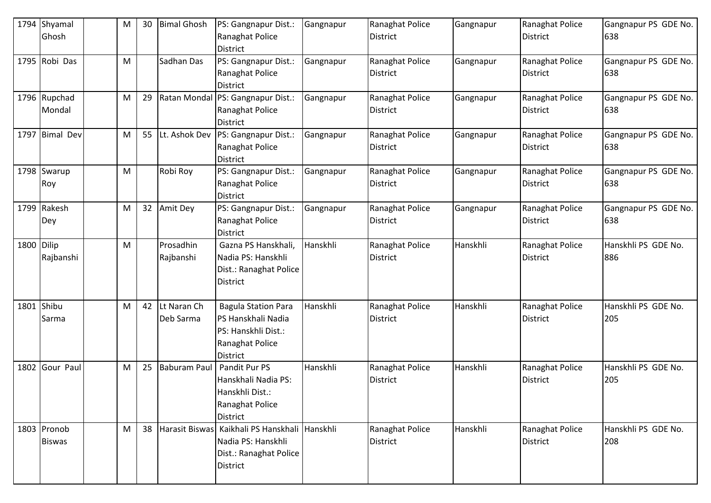|            | 1794 Shyamal<br>Ghosh        | M | 30 | <b>Bimal Ghosh</b>       | PS: Gangnapur Dist.:<br>Ranaghat Police<br><b>District</b>                                                    | Gangnapur | Ranaghat Police<br><b>District</b> | Gangnapur | Ranaghat Police<br>District        | Gangnapur PS GDE No.<br>638 |
|------------|------------------------------|---|----|--------------------------|---------------------------------------------------------------------------------------------------------------|-----------|------------------------------------|-----------|------------------------------------|-----------------------------|
|            | 1795 Robi Das                | M |    | Sadhan Das               | PS: Gangnapur Dist.:<br>Ranaghat Police<br>District                                                           | Gangnapur | Ranaghat Police<br><b>District</b> | Gangnapur | Ranaghat Police<br>District        | Gangnapur PS GDE No.<br>638 |
|            | 1796 Rupchad<br>Mondal       | M | 29 |                          | Ratan Mondal PS: Gangnapur Dist.:<br>Ranaghat Police<br><b>District</b>                                       | Gangnapur | Ranaghat Police<br><b>District</b> | Gangnapur | Ranaghat Police<br><b>District</b> | Gangnapur PS GDE No.<br>638 |
|            | 1797 Bimal Dev               | M | 55 | Lt. Ashok Dev            | PS: Gangnapur Dist.:<br>Ranaghat Police<br>District                                                           | Gangnapur | Ranaghat Police<br><b>District</b> | Gangnapur | Ranaghat Police<br>District        | Gangnapur PS GDE No.<br>638 |
|            | 1798 Swarup<br>Roy           | M |    | Robi Roy                 | PS: Gangnapur Dist.:<br>Ranaghat Police<br>District                                                           | Gangnapur | Ranaghat Police<br><b>District</b> | Gangnapur | Ranaghat Police<br>District        | Gangnapur PS GDE No.<br>638 |
|            | 1799 Rakesh<br>Dey           | M |    | 32 Amit Dey              | PS: Gangnapur Dist.:<br>Ranaghat Police<br><b>District</b>                                                    | Gangnapur | Ranaghat Police<br><b>District</b> | Gangnapur | Ranaghat Police<br>District        | Gangnapur PS GDE No.<br>638 |
| 1800 Dilip | Rajbanshi                    | M |    | Prosadhin<br>Rajbanshi   | Gazna PS Hanskhali,<br>Nadia PS: Hanskhli<br>Dist.: Ranaghat Police<br>District                               | Hanskhli  | Ranaghat Police<br><b>District</b> | Hanskhli  | Ranaghat Police<br><b>District</b> | Hanskhli PS GDE No.<br>886  |
| 1801       | Shibu<br>Sarma               | M | 42 | Lt Naran Ch<br>Deb Sarma | <b>Bagula Station Para</b><br>PS Hanskhali Nadia<br>PS: Hanskhli Dist.:<br>Ranaghat Police<br><b>District</b> | Hanskhli  | Ranaghat Police<br><b>District</b> | Hanskhli  | Ranaghat Police<br>District        | Hanskhli PS GDE No.<br>205  |
|            | 1802 Gour Paul               | M | 25 | <b>Baburam Paul</b>      | Pandit Pur PS<br>Hanskhali Nadia PS:<br>Hanskhli Dist.:<br>Ranaghat Police<br><b>District</b>                 | Hanskhli  | Ranaghat Police<br><b>District</b> | Hanskhli  | Ranaghat Police<br>District        | Hanskhli PS GDE No.<br>205  |
|            | 1803 Pronob<br><b>Biswas</b> | M | 38 | Harasit Biswas           | Kaikhali PS Hanskhali Hanskhli<br>Nadia PS: Hanskhli<br>Dist.: Ranaghat Police<br>District                    |           | Ranaghat Police<br>District        | Hanskhli  | Ranaghat Police<br><b>District</b> | Hanskhli PS GDE No.<br>208  |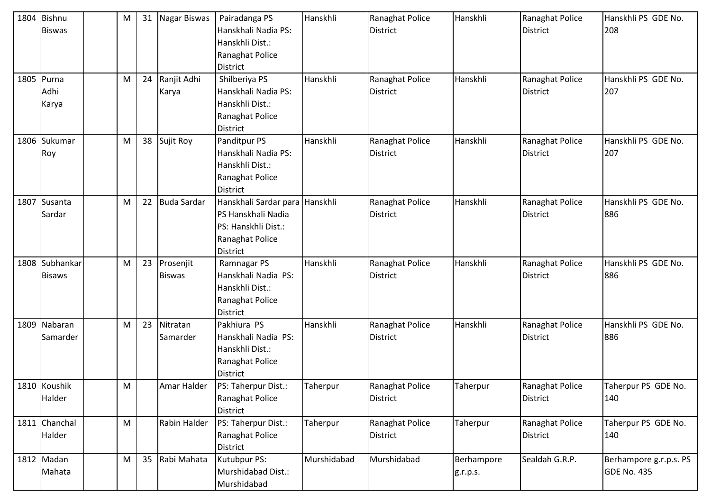| 1804 Bishnu<br><b>Biswas</b>    | M |    | 31 Nagar Biswas            | Pairadanga PS<br>Hanskhali Nadia PS:<br>Hanskhli Dist.:<br>Ranaghat Police<br>District                     | Hanskhli    | Ranaghat Police<br>District        | Hanskhli               | Ranaghat Police<br><b>District</b> | Hanskhli PS GDE No.<br>208                   |
|---------------------------------|---|----|----------------------------|------------------------------------------------------------------------------------------------------------|-------------|------------------------------------|------------------------|------------------------------------|----------------------------------------------|
| 1805 Purna<br>Adhi<br>Karya     | M | 24 | Ranjit Adhi<br>Karya       | Shilberiya PS<br>Hanskhali Nadia PS:<br>Hanskhli Dist.:<br>Ranaghat Police<br>District                     | Hanskhli    | Ranaghat Police<br>District        | Hanskhli               | Ranaghat Police<br><b>District</b> | Hanskhli PS GDE No.<br>207                   |
| 1806 Sukumar<br>Roy             | M | 38 | Sujit Roy                  | Panditpur PS<br>Hanskhali Nadia PS:<br>Hanskhli Dist.:<br>Ranaghat Police<br>District                      | Hanskhli    | Ranaghat Police<br><b>District</b> | Hanskhli               | Ranaghat Police<br><b>District</b> | Hanskhli PS GDE No.<br>207                   |
| 1807 Susanta<br>Sardar          | M | 22 | Buda Sardar                | Hanskhali Sardar para Hanskhli<br>PS Hanskhali Nadia<br>PS: Hanskhli Dist.:<br>Ranaghat Police<br>District |             | Ranaghat Police<br>District        | Hanskhli               | Ranaghat Police<br><b>District</b> | Hanskhli PS GDE No.<br>886                   |
| 1808 Subhankar<br><b>Bisaws</b> | M | 23 | Prosenjit<br><b>Biswas</b> | Ramnagar PS<br>Hanskhali Nadia PS:<br>Hanskhli Dist.:<br>Ranaghat Police<br>District                       | Hanskhli    | Ranaghat Police<br><b>District</b> | Hanskhli               | Ranaghat Police<br><b>District</b> | Hanskhli PS GDE No.<br>886                   |
| 1809 Nabaran<br>Samarder        | M | 23 | Nitratan<br>Samarder       | Pakhiura PS<br>Hanskhali Nadia PS:<br>Hanskhli Dist.:<br>Ranaghat Police<br>District                       | Hanskhli    | Ranaghat Police<br><b>District</b> | Hanskhli               | Ranaghat Police<br><b>District</b> | Hanskhli PS GDE No.<br>886                   |
| 1810 Koushik<br>Halder          | M |    | Amar Halder                | PS: Taherpur Dist.:<br>Ranaghat Police<br><b>District</b>                                                  | Taherpur    | Ranaghat Police<br><b>District</b> | Taherpur               | Ranaghat Police<br>District        | Taherpur PS GDE No.<br>140                   |
| 1811 Chanchal<br>Halder         | M |    | Rabin Halder               | PS: Taherpur Dist.:<br>Ranaghat Police<br>District                                                         | Taherpur    | Ranaghat Police<br><b>District</b> | Taherpur               | Ranaghat Police<br><b>District</b> | Taherpur PS GDE No.<br>140                   |
| 1812 Madan<br>Mahata            | M | 35 | Rabi Mahata                | Kutubpur PS:<br>Murshidabad Dist.:<br>Murshidabad                                                          | Murshidabad | Murshidabad                        | Berhampore<br>g.r.p.s. | Sealdah G.R.P.                     | Berhampore g.r.p.s. PS<br><b>GDE No. 435</b> |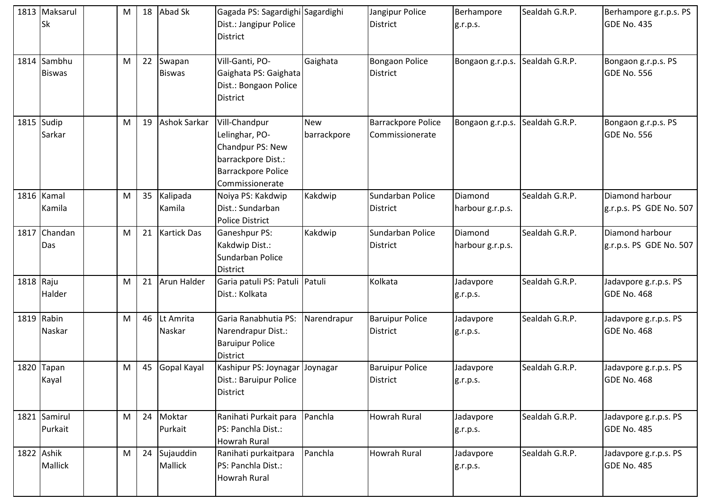|           | 1813 Maksarul<br><b>Sk</b>   | M         | 18 | Abad Sk                 | Gagada PS: Sagardighi Sagardighi<br>Dist.: Jangipur Police<br><b>District</b>                                      |                           | Jangipur Police<br><b>District</b>    | Berhampore<br>g.r.p.s.          | Sealdah G.R.P. | Berhampore g.r.p.s. PS<br>GDE No. 435       |
|-----------|------------------------------|-----------|----|-------------------------|--------------------------------------------------------------------------------------------------------------------|---------------------------|---------------------------------------|---------------------------------|----------------|---------------------------------------------|
|           | 1814 Sambhu<br><b>Biswas</b> | M         | 22 | Swapan<br><b>Biswas</b> | Vill-Ganti, PO-<br>Gaighata PS: Gaighata<br>Dist.: Bongaon Police<br>District                                      | Gaighata                  | <b>Bongaon Police</b><br>District     | Bongaon g.r.p.s. Sealdah G.R.P. |                | Bongaon g.r.p.s. PS<br><b>GDE No. 556</b>   |
|           | $1815$ Sudip<br>Sarkar       | M         | 19 | <b>Ashok Sarkar</b>     | Vill-Chandpur<br>Lelinghar, PO-<br>Chandpur PS: New<br>barrackpore Dist.:<br>Barrackpore Police<br>Commissionerate | <b>New</b><br>barrackpore | Barrackpore Police<br>Commissionerate | Bongaon g.r.p.s.                | Sealdah G.R.P. | Bongaon g.r.p.s. PS<br><b>GDE No. 556</b>   |
|           | 1816 Kamal<br>Kamila         | ${\sf M}$ | 35 | Kalipada<br>Kamila      | Noiya PS: Kakdwip<br>Dist.: Sundarban<br><b>Police District</b>                                                    | Kakdwip                   | Sundarban Police<br>District          | Diamond<br>harbour g.r.p.s.     | Sealdah G.R.P. | Diamond harbour<br>g.r.p.s. PS GDE No. 507  |
|           | 1817 Chandan<br>Das          | M         | 21 | <b>Kartick Das</b>      | <b>Ganeshpur PS:</b><br>Kakdwip Dist.:<br>Sundarban Police<br><b>District</b>                                      | Kakdwip                   | Sundarban Police<br><b>District</b>   | Diamond<br>harbour g.r.p.s.     | Sealdah G.R.P. | Diamond harbour<br>g.r.p.s. PS GDE No. 507  |
| 1818 Raju | Halder                       | ${\sf M}$ | 21 | Arun Halder             | Garia patuli PS: Patuli Patuli<br>Dist.: Kolkata                                                                   |                           | Kolkata                               | Jadavpore<br>g.r.p.s.           | Sealdah G.R.P. | Jadavpore g.r.p.s. PS<br><b>GDE No. 468</b> |
|           | 1819 Rabin<br>Naskar         | M         | 46 | Lt Amrita<br>Naskar     | Garia Ranabhutia PS:<br>Narendrapur Dist.:<br><b>Baruipur Police</b><br><b>District</b>                            | Narendrapur               | <b>Baruipur Police</b><br>District    | Jadavpore<br>g.r.p.s.           | Sealdah G.R.P. | Jadavpore g.r.p.s. PS<br><b>GDE No. 468</b> |
|           | 1820 Tapan<br>Kayal          | M         | 45 | Gopal Kayal             | Kashipur PS: Joynagar Joynagar<br>Dist.: Baruipur Police<br><b>District</b>                                        |                           | <b>Baruipur Police</b><br>District    | Jadavpore<br>g.r.p.s.           | Sealdah G.R.P. | Jadavpore g.r.p.s. PS<br><b>GDE No. 468</b> |
|           | 1821 Samirul<br>Purkait      | M         | 24 | Moktar<br>Purkait       | Ranihati Purkait para<br>PS: Panchla Dist.:<br><b>Howrah Rural</b>                                                 | Panchla                   | Howrah Rural                          | Jadavpore<br>g.r.p.s.           | Sealdah G.R.P. | Jadavpore g.r.p.s. PS<br><b>GDE No. 485</b> |
|           | 1822 Ashik<br><b>Mallick</b> | M         | 24 | Sujauddin<br>Mallick    | Ranihati purkaitpara<br>PS: Panchla Dist.:<br><b>Howrah Rural</b>                                                  | Panchla                   | Howrah Rural                          | Jadavpore<br>g.r.p.s.           | Sealdah G.R.P. | Jadavpore g.r.p.s. PS<br>GDE No. 485        |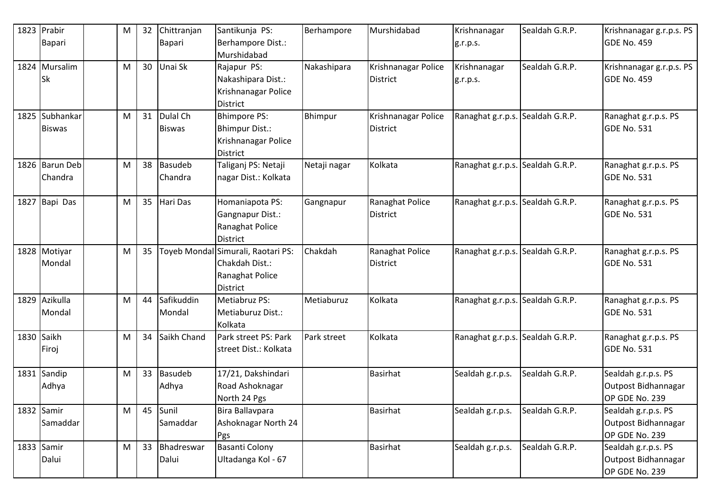| 1823 Prabir<br>Bapari           | M | 32 | Chittranjan<br>Bapari     | Santikunja PS:<br>Berhampore Dist.:                                                        | Berhampore   | Murshidabad                            | Krishnanagar<br>g.r.p.s.         | Sealdah G.R.P. | Krishnanagar g.r.p.s. PS<br><b>GDE No. 459</b>               |
|---------------------------------|---|----|---------------------------|--------------------------------------------------------------------------------------------|--------------|----------------------------------------|----------------------------------|----------------|--------------------------------------------------------------|
|                                 |   |    |                           | Murshidabad                                                                                |              |                                        |                                  |                |                                                              |
| 1824 Mursalim<br><b>Sk</b>      | M | 30 | Unai Sk                   | Rajapur PS:<br>Nakashipara Dist.:<br>Krishnanagar Police<br><b>District</b>                | Nakashipara  | Krishnanagar Police<br>District        | Krishnanagar<br>g.r.p.s.         | Sealdah G.R.P. | Krishnanagar g.r.p.s. PS<br><b>GDE No. 459</b>               |
| 1825 Subhankar<br><b>Biswas</b> | M | 31 | Dulal Ch<br><b>Biswas</b> | <b>Bhimpore PS:</b><br><b>Bhimpur Dist.:</b><br>Krishnanagar Police<br>District            | Bhimpur      | Krishnanagar Police<br><b>District</b> | Ranaghat g.r.p.s.                | Sealdah G.R.P. | Ranaghat g.r.p.s. PS<br>GDE No. 531                          |
| 1826 Barun Deb<br>Chandra       | M | 38 | Basudeb<br>Chandra        | Taliganj PS: Netaji<br>nagar Dist.: Kolkata                                                | Netaji nagar | Kolkata                                | Ranaghat g.r.p.s. Sealdah G.R.P. |                | Ranaghat g.r.p.s. PS<br>GDE No. 531                          |
| 1827 Bapi Das                   | M | 35 | Hari Das                  | Homaniapota PS:<br>Gangnapur Dist.:<br>Ranaghat Police<br><b>District</b>                  | Gangnapur    | Ranaghat Police<br><b>District</b>     | Ranaghat g.r.p.s. Sealdah G.R.P. |                | Ranaghat g.r.p.s. PS<br><b>GDE No. 531</b>                   |
| 1828 Motiyar<br>Mondal          | M | 35 |                           | Toyeb Mondal Simurali, Raotari PS:<br>Chakdah Dist.:<br>Ranaghat Police<br><b>District</b> | Chakdah      | Ranaghat Police<br><b>District</b>     | Ranaghat g.r.p.s. Sealdah G.R.P. |                | Ranaghat g.r.p.s. PS<br><b>GDE No. 531</b>                   |
| 1829 Azikulla<br>Mondal         | M | 44 | Safikuddin<br>Mondal      | Metiabruz PS:<br>Metiaburuz Dist.:<br>Kolkata                                              | Metiaburuz   | Kolkata                                | Ranaghat g.r.p.s. Sealdah G.R.P. |                | Ranaghat g.r.p.s. PS<br><b>GDE No. 531</b>                   |
| 1830 Saikh<br>Firoj             | M | 34 | Saikh Chand               | Park street PS: Park<br>street Dist.: Kolkata                                              | Park street  | Kolkata                                | Ranaghat g.r.p.s. Sealdah G.R.P. |                | Ranaghat g.r.p.s. PS<br><b>GDE No. 531</b>                   |
| 1831 Sandip<br>Adhya            | M | 33 | <b>Basudeb</b><br>Adhya   | 17/21, Dakshindari<br>Road Ashoknagar<br>North 24 Pgs                                      |              | Basirhat                               | Sealdah g.r.p.s.                 | Sealdah G.R.P. | Sealdah g.r.p.s. PS<br>Outpost Bidhannagar<br>OP GDE No. 239 |
| 1832 Samir<br>Samaddar          | M | 45 | Sunil<br>Samaddar         | Bira Ballavpara<br>Ashoknagar North 24<br>Pgs                                              |              | <b>Basirhat</b>                        | Sealdah g.r.p.s.                 | Sealdah G.R.P. | Sealdah g.r.p.s. PS<br>Outpost Bidhannagar<br>OP GDE No. 239 |
| 1833 Samir<br>Dalui             | M | 33 | Bhadreswar<br>Dalui       | <b>Basanti Colony</b><br>Ultadanga Kol - 67                                                |              | <b>Basirhat</b>                        | Sealdah g.r.p.s.                 | Sealdah G.R.P. | Sealdah g.r.p.s. PS<br>Outpost Bidhannagar<br>OP GDE No. 239 |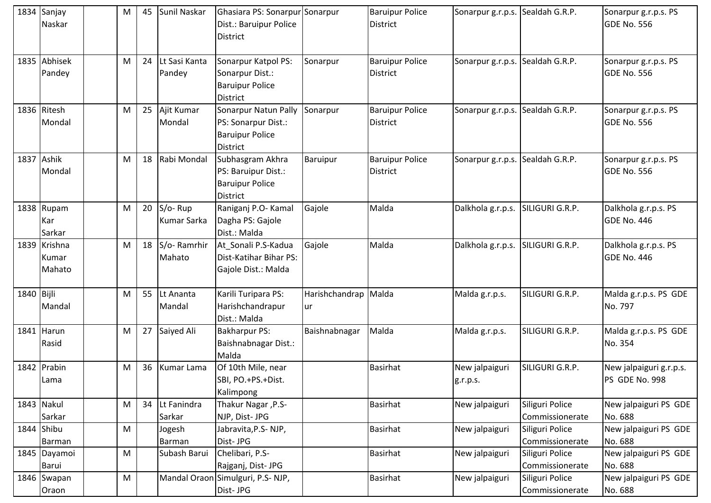|            | 1834 Sanjay<br>Naskar           | M | 45 | Sunil Naskar                  | Ghasiara PS: Sonarpur Sonarpur<br>Dist.: Baruipur Police<br><b>District</b>       |                            | <b>Baruipur Police</b><br>District        | Sonarpur g.r.p.s. Sealdah G.R.P. |                                    | Sonarpur g.r.p.s. PS<br>GDE No. 556        |
|------------|---------------------------------|---|----|-------------------------------|-----------------------------------------------------------------------------------|----------------------------|-------------------------------------------|----------------------------------|------------------------------------|--------------------------------------------|
|            | 1835 Abhisek<br>Pandey          | M | 24 | Lt Sasi Kanta<br>Pandey       | Sonarpur Katpol PS:<br>Sonarpur Dist.:<br><b>Baruipur Police</b><br>District      | Sonarpur                   | <b>Baruipur Police</b><br>District        | Sonarpur g.r.p.s. Sealdah G.R.P. |                                    | Sonarpur g.r.p.s. PS<br>GDE No. 556        |
|            | 1836 Ritesh<br>Mondal           | M | 25 | Ajit Kumar<br>Mondal          | Sonarpur Natun Pally<br>PS: Sonarpur Dist.:<br><b>Baruipur Police</b><br>District | Sonarpur                   | <b>Baruipur Police</b><br>District        | Sonarpur g.r.p.s.                | Sealdah G.R.P.                     | Sonarpur g.r.p.s. PS<br><b>GDE No. 556</b> |
|            | 1837 Ashik<br>Mondal            | M | 18 | Rabi Mondal                   | Subhasgram Akhra<br>PS: Baruipur Dist.:<br><b>Baruipur Police</b><br>District     | Baruipur                   | <b>Baruipur Police</b><br><b>District</b> | Sonarpur g.r.p.s.                | Sealdah G.R.P.                     | Sonarpur g.r.p.s. PS<br><b>GDE No. 556</b> |
|            | 1838 Rupam<br>Kar<br>Sarkar     | M | 20 | S/o-Rup<br><b>Kumar Sarka</b> | Raniganj P.O- Kamal<br>Dagha PS: Gajole<br>Dist.: Malda                           | Gajole                     | Malda                                     | Dalkhola g.r.p.s.                | SILIGURI G.R.P.                    | Dalkhola g.r.p.s. PS<br><b>GDE No. 446</b> |
|            | 1839 Krishna<br>Kumar<br>Mahato | M | 18 | S/o-Ramrhir<br>Mahato         | At_Sonali P.S-Kadua<br>Dist-Katihar Bihar PS:<br>Gajole Dist.: Malda              | Gajole                     | Malda                                     | Dalkhola g.r.p.s.                | SILIGURI G.R.P.                    | Dalkhola g.r.p.s. PS<br>GDE No. 446        |
| 1840 Bijli | Mandal                          | M | 55 | Lt Ananta<br>Mandal           | Karili Turipara PS:<br>Harishchandrapur<br>Dist.: Malda                           | Harishchandrap Malda<br>ur |                                           | Malda g.r.p.s.                   | SILIGURI G.R.P.                    | Malda g.r.p.s. PS GDE<br>No. 797           |
|            | 1841 Harun<br>Rasid             | M | 27 | Saiyed Ali                    | <b>Bakharpur PS:</b><br>Baishnabnagar Dist.:<br>Malda                             | Baishnabnagar              | Malda                                     | Malda g.r.p.s.                   | SILIGURI G.R.P.                    | Malda g.r.p.s. PS GDE<br>No. 354           |
|            | 1842 Prabin<br>Lama             | M | 36 | Kumar Lama                    | Of 10th Mile, near<br>SBI, PO.+PS.+Dist.<br>Kalimpong                             |                            | <b>Basirhat</b>                           | New jalpaiguri<br>g.r.p.s.       | SILIGURI G.R.P.                    | New jalpaiguri g.r.p.s.<br>PS GDE No. 998  |
|            | 1843 Nakul<br>Sarkar            | M | 34 | Lt Fanindra<br>Sarkar         | Thakur Nagar, P.S-<br>NJP, Dist- JPG                                              |                            | <b>Basirhat</b>                           | New jalpaiguri                   | Siliguri Police<br>Commissionerate | New jalpaiguri PS GDE<br>No. 688           |
|            | 1844 Shibu<br>Barman            | M |    | Jogesh<br>Barman              | Jabravita, P.S-NJP,<br>Dist-JPG                                                   |                            | <b>Basirhat</b>                           | New jalpaiguri                   | Siliguri Police<br>Commissionerate | New jalpaiguri PS GDE<br>No. 688           |
|            | 1845 Dayamoi<br>Barui           | M |    | Subash Barui                  | Chelibari, P.S-<br>Rajganj, Dist- JPG                                             |                            | <b>Basirhat</b>                           | New jalpaiguri                   | Siliguri Police<br>Commissionerate | New jalpaiguri PS GDE<br>No. 688           |
|            | 1846 Swapan<br>Oraon            | M |    | Mandal Oraon                  | Simulguri, P.S-NJP,<br>Dist-JPG                                                   |                            | <b>Basirhat</b>                           | New jalpaiguri                   | Siliguri Police<br>Commissionerate | New jalpaiguri PS GDE<br>No. 688           |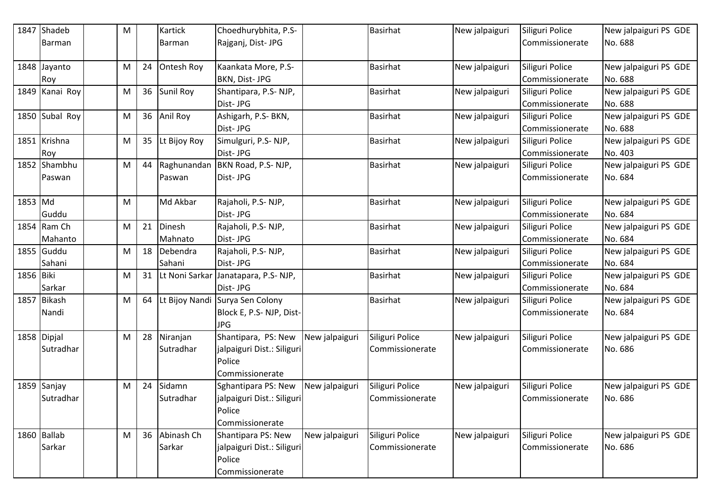| 1847      | Shadeb                   | M |    | Kartick               | Choedhurybhita, P.S-                                                           |                | <b>Basirhat</b>                    | New jalpaiguri | Siliguri Police                    | New jalpaiguri PS GDE            |
|-----------|--------------------------|---|----|-----------------------|--------------------------------------------------------------------------------|----------------|------------------------------------|----------------|------------------------------------|----------------------------------|
|           | Barman                   |   |    | <b>Barman</b>         | Rajganj, Dist- JPG                                                             |                |                                    |                | Commissionerate                    | No. 688                          |
|           | 1848 Jayanto<br>Roy      | M | 24 | Ontesh Roy            | Kaankata More, P.S-<br>BKN, Dist- JPG                                          |                | <b>Basirhat</b>                    | New jalpaiguri | Siliguri Police<br>Commissionerate | New jalpaiguri PS GDE<br>No. 688 |
|           | 1849 Kanai Roy           | M | 36 | <b>Sunil Roy</b>      | Shantipara, P.S-NJP,<br>Dist-JPG                                               |                | <b>Basirhat</b>                    | New jalpaiguri | Siliguri Police<br>Commissionerate | New jalpaiguri PS GDE<br>No. 688 |
|           | 1850 Subal Roy           | M | 36 | Anil Roy              | Ashigarh, P.S- BKN,<br>Dist-JPG                                                |                | <b>Basirhat</b>                    | New jalpaiguri | Siliguri Police<br>Commissionerate | New jalpaiguri PS GDE<br>No. 688 |
|           | 1851 Krishna<br>Roy      | M | 35 | Lt Bijoy Roy          | Simulguri, P.S-NJP,<br>Dist-JPG                                                |                | <b>Basirhat</b>                    | New jalpaiguri | Siliguri Police<br>Commissionerate | New jalpaiguri PS GDE<br>No. 403 |
|           | 1852 Shambhu<br>Paswan   | M | 44 | Raghunandan<br>Paswan | BKN Road, P.S- NJP,<br>Dist-JPG                                                |                | <b>Basirhat</b>                    | New jalpaiguri | Siliguri Police<br>Commissionerate | New jalpaiguri PS GDE<br>No. 684 |
| 1853 Md   | Guddu                    | M |    | Md Akbar              | Rajaholi, P.S-NJP,<br>Dist-JPG                                                 |                | <b>Basirhat</b>                    | New jalpaiguri | Siliguri Police<br>Commissionerate | New jalpaiguri PS GDE<br>No. 684 |
|           | 1854 Ram Ch<br>Mahanto   | M | 21 | Dinesh<br>Mahnato     | Rajaholi, P.S-NJP,<br>Dist-JPG                                                 |                | <b>Basirhat</b>                    | New jalpaiguri | Siliguri Police<br>Commissionerate | New jalpaiguri PS GDE<br>No. 684 |
|           | 1855 Guddu<br>Sahani     | M | 18 | Debendra<br>Sahani    | Rajaholi, P.S-NJP,<br>Dist-JPG                                                 |                | <b>Basirhat</b>                    | New jalpaiguri | Siliguri Police<br>Commissionerate | New jalpaiguri PS GDE<br>No. 684 |
| 1856 Biki | Sarkar                   | M | 31 | Lt Noni Sarkar        | Janatapara, P.S-NJP,<br>Dist-JPG                                               |                | <b>Basirhat</b>                    | New jalpaiguri | Siliguri Police<br>Commissionerate | New jalpaiguri PS GDE<br>No. 684 |
| 1857      | <b>Bikash</b><br>Nandi   | M | 64 | Lt Bijoy Nandi        | Surya Sen Colony<br>Block E, P.S-NJP, Dist-<br><b>JPG</b>                      |                | <b>Basirhat</b>                    | New jalpaiguri | Siliguri Police<br>Commissionerate | New jalpaiguri PS GDE<br>No. 684 |
|           | 1858 Dipjal<br>Sutradhar | M | 28 | Niranjan<br>Sutradhar | Shantipara, PS: New<br>jalpaiguri Dist.: Siliguri<br>Police<br>Commissionerate | New jalpaiguri | Siliguri Police<br>Commissionerate | New jalpaiguri | Siliguri Police<br>Commissionerate | New jalpaiguri PS GDE<br>No. 686 |
|           | 1859 Sanjay<br>Sutradhar | M | 24 | Sidamn<br>Sutradhar   | Sghantipara PS: New<br>jalpaiguri Dist.: Siliguri<br>Police<br>Commissionerate | New jalpaiguri | Siliguri Police<br>Commissionerate | New jalpaiguri | Siliguri Police<br>Commissionerate | New jalpaiguri PS GDE<br>No. 686 |
|           | 1860 Ballab<br>Sarkar    | M | 36 | Abinash Ch<br>Sarkar  | Shantipara PS: New<br>jalpaiguri Dist.: Siliguri<br>Police<br>Commissionerate  | New jalpaiguri | Siliguri Police<br>Commissionerate | New jalpaiguri | Siliguri Police<br>Commissionerate | New jalpaiguri PS GDE<br>No. 686 |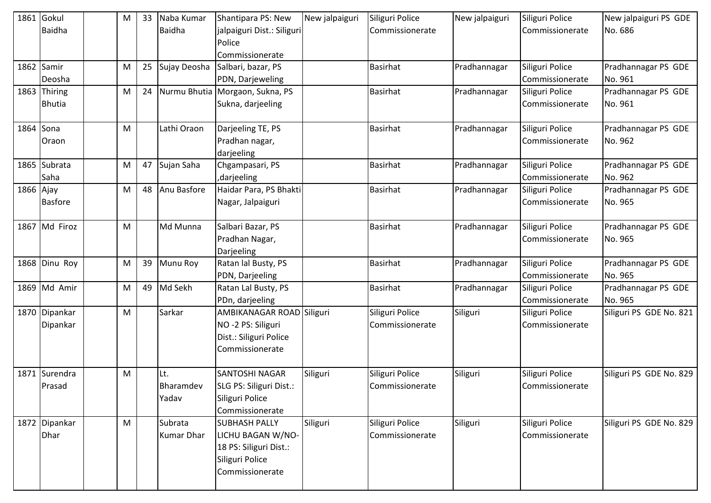| 1861      | Gokul          | M         | 33 | Naba Kumar    | Shantipara PS: New              | New jalpaiguri | Siliguri Police | New jalpaiguri | Siliguri Police | New jalpaiguri PS GDE   |
|-----------|----------------|-----------|----|---------------|---------------------------------|----------------|-----------------|----------------|-----------------|-------------------------|
|           | <b>Baidha</b>  |           |    | <b>Baidha</b> | jalpaiguri Dist.: Siliguri      |                | Commissionerate |                | Commissionerate | No. 686                 |
|           |                |           |    |               | Police                          |                |                 |                |                 |                         |
|           |                |           |    |               | Commissionerate                 |                |                 |                |                 |                         |
|           | 1862 Samir     | M         | 25 | Sujay Deosha  | Salbari, bazar, PS              |                | <b>Basirhat</b> | Pradhannagar   | Siliguri Police | Pradhannagar PS GDE     |
|           | Deosha         |           |    |               | PDN, Darjeweling                |                |                 |                | Commissionerate | No. 961                 |
|           | 1863 Thiring   | M         | 24 |               | Nurmu Bhutia Morgaon, Sukna, PS |                | <b>Basirhat</b> | Pradhannagar   | Siliguri Police | Pradhannagar PS GDE     |
|           | <b>Bhutia</b>  |           |    |               | Sukna, darjeeling               |                |                 |                | Commissionerate | No. 961                 |
| 1864 Sona |                | ${\sf M}$ |    | Lathi Oraon   | Darjeeling TE, PS               |                | <b>Basirhat</b> | Pradhannagar   | Siliguri Police | Pradhannagar PS GDE     |
|           | Oraon          |           |    |               | Pradhan nagar,                  |                |                 |                | Commissionerate | No. 962                 |
|           |                |           |    |               | darjeeling                      |                |                 |                |                 |                         |
|           | 1865 Subrata   | M         | 47 | Sujan Saha    | Chgampasari, PS                 |                | <b>Basirhat</b> | Pradhannagar   | Siliguri Police | Pradhannagar PS GDE     |
|           | Saha           |           |    |               | darjeeling,                     |                |                 |                | Commissionerate | No. 962                 |
| 1866 Ajay |                | M         | 48 | Anu Basfore   | Haidar Para, PS Bhakti          |                | <b>Basirhat</b> | Pradhannagar   | Siliguri Police | Pradhannagar PS GDE     |
|           | <b>Basfore</b> |           |    |               | Nagar, Jalpaiguri               |                |                 |                | Commissionerate | No. 965                 |
|           | 1867 Md Firoz  | M         |    | Md Munna      | Salbari Bazar, PS               |                | <b>Basirhat</b> | Pradhannagar   | Siliguri Police | Pradhannagar PS GDE     |
|           |                |           |    |               | Pradhan Nagar,                  |                |                 |                | Commissionerate | No. 965                 |
|           |                |           |    |               | Darjeeling                      |                |                 |                |                 |                         |
|           | 1868 Dinu Roy  | M         | 39 | Munu Roy      | Ratan lal Busty, PS             |                | <b>Basirhat</b> | Pradhannagar   | Siliguri Police | Pradhannagar PS GDE     |
|           |                |           |    |               | PDN, Darjeeling                 |                |                 |                | Commissionerate | No. 965                 |
|           | 1869 Md Amir   | M         | 49 | Md Sekh       | Ratan Lal Busty, PS             |                | <b>Basirhat</b> | Pradhannagar   | Siliguri Police | Pradhannagar PS GDE     |
|           |                |           |    |               | PDn, darjeeling                 |                |                 |                | Commissionerate | No. 965                 |
|           | 1870 Dipankar  | M         |    | Sarkar        | AMBIKANAGAR ROAD Siliguri       |                | Siliguri Police | Siliguri       | Siliguri Police | Siliguri PS GDE No. 821 |
|           | Dipankar       |           |    |               | NO-2 PS: Siliguri               |                | Commissionerate |                | Commissionerate |                         |
|           |                |           |    |               | Dist.: Siliguri Police          |                |                 |                |                 |                         |
|           |                |           |    |               | Commissionerate                 |                |                 |                |                 |                         |
|           | 1871 Surendra  | M         |    | Lt.           | <b>SANTOSHI NAGAR</b>           | Siliguri       | Siliguri Police | Siliguri       | Siliguri Police | Siliguri PS GDE No. 829 |
|           | Prasad         |           |    | Bharamdev     | SLG PS: Siliguri Dist.:         |                | Commissionerate |                | Commissionerate |                         |
|           |                |           |    | Yadav         | Siliguri Police                 |                |                 |                |                 |                         |
|           |                |           |    |               | Commissionerate                 |                |                 |                |                 |                         |
|           | 1872 Dipankar  | M         |    | Subrata       | <b>SUBHASH PALLY</b>            | Siliguri       | Siliguri Police | Siliguri       | Siliguri Police | Siliguri PS GDE No. 829 |
|           | Dhar           |           |    | Kumar Dhar    | LICHU BAGAN W/NO-               |                | Commissionerate |                | Commissionerate |                         |
|           |                |           |    |               | 18 PS: Siliguri Dist.:          |                |                 |                |                 |                         |
|           |                |           |    |               | Siliguri Police                 |                |                 |                |                 |                         |
|           |                |           |    |               | Commissionerate                 |                |                 |                |                 |                         |
|           |                |           |    |               |                                 |                |                 |                |                 |                         |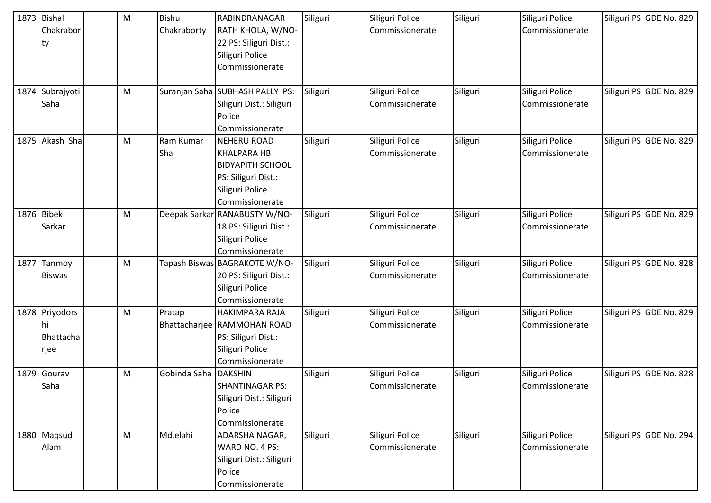| 1873 Bishal     | M | <b>Bishu</b> | <b>RABINDRANAGAR</b>            | Siliguri | Siliguri Police | Siliguri | Siliguri Police | Siliguri PS GDE No. 829 |
|-----------------|---|--------------|---------------------------------|----------|-----------------|----------|-----------------|-------------------------|
| Chakrabor       |   | Chakraborty  | RATH KHOLA, W/NO-               |          | Commissionerate |          | Commissionerate |                         |
| ty              |   |              | 22 PS: Siliguri Dist.:          |          |                 |          |                 |                         |
|                 |   |              | Siliguri Police                 |          |                 |          |                 |                         |
|                 |   |              | Commissionerate                 |          |                 |          |                 |                         |
|                 |   |              |                                 |          |                 |          |                 |                         |
| 1874 Subrajyoti | M |              | Suranjan Saha SUBHASH PALLY PS: | Siliguri | Siliguri Police | Siliguri | Siliguri Police | Siliguri PS GDE No. 829 |
| Saha            |   |              | Siliguri Dist.: Siliguri        |          | Commissionerate |          | Commissionerate |                         |
|                 |   |              | Police                          |          |                 |          |                 |                         |
|                 |   |              | Commissionerate                 |          |                 |          |                 |                         |
| 1875 Akash Sha  | M | Ram Kumar    | <b>NEHERU ROAD</b>              | Siliguri | Siliguri Police | Siliguri | Siliguri Police | Siliguri PS GDE No. 829 |
|                 |   | <b>Sha</b>   | <b>KHALPARA HB</b>              |          | Commissionerate |          | Commissionerate |                         |
|                 |   |              | <b>BIDYAPITH SCHOOL</b>         |          |                 |          |                 |                         |
|                 |   |              | PS: Siliguri Dist.:             |          |                 |          |                 |                         |
|                 |   |              | Siliguri Police                 |          |                 |          |                 |                         |
|                 |   |              | Commissionerate                 |          |                 |          |                 |                         |
| 1876 Bibek      | M |              | Deepak Sarkar RANABUSTY W/NO-   | Siliguri | Siliguri Police | Siliguri | Siliguri Police | Siliguri PS GDE No. 829 |
| Sarkar          |   |              | 18 PS: Siliguri Dist.:          |          | Commissionerate |          | Commissionerate |                         |
|                 |   |              | Siliguri Police                 |          |                 |          |                 |                         |
|                 |   |              | Commissionerate                 |          |                 |          |                 |                         |
| 1877 Tanmoy     | M |              | Tapash Biswas BAGRAKOTE W/NO-   | Siliguri | Siliguri Police | Siliguri | Siliguri Police | Siliguri PS GDE No. 828 |
| <b>Biswas</b>   |   |              | 20 PS: Siliguri Dist.:          |          | Commissionerate |          | Commissionerate |                         |
|                 |   |              | Siliguri Police                 |          |                 |          |                 |                         |
|                 |   |              | Commissionerate                 |          |                 |          |                 |                         |
| 1878 Priyodors  | M | Pratap       | HAKIMPARA RAJA                  | Siliguri | Siliguri Police | Siliguri | Siliguri Police | Siliguri PS GDE No. 829 |
| hi              |   |              | Bhattacharjee RAMMOHAN ROAD     |          | Commissionerate |          | Commissionerate |                         |
| Bhattacha       |   |              | PS: Siliguri Dist.:             |          |                 |          |                 |                         |
| rjee            |   |              | Siliguri Police                 |          |                 |          |                 |                         |
|                 |   |              | Commissionerate                 |          |                 |          |                 |                         |
| 1879 Gourav     | M | Gobinda Saha | <b>DAKSHIN</b>                  | Siliguri | Siliguri Police | Siliguri | Siliguri Police | Siliguri PS GDE No. 828 |
| Saha            |   |              | <b>SHANTINAGAR PS:</b>          |          | Commissionerate |          | Commissionerate |                         |
|                 |   |              | Siliguri Dist.: Siliguri        |          |                 |          |                 |                         |
|                 |   |              | Police                          |          |                 |          |                 |                         |
|                 |   |              | Commissionerate                 |          |                 |          |                 |                         |
| 1880 Maqsud     | M | Md.elahi     | ADARSHA NAGAR,                  | Siliguri | Siliguri Police | Siliguri | Siliguri Police | Siliguri PS GDE No. 294 |
| Alam            |   |              | WARD NO. 4 PS:                  |          | Commissionerate |          | Commissionerate |                         |
|                 |   |              | Siliguri Dist.: Siliguri        |          |                 |          |                 |                         |
|                 |   |              | Police                          |          |                 |          |                 |                         |
|                 |   |              | Commissionerate                 |          |                 |          |                 |                         |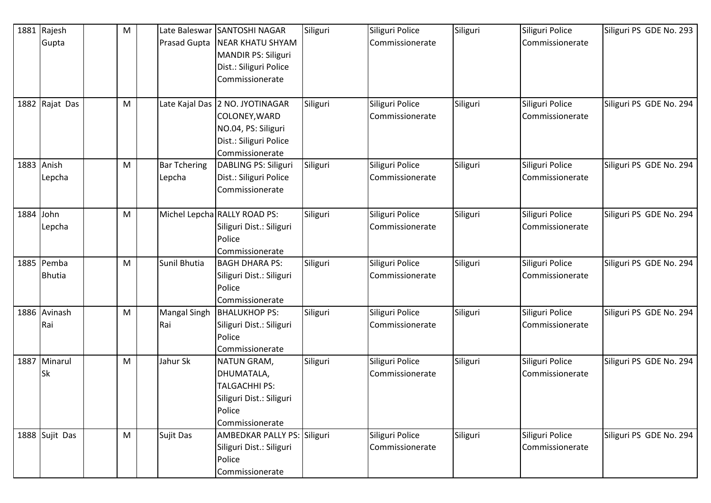| 1881 | Rajesh                      | ${\sf M}$ | Late Baleswar                 | SANTOSHI NAGAR                                                                                                       | Siliguri | Siliguri Police                    | Siliguri | Siliguri Police                    | Siliguri PS GDE No. 293 |
|------|-----------------------------|-----------|-------------------------------|----------------------------------------------------------------------------------------------------------------------|----------|------------------------------------|----------|------------------------------------|-------------------------|
|      | Gupta                       |           | Prasad Gupta                  | <b>NEAR KHATU SHYAM</b><br>MANDIR PS: Siliguri<br>Dist.: Siliguri Police<br>Commissionerate                          |          | Commissionerate                    |          | Commissionerate                    |                         |
|      | 1882 Rajat Das              | M         |                               | Late Kajal Das 2 NO. JYOTINAGAR<br>COLONEY, WARD<br>NO.04, PS: Siliguri<br>Dist.: Siliguri Police<br>Commissionerate | Siliguri | Siliguri Police<br>Commissionerate | Siliguri | Siliguri Police<br>Commissionerate | Siliguri PS GDE No. 294 |
|      | 1883 Anish<br>Lepcha        | ${\sf M}$ | <b>Bar Tchering</b><br>Lepcha | DABLING PS: Siliguri<br>Dist.: Siliguri Police<br>Commissionerate                                                    | Siliguri | Siliguri Police<br>Commissionerate | Siliguri | Siliguri Police<br>Commissionerate | Siliguri PS GDE No. 294 |
|      | 1884 John<br>Lepcha         | M         |                               | Michel Lepcha RALLY ROAD PS:<br>Siliguri Dist.: Siliguri<br>Police<br>Commissionerate                                | Siliguri | Siliguri Police<br>Commissionerate | Siliguri | Siliguri Police<br>Commissionerate | Siliguri PS GDE No. 294 |
|      | 1885 Pemba<br><b>Bhutia</b> | M         | Sunil Bhutia                  | <b>BAGH DHARA PS:</b><br>Siliguri Dist.: Siliguri<br>Police<br>Commissionerate                                       | Siliguri | Siliguri Police<br>Commissionerate | Siliguri | Siliguri Police<br>Commissionerate | Siliguri PS GDE No. 294 |
|      | 1886 Avinash<br>Rai         | ${\sf M}$ | <b>Mangal Singh</b><br>Rai    | <b>BHALUKHOP PS:</b><br>Siliguri Dist.: Siliguri<br>Police<br>Commissionerate                                        | Siliguri | Siliguri Police<br>Commissionerate | Siliguri | Siliguri Police<br>Commissionerate | Siliguri PS GDE No. 294 |
|      | 1887 Minarul<br><b>Sk</b>   | M         | Jahur Sk                      | NATUN GRAM,<br>DHUMATALA,<br><b>TALGACHHI PS:</b><br>Siliguri Dist.: Siliguri<br>Police<br>Commissionerate           | Siliguri | Siliguri Police<br>Commissionerate | Siliguri | Siliguri Police<br>Commissionerate | Siliguri PS GDE No. 294 |
|      | 1888 Sujit Das              | M         | Sujit Das                     | AMBEDKAR PALLY PS: Siliguri<br>Siliguri Dist.: Siliguri<br>Police<br>Commissionerate                                 |          | Siliguri Police<br>Commissionerate | Siliguri | Siliguri Police<br>Commissionerate | Siliguri PS GDE No. 294 |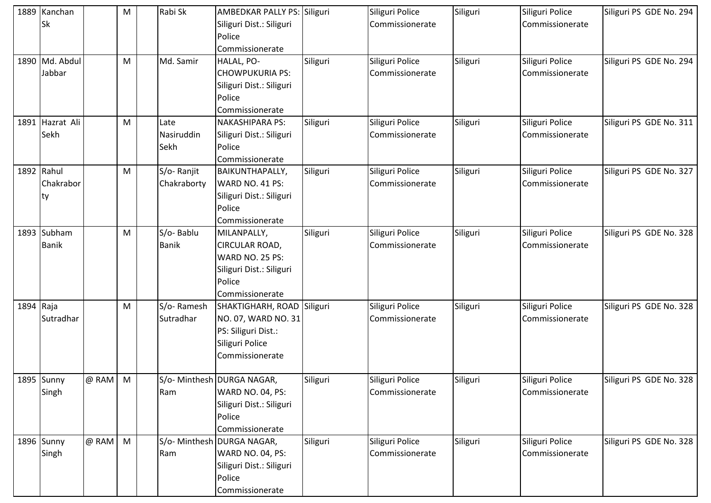|           | 1889 Kanchan<br><b>Sk</b>      |         | M              | Rabi Sk                    | AMBEDKAR PALLY PS: Siliguri<br>Siliguri Dist.: Siliguri<br>Police<br>Commissionerate                      |          | Siliguri Police<br>Commissionerate | Siliguri | Siliguri Police<br>Commissionerate | Siliguri PS GDE No. 294 |
|-----------|--------------------------------|---------|----------------|----------------------------|-----------------------------------------------------------------------------------------------------------|----------|------------------------------------|----------|------------------------------------|-------------------------|
|           | 1890 Md. Abdul<br>Jabbar       |         | M              | Md. Samir                  | HALAL, PO-<br><b>CHOWPUKURIA PS:</b><br>Siliguri Dist.: Siliguri<br>Police<br>Commissionerate             | Siliguri | Siliguri Police<br>Commissionerate | Siliguri | Siliguri Police<br>Commissionerate | Siliguri PS GDE No. 294 |
|           | 1891 Hazrat Ali<br>Sekh        |         | M              | Late<br>Nasiruddin<br>Sekh | <b>NAKASHIPARA PS:</b><br>Siliguri Dist.: Siliguri<br>Police<br>Commissionerate                           | Siliguri | Siliguri Police<br>Commissionerate | Siliguri | Siliguri Police<br>Commissionerate | Siliguri PS GDE No. 311 |
|           | 1892 Rahul<br>Chakrabor<br>lty |         | M              | S/o-Ranjit<br>Chakraborty  | <b>BAIKUNTHAPALLY,</b><br>WARD NO. 41 PS:<br>Siliguri Dist.: Siliguri<br>Police<br>Commissionerate        | Siliguri | Siliguri Police<br>Commissionerate | Siliguri | Siliguri Police<br>Commissionerate | Siliguri PS GDE No. 327 |
|           | 1893 Subham<br><b>Banik</b>    |         | M              | S/o-Bablu<br><b>Banik</b>  | MILANPALLY,<br>CIRCULAR ROAD,<br>WARD NO. 25 PS:<br>Siliguri Dist.: Siliguri<br>Police<br>Commissionerate | Siliguri | Siliguri Police<br>Commissionerate | Siliguri | Siliguri Police<br>Commissionerate | Siliguri PS GDE No. 328 |
| 1894 Raja | Sutradhar                      |         | M              | S/o-Ramesh<br>Sutradhar    | SHAKTIGHARH, ROAD<br>NO. 07, WARD NO. 31<br>PS: Siliguri Dist.:<br>Siliguri Police<br>Commissionerate     | Siliguri | Siliguri Police<br>Commissionerate | Siliguri | Siliguri Police<br>Commissionerate | Siliguri PS GDE No. 328 |
|           | 1895 Sunny<br>Singh            | @ RAM M |                | Ram                        | S/o- Minthesh DURGA NAGAR,<br>WARD NO. 04, PS:<br>Siliguri Dist.: Siliguri<br>Police<br>Commissionerate   | Siliguri | Siliguri Police<br>Commissionerate | Siliguri | Siliguri Police<br>Commissionerate | Siliguri PS GDE No. 328 |
|           | 1896 Sunny<br>Singh            | @ RAM   | $\blacksquare$ | Ram                        | S/o- Minthesh DURGA NAGAR,<br>WARD NO. 04, PS:<br>Siliguri Dist.: Siliguri<br>Police<br>Commissionerate   | Siliguri | Siliguri Police<br>Commissionerate | Siliguri | Siliguri Police<br>Commissionerate | Siliguri PS GDE No. 328 |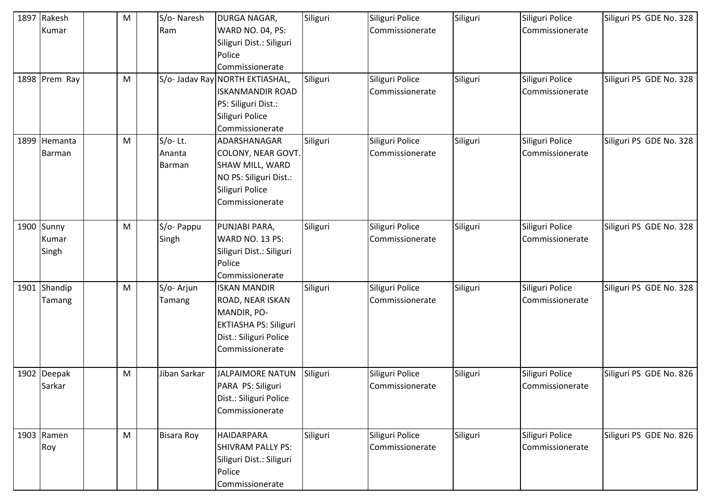| 1897 Rakesh   | M | S/o-Naresh        | DURGA NAGAR,             | Siliguri | Siliguri Police | Siliguri | Siliguri Police | Siliguri PS GDE No. 328 |
|---------------|---|-------------------|--------------------------|----------|-----------------|----------|-----------------|-------------------------|
| Kumar         |   | Ram               | <b>WARD NO. 04, PS:</b>  |          | Commissionerate |          | Commissionerate |                         |
|               |   |                   | Siliguri Dist.: Siliguri |          |                 |          |                 |                         |
|               |   |                   | Police                   |          |                 |          |                 |                         |
|               |   |                   | Commissionerate          |          |                 |          |                 |                         |
| 1898 Prem Ray | M | S/o- Jadav Ray    | <b>NORTH EKTIASHAL,</b>  | Siliguri | Siliguri Police | Siliguri | Siliguri Police | Siliguri PS GDE No. 328 |
|               |   |                   | <b>ISKANMANDIR ROAD</b>  |          | Commissionerate |          | Commissionerate |                         |
|               |   |                   | PS: Siliguri Dist.:      |          |                 |          |                 |                         |
|               |   |                   | Siliguri Police          |          |                 |          |                 |                         |
|               |   |                   | Commissionerate          |          |                 |          |                 |                         |
| 1899 Hemanta  | M | $S/O-$ Lt.        | ADARSHANAGAR             | Siliguri | Siliguri Police | Siliguri | Siliguri Police | Siliguri PS GDE No. 328 |
| Barman        |   | Ananta            | COLONY, NEAR GOVT.       |          | Commissionerate |          | Commissionerate |                         |
|               |   | <b>Barman</b>     | SHAW MILL, WARD          |          |                 |          |                 |                         |
|               |   |                   | NO PS: Siliguri Dist.:   |          |                 |          |                 |                         |
|               |   |                   | Siliguri Police          |          |                 |          |                 |                         |
|               |   |                   | Commissionerate          |          |                 |          |                 |                         |
|               |   |                   |                          |          |                 |          |                 |                         |
| 1900 Sunny    | M | S/o- Pappu        | PUNJABI PARA,            | Siliguri | Siliguri Police | Siliguri | Siliguri Police | Siliguri PS GDE No. 328 |
| Kumar         |   | Singh             | <b>WARD NO. 13 PS:</b>   |          | Commissionerate |          | Commissionerate |                         |
| Singh         |   |                   | Siliguri Dist.: Siliguri |          |                 |          |                 |                         |
|               |   |                   | Police                   |          |                 |          |                 |                         |
|               |   |                   | Commissionerate          |          |                 |          |                 |                         |
| 1901 Shandip  | M | S/o- Arjun        | <b>ISKAN MANDIR</b>      | Siliguri | Siliguri Police | Siliguri | Siliguri Police | Siliguri PS GDE No. 328 |
| Tamang        |   | Tamang            | ROAD, NEAR ISKAN         |          | Commissionerate |          | Commissionerate |                         |
|               |   |                   | MANDIR, PO-              |          |                 |          |                 |                         |
|               |   |                   | EKTIASHA PS: Siliguri    |          |                 |          |                 |                         |
|               |   |                   | Dist.: Siliguri Police   |          |                 |          |                 |                         |
|               |   |                   | Commissionerate          |          |                 |          |                 |                         |
|               |   |                   |                          |          |                 |          |                 |                         |
| 1902 Deepak   | M | Jiban Sarkar      | <b>JALPAIMORE NATUN</b>  | Siliguri | Siliguri Police | Siliguri | Siliguri Police | Siliguri PS GDE No. 826 |
| Sarkar        |   |                   | PARA PS: Siliguri        |          | Commissionerate |          | Commissionerate |                         |
|               |   |                   | Dist.: Siliguri Police   |          |                 |          |                 |                         |
|               |   |                   | Commissionerate          |          |                 |          |                 |                         |
|               |   |                   |                          |          |                 |          |                 |                         |
| 1903 Ramen    | M | <b>Bisara Roy</b> | <b>HAIDARPARA</b>        | Siliguri | Siliguri Police | Siliguri | Siliguri Police | Siliguri PS GDE No. 826 |
| Roy           |   |                   | <b>SHIVRAM PALLY PS:</b> |          | Commissionerate |          | Commissionerate |                         |
|               |   |                   | Siliguri Dist.: Siliguri |          |                 |          |                 |                         |
|               |   |                   | Police                   |          |                 |          |                 |                         |
|               |   |                   | Commissionerate          |          |                 |          |                 |                         |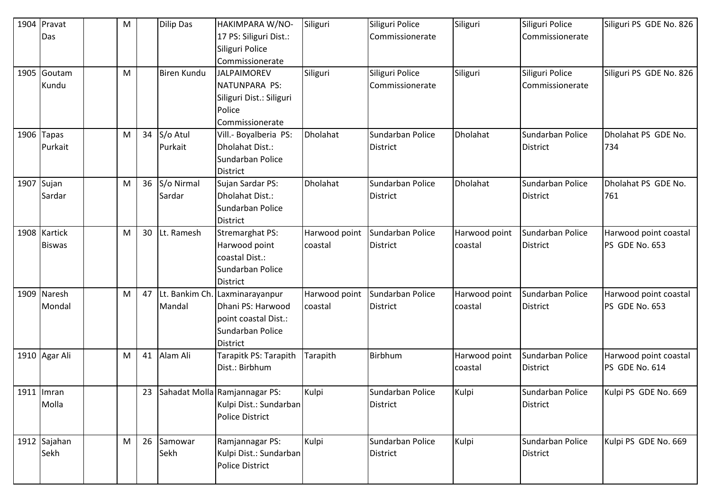| 1904 Pravat   | M |    | <b>Dilip Das</b> | HAKIMPARA W/NO-                  | Siliguri      | Siliguri Police  | Siliguri      | Siliguri Police  | Siliguri PS GDE No. 826 |
|---------------|---|----|------------------|----------------------------------|---------------|------------------|---------------|------------------|-------------------------|
| Das           |   |    |                  | 17 PS: Siliguri Dist.:           |               | Commissionerate  |               | Commissionerate  |                         |
|               |   |    |                  | Siliguri Police                  |               |                  |               |                  |                         |
|               |   |    |                  | Commissionerate                  |               |                  |               |                  |                         |
| 1905 Goutam   | M |    | Biren Kundu      | <b>JALPAIMOREV</b>               | Siliguri      | Siliguri Police  | Siliguri      | Siliguri Police  | Siliguri PS GDE No. 826 |
| Kundu         |   |    |                  | NATUNPARA PS:                    |               | Commissionerate  |               | Commissionerate  |                         |
|               |   |    |                  | Siliguri Dist.: Siliguri         |               |                  |               |                  |                         |
|               |   |    |                  | Police                           |               |                  |               |                  |                         |
|               |   |    |                  | Commissionerate                  |               |                  |               |                  |                         |
| 1906 Tapas    | M | 34 | S/o Atul         | Vill.- Boyalberia PS:            | Dholahat      | Sundarban Police | Dholahat      | Sundarban Police | Dholahat PS GDE No.     |
| Purkait       |   |    | Purkait          | Dholahat Dist.:                  |               | <b>District</b>  |               | <b>District</b>  | 734                     |
|               |   |    |                  | Sundarban Police                 |               |                  |               |                  |                         |
|               |   |    |                  | <b>District</b>                  |               |                  |               |                  |                         |
| 1907 Sujan    | M | 36 | S/o Nirmal       | Sujan Sardar PS:                 | Dholahat      | Sundarban Police | Dholahat      | Sundarban Police | Dholahat PS GDE No.     |
| Sardar        |   |    | Sardar           | Dholahat Dist.:                  |               | <b>District</b>  |               | District         | 761                     |
|               |   |    |                  | Sundarban Police                 |               |                  |               |                  |                         |
|               |   |    |                  | District                         |               |                  |               |                  |                         |
| 1908 Kartick  | M | 30 | Lt. Ramesh       | <b>Stremarghat PS:</b>           | Harwood point | Sundarban Police | Harwood point | Sundarban Police | Harwood point coastal   |
| <b>Biswas</b> |   |    |                  | Harwood point                    | coastal       | <b>District</b>  | coastal       | <b>District</b>  | PS GDE No. 653          |
|               |   |    |                  | coastal Dist.:                   |               |                  |               |                  |                         |
|               |   |    |                  | Sundarban Police                 |               |                  |               |                  |                         |
|               |   |    |                  | District                         |               |                  |               |                  |                         |
| 1909 Naresh   | M | 47 | Lt. Bankim Ch.   | Laxminarayanpur                  | Harwood point | Sundarban Police | Harwood point | Sundarban Police | Harwood point coastal   |
| Mondal        |   |    | Mandal           | Dhani PS: Harwood                | coastal       | <b>District</b>  | coastal       | <b>District</b>  | PS GDE No. 653          |
|               |   |    |                  | point coastal Dist.:             |               |                  |               |                  |                         |
|               |   |    |                  | Sundarban Police                 |               |                  |               |                  |                         |
|               |   |    |                  | District                         |               |                  |               |                  |                         |
| 1910 Agar Ali | M | 41 | Alam Ali         | Tarapitk PS: Tarapith            | Tarapith      | Birbhum          | Harwood point | Sundarban Police | Harwood point coastal   |
|               |   |    |                  | Dist.: Birbhum                   |               |                  | coastal       | <b>District</b>  | PS GDE No. 614          |
|               |   |    |                  |                                  |               |                  |               |                  |                         |
| 1911   Imran  |   |    |                  | 23 Sahadat Molla Ramjannagar PS: | Kulpi         | Sundarban Police | Kulpi         | Sundarban Police | Kulpi PS GDE No. 669    |
| Molla         |   |    |                  | Kulpi Dist.: Sundarban           |               | <b>District</b>  |               | <b>District</b>  |                         |
|               |   |    |                  | <b>Police District</b>           |               |                  |               |                  |                         |
|               |   |    |                  |                                  |               |                  |               |                  |                         |
| 1912 Sajahan  | M | 26 | Samowar          | Ramjannagar PS:                  | Kulpi         | Sundarban Police | Kulpi         | Sundarban Police | Kulpi PS GDE No. 669    |
| Sekh          |   |    | Sekh             | Kulpi Dist.: Sundarban           |               | <b>District</b>  |               | <b>District</b>  |                         |
|               |   |    |                  | <b>Police District</b>           |               |                  |               |                  |                         |
|               |   |    |                  |                                  |               |                  |               |                  |                         |